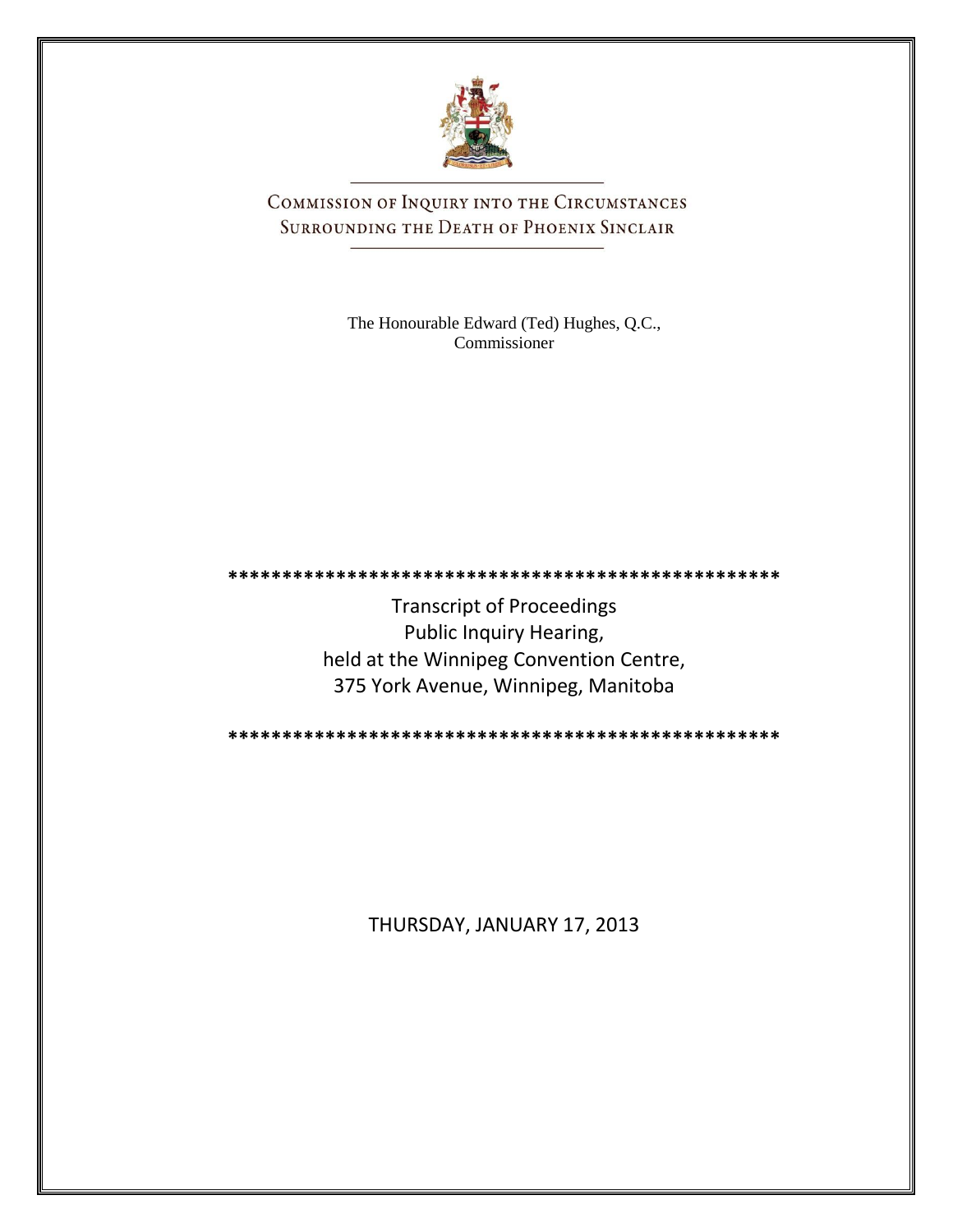

COMMISSION OF INQUIRY INTO THE CIRCUMSTANCES SURROUNDING THE DEATH OF PHOENIX SINCLAIR

> The Honourable Edward (Ted) Hughes, Q.C., Commissioner

Transcript of Proceedings Public Inquiry Hearing, held at the Winnipeg Convention Centre, 375 York Avenue, Winnipeg, Manitoba

**\*\*\*\*\*\*\*\*\*\*\*\*\*\*\*\*\*\*\*\*\*\*\*\*\*\*\*\*\*\*\*\*\*\*\*\*\*\*\*\*\*\*\*\*\*\*\*\*\*\*\***

**\*\*\*\*\*\*\*\*\*\*\*\*\*\*\*\*\*\*\*\*\*\*\*\*\*\*\*\*\*\*\*\*\*\*\*\*\*\*\*\*\*\*\*\*\*\*\*\*\*\*\***

THURSDAY, JANUARY 17, 2013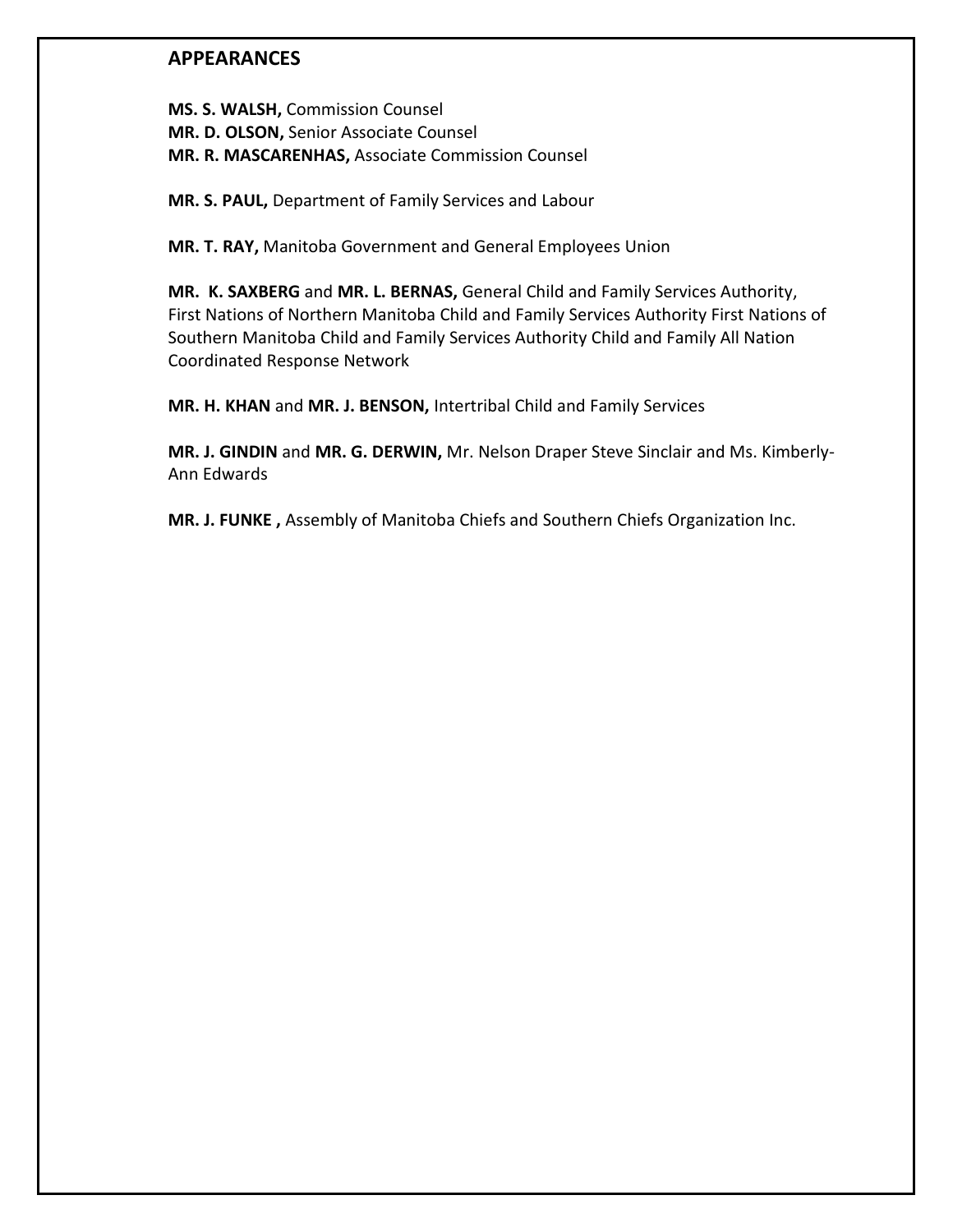## **APPEARANCES**

**MS. S. WALSH,** Commission Counsel **MR. D. OLSON,** Senior Associate Counsel **MR. R. MASCARENHAS,** Associate Commission Counsel

**MR. S. PAUL,** Department of Family Services and Labour

**MR. T. RAY,** Manitoba Government and General Employees Union

**MR. K. SAXBERG** and **MR. L. BERNAS,** General Child and Family Services Authority, First Nations of Northern Manitoba Child and Family Services Authority First Nations of Southern Manitoba Child and Family Services Authority Child and Family All Nation Coordinated Response Network

**MR. H. KHAN** and **MR. J. BENSON,** Intertribal Child and Family Services

**MR. J. GINDIN** and **MR. G. DERWIN,** Mr. Nelson Draper Steve Sinclair and Ms. Kimberly-Ann Edwards

**MR. J. FUNKE ,** Assembly of Manitoba Chiefs and Southern Chiefs Organization Inc.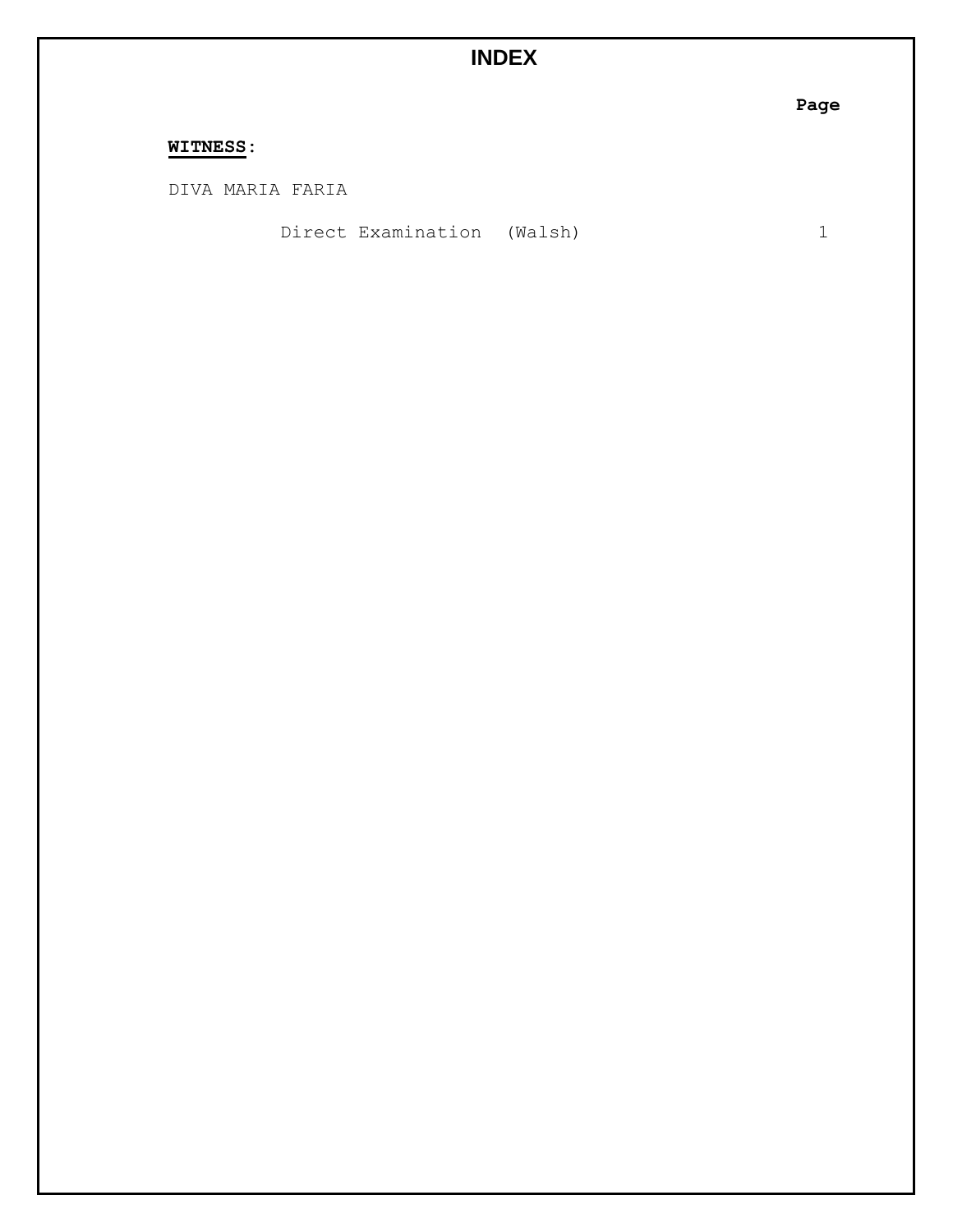# **INDEX**

**Page**

## **WITNESS:**

DIVA MARIA FARIA

Direct Examination (Walsh) 1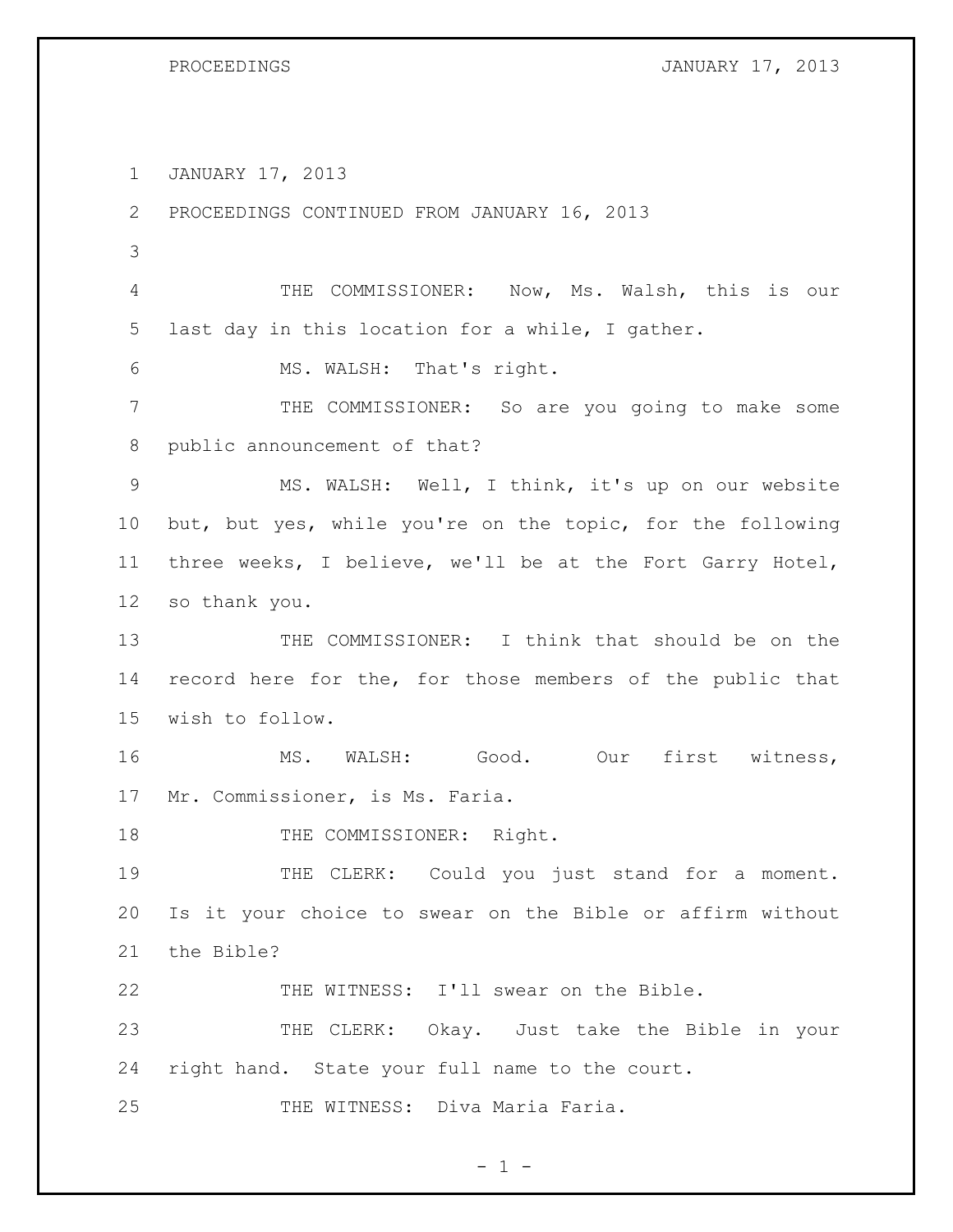PROCEEDINGS **JANUARY 17, 2013** 

JANUARY 17, 2013

PROCEEDINGS CONTINUED FROM JANUARY 16, 2013

 THE COMMISSIONER: Now, Ms. Walsh, this is our last day in this location for a while, I gather.

MS. WALSH: That's right.

 THE COMMISSIONER: So are you going to make some public announcement of that?

 MS. WALSH: Well, I think, it's up on our website but, but yes, while you're on the topic, for the following three weeks, I believe, we'll be at the Fort Garry Hotel, so thank you.

 THE COMMISSIONER: I think that should be on the record here for the, for those members of the public that wish to follow.

16 MS. WALSH: Good. Our first witness, Mr. Commissioner, is Ms. Faria.

18 THE COMMISSIONER: Right.

19 THE CLERK: Could you just stand for a moment. Is it your choice to swear on the Bible or affirm without the Bible?

THE WITNESS: I'll swear on the Bible.

 THE CLERK: Okay. Just take the Bible in your right hand. State your full name to the court.

THE WITNESS: Diva Maria Faria.

 $- 1 -$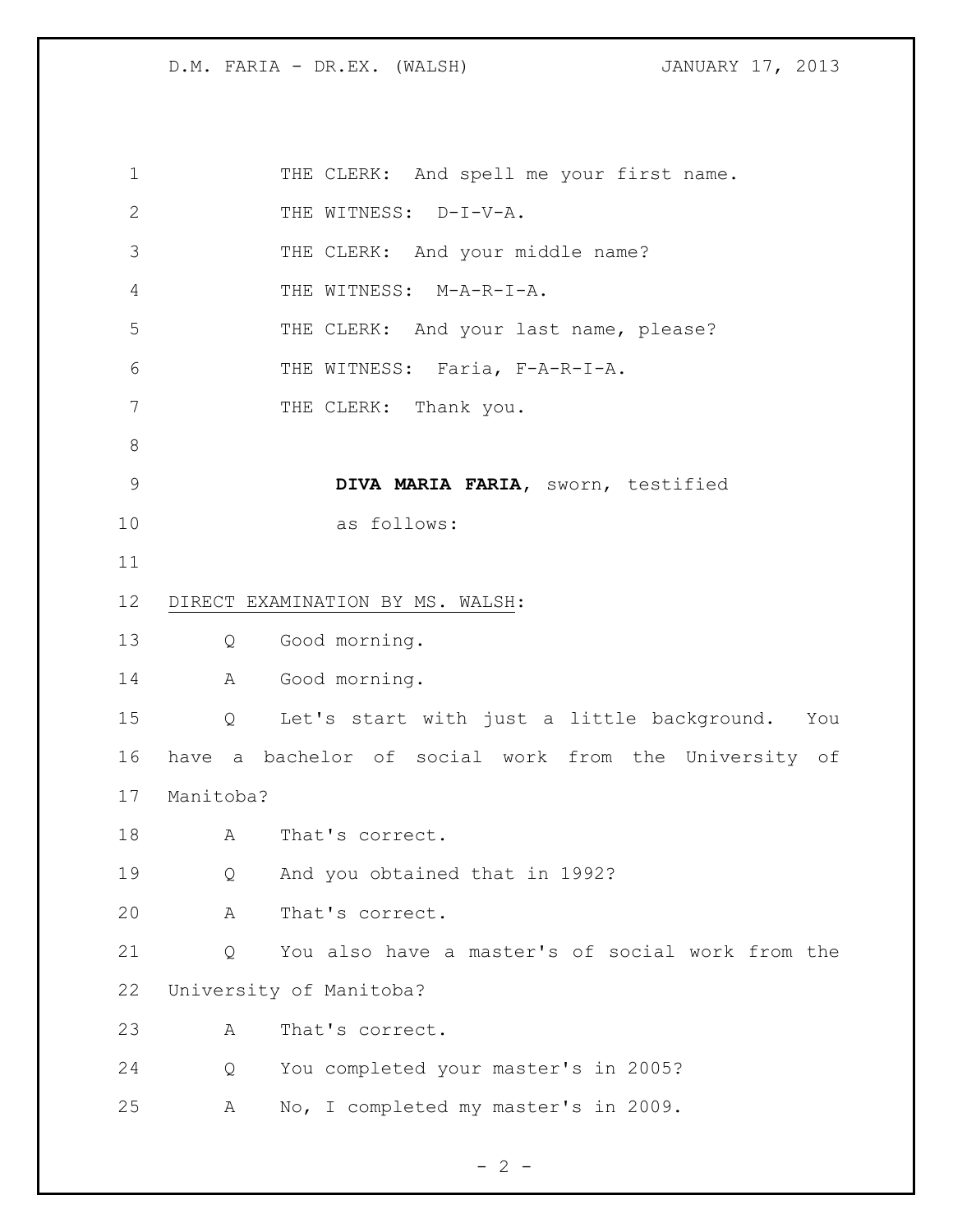| $\mathbf 1$    |                   | THE CLERK: And spell me your first name.              |
|----------------|-------------------|-------------------------------------------------------|
| $\overline{2}$ |                   | THE WITNESS: D-I-V-A.                                 |
| 3              |                   | THE CLERK: And your middle name?                      |
| 4              |                   | THE WITNESS: M-A-R-I-A.                               |
| 5              |                   | THE CLERK: And your last name, please?                |
| 6              |                   | THE WITNESS: Faria, F-A-R-I-A.                        |
| $7\phantom{.}$ |                   | THE CLERK: Thank you.                                 |
| $8\,$          |                   |                                                       |
| $\mathsf 9$    |                   | DIVA MARIA FARIA, sworn, testified                    |
| 10             |                   | as follows:                                           |
| 11             |                   |                                                       |
| 12             |                   | DIRECT EXAMINATION BY MS. WALSH:                      |
| 13             | $Q \qquad \qquad$ | Good morning.                                         |
| 14             | A                 | Good morning.                                         |
| 15             | $Q \qquad \qquad$ | Let's start with just a little background. You        |
| 16             |                   | have a bachelor of social work from the University of |
| 17             | Manitoba?         |                                                       |
| 18             | $\mathbb A$       | That's correct.                                       |
| 19             | Q                 | And you obtained that in 1992?                        |
| 20             | Α                 | That's correct.                                       |
| 21             | Q                 | You also have a master's of social work from the      |
| 22             |                   | University of Manitoba?                               |
| 23             | Α                 | That's correct.                                       |
| 24             | Q                 | You completed your master's in 2005?                  |
| 25             | Α                 | No, I completed my master's in 2009.                  |

 $- 2 -$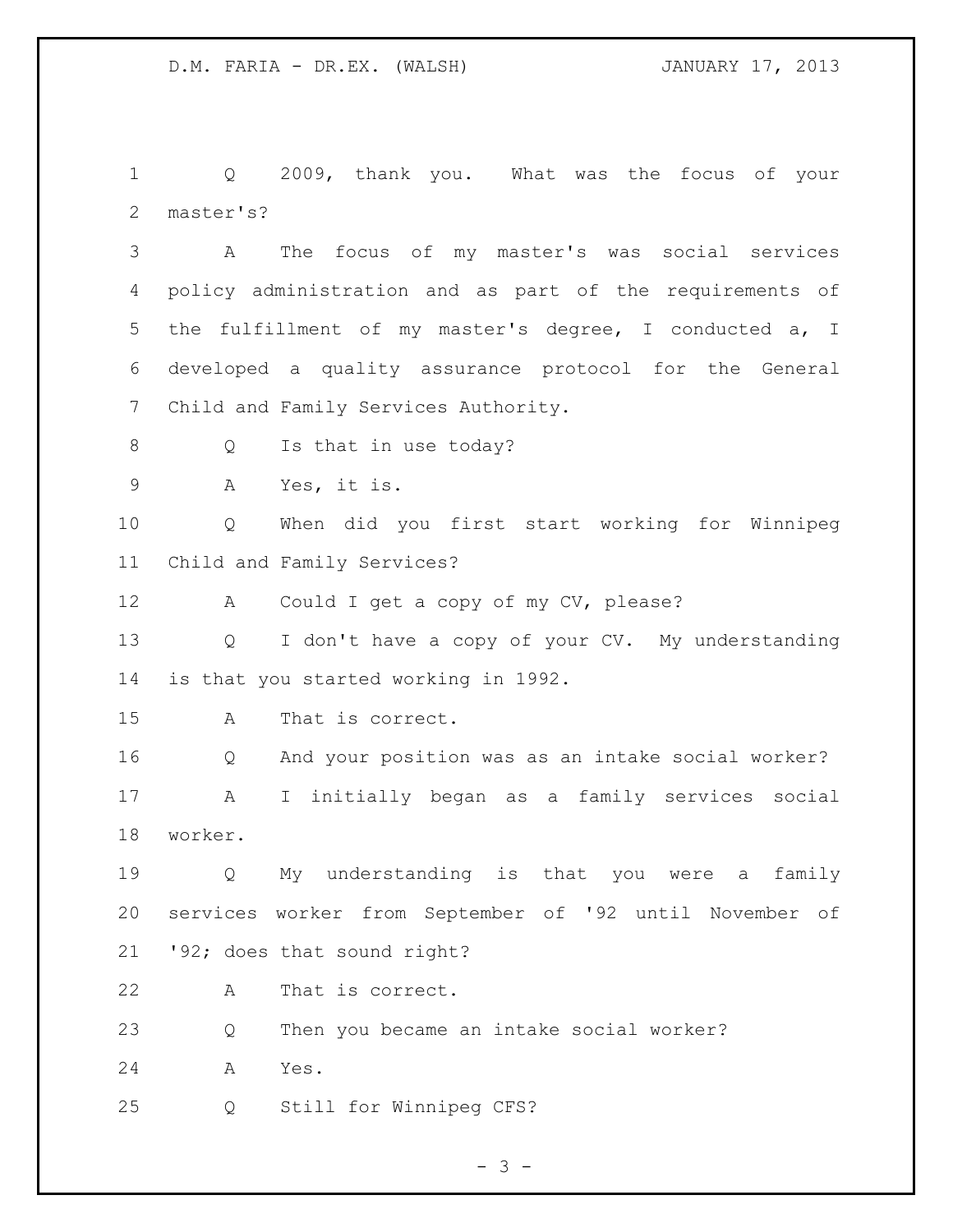Q 2009, thank you. What was the focus of your master's?

 A The focus of my master's was social services policy administration and as part of the requirements of the fulfillment of my master's degree, I conducted a, I developed a quality assurance protocol for the General Child and Family Services Authority.

- 8 Q Is that in use today?
- A Yes, it is.

 Q When did you first start working for Winnipeg Child and Family Services?

A Could I get a copy of my CV, please?

 Q I don't have a copy of your CV. My understanding is that you started working in 1992.

A That is correct.

 Q And your position was as an intake social worker? A I initially began as a family services social worker.

 Q My understanding is that you were a family services worker from September of '92 until November of '92; does that sound right?

A That is correct.

Q Then you became an intake social worker?

A Yes.

Q Still for Winnipeg CFS?

- 3 -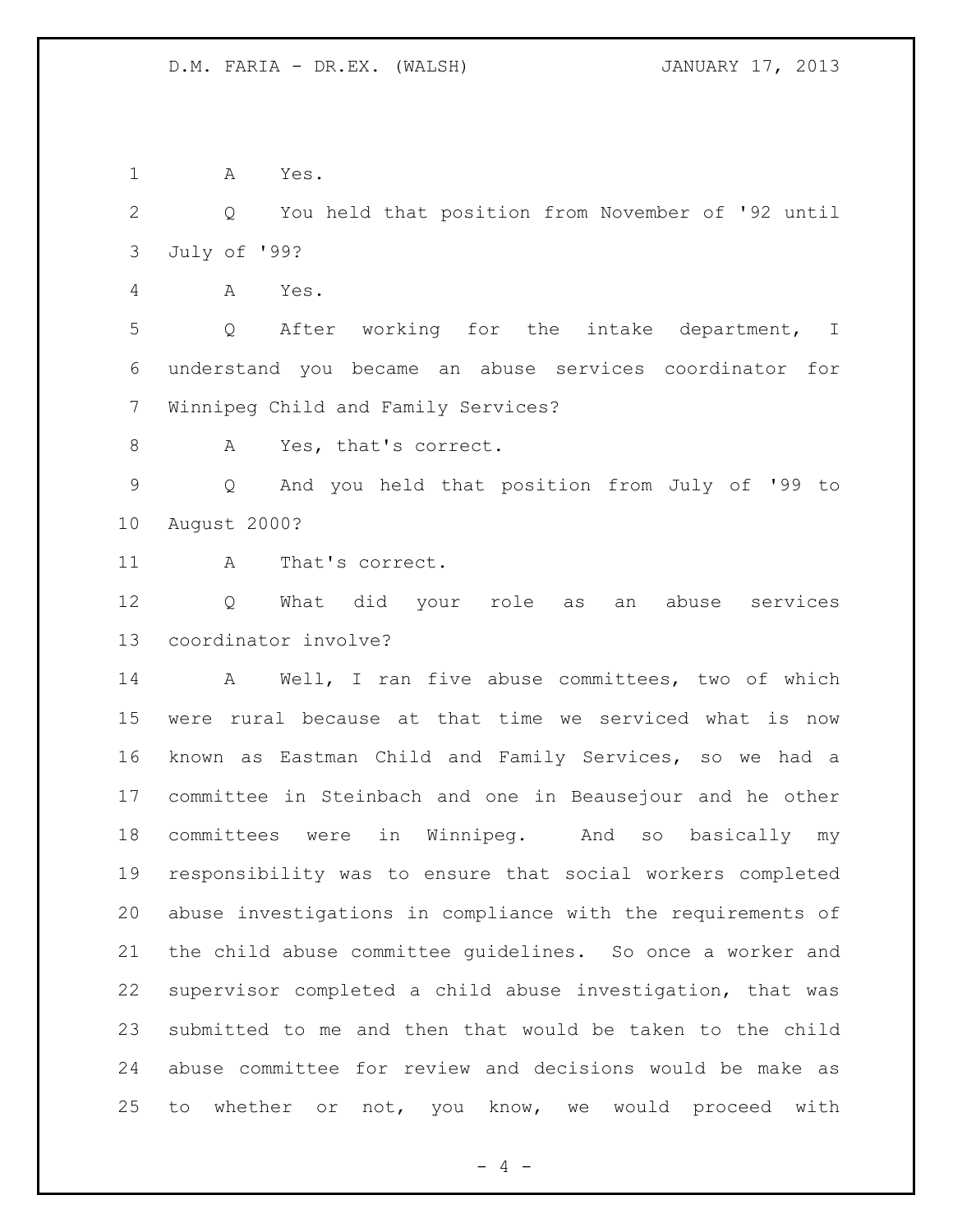A Yes.

 Q You held that position from November of '92 until July of '99?

A Yes.

 Q After working for the intake department, I understand you became an abuse services coordinator for Winnipeg Child and Family Services?

8 A Yes, that's correct.

 Q And you held that position from July of '99 to August 2000?

11 A That's correct.

 Q What did your role as an abuse services coordinator involve?

 A Well, I ran five abuse committees, two of which were rural because at that time we serviced what is now known as Eastman Child and Family Services, so we had a committee in Steinbach and one in Beausejour and he other committees were in Winnipeg. And so basically my responsibility was to ensure that social workers completed abuse investigations in compliance with the requirements of the child abuse committee guidelines. So once a worker and supervisor completed a child abuse investigation, that was submitted to me and then that would be taken to the child abuse committee for review and decisions would be make as to whether or not, you know, we would proceed with

 $- 4 -$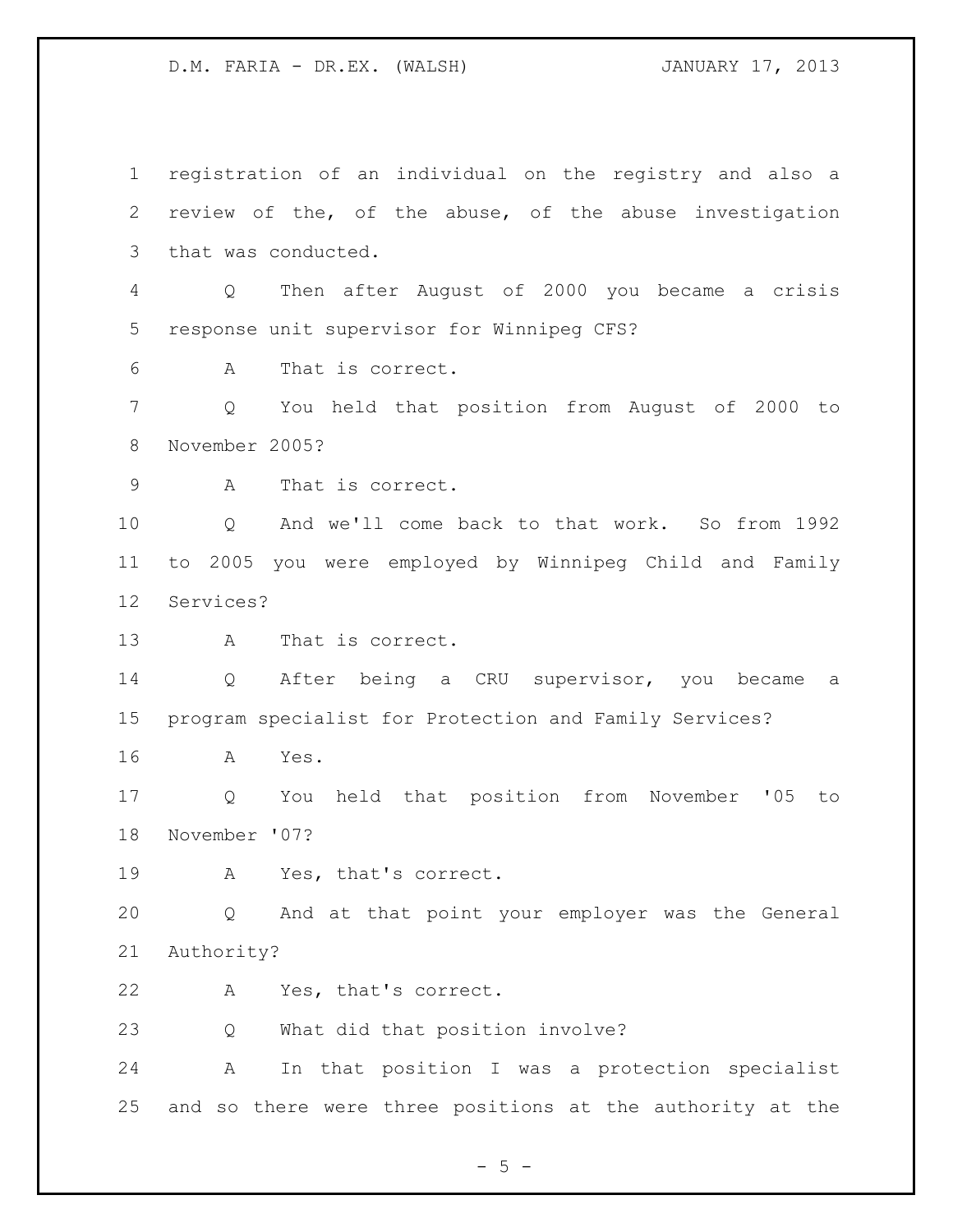registration of an individual on the registry and also a review of the, of the abuse, of the abuse investigation that was conducted. Q Then after August of 2000 you became a crisis response unit supervisor for Winnipeg CFS? A That is correct. Q You held that position from August of 2000 to November 2005? A That is correct. Q And we'll come back to that work. So from 1992 to 2005 you were employed by Winnipeg Child and Family Services? A That is correct. Q After being a CRU supervisor, you became a program specialist for Protection and Family Services? A Yes. Q You held that position from November '05 to November '07? A Yes, that's correct. Q And at that point your employer was the General Authority? A Yes, that's correct. Q What did that position involve? A In that position I was a protection specialist and so there were three positions at the authority at the

 $-5 -$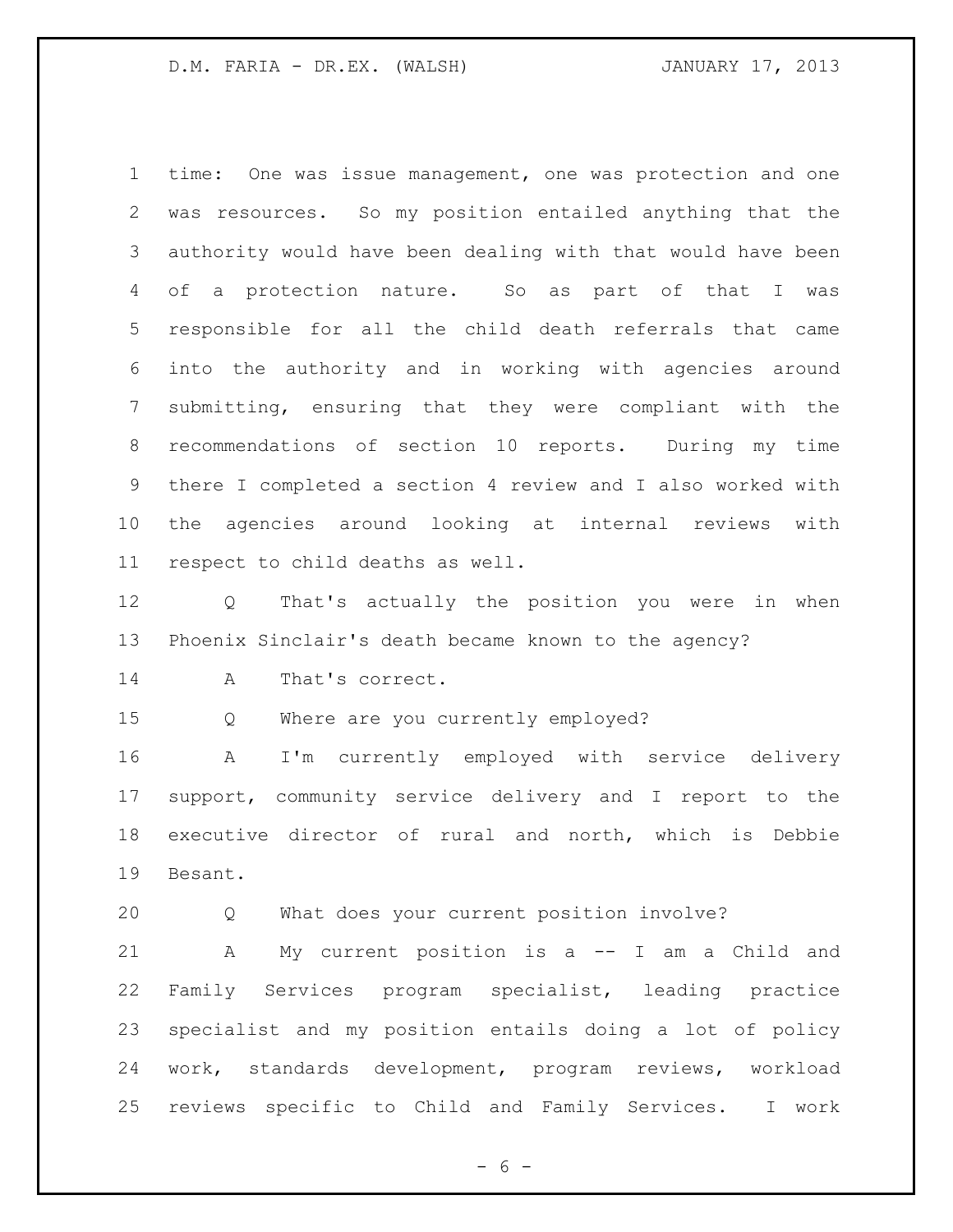time: One was issue management, one was protection and one was resources. So my position entailed anything that the authority would have been dealing with that would have been of a protection nature. So as part of that I was responsible for all the child death referrals that came into the authority and in working with agencies around submitting, ensuring that they were compliant with the recommendations of section 10 reports. During my time there I completed a section 4 review and I also worked with the agencies around looking at internal reviews with respect to child deaths as well.

 Q That's actually the position you were in when Phoenix Sinclair's death became known to the agency?

14 A That's correct.

Q Where are you currently employed?

 A I'm currently employed with service delivery support, community service delivery and I report to the executive director of rural and north, which is Debbie Besant.

Q What does your current position involve?

 A My current position is a -- I am a Child and Family Services program specialist, leading practice specialist and my position entails doing a lot of policy work, standards development, program reviews, workload reviews specific to Child and Family Services. I work

 $- 6 -$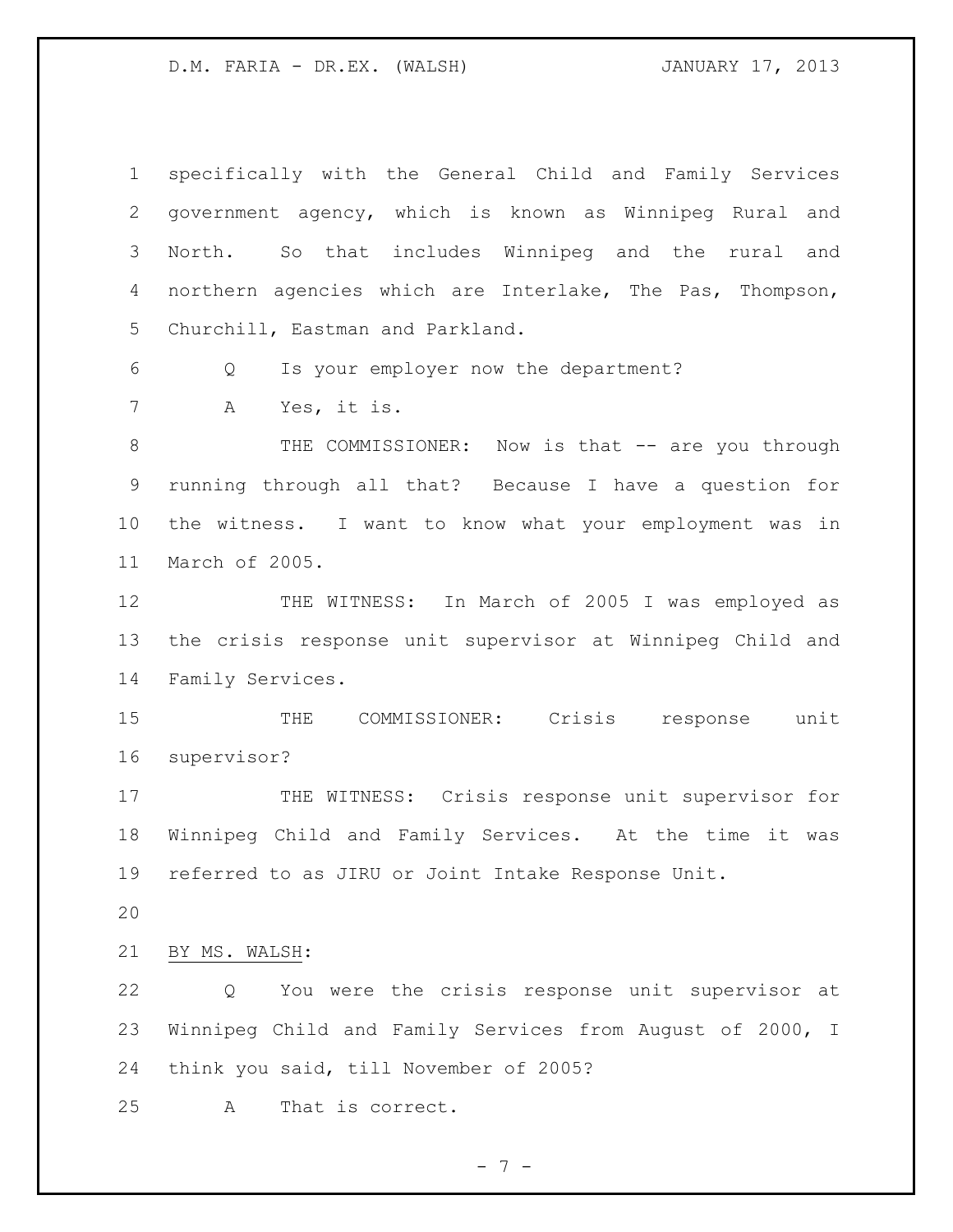specifically with the General Child and Family Services government agency, which is known as Winnipeg Rural and North. So that includes Winnipeg and the rural and northern agencies which are Interlake, The Pas, Thompson, Churchill, Eastman and Parkland. Q Is your employer now the department? A Yes, it is. 8 THE COMMISSIONER: Now is that -- are you through running through all that? Because I have a question for the witness. I want to know what your employment was in March of 2005. 12 THE WITNESS: In March of 2005 I was employed as the crisis response unit supervisor at Winnipeg Child and Family Services. THE COMMISSIONER: Crisis response unit supervisor? 17 THE WITNESS: Crisis response unit supervisor for Winnipeg Child and Family Services. At the time it was referred to as JIRU or Joint Intake Response Unit. BY MS. WALSH: Q You were the crisis response unit supervisor at Winnipeg Child and Family Services from August of 2000, I think you said, till November of 2005? A That is correct.

- 7 -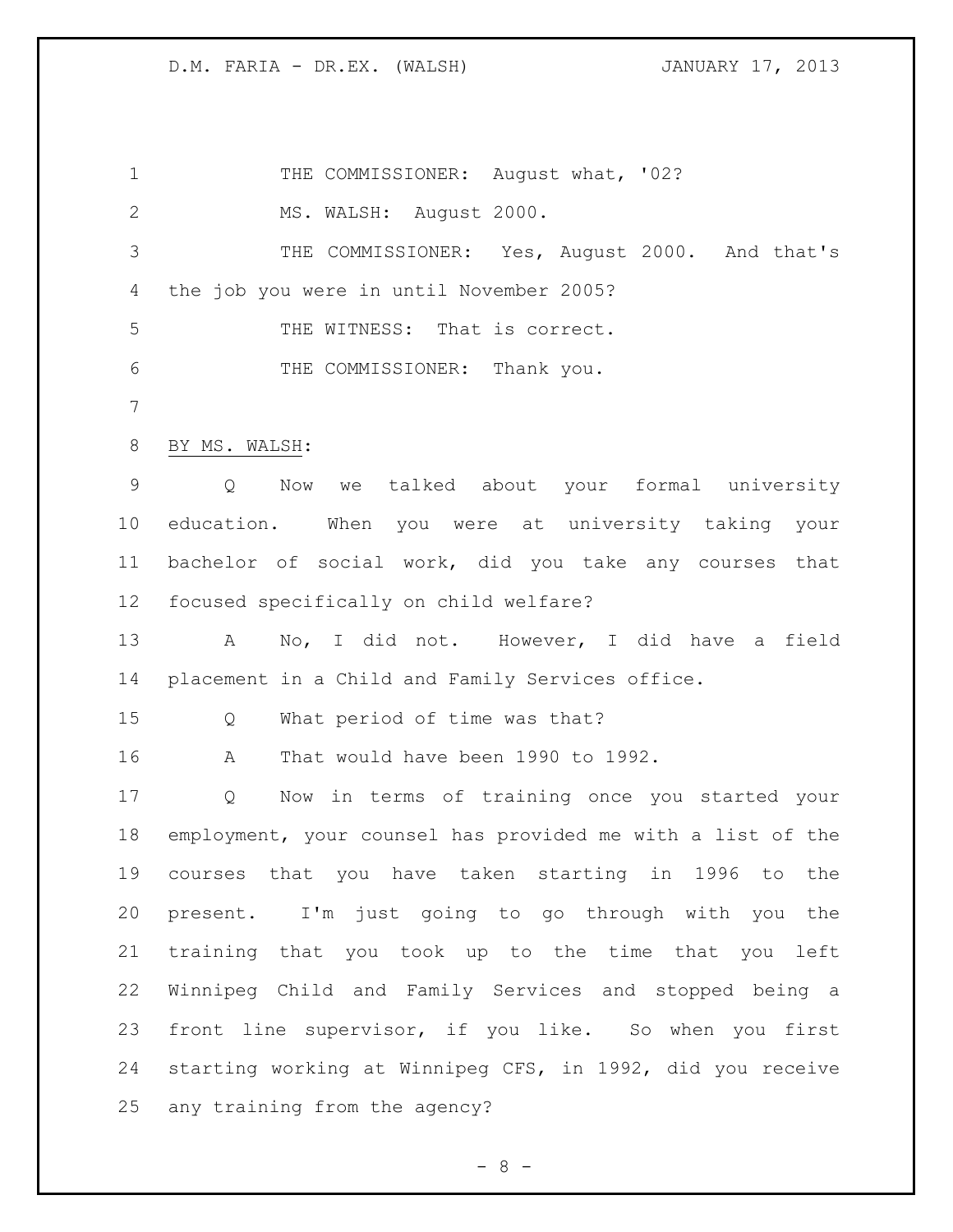1 THE COMMISSIONER: August what, '02? MS. WALSH: August 2000. THE COMMISSIONER: Yes, August 2000. And that's the job you were in until November 2005? THE WITNESS: That is correct. THE COMMISSIONER: Thank you. BY MS. WALSH: Q Now we talked about your formal university education. When you were at university taking your bachelor of social work, did you take any courses that focused specifically on child welfare? A No, I did not. However, I did have a field placement in a Child and Family Services office. Q What period of time was that? A That would have been 1990 to 1992. Q Now in terms of training once you started your employment, your counsel has provided me with a list of the courses that you have taken starting in 1996 to the present. I'm just going to go through with you the training that you took up to the time that you left Winnipeg Child and Family Services and stopped being a front line supervisor, if you like. So when you first starting working at Winnipeg CFS, in 1992, did you receive any training from the agency?

 $- 8 -$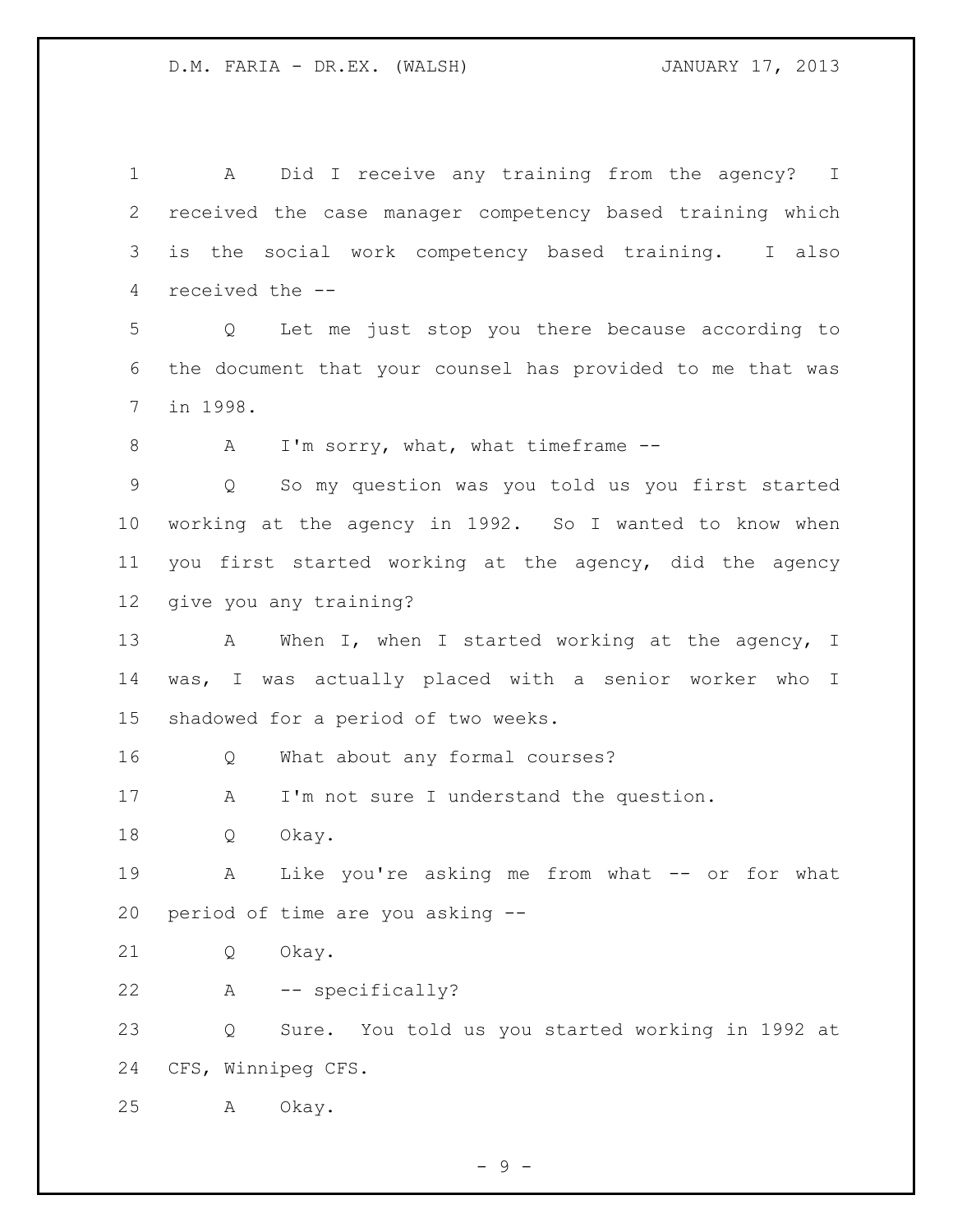A Did I receive any training from the agency? I received the case manager competency based training which is the social work competency based training. I also received the -- Q Let me just stop you there because according to the document that your counsel has provided to me that was in 1998. 8 A I'm sorry, what, what timeframe -- Q So my question was you told us you first started working at the agency in 1992. So I wanted to know when you first started working at the agency, did the agency give you any training? 13 A When I, when I started working at the agency, I was, I was actually placed with a senior worker who I shadowed for a period of two weeks. Q What about any formal courses? 17 A I'm not sure I understand the question. Q Okay. A Like you're asking me from what -- or for what period of time are you asking -- Q Okay. A -- specifically? Q Sure. You told us you started working in 1992 at CFS, Winnipeg CFS. A Okay.

- 9 -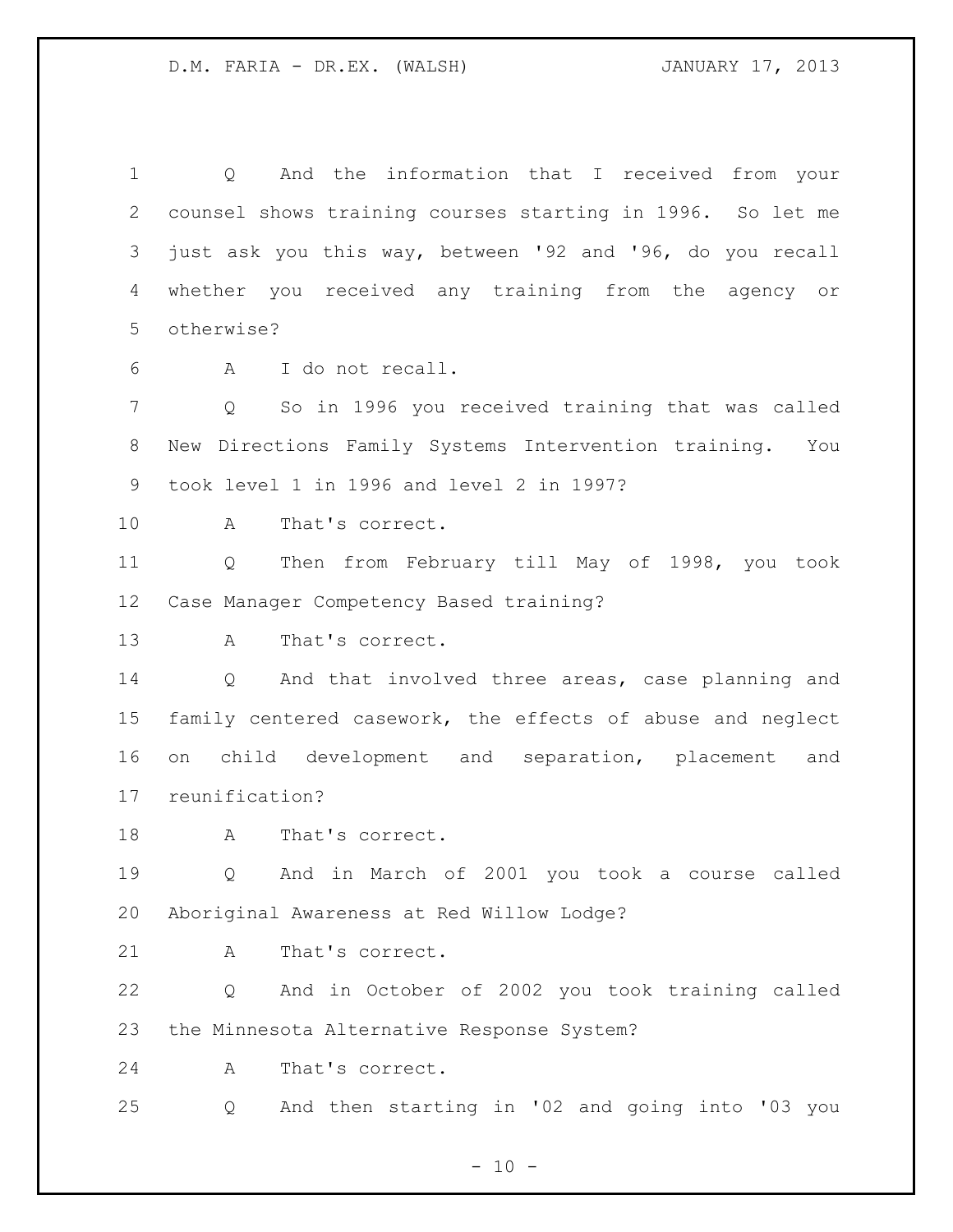Q And the information that I received from your counsel shows training courses starting in 1996. So let me just ask you this way, between '92 and '96, do you recall whether you received any training from the agency or otherwise? A I do not recall. Q So in 1996 you received training that was called New Directions Family Systems Intervention training. You took level 1 in 1996 and level 2 in 1997? A That's correct. Q Then from February till May of 1998, you took Case Manager Competency Based training? A That's correct. Q And that involved three areas, case planning and family centered casework, the effects of abuse and neglect on child development and separation, placement and reunification? 18 A That's correct. Q And in March of 2001 you took a course called Aboriginal Awareness at Red Willow Lodge? 21 A That's correct. Q And in October of 2002 you took training called the Minnesota Alternative Response System? A That's correct. Q And then starting in '02 and going into '03 you

 $- 10 -$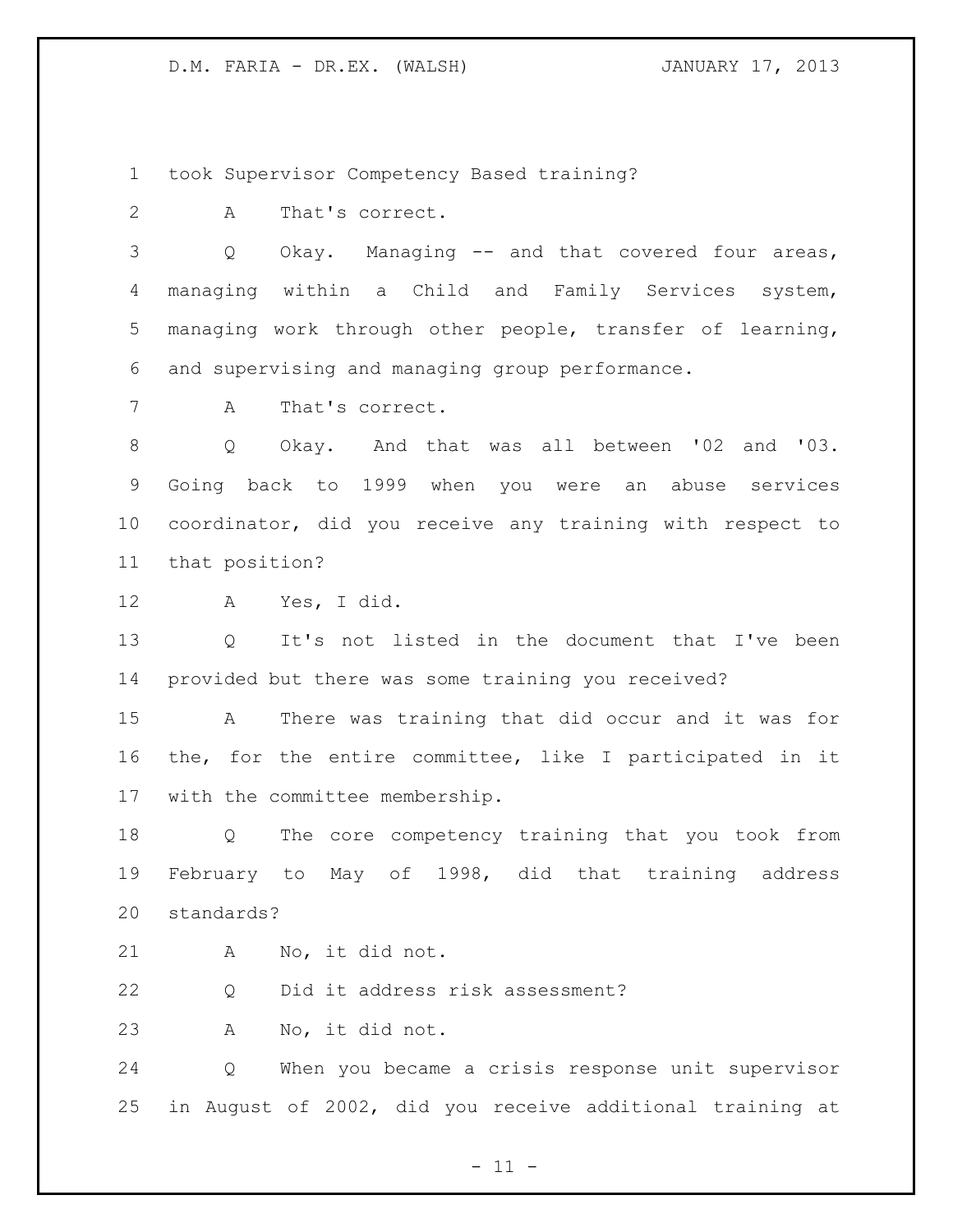took Supervisor Competency Based training?

A That's correct.

 Q Okay. Managing -- and that covered four areas, managing within a Child and Family Services system, managing work through other people, transfer of learning, and supervising and managing group performance.

A That's correct.

 Q Okay. And that was all between '02 and '03. Going back to 1999 when you were an abuse services coordinator, did you receive any training with respect to that position?

A Yes, I did.

 Q It's not listed in the document that I've been provided but there was some training you received?

 A There was training that did occur and it was for the, for the entire committee, like I participated in it with the committee membership.

 Q The core competency training that you took from February to May of 1998, did that training address standards?

A No, it did not.

Q Did it address risk assessment?

A No, it did not.

 Q When you became a crisis response unit supervisor in August of 2002, did you receive additional training at

- 11 -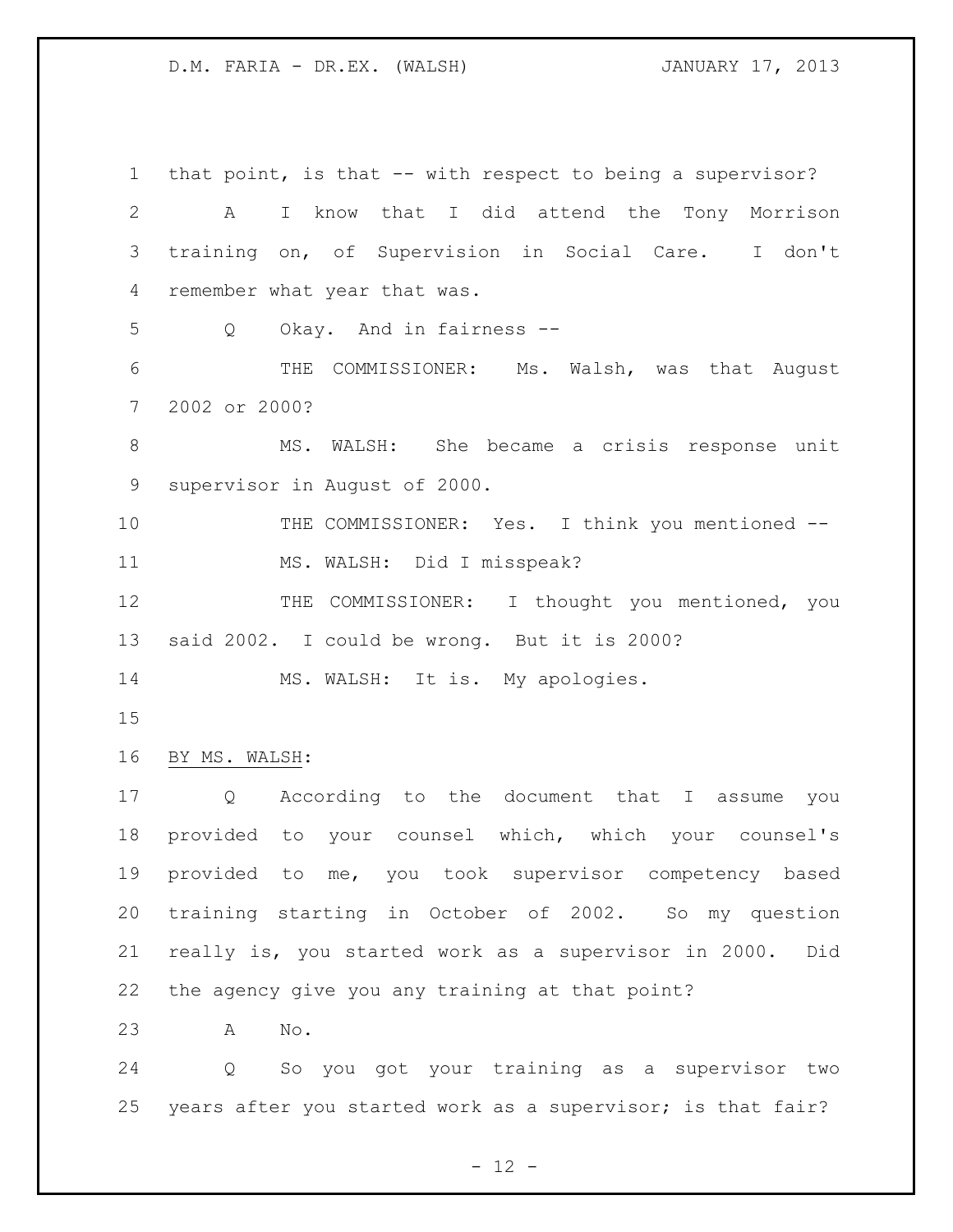that point, is that -- with respect to being a supervisor? A I know that I did attend the Tony Morrison training on, of Supervision in Social Care. I don't remember what year that was. Q Okay. And in fairness -- THE COMMISSIONER: Ms. Walsh, was that August 2002 or 2000? MS. WALSH: She became a crisis response unit supervisor in August of 2000. 10 THE COMMISSIONER: Yes. I think you mentioned -- MS. WALSH: Did I misspeak? 12 THE COMMISSIONER: I thought you mentioned, you said 2002. I could be wrong. But it is 2000? 14 MS. WALSH: It is. My apologies. BY MS. WALSH: Q According to the document that I assume you provided to your counsel which, which your counsel's provided to me, you took supervisor competency based training starting in October of 2002. So my question really is, you started work as a supervisor in 2000. Did the agency give you any training at that point? A No. Q So you got your training as a supervisor two years after you started work as a supervisor; is that fair?

 $- 12 -$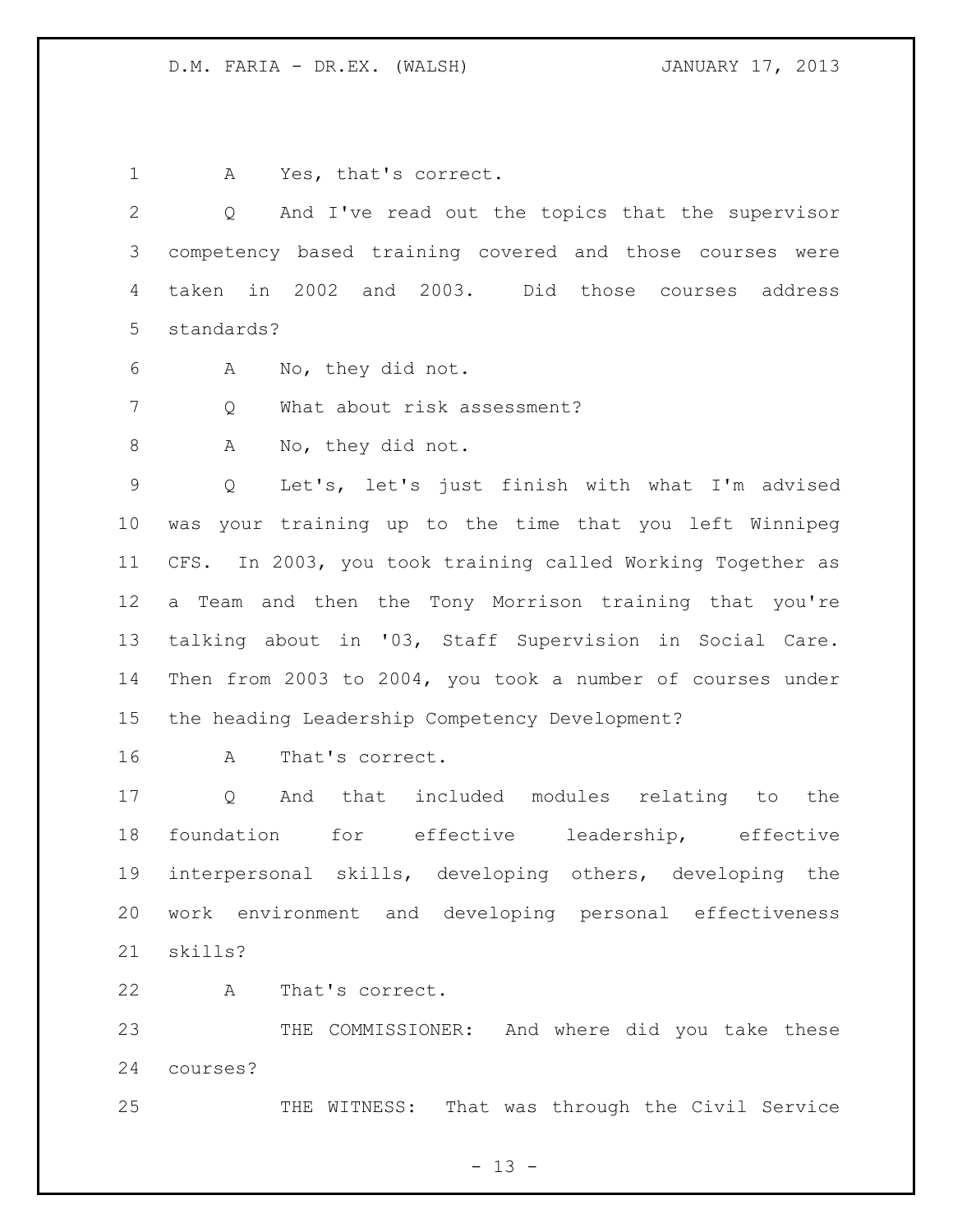1 A Yes, that's correct.

 Q And I've read out the topics that the supervisor competency based training covered and those courses were taken in 2002 and 2003. Did those courses address standards?

A No, they did not.

Q What about risk assessment?

A No, they did not.

 Q Let's, let's just finish with what I'm advised was your training up to the time that you left Winnipeg CFS. In 2003, you took training called Working Together as a Team and then the Tony Morrison training that you're talking about in '03, Staff Supervision in Social Care. Then from 2003 to 2004, you took a number of courses under the heading Leadership Competency Development?

A That's correct.

 Q And that included modules relating to the foundation for effective leadership, effective interpersonal skills, developing others, developing the work environment and developing personal effectiveness skills?

A That's correct.

 THE COMMISSIONER: And where did you take these courses?

25 THE WITNESS: That was through the Civil Service

 $- 13 -$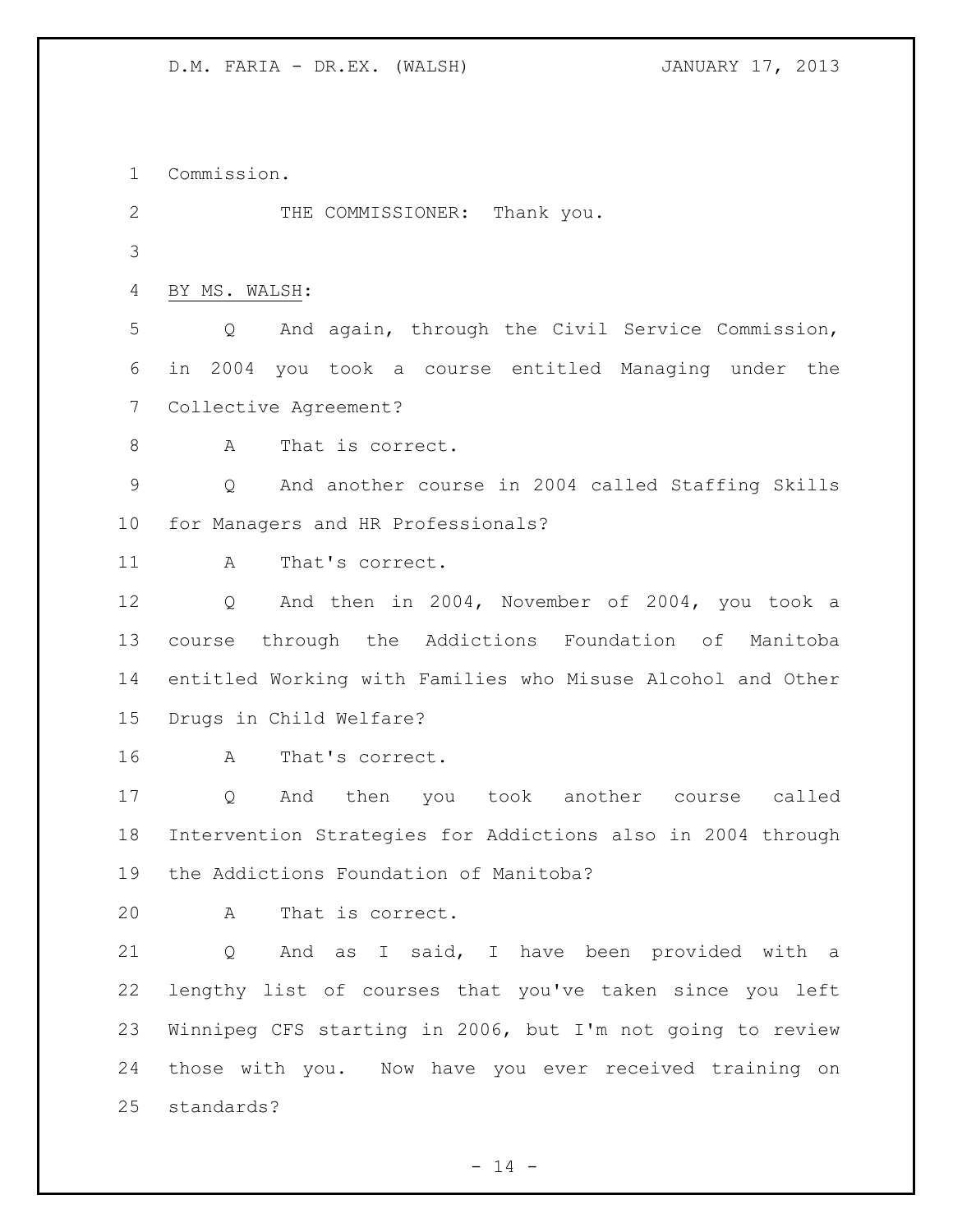Commission. 2 THE COMMISSIONER: Thank you. BY MS. WALSH: Q And again, through the Civil Service Commission, in 2004 you took a course entitled Managing under the Collective Agreement? 8 A That is correct. Q And another course in 2004 called Staffing Skills for Managers and HR Professionals? 11 A That's correct. Q And then in 2004, November of 2004, you took a course through the Addictions Foundation of Manitoba entitled Working with Families who Misuse Alcohol and Other Drugs in Child Welfare? A That's correct. Q And then you took another course called Intervention Strategies for Addictions also in 2004 through the Addictions Foundation of Manitoba? A That is correct. Q And as I said, I have been provided with a lengthy list of courses that you've taken since you left Winnipeg CFS starting in 2006, but I'm not going to review those with you. Now have you ever received training on standards?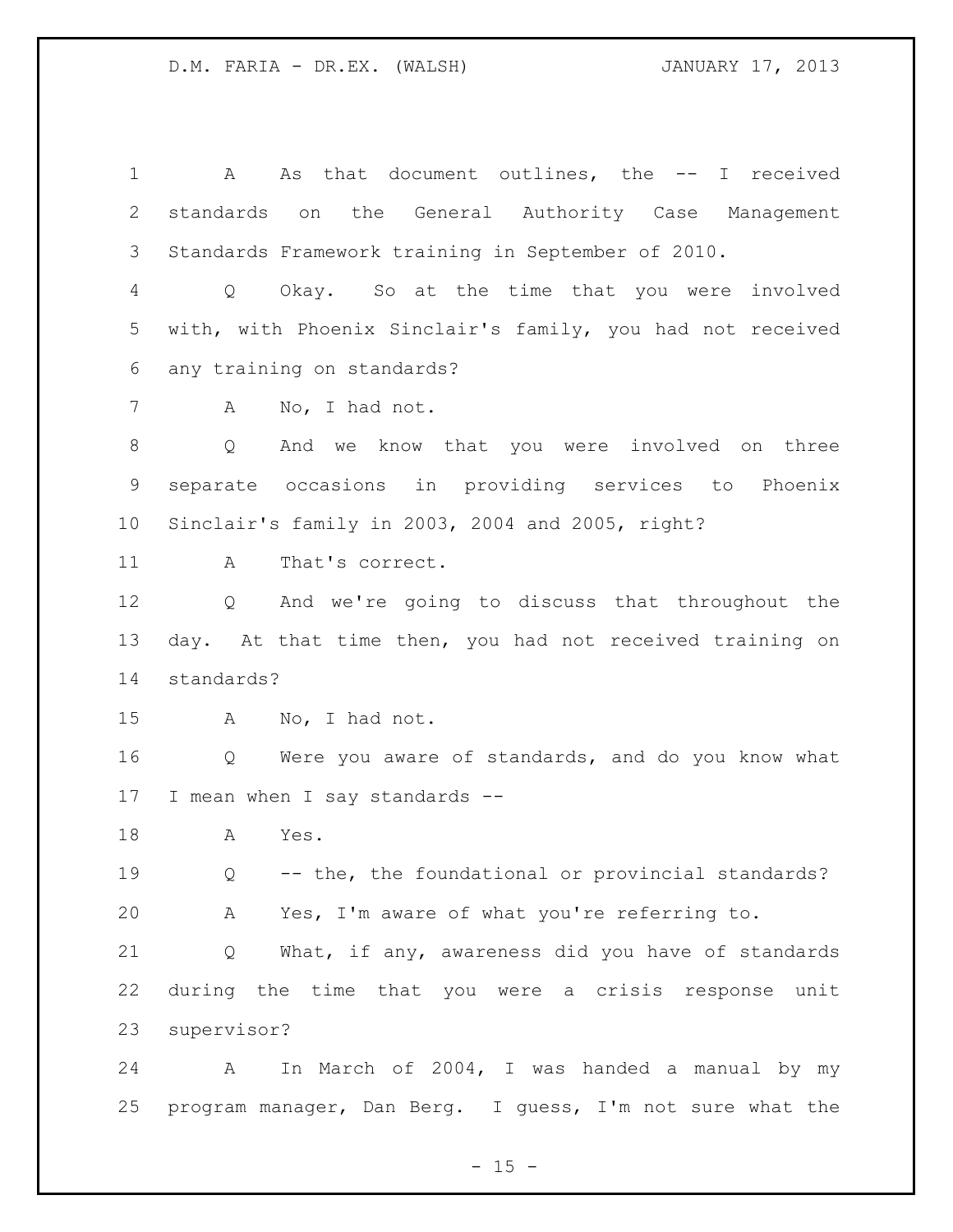A As that document outlines, the -- I received standards on the General Authority Case Management Standards Framework training in September of 2010. Q Okay. So at the time that you were involved with, with Phoenix Sinclair's family, you had not received any training on standards? A No, I had not. Q And we know that you were involved on three separate occasions in providing services to Phoenix Sinclair's family in 2003, 2004 and 2005, right? 11 A That's correct. Q And we're going to discuss that throughout the day. At that time then, you had not received training on standards? A No, I had not. Q Were you aware of standards, and do you know what I mean when I say standards -- A Yes. Q -- the, the foundational or provincial standards? A Yes, I'm aware of what you're referring to. Q What, if any, awareness did you have of standards during the time that you were a crisis response unit supervisor? A In March of 2004, I was handed a manual by my

program manager, Dan Berg. I guess, I'm not sure what the

 $- 15 -$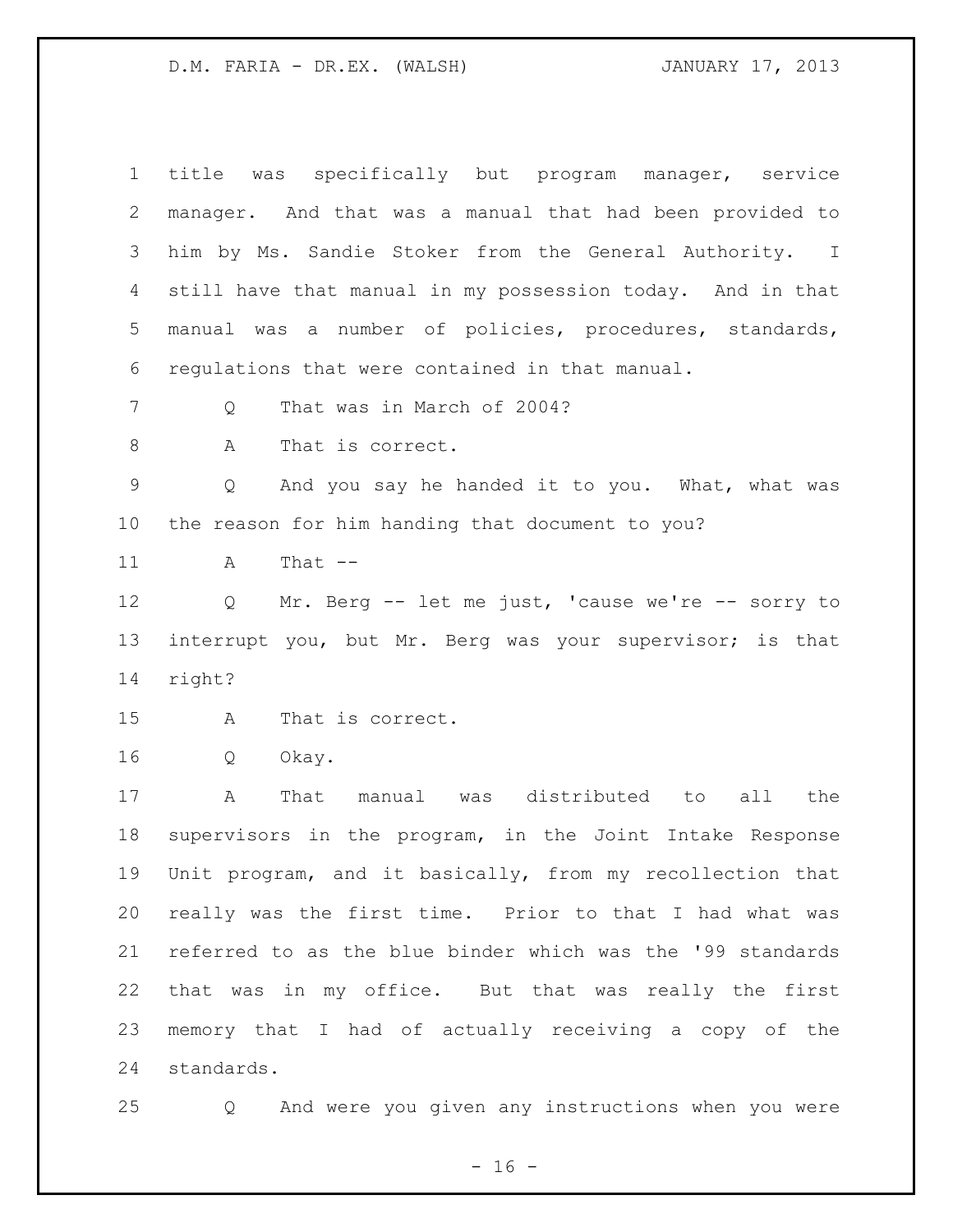| title was specifically but program manager, service                    |
|------------------------------------------------------------------------|
| manager. And that was a manual that had been provided to               |
| him by Ms. Sandie Stoker from the General Authority. I                 |
| still have that manual in my possession today. And in that             |
| manual was a number of policies, procedures, standards,                |
| regulations that were contained in that manual.                        |
| That was in March of 2004?<br>Q                                        |
| Α<br>That is correct.                                                  |
| And you say he handed it to you. What, what was<br>Q                   |
| the reason for him handing that document to you?                       |
| That $--$<br>Α                                                         |
| Mr. Berg -- let me just, 'cause we're -- sorry to<br>$Q \qquad \qquad$ |
| interrupt you, but Mr. Berg was your supervisor; is that               |
| right?                                                                 |
| That is correct.<br>Α                                                  |
| Q<br>Okay.                                                             |
| A<br>That manual was distributed to all<br>the                         |
|                                                                        |
| supervisors in the program, in the Joint Intake Response               |
| Unit program, and it basically, from my recollection that              |
| really was the first time. Prior to that I had what was                |
| referred to as the blue binder which was the '99 standards             |
| that was in my office. But that was really the first                   |
| memory that I had of actually receiving a copy of the                  |
|                                                                        |

Q And were you given any instructions when you were

- 16 -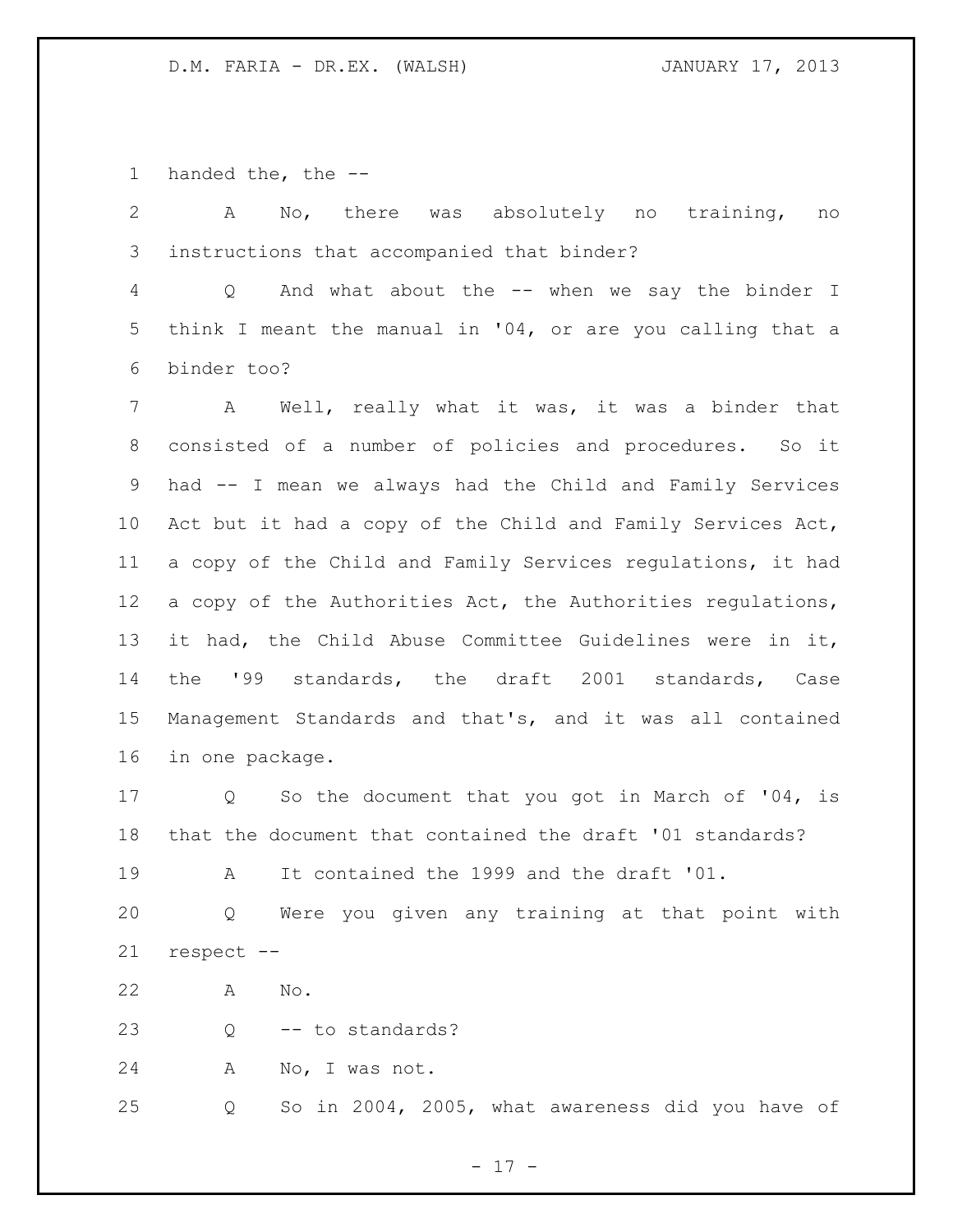handed the, the --

 A No, there was absolutely no training, no instructions that accompanied that binder? Q And what about the -- when we say the binder I think I meant the manual in '04, or are you calling that a binder too? A Well, really what it was, it was a binder that consisted of a number of policies and procedures. So it had -- I mean we always had the Child and Family Services Act but it had a copy of the Child and Family Services Act, a copy of the Child and Family Services regulations, it had 12 a copy of the Authorities Act, the Authorities regulations, it had, the Child Abuse Committee Guidelines were in it, the '99 standards, the draft 2001 standards, Case Management Standards and that's, and it was all contained in one package. Q So the document that you got in March of '04, is that the document that contained the draft '01 standards? A It contained the 1999 and the draft '01.

 Q Were you given any training at that point with respect --

A No.

Q -- to standards?

A No, I was not.

Q So in 2004, 2005, what awareness did you have of

- 17 -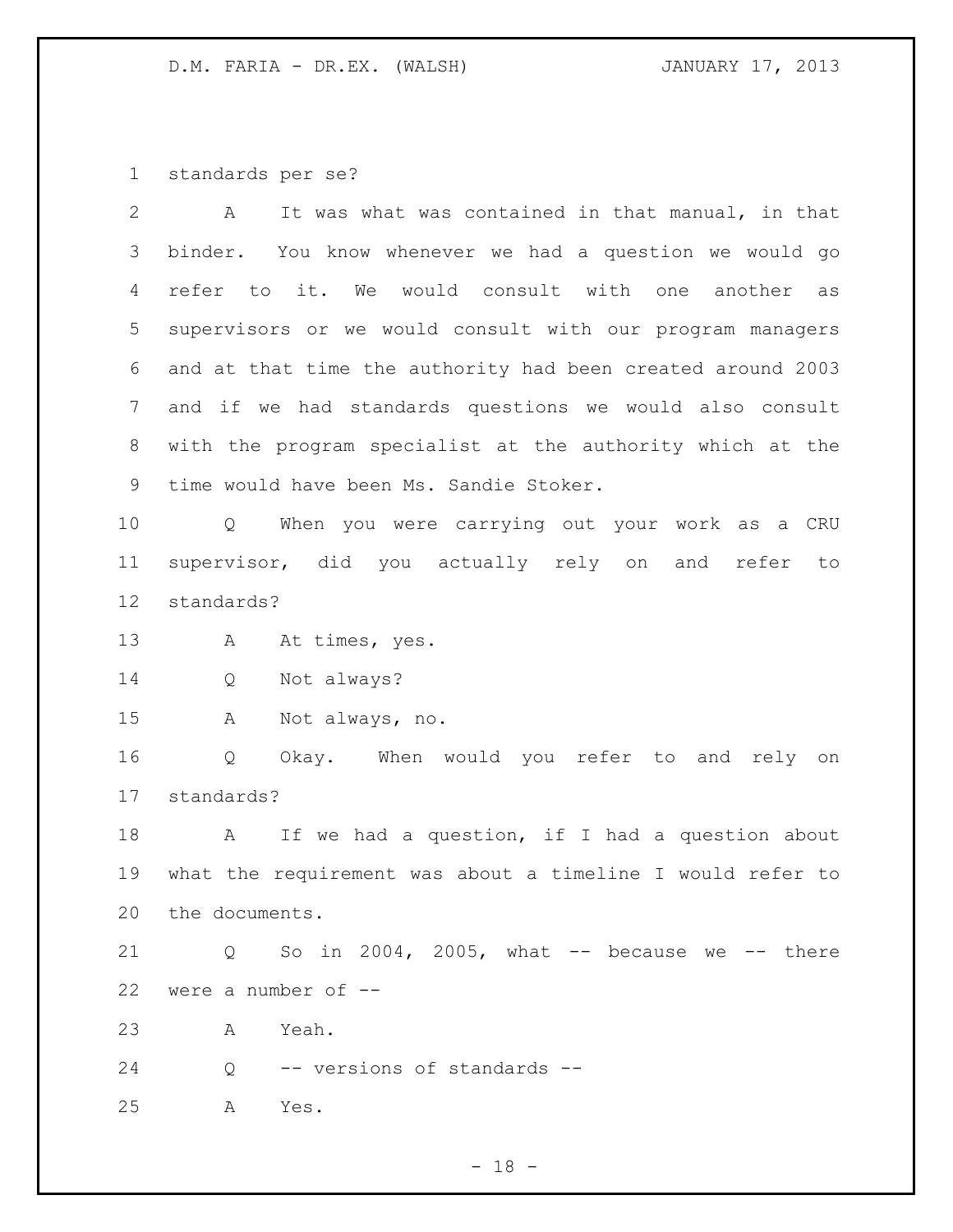standards per se?

| 2  | It was what was contained in that manual, in that<br>A      |
|----|-------------------------------------------------------------|
| 3  | binder. You know whenever we had a question we would go     |
| 4  | refer to it. We would consult with one<br>another<br>as     |
| 5  | supervisors or we would consult with our program managers   |
| 6  | and at that time the authority had been created around 2003 |
| 7  | and if we had standards questions we would also consult     |
| 8  | with the program specialist at the authority which at the   |
| 9  | time would have been Ms. Sandie Stoker.                     |
| 10 | When you were carrying out your work as a CRU<br>Q          |
| 11 | supervisor, did you actually rely on and<br>refer<br>to     |
| 12 | standards?                                                  |
| 13 | At times, yes.<br>A                                         |
| 14 | Not always?<br>Q                                            |
| 15 | Not always, no.<br>A                                        |
| 16 | Okay. When would you refer to and rely on<br>Q              |
| 17 | standards?                                                  |
| 18 | If we had a question, if I had a question about<br>A        |
| 19 | what the requirement was about a timeline I would refer to  |
|    | 20 the documents.                                           |
| 21 | So in 2004, 2005, what $--$ because we $--$ there<br>Q      |
| 22 | were a number of --                                         |
| 23 | Yeah.<br>Α                                                  |
| 24 | -- versions of standards --<br>Q                            |
| 25 | Yes.<br>Α                                                   |
|    |                                                             |

- 18 -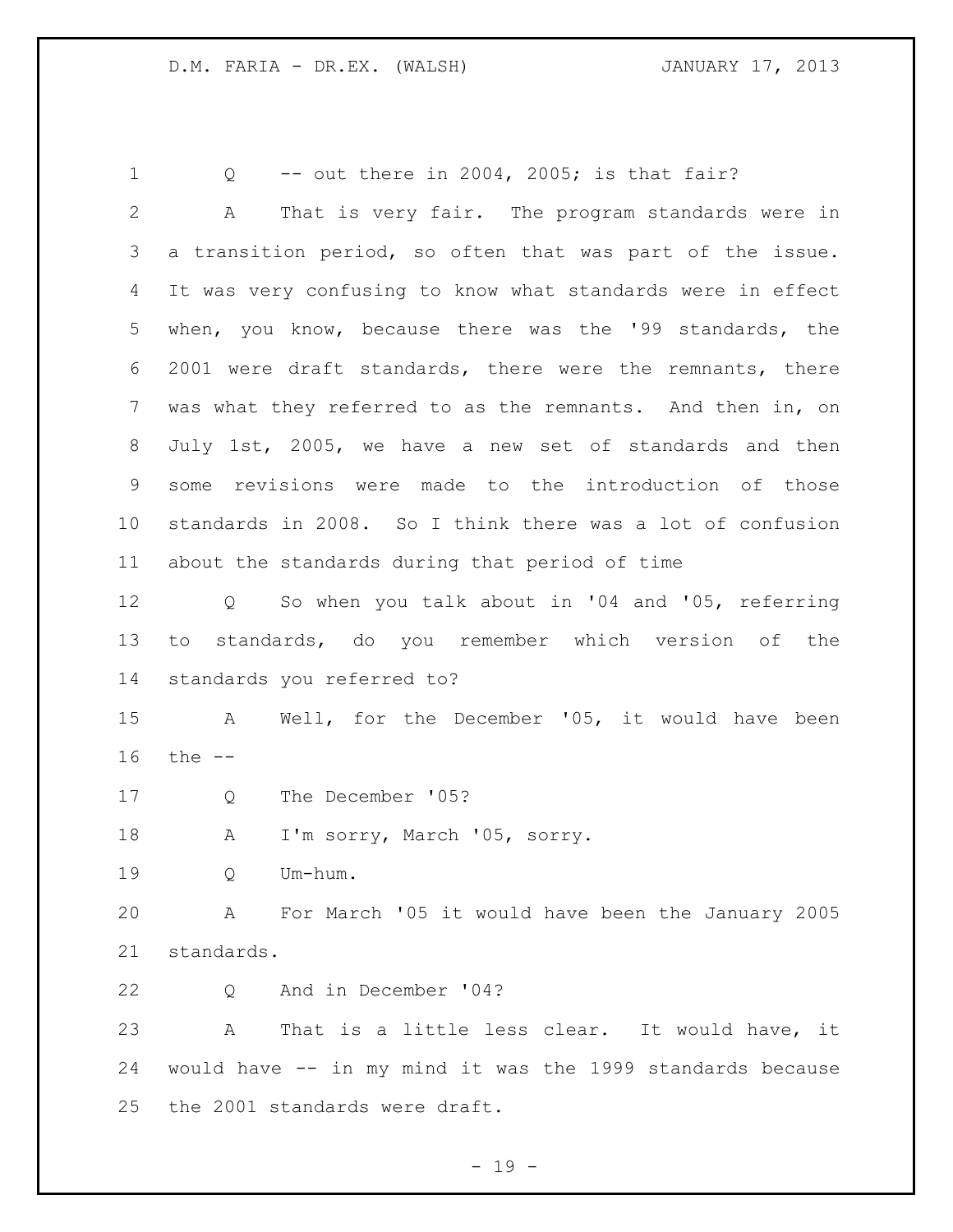Q -- out there in 2004, 2005; is that fair? A That is very fair. The program standards were in a transition period, so often that was part of the issue. It was very confusing to know what standards were in effect when, you know, because there was the '99 standards, the 2001 were draft standards, there were the remnants, there was what they referred to as the remnants. And then in, on July 1st, 2005, we have a new set of standards and then some revisions were made to the introduction of those standards in 2008. So I think there was a lot of confusion about the standards during that period of time Q So when you talk about in '04 and '05, referring to standards, do you remember which version of the standards you referred to? A Well, for the December '05, it would have been the -- Q The December '05? 18 A I'm sorry, March '05, sorry. Q Um-hum. A For March '05 it would have been the January 2005 standards. Q And in December '04? A That is a little less clear. It would have, it would have -- in my mind it was the 1999 standards because the 2001 standards were draft.

 $- 19 -$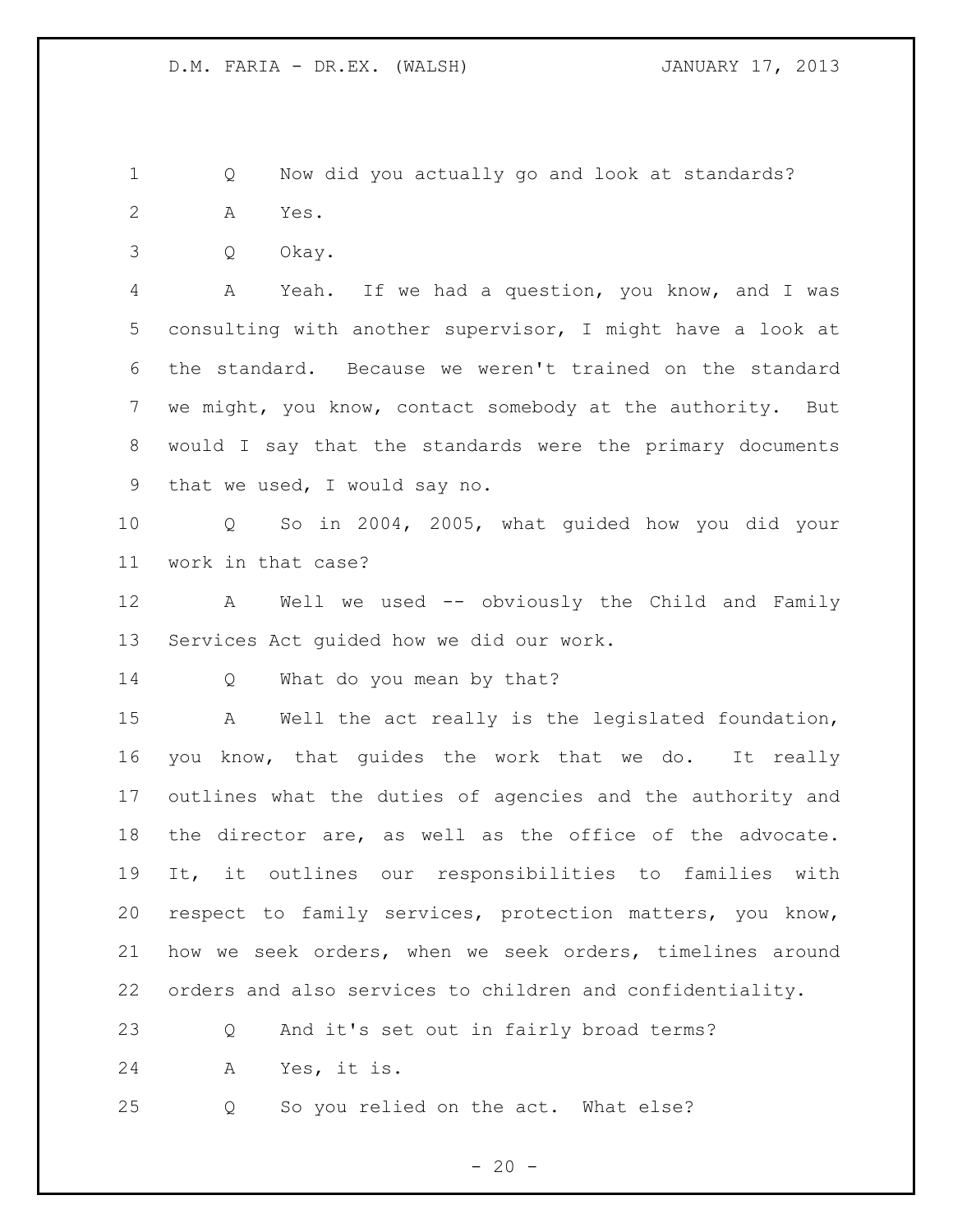Q Now did you actually go and look at standards? A Yes.

Q Okay.

 A Yeah. If we had a question, you know, and I was consulting with another supervisor, I might have a look at the standard. Because we weren't trained on the standard we might, you know, contact somebody at the authority. But would I say that the standards were the primary documents that we used, I would say no.

 Q So in 2004, 2005, what guided how you did your work in that case?

 A Well we used -- obviously the Child and Family Services Act guided how we did our work.

14 Q What do you mean by that?

 A Well the act really is the legislated foundation, you know, that guides the work that we do. It really outlines what the duties of agencies and the authority and the director are, as well as the office of the advocate. It, it outlines our responsibilities to families with respect to family services, protection matters, you know, how we seek orders, when we seek orders, timelines around orders and also services to children and confidentiality.

Q And it's set out in fairly broad terms?

A Yes, it is.

Q So you relied on the act. What else?

 $- 20 -$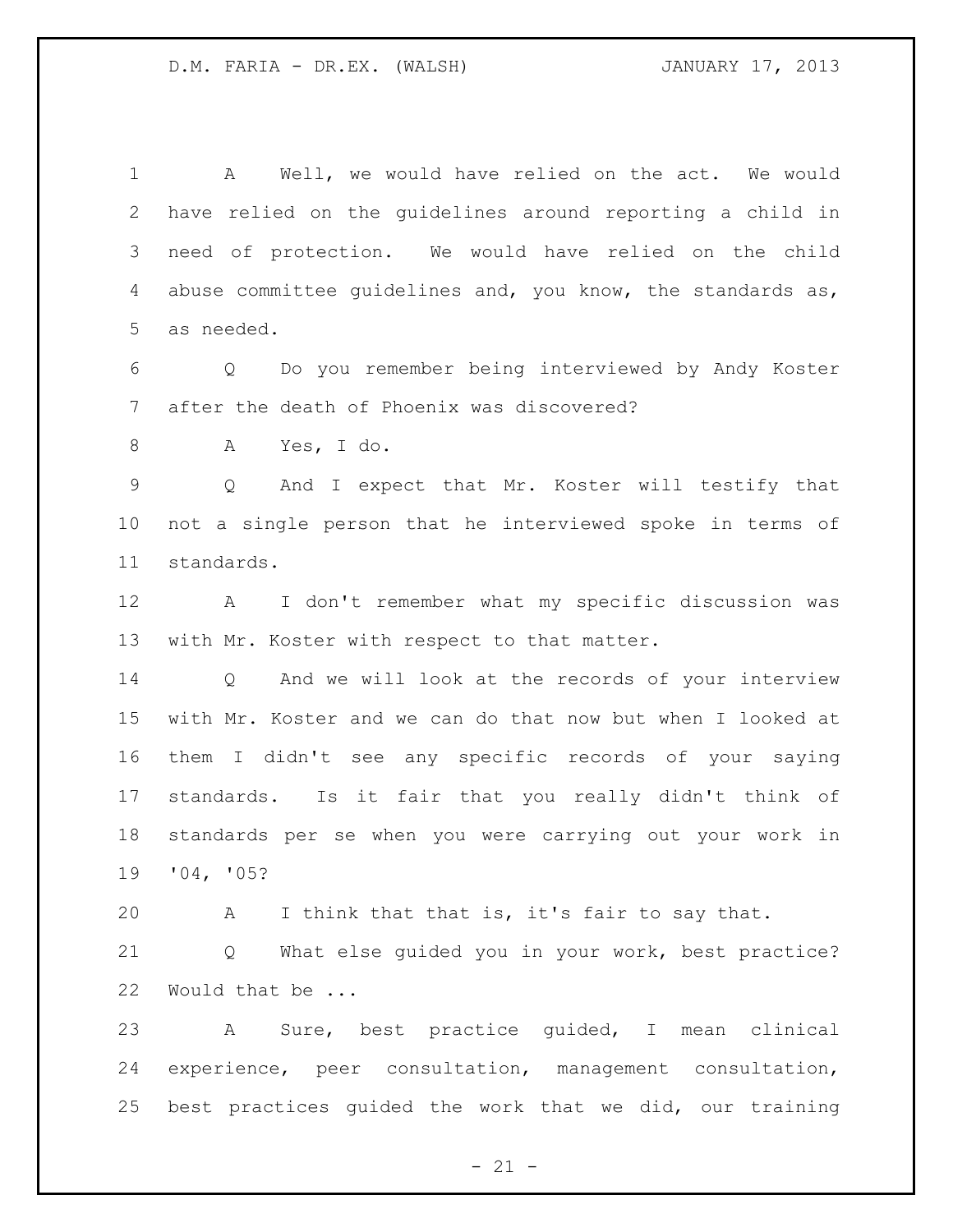A Well, we would have relied on the act. We would have relied on the guidelines around reporting a child in need of protection. We would have relied on the child abuse committee guidelines and, you know, the standards as, as needed.

 Q Do you remember being interviewed by Andy Koster after the death of Phoenix was discovered?

A Yes, I do.

 Q And I expect that Mr. Koster will testify that not a single person that he interviewed spoke in terms of standards.

 A I don't remember what my specific discussion was with Mr. Koster with respect to that matter.

 Q And we will look at the records of your interview with Mr. Koster and we can do that now but when I looked at them I didn't see any specific records of your saying standards. Is it fair that you really didn't think of standards per se when you were carrying out your work in '04, '05?

A I think that that is, it's fair to say that.

 Q What else guided you in your work, best practice? Would that be ...

 A Sure, best practice guided, I mean clinical experience, peer consultation, management consultation, best practices guided the work that we did, our training

 $- 21 -$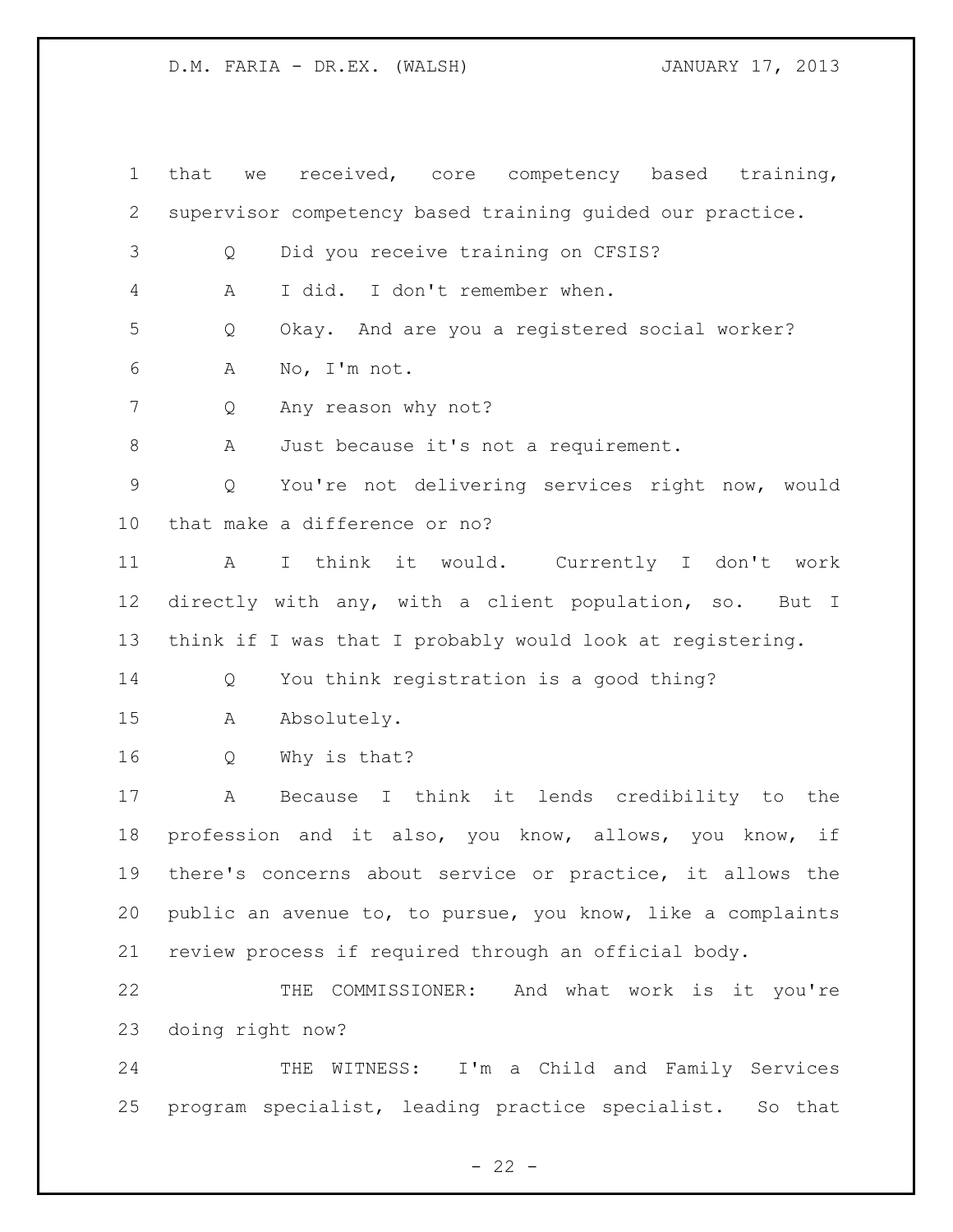that we received, core competency based training, supervisor competency based training guided our practice. Q Did you receive training on CFSIS? A I did. I don't remember when. Q Okay. And are you a registered social worker? A No, I'm not. Q Any reason why not? A Just because it's not a requirement. Q You're not delivering services right now, would that make a difference or no? A I think it would. Currently I don't work directly with any, with a client population, so. But I think if I was that I probably would look at registering. Q You think registration is a good thing? A Absolutely. Q Why is that? A Because I think it lends credibility to the profession and it also, you know, allows, you know, if there's concerns about service or practice, it allows the public an avenue to, to pursue, you know, like a complaints review process if required through an official body. THE COMMISSIONER: And what work is it you're doing right now? THE WITNESS: I'm a Child and Family Services program specialist, leading practice specialist. So that

 $- 22 -$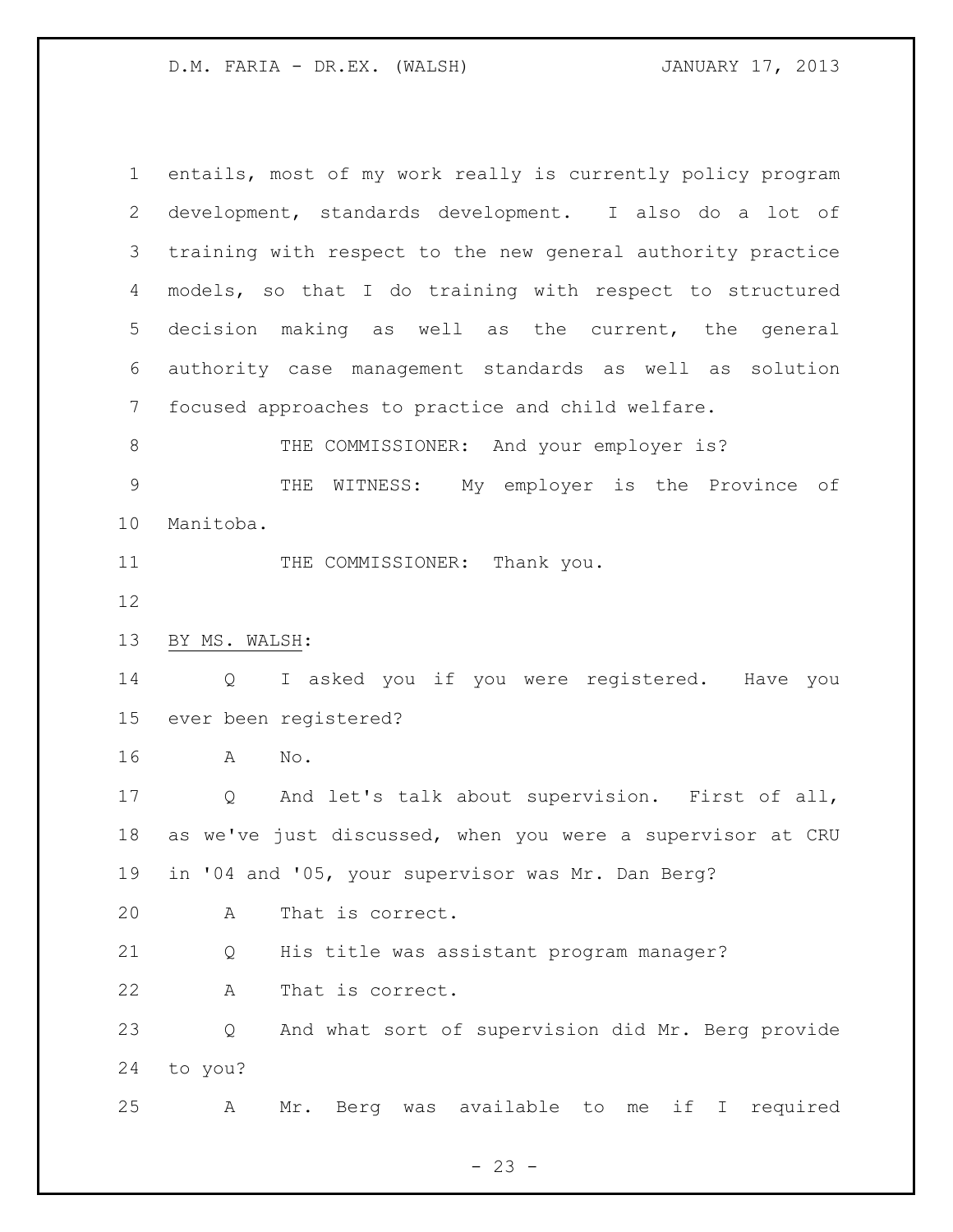entails, most of my work really is currently policy program development, standards development. I also do a lot of training with respect to the new general authority practice models, so that I do training with respect to structured decision making as well as the current, the general authority case management standards as well as solution focused approaches to practice and child welfare. 8 THE COMMISSIONER: And your employer is? THE WITNESS: My employer is the Province of Manitoba. 11 THE COMMISSIONER: Thank you. BY MS. WALSH: Q I asked you if you were registered. Have you ever been registered? A No. Q And let's talk about supervision. First of all, as we've just discussed, when you were a supervisor at CRU in '04 and '05, your supervisor was Mr. Dan Berg? A That is correct. Q His title was assistant program manager? A That is correct. Q And what sort of supervision did Mr. Berg provide to you? A Mr. Berg was available to me if I required

 $- 23 -$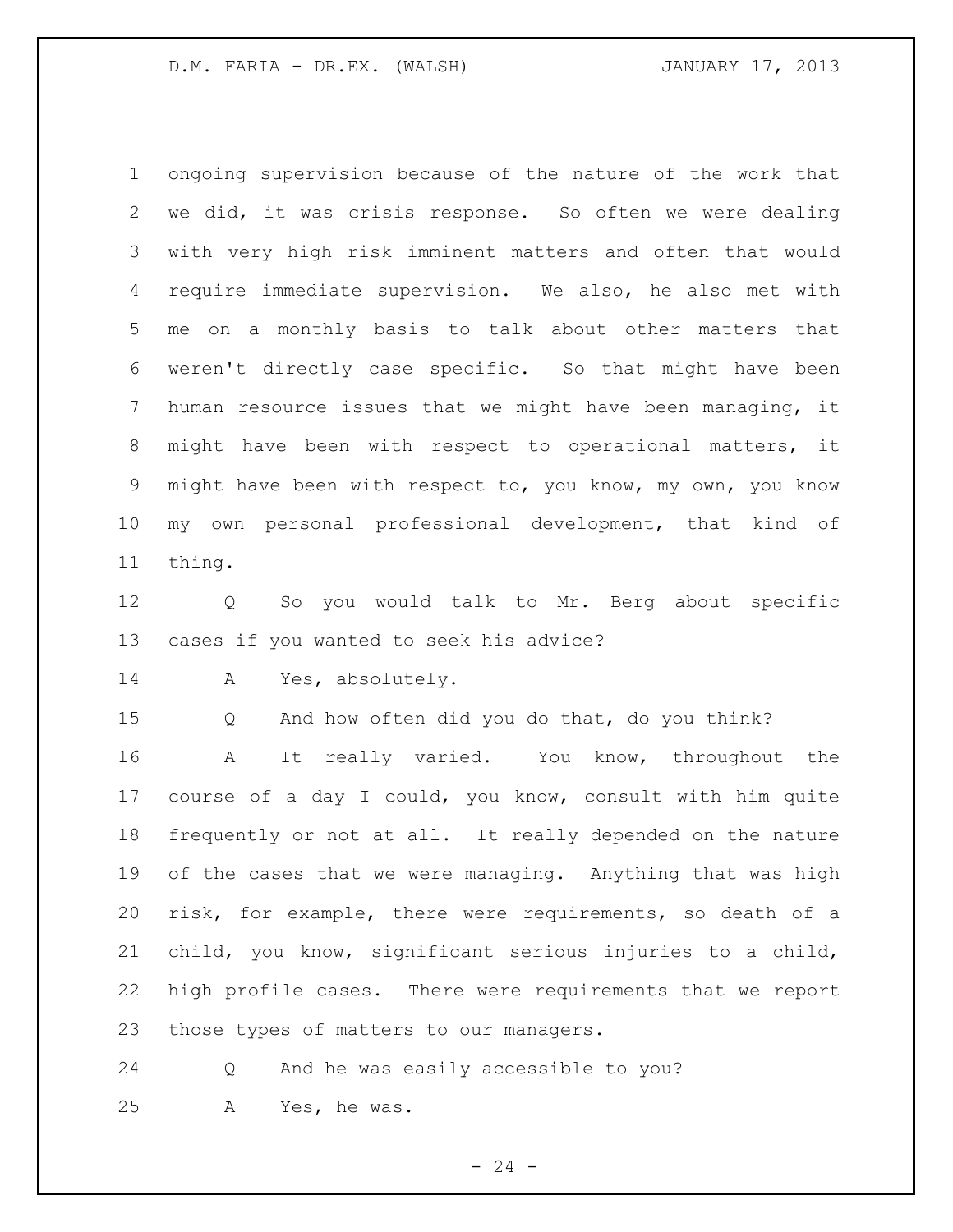ongoing supervision because of the nature of the work that we did, it was crisis response. So often we were dealing with very high risk imminent matters and often that would require immediate supervision. We also, he also met with me on a monthly basis to talk about other matters that weren't directly case specific. So that might have been human resource issues that we might have been managing, it might have been with respect to operational matters, it might have been with respect to, you know, my own, you know my own personal professional development, that kind of thing.

 Q So you would talk to Mr. Berg about specific cases if you wanted to seek his advice?

A Yes, absolutely.

Q And how often did you do that, do you think?

 A It really varied. You know, throughout the course of a day I could, you know, consult with him quite frequently or not at all. It really depended on the nature of the cases that we were managing. Anything that was high risk, for example, there were requirements, so death of a child, you know, significant serious injuries to a child, high profile cases. There were requirements that we report those types of matters to our managers.

 Q And he was easily accessible to you? A Yes, he was.

 $- 24 -$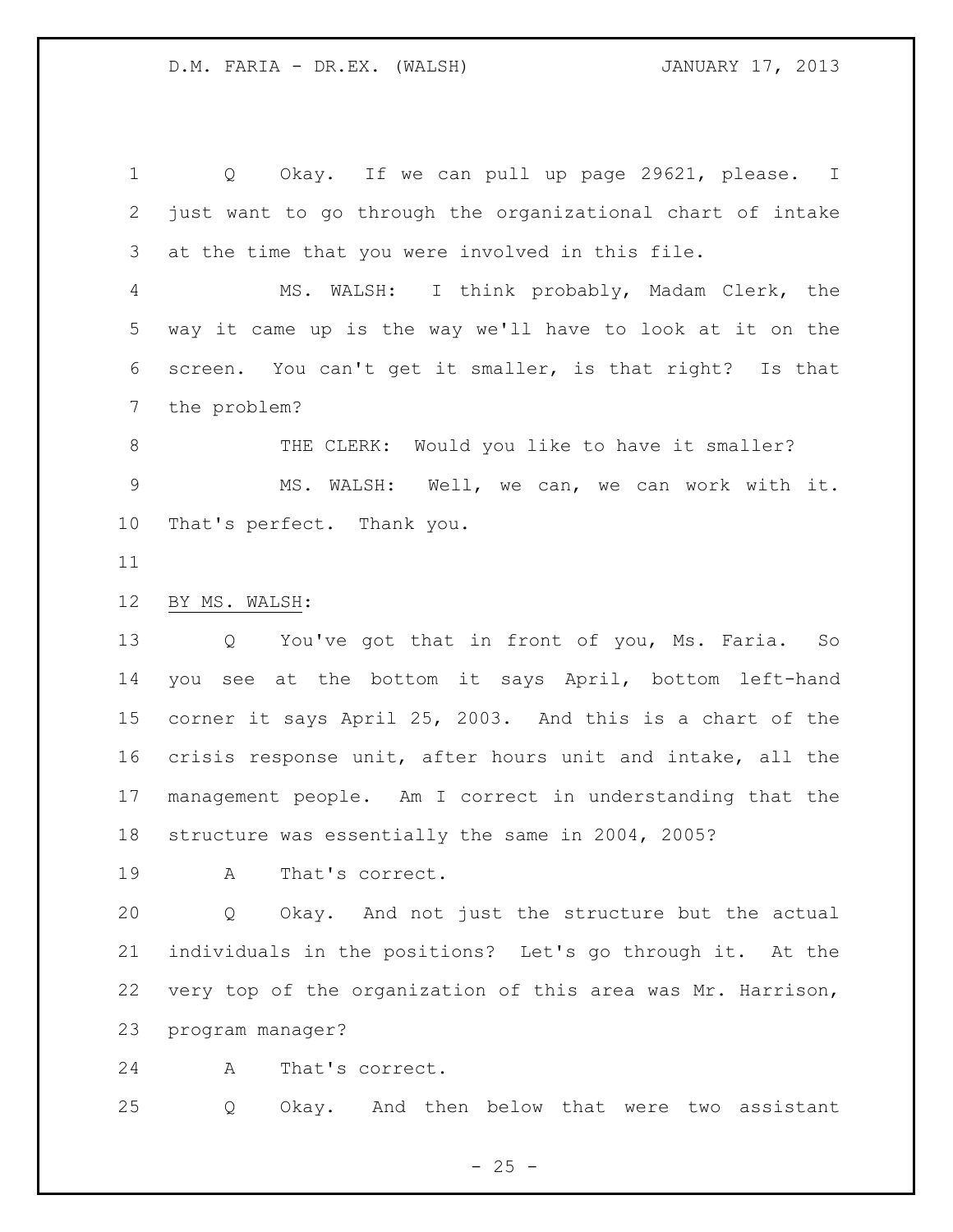Q Okay. If we can pull up page 29621, please. I just want to go through the organizational chart of intake at the time that you were involved in this file.

 MS. WALSH: I think probably, Madam Clerk, the way it came up is the way we'll have to look at it on the screen. You can't get it smaller, is that right? Is that the problem?

8 THE CLERK: Would you like to have it smaller? MS. WALSH: Well, we can, we can work with it. That's perfect. Thank you.

## BY MS. WALSH:

 Q You've got that in front of you, Ms. Faria. So you see at the bottom it says April, bottom left-hand corner it says April 25, 2003. And this is a chart of the crisis response unit, after hours unit and intake, all the management people. Am I correct in understanding that the structure was essentially the same in 2004, 2005?

A That's correct.

 Q Okay. And not just the structure but the actual individuals in the positions? Let's go through it. At the very top of the organization of this area was Mr. Harrison, program manager?

A That's correct.

Q Okay. And then below that were two assistant

 $- 25 -$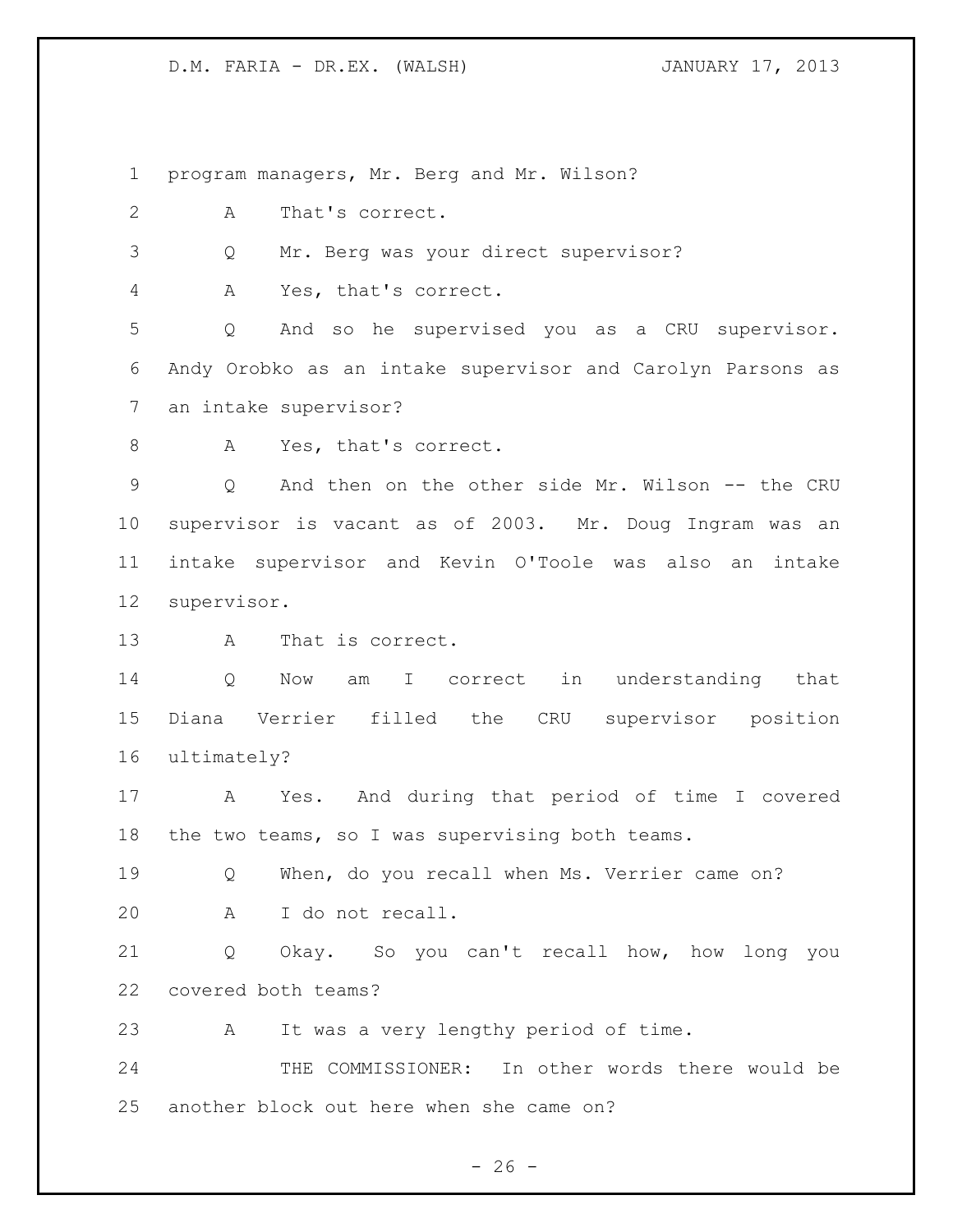program managers, Mr. Berg and Mr. Wilson?

A That's correct.

Q Mr. Berg was your direct supervisor?

A Yes, that's correct.

 Q And so he supervised you as a CRU supervisor. Andy Orobko as an intake supervisor and Carolyn Parsons as an intake supervisor?

8 A Yes, that's correct.

 Q And then on the other side Mr. Wilson -- the CRU supervisor is vacant as of 2003. Mr. Doug Ingram was an intake supervisor and Kevin O'Toole was also an intake supervisor.

A That is correct.

14 O Now am I correct in understanding that Diana Verrier filled the CRU supervisor position ultimately?

 A Yes. And during that period of time I covered the two teams, so I was supervising both teams.

19 O When, do you recall when Ms. Verrier came on? A I do not recall.

 Q Okay. So you can't recall how, how long you covered both teams?

A It was a very lengthy period of time.

 THE COMMISSIONER: In other words there would be another block out here when she came on?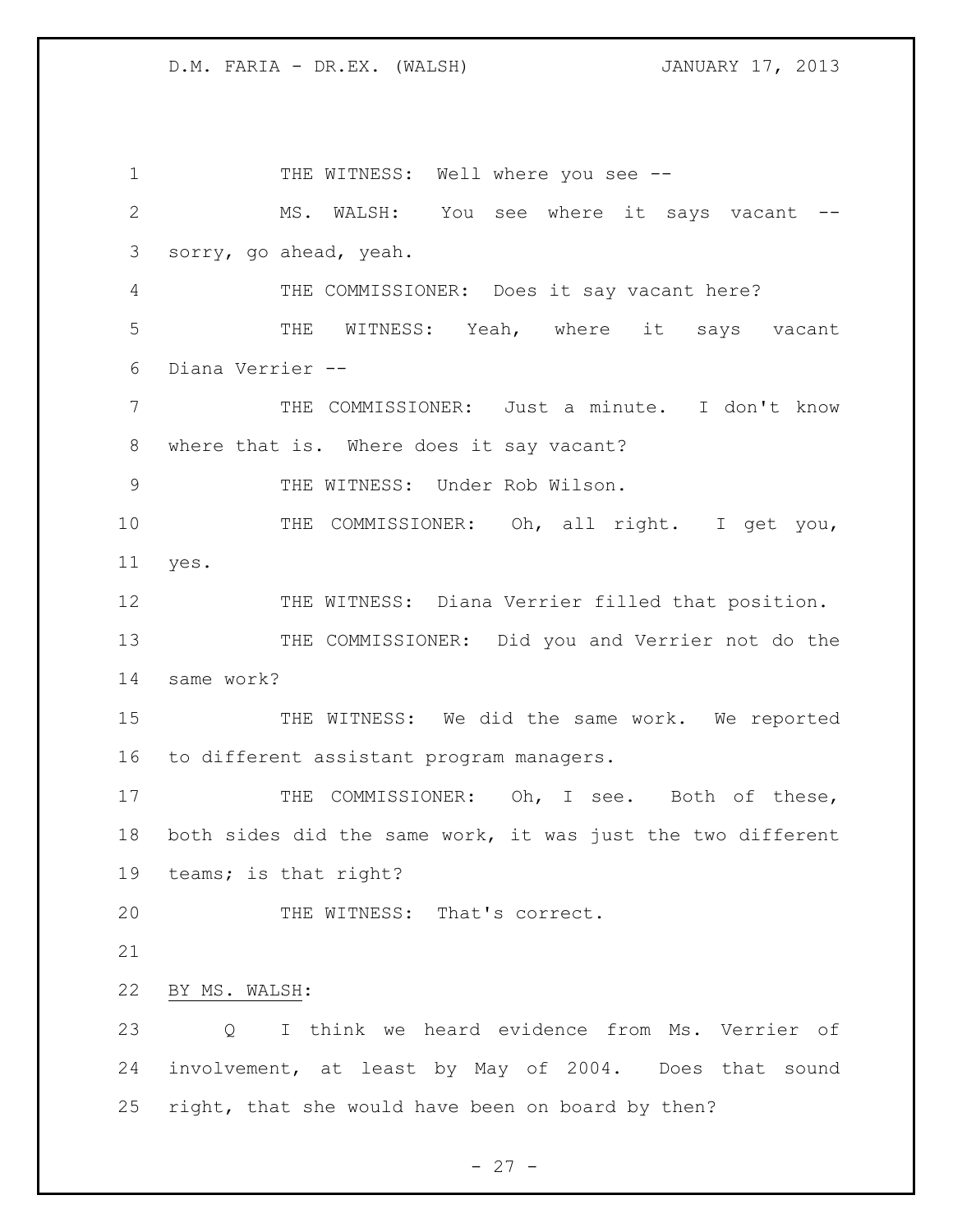1 THE WITNESS: Well where you see -- MS. WALSH: You see where it says vacant -- sorry, go ahead, yeah. THE COMMISSIONER: Does it say vacant here? THE WITNESS: Yeah, where it says vacant Diana Verrier -- THE COMMISSIONER: Just a minute. I don't know where that is. Where does it say vacant? 9 THE WITNESS: Under Rob Wilson. 10 THE COMMISSIONER: Oh, all right. I get you, yes. 12 THE WITNESS: Diana Verrier filled that position. 13 THE COMMISSIONER: Did you and Verrier not do the same work? 15 THE WITNESS: We did the same work. We reported to different assistant program managers. 17 THE COMMISSIONER: Oh, I see. Both of these, both sides did the same work, it was just the two different teams; is that right? 20 THE WITNESS: That's correct. BY MS. WALSH: Q I think we heard evidence from Ms. Verrier of involvement, at least by May of 2004. Does that sound right, that she would have been on board by then?

 $- 27 -$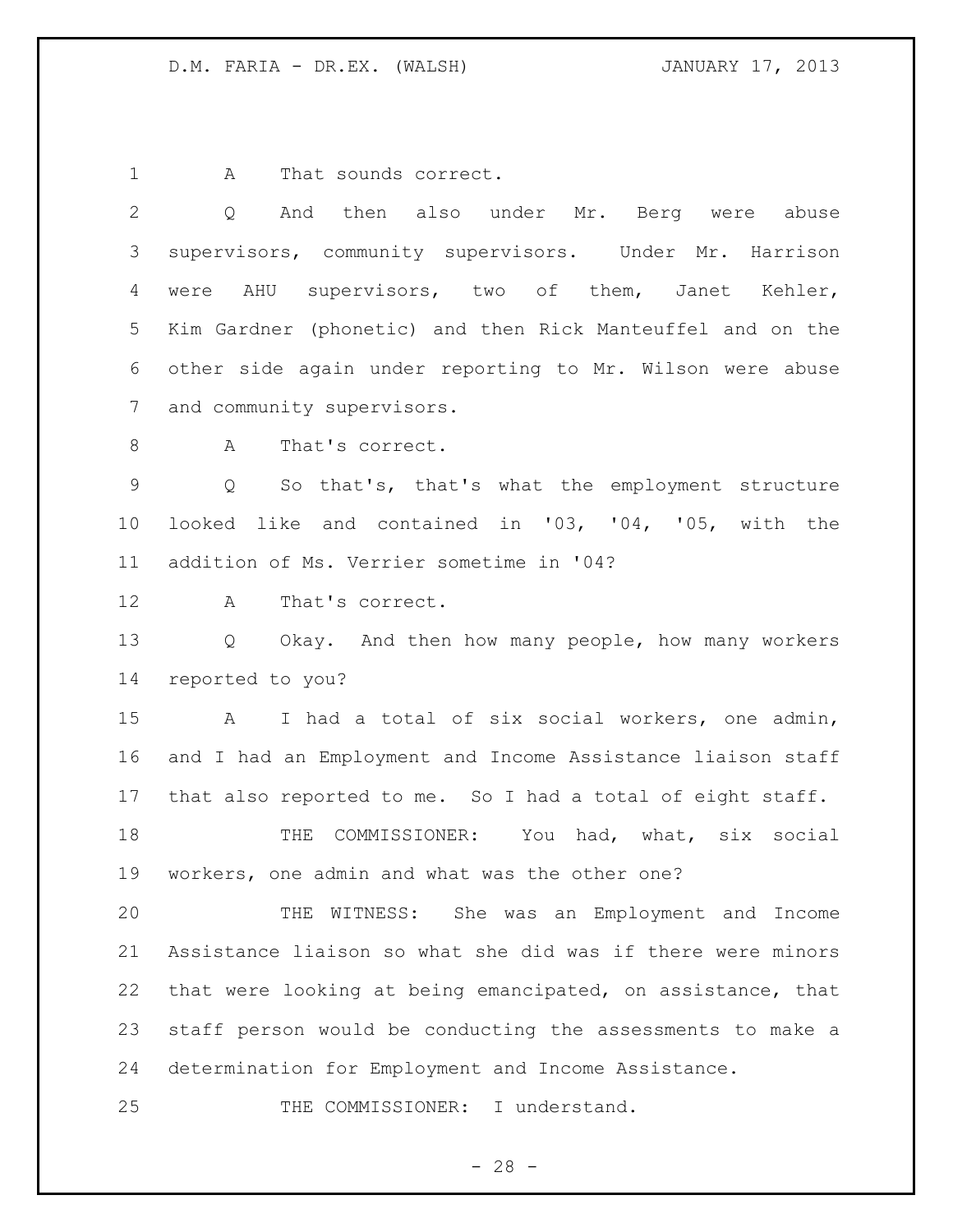1 A That sounds correct.

| $\overline{2}$ | And then also under Mr. Berg were abuse<br>Q                    |
|----------------|-----------------------------------------------------------------|
| 3              | supervisors, community supervisors. Under Mr. Harrison          |
| 4              | were AHU supervisors, two of them, Janet Kehler,                |
| 5              | Kim Gardner (phonetic) and then Rick Manteuffel and on the      |
| 6              | other side again under reporting to Mr. Wilson were abuse       |
| 7              | and community supervisors.                                      |
| $8\,$          | A<br>That's correct.                                            |
| $\mathsf 9$    | So that's, that's what the employment structure<br>Q            |
| $10 \,$        | looked like and contained in '03, '04, '05, with the            |
| 11             | addition of Ms. Verrier sometime in '04?                        |
| 12             | That's correct.<br>A                                            |
| 13             | Q Okay. And then how many people, how many workers              |
| 14             | reported to you?                                                |
| 15             | I had a total of six social workers, one admin,<br>$\mathbf{A}$ |
| 16             | and I had an Employment and Income Assistance liaison staff     |
| 17             | that also reported to me. So I had a total of eight staff.      |
| 18             | COMMISSIONER: You had, what, six social<br>THE                  |
| 19             | workers, one admin and what was the other one?                  |
| 20             | THE WITNESS: She was an Employment and Income                   |
| 21             | Assistance liaison so what she did was if there were minors     |
| 22             | that were looking at being emancipated, on assistance, that     |
| 23             | staff person would be conducting the assessments to make a      |
| 24             | determination for Employment and Income Assistance.             |
| 25             | THE COMMISSIONER: I understand.                                 |

- 28 -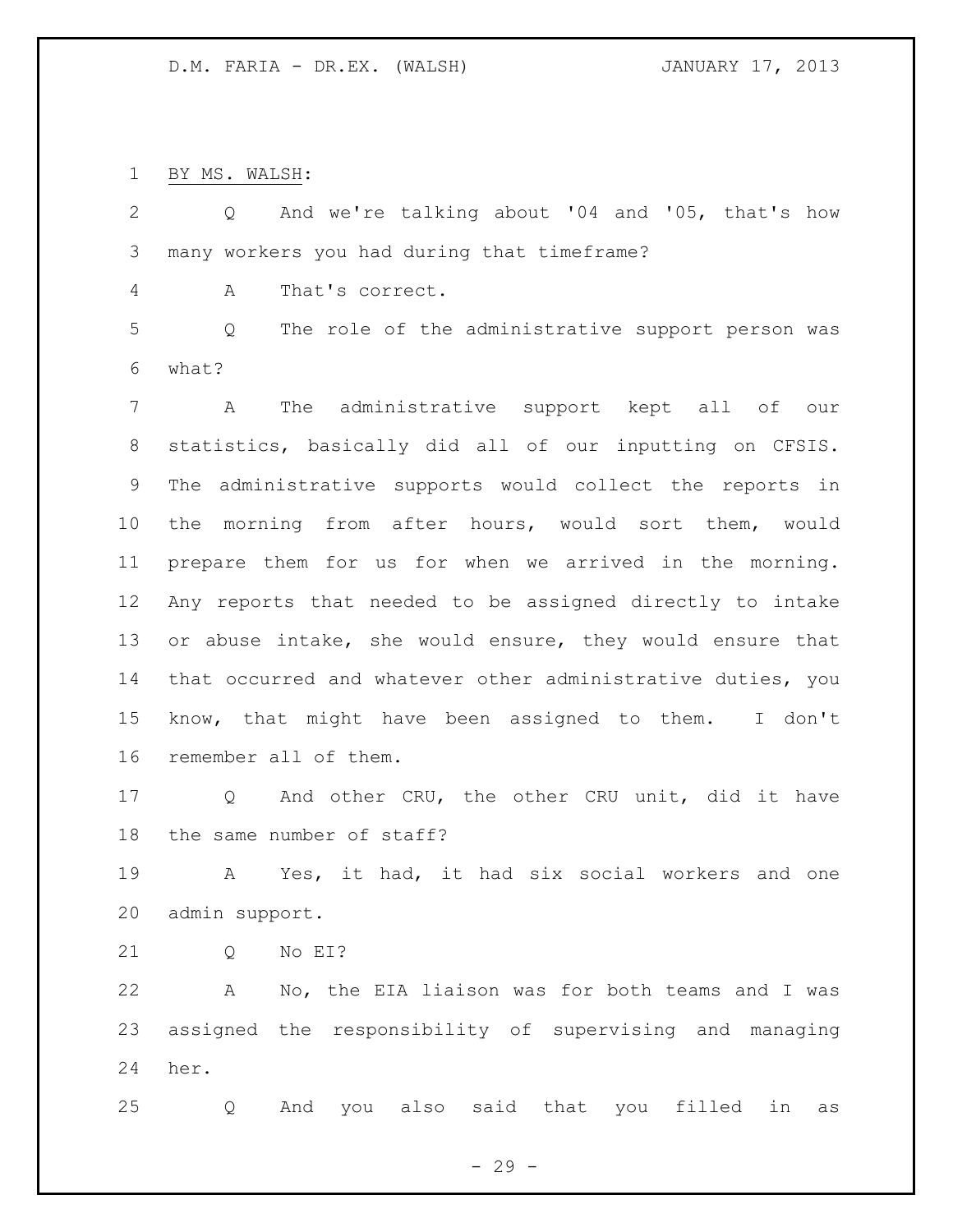BY MS. WALSH:

 Q And we're talking about '04 and '05, that's how many workers you had during that timeframe?

A That's correct.

 Q The role of the administrative support person was what?

 A The administrative support kept all of our statistics, basically did all of our inputting on CFSIS. The administrative supports would collect the reports in the morning from after hours, would sort them, would prepare them for us for when we arrived in the morning. Any reports that needed to be assigned directly to intake or abuse intake, she would ensure, they would ensure that that occurred and whatever other administrative duties, you know, that might have been assigned to them. I don't remember all of them.

 Q And other CRU, the other CRU unit, did it have the same number of staff?

 A Yes, it had, it had six social workers and one admin support.

Q No EI?

 A No, the EIA liaison was for both teams and I was assigned the responsibility of supervising and managing her.

Q And you also said that you filled in as

 $-29 -$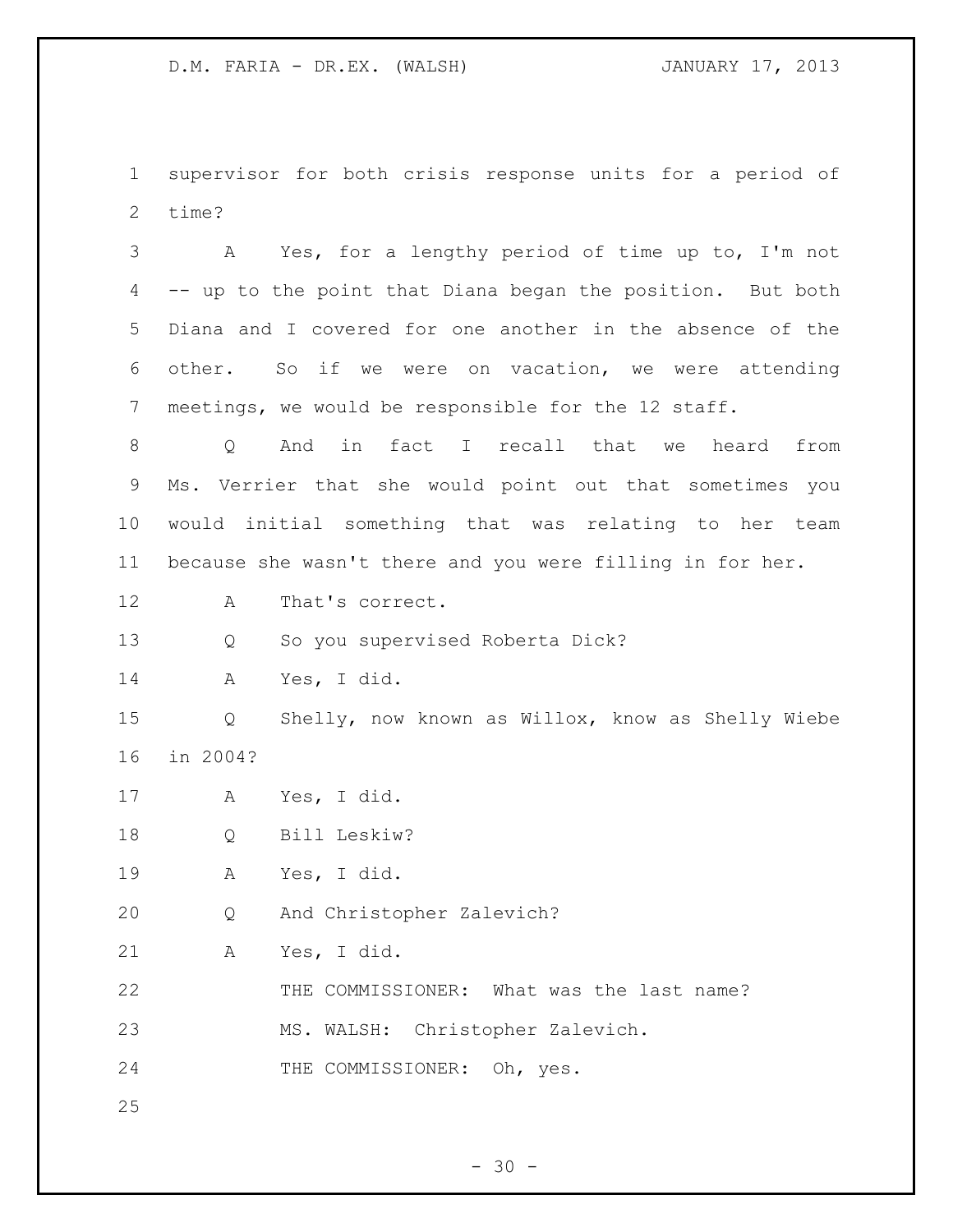supervisor for both crisis response units for a period of time?

 A Yes, for a lengthy period of time up to, I'm not -- up to the point that Diana began the position. But both Diana and I covered for one another in the absence of the other. So if we were on vacation, we were attending meetings, we would be responsible for the 12 staff. Q And in fact I recall that we heard from Ms. Verrier that she would point out that sometimes you would initial something that was relating to her team because she wasn't there and you were filling in for her. A That's correct. Q So you supervised Roberta Dick? A Yes, I did.

 Q Shelly, now known as Willox, know as Shelly Wiebe in 2004?

A Yes, I did.

Q Bill Leskiw?

A Yes, I did.

Q And Christopher Zalevich?

A Yes, I did.

THE COMMISSIONER: What was the last name?

MS. WALSH: Christopher Zalevich.

24 THE COMMISSIONER: Oh, yes.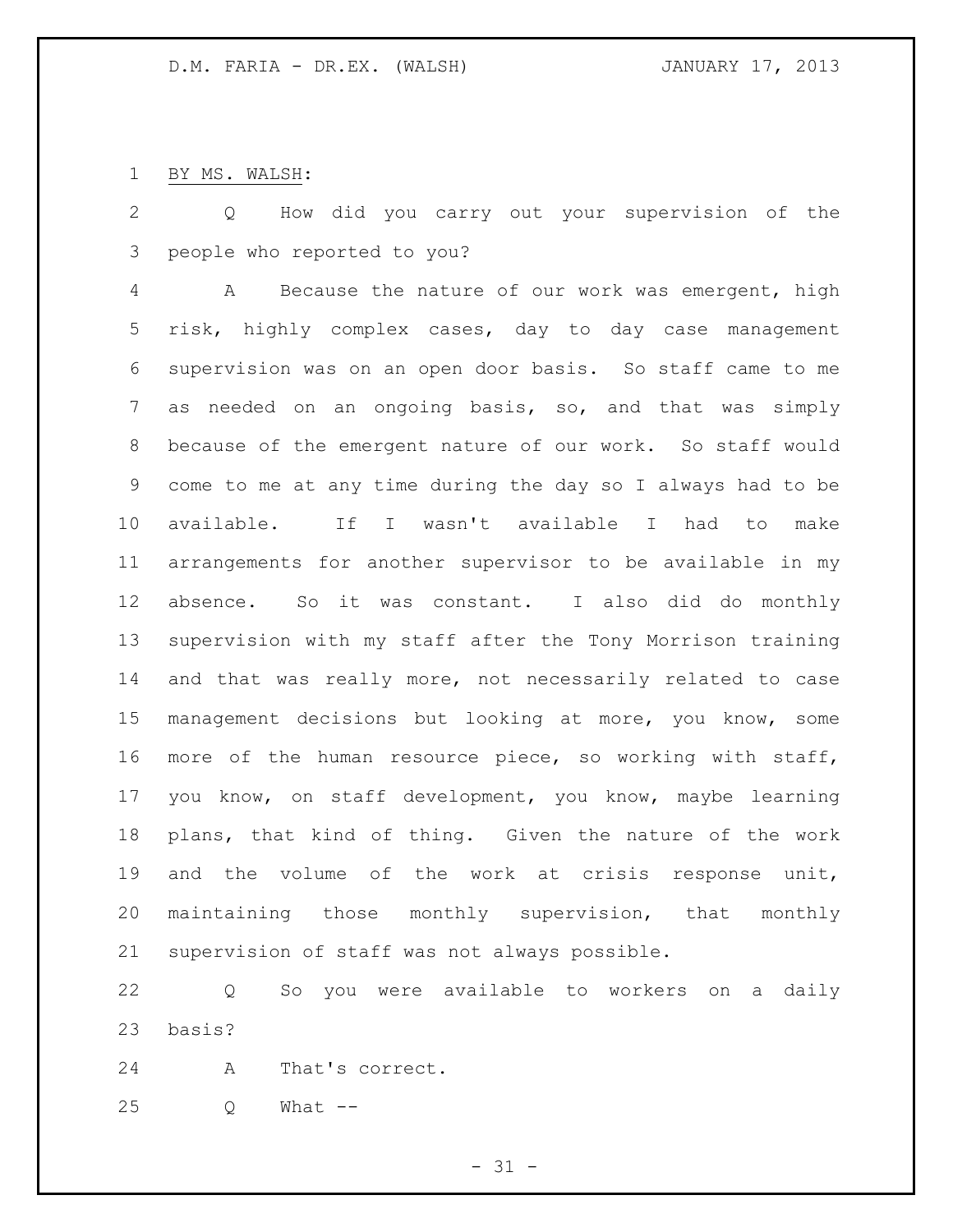BY MS. WALSH:

 Q How did you carry out your supervision of the people who reported to you?

 A Because the nature of our work was emergent, high risk, highly complex cases, day to day case management supervision was on an open door basis. So staff came to me as needed on an ongoing basis, so, and that was simply because of the emergent nature of our work. So staff would come to me at any time during the day so I always had to be available. If I wasn't available I had to make arrangements for another supervisor to be available in my absence. So it was constant. I also did do monthly supervision with my staff after the Tony Morrison training and that was really more, not necessarily related to case management decisions but looking at more, you know, some more of the human resource piece, so working with staff, you know, on staff development, you know, maybe learning plans, that kind of thing. Given the nature of the work and the volume of the work at crisis response unit, maintaining those monthly supervision, that monthly supervision of staff was not always possible.

 Q So you were available to workers on a daily basis?

A That's correct.

Q What --

 $- 31 -$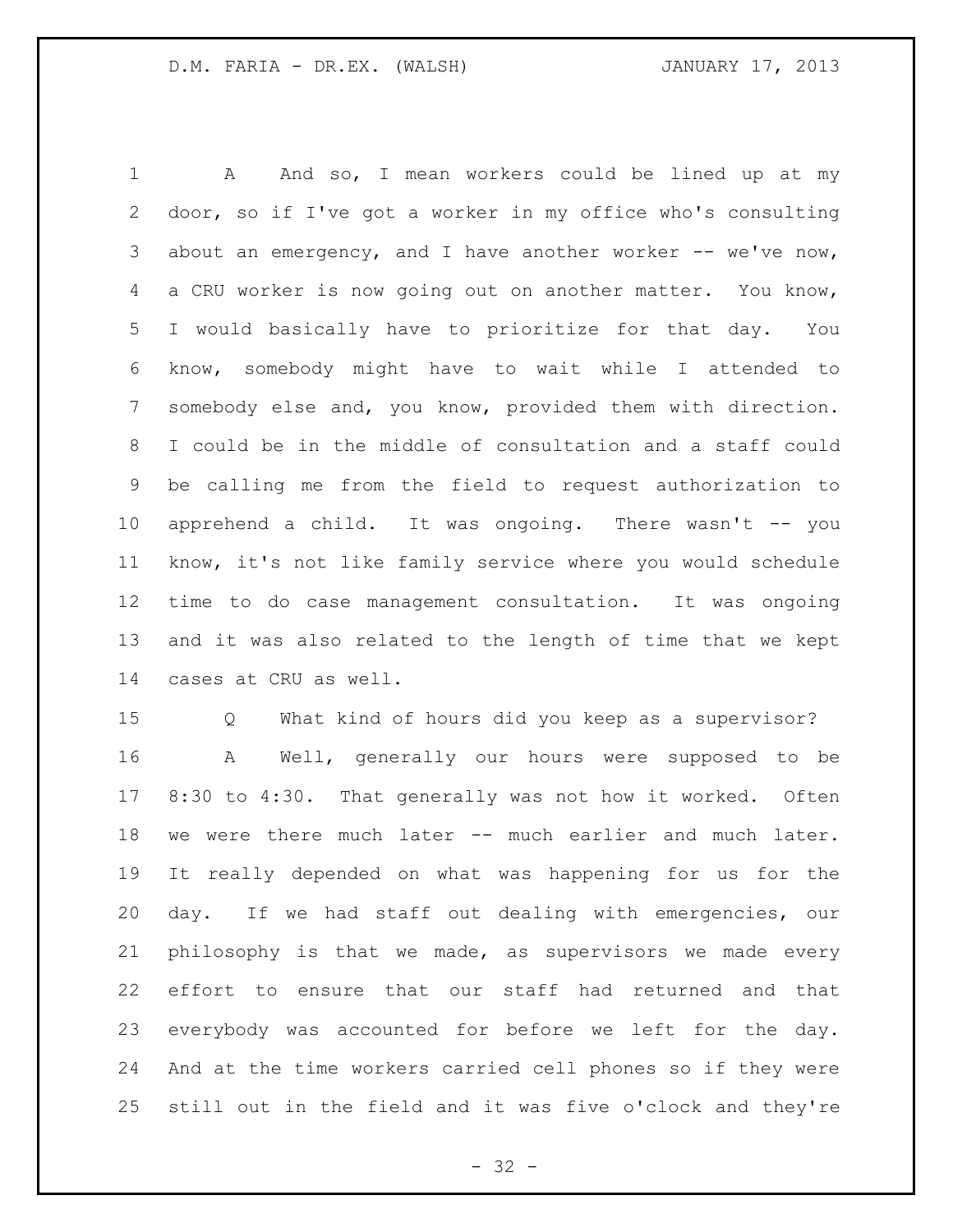1 A And so, I mean workers could be lined up at my door, so if I've got a worker in my office who's consulting 3 about an emergency, and I have another worker -- we've now, a CRU worker is now going out on another matter. You know, I would basically have to prioritize for that day. You know, somebody might have to wait while I attended to somebody else and, you know, provided them with direction. I could be in the middle of consultation and a staff could be calling me from the field to request authorization to apprehend a child. It was ongoing. There wasn't -- you know, it's not like family service where you would schedule time to do case management consultation. It was ongoing and it was also related to the length of time that we kept cases at CRU as well.

 Q What kind of hours did you keep as a supervisor? A Well, generally our hours were supposed to be 8:30 to 4:30. That generally was not how it worked. Often we were there much later -- much earlier and much later. It really depended on what was happening for us for the day. If we had staff out dealing with emergencies, our philosophy is that we made, as supervisors we made every effort to ensure that our staff had returned and that everybody was accounted for before we left for the day. And at the time workers carried cell phones so if they were still out in the field and it was five o'clock and they're

 $- 32 -$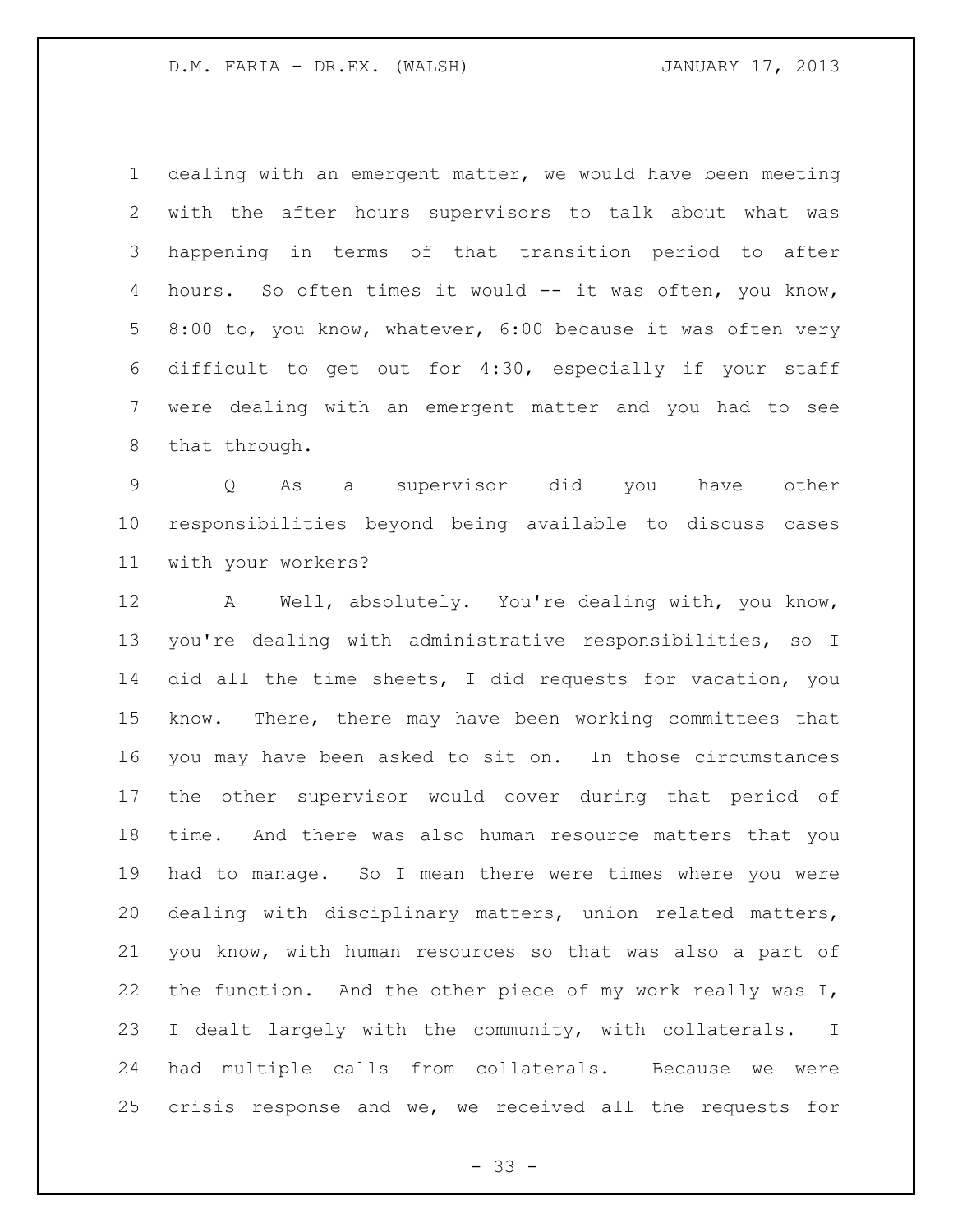dealing with an emergent matter, we would have been meeting with the after hours supervisors to talk about what was happening in terms of that transition period to after hours. So often times it would -- it was often, you know, 8:00 to, you know, whatever, 6:00 because it was often very difficult to get out for 4:30, especially if your staff were dealing with an emergent matter and you had to see that through.

 Q As a supervisor did you have other responsibilities beyond being available to discuss cases with your workers?

 A Well, absolutely. You're dealing with, you know, you're dealing with administrative responsibilities, so I did all the time sheets, I did requests for vacation, you know. There, there may have been working committees that you may have been asked to sit on. In those circumstances the other supervisor would cover during that period of time. And there was also human resource matters that you had to manage. So I mean there were times where you were dealing with disciplinary matters, union related matters, you know, with human resources so that was also a part of 22 the function. And the other piece of my work really was I, I dealt largely with the community, with collaterals. I had multiple calls from collaterals. Because we were crisis response and we, we received all the requests for

- 33 -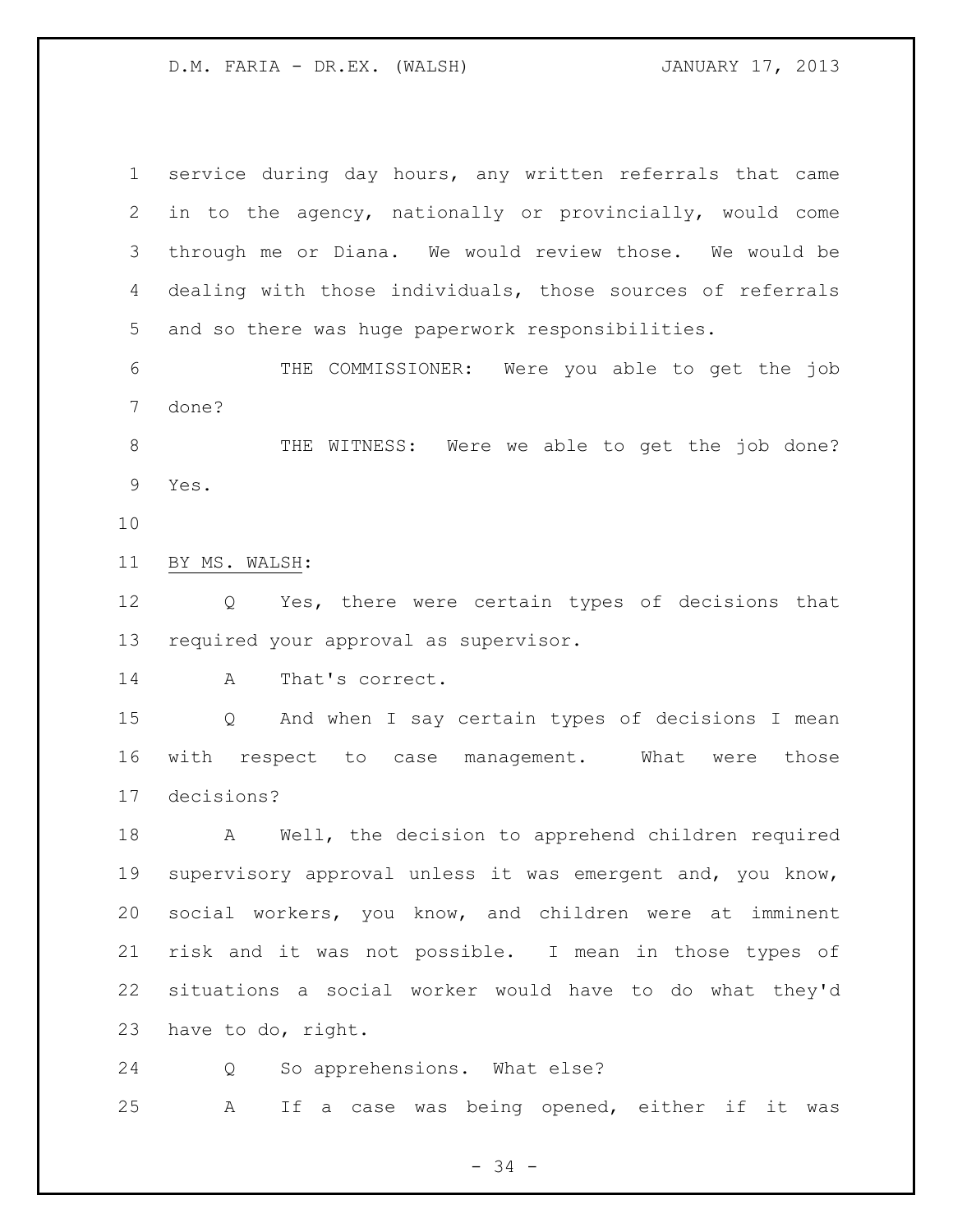service during day hours, any written referrals that came in to the agency, nationally or provincially, would come through me or Diana. We would review those. We would be dealing with those individuals, those sources of referrals and so there was huge paperwork responsibilities. THE COMMISSIONER: Were you able to get the job done? THE WITNESS: Were we able to get the job done? Yes. BY MS. WALSH: Q Yes, there were certain types of decisions that required your approval as supervisor. A That's correct. Q And when I say certain types of decisions I mean with respect to case management. What were those decisions? A Well, the decision to apprehend children required supervisory approval unless it was emergent and, you know, social workers, you know, and children were at imminent risk and it was not possible. I mean in those types of situations a social worker would have to do what they'd have to do, right.

Q So apprehensions. What else?

A If a case was being opened, either if it was

- 34 -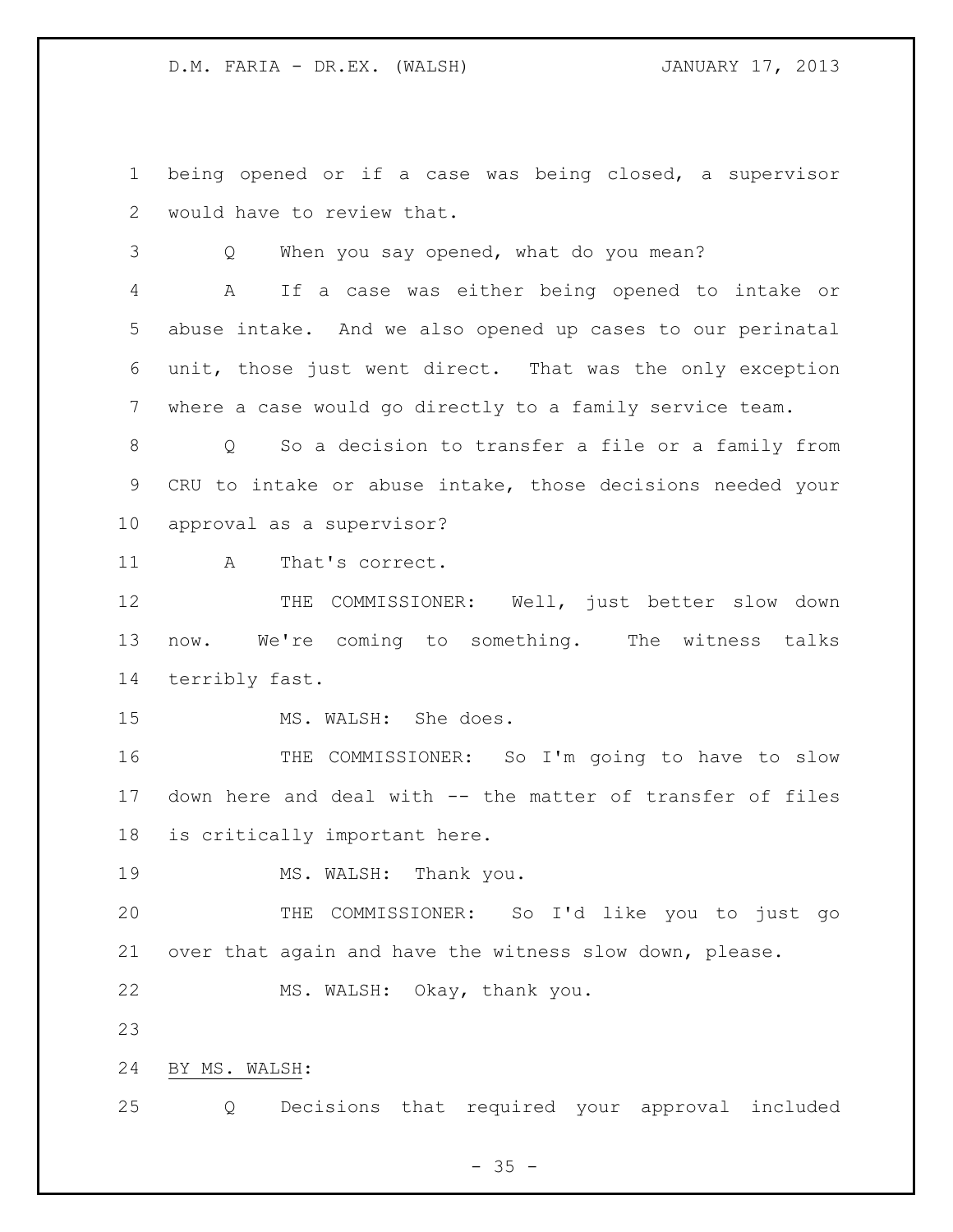being opened or if a case was being closed, a supervisor would have to review that.

Q When you say opened, what do you mean?

 A If a case was either being opened to intake or abuse intake. And we also opened up cases to our perinatal unit, those just went direct. That was the only exception where a case would go directly to a family service team.

 Q So a decision to transfer a file or a family from CRU to intake or abuse intake, those decisions needed your approval as a supervisor?

11 A That's correct.

12 THE COMMISSIONER: Well, just better slow down now. We're coming to something. The witness talks terribly fast.

15 MS. WALSH: She does.

16 THE COMMISSIONER: So I'm going to have to slow down here and deal with -- the matter of transfer of files is critically important here.

19 MS. WALSH: Thank you.

 THE COMMISSIONER: So I'd like you to just go over that again and have the witness slow down, please.

MS. WALSH: Okay, thank you.

BY MS. WALSH:

Q Decisions that required your approval included

 $- 35 -$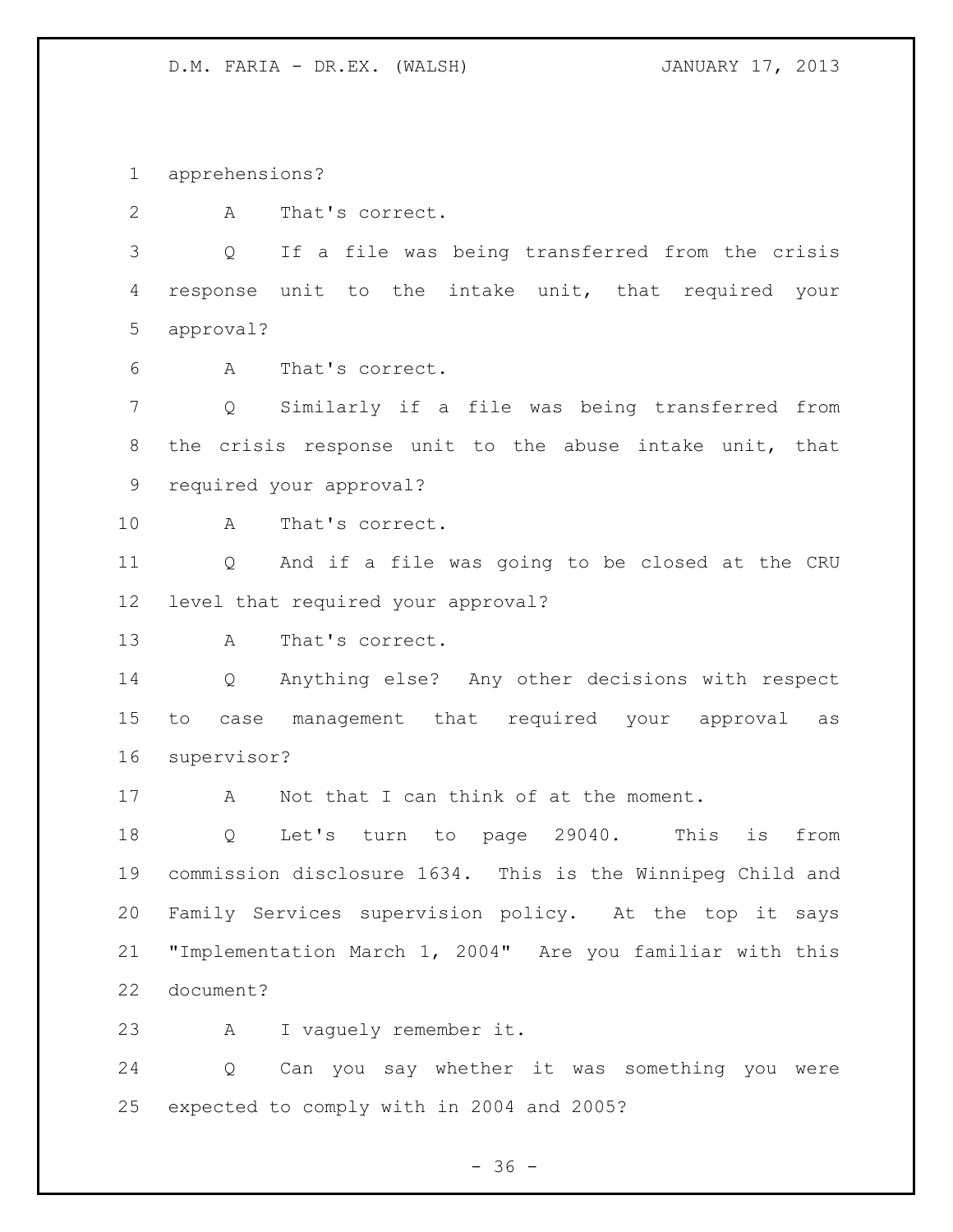apprehensions?

A That's correct.

 Q If a file was being transferred from the crisis response unit to the intake unit, that required your approval?

A That's correct.

 Q Similarly if a file was being transferred from the crisis response unit to the abuse intake unit, that required your approval?

A That's correct.

 Q And if a file was going to be closed at the CRU level that required your approval?

A That's correct.

 Q Anything else? Any other decisions with respect to case management that required your approval as supervisor?

17 A Not that I can think of at the moment.

 Q Let's turn to page 29040. This is from commission disclosure 1634. This is the Winnipeg Child and Family Services supervision policy. At the top it says "Implementation March 1, 2004" Are you familiar with this document?

A I vaguely remember it.

 Q Can you say whether it was something you were expected to comply with in 2004 and 2005?

 $- 36 -$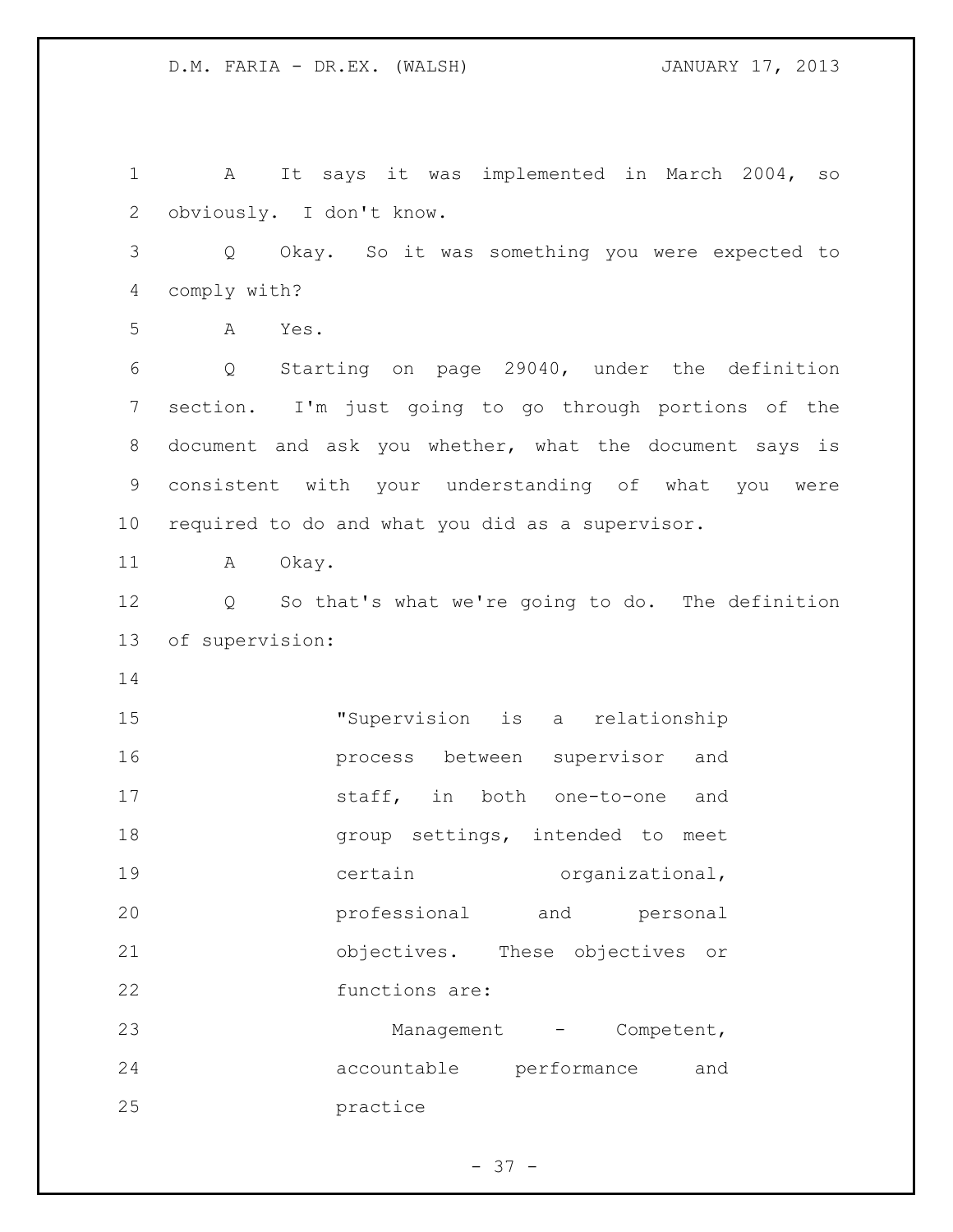A It says it was implemented in March 2004, so obviously. I don't know. Q Okay. So it was something you were expected to comply with? A Yes. Q Starting on page 29040, under the definition section. I'm just going to go through portions of the document and ask you whether, what the document says is consistent with your understanding of what you were required to do and what you did as a supervisor. 11 A Okay. Q So that's what we're going to do. The definition of supervision: "Supervision is a relationship process between supervisor and 17 staff, in both one-to-one and **group** settings, intended to meet 19 certain organizational, professional and personal objectives. These objectives or functions are: 23 Management - Competent, accountable performance and practice

 $- 37 -$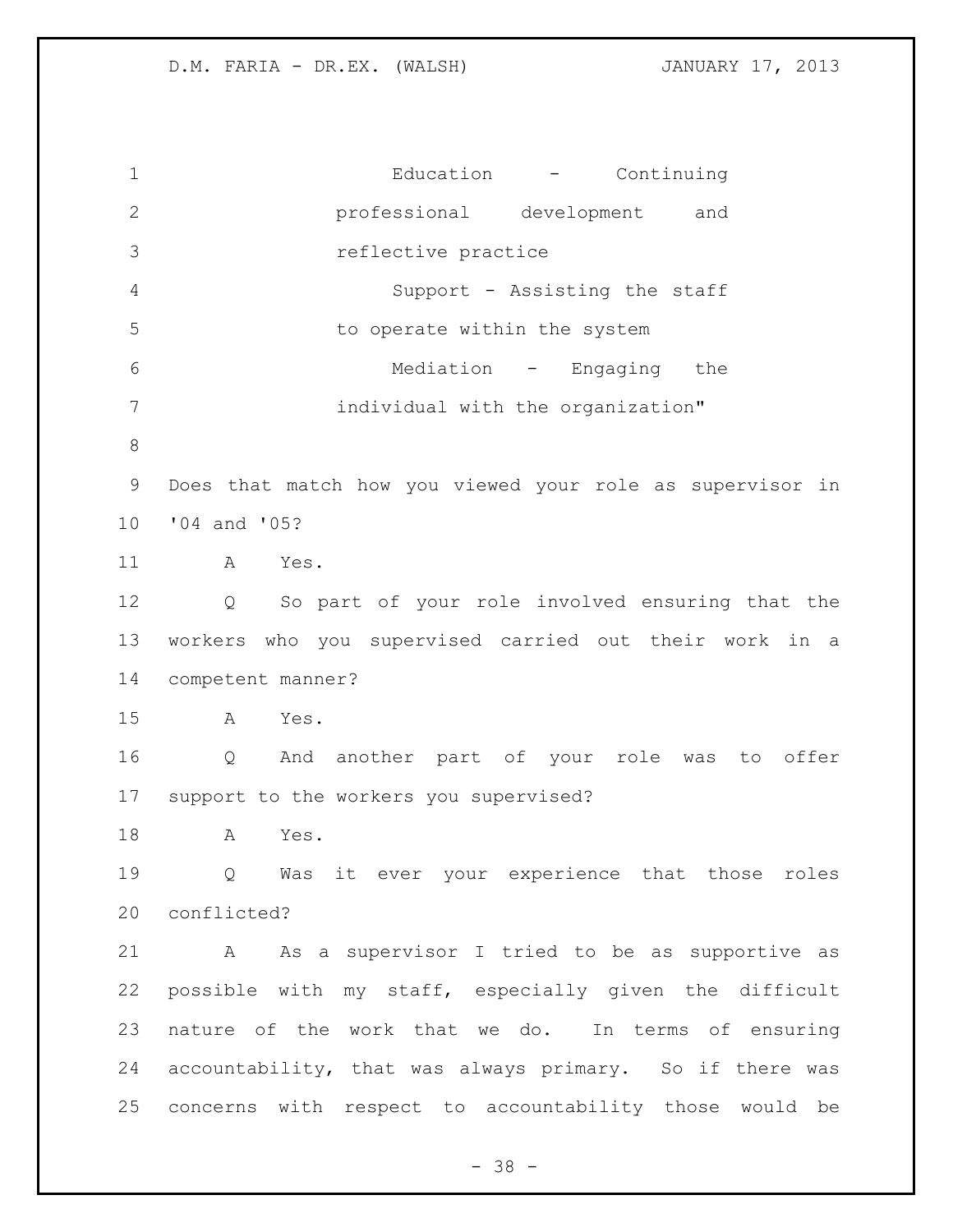Education - Continuing professional development and reflective practice Support - Assisting the staff to operate within the system Mediation - Engaging the individual with the organization" Does that match how you viewed your role as supervisor in '04 and '05? A Yes. Q So part of your role involved ensuring that the workers who you supervised carried out their work in a competent manner? A Yes. Q And another part of your role was to offer support to the workers you supervised? A Yes. Q Was it ever your experience that those roles conflicted? A As a supervisor I tried to be as supportive as possible with my staff, especially given the difficult nature of the work that we do. In terms of ensuring accountability, that was always primary. So if there was concerns with respect to accountability those would be

 $- 38 -$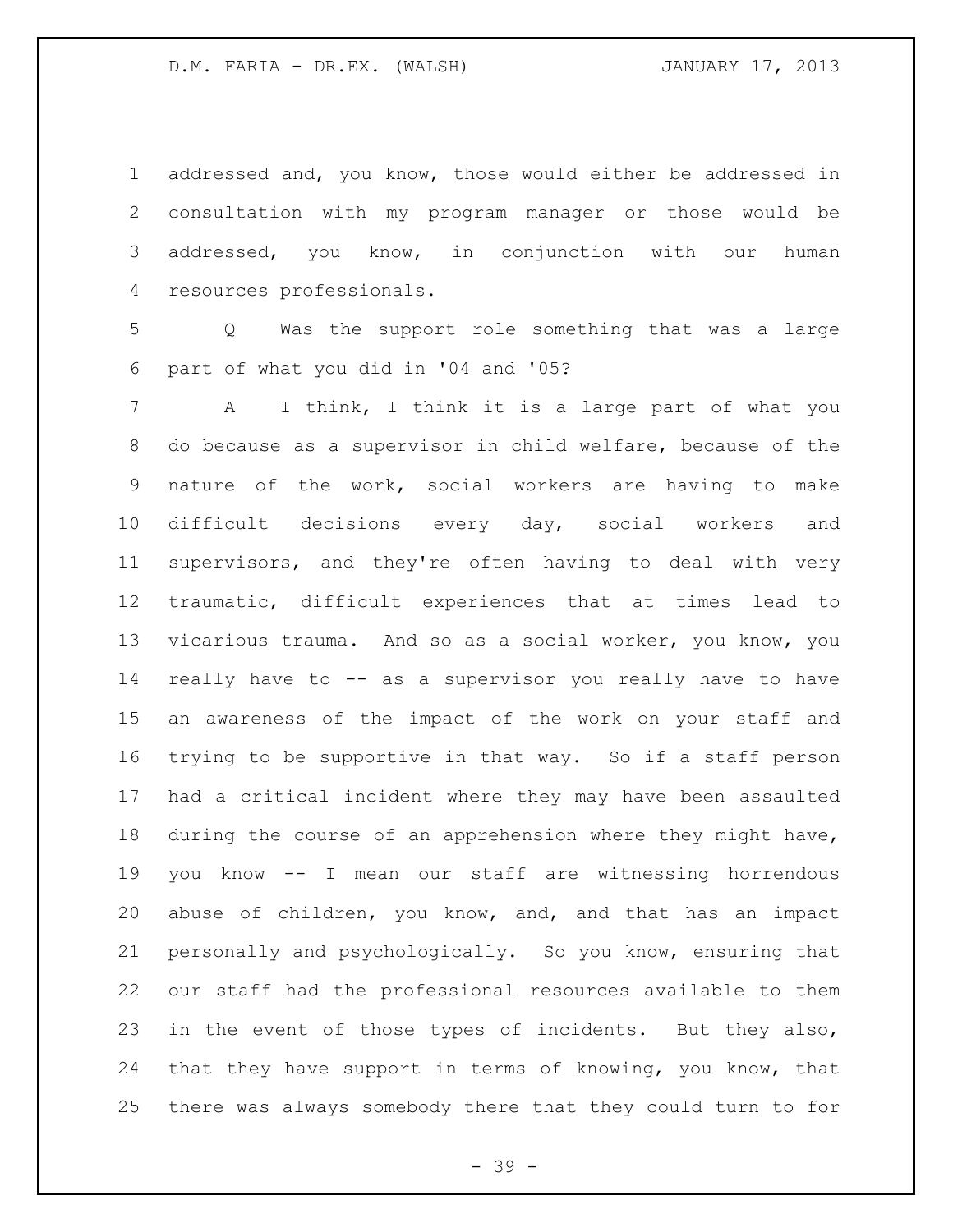addressed and, you know, those would either be addressed in consultation with my program manager or those would be addressed, you know, in conjunction with our human resources professionals.

 Q Was the support role something that was a large part of what you did in '04 and '05?

 A I think, I think it is a large part of what you do because as a supervisor in child welfare, because of the nature of the work, social workers are having to make difficult decisions every day, social workers and supervisors, and they're often having to deal with very traumatic, difficult experiences that at times lead to vicarious trauma. And so as a social worker, you know, you really have to -- as a supervisor you really have to have an awareness of the impact of the work on your staff and trying to be supportive in that way. So if a staff person had a critical incident where they may have been assaulted during the course of an apprehension where they might have, you know -- I mean our staff are witnessing horrendous abuse of children, you know, and, and that has an impact personally and psychologically. So you know, ensuring that our staff had the professional resources available to them in the event of those types of incidents. But they also, that they have support in terms of knowing, you know, that there was always somebody there that they could turn to for

- 39 -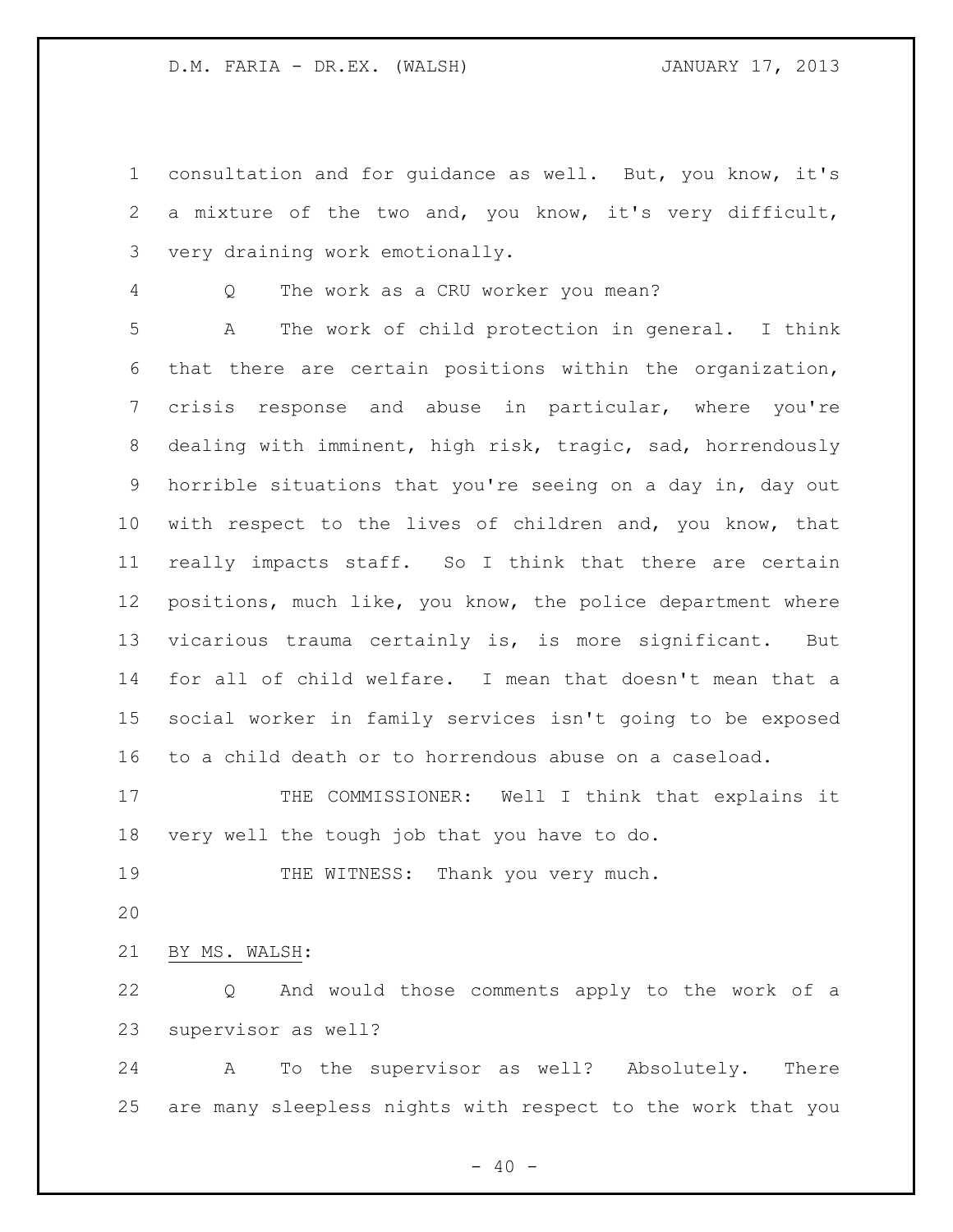consultation and for guidance as well. But, you know, it's a mixture of the two and, you know, it's very difficult, very draining work emotionally.

Q The work as a CRU worker you mean?

 A The work of child protection in general. I think that there are certain positions within the organization, crisis response and abuse in particular, where you're dealing with imminent, high risk, tragic, sad, horrendously horrible situations that you're seeing on a day in, day out with respect to the lives of children and, you know, that really impacts staff. So I think that there are certain positions, much like, you know, the police department where vicarious trauma certainly is, is more significant. But for all of child welfare. I mean that doesn't mean that a social worker in family services isn't going to be exposed to a child death or to horrendous abuse on a caseload.

17 THE COMMISSIONER: Well I think that explains it very well the tough job that you have to do.

19 THE WITNESS: Thank you very much.

BY MS. WALSH:

 Q And would those comments apply to the work of a supervisor as well?

 A To the supervisor as well? Absolutely. There are many sleepless nights with respect to the work that you

 $- 40 -$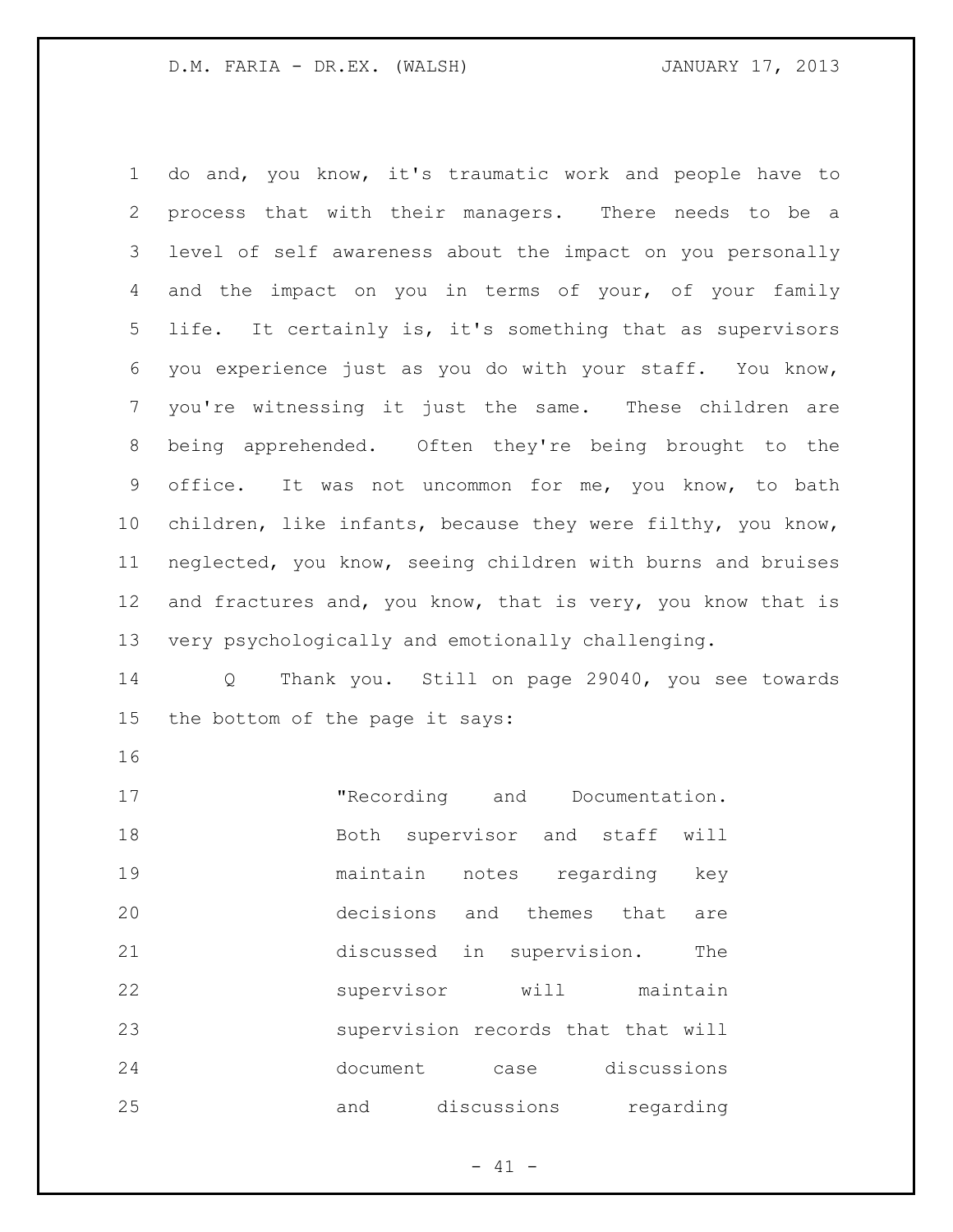do and, you know, it's traumatic work and people have to process that with their managers. There needs to be a level of self awareness about the impact on you personally 4 and the impact on you in terms of your, of your family life. It certainly is, it's something that as supervisors you experience just as you do with your staff. You know, you're witnessing it just the same. These children are being apprehended. Often they're being brought to the office. It was not uncommon for me, you know, to bath children, like infants, because they were filthy, you know, neglected, you know, seeing children with burns and bruises 12 and fractures and, you know, that is very, you know that is very psychologically and emotionally challenging.

 Q Thank you. Still on page 29040, you see towards the bottom of the page it says:

17 The cording and Documentation. 18 Both supervisor and staff will maintain notes regarding key decisions and themes that are discussed in supervision. The supervisor will maintain supervision records that that will document case discussions and discussions regarding

 $- 41 -$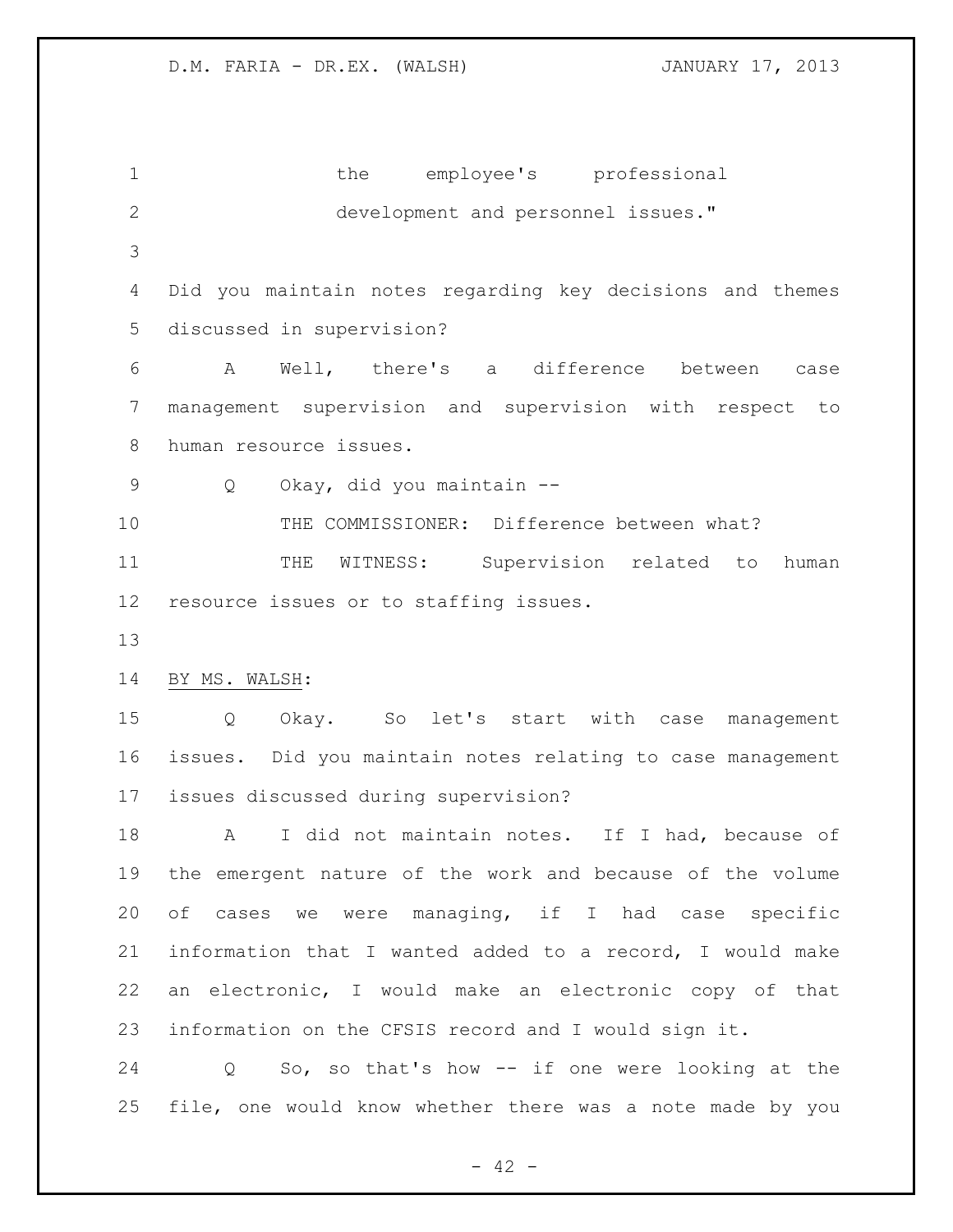1 the employee's professional development and personnel issues." Did you maintain notes regarding key decisions and themes discussed in supervision? A Well, there's a difference between case management supervision and supervision with respect to human resource issues. Q Okay, did you maintain -- THE COMMISSIONER: Difference between what? 11 THE WITNESS: Supervision related to human resource issues or to staffing issues. BY MS. WALSH: Q Okay. So let's start with case management issues. Did you maintain notes relating to case management issues discussed during supervision? A I did not maintain notes. If I had, because of the emergent nature of the work and because of the volume of cases we were managing, if I had case specific information that I wanted added to a record, I would make an electronic, I would make an electronic copy of that information on the CFSIS record and I would sign it. Q So, so that's how -- if one were looking at the file, one would know whether there was a note made by you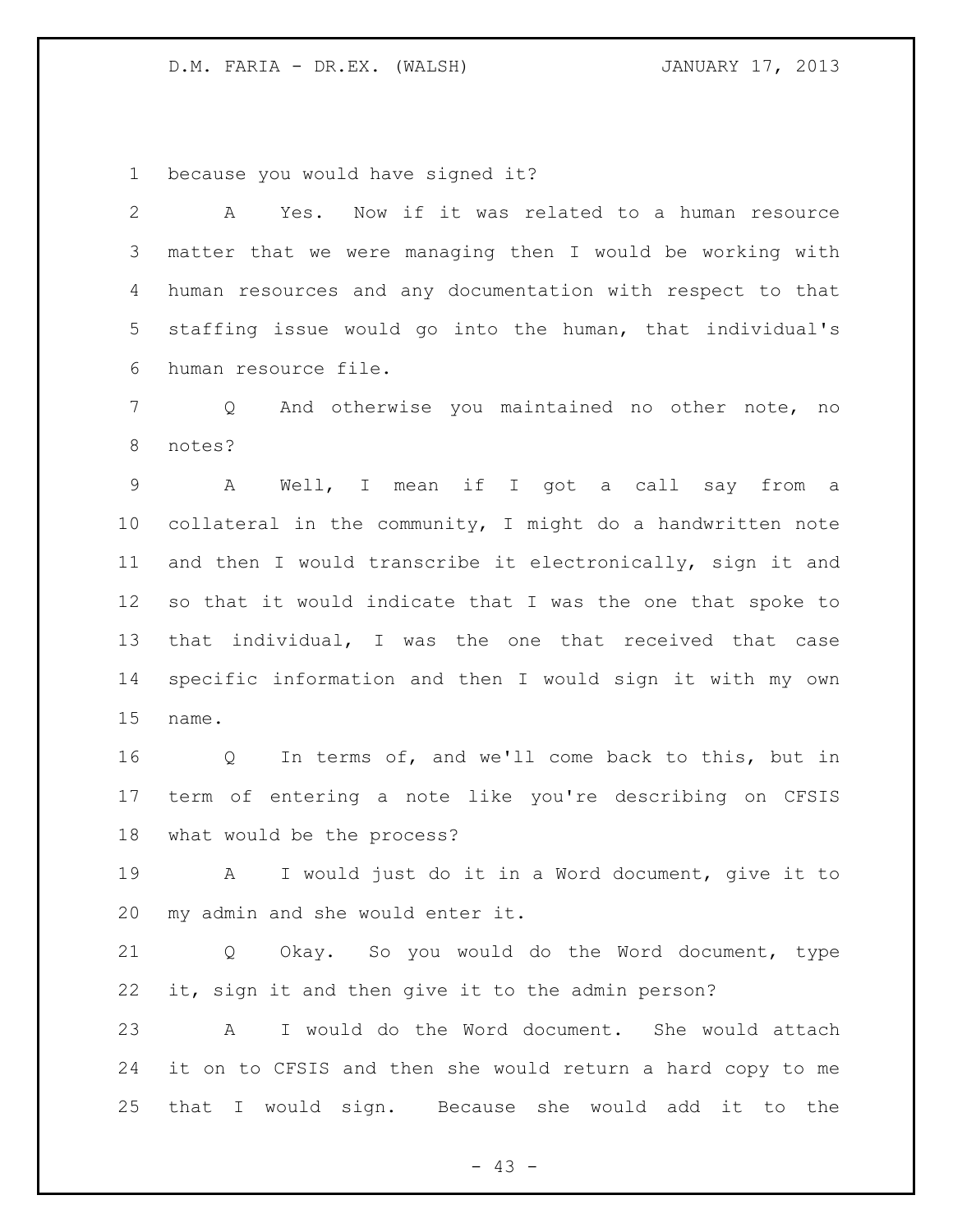because you would have signed it?

 A Yes. Now if it was related to a human resource matter that we were managing then I would be working with human resources and any documentation with respect to that staffing issue would go into the human, that individual's human resource file.

 Q And otherwise you maintained no other note, no notes?

 A Well, I mean if I got a call say from a collateral in the community, I might do a handwritten note and then I would transcribe it electronically, sign it and so that it would indicate that I was the one that spoke to that individual, I was the one that received that case specific information and then I would sign it with my own name.

 Q In terms of, and we'll come back to this, but in term of entering a note like you're describing on CFSIS what would be the process?

 A I would just do it in a Word document, give it to my admin and she would enter it.

 Q Okay. So you would do the Word document, type it, sign it and then give it to the admin person?

 A I would do the Word document. She would attach it on to CFSIS and then she would return a hard copy to me that I would sign. Because she would add it to the

 $- 43 -$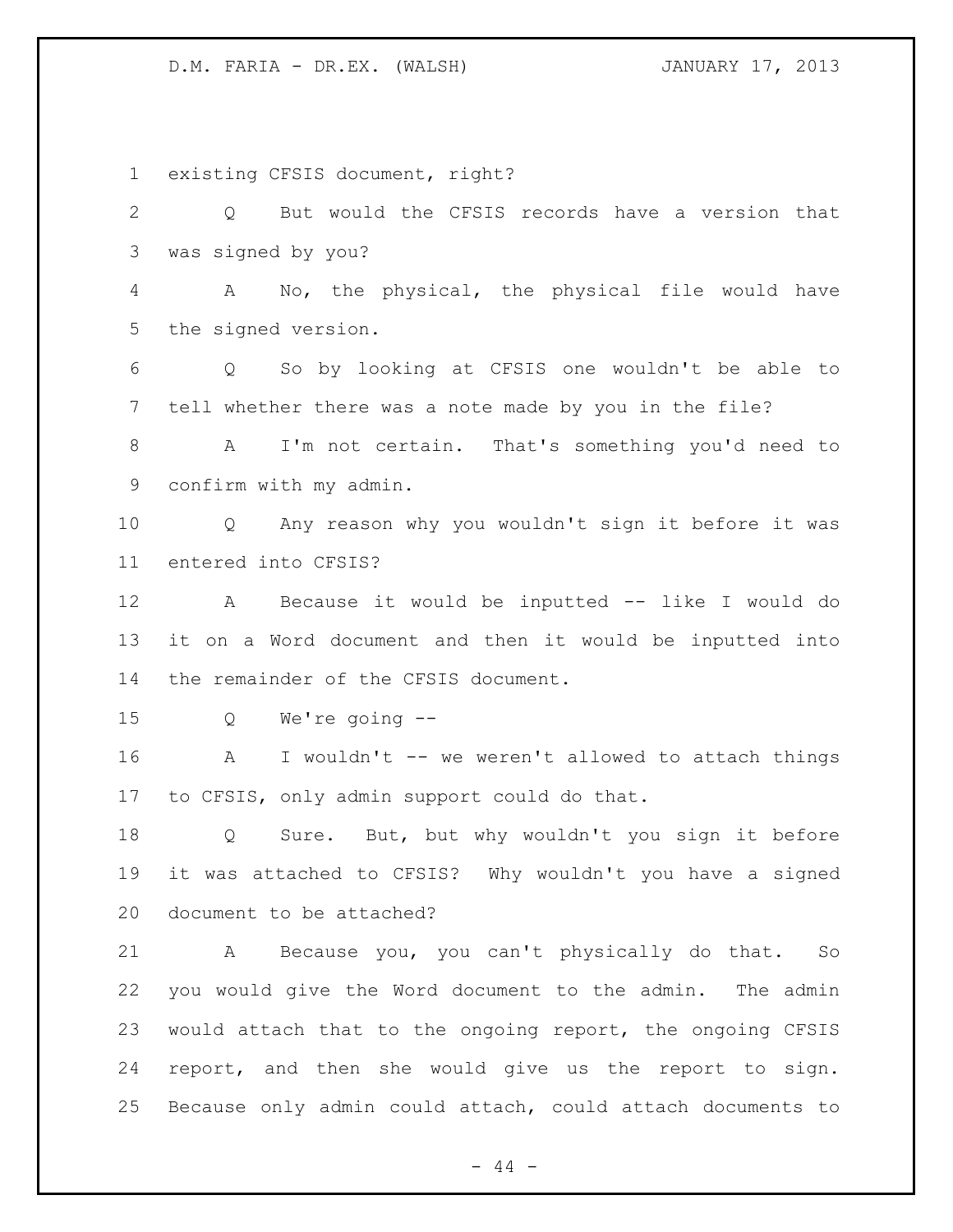existing CFSIS document, right? Q But would the CFSIS records have a version that was signed by you? A No, the physical, the physical file would have the signed version. Q So by looking at CFSIS one wouldn't be able to tell whether there was a note made by you in the file? A I'm not certain. That's something you'd need to confirm with my admin. Q Any reason why you wouldn't sign it before it was entered into CFSIS? A Because it would be inputted -- like I would do it on a Word document and then it would be inputted into the remainder of the CFSIS document. Q We're going -- A I wouldn't -- we weren't allowed to attach things to CFSIS, only admin support could do that. Q Sure. But, but why wouldn't you sign it before it was attached to CFSIS? Why wouldn't you have a signed document to be attached? A Because you, you can't physically do that. So you would give the Word document to the admin. The admin would attach that to the ongoing report, the ongoing CFSIS report, and then she would give us the report to sign. Because only admin could attach, could attach documents to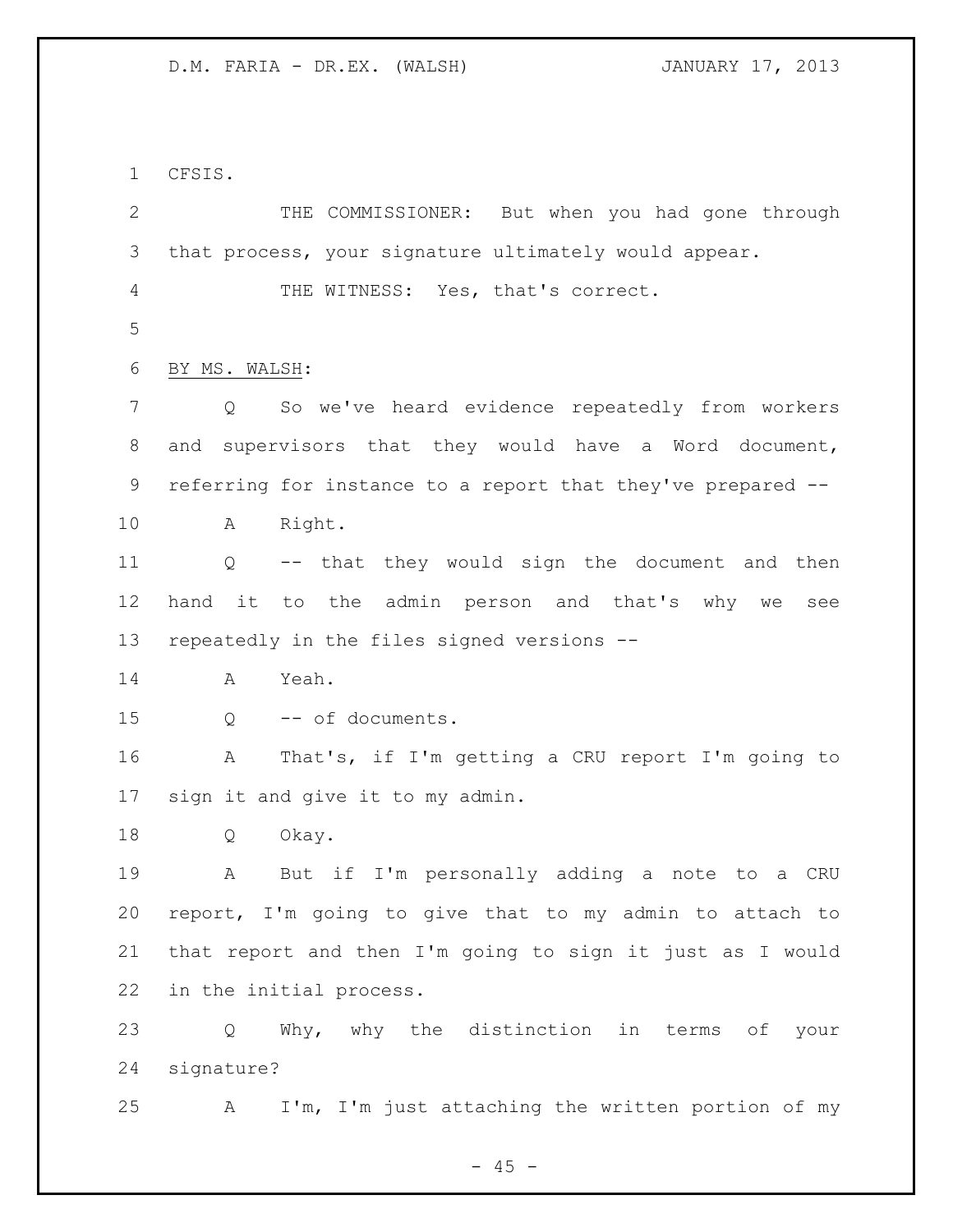CFSIS.

 THE COMMISSIONER: But when you had gone through that process, your signature ultimately would appear. THE WITNESS: Yes, that's correct. BY MS. WALSH: Q So we've heard evidence repeatedly from workers and supervisors that they would have a Word document, referring for instance to a report that they've prepared -- A Right. Q -- that they would sign the document and then hand it to the admin person and that's why we see repeatedly in the files signed versions -- A Yeah. Q -- of documents. A That's, if I'm getting a CRU report I'm going to sign it and give it to my admin. Q Okay. A But if I'm personally adding a note to a CRU report, I'm going to give that to my admin to attach to that report and then I'm going to sign it just as I would in the initial process. Q Why, why the distinction in terms of your signature? A I'm, I'm just attaching the written portion of my

 $- 45 -$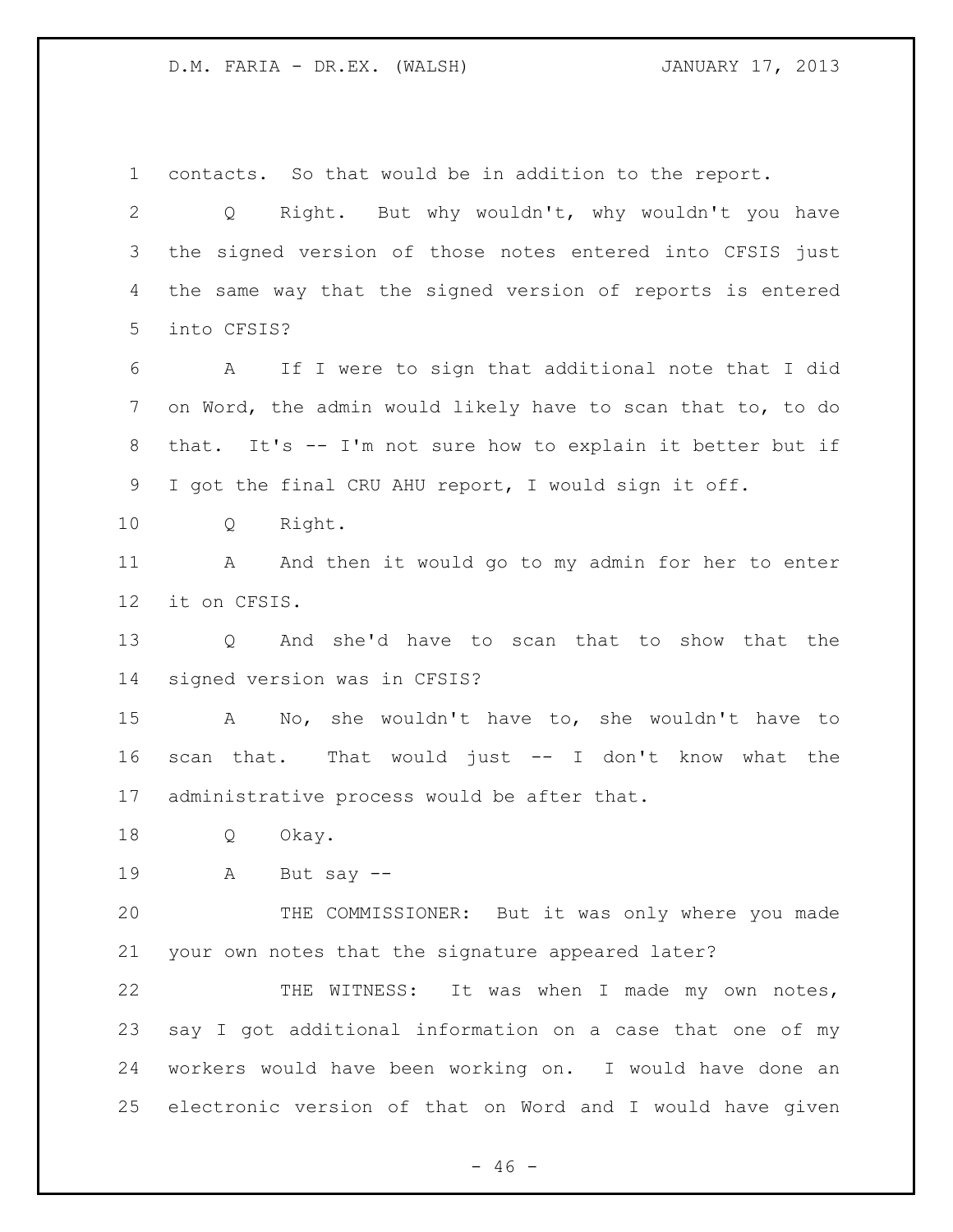contacts. So that would be in addition to the report.

 Q Right. But why wouldn't, why wouldn't you have the signed version of those notes entered into CFSIS just the same way that the signed version of reports is entered into CFSIS?

 A If I were to sign that additional note that I did on Word, the admin would likely have to scan that to, to do that. It's -- I'm not sure how to explain it better but if I got the final CRU AHU report, I would sign it off.

Q Right.

11 A And then it would go to my admin for her to enter it on CFSIS.

 Q And she'd have to scan that to show that the signed version was in CFSIS?

 A No, she wouldn't have to, she wouldn't have to scan that. That would just -- I don't know what the administrative process would be after that.

Q Okay.

A But say --

 THE COMMISSIONER: But it was only where you made your own notes that the signature appeared later?

 THE WITNESS: It was when I made my own notes, say I got additional information on a case that one of my workers would have been working on. I would have done an electronic version of that on Word and I would have given

 $- 46 -$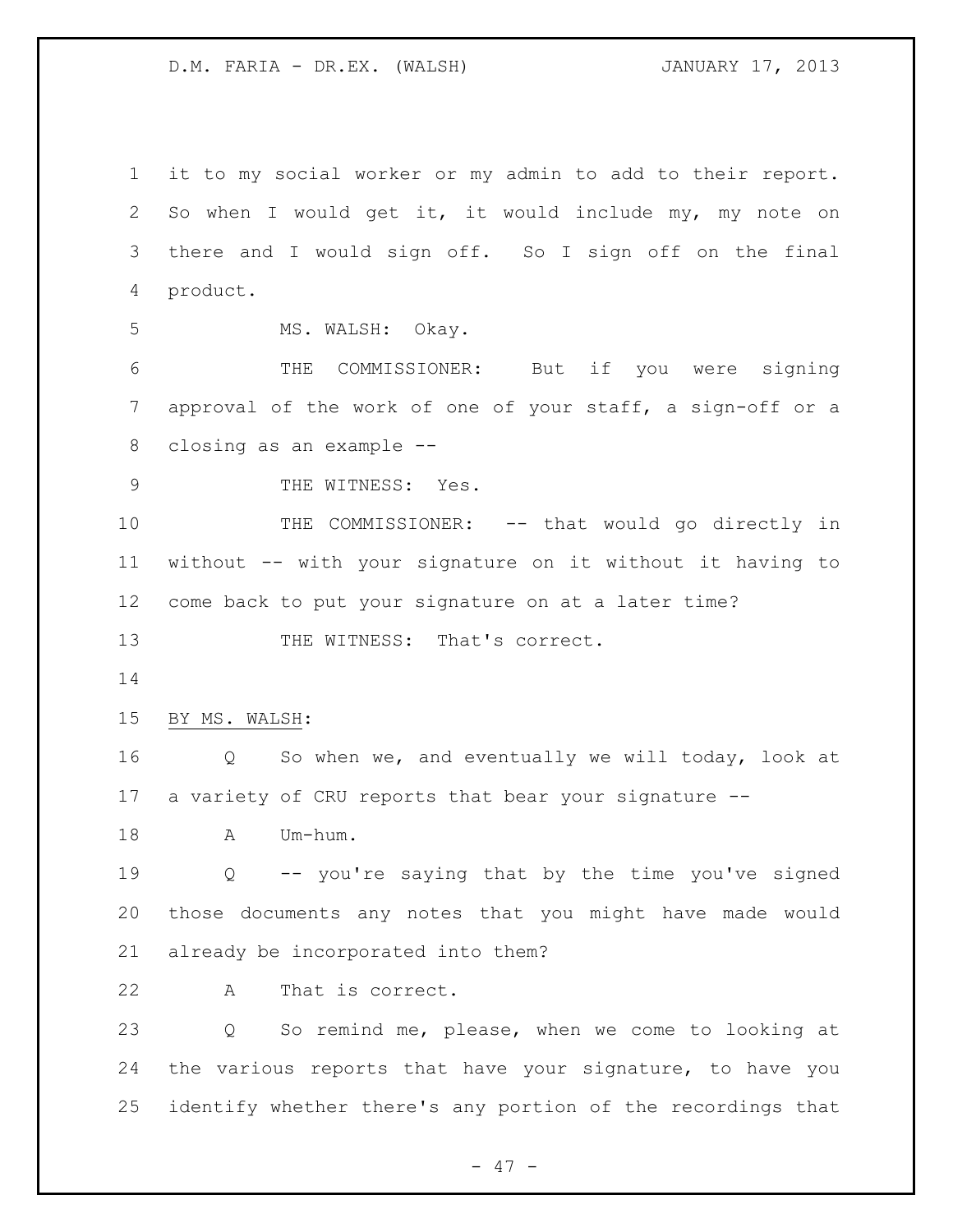it to my social worker or my admin to add to their report. So when I would get it, it would include my, my note on there and I would sign off. So I sign off on the final product. 5 MS. WALSH: Okay. THE COMMISSIONER: But if you were signing approval of the work of one of your staff, a sign-off or a closing as an example -- 9 THE WITNESS: Yes. 10 THE COMMISSIONER: -- that would go directly in without -- with your signature on it without it having to come back to put your signature on at a later time? 13 THE WITNESS: That's correct. BY MS. WALSH: Q So when we, and eventually we will today, look at a variety of CRU reports that bear your signature -- 18 A Um-hum. Q -- you're saying that by the time you've signed those documents any notes that you might have made would already be incorporated into them? A That is correct. Q So remind me, please, when we come to looking at the various reports that have your signature, to have you identify whether there's any portion of the recordings that

- 47 -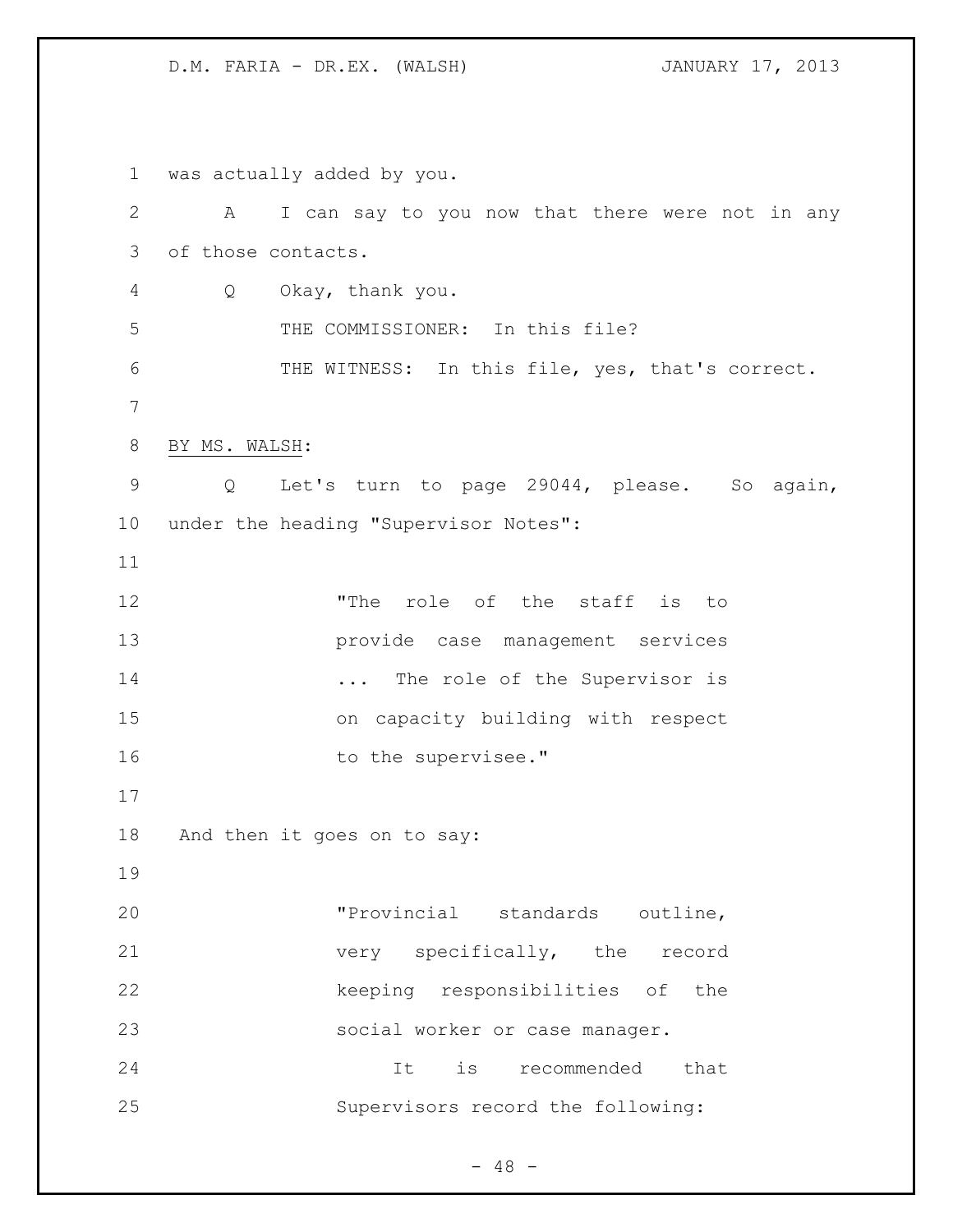was actually added by you. A I can say to you now that there were not in any of those contacts. Q Okay, thank you. THE COMMISSIONER: In this file? THE WITNESS: In this file, yes, that's correct. BY MS. WALSH: Q Let's turn to page 29044, please. So again, under the heading "Supervisor Notes": "The role of the staff is to provide case management services 14 ... The role of the Supervisor is on capacity building with respect 16 to the supervisee." And then it goes on to say: "Provincial standards outline, very specifically, the record keeping responsibilities of the social worker or case manager. It is recommended that Supervisors record the following:

 $- 48 -$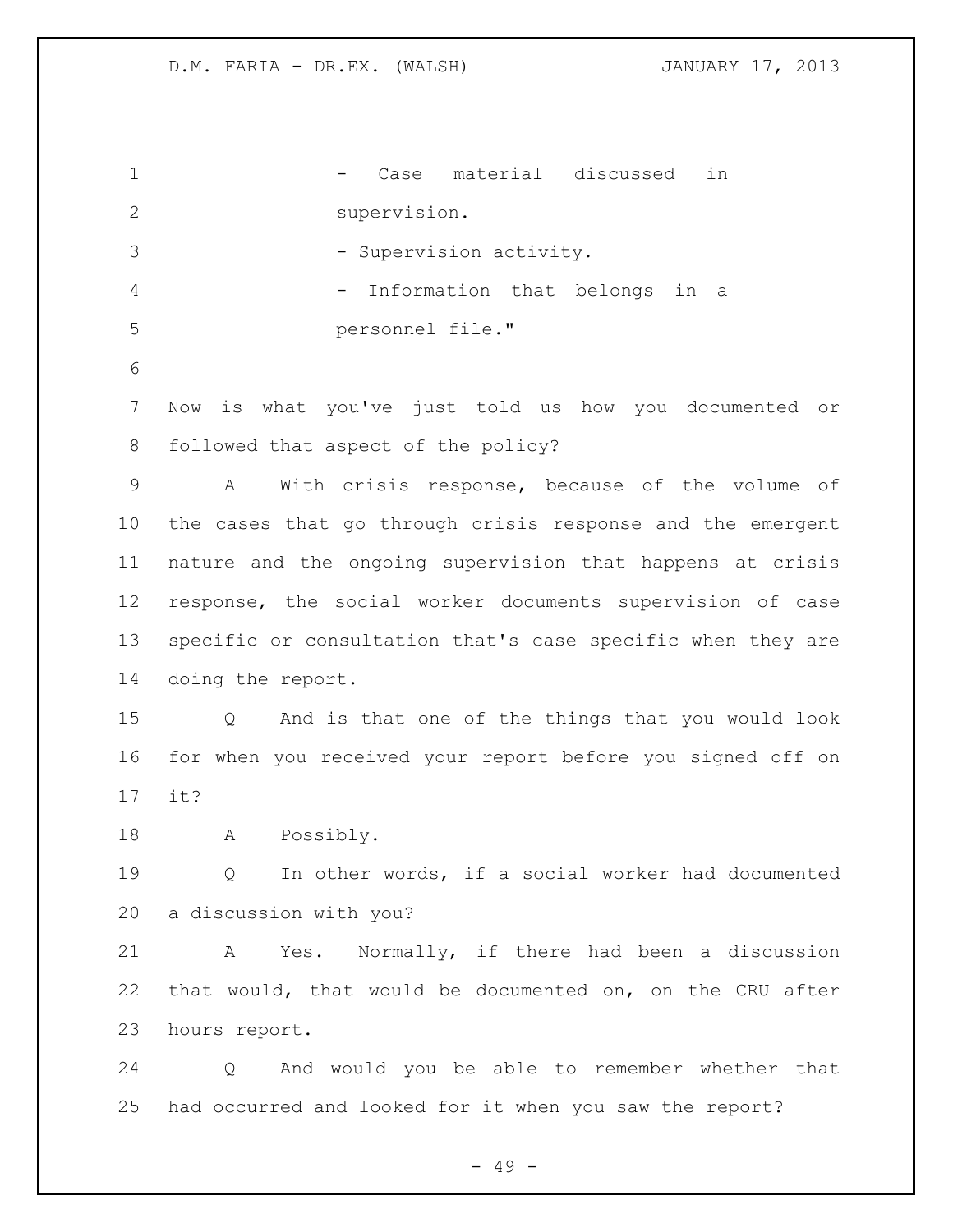1 - Case material discussed in supervision. 3 - Supervision activity. 4 - Information that belongs in a personnel file." Now is what you've just told us how you documented or followed that aspect of the policy? A With crisis response, because of the volume of the cases that go through crisis response and the emergent nature and the ongoing supervision that happens at crisis response, the social worker documents supervision of case specific or consultation that's case specific when they are doing the report. Q And is that one of the things that you would look for when you received your report before you signed off on it? A Possibly. Q In other words, if a social worker had documented a discussion with you? A Yes. Normally, if there had been a discussion that would, that would be documented on, on the CRU after hours report. Q And would you be able to remember whether that had occurred and looked for it when you saw the report?

- 49 -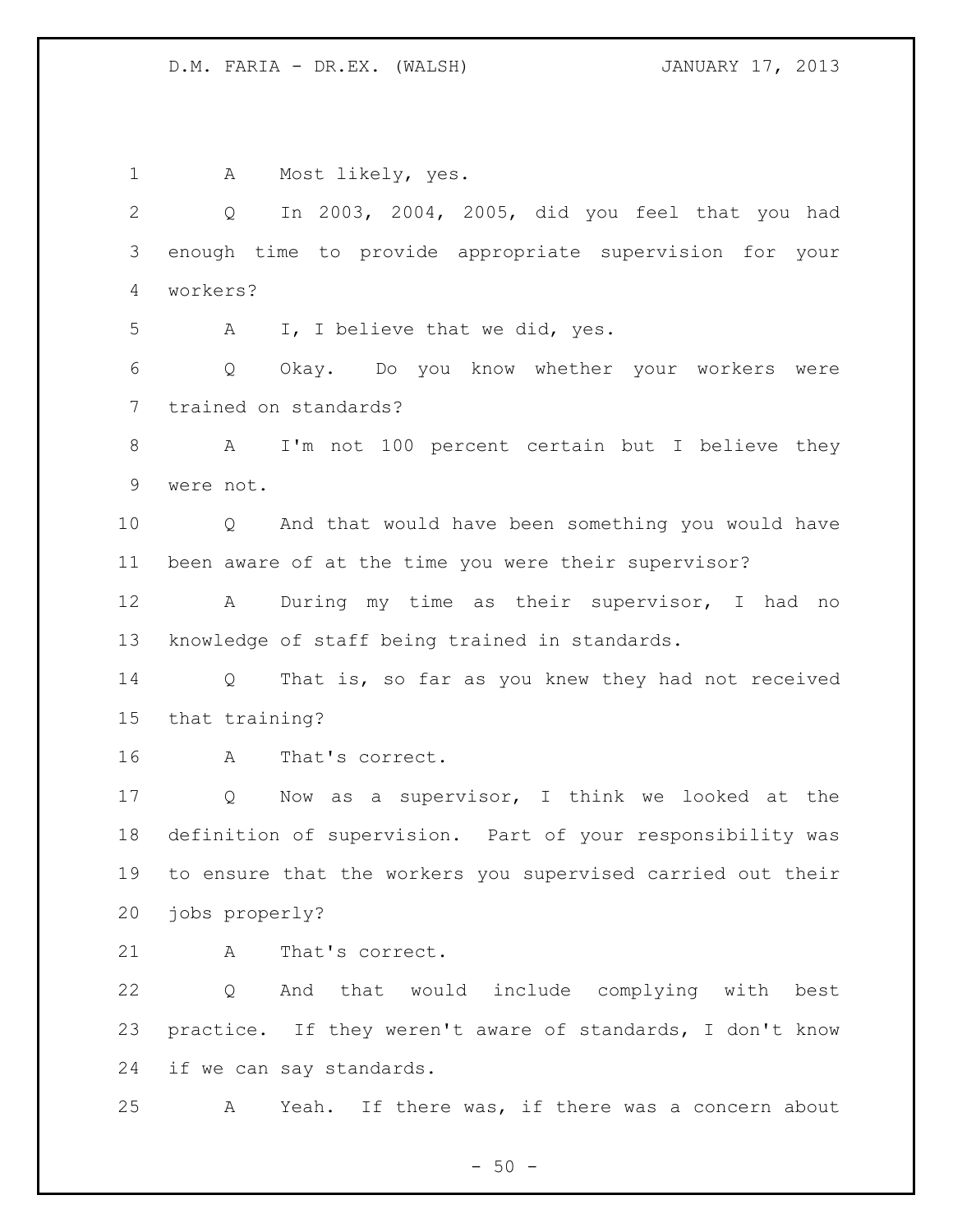A Most likely, yes. Q In 2003, 2004, 2005, did you feel that you had enough time to provide appropriate supervision for your workers? A I, I believe that we did, yes. Q Okay. Do you know whether your workers were trained on standards? A I'm not 100 percent certain but I believe they were not. Q And that would have been something you would have been aware of at the time you were their supervisor? A During my time as their supervisor, I had no knowledge of staff being trained in standards. Q That is, so far as you knew they had not received that training? A That's correct. Q Now as a supervisor, I think we looked at the definition of supervision. Part of your responsibility was to ensure that the workers you supervised carried out their jobs properly? 21 A That's correct. Q And that would include complying with best practice. If they weren't aware of standards, I don't know if we can say standards. A Yeah. If there was, if there was a concern about

 $-50 -$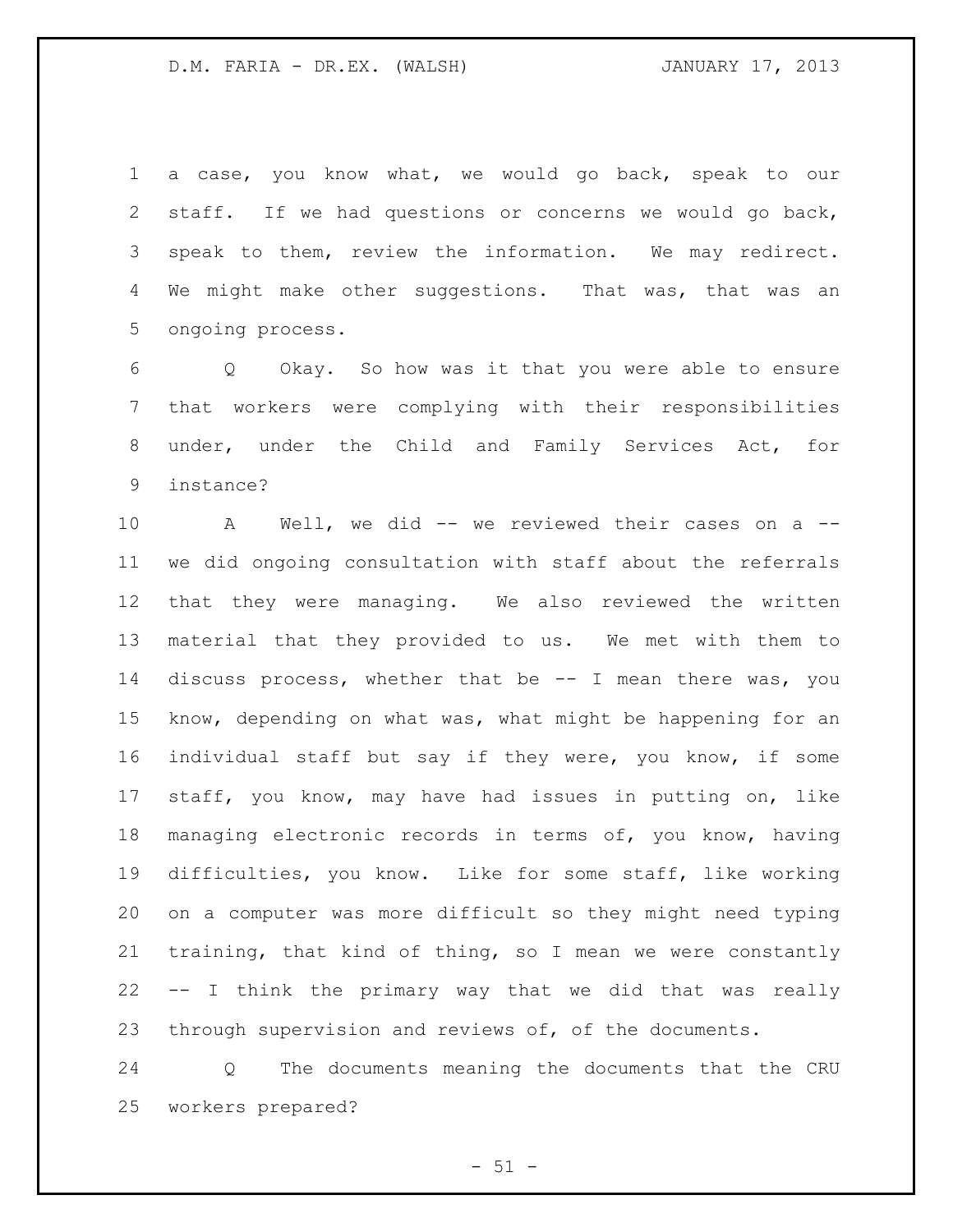a case, you know what, we would go back, speak to our staff. If we had questions or concerns we would go back, speak to them, review the information. We may redirect. 4 We might make other suggestions. That was, that was an ongoing process.

 Q Okay. So how was it that you were able to ensure that workers were complying with their responsibilities under, under the Child and Family Services Act, for instance?

 A Well, we did -- we reviewed their cases on a -- we did ongoing consultation with staff about the referrals that they were managing. We also reviewed the written material that they provided to us. We met with them to discuss process, whether that be -- I mean there was, you know, depending on what was, what might be happening for an individual staff but say if they were, you know, if some staff, you know, may have had issues in putting on, like managing electronic records in terms of, you know, having difficulties, you know. Like for some staff, like working on a computer was more difficult so they might need typing training, that kind of thing, so I mean we were constantly -- I think the primary way that we did that was really through supervision and reviews of, of the documents.

 Q The documents meaning the documents that the CRU workers prepared?

 $-51 -$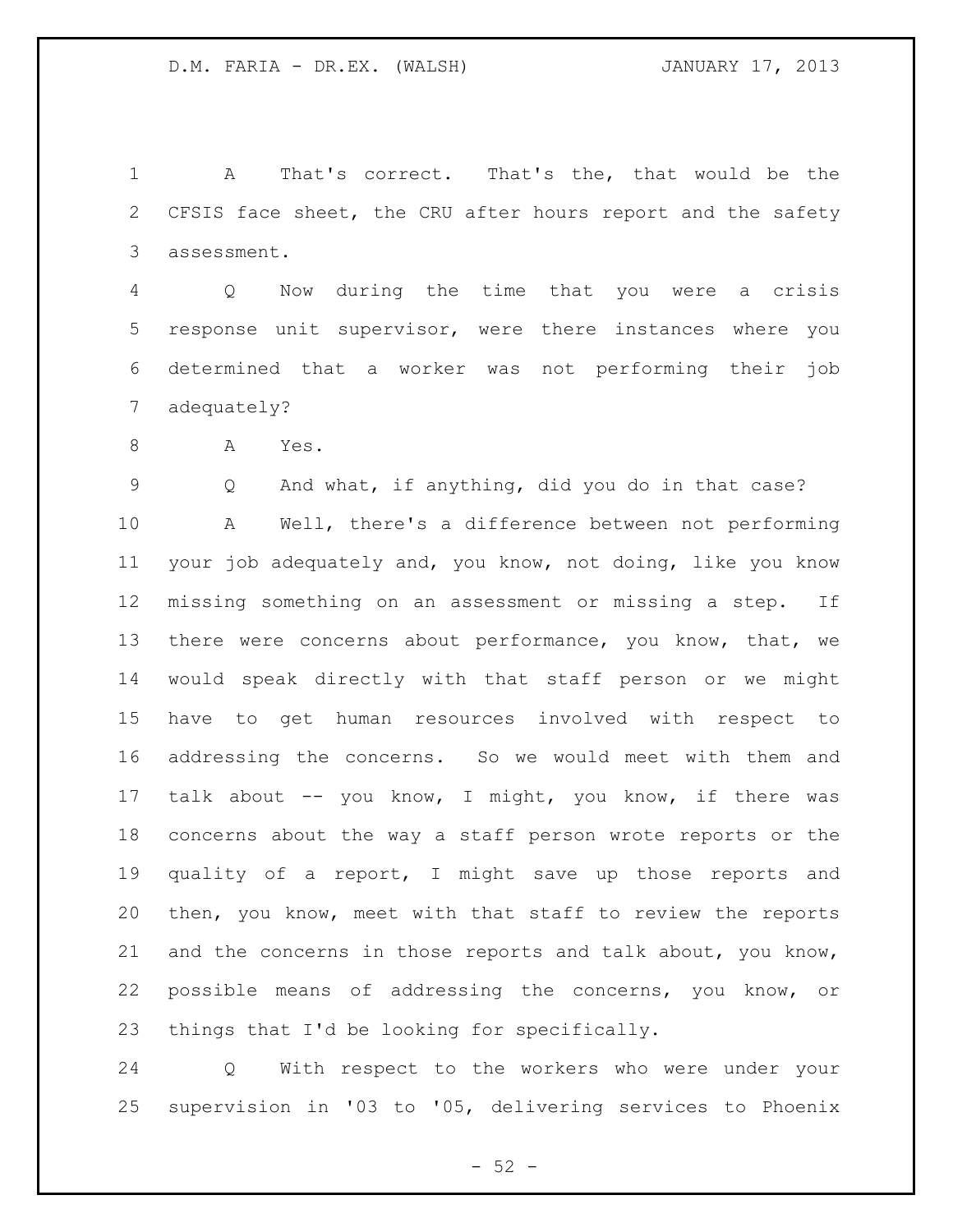A That's correct. That's the, that would be the CFSIS face sheet, the CRU after hours report and the safety assessment.

 Q Now during the time that you were a crisis response unit supervisor, were there instances where you determined that a worker was not performing their job adequately?

8 A Yes.

Q And what, if anything, did you do in that case?

 A Well, there's a difference between not performing your job adequately and, you know, not doing, like you know missing something on an assessment or missing a step. If 13 there were concerns about performance, you know, that, we would speak directly with that staff person or we might have to get human resources involved with respect to addressing the concerns. So we would meet with them and 17 talk about -- you know, I might, you know, if there was concerns about the way a staff person wrote reports or the quality of a report, I might save up those reports and then, you know, meet with that staff to review the reports and the concerns in those reports and talk about, you know, possible means of addressing the concerns, you know, or things that I'd be looking for specifically.

 Q With respect to the workers who were under your supervision in '03 to '05, delivering services to Phoenix

 $-52 -$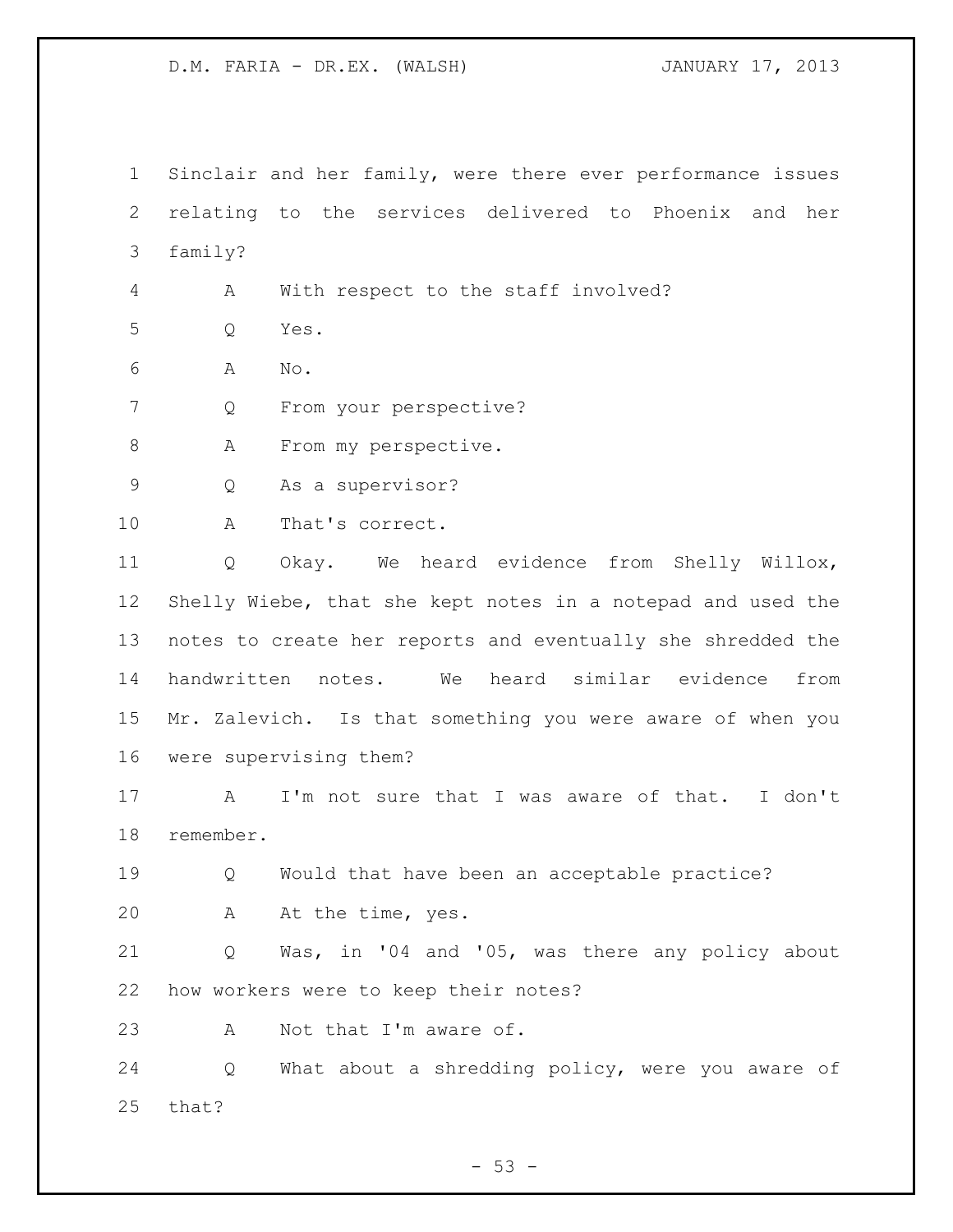Sinclair and her family, were there ever performance issues relating to the services delivered to Phoenix and her family?

A With respect to the staff involved?

Q Yes.

A No.

Q From your perspective?

8 A From my perspective.

Q As a supervisor?

A That's correct.

 Q Okay. We heard evidence from Shelly Willox, Shelly Wiebe, that she kept notes in a notepad and used the notes to create her reports and eventually she shredded the handwritten notes. We heard similar evidence from Mr. Zalevich. Is that something you were aware of when you were supervising them?

 A I'm not sure that I was aware of that. I don't remember.

 Q Would that have been an acceptable practice? A At the time, yes.

 Q Was, in '04 and '05, was there any policy about how workers were to keep their notes?

23 A Not that I'm aware of.

 Q What about a shredding policy, were you aware of that?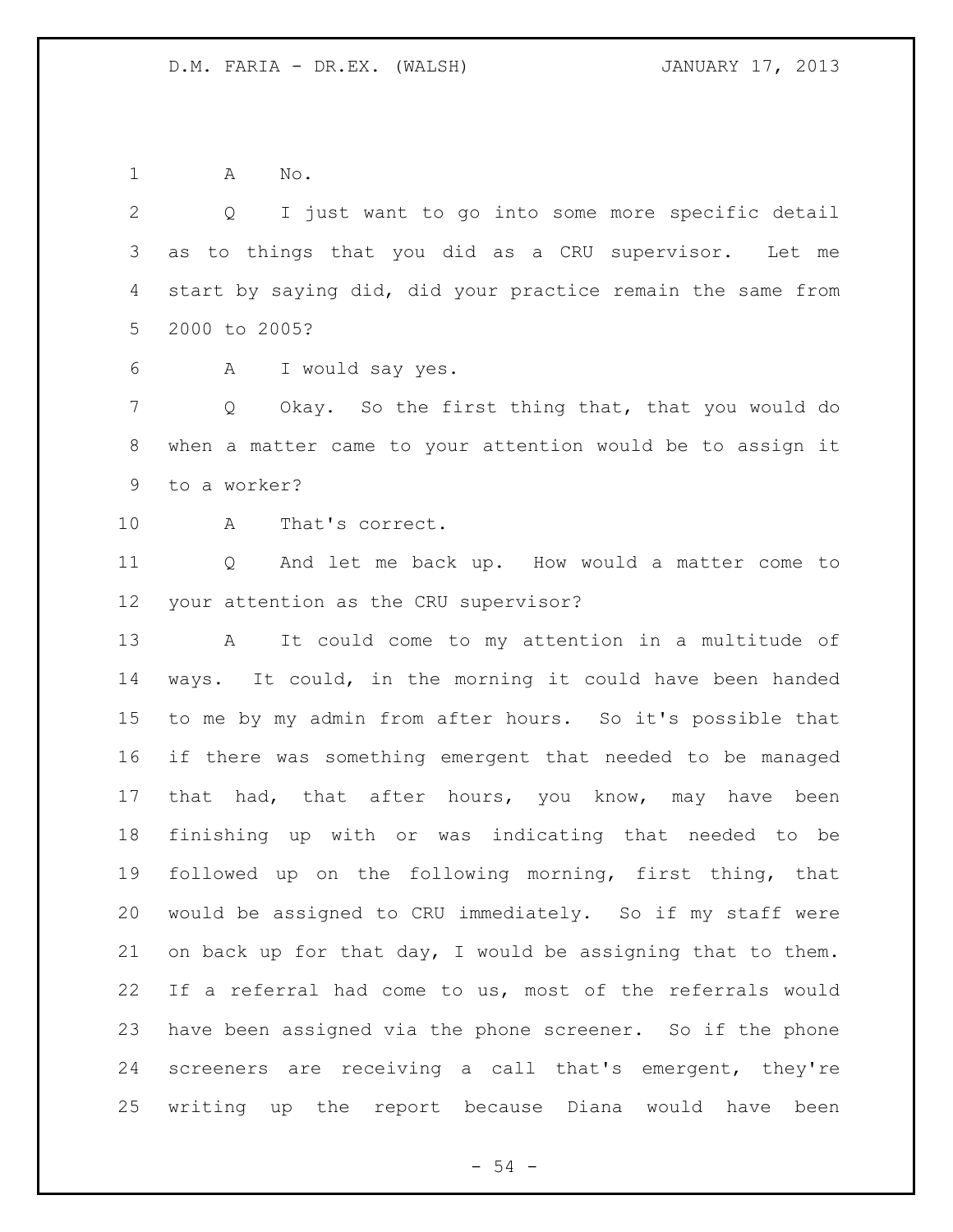A No.

 Q I just want to go into some more specific detail as to things that you did as a CRU supervisor. Let me start by saying did, did your practice remain the same from 2000 to 2005?

A I would say yes.

 Q Okay. So the first thing that, that you would do when a matter came to your attention would be to assign it to a worker?

A That's correct.

 Q And let me back up. How would a matter come to your attention as the CRU supervisor?

 A It could come to my attention in a multitude of ways. It could, in the morning it could have been handed to me by my admin from after hours. So it's possible that if there was something emergent that needed to be managed 17 that had, that after hours, you know, may have been finishing up with or was indicating that needed to be followed up on the following morning, first thing, that would be assigned to CRU immediately. So if my staff were on back up for that day, I would be assigning that to them. If a referral had come to us, most of the referrals would have been assigned via the phone screener. So if the phone screeners are receiving a call that's emergent, they're writing up the report because Diana would have been

 $-54 -$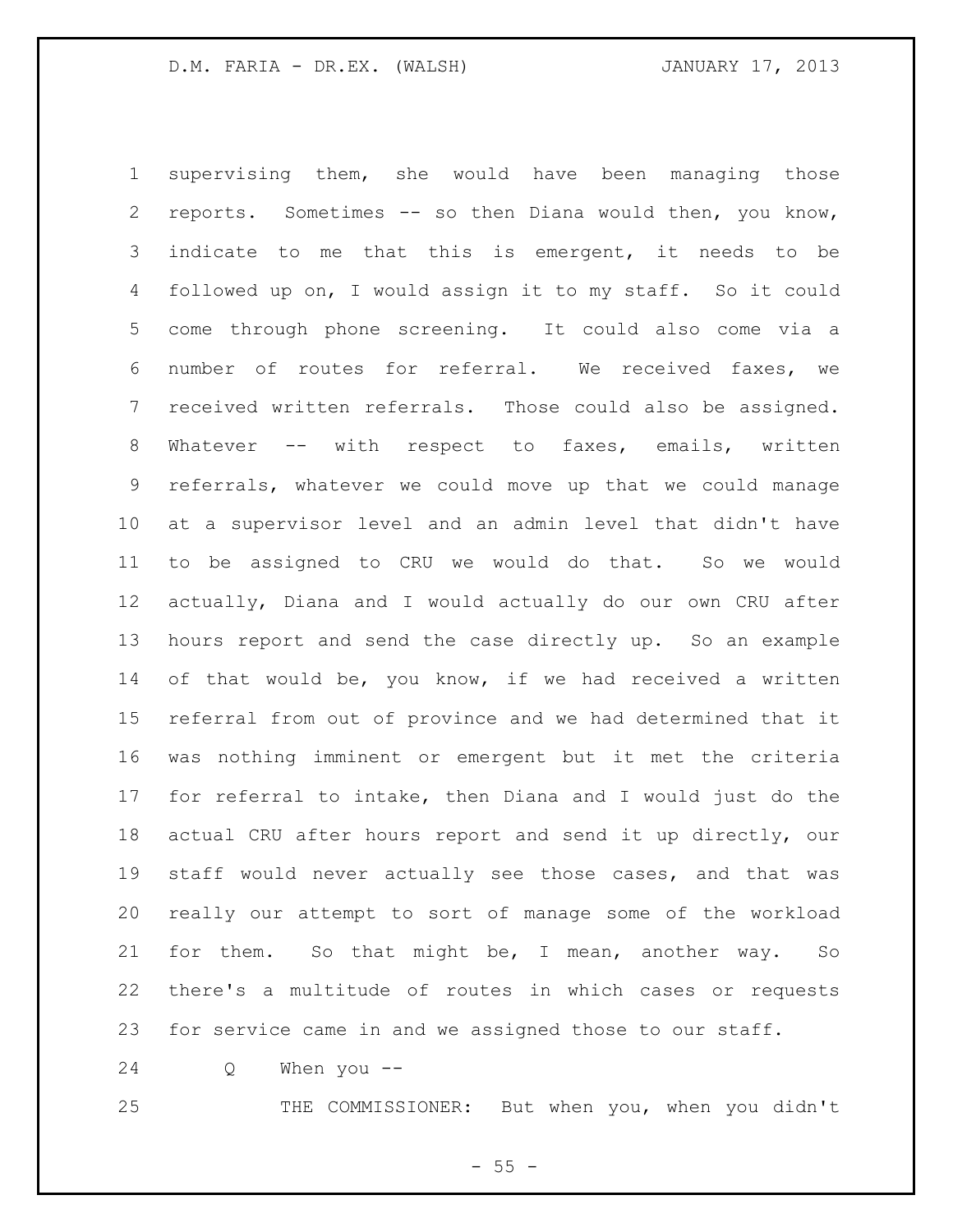supervising them, she would have been managing those reports. Sometimes -- so then Diana would then, you know, indicate to me that this is emergent, it needs to be followed up on, I would assign it to my staff. So it could come through phone screening. It could also come via a number of routes for referral. We received faxes, we received written referrals. Those could also be assigned. Whatever -- with respect to faxes, emails, written referrals, whatever we could move up that we could manage at a supervisor level and an admin level that didn't have to be assigned to CRU we would do that. So we would actually, Diana and I would actually do our own CRU after hours report and send the case directly up. So an example of that would be, you know, if we had received a written referral from out of province and we had determined that it was nothing imminent or emergent but it met the criteria for referral to intake, then Diana and I would just do the actual CRU after hours report and send it up directly, our staff would never actually see those cases, and that was really our attempt to sort of manage some of the workload for them. So that might be, I mean, another way. So there's a multitude of routes in which cases or requests for service came in and we assigned those to our staff.

Q When you --

THE COMMISSIONER: But when you, when you didn't

 $- 55 -$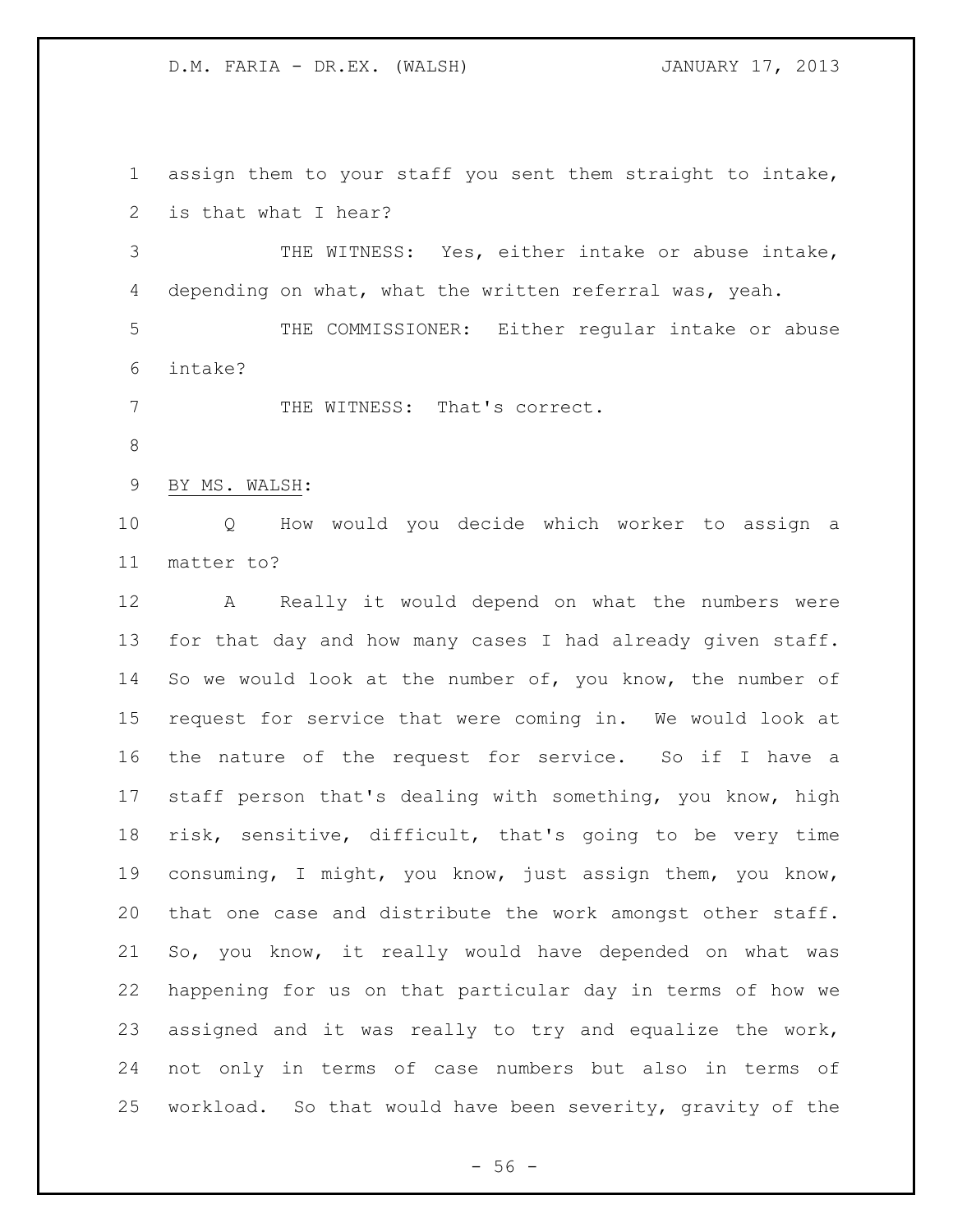assign them to your staff you sent them straight to intake, is that what I hear?

 THE WITNESS: Yes, either intake or abuse intake, depending on what, what the written referral was, yeah.

 THE COMMISSIONER: Either regular intake or abuse intake?

7 THE WITNESS: That's correct.

BY MS. WALSH:

 Q How would you decide which worker to assign a matter to?

 A Really it would depend on what the numbers were for that day and how many cases I had already given staff. 14 So we would look at the number of, you know, the number of request for service that were coming in. We would look at the nature of the request for service. So if I have a staff person that's dealing with something, you know, high risk, sensitive, difficult, that's going to be very time consuming, I might, you know, just assign them, you know, that one case and distribute the work amongst other staff. So, you know, it really would have depended on what was happening for us on that particular day in terms of how we assigned and it was really to try and equalize the work, not only in terms of case numbers but also in terms of workload. So that would have been severity, gravity of the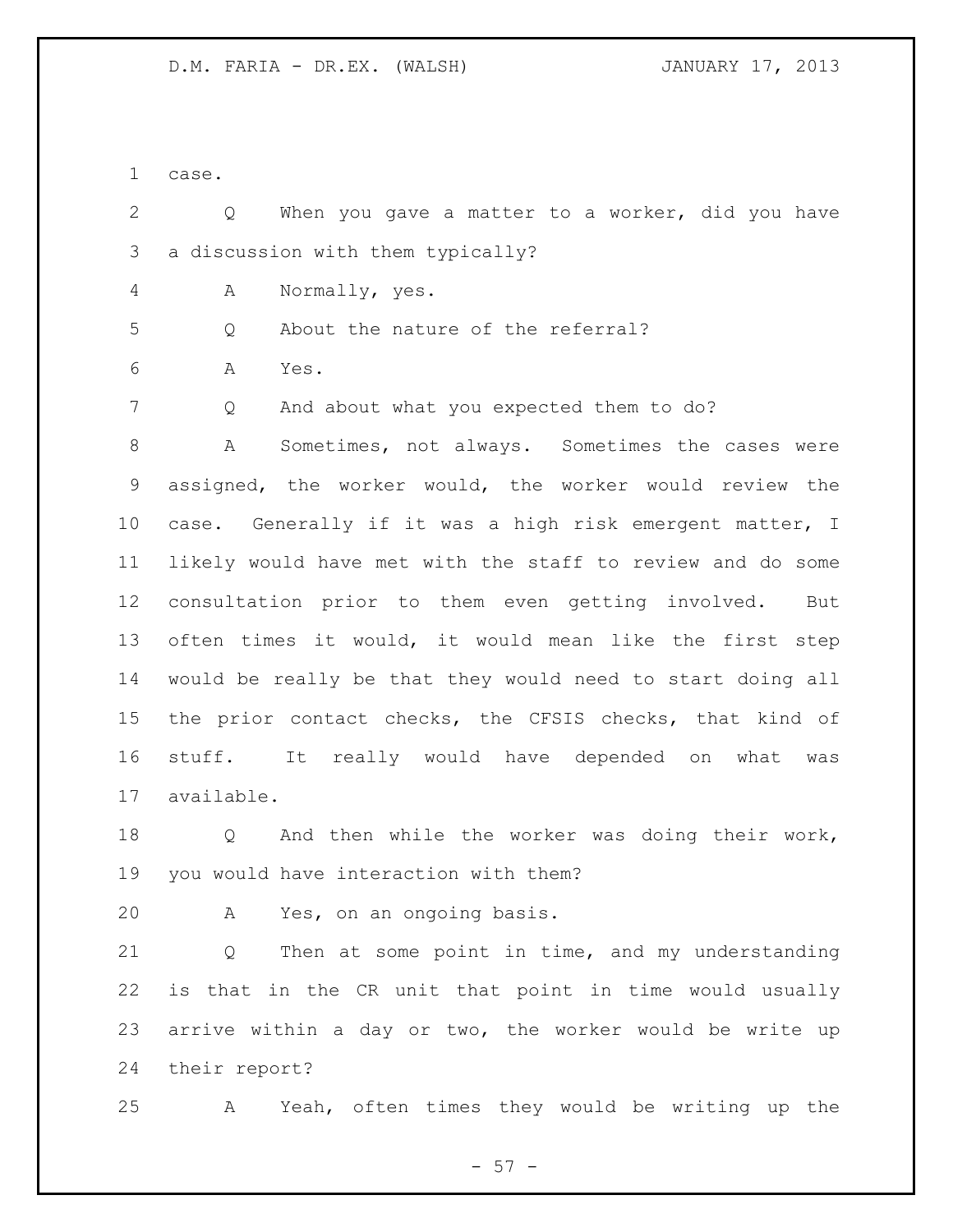case.

 Q When you gave a matter to a worker, did you have a discussion with them typically?

A Normally, yes.

Q About the nature of the referral?

A Yes.

7 Q And about what you expected them to do?

 A Sometimes, not always. Sometimes the cases were assigned, the worker would, the worker would review the case. Generally if it was a high risk emergent matter, I likely would have met with the staff to review and do some consultation prior to them even getting involved. But often times it would, it would mean like the first step would be really be that they would need to start doing all the prior contact checks, the CFSIS checks, that kind of stuff. It really would have depended on what was available.

 Q And then while the worker was doing their work, you would have interaction with them?

A Yes, on an ongoing basis.

 Q Then at some point in time, and my understanding is that in the CR unit that point in time would usually arrive within a day or two, the worker would be write up their report?

A Yeah, often times they would be writing up the

 $- 57 -$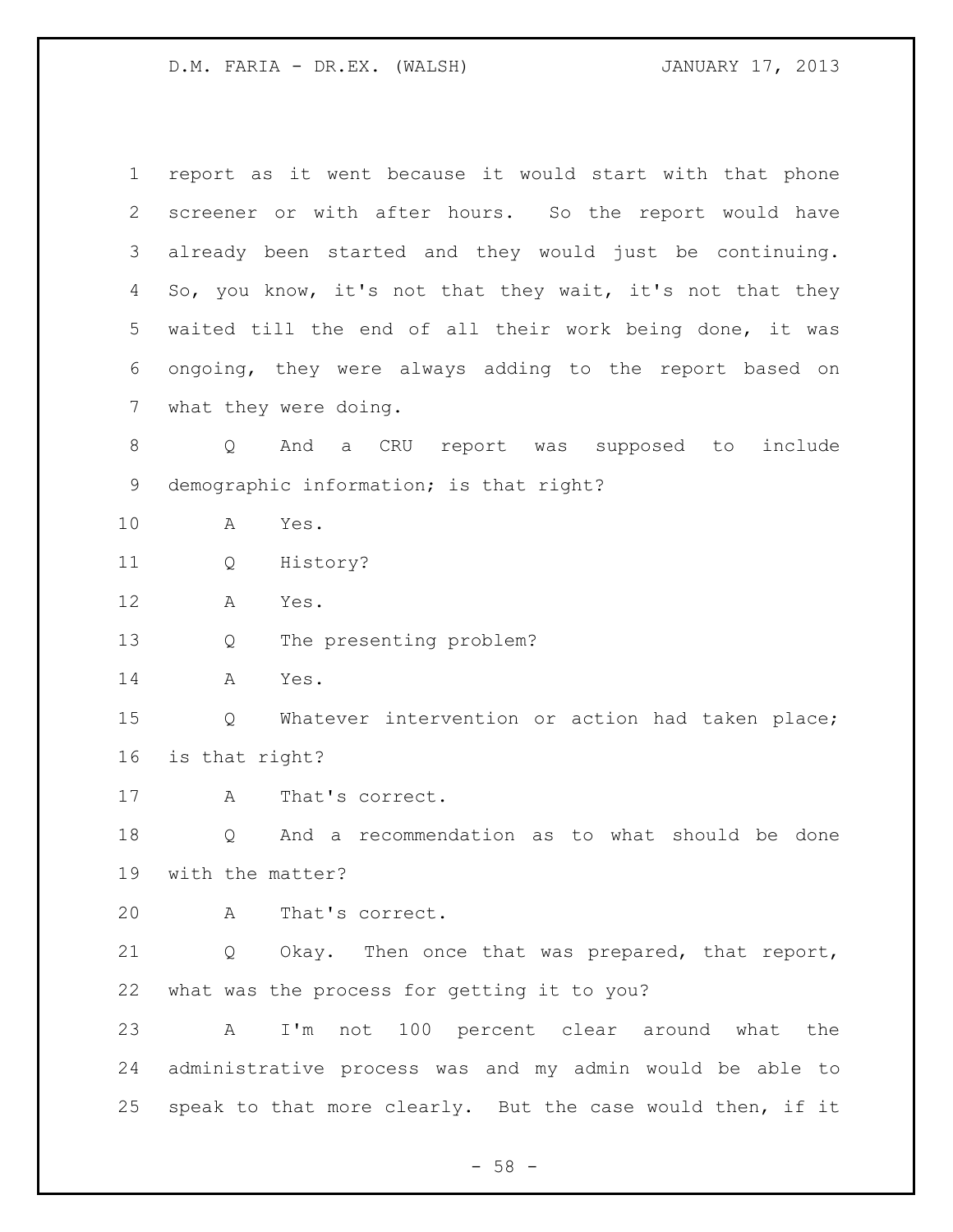| $\mathbf 1$    | report as it went because it would start with that phone   |
|----------------|------------------------------------------------------------|
| 2              | screener or with after hours. So the report would have     |
| 3              | already been started and they would just be continuing.    |
| 4              | So, you know, it's not that they wait, it's not that they  |
| 5              | waited till the end of all their work being done, it was   |
| 6              | ongoing, they were always adding to the report based on    |
| $\overline{7}$ | what they were doing.                                      |
| $8\,$          | And a CRU report was supposed to<br>include<br>Q           |
| 9              | demographic information; is that right?                    |
| 10             | Yes.<br>A                                                  |
| 11             | History?<br>Q                                              |
| 12             | Α<br>Yes.                                                  |
| 13             | The presenting problem?<br>Q                               |
| 14             | Yes.<br>A                                                  |
| 15             | Whatever intervention or action had taken place;<br>Q      |
| 16             | is that right?                                             |
| 17             | That's correct.<br>Α                                       |
| 18             | And a recommendation as to what should be done<br>Q        |
| 19             | with the matter?                                           |
| 20             | That's correct.<br>A                                       |
| 21             | Q Okay. Then once that was prepared, that report,          |
| 22             | what was the process for getting it to you?                |
| 23             | I'm not 100 percent clear around what the<br>$\mathbf{A}$  |
| 24             | administrative process was and my admin would be able to   |
| 25             | speak to that more clearly. But the case would then, if it |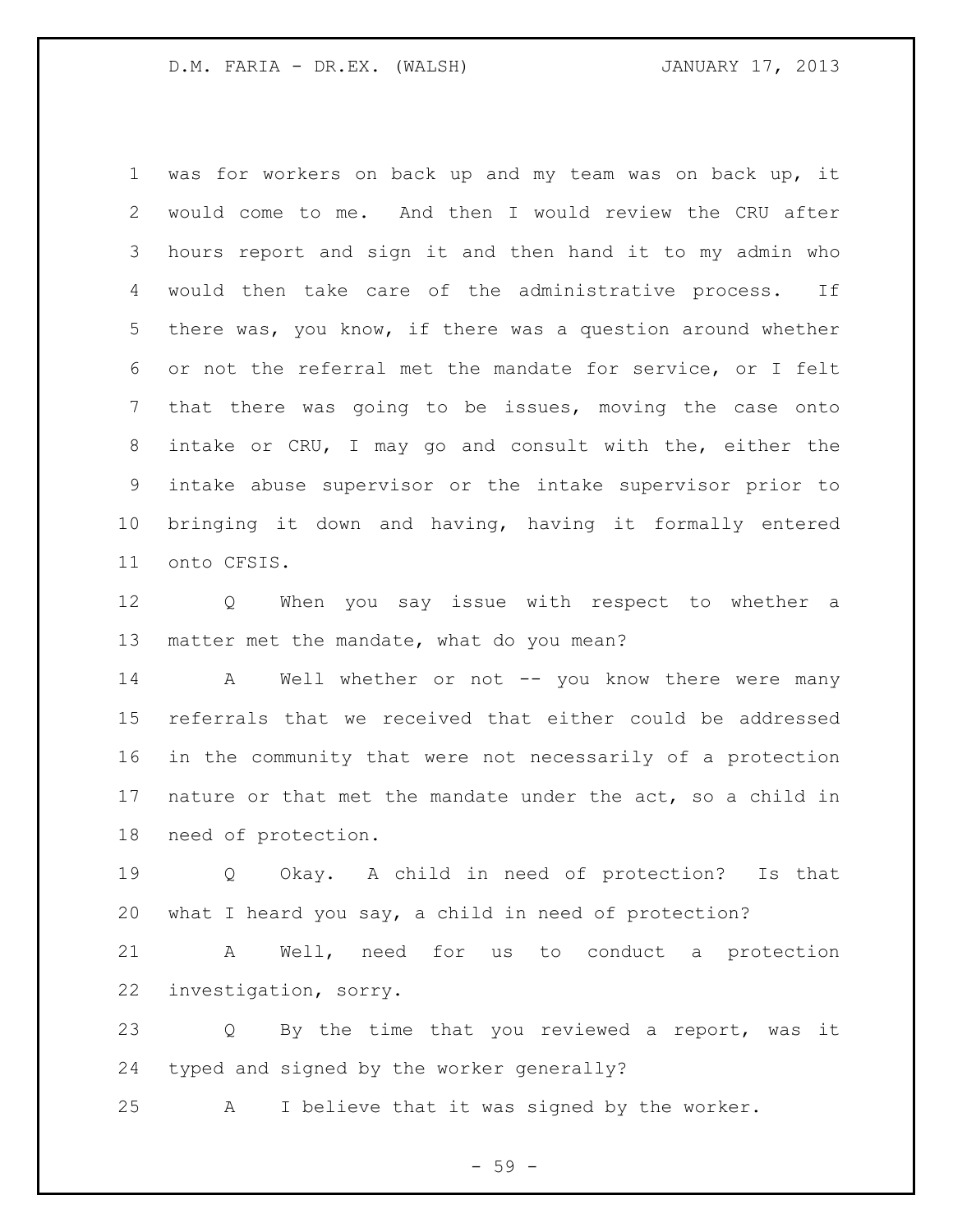was for workers on back up and my team was on back up, it would come to me. And then I would review the CRU after hours report and sign it and then hand it to my admin who would then take care of the administrative process. If there was, you know, if there was a question around whether or not the referral met the mandate for service, or I felt that there was going to be issues, moving the case onto intake or CRU, I may go and consult with the, either the intake abuse supervisor or the intake supervisor prior to bringing it down and having, having it formally entered onto CFSIS.

 Q When you say issue with respect to whether a matter met the mandate, what do you mean?

14 A Well whether or not -- you know there were many referrals that we received that either could be addressed in the community that were not necessarily of a protection nature or that met the mandate under the act, so a child in need of protection.

 Q Okay. A child in need of protection? Is that what I heard you say, a child in need of protection?

 A Well, need for us to conduct a protection investigation, sorry.

 Q By the time that you reviewed a report, was it typed and signed by the worker generally?

A I believe that it was signed by the worker.

 $-59 -$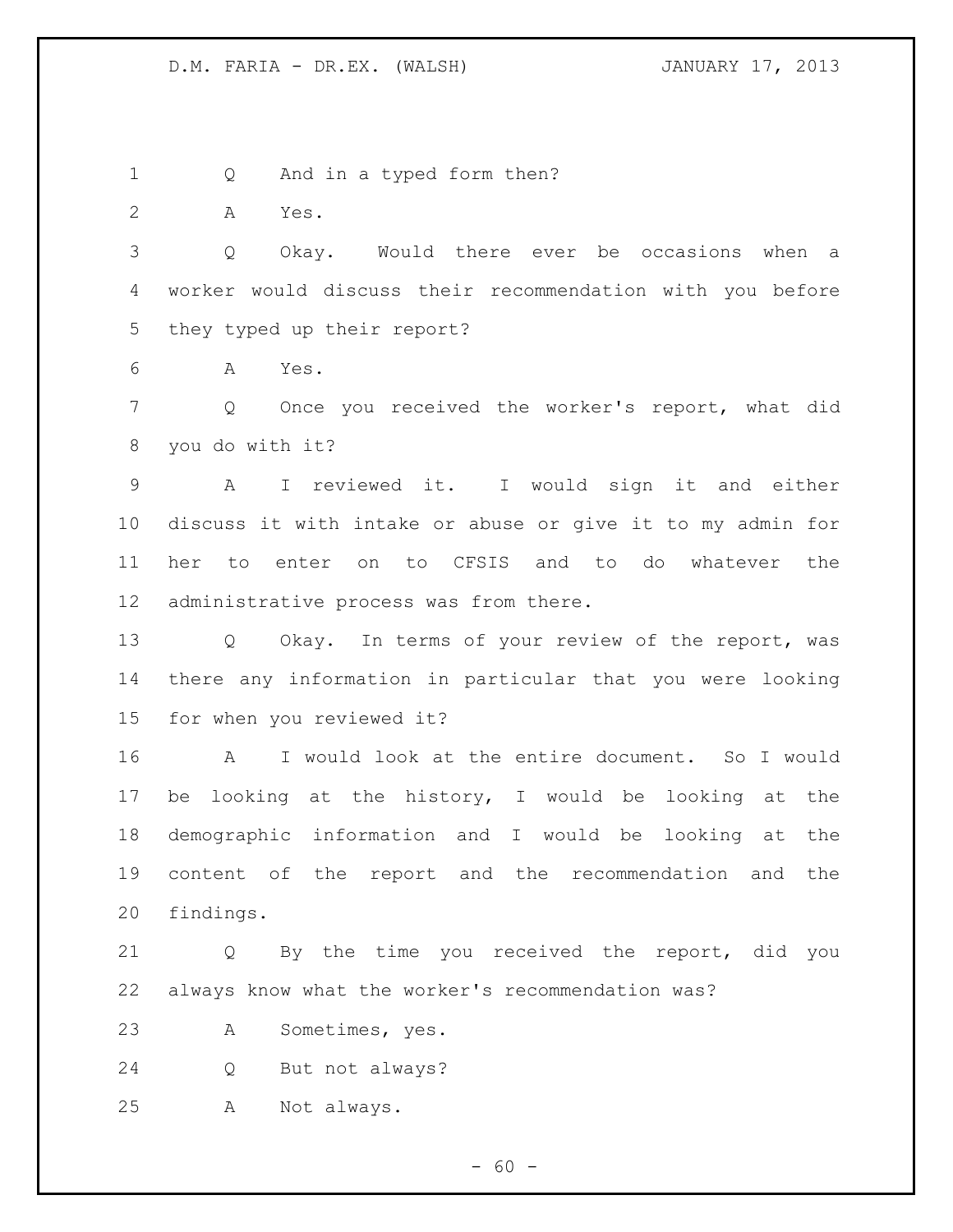Q And in a typed form then?

A Yes.

 Q Okay. Would there ever be occasions when a worker would discuss their recommendation with you before they typed up their report?

A Yes.

 Q Once you received the worker's report, what did you do with it?

 A I reviewed it. I would sign it and either discuss it with intake or abuse or give it to my admin for her to enter on to CFSIS and to do whatever the administrative process was from there.

 Q Okay. In terms of your review of the report, was there any information in particular that you were looking for when you reviewed it?

 A I would look at the entire document. So I would be looking at the history, I would be looking at the demographic information and I would be looking at the content of the report and the recommendation and the findings.

 Q By the time you received the report, did you always know what the worker's recommendation was?

A Sometimes, yes.

Q But not always?

A Not always.

 $- 60 -$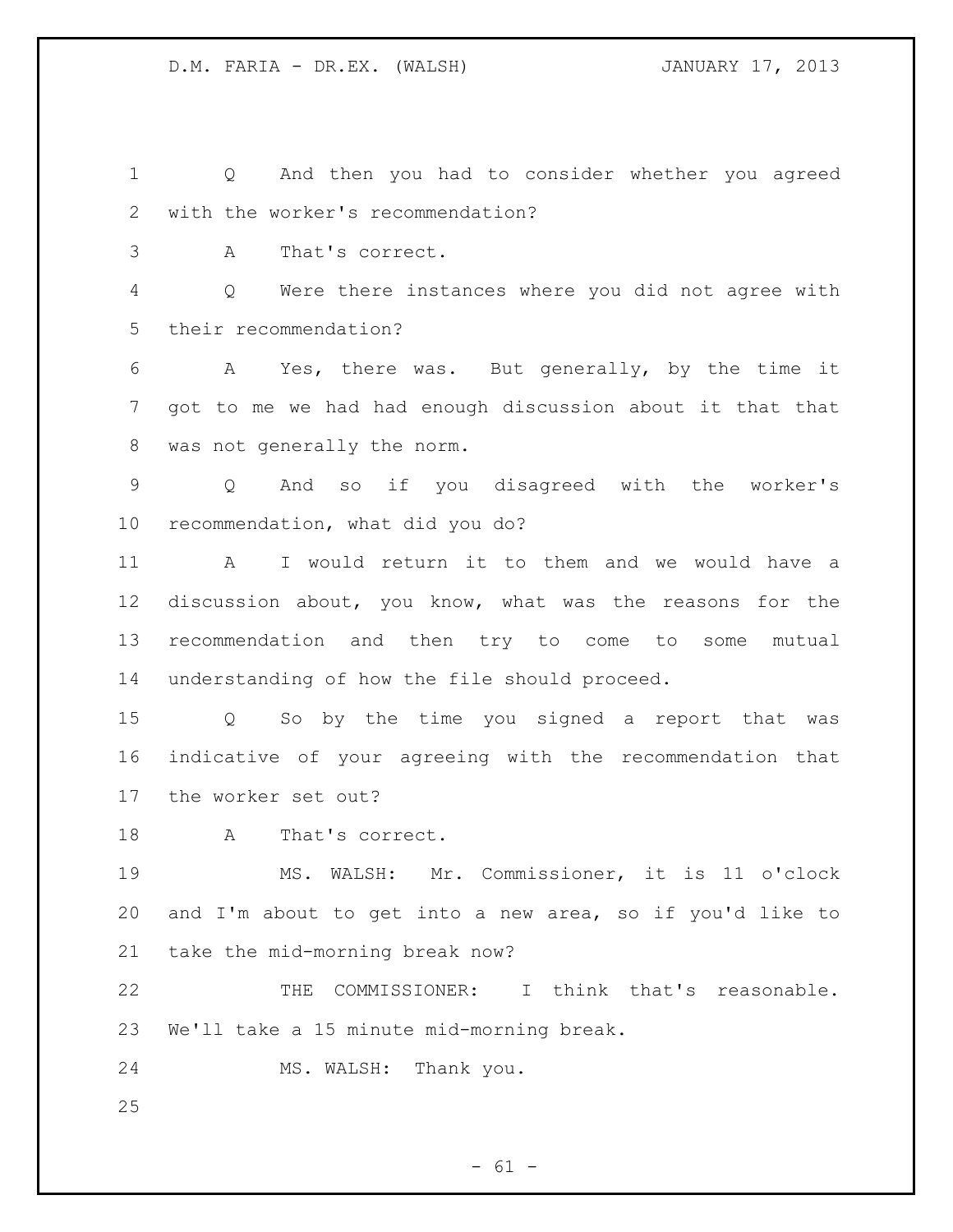Q And then you had to consider whether you agreed with the worker's recommendation?

A That's correct.

 Q Were there instances where you did not agree with their recommendation?

 A Yes, there was. But generally, by the time it got to me we had had enough discussion about it that that was not generally the norm.

 Q And so if you disagreed with the worker's recommendation, what did you do?

 A I would return it to them and we would have a discussion about, you know, what was the reasons for the recommendation and then try to come to some mutual understanding of how the file should proceed.

 Q So by the time you signed a report that was indicative of your agreeing with the recommendation that the worker set out?

18 A That's correct.

 MS. WALSH: Mr. Commissioner, it is 11 o'clock and I'm about to get into a new area, so if you'd like to take the mid-morning break now?

 THE COMMISSIONER: I think that's reasonable. We'll take a 15 minute mid-morning break.

MS. WALSH: Thank you.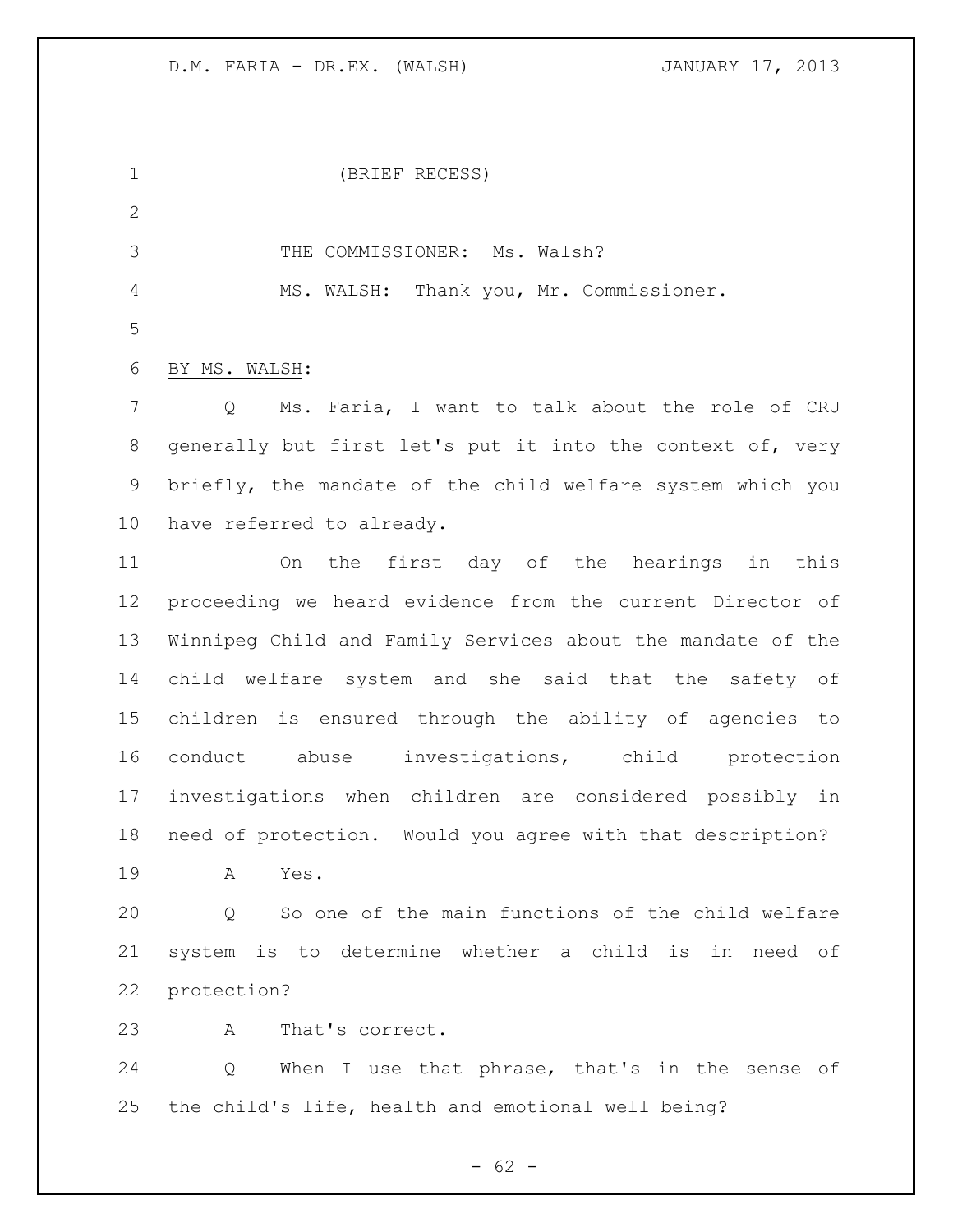$- 62 -$  (BRIEF RECESS) 3 THE COMMISSIONER: Ms. Walsh? MS. WALSH: Thank you, Mr. Commissioner. BY MS. WALSH: Q Ms. Faria, I want to talk about the role of CRU generally but first let's put it into the context of, very briefly, the mandate of the child welfare system which you have referred to already. On the first day of the hearings in this proceeding we heard evidence from the current Director of Winnipeg Child and Family Services about the mandate of the child welfare system and she said that the safety of children is ensured through the ability of agencies to conduct abuse investigations, child protection investigations when children are considered possibly in need of protection. Would you agree with that description? A Yes. Q So one of the main functions of the child welfare system is to determine whether a child is in need of protection? A That's correct. Q When I use that phrase, that's in the sense of the child's life, health and emotional well being?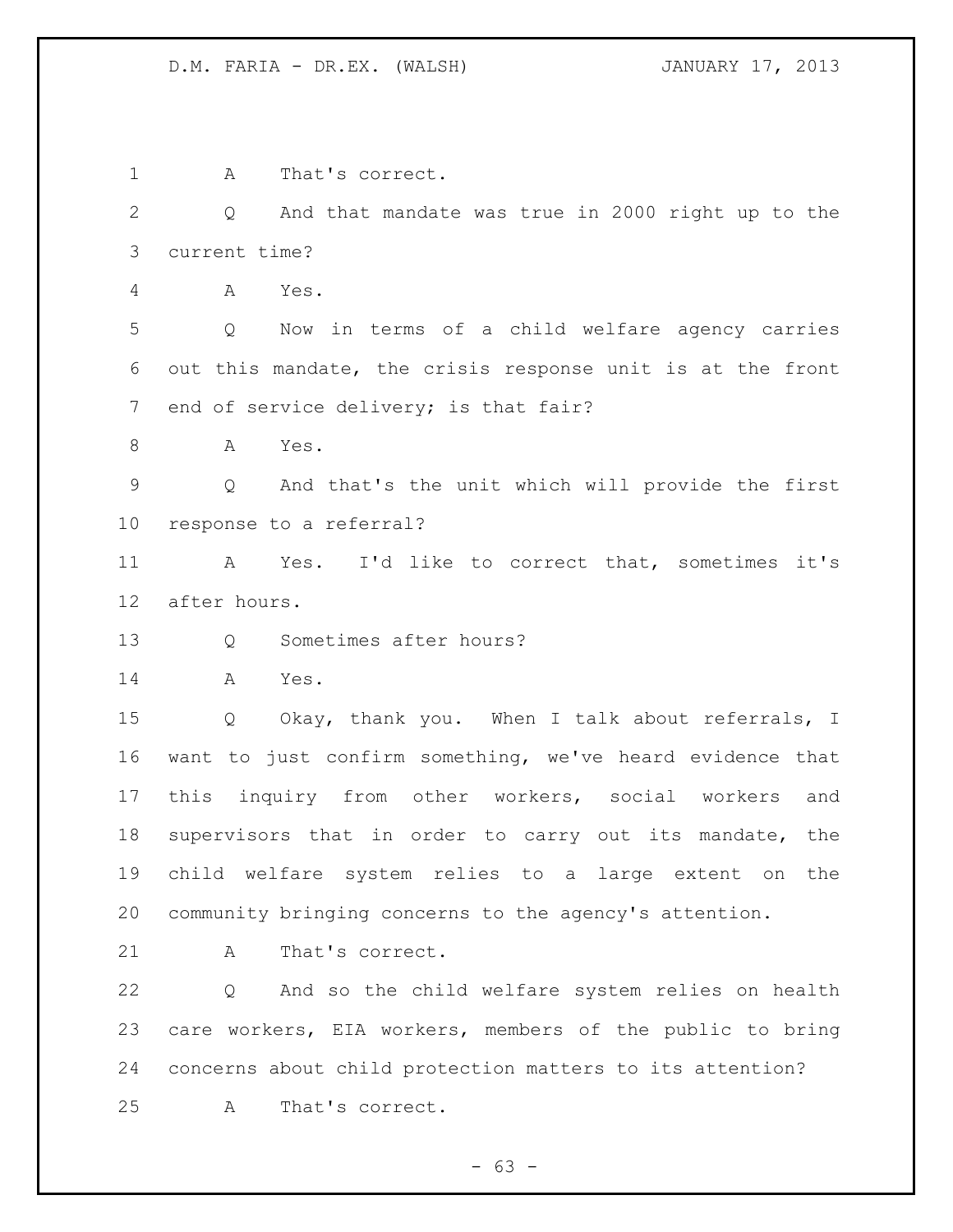A That's correct. Q And that mandate was true in 2000 right up to the current time? A Yes. Q Now in terms of a child welfare agency carries out this mandate, the crisis response unit is at the front end of service delivery; is that fair? A Yes. Q And that's the unit which will provide the first response to a referral? A Yes. I'd like to correct that, sometimes it's after hours. Q Sometimes after hours? A Yes. Q Okay, thank you. When I talk about referrals, I want to just confirm something, we've heard evidence that this inquiry from other workers, social workers and supervisors that in order to carry out its mandate, the child welfare system relies to a large extent on the community bringing concerns to the agency's attention. 21 A That's correct. Q And so the child welfare system relies on health care workers, EIA workers, members of the public to bring concerns about child protection matters to its attention? A That's correct.

 $- 63 -$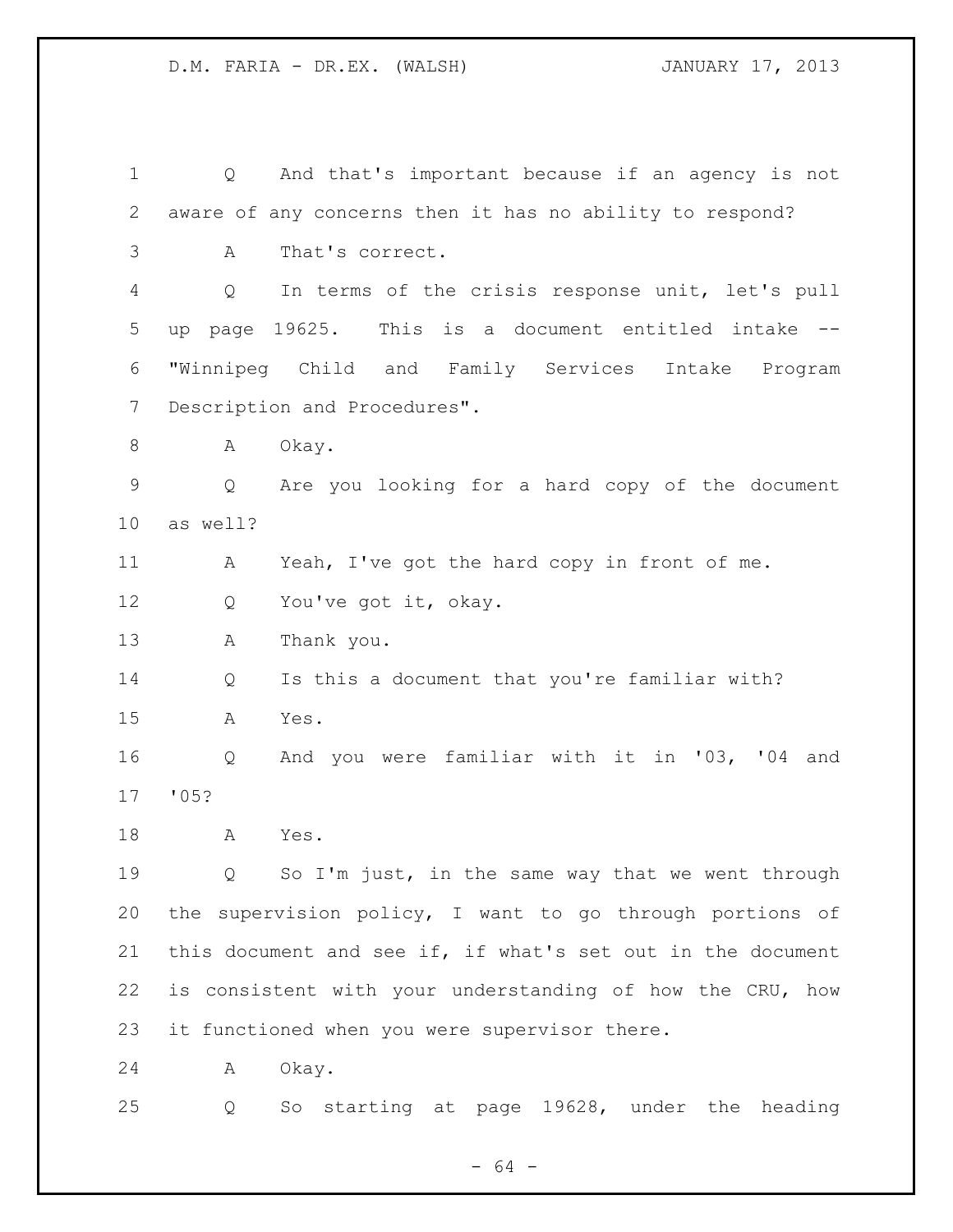Q And that's important because if an agency is not aware of any concerns then it has no ability to respond? A That's correct. Q In terms of the crisis response unit, let's pull up page 19625. This is a document entitled intake -- "Winnipeg Child and Family Services Intake Program Description and Procedures". 8 A Okay. Q Are you looking for a hard copy of the document as well? A Yeah, I've got the hard copy in front of me. 12 Q You've got it, okay. A Thank you. Q Is this a document that you're familiar with? A Yes. Q And you were familiar with it in '03, '04 and '05? A Yes. Q So I'm just, in the same way that we went through the supervision policy, I want to go through portions of this document and see if, if what's set out in the document is consistent with your understanding of how the CRU, how it functioned when you were supervisor there. A Okay.

Q So starting at page 19628, under the heading

- 64 -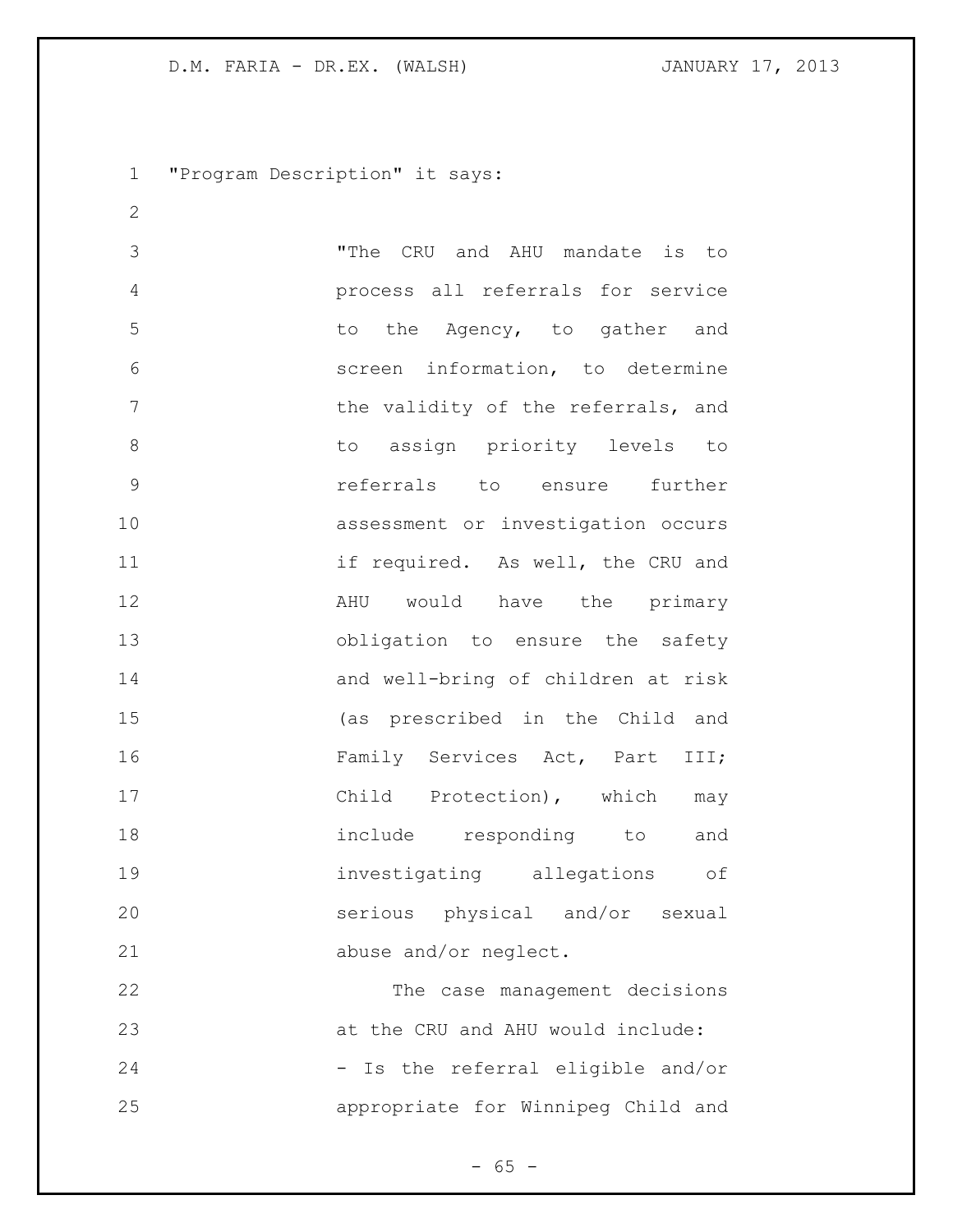"Program Description" it says:

 "The CRU and AHU mandate is to process all referrals for service 5 to the Agency, to gather and screen information, to determine 7 the validity of the referrals, and 8 to assign priority levels to referrals to ensure further assessment or investigation occurs 11 if required. As well, the CRU and **AHU** would have the primary obligation to ensure the safety and well-bring of children at risk (as prescribed in the Child and 16 Family Services Act, Part III; 17 Child Protection), which may include responding to and investigating allegations of serious physical and/or sexual abuse and/or neglect. The case management decisions

24 - Is the referral eligible and/or appropriate for Winnipeg Child and

at the CRU and AHU would include:

 $- 65 -$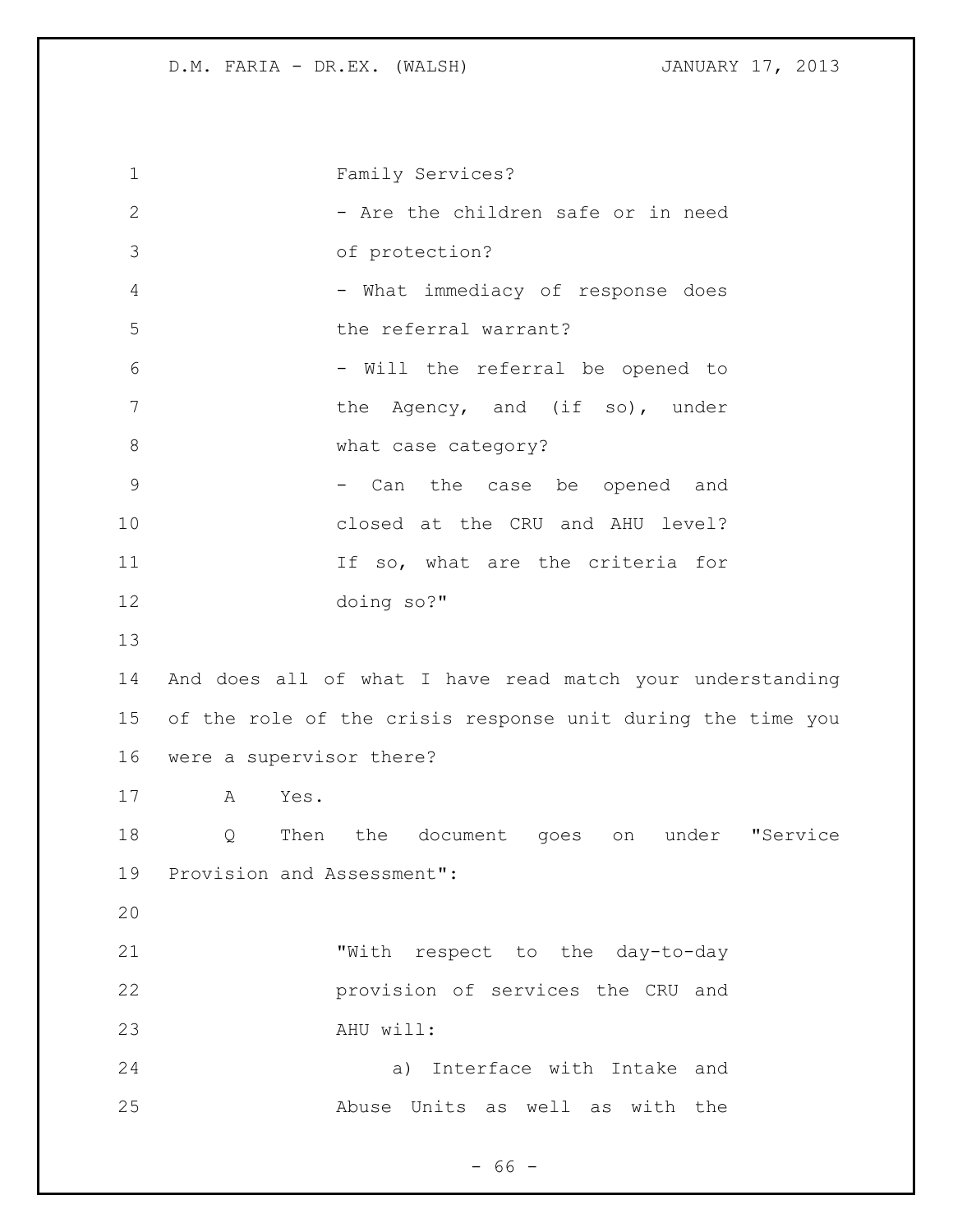Family Services? 2 - Are the children safe or in need of protection? 4 - What immediacy of response does the referral warrant? - Will the referral be opened to 7 the Agency, and (if so), under 8 what case category? 9 - Can the case be opened and closed at the CRU and AHU level? 11 11 If so, what are the criteria for doing so?" And does all of what I have read match your understanding of the role of the crisis response unit during the time you were a supervisor there? A Yes. Q Then the document goes on under "Service Provision and Assessment": "With respect to the day-to-day provision of services the CRU and AHU will: a) Interface with Intake and Abuse Units as well as with the

- 66 -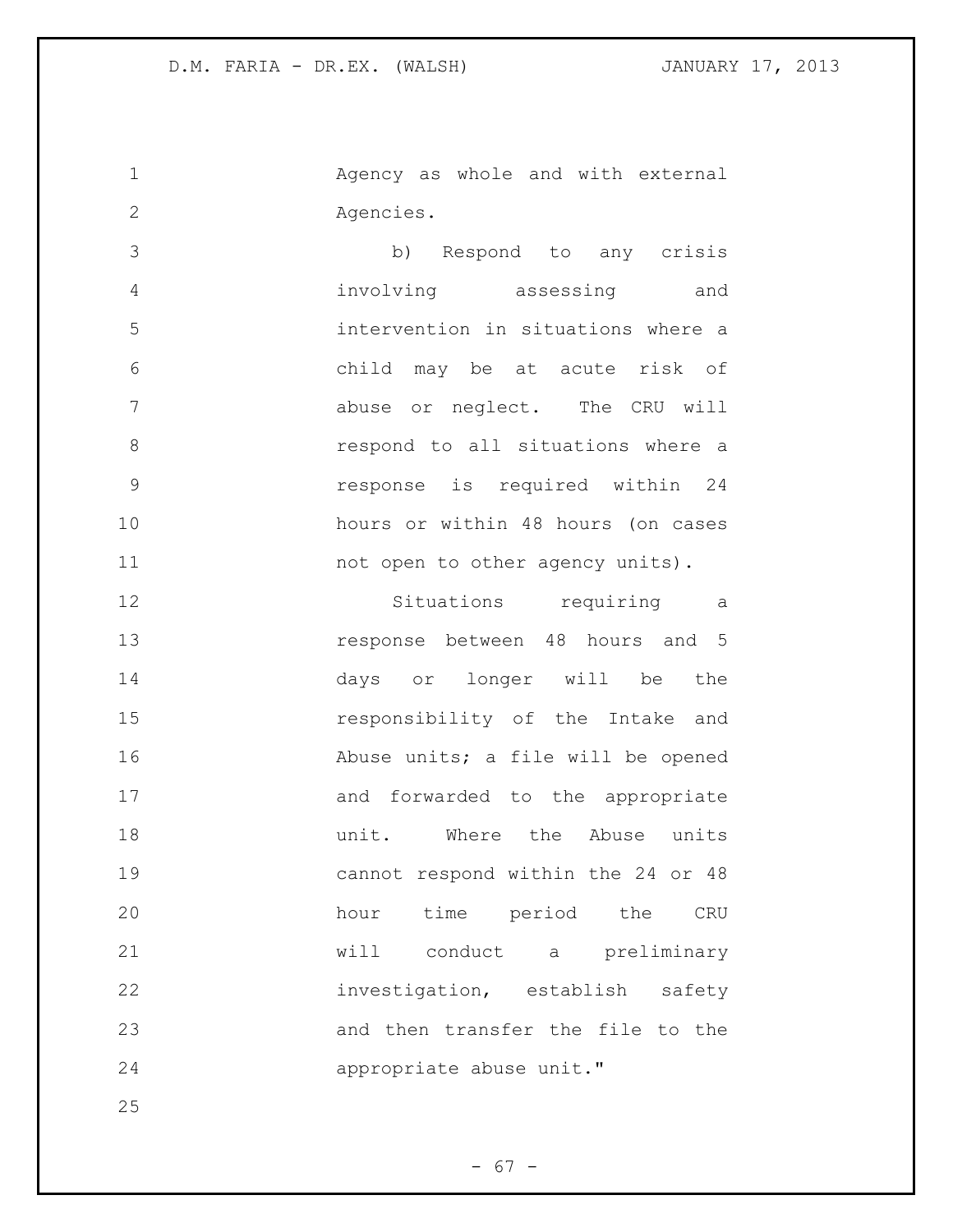Agency as whole and with external Agencies.

 b) Respond to any crisis involving assessing and intervention in situations where a child may be at acute risk of abuse or neglect. The CRU will respond to all situations where a response is required within 24 hours or within 48 hours (on cases 11 mot open to other agency units).

 Situations requiring a response between 48 hours and 5 days or longer will be the responsibility of the Intake and Abuse units; a file will be opened 17 and forwarded to the appropriate 18 and the Mhere the Abuse units cannot respond within the 24 or 48 hour time period the CRU will conduct a preliminary investigation, establish safety and then transfer the file to the appropriate abuse unit."

 $- 67 -$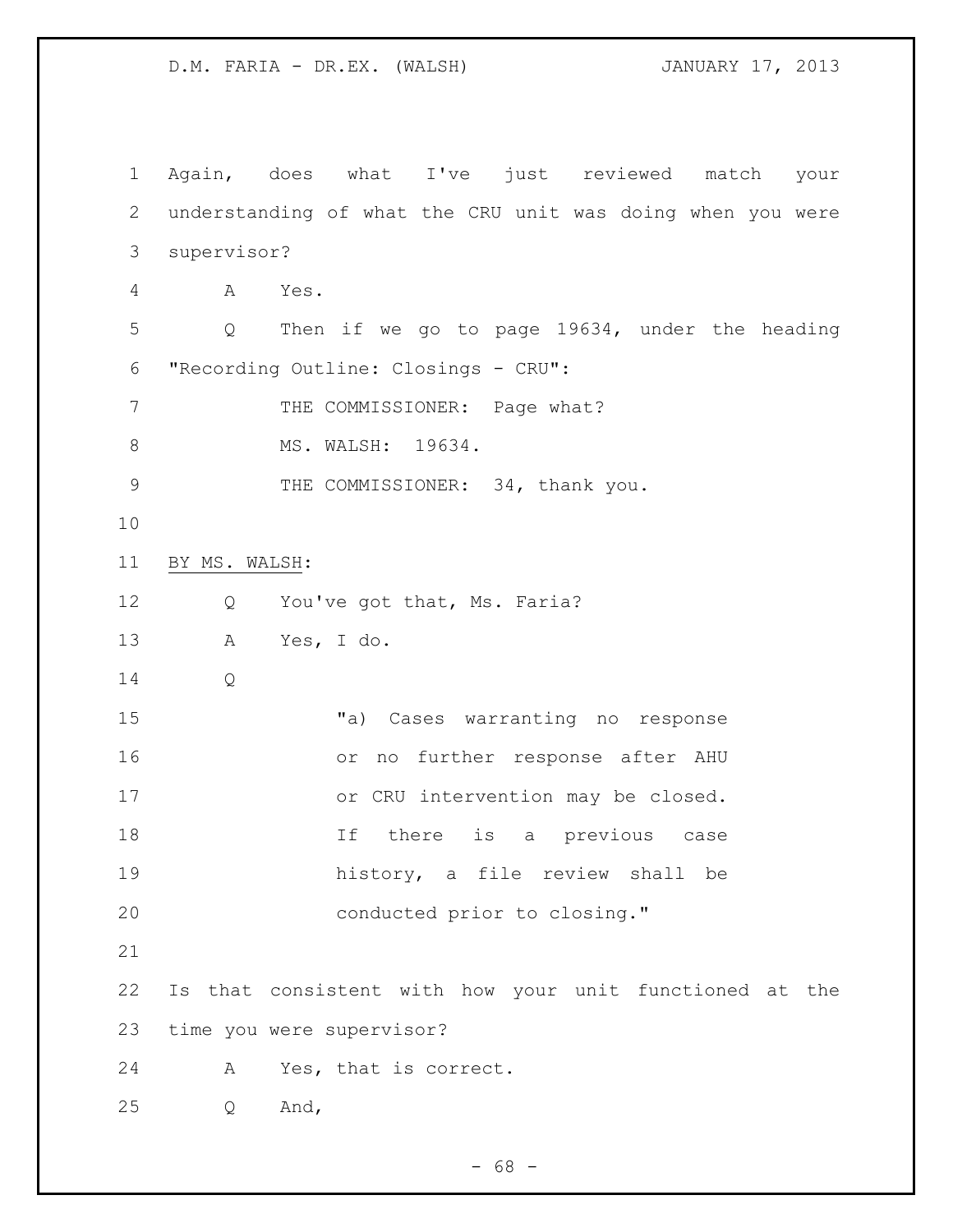Again, does what I've just reviewed match your understanding of what the CRU unit was doing when you were supervisor? A Yes. Q Then if we go to page 19634, under the heading "Recording Outline: Closings - CRU": 7 THE COMMISSIONER: Page what? 8 MS. WALSH: 19634. 9 THE COMMISSIONER: 34, thank you. BY MS. WALSH: 12 Q You've got that, Ms. Faria? A Yes, I do. Q "a) Cases warranting no response or no further response after AHU 17 or CRU intervention may be closed. 18 18 1f there is a previous case history, a file review shall be conducted prior to closing." Is that consistent with how your unit functioned at the time you were supervisor? A Yes, that is correct. Q And,

 $- 68 -$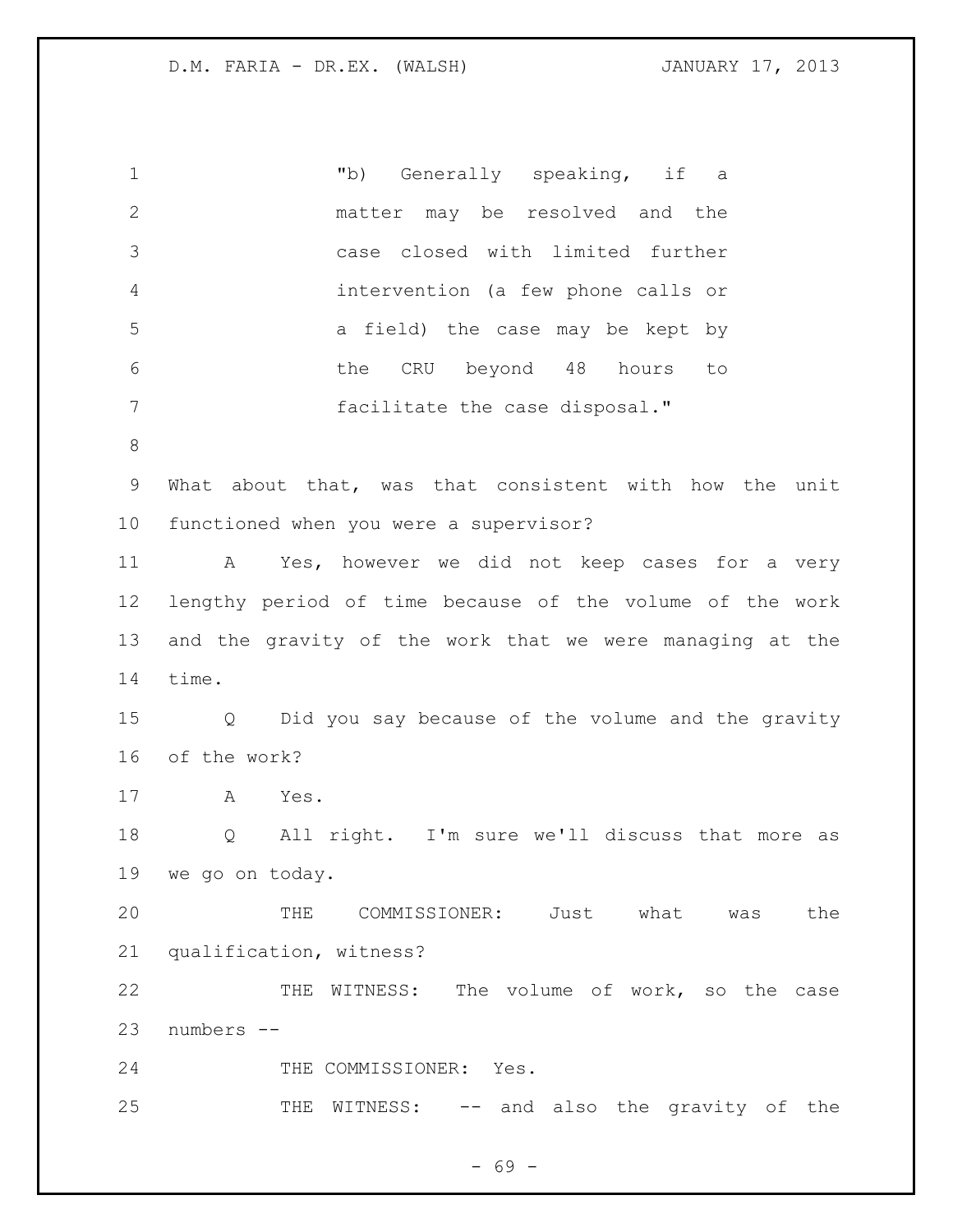"b) Generally speaking, if a matter may be resolved and the case closed with limited further intervention (a few phone calls or a field) the case may be kept by the CRU beyond 48 hours to facilitate the case disposal." What about that, was that consistent with how the unit functioned when you were a supervisor? A Yes, however we did not keep cases for a very lengthy period of time because of the volume of the work and the gravity of the work that we were managing at the time. Q Did you say because of the volume and the gravity of the work? A Yes. Q All right. I'm sure we'll discuss that more as we go on today. THE COMMISSIONER: Just what was the qualification, witness? 22 THE WITNESS: The volume of work, so the case numbers -- 24 THE COMMISSIONER: Yes. THE WITNESS: -- and also the gravity of the

- 69 -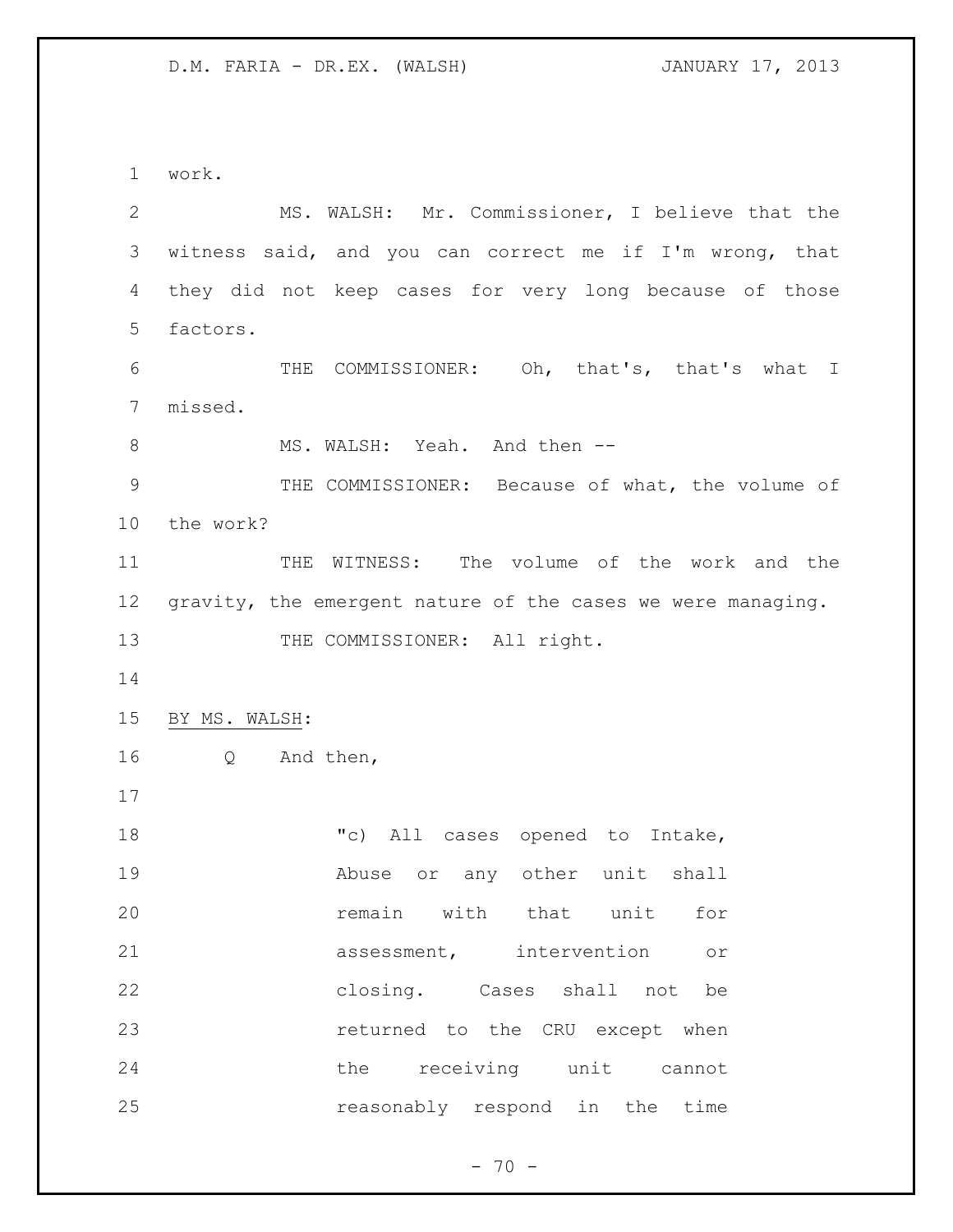work. MS. WALSH: Mr. Commissioner, I believe that the witness said, and you can correct me if I'm wrong, that they did not keep cases for very long because of those factors. THE COMMISSIONER: Oh, that's, that's what I missed. 8 MS. WALSH: Yeah. And then -- THE COMMISSIONER: Because of what, the volume of the work? THE WITNESS: The volume of the work and the 12 gravity, the emergent nature of the cases we were managing. 13 THE COMMISSIONER: All right. BY MS. WALSH: Q And then, "c) All cases opened to Intake, Abuse or any other unit shall remain with that unit for assessment, intervention or closing. Cases shall not be returned to the CRU except when the receiving unit cannot reasonably respond in the time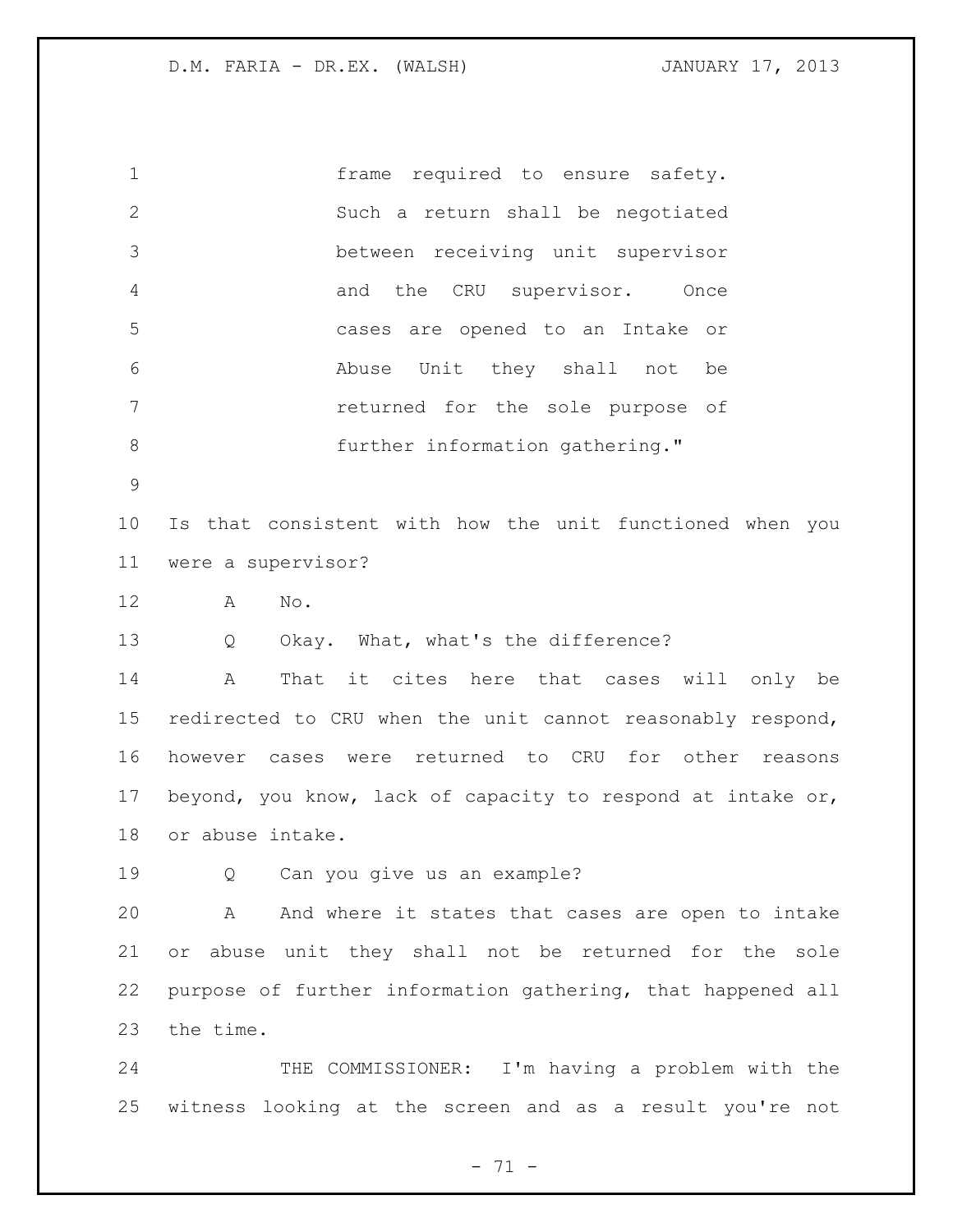frame required to ensure safety. Such a return shall be negotiated between receiving unit supervisor and the CRU supervisor. Once cases are opened to an Intake or Abuse Unit they shall not be returned for the sole purpose of 8 further information gathering."

 Is that consistent with how the unit functioned when you were a supervisor?

A No.

Q Okay. What, what's the difference?

 A That it cites here that cases will only be redirected to CRU when the unit cannot reasonably respond, however cases were returned to CRU for other reasons beyond, you know, lack of capacity to respond at intake or, or abuse intake.

Q Can you give us an example?

 A And where it states that cases are open to intake or abuse unit they shall not be returned for the sole purpose of further information gathering, that happened all the time.

 THE COMMISSIONER: I'm having a problem with the witness looking at the screen and as a result you're not

- 71 -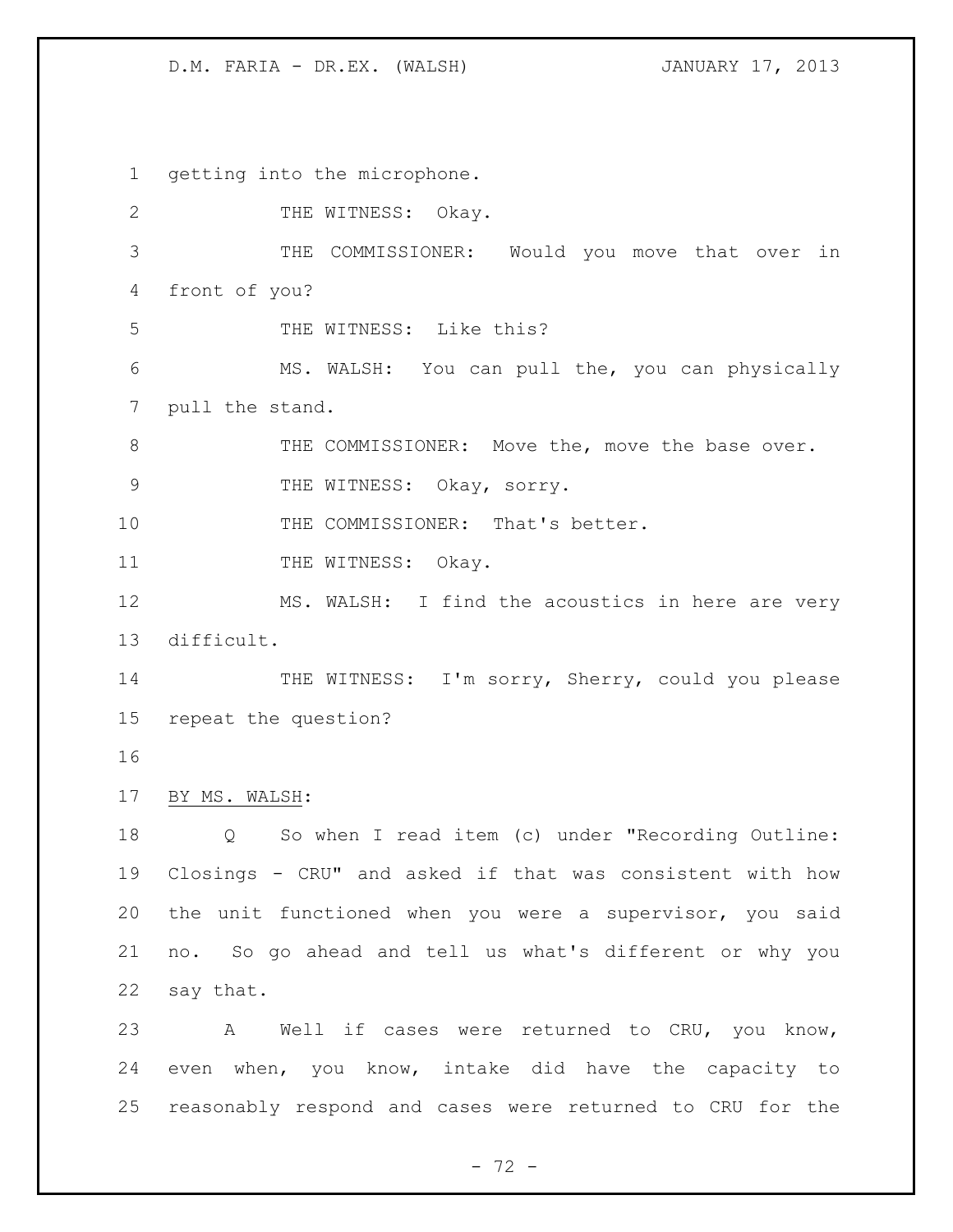getting into the microphone. 2 THE WITNESS: Okay. THE COMMISSIONER: Would you move that over in front of you? THE WITNESS: Like this? MS. WALSH: You can pull the, you can physically pull the stand. 8 THE COMMISSIONER: Move the, move the base over. 9 THE WITNESS: Okay, sorry. 10 THE COMMISSIONER: That's better. 11 THE WITNESS: Okay. 12 MS. WALSH: I find the acoustics in here are very difficult. 14 THE WITNESS: I'm sorry, Sherry, could you please repeat the question? BY MS. WALSH: Q So when I read item (c) under "Recording Outline: Closings - CRU" and asked if that was consistent with how the unit functioned when you were a supervisor, you said no. So go ahead and tell us what's different or why you say that. A Well if cases were returned to CRU, you know, even when, you know, intake did have the capacity to reasonably respond and cases were returned to CRU for the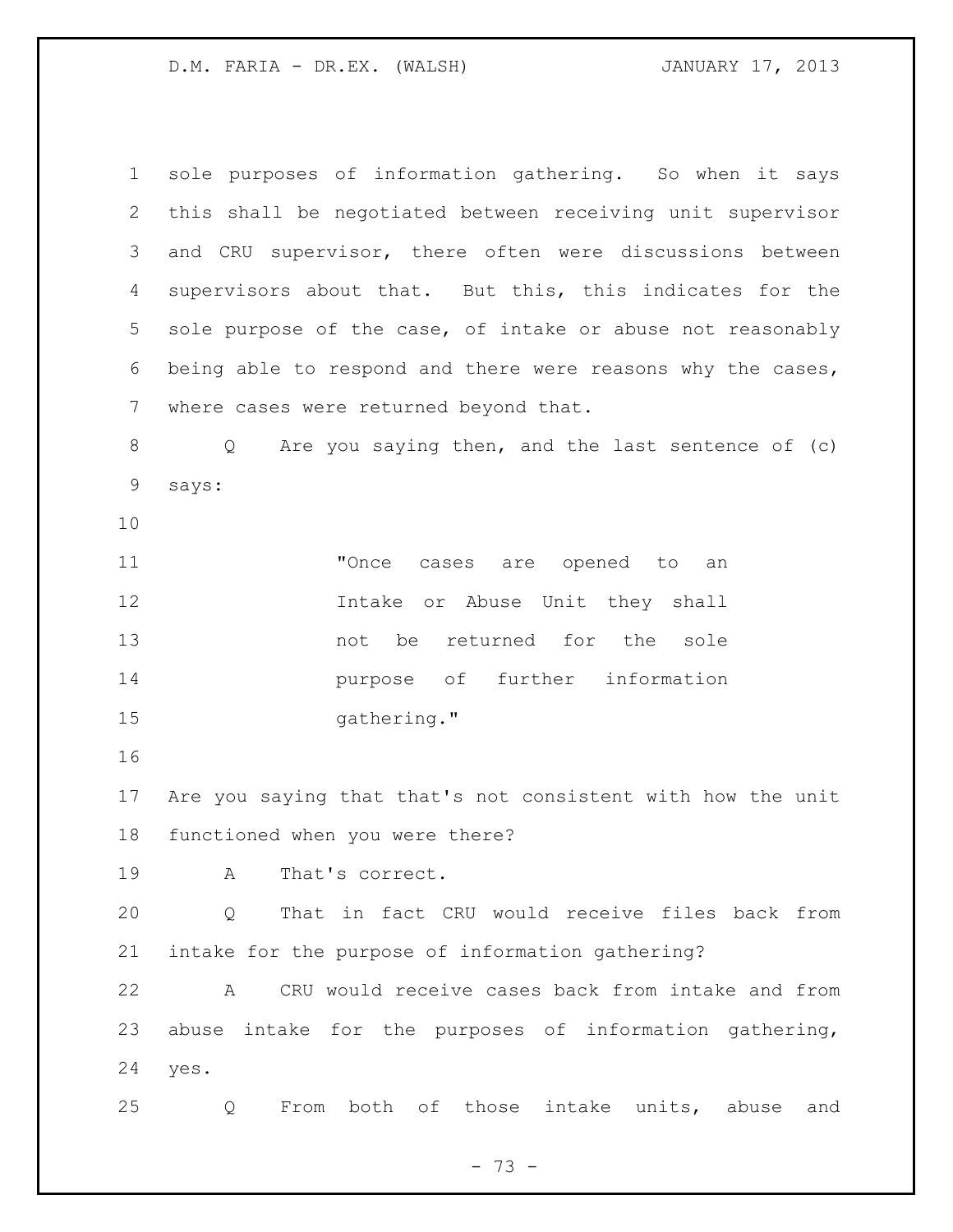sole purposes of information gathering. So when it says this shall be negotiated between receiving unit supervisor and CRU supervisor, there often were discussions between supervisors about that. But this, this indicates for the sole purpose of the case, of intake or abuse not reasonably being able to respond and there were reasons why the cases, where cases were returned beyond that. Q Are you saying then, and the last sentence of (c) says: **"Once cases are opened to an**  Intake or Abuse Unit they shall not be returned for the sole purpose of further information 15 gathering." Are you saying that that's not consistent with how the unit functioned when you were there? A That's correct. Q That in fact CRU would receive files back from intake for the purpose of information gathering? A CRU would receive cases back from intake and from abuse intake for the purposes of information gathering, yes. Q From both of those intake units, abuse and

- 73 -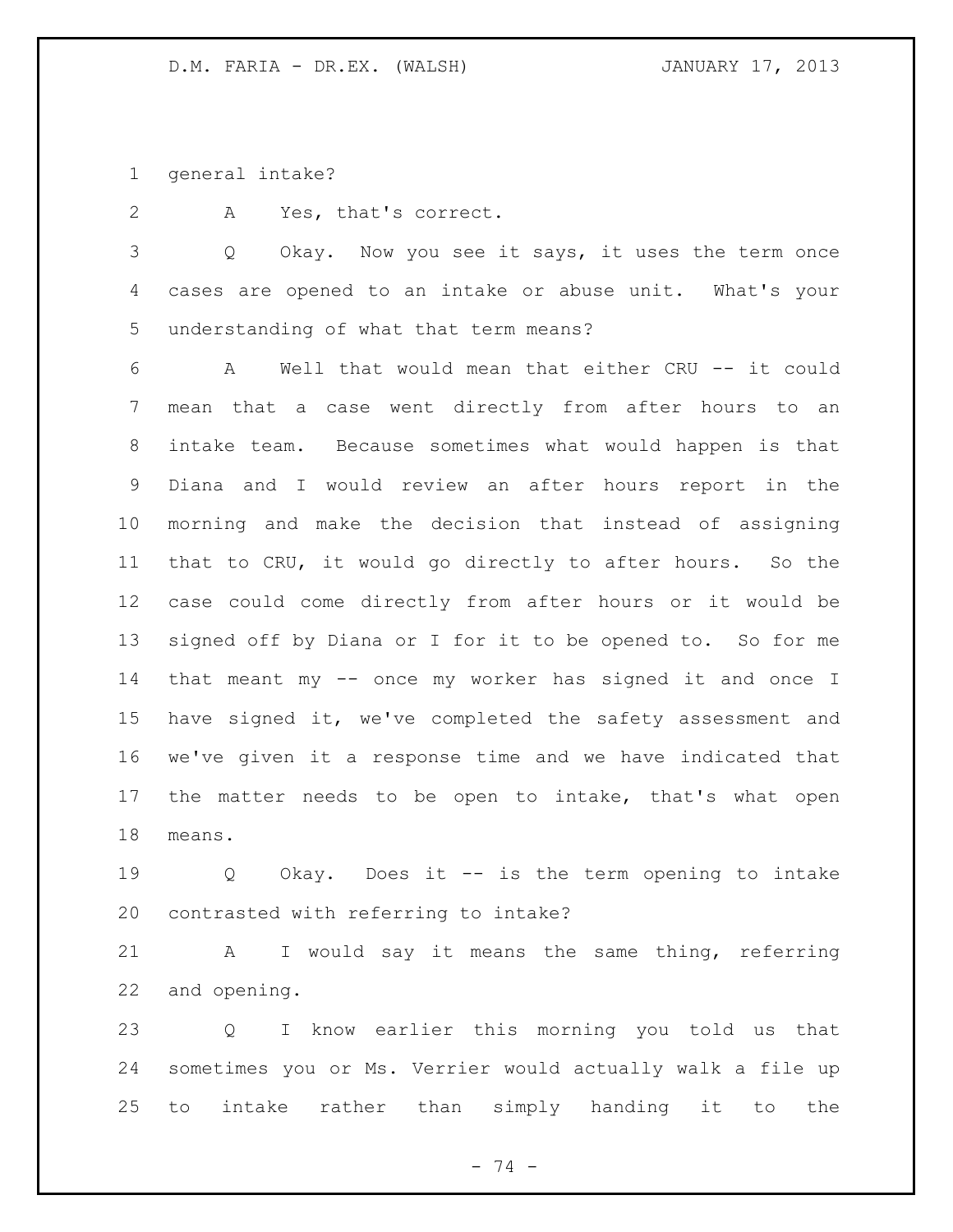general intake?

A Yes, that's correct.

 Q Okay. Now you see it says, it uses the term once cases are opened to an intake or abuse unit. What's your understanding of what that term means?

 A Well that would mean that either CRU -- it could mean that a case went directly from after hours to an intake team. Because sometimes what would happen is that Diana and I would review an after hours report in the morning and make the decision that instead of assigning that to CRU, it would go directly to after hours. So the case could come directly from after hours or it would be signed off by Diana or I for it to be opened to. So for me that meant my -- once my worker has signed it and once I have signed it, we've completed the safety assessment and we've given it a response time and we have indicated that the matter needs to be open to intake, that's what open means.

 Q Okay. Does it -- is the term opening to intake contrasted with referring to intake?

 A I would say it means the same thing, referring and opening.

 Q I know earlier this morning you told us that sometimes you or Ms. Verrier would actually walk a file up to intake rather than simply handing it to the

- 74 -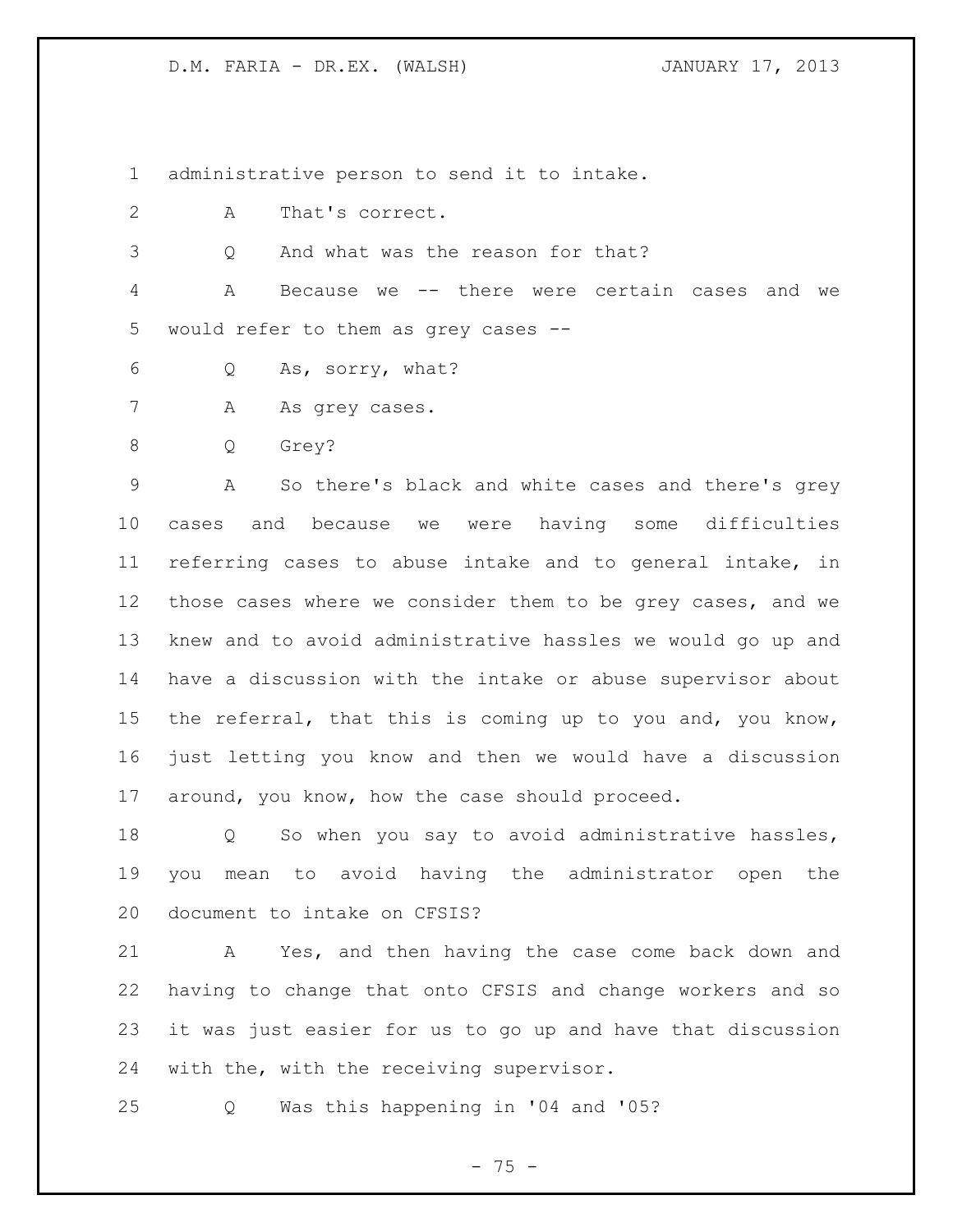administrative person to send it to intake.

- A That's correct.
- Q And what was the reason for that?

 A Because we -- there were certain cases and we would refer to them as grey cases --

- Q As, sorry, what?
- 7 A As grey cases.
- Q Grey?

 A So there's black and white cases and there's grey cases and because we were having some difficulties referring cases to abuse intake and to general intake, in those cases where we consider them to be grey cases, and we knew and to avoid administrative hassles we would go up and have a discussion with the intake or abuse supervisor about the referral, that this is coming up to you and, you know, just letting you know and then we would have a discussion around, you know, how the case should proceed.

 Q So when you say to avoid administrative hassles, you mean to avoid having the administrator open the document to intake on CFSIS?

 A Yes, and then having the case come back down and having to change that onto CFSIS and change workers and so it was just easier for us to go up and have that discussion with the, with the receiving supervisor.

Q Was this happening in '04 and '05?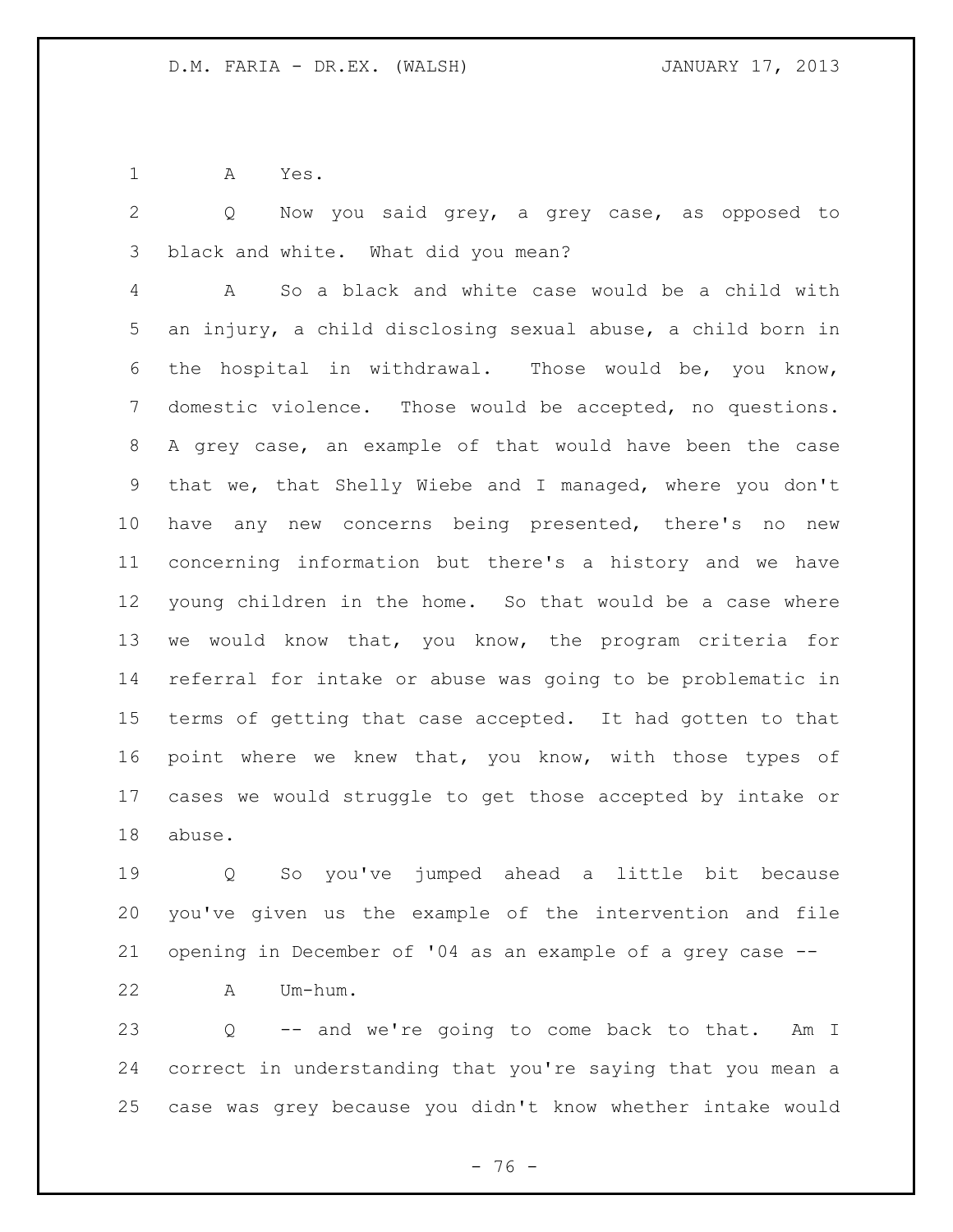A Yes.

 Q Now you said grey, a grey case, as opposed to black and white. What did you mean?

 A So a black and white case would be a child with an injury, a child disclosing sexual abuse, a child born in the hospital in withdrawal. Those would be, you know, domestic violence. Those would be accepted, no questions. A grey case, an example of that would have been the case that we, that Shelly Wiebe and I managed, where you don't have any new concerns being presented, there's no new concerning information but there's a history and we have young children in the home. So that would be a case where we would know that, you know, the program criteria for referral for intake or abuse was going to be problematic in terms of getting that case accepted. It had gotten to that point where we knew that, you know, with those types of cases we would struggle to get those accepted by intake or abuse.

 Q So you've jumped ahead a little bit because you've given us the example of the intervention and file opening in December of '04 as an example of a grey case --

A Um-hum.

 Q -- and we're going to come back to that. Am I correct in understanding that you're saying that you mean a case was grey because you didn't know whether intake would

 $- 76 -$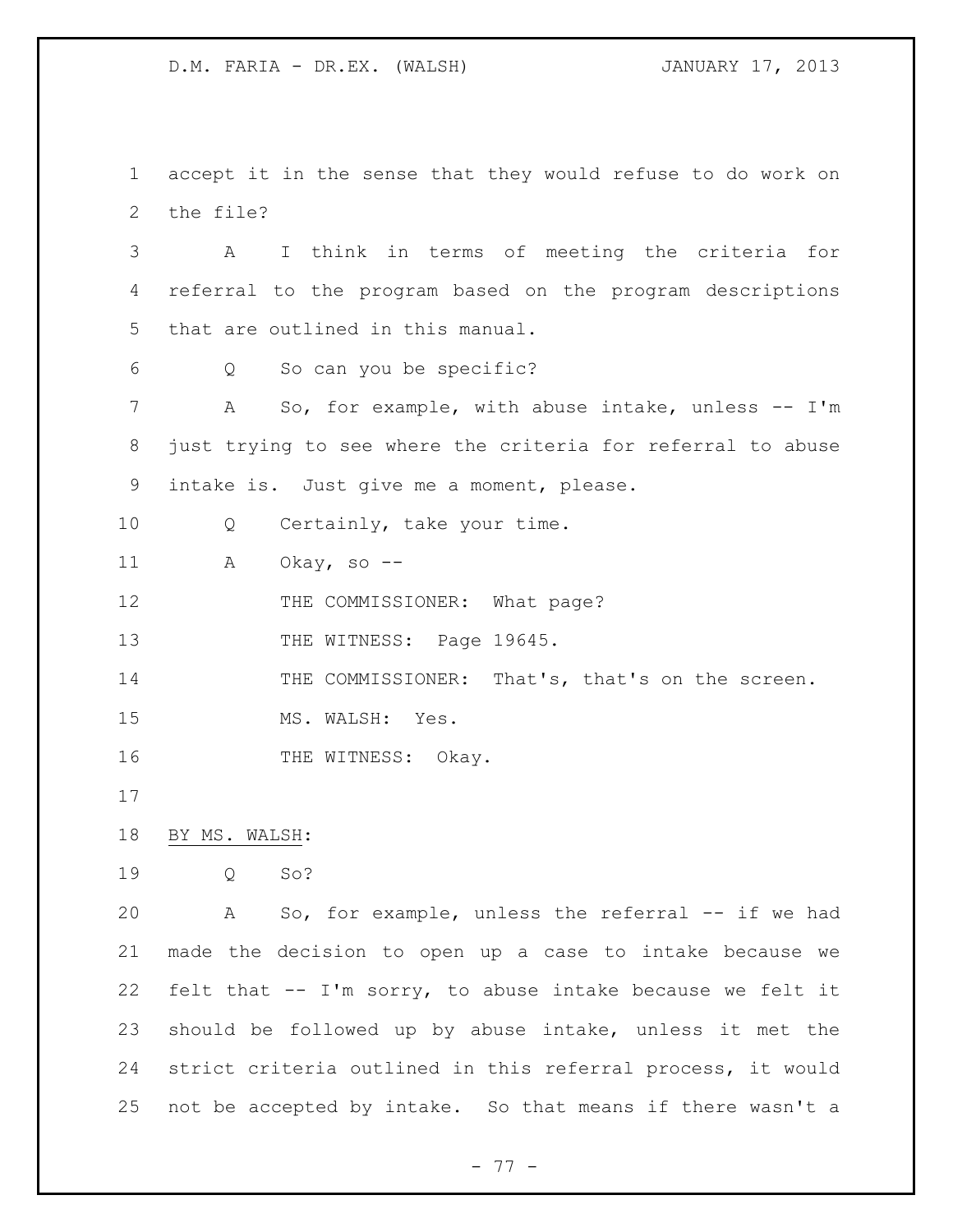accept it in the sense that they would refuse to do work on the file?

 A I think in terms of meeting the criteria for referral to the program based on the program descriptions that are outlined in this manual.

Q So can you be specific?

7 A So, for example, with abuse intake, unless -- I'm just trying to see where the criteria for referral to abuse intake is. Just give me a moment, please.

10 Q Certainly, take your time.

A Okay, so --

12 THE COMMISSIONER: What page?

13 THE WITNESS: Page 19645.

14 THE COMMISSIONER: That's, that's on the screen.

15 MS. WALSH: Yes.

16 THE WITNESS: Okay.

BY MS. WALSH:

Q So?

 A So, for example, unless the referral -- if we had made the decision to open up a case to intake because we felt that -- I'm sorry, to abuse intake because we felt it should be followed up by abuse intake, unless it met the strict criteria outlined in this referral process, it would not be accepted by intake. So that means if there wasn't a

- 77 -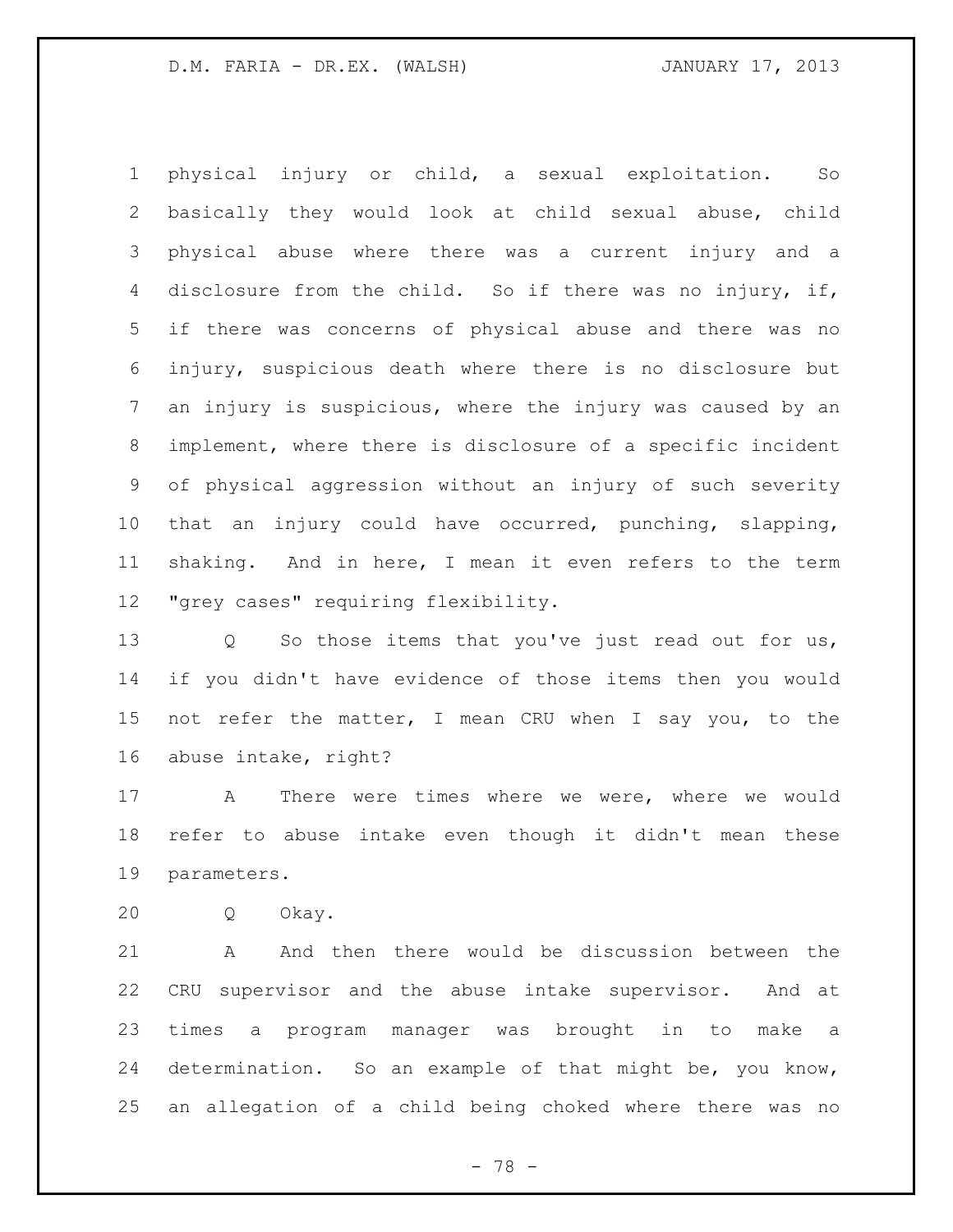physical injury or child, a sexual exploitation. So basically they would look at child sexual abuse, child physical abuse where there was a current injury and a disclosure from the child. So if there was no injury, if, if there was concerns of physical abuse and there was no injury, suspicious death where there is no disclosure but an injury is suspicious, where the injury was caused by an implement, where there is disclosure of a specific incident of physical aggression without an injury of such severity that an injury could have occurred, punching, slapping, shaking. And in here, I mean it even refers to the term "grey cases" requiring flexibility.

13 Q So those items that you've just read out for us, if you didn't have evidence of those items then you would not refer the matter, I mean CRU when I say you, to the abuse intake, right?

 A There were times where we were, where we would refer to abuse intake even though it didn't mean these parameters.

Q Okay.

 A And then there would be discussion between the CRU supervisor and the abuse intake supervisor. And at times a program manager was brought in to make a determination. So an example of that might be, you know, an allegation of a child being choked where there was no

- 78 -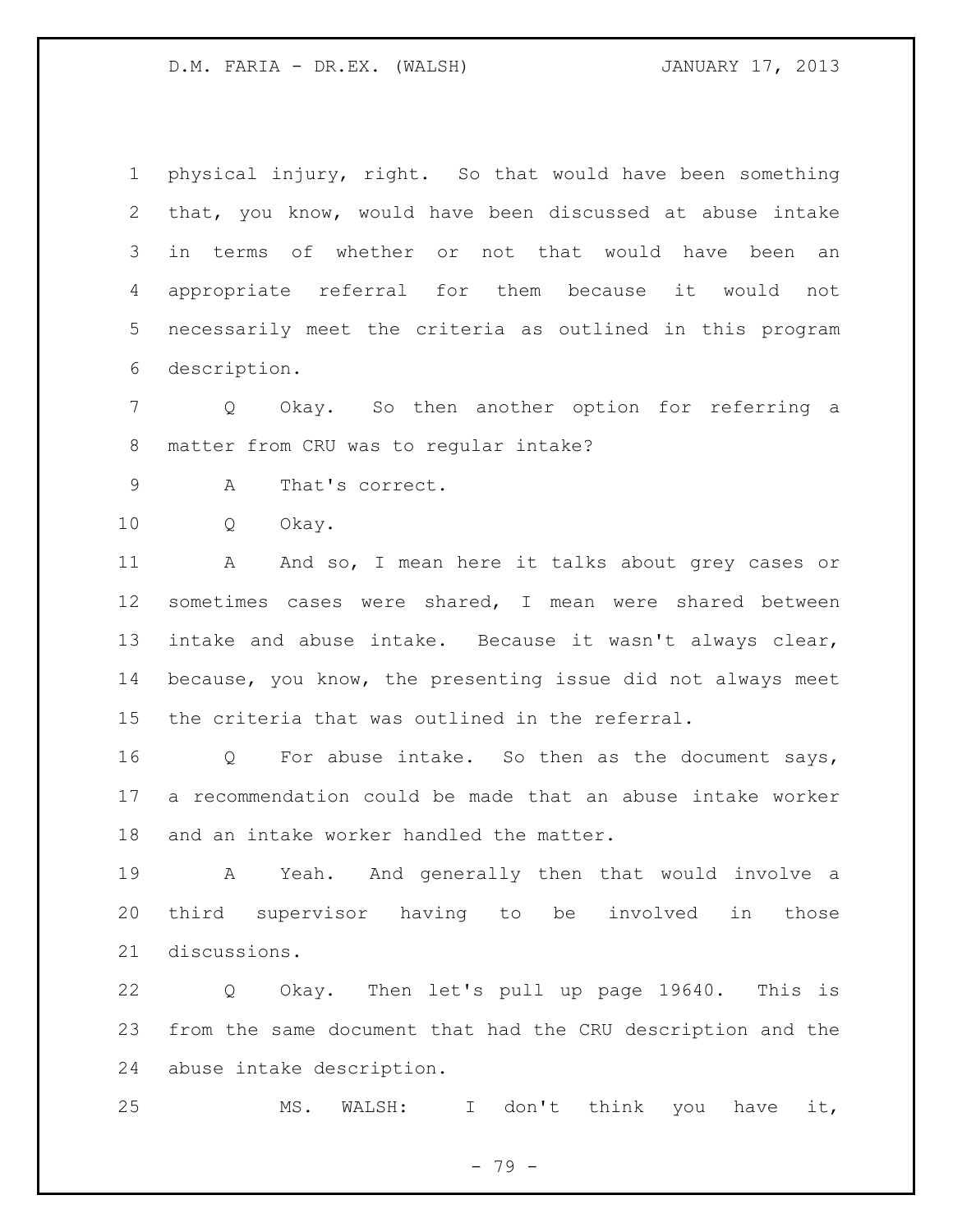physical injury, right. So that would have been something that, you know, would have been discussed at abuse intake in terms of whether or not that would have been an appropriate referral for them because it would not necessarily meet the criteria as outlined in this program description.

 Q Okay. So then another option for referring a matter from CRU was to regular intake?

A That's correct.

Q Okay.

11 A And so, I mean here it talks about grey cases or sometimes cases were shared, I mean were shared between intake and abuse intake. Because it wasn't always clear, because, you know, the presenting issue did not always meet the criteria that was outlined in the referral.

 Q For abuse intake. So then as the document says, a recommendation could be made that an abuse intake worker and an intake worker handled the matter.

 A Yeah. And generally then that would involve a third supervisor having to be involved in those discussions.

 Q Okay. Then let's pull up page 19640. This is from the same document that had the CRU description and the abuse intake description.

MS. WALSH: I don't think you have it,

- 79 -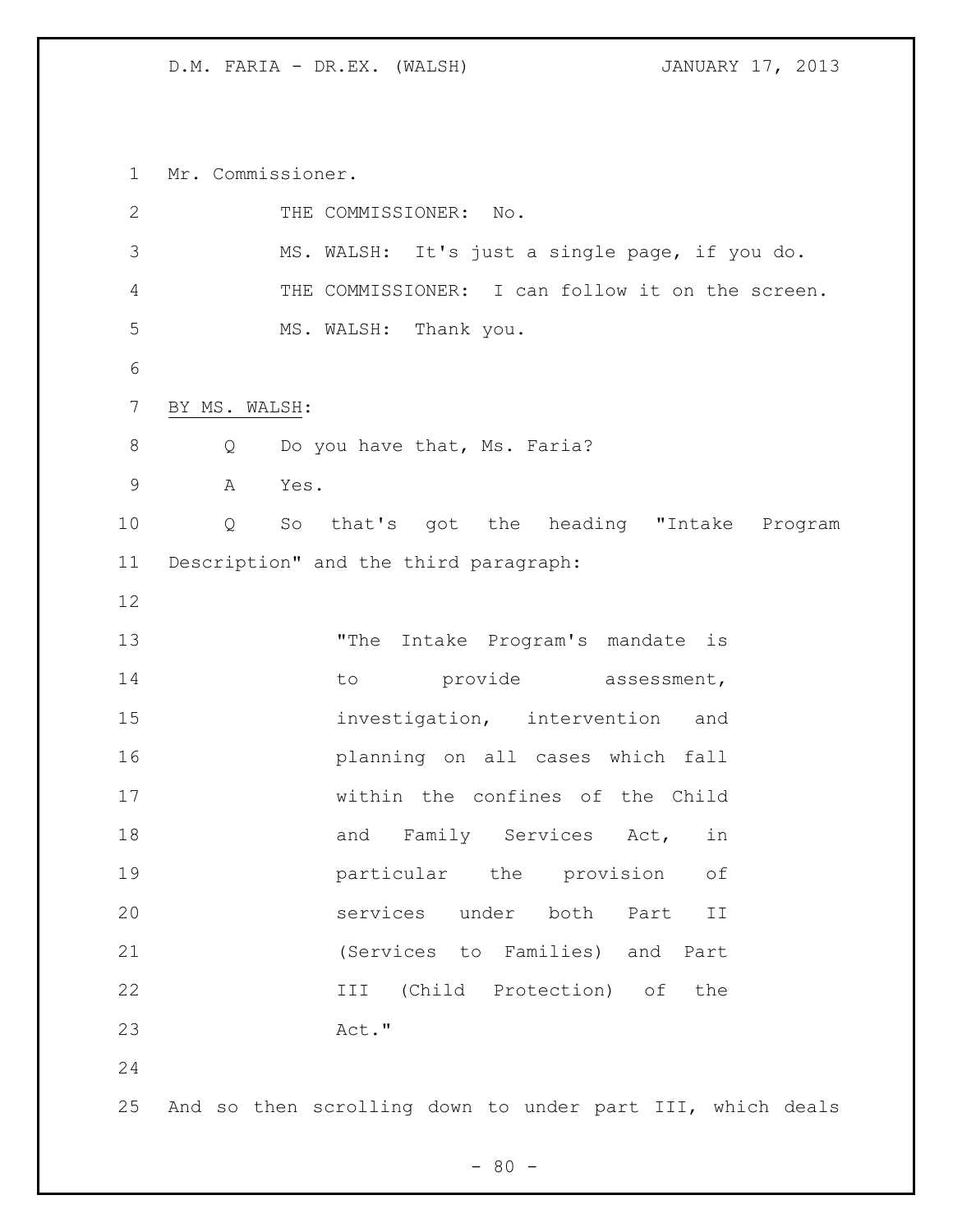Mr. Commissioner.

| $\mathbf{2}$<br>THE COMMISSIONER: No.<br>3<br>MS. WALSH: It's just a single page, if you do.<br>4<br>5<br>MS. WALSH: Thank you.<br>6<br>$\overline{7}$<br>BY MS. WALSH:<br>8<br>Do you have that, Ms. Faria?<br>Q<br>$\mathsf 9$<br>A<br>Yes.<br>10<br>$Q \qquad \qquad$<br>11<br>Description" and the third paragraph:<br>12<br>13<br>"The Intake Program's mandate is<br>14<br>provide assessment,<br>to<br>15<br>investigation, intervention<br>and<br>16<br>planning on all cases which fall<br>17<br>within the confines of the Child<br>18<br>and Family Services Act,<br>in<br>19<br>particular the<br>provision<br>$\circ f$<br>20<br>services under both<br>Part<br>ΙI<br>21<br>(Services to Families) and Part<br>22<br>III (Child Protection) of<br>the<br>23<br>Act."<br>24 |  |                                                  |
|-----------------------------------------------------------------------------------------------------------------------------------------------------------------------------------------------------------------------------------------------------------------------------------------------------------------------------------------------------------------------------------------------------------------------------------------------------------------------------------------------------------------------------------------------------------------------------------------------------------------------------------------------------------------------------------------------------------------------------------------------------------------------------------------|--|--------------------------------------------------|
|                                                                                                                                                                                                                                                                                                                                                                                                                                                                                                                                                                                                                                                                                                                                                                                         |  |                                                  |
|                                                                                                                                                                                                                                                                                                                                                                                                                                                                                                                                                                                                                                                                                                                                                                                         |  |                                                  |
|                                                                                                                                                                                                                                                                                                                                                                                                                                                                                                                                                                                                                                                                                                                                                                                         |  | THE COMMISSIONER: I can follow it on the screen. |
|                                                                                                                                                                                                                                                                                                                                                                                                                                                                                                                                                                                                                                                                                                                                                                                         |  |                                                  |
|                                                                                                                                                                                                                                                                                                                                                                                                                                                                                                                                                                                                                                                                                                                                                                                         |  |                                                  |
|                                                                                                                                                                                                                                                                                                                                                                                                                                                                                                                                                                                                                                                                                                                                                                                         |  |                                                  |
|                                                                                                                                                                                                                                                                                                                                                                                                                                                                                                                                                                                                                                                                                                                                                                                         |  |                                                  |
|                                                                                                                                                                                                                                                                                                                                                                                                                                                                                                                                                                                                                                                                                                                                                                                         |  |                                                  |
|                                                                                                                                                                                                                                                                                                                                                                                                                                                                                                                                                                                                                                                                                                                                                                                         |  | So that's got the heading "Intake Program        |
|                                                                                                                                                                                                                                                                                                                                                                                                                                                                                                                                                                                                                                                                                                                                                                                         |  |                                                  |
|                                                                                                                                                                                                                                                                                                                                                                                                                                                                                                                                                                                                                                                                                                                                                                                         |  |                                                  |
|                                                                                                                                                                                                                                                                                                                                                                                                                                                                                                                                                                                                                                                                                                                                                                                         |  |                                                  |
|                                                                                                                                                                                                                                                                                                                                                                                                                                                                                                                                                                                                                                                                                                                                                                                         |  |                                                  |
|                                                                                                                                                                                                                                                                                                                                                                                                                                                                                                                                                                                                                                                                                                                                                                                         |  |                                                  |
|                                                                                                                                                                                                                                                                                                                                                                                                                                                                                                                                                                                                                                                                                                                                                                                         |  |                                                  |
|                                                                                                                                                                                                                                                                                                                                                                                                                                                                                                                                                                                                                                                                                                                                                                                         |  |                                                  |
|                                                                                                                                                                                                                                                                                                                                                                                                                                                                                                                                                                                                                                                                                                                                                                                         |  |                                                  |
|                                                                                                                                                                                                                                                                                                                                                                                                                                                                                                                                                                                                                                                                                                                                                                                         |  |                                                  |
|                                                                                                                                                                                                                                                                                                                                                                                                                                                                                                                                                                                                                                                                                                                                                                                         |  |                                                  |
|                                                                                                                                                                                                                                                                                                                                                                                                                                                                                                                                                                                                                                                                                                                                                                                         |  |                                                  |
|                                                                                                                                                                                                                                                                                                                                                                                                                                                                                                                                                                                                                                                                                                                                                                                         |  |                                                  |
|                                                                                                                                                                                                                                                                                                                                                                                                                                                                                                                                                                                                                                                                                                                                                                                         |  |                                                  |
|                                                                                                                                                                                                                                                                                                                                                                                                                                                                                                                                                                                                                                                                                                                                                                                         |  |                                                  |
| 25<br>And so then scrolling down to under part III, which deals                                                                                                                                                                                                                                                                                                                                                                                                                                                                                                                                                                                                                                                                                                                         |  |                                                  |
|                                                                                                                                                                                                                                                                                                                                                                                                                                                                                                                                                                                                                                                                                                                                                                                         |  |                                                  |

- 80 -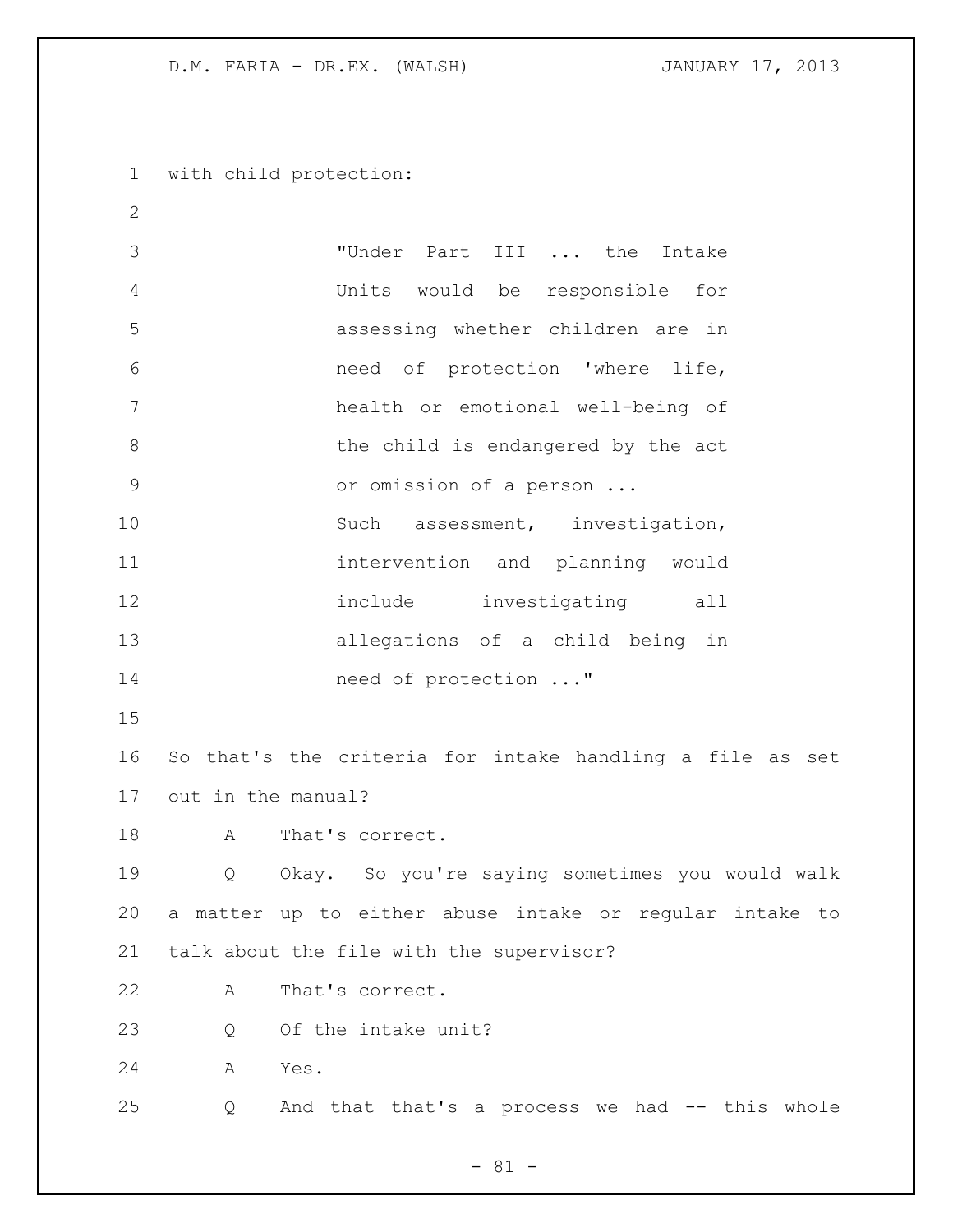with child protection:

 "Under Part III ... the Intake Units would be responsible for assessing whether children are in need of protection 'where life, health or emotional well-being of 8 by the child is endangered by the act or omission of a person ... 10 Such assessment, investigation, intervention and planning would 12 include investigating all allegations of a child being in 14 need of protection ..." So that's the criteria for intake handling a file as set out in the manual? 18 A That's correct. Q Okay. So you're saying sometimes you would walk a matter up to either abuse intake or regular intake to talk about the file with the supervisor? A That's correct. 23 0 Of the intake unit? A Yes. Q And that that's a process we had -- this whole

- 81 -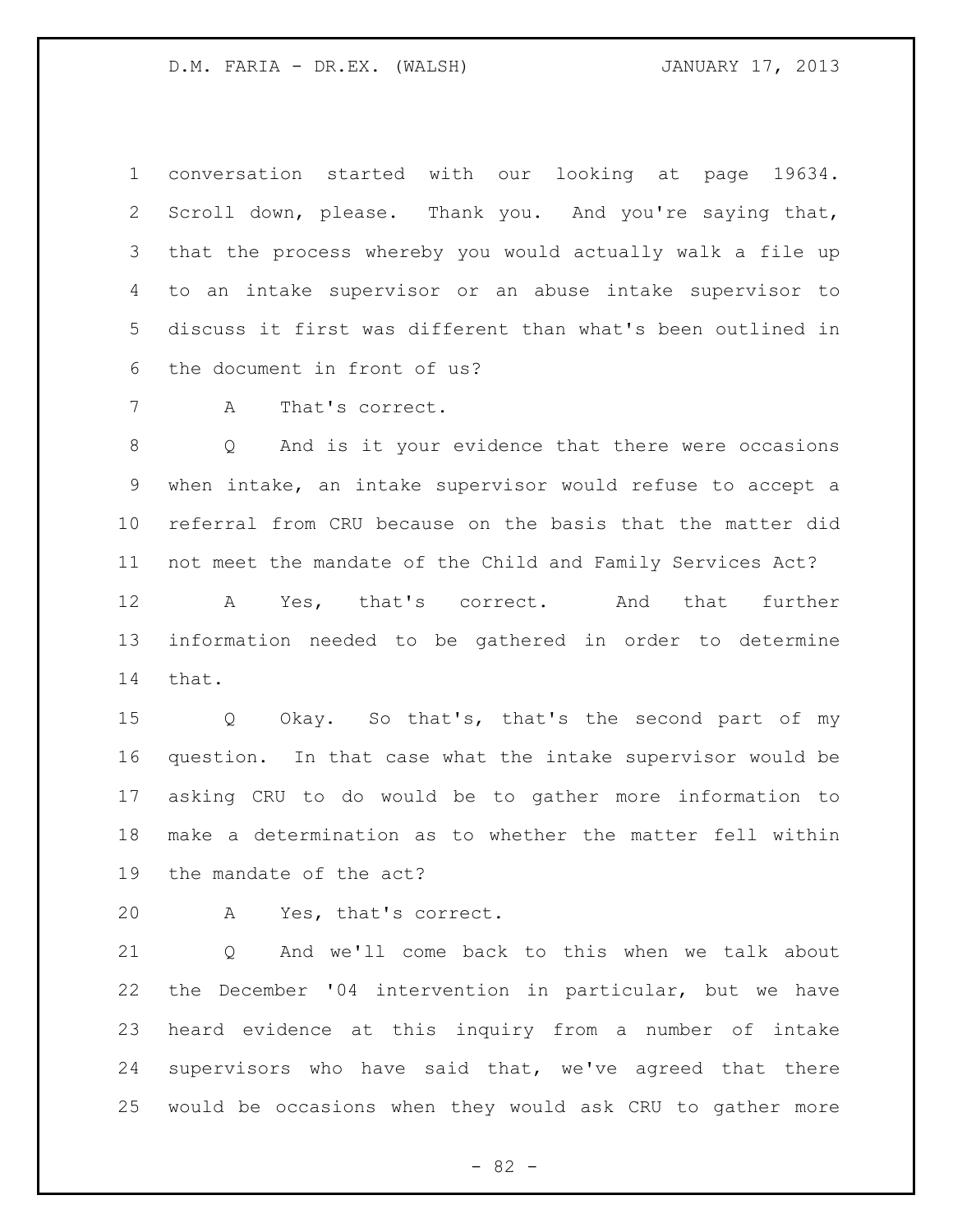conversation started with our looking at page 19634. Scroll down, please. Thank you. And you're saying that, that the process whereby you would actually walk a file up to an intake supervisor or an abuse intake supervisor to discuss it first was different than what's been outlined in the document in front of us?

A That's correct.

 Q And is it your evidence that there were occasions when intake, an intake supervisor would refuse to accept a referral from CRU because on the basis that the matter did not meet the mandate of the Child and Family Services Act?

 A Yes, that's correct. And that further information needed to be gathered in order to determine that.

 Q Okay. So that's, that's the second part of my question. In that case what the intake supervisor would be asking CRU to do would be to gather more information to make a determination as to whether the matter fell within the mandate of the act?

A Yes, that's correct.

21 O And we'll come back to this when we talk about the December '04 intervention in particular, but we have heard evidence at this inquiry from a number of intake supervisors who have said that, we've agreed that there would be occasions when they would ask CRU to gather more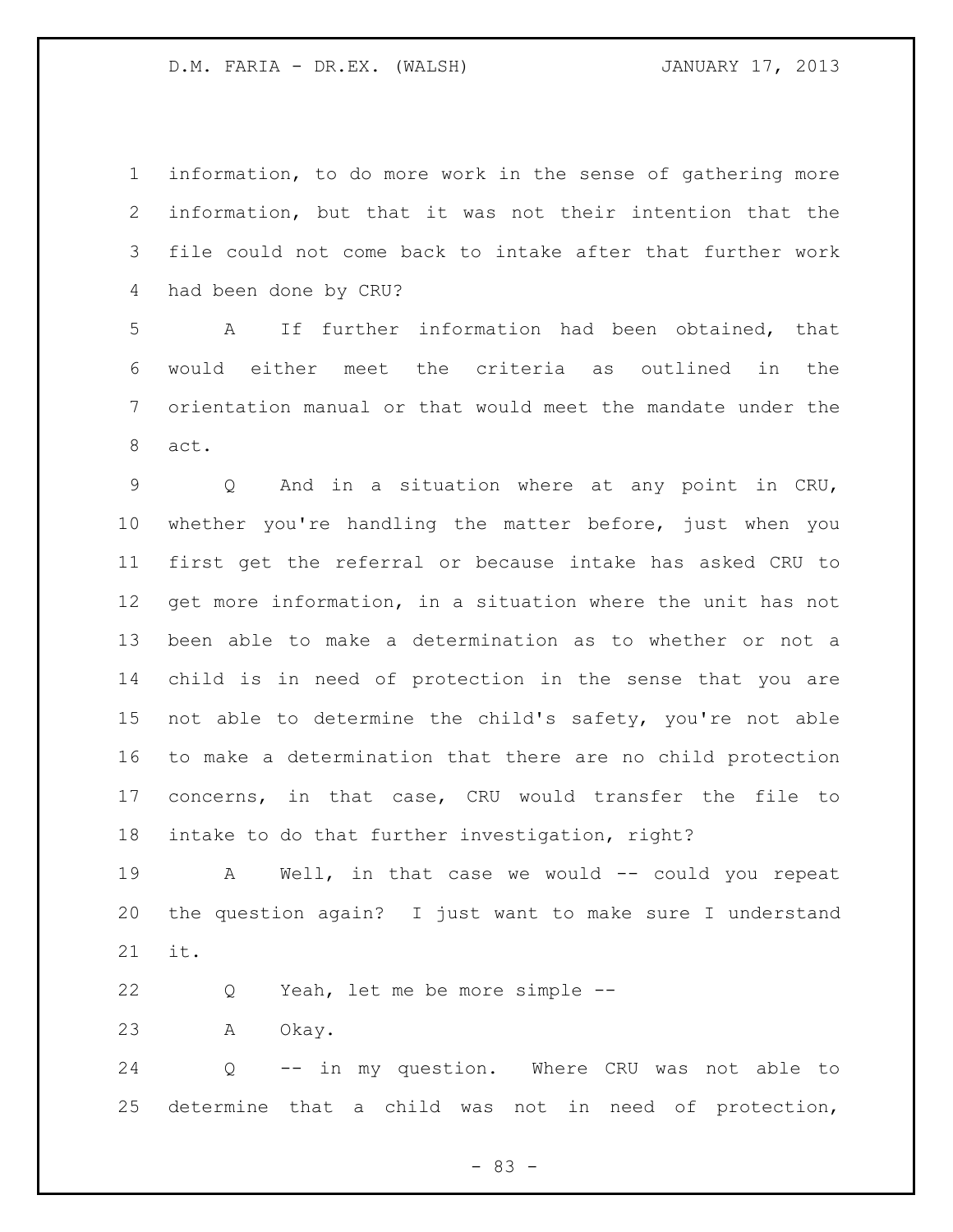information, to do more work in the sense of gathering more information, but that it was not their intention that the file could not come back to intake after that further work had been done by CRU?

 A If further information had been obtained, that would either meet the criteria as outlined in the orientation manual or that would meet the mandate under the act.

 Q And in a situation where at any point in CRU, whether you're handling the matter before, just when you first get the referral or because intake has asked CRU to get more information, in a situation where the unit has not been able to make a determination as to whether or not a child is in need of protection in the sense that you are not able to determine the child's safety, you're not able to make a determination that there are no child protection concerns, in that case, CRU would transfer the file to intake to do that further investigation, right?

19 A Well, in that case we would -- could you repeat the question again? I just want to make sure I understand it.

Q Yeah, let me be more simple --

A Okay.

 Q -- in my question. Where CRU was not able to determine that a child was not in need of protection,

- 83 -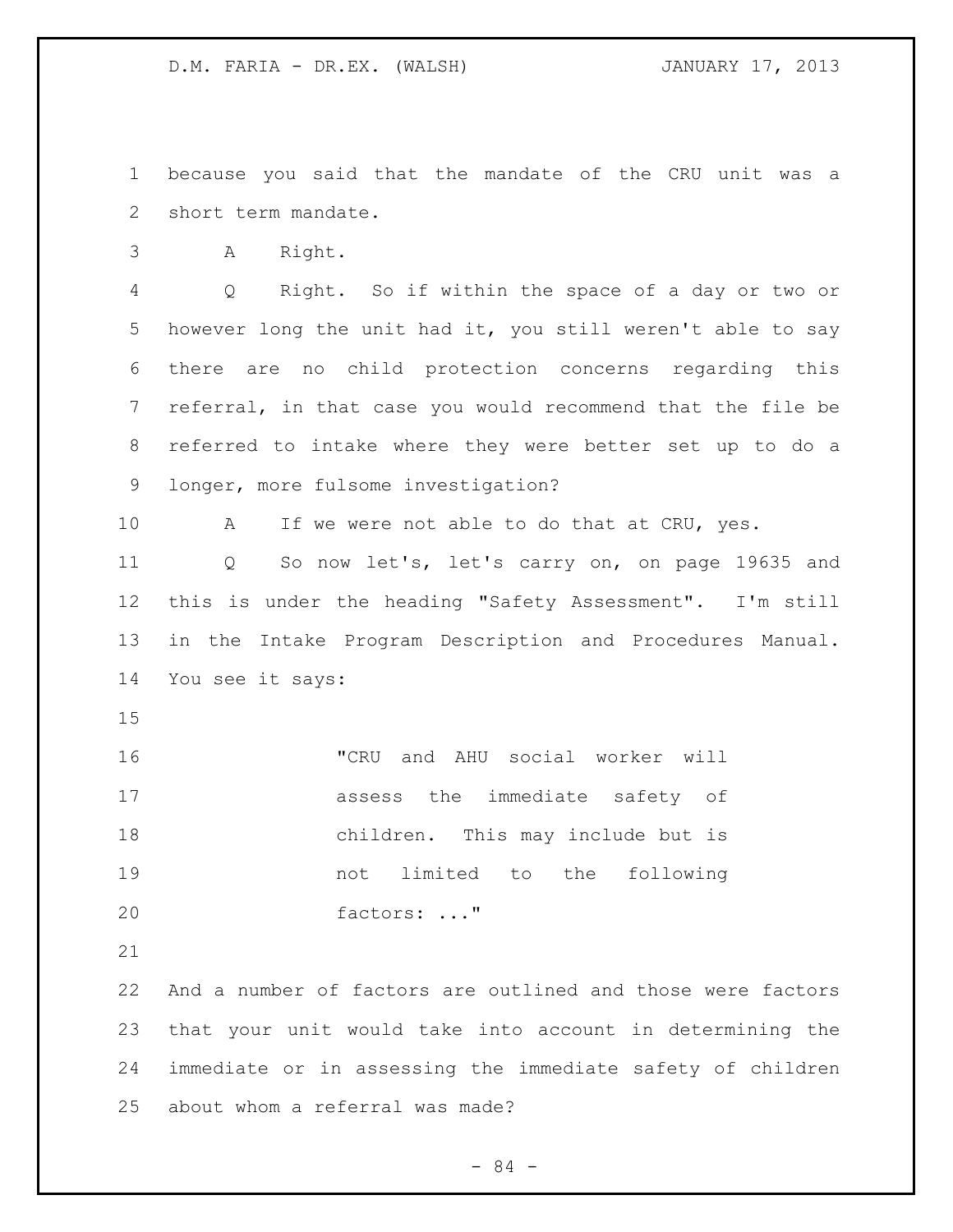because you said that the mandate of the CRU unit was a short term mandate.

A Right.

 Q Right. So if within the space of a day or two or however long the unit had it, you still weren't able to say there are no child protection concerns regarding this referral, in that case you would recommend that the file be referred to intake where they were better set up to do a longer, more fulsome investigation?

10 A If we were not able to do that at CRU, yes.

 Q So now let's, let's carry on, on page 19635 and this is under the heading "Safety Assessment". I'm still in the Intake Program Description and Procedures Manual. You see it says:

 "CRU and AHU social worker will assess the immediate safety of children. This may include but is not limited to the following factors: ..."

 And a number of factors are outlined and those were factors that your unit would take into account in determining the immediate or in assessing the immediate safety of children about whom a referral was made?

- 84 -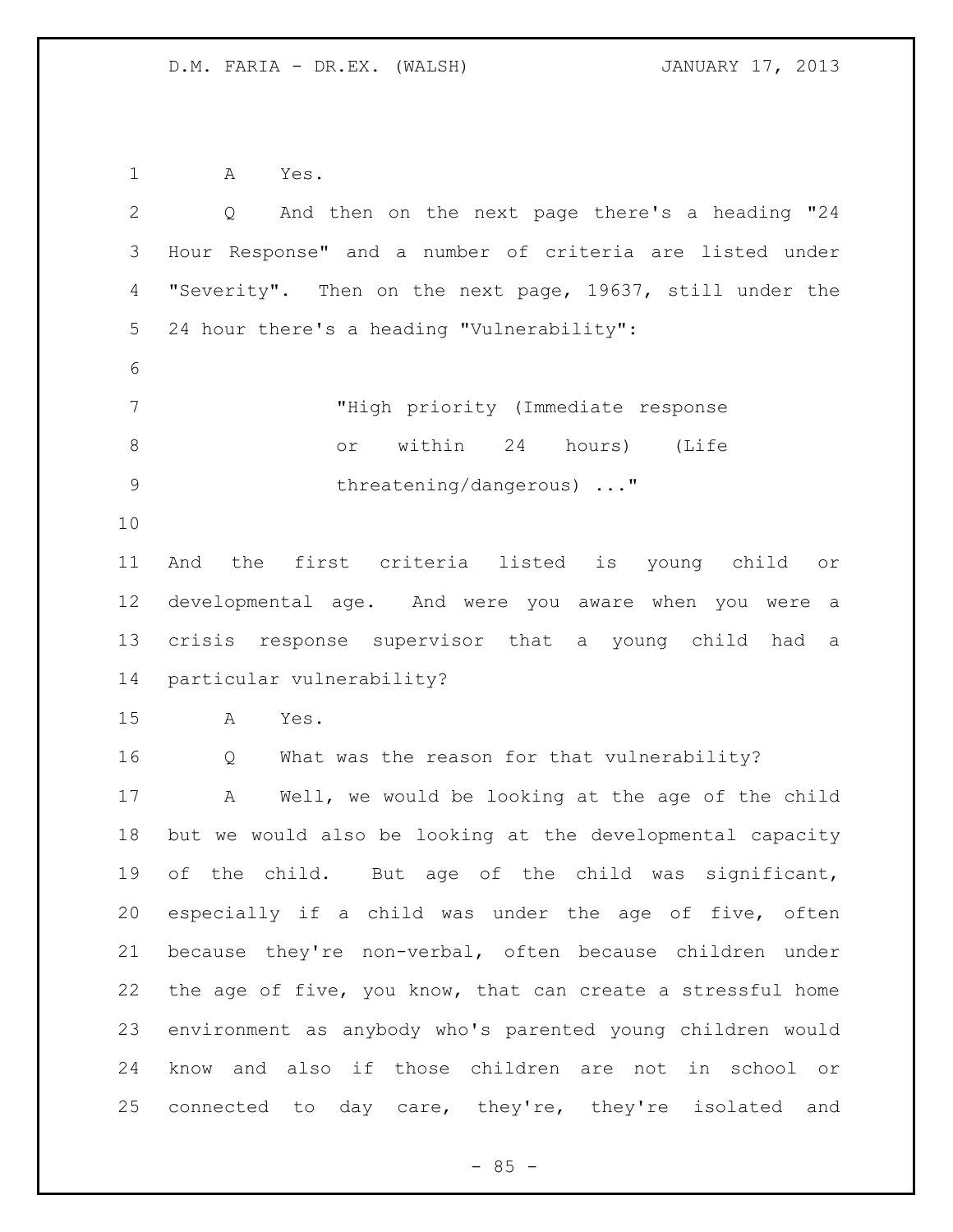A Yes.

| $\overline{2}$  | And then on the next page there's a heading "24<br>Q        |
|-----------------|-------------------------------------------------------------|
| 3               | Hour Response" and a number of criteria are listed under    |
| $\overline{4}$  | "Severity". Then on the next page, 19637, still under the   |
| 5               | 24 hour there's a heading "Vulnerability":                  |
| 6               |                                                             |
| $7\phantom{.0}$ | "High priority (Immediate response                          |
| $\,8\,$         | or within 24 hours) (Life                                   |
| $\mathcal{G}$   | threatening/dangerous) "                                    |
| 10              |                                                             |
| 11              | the first criteria listed is young child or<br>And          |
| 12              | developmental age. And were you aware when you were a       |
| 13              | crisis response supervisor that a young child had<br>a      |
| 14              | particular vulnerability?                                   |
| 15              | Yes.<br>A                                                   |
| 16              | What was the reason for that vulnerability?<br>Q            |
| 17              | Well, we would be looking at the age of the child<br>Α      |
| 18              | but we would also be looking at the developmental capacity  |
| 19              | of the child. But age of the child was significant,         |
| 20              | especially if a child was under the age of five, often      |
| 21              | because they're non-verbal, often because children under    |
| 22              | the age of five, you know, that can create a stressful home |
| 23              | environment as anybody who's parented young children would  |
| 24              | know and also if those children are not in school or        |
| 25              | connected to day care, they're, they're isolated and        |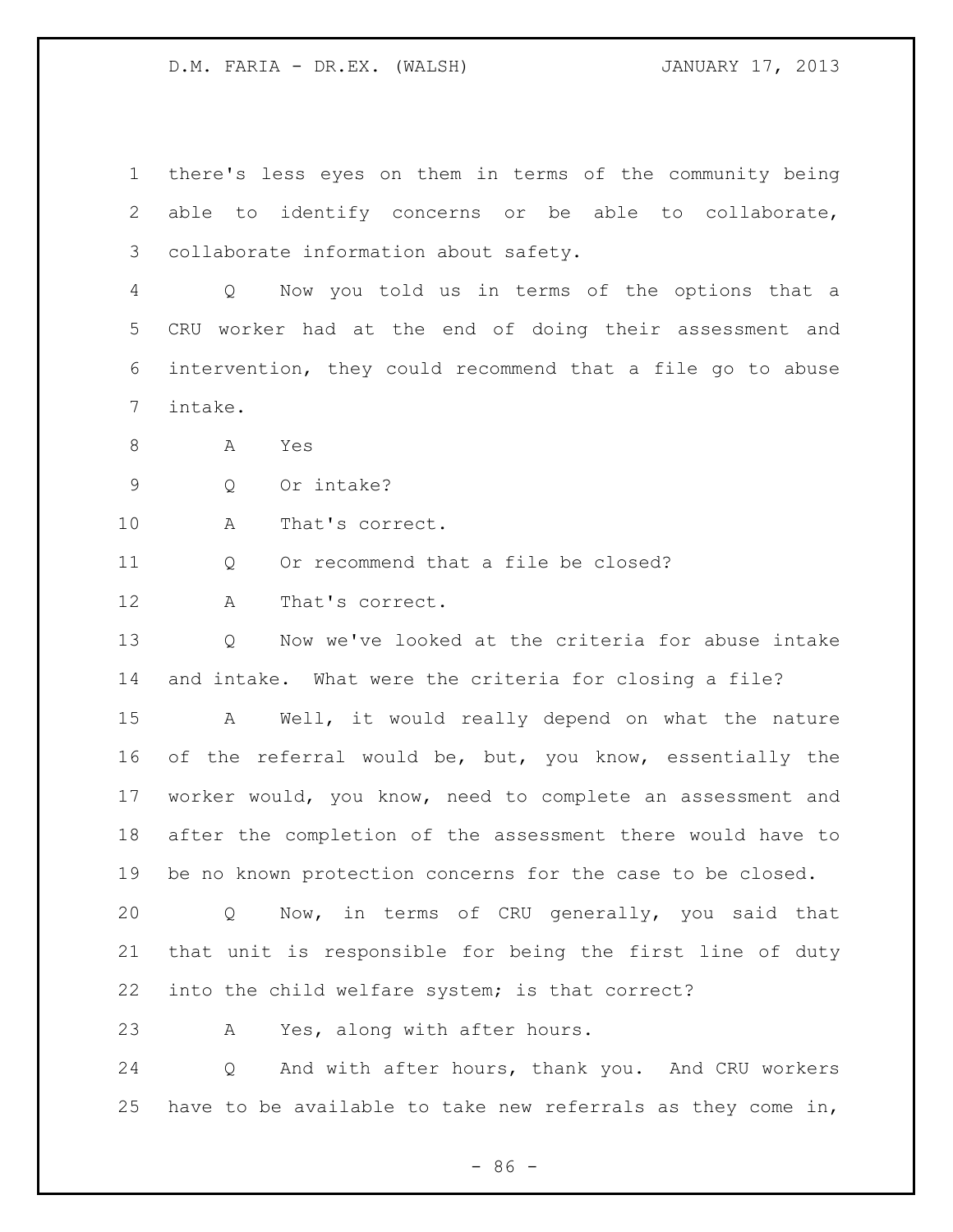there's less eyes on them in terms of the community being able to identify concerns or be able to collaborate, collaborate information about safety. Q Now you told us in terms of the options that a CRU worker had at the end of doing their assessment and intervention, they could recommend that a file go to abuse

intake.

A Yes

Q Or intake?

A That's correct.

11 O Or recommend that a file be closed?

A That's correct.

 Q Now we've looked at the criteria for abuse intake and intake. What were the criteria for closing a file?

 A Well, it would really depend on what the nature of the referral would be, but, you know, essentially the worker would, you know, need to complete an assessment and after the completion of the assessment there would have to be no known protection concerns for the case to be closed.

 Q Now, in terms of CRU generally, you said that that unit is responsible for being the first line of duty into the child welfare system; is that correct?

A Yes, along with after hours.

 Q And with after hours, thank you. And CRU workers have to be available to take new referrals as they come in,

 $-86 -$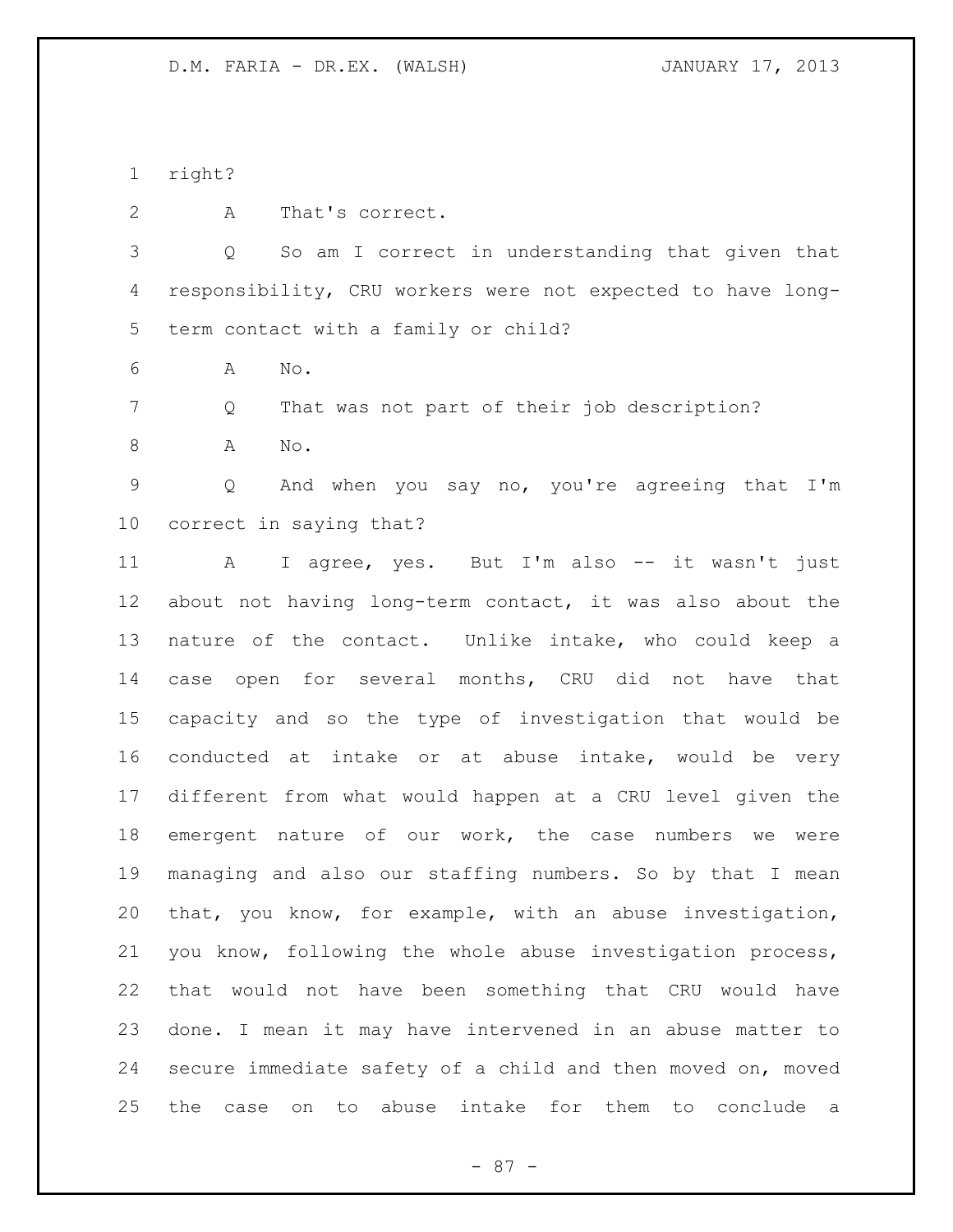right?

A That's correct.

 Q So am I correct in understanding that given that responsibility, CRU workers were not expected to have long-term contact with a family or child?

A No.

Q That was not part of their job description?

A No.

 Q And when you say no, you're agreeing that I'm correct in saying that?

 A I agree, yes. But I'm also -- it wasn't just about not having long-term contact, it was also about the nature of the contact. Unlike intake, who could keep a case open for several months, CRU did not have that capacity and so the type of investigation that would be conducted at intake or at abuse intake, would be very different from what would happen at a CRU level given the emergent nature of our work, the case numbers we were managing and also our staffing numbers. So by that I mean that, you know, for example, with an abuse investigation, you know, following the whole abuse investigation process, that would not have been something that CRU would have done. I mean it may have intervened in an abuse matter to secure immediate safety of a child and then moved on, moved the case on to abuse intake for them to conclude a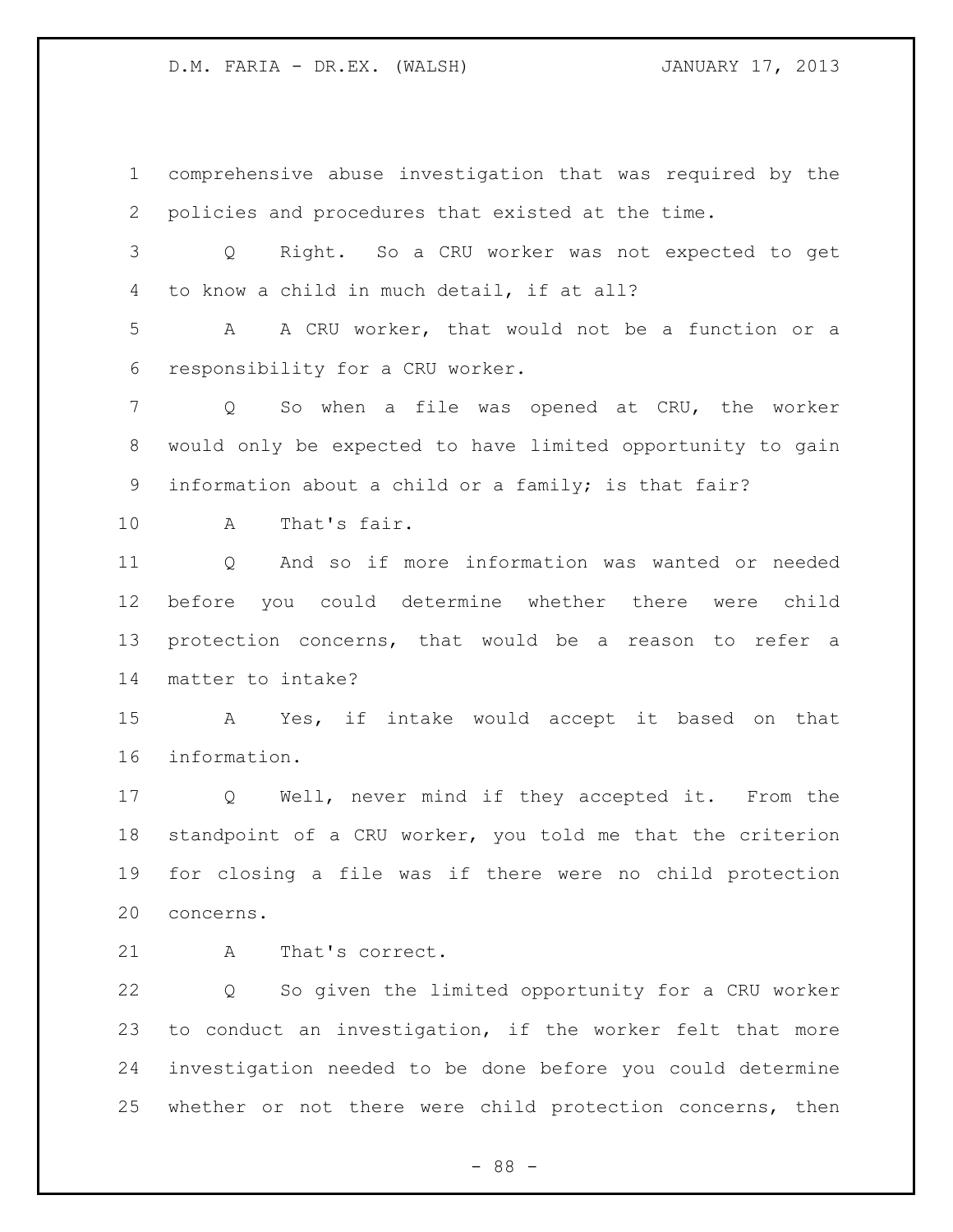comprehensive abuse investigation that was required by the policies and procedures that existed at the time. Q Right. So a CRU worker was not expected to get to know a child in much detail, if at all? A A CRU worker, that would not be a function or a responsibility for a CRU worker. Q So when a file was opened at CRU, the worker would only be expected to have limited opportunity to gain information about a child or a family; is that fair? A That's fair. Q And so if more information was wanted or needed before you could determine whether there were child protection concerns, that would be a reason to refer a matter to intake? A Yes, if intake would accept it based on that information. Q Well, never mind if they accepted it. From the standpoint of a CRU worker, you told me that the criterion for closing a file was if there were no child protection concerns. 21 A That's correct. Q So given the limited opportunity for a CRU worker to conduct an investigation, if the worker felt that more

 investigation needed to be done before you could determine whether or not there were child protection concerns, then

- 88 -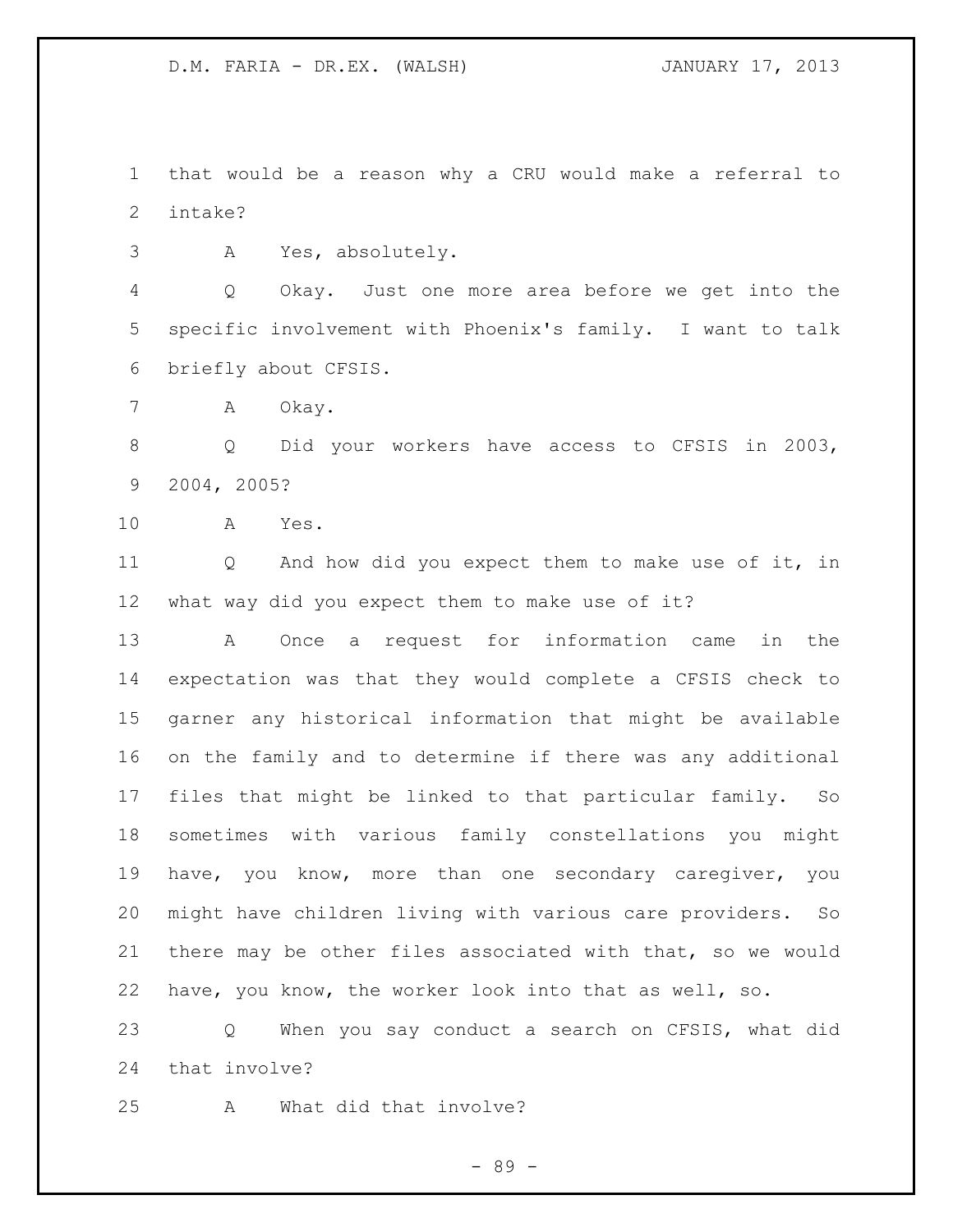that would be a reason why a CRU would make a referral to intake?

A Yes, absolutely.

 Q Okay. Just one more area before we get into the specific involvement with Phoenix's family. I want to talk briefly about CFSIS.

7 A Okay.

 Q Did your workers have access to CFSIS in 2003, 2004, 2005?

A Yes.

 Q And how did you expect them to make use of it, in what way did you expect them to make use of it?

 A Once a request for information came in the expectation was that they would complete a CFSIS check to garner any historical information that might be available on the family and to determine if there was any additional files that might be linked to that particular family. So sometimes with various family constellations you might have, you know, more than one secondary caregiver, you might have children living with various care providers. So there may be other files associated with that, so we would have, you know, the worker look into that as well, so.

 Q When you say conduct a search on CFSIS, what did that involve?

A What did that involve?

- 89 -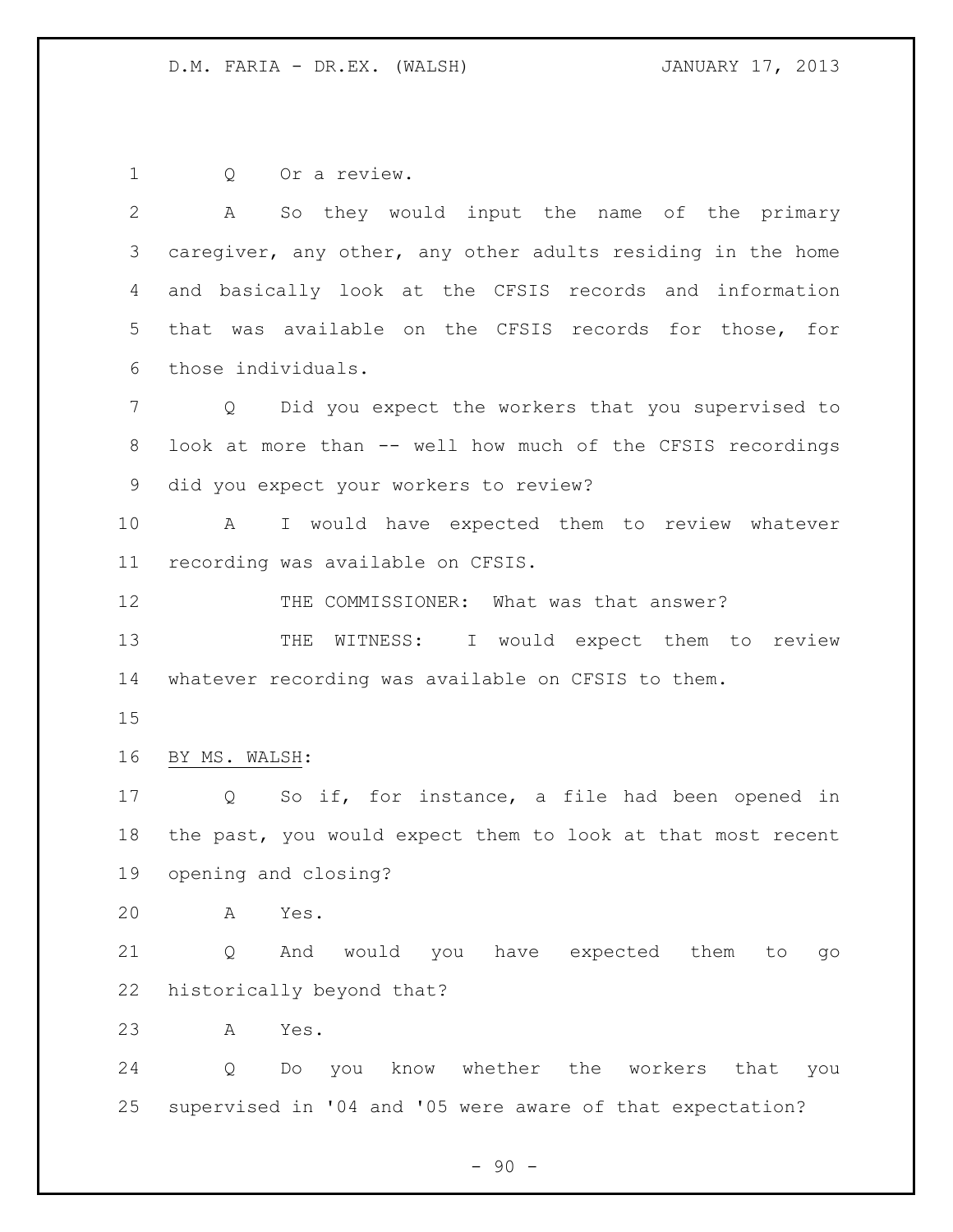Q Or a review. A So they would input the name of the primary caregiver, any other, any other adults residing in the home and basically look at the CFSIS records and information that was available on the CFSIS records for those, for those individuals. Q Did you expect the workers that you supervised to look at more than -- well how much of the CFSIS recordings did you expect your workers to review? A I would have expected them to review whatever recording was available on CFSIS. 12 THE COMMISSIONER: What was that answer? 13 THE WITNESS: I would expect them to review whatever recording was available on CFSIS to them. BY MS. WALSH: Q So if, for instance, a file had been opened in the past, you would expect them to look at that most recent opening and closing? A Yes. Q And would you have expected them to go historically beyond that? A Yes. Q Do you know whether the workers that you supervised in '04 and '05 were aware of that expectation?

 $-90 -$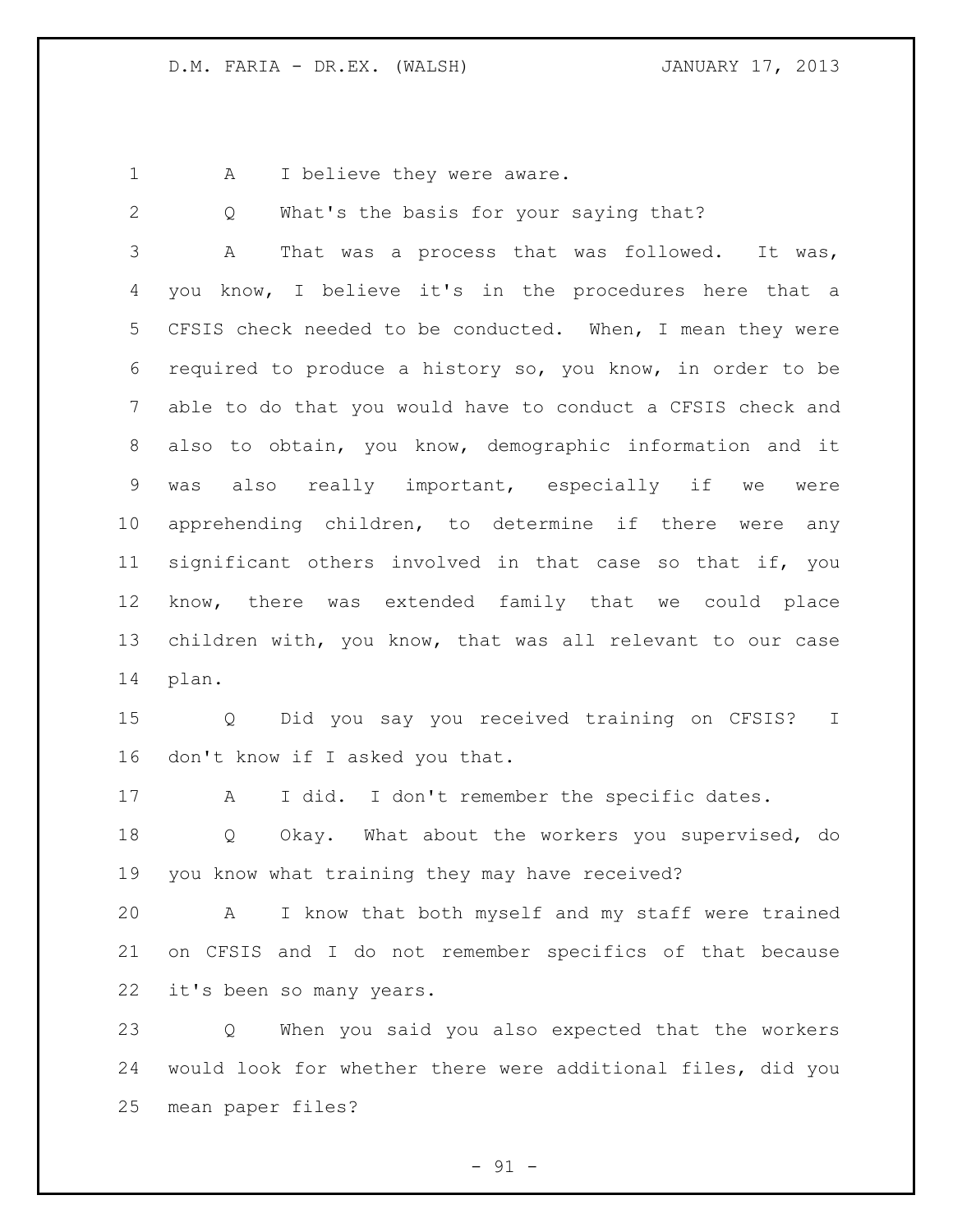1 A I believe they were aware.

Q What's the basis for your saying that?

 A That was a process that was followed. It was, you know, I believe it's in the procedures here that a CFSIS check needed to be conducted. When, I mean they were required to produce a history so, you know, in order to be able to do that you would have to conduct a CFSIS check and also to obtain, you know, demographic information and it was also really important, especially if we were apprehending children, to determine if there were any significant others involved in that case so that if, you know, there was extended family that we could place children with, you know, that was all relevant to our case plan.

 Q Did you say you received training on CFSIS? I don't know if I asked you that.

A I did. I don't remember the specific dates.

 Q Okay. What about the workers you supervised, do you know what training they may have received?

 A I know that both myself and my staff were trained on CFSIS and I do not remember specifics of that because it's been so many years.

 Q When you said you also expected that the workers would look for whether there were additional files, did you mean paper files?

 $-91 -$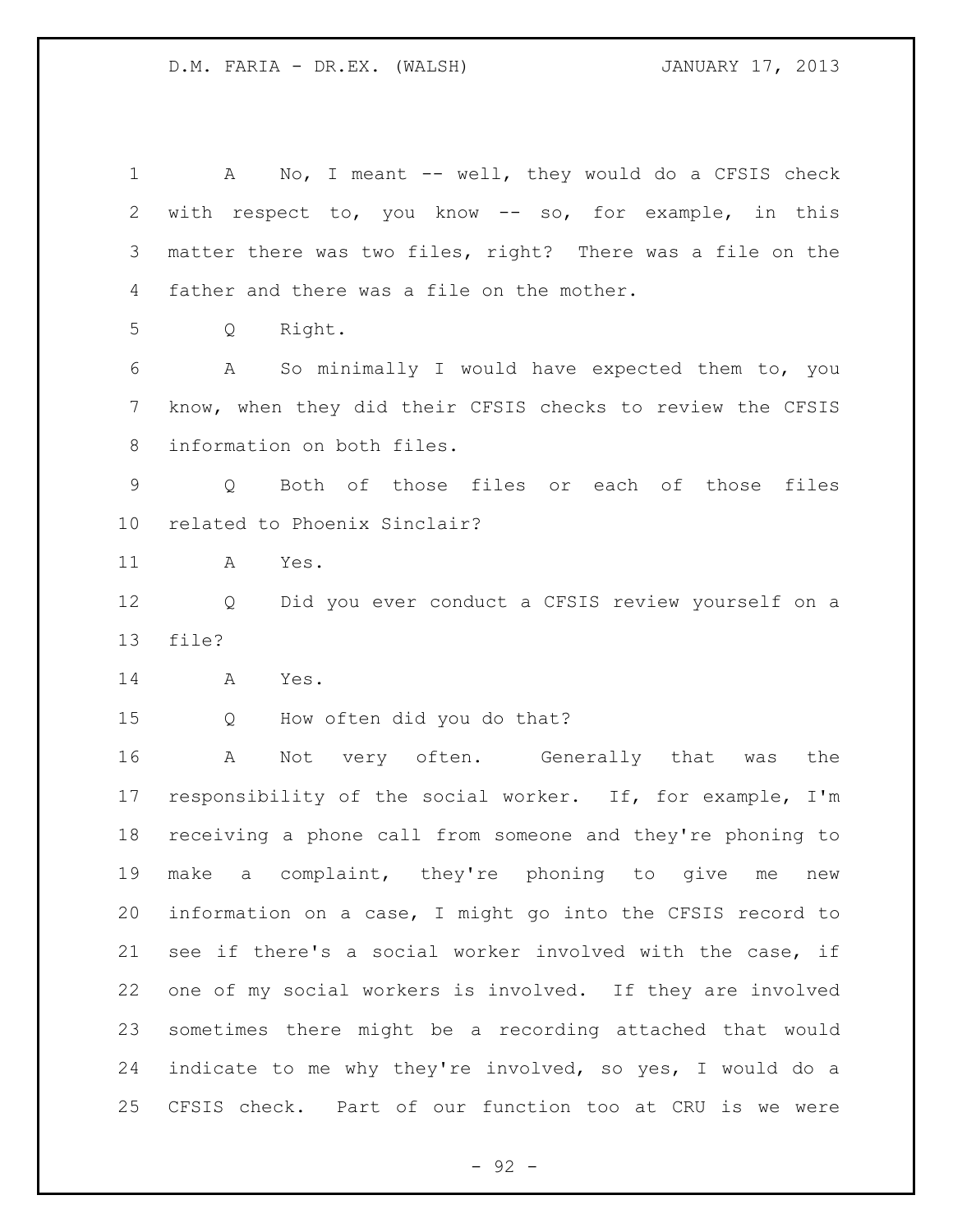1 A No, I meant -- well, they would do a CFSIS check with respect to, you know -- so, for example, in this matter there was two files, right? There was a file on the father and there was a file on the mother. Q Right. A So minimally I would have expected them to, you know, when they did their CFSIS checks to review the CFSIS information on both files. Q Both of those files or each of those files related to Phoenix Sinclair? A Yes. Q Did you ever conduct a CFSIS review yourself on a file? A Yes. Q How often did you do that? A Not very often. Generally that was the responsibility of the social worker. If, for example, I'm receiving a phone call from someone and they're phoning to make a complaint, they're phoning to give me new information on a case, I might go into the CFSIS record to see if there's a social worker involved with the case, if one of my social workers is involved. If they are involved sometimes there might be a recording attached that would indicate to me why they're involved, so yes, I would do a CFSIS check. Part of our function too at CRU is we were

 $-92 -$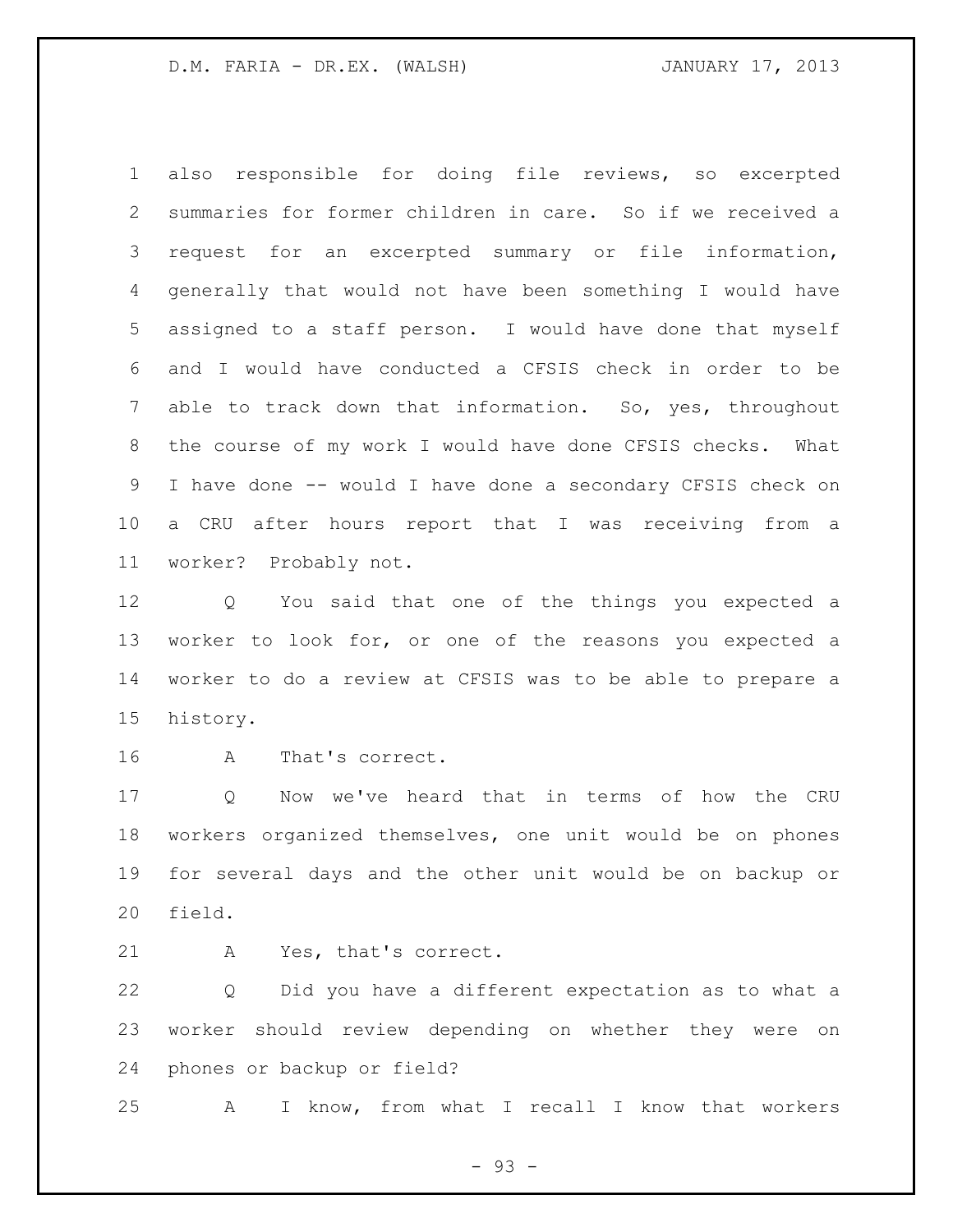also responsible for doing file reviews, so excerpted summaries for former children in care. So if we received a request for an excerpted summary or file information, generally that would not have been something I would have assigned to a staff person. I would have done that myself and I would have conducted a CFSIS check in order to be able to track down that information. So, yes, throughout the course of my work I would have done CFSIS checks. What I have done -- would I have done a secondary CFSIS check on a CRU after hours report that I was receiving from a worker? Probably not.

 Q You said that one of the things you expected a worker to look for, or one of the reasons you expected a worker to do a review at CFSIS was to be able to prepare a history.

A That's correct.

 Q Now we've heard that in terms of how the CRU workers organized themselves, one unit would be on phones for several days and the other unit would be on backup or field.

A Yes, that's correct.

 Q Did you have a different expectation as to what a worker should review depending on whether they were on phones or backup or field?

A I know, from what I recall I know that workers

- 93 -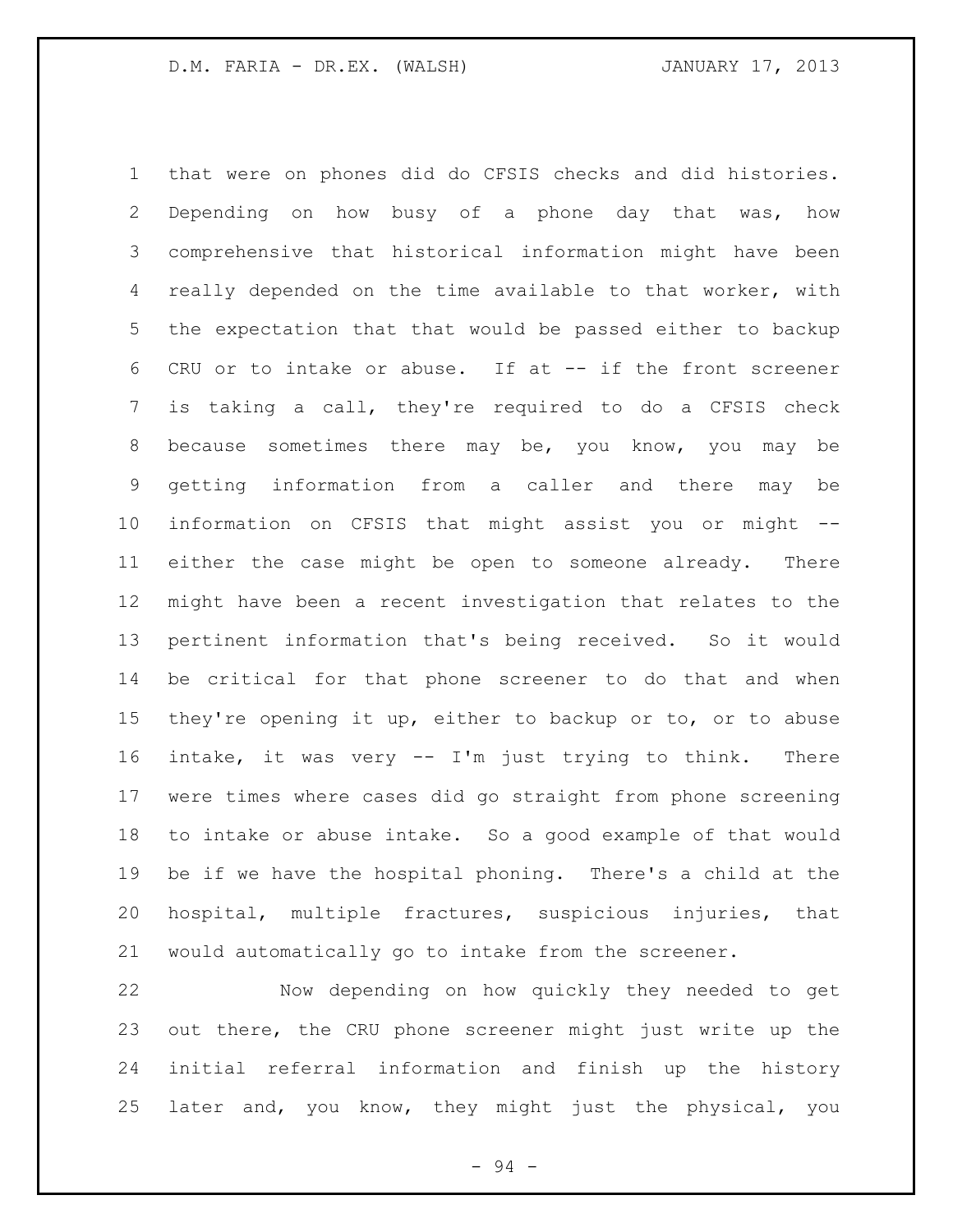that were on phones did do CFSIS checks and did histories. Depending on how busy of a phone day that was, how comprehensive that historical information might have been really depended on the time available to that worker, with the expectation that that would be passed either to backup CRU or to intake or abuse. If at -- if the front screener is taking a call, they're required to do a CFSIS check because sometimes there may be, you know, you may be getting information from a caller and there may be information on CFSIS that might assist you or might -- either the case might be open to someone already. There might have been a recent investigation that relates to the pertinent information that's being received. So it would be critical for that phone screener to do that and when they're opening it up, either to backup or to, or to abuse intake, it was very -- I'm just trying to think. There were times where cases did go straight from phone screening to intake or abuse intake. So a good example of that would be if we have the hospital phoning. There's a child at the hospital, multiple fractures, suspicious injuries, that would automatically go to intake from the screener.

 Now depending on how quickly they needed to get out there, the CRU phone screener might just write up the initial referral information and finish up the history later and, you know, they might just the physical, you

- 94 -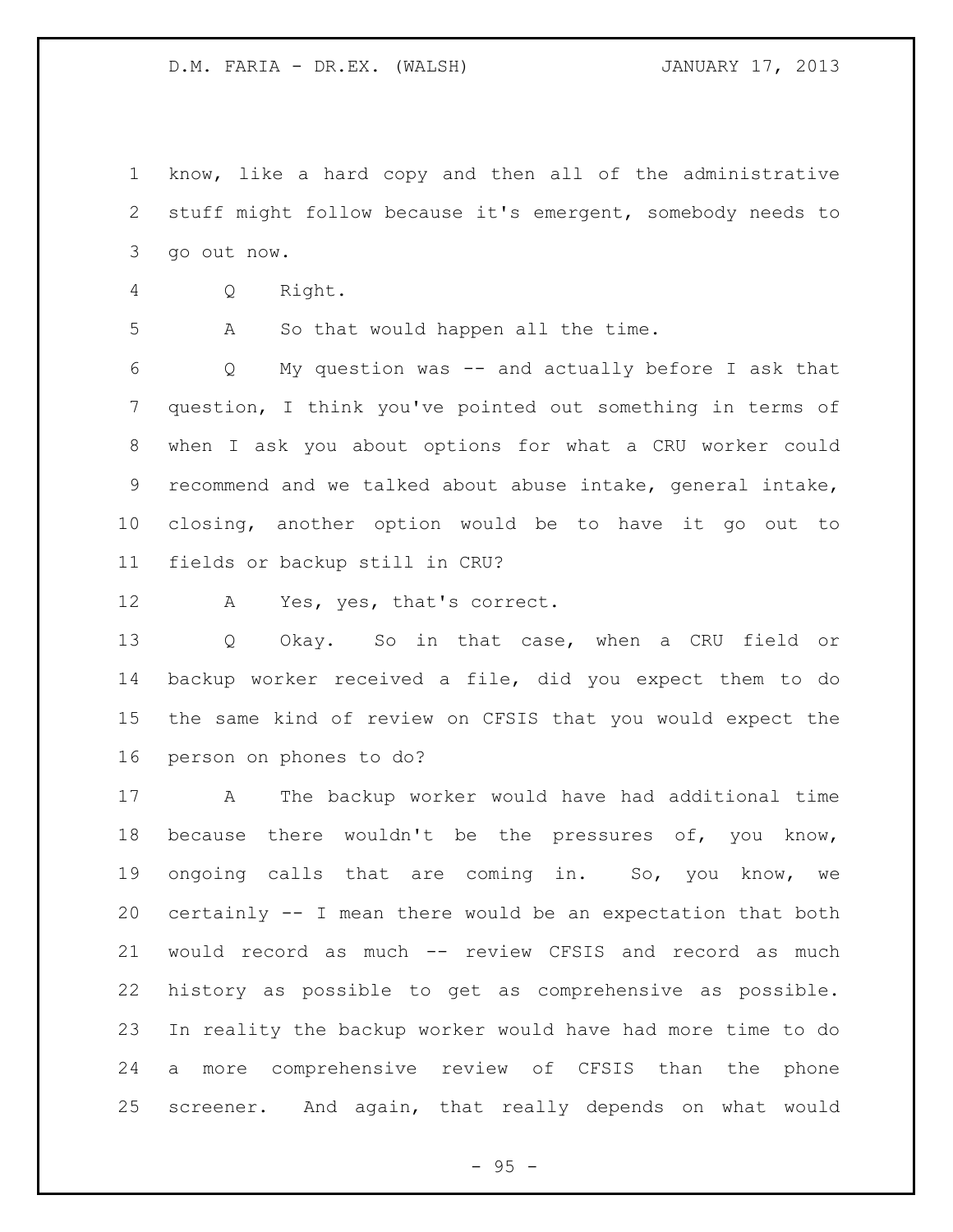know, like a hard copy and then all of the administrative stuff might follow because it's emergent, somebody needs to go out now.

Q Right.

A So that would happen all the time.

 Q My question was -- and actually before I ask that question, I think you've pointed out something in terms of when I ask you about options for what a CRU worker could recommend and we talked about abuse intake, general intake, closing, another option would be to have it go out to fields or backup still in CRU?

A Yes, yes, that's correct.

 Q Okay. So in that case, when a CRU field or backup worker received a file, did you expect them to do the same kind of review on CFSIS that you would expect the person on phones to do?

 A The backup worker would have had additional time 18 because there wouldn't be the pressures of, you know, ongoing calls that are coming in. So, you know, we certainly -- I mean there would be an expectation that both would record as much -- review CFSIS and record as much history as possible to get as comprehensive as possible. In reality the backup worker would have had more time to do a more comprehensive review of CFSIS than the phone screener. And again, that really depends on what would

 $- 95 -$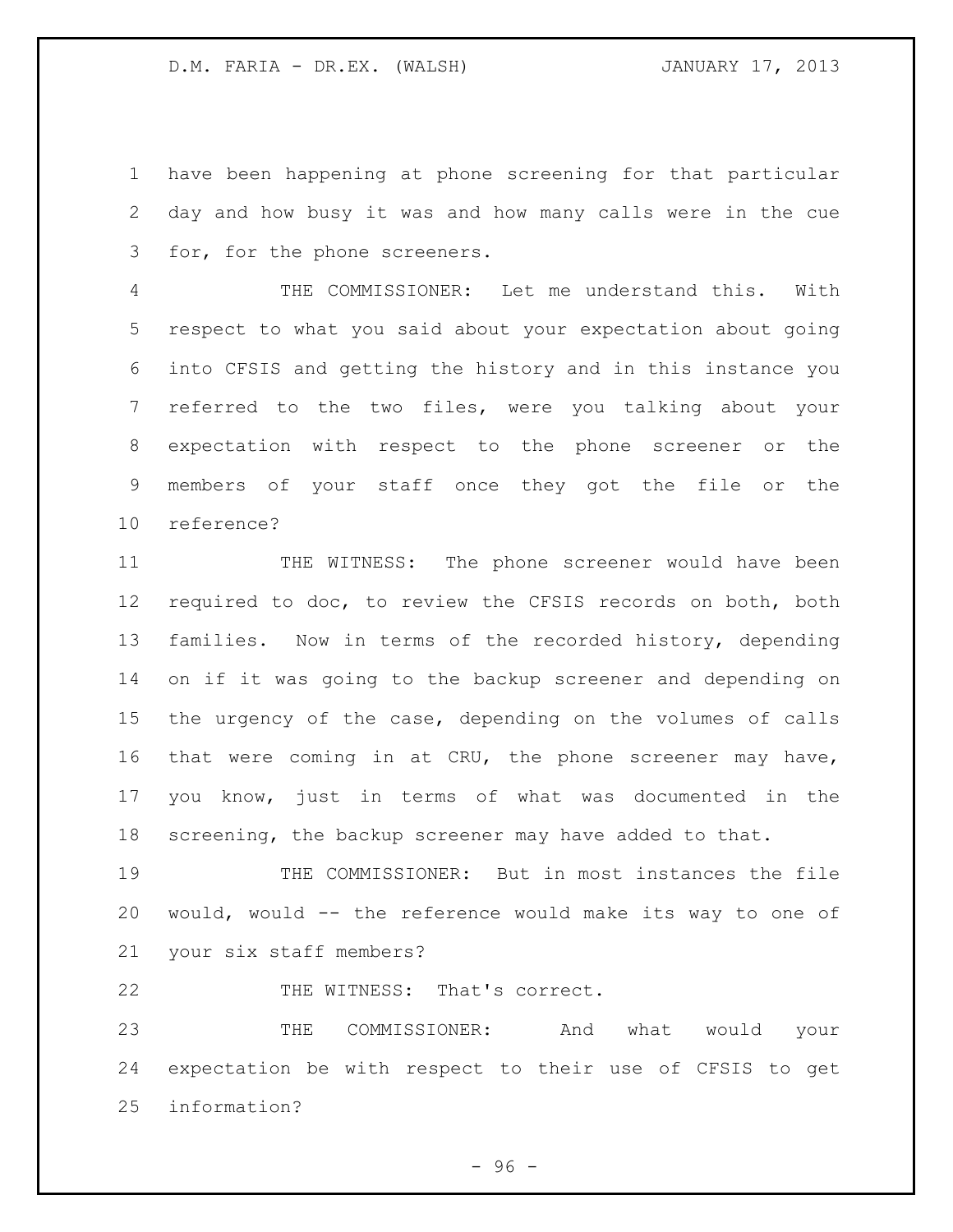have been happening at phone screening for that particular day and how busy it was and how many calls were in the cue for, for the phone screeners.

 THE COMMISSIONER: Let me understand this. With respect to what you said about your expectation about going into CFSIS and getting the history and in this instance you referred to the two files, were you talking about your expectation with respect to the phone screener or the members of your staff once they got the file or the reference?

 THE WITNESS: The phone screener would have been required to doc, to review the CFSIS records on both, both families. Now in terms of the recorded history, depending on if it was going to the backup screener and depending on the urgency of the case, depending on the volumes of calls that were coming in at CRU, the phone screener may have, you know, just in terms of what was documented in the screening, the backup screener may have added to that.

 THE COMMISSIONER: But in most instances the file would, would -- the reference would make its way to one of your six staff members?

22 THE WITNESS: That's correct.

 THE COMMISSIONER: And what would your expectation be with respect to their use of CFSIS to get information?

 $-96 -$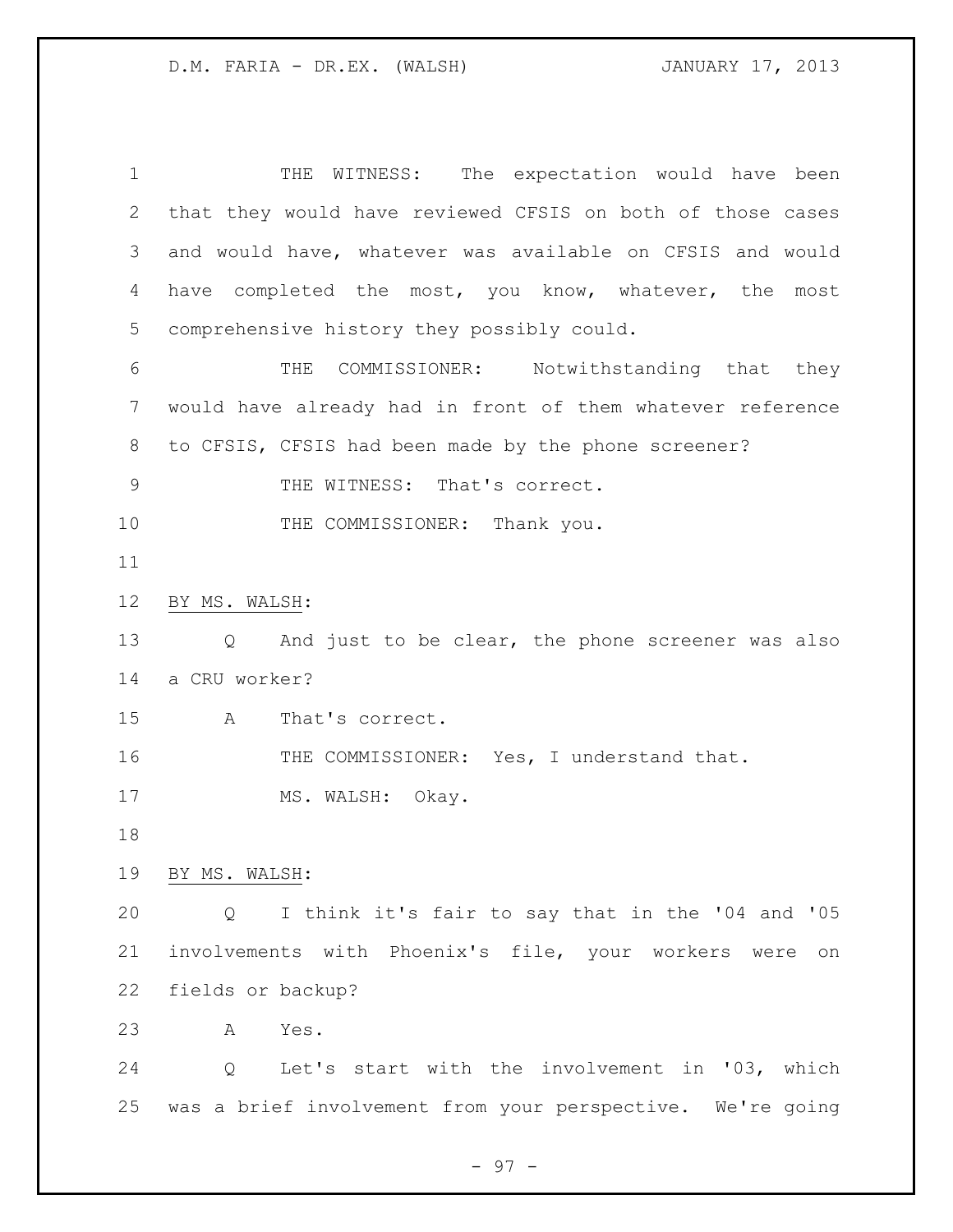1 THE WITNESS: The expectation would have been that they would have reviewed CFSIS on both of those cases and would have, whatever was available on CFSIS and would have completed the most, you know, whatever, the most comprehensive history they possibly could. THE COMMISSIONER: Notwithstanding that they would have already had in front of them whatever reference to CFSIS, CFSIS had been made by the phone screener? 9 THE WITNESS: That's correct. 10 THE COMMISSIONER: Thank you. BY MS. WALSH: Q And just to be clear, the phone screener was also a CRU worker? A That's correct. THE COMMISSIONER: Yes, I understand that. 17 MS. WALSH: Okay. BY MS. WALSH: Q I think it's fair to say that in the '04 and '05 involvements with Phoenix's file, your workers were on fields or backup? A Yes. Q Let's start with the involvement in '03, which was a brief involvement from your perspective. We're going

- 97 -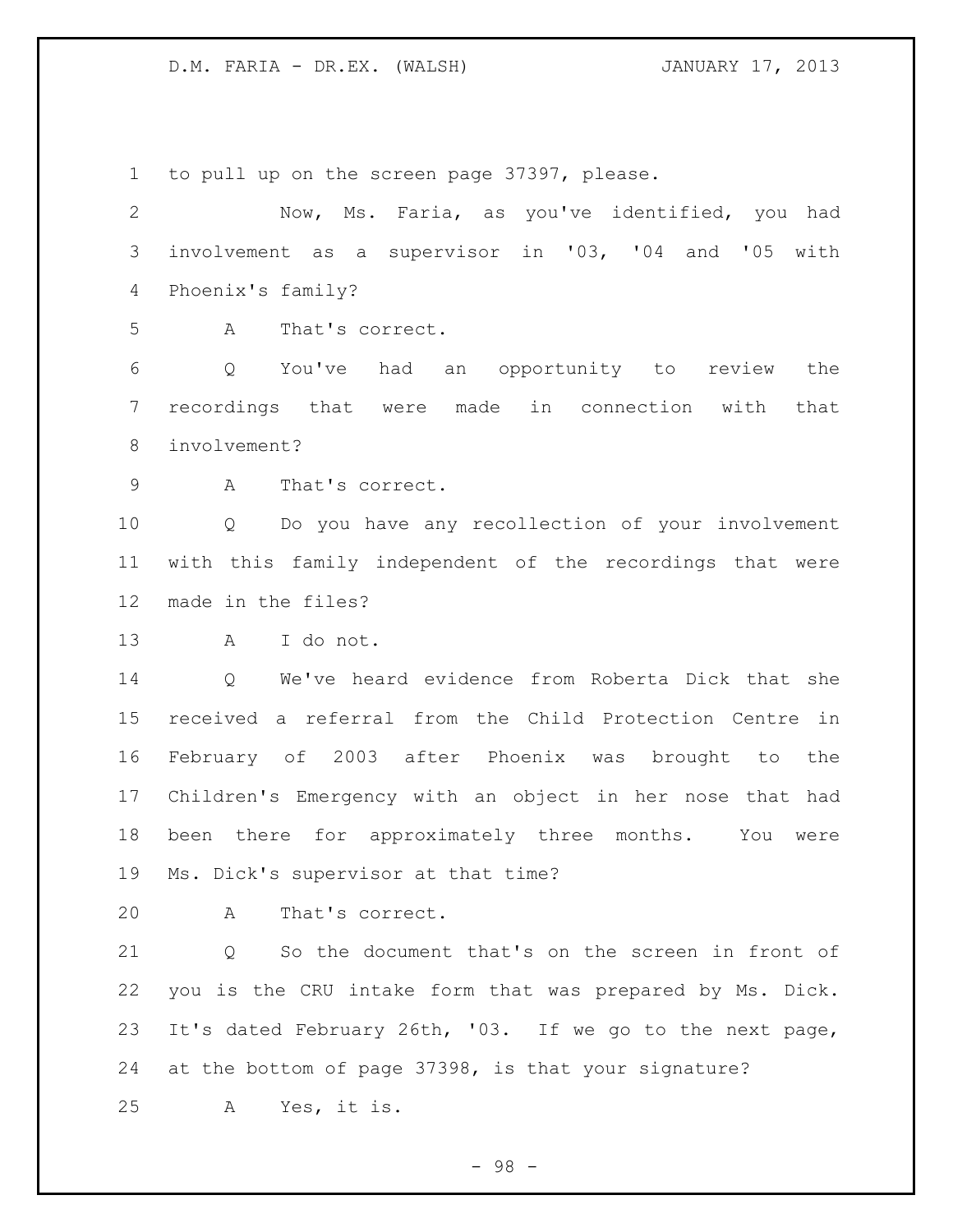to pull up on the screen page 37397, please. Now, Ms. Faria, as you've identified, you had involvement as a supervisor in '03, '04 and '05 with Phoenix's family? A That's correct. Q You've had an opportunity to review the recordings that were made in connection with that involvement? A That's correct. Q Do you have any recollection of your involvement with this family independent of the recordings that were made in the files? A I do not. Q We've heard evidence from Roberta Dick that she received a referral from the Child Protection Centre in February of 2003 after Phoenix was brought to the Children's Emergency with an object in her nose that had been there for approximately three months. You were Ms. Dick's supervisor at that time? A That's correct. Q So the document that's on the screen in front of you is the CRU intake form that was prepared by Ms. Dick. It's dated February 26th, '03. If we go to the next page, at the bottom of page 37398, is that your signature? A Yes, it is.

- 98 -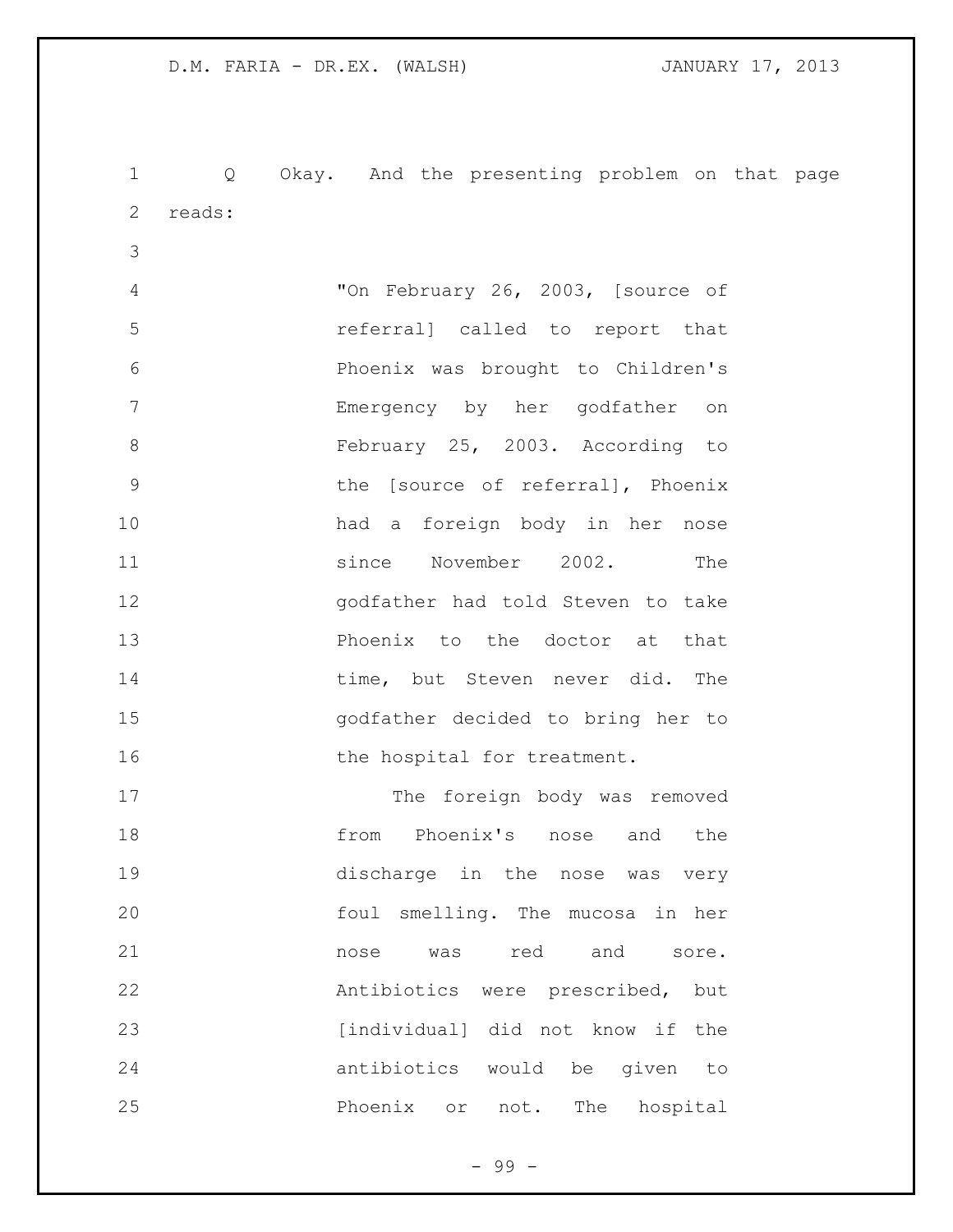Q Okay. And the presenting problem on that page reads: "On February 26, 2003, [source of referral] called to report that Phoenix was brought to Children's Emergency by her godfather on February 25, 2003. According to the [source of referral], Phoenix had a foreign body in her nose since November 2002. The godfather had told Steven to take Phoenix to the doctor at that 14 time, but Steven never did. The godfather decided to bring her to 16 the hospital for treatment. 17 The foreign body was removed from Phoenix's nose and the discharge in the nose was very foul smelling. The mucosa in her **nose** was red and sore. Antibiotics were prescribed, but

23 [individual] did not know if the antibiotics would be given to Phoenix or not. The hospital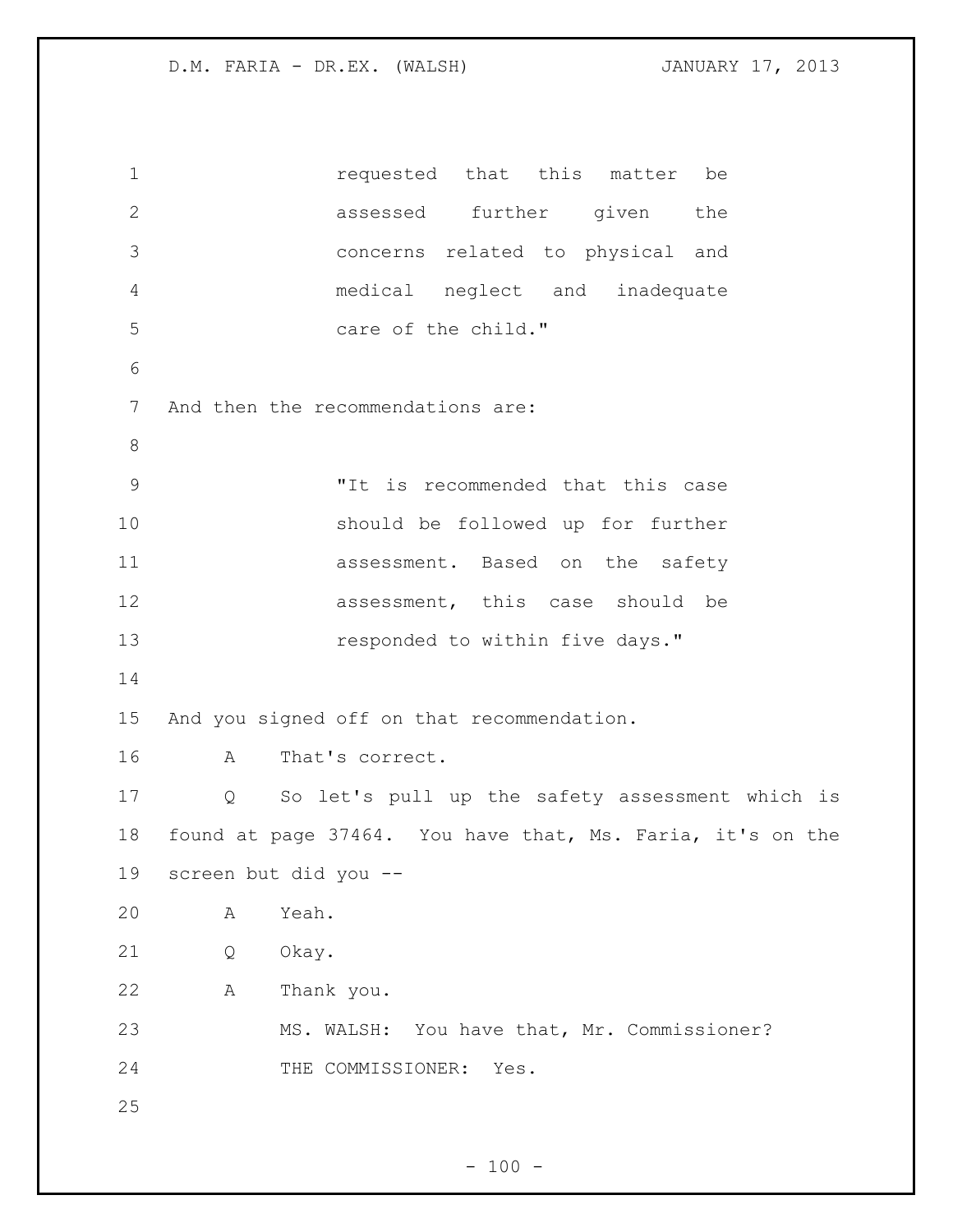requested that this matter be assessed further given the concerns related to physical and medical neglect and inadequate care of the child." And then the recommendations are: "It is recommended that this case should be followed up for further assessment. Based on the safety **assessment**, this case should be **responded** to within five days." And you signed off on that recommendation. A That's correct. Q So let's pull up the safety assessment which is found at page 37464. You have that, Ms. Faria, it's on the screen but did you -- A Yeah. Q Okay. A Thank you. MS. WALSH: You have that, Mr. Commissioner? 24 THE COMMISSIONER: Yes.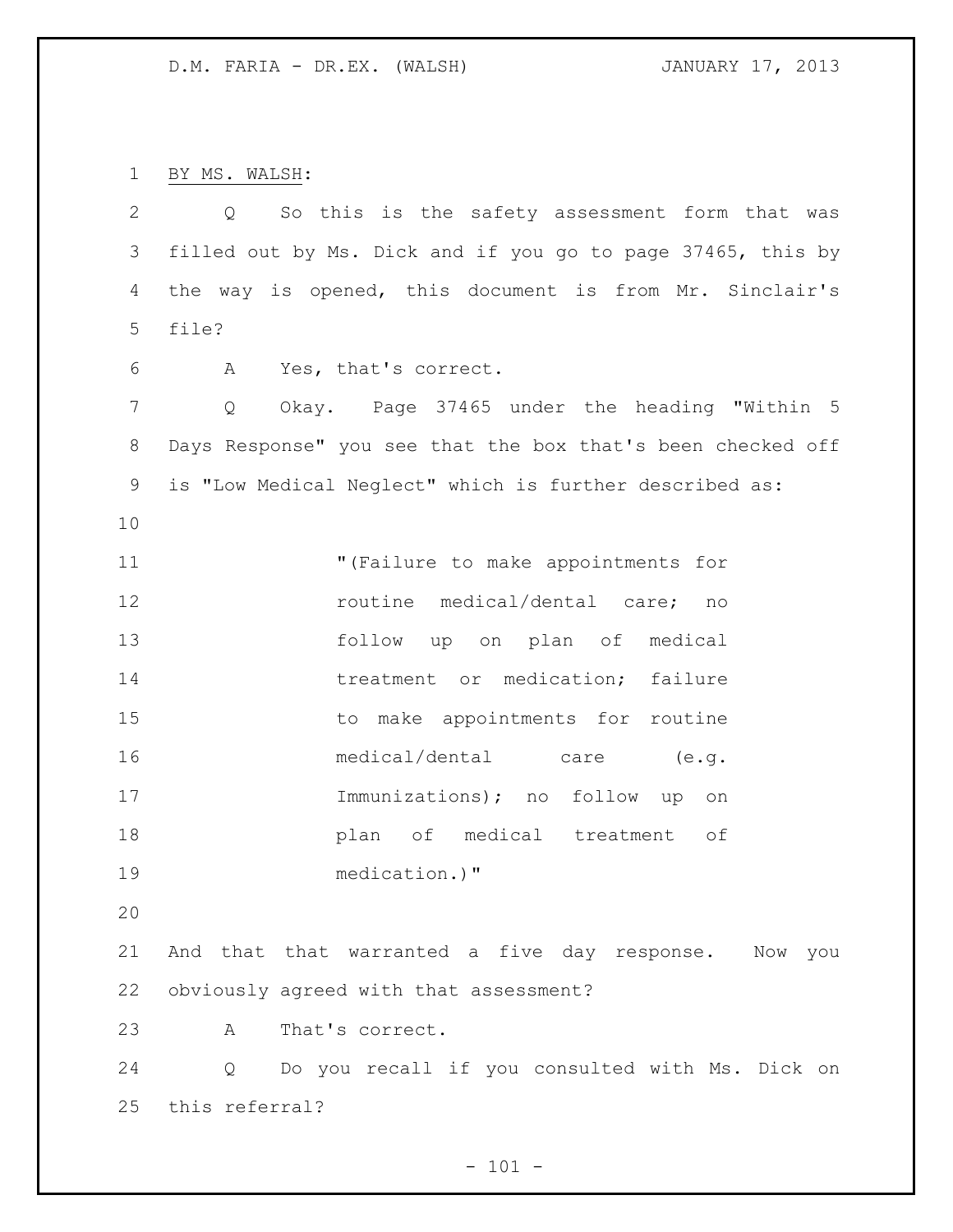BY MS. WALSH:

| $\overline{2}$ | So this is the safety assessment form that was<br>$Q \qquad \qquad$  |
|----------------|----------------------------------------------------------------------|
| 3              | filled out by Ms. Dick and if you go to page 37465, this by          |
| 4              | the way is opened, this document is from Mr. Sinclair's              |
| 5              | file?                                                                |
| 6              | Yes, that's correct.<br>A                                            |
| $7\phantom{.}$ | Okay. Page 37465 under the heading "Within 5<br>Q                    |
| 8              | Days Response" you see that the box that's been checked off          |
| 9              | is "Low Medical Neglect" which is further described as:              |
| 10             |                                                                      |
| 11             | "(Failure to make appointments for                                   |
| 12             | routine medical/dental care;<br>no                                   |
| 13             | follow up on plan of medical                                         |
| 14             | treatment or medication; failure                                     |
| 15             | to make appointments for routine                                     |
| 16             | medical/dental care (e.g.                                            |
| 17             | Immunizations); no follow up<br>on                                   |
| 18             | plan of medical treatment of                                         |
| 19             | medication.)"                                                        |
| 20             |                                                                      |
| 21             | And that that warranted a five day response. Now you                 |
| 22             | obviously agreed with that assessment?                               |
| 23             | That's correct.<br>A                                                 |
| 24             | Do you recall if you consulted with Ms. Dick on<br>$Q \qquad \qquad$ |
| 25             | this referral?                                                       |

- 101 -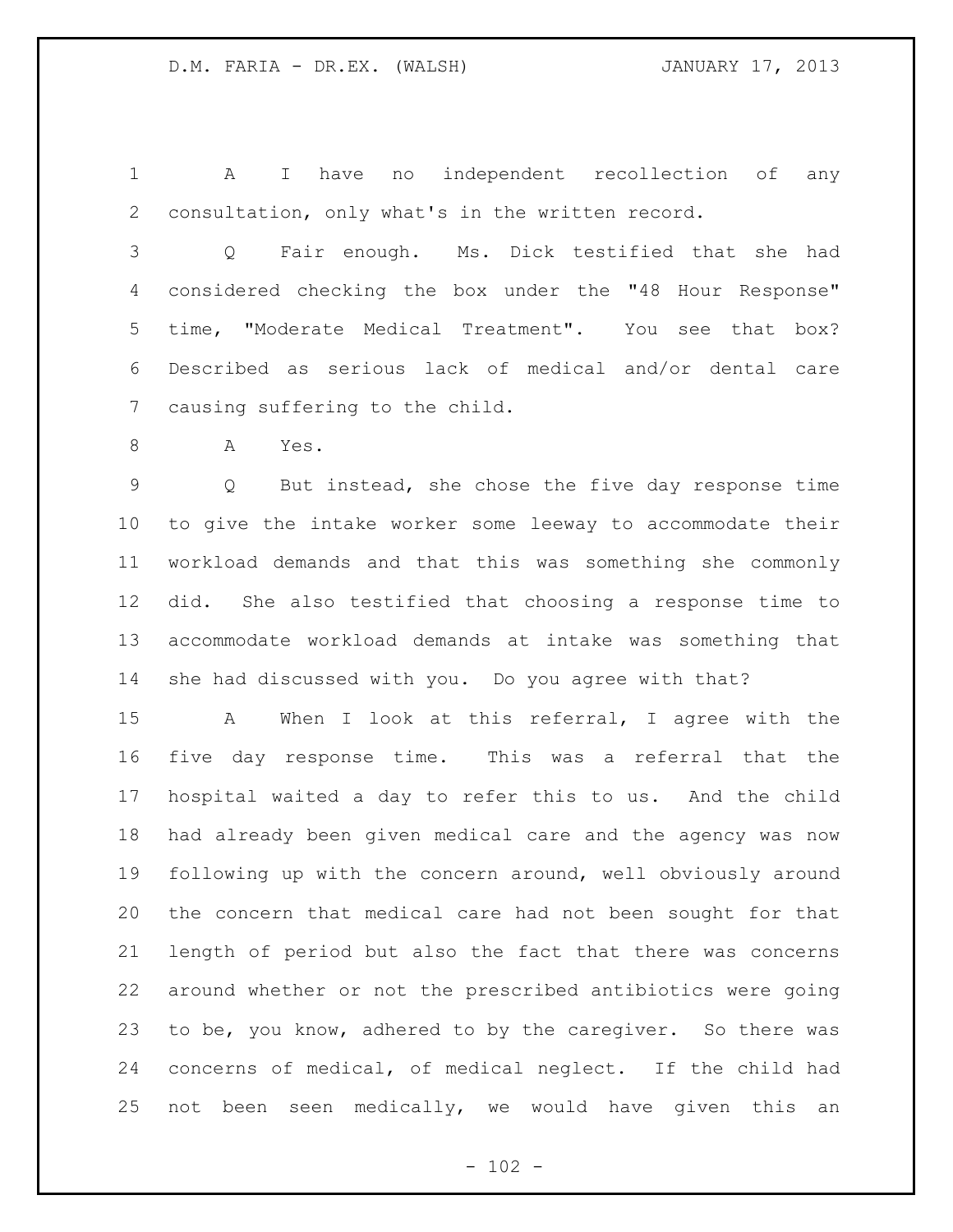A I have no independent recollection of any consultation, only what's in the written record.

 Q Fair enough. Ms. Dick testified that she had considered checking the box under the "48 Hour Response" time, "Moderate Medical Treatment". You see that box? Described as serious lack of medical and/or dental care causing suffering to the child.

A Yes.

 Q But instead, she chose the five day response time to give the intake worker some leeway to accommodate their workload demands and that this was something she commonly did. She also testified that choosing a response time to accommodate workload demands at intake was something that she had discussed with you. Do you agree with that?

 A When I look at this referral, I agree with the five day response time. This was a referral that the hospital waited a day to refer this to us. And the child had already been given medical care and the agency was now following up with the concern around, well obviously around the concern that medical care had not been sought for that length of period but also the fact that there was concerns around whether or not the prescribed antibiotics were going to be, you know, adhered to by the caregiver. So there was concerns of medical, of medical neglect. If the child had not been seen medically, we would have given this an

 $- 102 -$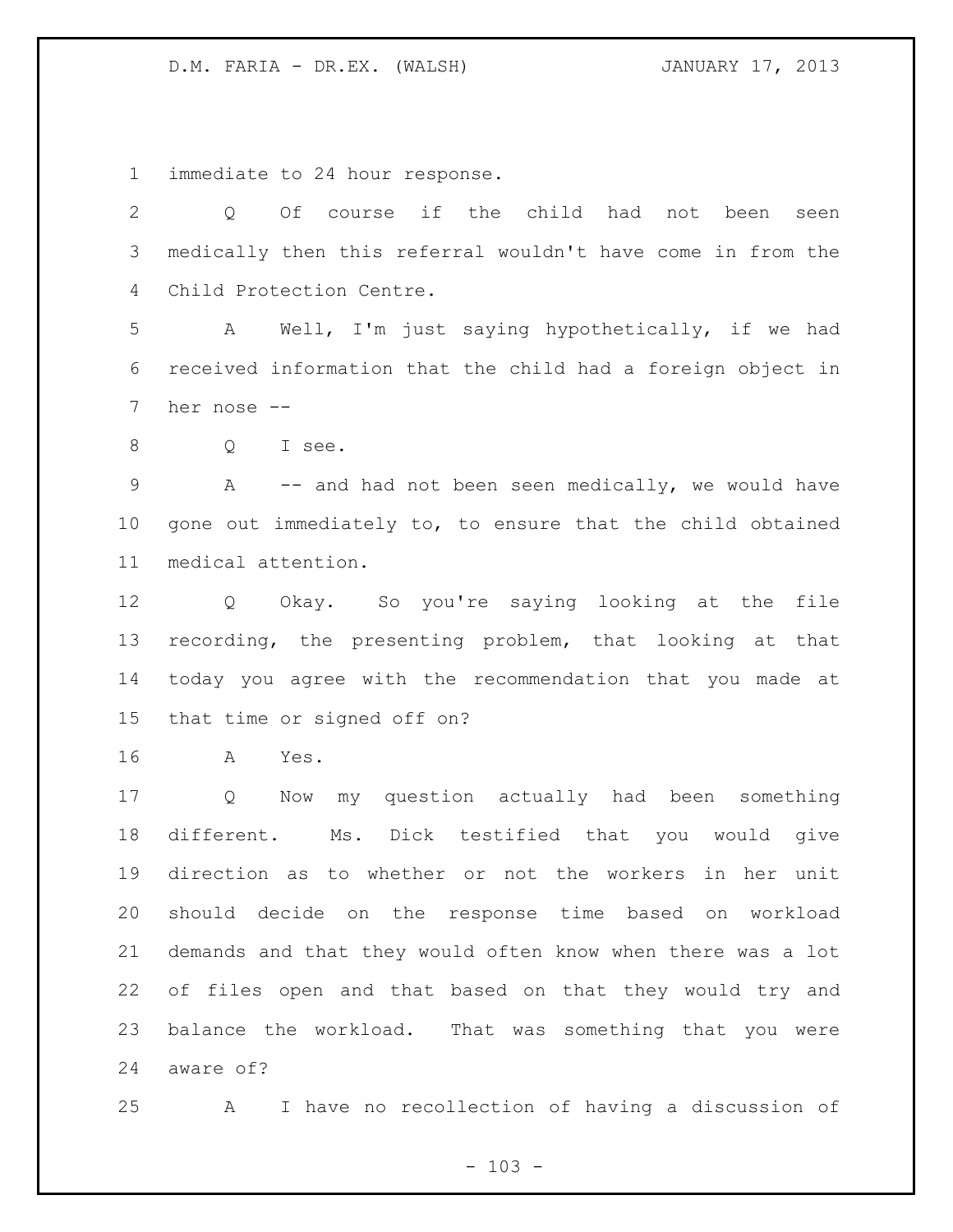immediate to 24 hour response.

 Q Of course if the child had not been seen medically then this referral wouldn't have come in from the Child Protection Centre. A Well, I'm just saying hypothetically, if we had received information that the child had a foreign object in her nose -- Q I see. 9 A -- and had not been seen medically, we would have gone out immediately to, to ensure that the child obtained medical attention. Q Okay. So you're saying looking at the file recording, the presenting problem, that looking at that today you agree with the recommendation that you made at that time or signed off on? A Yes. Q Now my question actually had been something different. Ms. Dick testified that you would give

 direction as to whether or not the workers in her unit should decide on the response time based on workload demands and that they would often know when there was a lot of files open and that based on that they would try and balance the workload. That was something that you were aware of?

A I have no recollection of having a discussion of

 $- 103 -$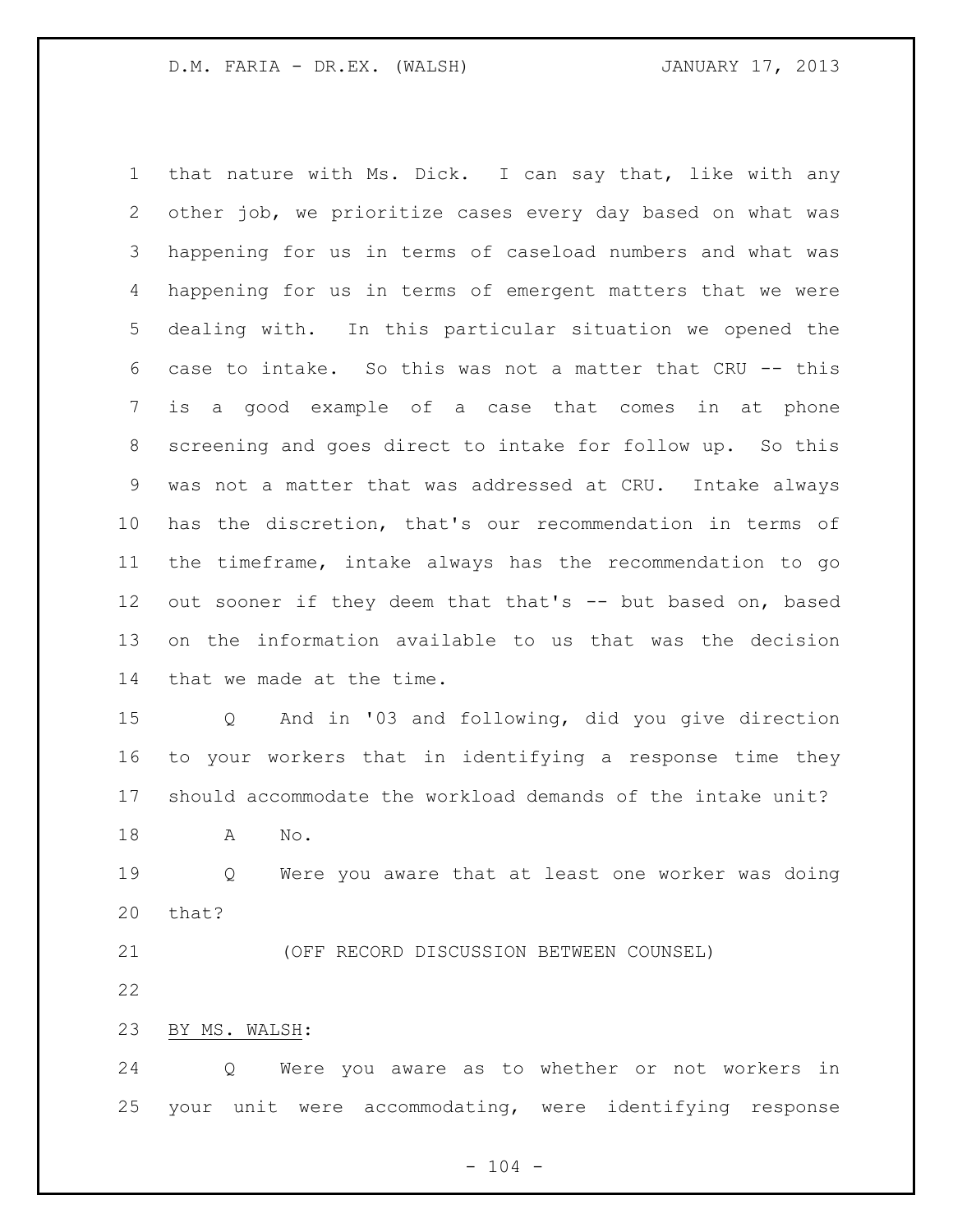that nature with Ms. Dick. I can say that, like with any other job, we prioritize cases every day based on what was happening for us in terms of caseload numbers and what was happening for us in terms of emergent matters that we were dealing with. In this particular situation we opened the case to intake. So this was not a matter that CRU -- this is a good example of a case that comes in at phone screening and goes direct to intake for follow up. So this was not a matter that was addressed at CRU. Intake always has the discretion, that's our recommendation in terms of the timeframe, intake always has the recommendation to go out sooner if they deem that that's -- but based on, based on the information available to us that was the decision that we made at the time.

 Q And in '03 and following, did you give direction to your workers that in identifying a response time they should accommodate the workload demands of the intake unit?

A No.

 Q Were you aware that at least one worker was doing that?

(OFF RECORD DISCUSSION BETWEEN COUNSEL)

BY MS. WALSH:

 Q Were you aware as to whether or not workers in your unit were accommodating, were identifying response

 $- 104 -$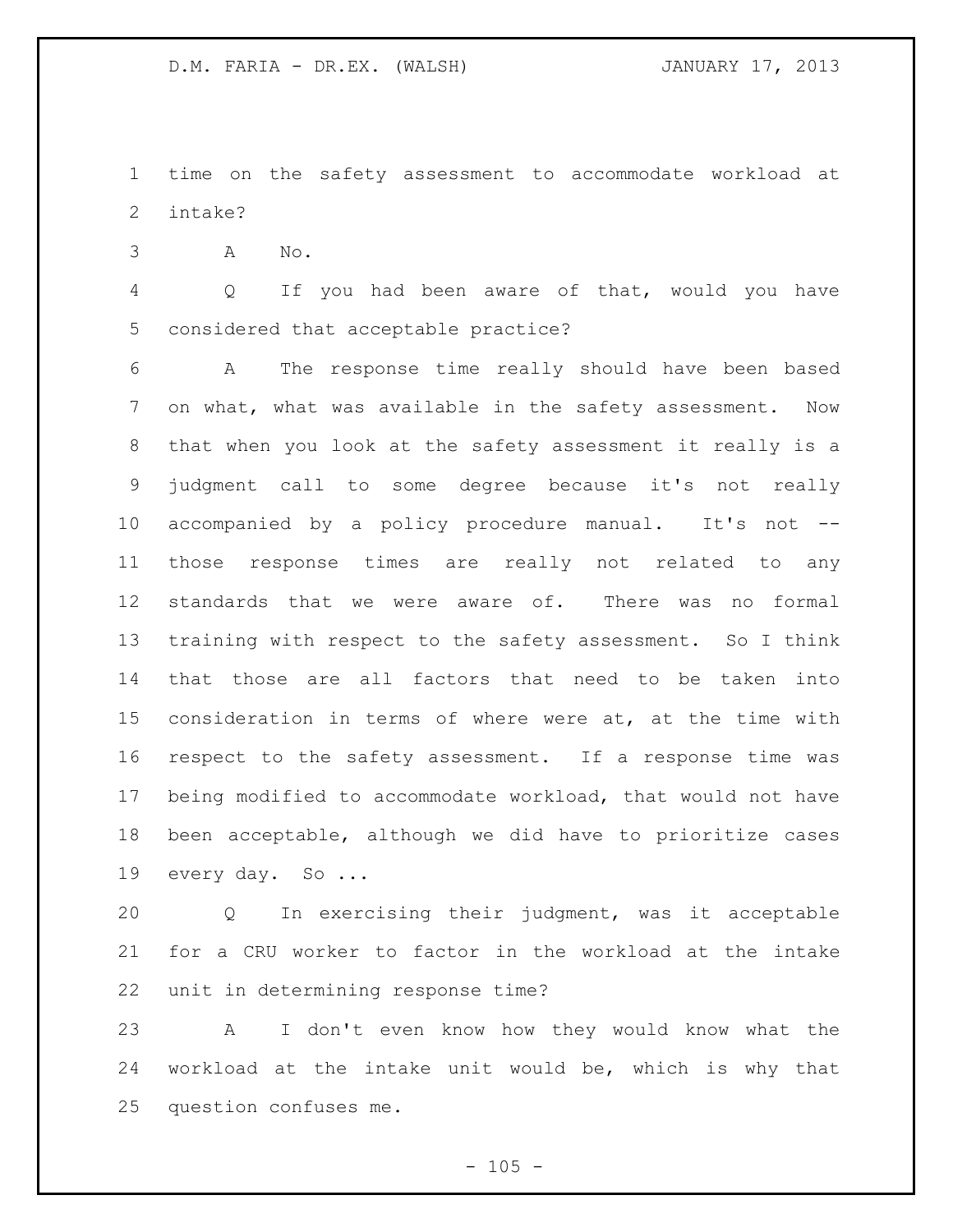time on the safety assessment to accommodate workload at intake?

A No.

 Q If you had been aware of that, would you have considered that acceptable practice?

 A The response time really should have been based on what, what was available in the safety assessment. Now that when you look at the safety assessment it really is a judgment call to some degree because it's not really accompanied by a policy procedure manual. It's not -- those response times are really not related to any standards that we were aware of. There was no formal training with respect to the safety assessment. So I think that those are all factors that need to be taken into consideration in terms of where were at, at the time with respect to the safety assessment. If a response time was being modified to accommodate workload, that would not have been acceptable, although we did have to prioritize cases every day. So ...

 Q In exercising their judgment, was it acceptable for a CRU worker to factor in the workload at the intake unit in determining response time?

 A I don't even know how they would know what the workload at the intake unit would be, which is why that question confuses me.

 $- 105 -$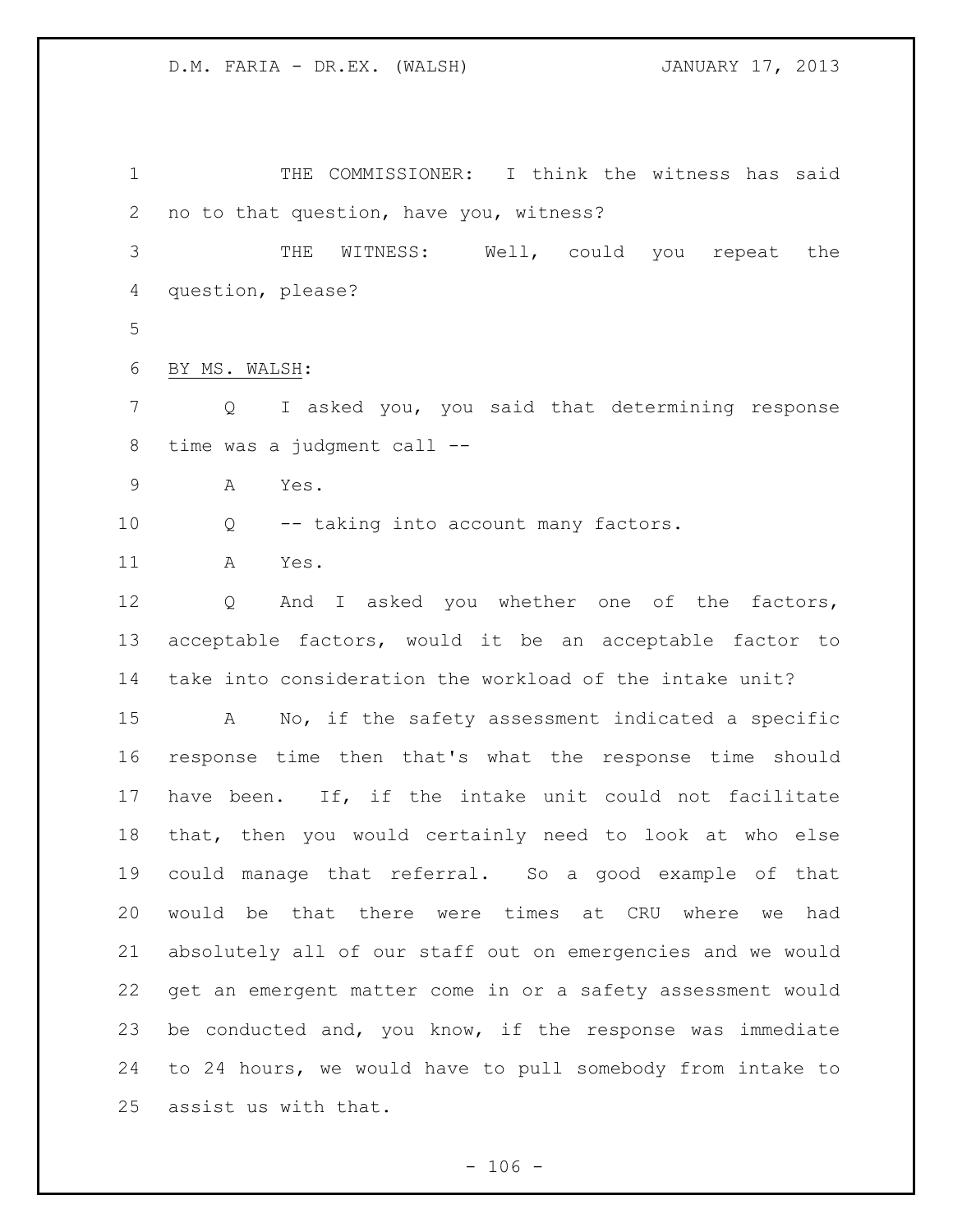THE COMMISSIONER: I think the witness has said no to that question, have you, witness? THE WITNESS: Well, could you repeat the question, please? BY MS. WALSH: Q I asked you, you said that determining response time was a judgment call -- A Yes. Q -- taking into account many factors. A Yes. 12 Q And I asked you whether one of the factors, acceptable factors, would it be an acceptable factor to take into consideration the workload of the intake unit? A No, if the safety assessment indicated a specific response time then that's what the response time should have been. If, if the intake unit could not facilitate that, then you would certainly need to look at who else could manage that referral. So a good example of that would be that there were times at CRU where we had absolutely all of our staff out on emergencies and we would get an emergent matter come in or a safety assessment would be conducted and, you know, if the response was immediate to 24 hours, we would have to pull somebody from intake to assist us with that.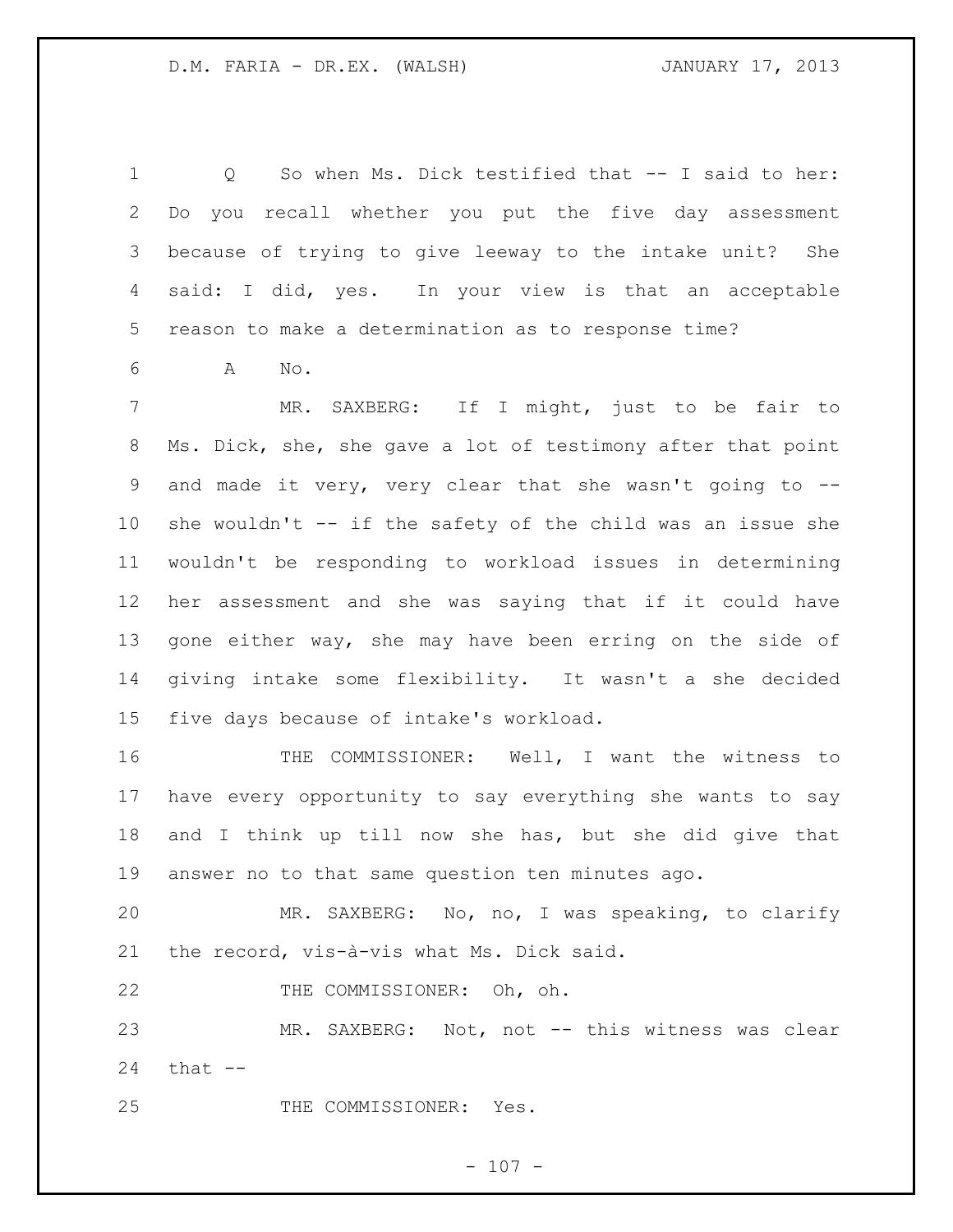Q So when Ms. Dick testified that -- I said to her: Do you recall whether you put the five day assessment because of trying to give leeway to the intake unit? She said: I did, yes. In your view is that an acceptable reason to make a determination as to response time?

A No.

 MR. SAXBERG: If I might, just to be fair to Ms. Dick, she, she gave a lot of testimony after that point and made it very, very clear that she wasn't going to -- she wouldn't -- if the safety of the child was an issue she wouldn't be responding to workload issues in determining her assessment and she was saying that if it could have gone either way, she may have been erring on the side of giving intake some flexibility. It wasn't a she decided five days because of intake's workload.

 THE COMMISSIONER: Well, I want the witness to have every opportunity to say everything she wants to say and I think up till now she has, but she did give that answer no to that same question ten minutes ago.

 MR. SAXBERG: No, no, I was speaking, to clarify the record, vis-à-vis what Ms. Dick said.

22 THE COMMISSIONER: Oh, oh.

 MR. SAXBERG: Not, not -- this witness was clear that  $-$ 

25 THE COMMISSIONER: Yes.

 $- 107 -$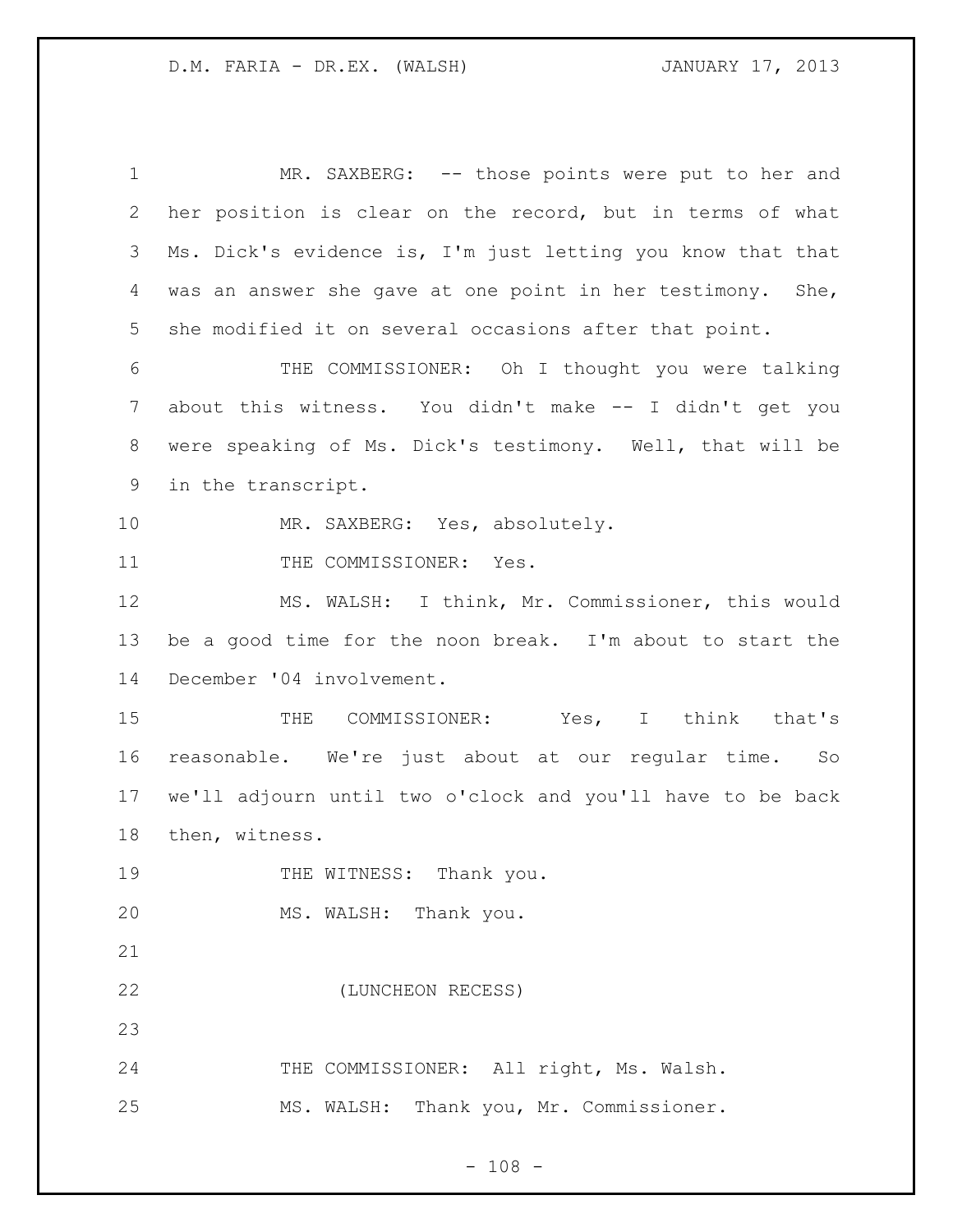1 MR. SAXBERG: -- those points were put to her and her position is clear on the record, but in terms of what Ms. Dick's evidence is, I'm just letting you know that that was an answer she gave at one point in her testimony. She, she modified it on several occasions after that point. THE COMMISSIONER: Oh I thought you were talking about this witness. You didn't make -- I didn't get you were speaking of Ms. Dick's testimony. Well, that will be in the transcript. MR. SAXBERG: Yes, absolutely. 11 THE COMMISSIONER: Yes. MS. WALSH: I think, Mr. Commissioner, this would be a good time for the noon break. I'm about to start the December '04 involvement. 15 THE COMMISSIONER: Yes, I think that's reasonable. We're just about at our regular time. So we'll adjourn until two o'clock and you'll have to be back then, witness. 19 THE WITNESS: Thank you. MS. WALSH: Thank you. (LUNCHEON RECESS) 24 THE COMMISSIONER: All right, Ms. Walsh. MS. WALSH: Thank you, Mr. Commissioner.

 $- 108 -$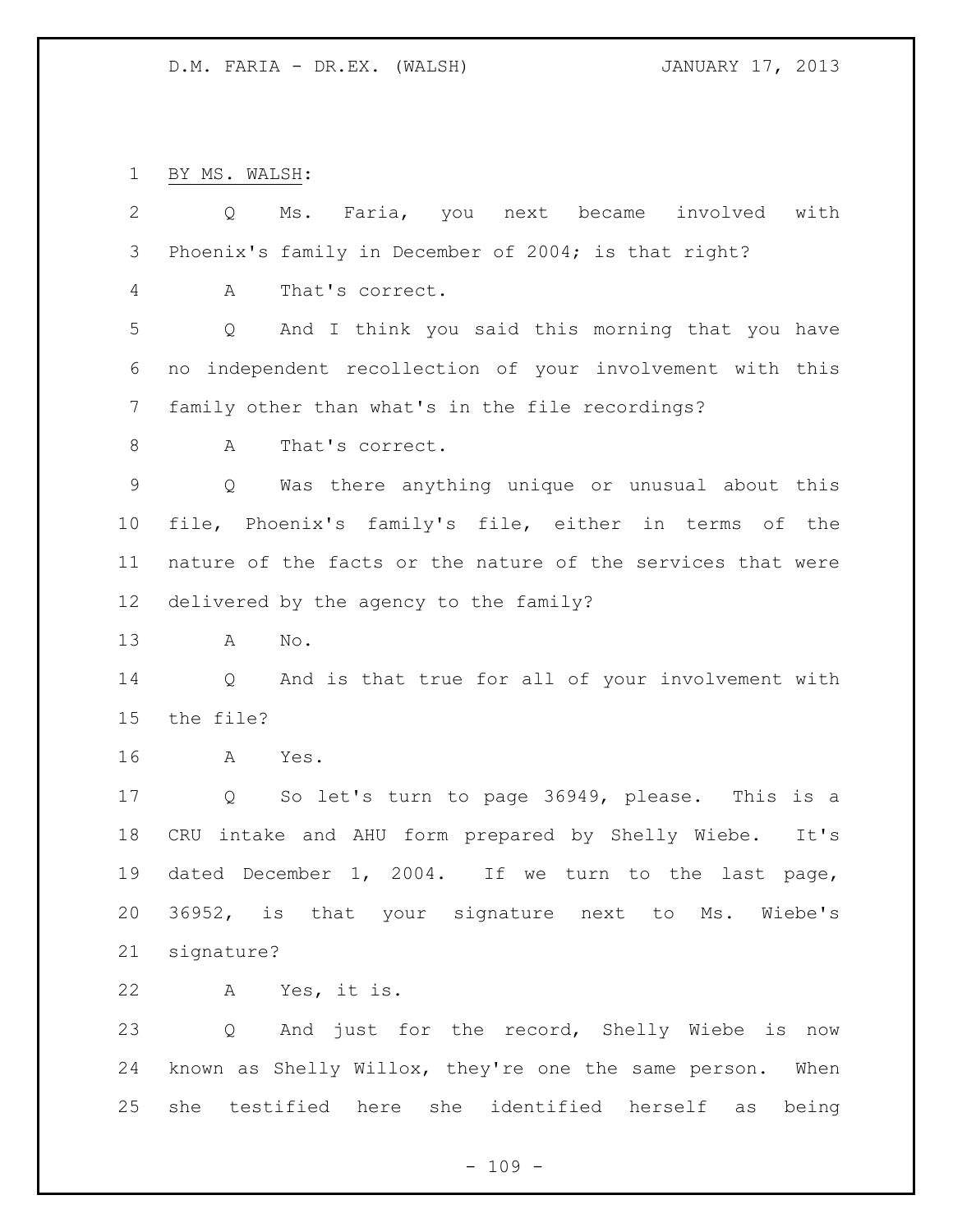BY MS. WALSH:

| $\mathbf{2}$ | Ms. Faria, you next became involved<br>with<br>Q                    |
|--------------|---------------------------------------------------------------------|
| 3            | Phoenix's family in December of 2004; is that right?                |
| 4            | That's correct.<br>A                                                |
| 5            | And I think you said this morning that you have<br>Q                |
| 6            | no independent recollection of your involvement with this           |
| 7            | family other than what's in the file recordings?                    |
| $\,8\,$      | That's correct.<br>A                                                |
| $\mathsf 9$  | Was there anything unique or unusual about this<br>Q                |
| 10           | file, Phoenix's family's file, either in terms of the               |
| 11           | nature of the facts or the nature of the services that were         |
| 12           | delivered by the agency to the family?                              |
| 13           | No.<br>A                                                            |
| 14           | And is that true for all of your involvement with<br>Q              |
| 15           | the file?                                                           |
| 16           | Yes.<br>A                                                           |
| 17           | So let's turn to page 36949, please. This is a<br>$Q \qquad \qquad$ |
| 18           | CRU intake and AHU form prepared by Shelly Wiebe. It's              |
| 19           | dated December 1, 2004. If we turn to the last page,                |
| 20           | 36952, is that your signature next to Ms. Wiebe's                   |
| 21           | signature?                                                          |
| 22           | A Yes, it is.                                                       |
| 23           | Q And just for the record, Shelly Wiebe is now                      |
| 24           | known as Shelly Willox, they're one the same person. When           |
| 25           | she testified here she identified herself as<br>being               |

- 109 -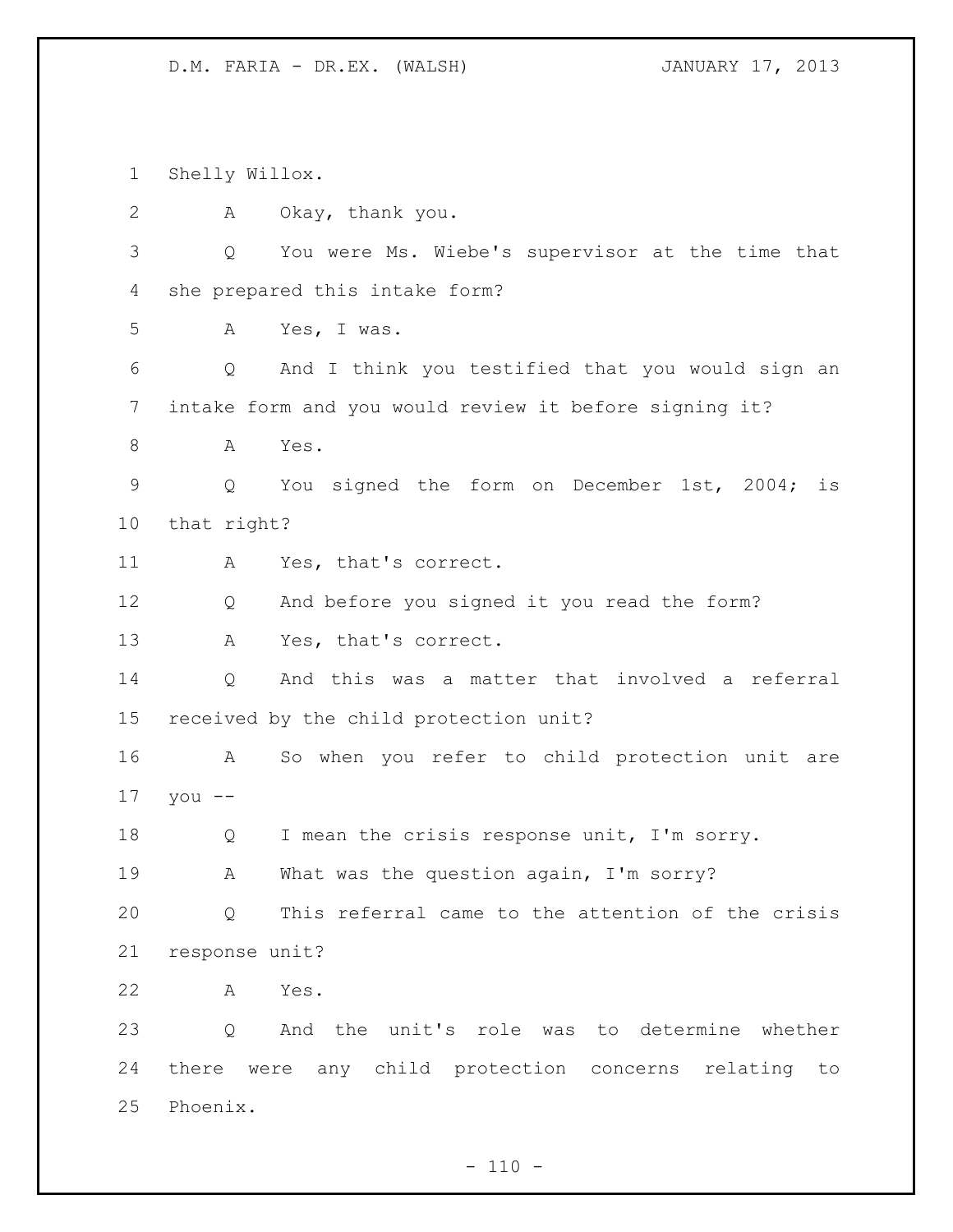Shelly Willox.

| 2  | A              | Okay, thank you.                                       |
|----|----------------|--------------------------------------------------------|
| 3  | Q              | You were Ms. Wiebe's supervisor at the time that       |
| 4  |                | she prepared this intake form?                         |
| 5  | A              | Yes, I was.                                            |
| 6  | Q              | And I think you testified that you would sign an       |
| 7  |                | intake form and you would review it before signing it? |
| 8  | A              | Yes.                                                   |
| 9  | Q              | You signed the form on December 1st, 2004;<br>is       |
| 10 | that right?    |                                                        |
| 11 | A              | Yes, that's correct.                                   |
| 12 | Q              | And before you signed it you read the form?            |
| 13 | A              | Yes, that's correct.                                   |
| 14 | Q              | And this was a matter that involved a referral         |
| 15 |                | received by the child protection unit?                 |
| 16 | A              | So when you refer to child protection unit are         |
| 17 | you $--$       |                                                        |
| 18 | Q              | I mean the crisis response unit, I'm sorry.            |
| 19 | Α              | What was the question again, I'm sorry?                |
| 20 |                | 0 This referral came to the attention of the crisis    |
| 21 | response unit? |                                                        |
| 22 | A              | Yes.                                                   |
| 23 |                | Q And the unit's role was to determine whether         |
| 24 |                | there were any child protection concerns relating to   |
| 25 | Phoenix.       |                                                        |

- 110 -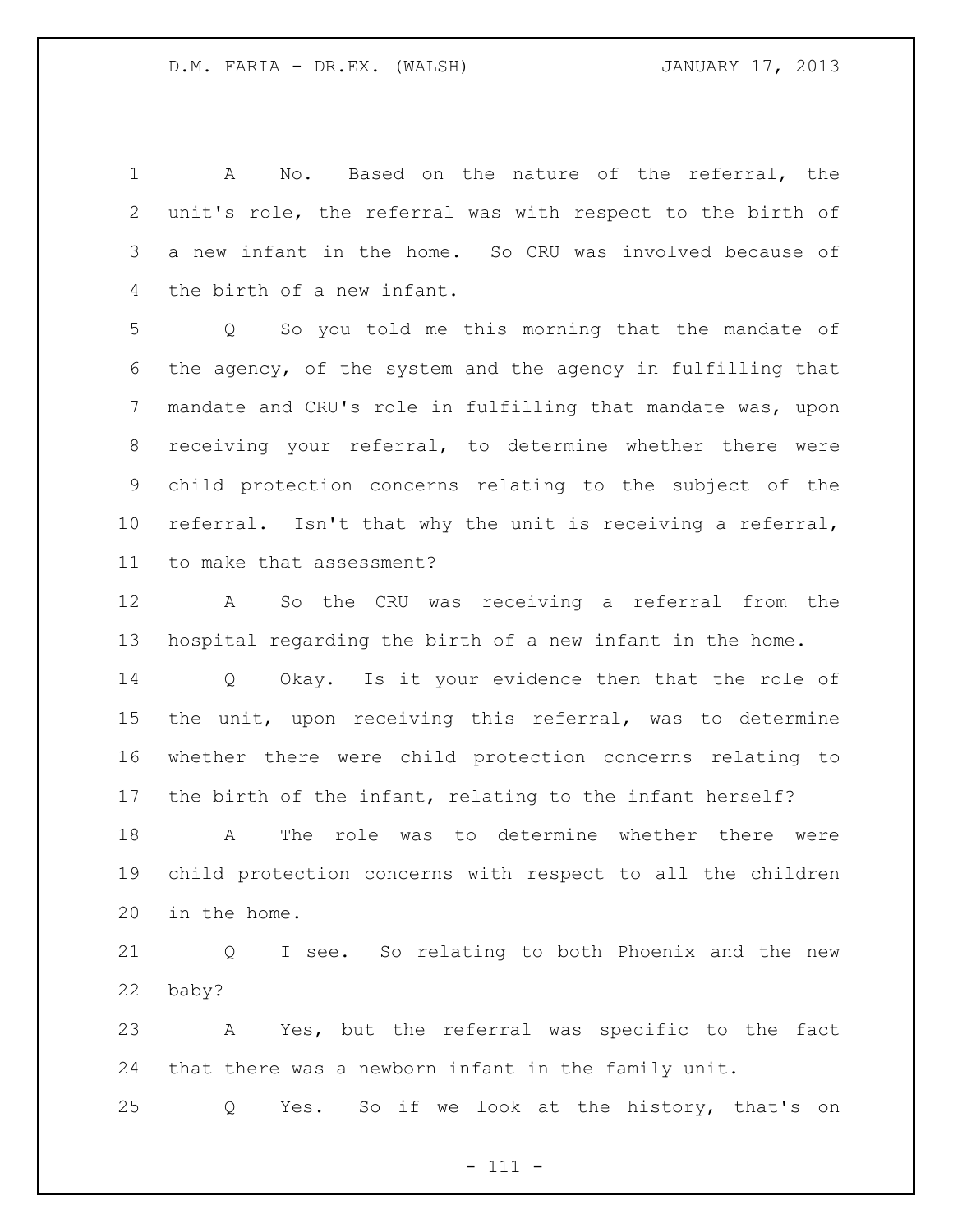A No. Based on the nature of the referral, the unit's role, the referral was with respect to the birth of a new infant in the home. So CRU was involved because of the birth of a new infant.

 Q So you told me this morning that the mandate of the agency, of the system and the agency in fulfilling that mandate and CRU's role in fulfilling that mandate was, upon receiving your referral, to determine whether there were child protection concerns relating to the subject of the referral. Isn't that why the unit is receiving a referral, to make that assessment?

 A So the CRU was receiving a referral from the hospital regarding the birth of a new infant in the home.

 Q Okay. Is it your evidence then that the role of the unit, upon receiving this referral, was to determine whether there were child protection concerns relating to the birth of the infant, relating to the infant herself?

 A The role was to determine whether there were child protection concerns with respect to all the children in the home.

 Q I see. So relating to both Phoenix and the new baby?

 A Yes, but the referral was specific to the fact that there was a newborn infant in the family unit.

Q Yes. So if we look at the history, that's on

- 111 -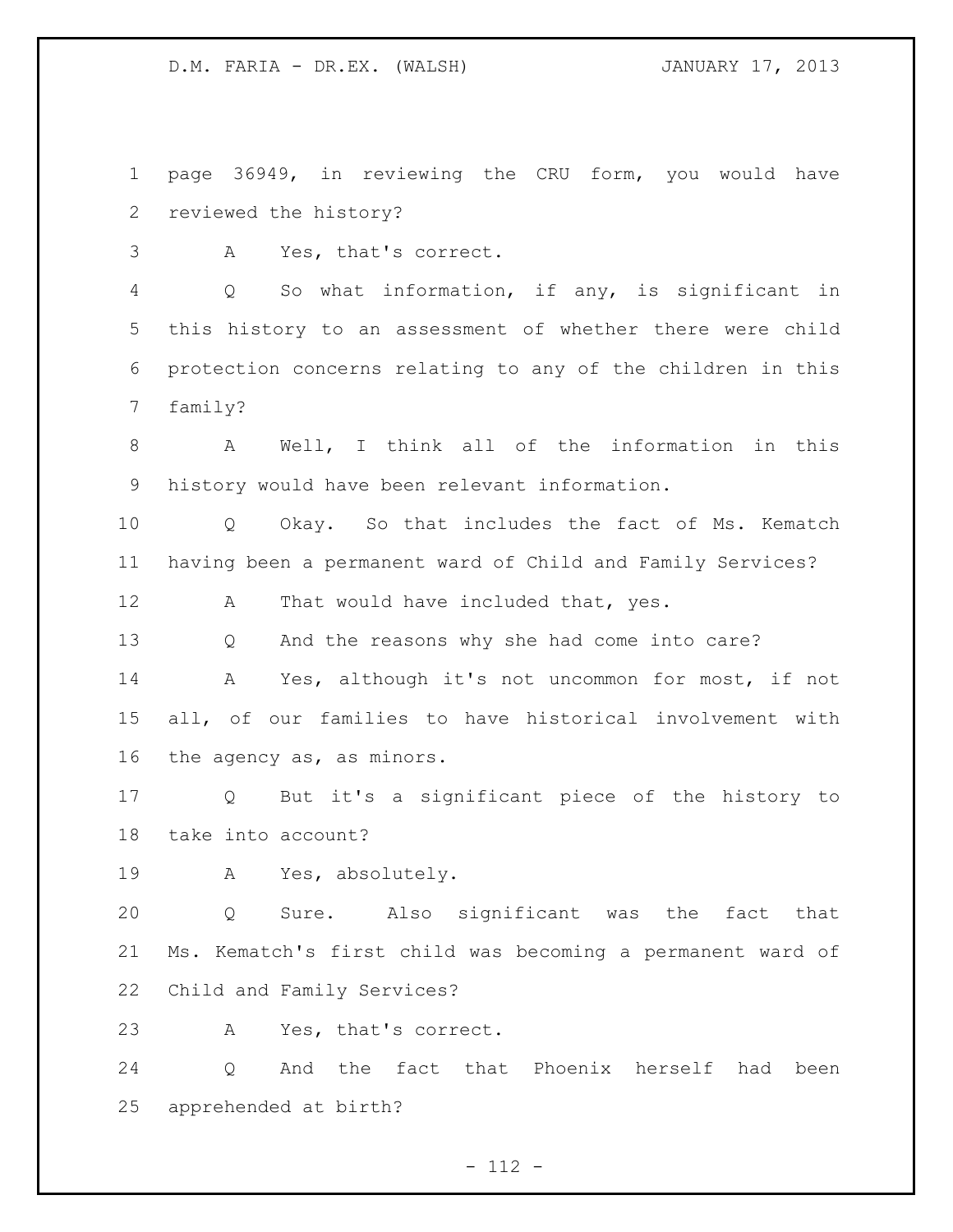page 36949, in reviewing the CRU form, you would have reviewed the history?

A Yes, that's correct.

 Q So what information, if any, is significant in this history to an assessment of whether there were child protection concerns relating to any of the children in this family?

 A Well, I think all of the information in this history would have been relevant information.

 Q Okay. So that includes the fact of Ms. Kematch having been a permanent ward of Child and Family Services?

12 A That would have included that, yes.

Q And the reasons why she had come into care?

 A Yes, although it's not uncommon for most, if not all, of our families to have historical involvement with the agency as, as minors.

 Q But it's a significant piece of the history to take into account?

A Yes, absolutely.

 Q Sure. Also significant was the fact that Ms. Kematch's first child was becoming a permanent ward of Child and Family Services?

A Yes, that's correct.

 Q And the fact that Phoenix herself had been apprehended at birth?

- 112 -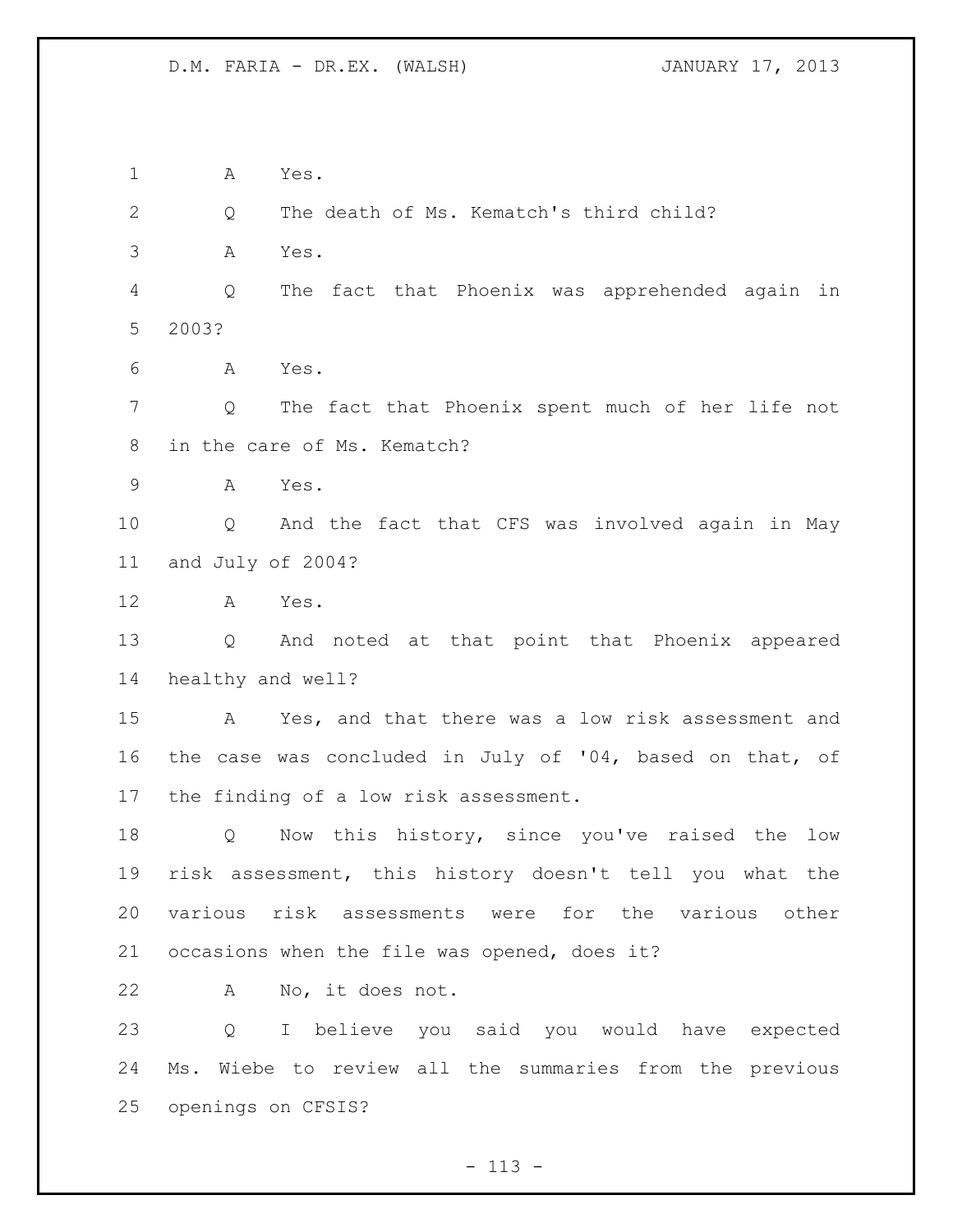A Yes.

Q The death of Ms. Kematch's third child?

A Yes.

 Q The fact that Phoenix was apprehended again in 2003?

A Yes.

 Q The fact that Phoenix spent much of her life not in the care of Ms. Kematch?

A Yes.

 Q And the fact that CFS was involved again in May and July of 2004?

A Yes.

 Q And noted at that point that Phoenix appeared healthy and well?

 A Yes, and that there was a low risk assessment and the case was concluded in July of '04, based on that, of the finding of a low risk assessment.

 Q Now this history, since you've raised the low risk assessment, this history doesn't tell you what the various risk assessments were for the various other occasions when the file was opened, does it?

A No, it does not.

 Q I believe you said you would have expected Ms. Wiebe to review all the summaries from the previous openings on CFSIS?

 $- 113 -$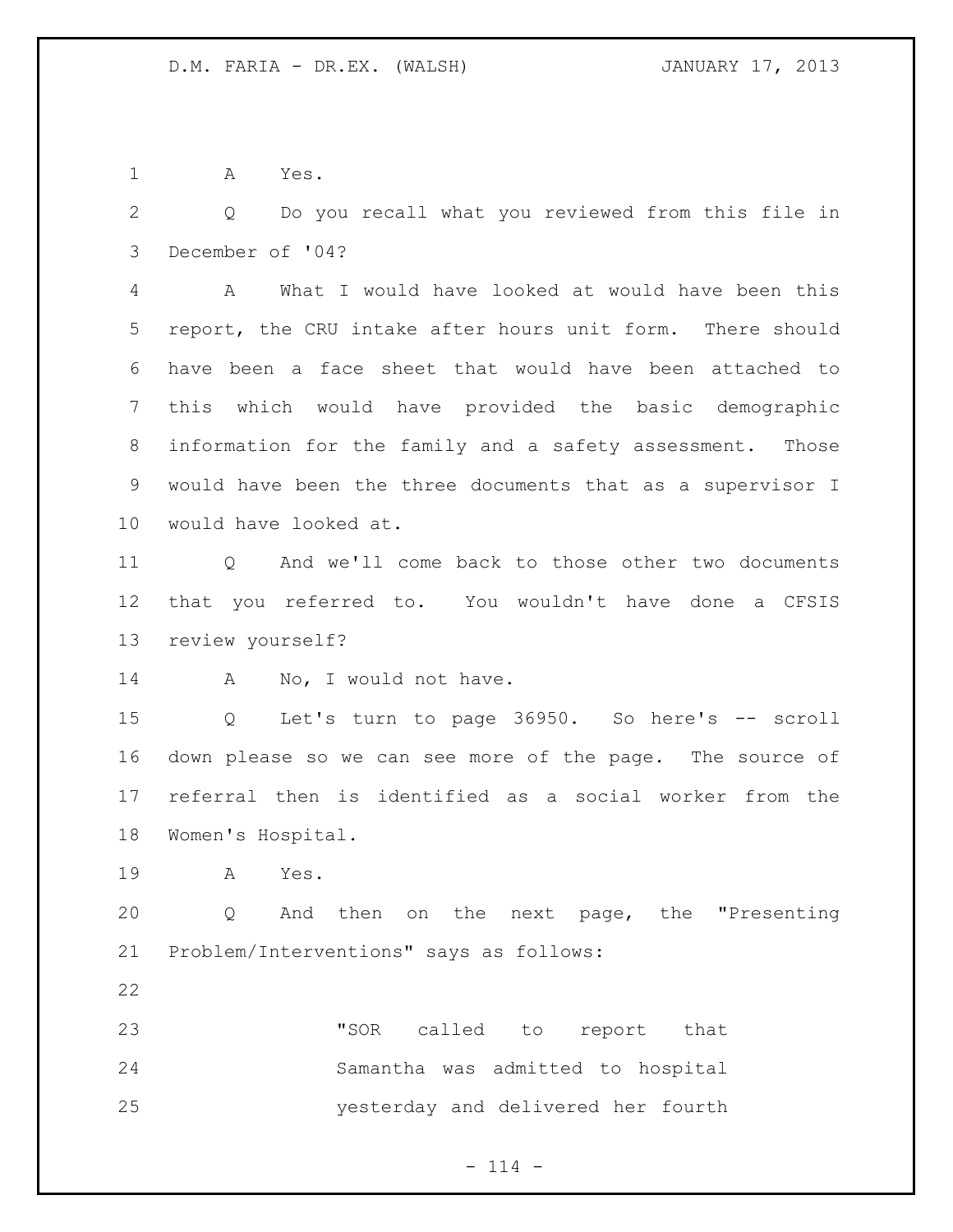A Yes.

 Q Do you recall what you reviewed from this file in December of '04?

 A What I would have looked at would have been this report, the CRU intake after hours unit form. There should have been a face sheet that would have been attached to this which would have provided the basic demographic information for the family and a safety assessment. Those would have been the three documents that as a supervisor I would have looked at.

 Q And we'll come back to those other two documents that you referred to. You wouldn't have done a CFSIS review yourself?

14 A No, I would not have.

 Q Let's turn to page 36950. So here's -- scroll down please so we can see more of the page. The source of referral then is identified as a social worker from the Women's Hospital.

A Yes.

 Q And then on the next page, the "Presenting Problem/Interventions" says as follows:

 "SOR called to report that Samantha was admitted to hospital yesterday and delivered her fourth

 $- 114 -$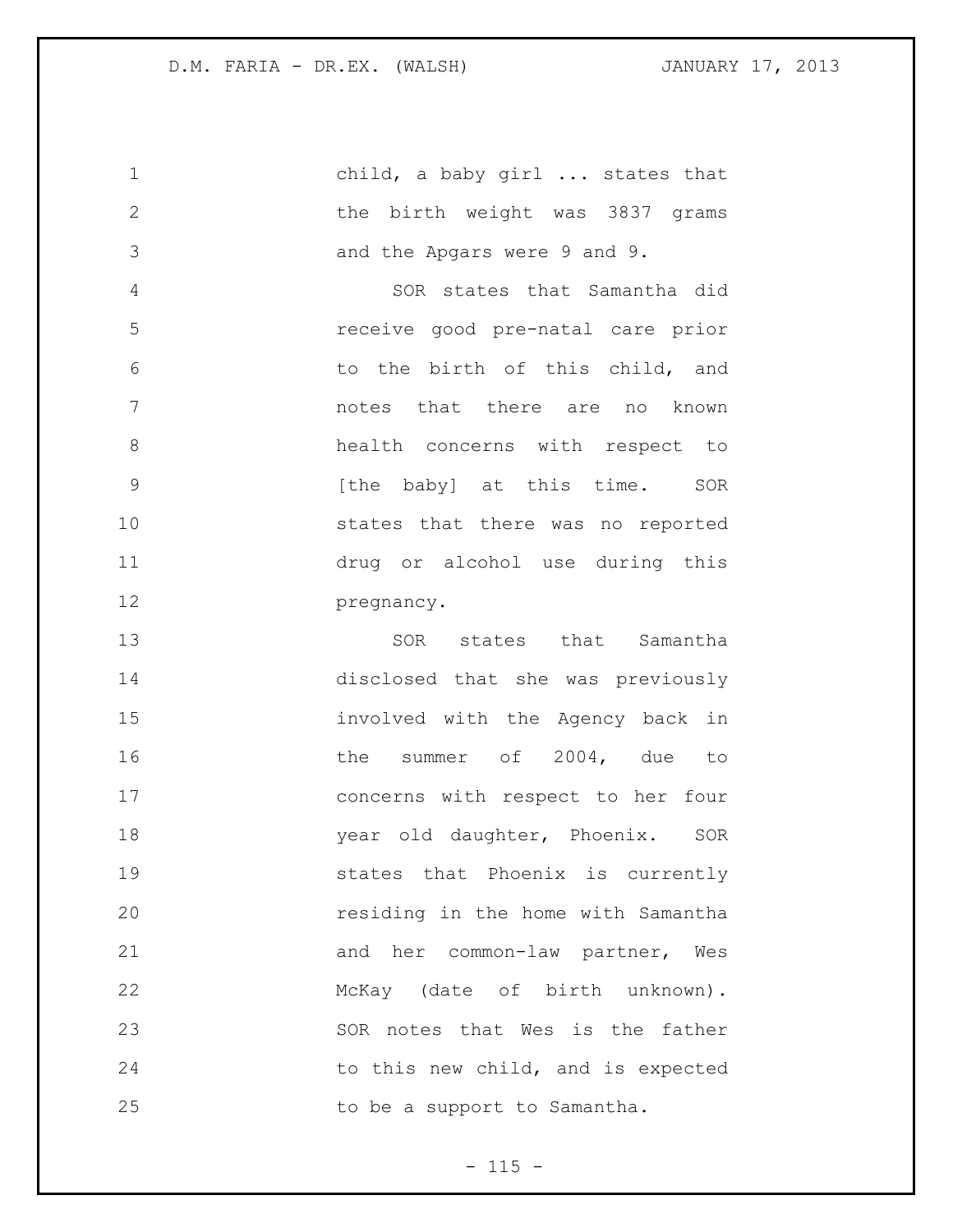child, a baby girl ... states that the birth weight was 3837 grams and the Apgars were 9 and 9. SOR states that Samantha did receive good pre-natal care prior to the birth of this child, and notes that there are no known health concerns with respect to **120 [the baby]** at this time. SOR states that there was no reported drug or alcohol use during this **pregnancy.** 13 SOR states that Samantha disclosed that she was previously involved with the Agency back in 16 the summer of 2004, due to concerns with respect to her four **18** year old daughter, Phoenix. SOR states that Phoenix is currently residing in the home with Samantha 21 and her common-law partner, Wes McKay (date of birth unknown). SOR notes that Wes is the father 24 to this new child, and is expected 25 to be a support to Samantha.

 $- 115 -$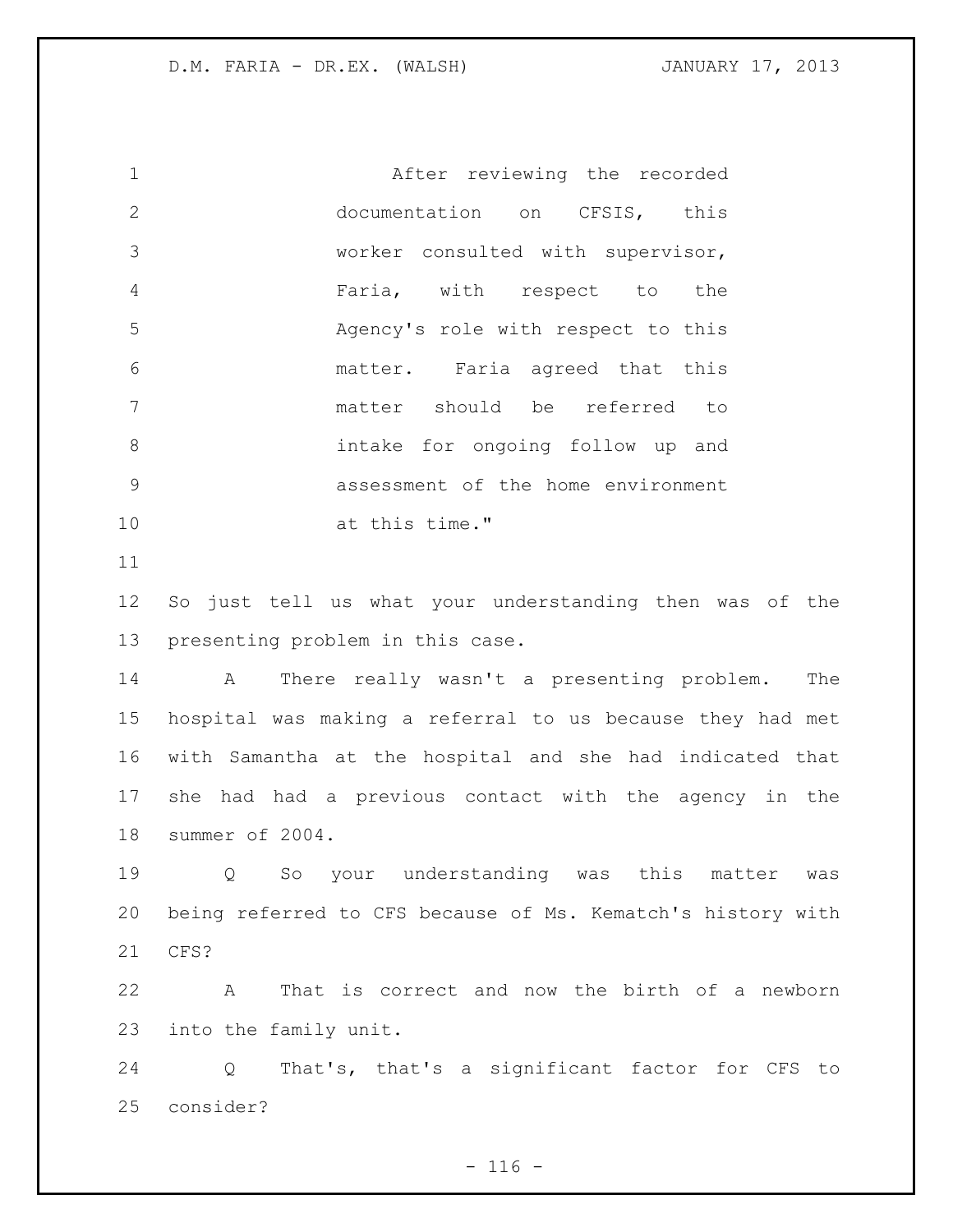After reviewing the recorded documentation on CFSIS, this worker consulted with supervisor, Faria, with respect to the Agency's role with respect to this matter. Faria agreed that this matter should be referred to intake for ongoing follow up and assessment of the home environment at this time."

 So just tell us what your understanding then was of the presenting problem in this case.

 A There really wasn't a presenting problem. The hospital was making a referral to us because they had met with Samantha at the hospital and she had indicated that she had had a previous contact with the agency in the summer of 2004.

 Q So your understanding was this matter was being referred to CFS because of Ms. Kematch's history with CFS?

 A That is correct and now the birth of a newborn into the family unit.

 Q That's, that's a significant factor for CFS to consider?

 $- 116 -$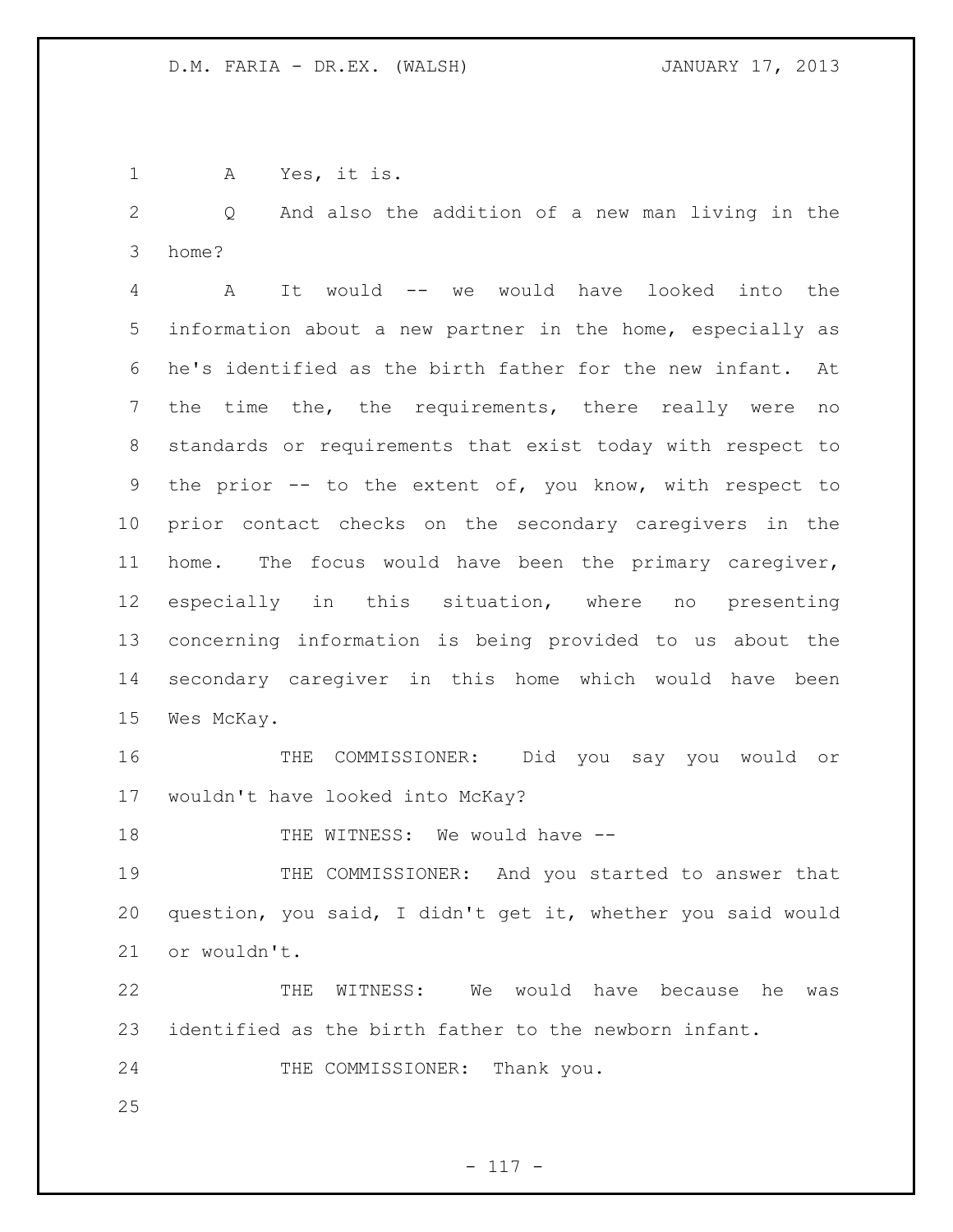A Yes, it is.

 Q And also the addition of a new man living in the home?

 A It would -- we would have looked into the information about a new partner in the home, especially as he's identified as the birth father for the new infant. At the time the, the requirements, there really were no standards or requirements that exist today with respect to the prior -- to the extent of, you know, with respect to prior contact checks on the secondary caregivers in the home. The focus would have been the primary caregiver, especially in this situation, where no presenting concerning information is being provided to us about the secondary caregiver in this home which would have been Wes McKay.

 THE COMMISSIONER: Did you say you would or wouldn't have looked into McKay?

18 THE WITNESS: We would have --

 THE COMMISSIONER: And you started to answer that question, you said, I didn't get it, whether you said would or wouldn't.

 THE WITNESS: We would have because he was identified as the birth father to the newborn infant.

THE COMMISSIONER: Thank you.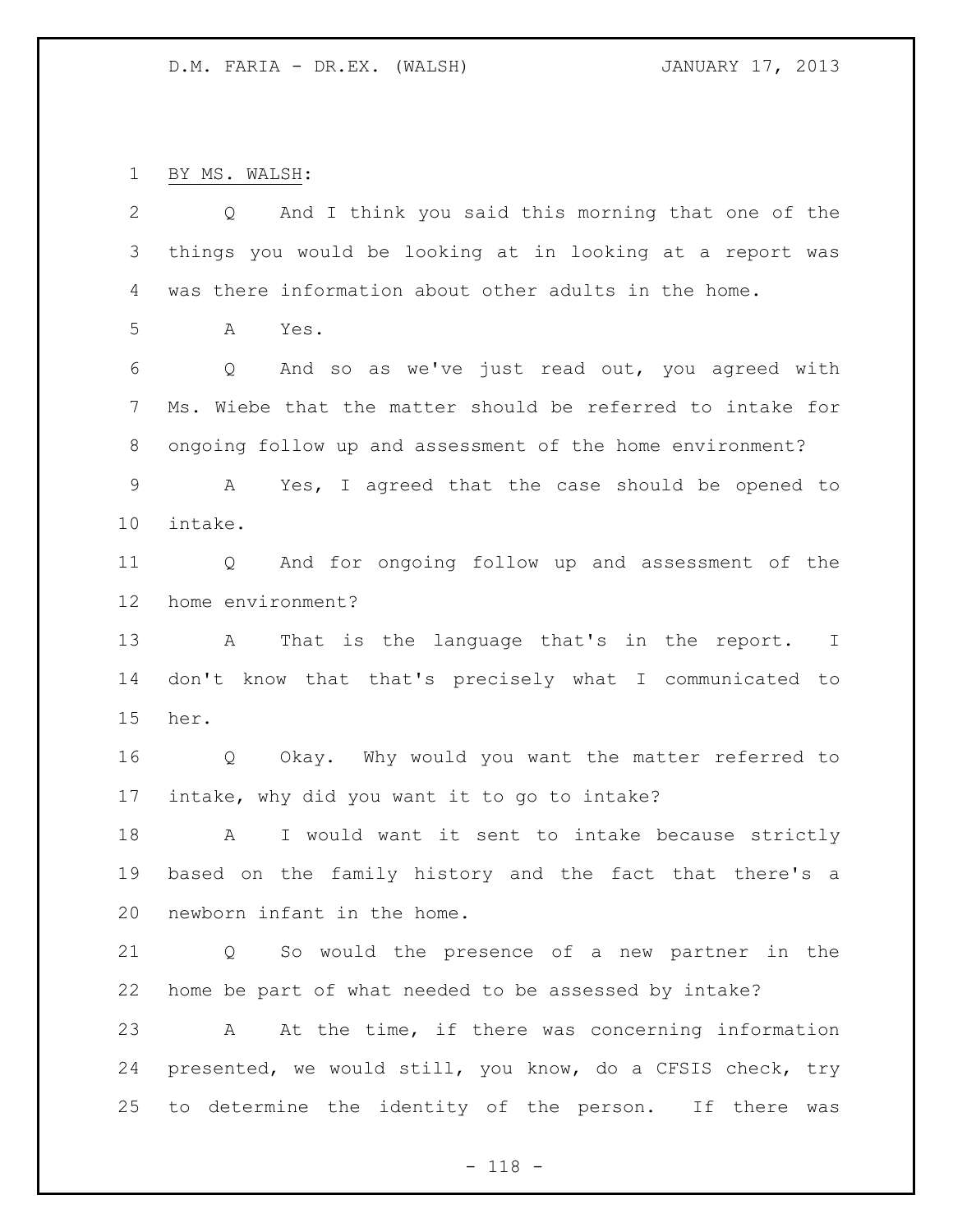BY MS. WALSH:

| 2               | And I think you said this morning that one of the<br>Q     |
|-----------------|------------------------------------------------------------|
| 3               | things you would be looking at in looking at a report was  |
| 4               | was there information about other adults in the home.      |
| 5               | A<br>Yes.                                                  |
| 6               | And so as we've just read out, you agreed with<br>Q        |
| $7\phantom{.0}$ | Ms. Wiebe that the matter should be referred to intake for |
| 8               | ongoing follow up and assessment of the home environment?  |
| $\mathsf 9$     | Yes, I agreed that the case should be opened to<br>A       |
| 10              | intake.                                                    |
| 11              | And for ongoing follow up and assessment of the<br>Q       |
| 12              | home environment?                                          |
| 13              | That is the language that's in the report. I<br>A          |
| 14              | don't know that that's precisely what I communicated to    |
| 15              | her.                                                       |
| 16              | Okay. Why would you want the matter referred to<br>Q       |
| 17              | intake, why did you want it to go to intake?               |
| 18              | I would want it sent to intake because strictly<br>A       |
| 19              | based on the family history and the fact that there's a    |
| 20              | newborn infant in the home.                                |
| 21              | So would the presence of a new partner in the<br>Q         |
| 22              | home be part of what needed to be assessed by intake?      |
| 23              | At the time, if there was concerning information<br>A      |
| 24              | presented, we would still, you know, do a CFSIS check, try |
| 25              | to determine the identity of the person. If there was      |

- 118 -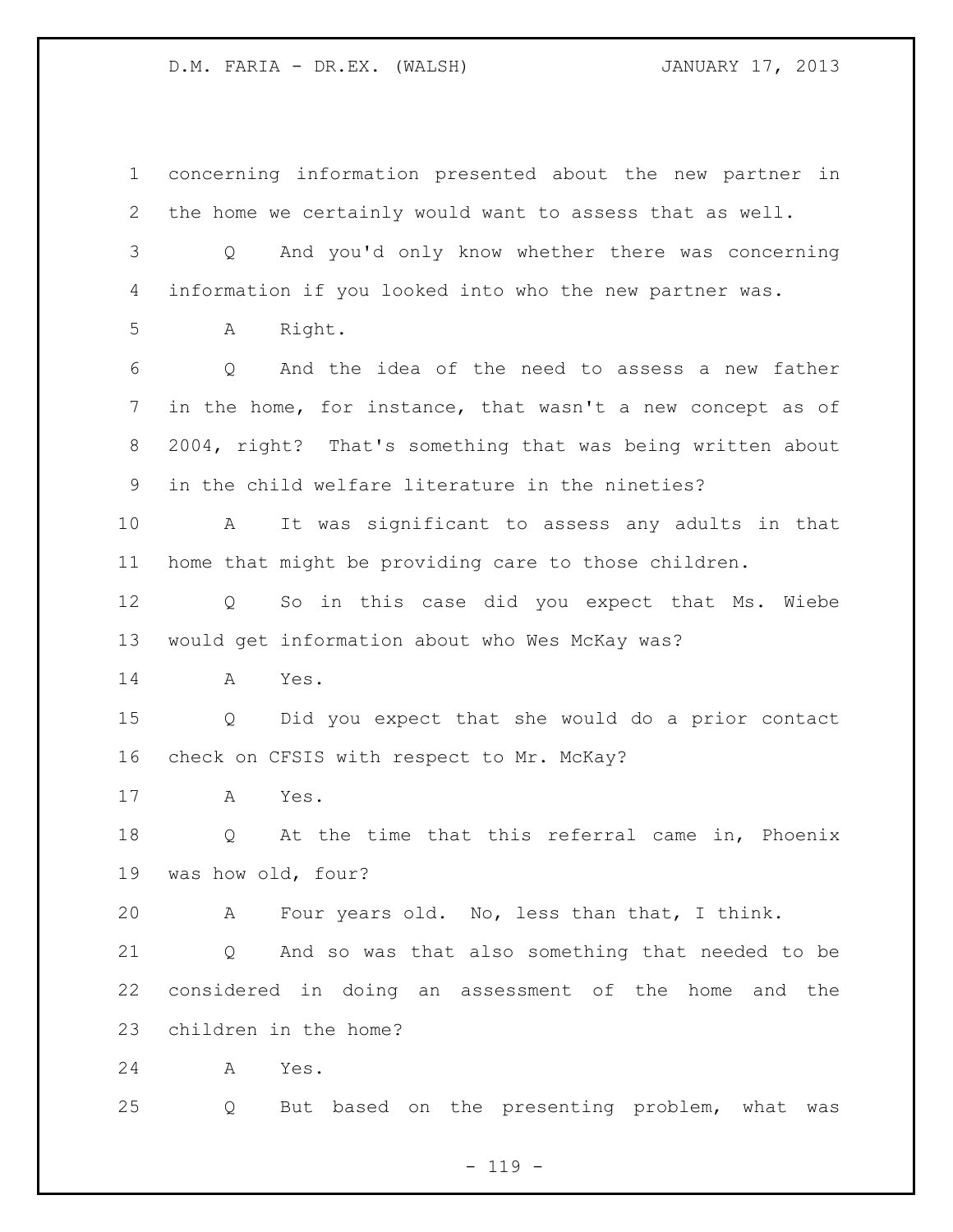concerning information presented about the new partner in the home we certainly would want to assess that as well. Q And you'd only know whether there was concerning information if you looked into who the new partner was. A Right. Q And the idea of the need to assess a new father in the home, for instance, that wasn't a new concept as of 2004, right? That's something that was being written about in the child welfare literature in the nineties? A It was significant to assess any adults in that home that might be providing care to those children. Q So in this case did you expect that Ms. Wiebe would get information about who Wes McKay was? A Yes. Q Did you expect that she would do a prior contact check on CFSIS with respect to Mr. McKay? A Yes. Q At the time that this referral came in, Phoenix was how old, four? A Four years old. No, less than that, I think. Q And so was that also something that needed to be considered in doing an assessment of the home and the children in the home? A Yes. Q But based on the presenting problem, what was

 $- 119 -$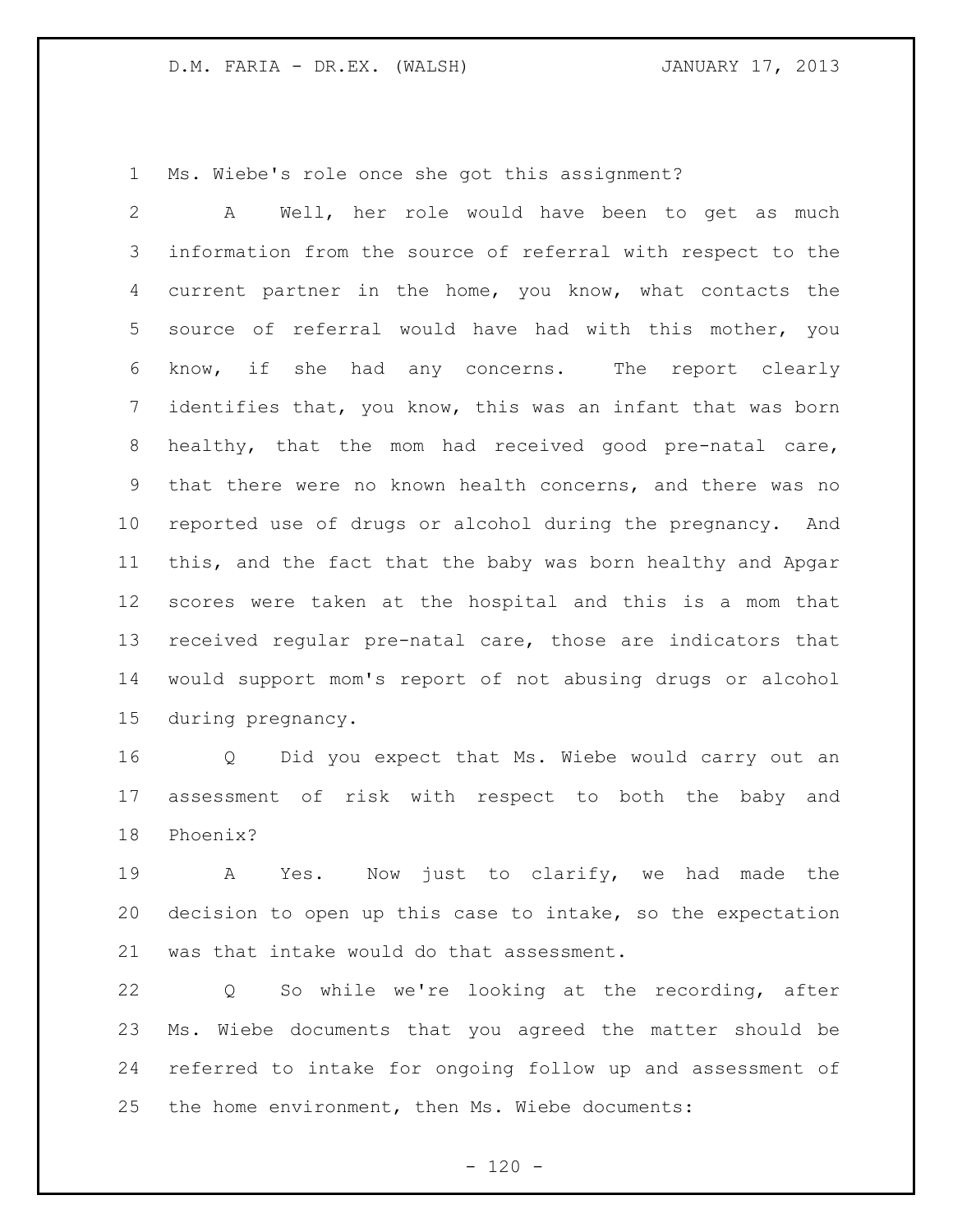Ms. Wiebe's role once she got this assignment?

 A Well, her role would have been to get as much information from the source of referral with respect to the current partner in the home, you know, what contacts the source of referral would have had with this mother, you know, if she had any concerns. The report clearly identifies that, you know, this was an infant that was born healthy, that the mom had received good pre-natal care, that there were no known health concerns, and there was no reported use of drugs or alcohol during the pregnancy. And this, and the fact that the baby was born healthy and Apgar scores were taken at the hospital and this is a mom that received regular pre-natal care, those are indicators that would support mom's report of not abusing drugs or alcohol during pregnancy.

 Q Did you expect that Ms. Wiebe would carry out an assessment of risk with respect to both the baby and Phoenix?

 A Yes. Now just to clarify, we had made the decision to open up this case to intake, so the expectation was that intake would do that assessment.

 Q So while we're looking at the recording, after Ms. Wiebe documents that you agreed the matter should be referred to intake for ongoing follow up and assessment of the home environment, then Ms. Wiebe documents: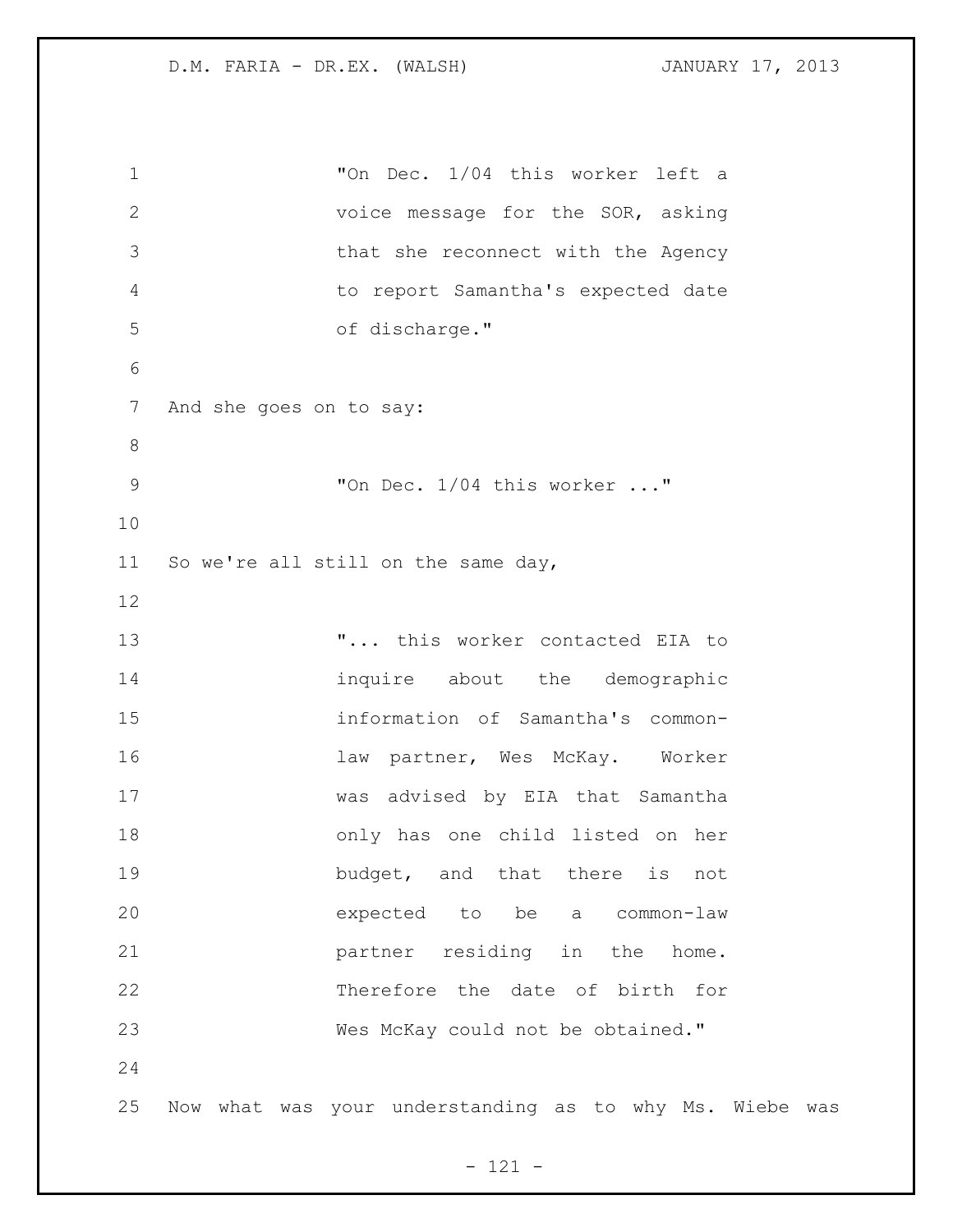"On Dec. 1/04 this worker left a voice message for the SOR, asking that she reconnect with the Agency to report Samantha's expected date of discharge." And she goes on to say: "On Dec. 1/04 this worker ..." So we're all still on the same day, 13 T... this worker contacted EIA to 14 inquire about the demographic information of Samantha's common-16 16 law partner, Wes McKay. Worker was advised by EIA that Samantha only has one child listed on her 19 budget, and that there is not expected to be a common-law **partner** residing in the home. Therefore the date of birth for Wes McKay could not be obtained." Now what was your understanding as to why Ms. Wiebe was

- 121 -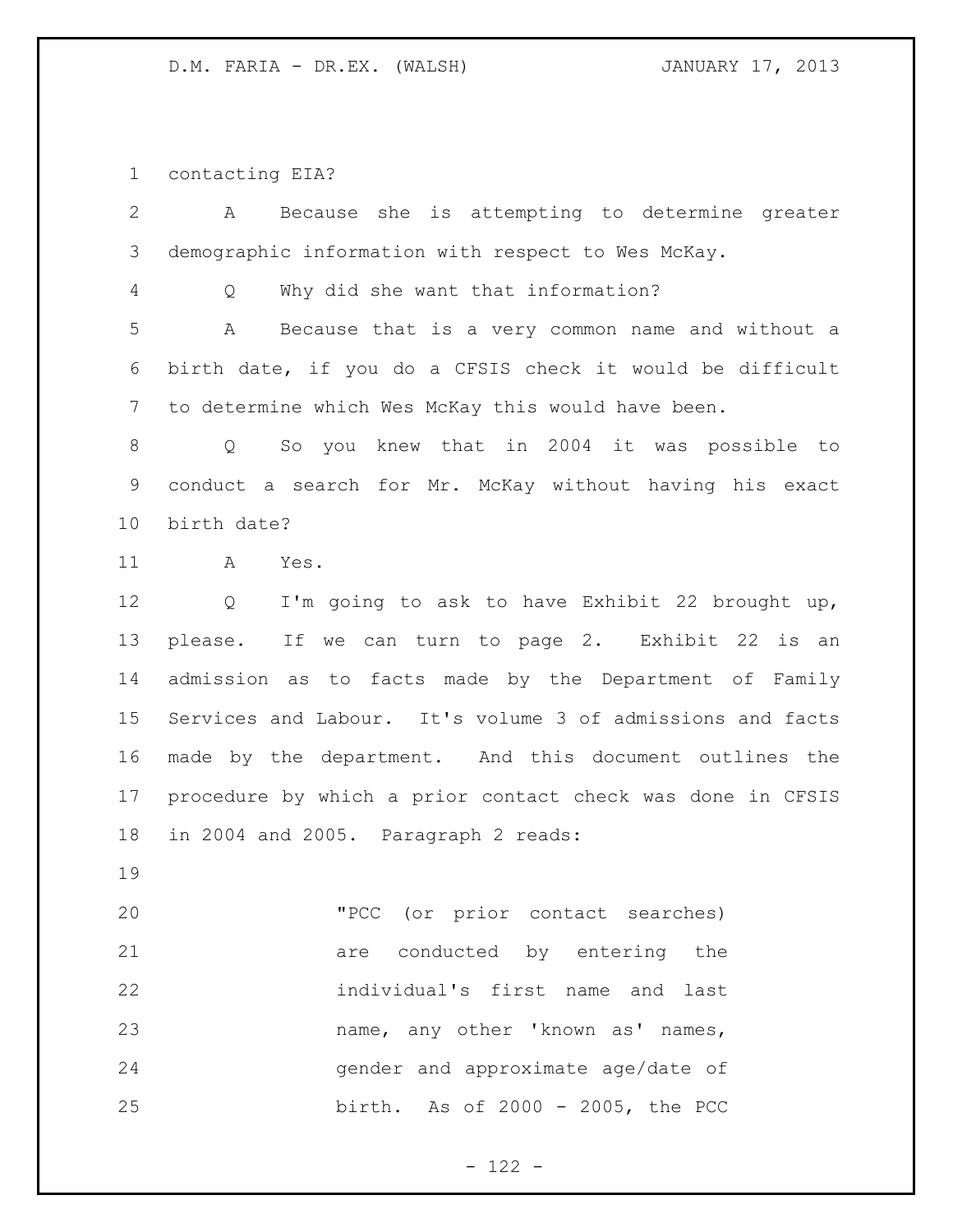contacting EIA?

| $\overline{2}$ | Because she is attempting to determine greater<br>A              |
|----------------|------------------------------------------------------------------|
| 3              | demographic information with respect to Wes McKay.               |
| 4              | Why did she want that information?<br>Q                          |
| 5              | Because that is a very common name and without a<br>A            |
| 6              | birth date, if you do a CFSIS check it would be difficult        |
| 7              | to determine which Wes McKay this would have been.               |
| 8              | So you knew that in 2004 it was possible to<br>$Q \qquad \qquad$ |
| 9              | conduct a search for Mr. McKay without having his exact          |
| 10             | birth date?                                                      |
| 11             | A<br>Yes.                                                        |
| 12             | I'm going to ask to have Exhibit 22 brought up,<br>Q             |
| 13             | please. If we can turn to page 2. Exhibit 22 is an               |
| 14             | admission as to facts made by the Department of Family           |
| 15             | Services and Labour. It's volume 3 of admissions and facts       |
| 16             | made by the department. And this document outlines the           |
| 17             | procedure by which a prior contact check was done in CFSIS       |
| 18             | in 2004 and 2005. Paragraph 2 reads:                             |
| 19             |                                                                  |
| 20             | "PCC (or prior contact searches)                                 |
| 21             | are conducted by entering the                                    |
| 22             | individual's first name and last                                 |
| 23             | name, any other 'known as' names,                                |
| 24             | gender and approximate age/date of                               |
| 25             | birth. As of 2000 - 2005, the PCC                                |

- 122 -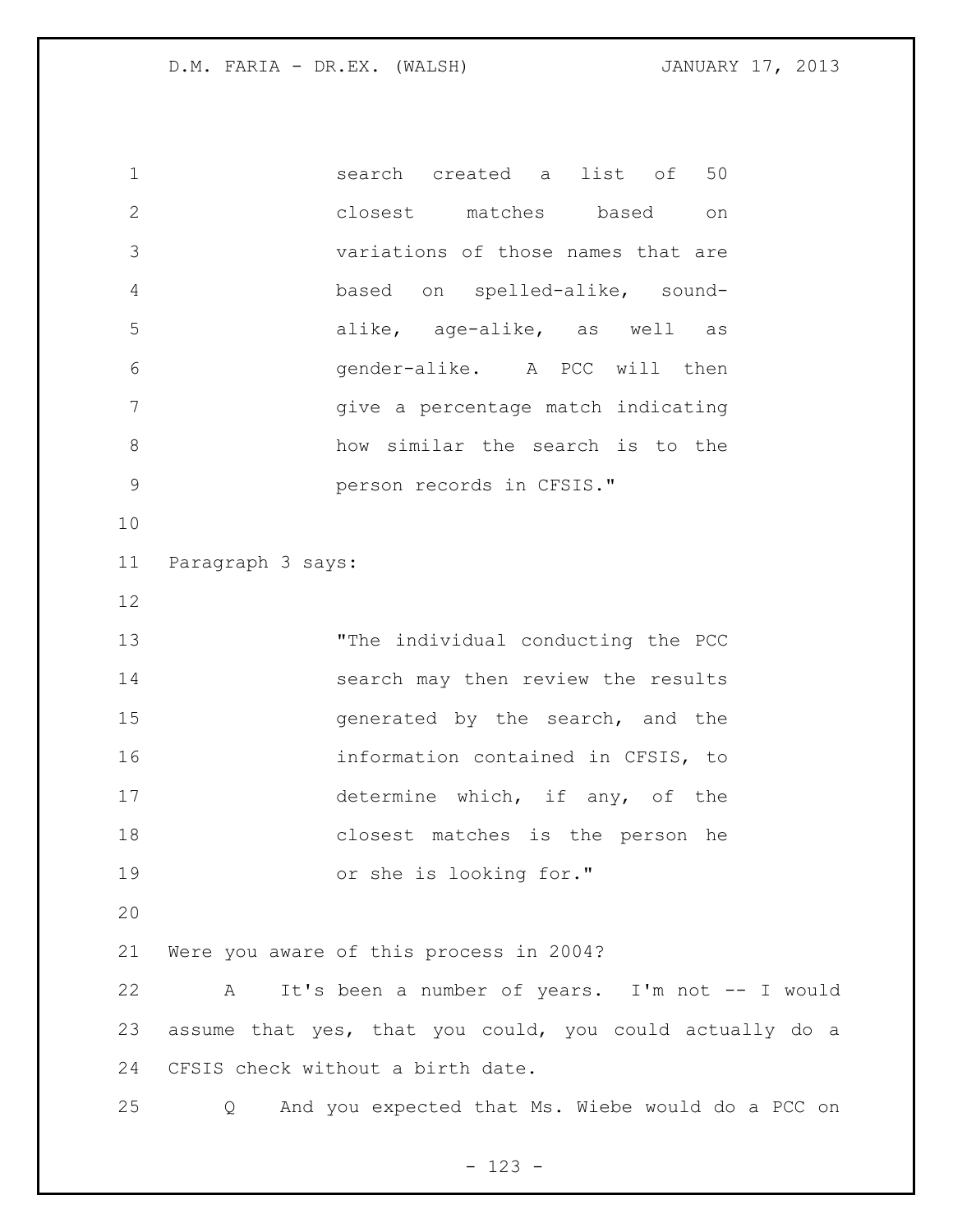search created a list of 50 closest matches based on variations of those names that are based on spelled-alike, sound- alike, age-alike, as well as gender-alike. A PCC will then give a percentage match indicating how similar the search is to the person records in CFSIS." Paragraph 3 says: "The individual conducting the PCC 14 search may then review the results 15 and the search, and the search, and the information contained in CFSIS, to determine which, if any, of the closest matches is the person he or she is looking for." Were you aware of this process in 2004? A It's been a number of years. I'm not -- I would assume that yes, that you could, you could actually do a CFSIS check without a birth date. Q And you expected that Ms. Wiebe would do a PCC on

- 123 -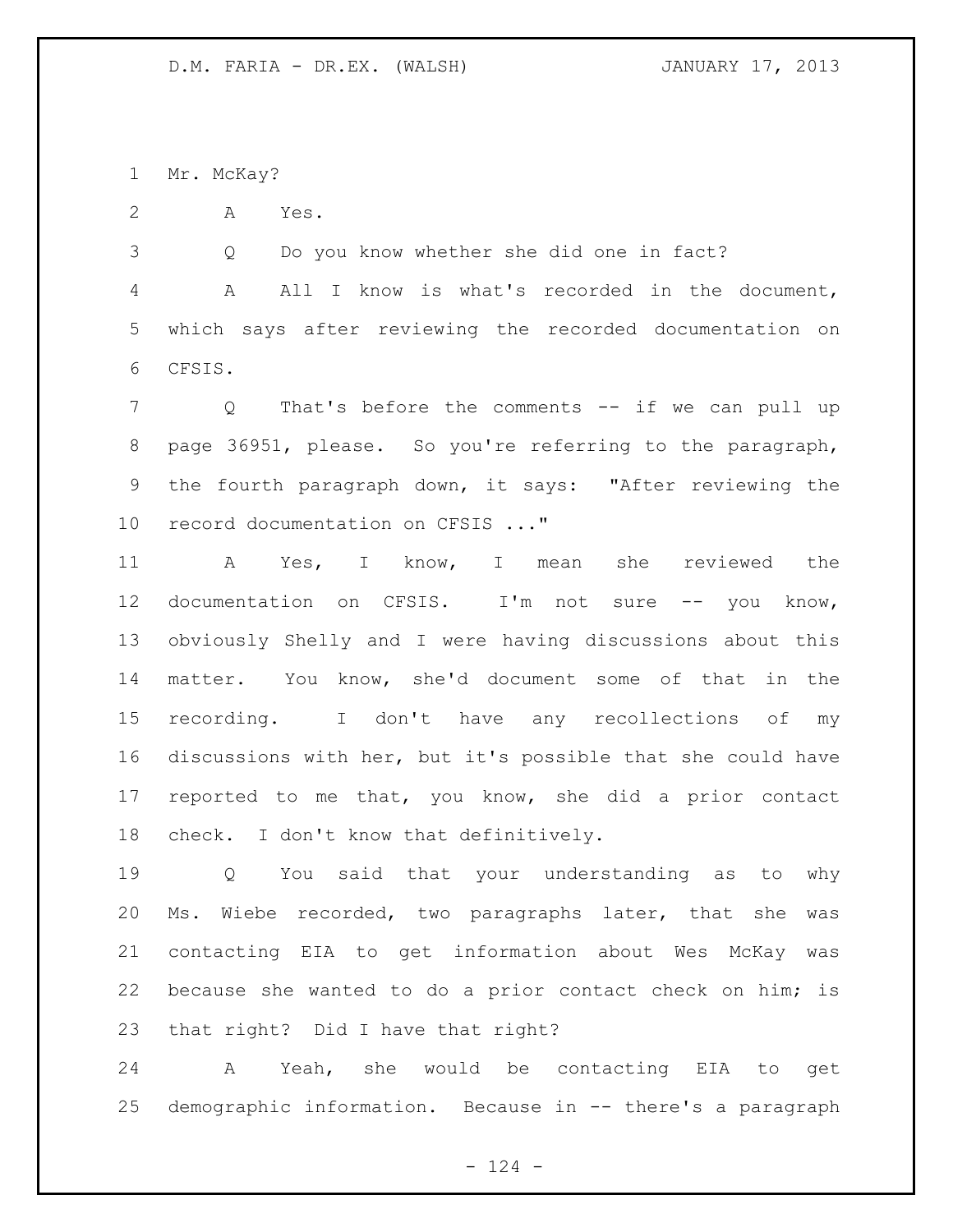Mr. McKay?

A Yes.

Q Do you know whether she did one in fact?

 A All I know is what's recorded in the document, which says after reviewing the recorded documentation on CFSIS.

 Q That's before the comments -- if we can pull up page 36951, please. So you're referring to the paragraph, the fourth paragraph down, it says: "After reviewing the record documentation on CFSIS ..."

 A Yes, I know, I mean she reviewed the documentation on CFSIS. I'm not sure -- you know, obviously Shelly and I were having discussions about this matter. You know, she'd document some of that in the recording. I don't have any recollections of my discussions with her, but it's possible that she could have reported to me that, you know, she did a prior contact check. I don't know that definitively.

 Q You said that your understanding as to why Ms. Wiebe recorded, two paragraphs later, that she was contacting EIA to get information about Wes McKay was because she wanted to do a prior contact check on him; is that right? Did I have that right?

 A Yeah, she would be contacting EIA to get demographic information. Because in -- there's a paragraph

 $- 124 -$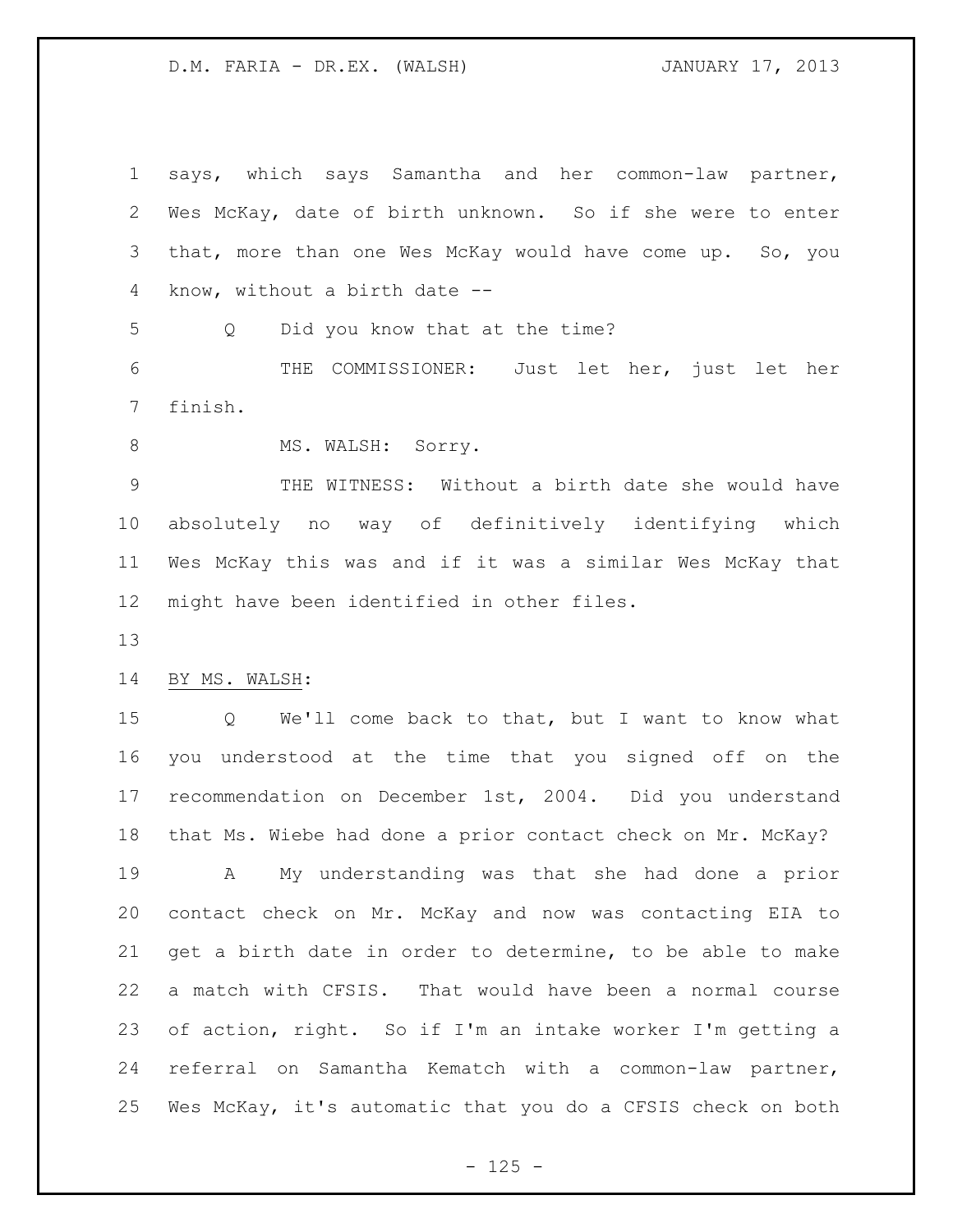| $\mathbf 1$     | says, which says Samantha and her common-law partner,       |
|-----------------|-------------------------------------------------------------|
| 2               | Wes McKay, date of birth unknown. So if she were to enter   |
| 3               | that, more than one Wes McKay would have come up. So, you   |
| 4               | know, without a birth date --                               |
| 5               | Did you know that at the time?<br>Q                         |
| 6               | THE COMMISSIONER: Just let her, just let her                |
| $7\phantom{.0}$ | finish.                                                     |
| $8\,$           | MS. WALSH: Sorry.                                           |
| $\mathcal{G}$   | THE WITNESS: Without a birth date she would have            |
| 10              | absolutely no way of definitively identifying which         |
| 11              | Wes McKay this was and if it was a similar Wes McKay that   |
| 12              | might have been identified in other files.                  |
|                 |                                                             |
| 13              |                                                             |
| 14              | BY MS. WALSH:                                               |
| 15              | Q We'll come back to that, but I want to know what          |
| 16              | you understood at the time that you signed off on the       |
| 17              | recommendation on December 1st, 2004. Did you understand    |
| 18              | that Ms. Wiebe had done a prior contact check on Mr. McKay? |
| 19              | My understanding was that she had done a prior<br>A         |
| 20              | contact check on Mr. McKay and now was contacting EIA to    |
| 21              | get a birth date in order to determine, to be able to make  |
| 22              | a match with CFSIS. That would have been a normal course    |
| 23              | of action, right. So if I'm an intake worker I'm getting a  |
| 24              | referral on Samantha Kematch with a common-law partner,     |

- 125 -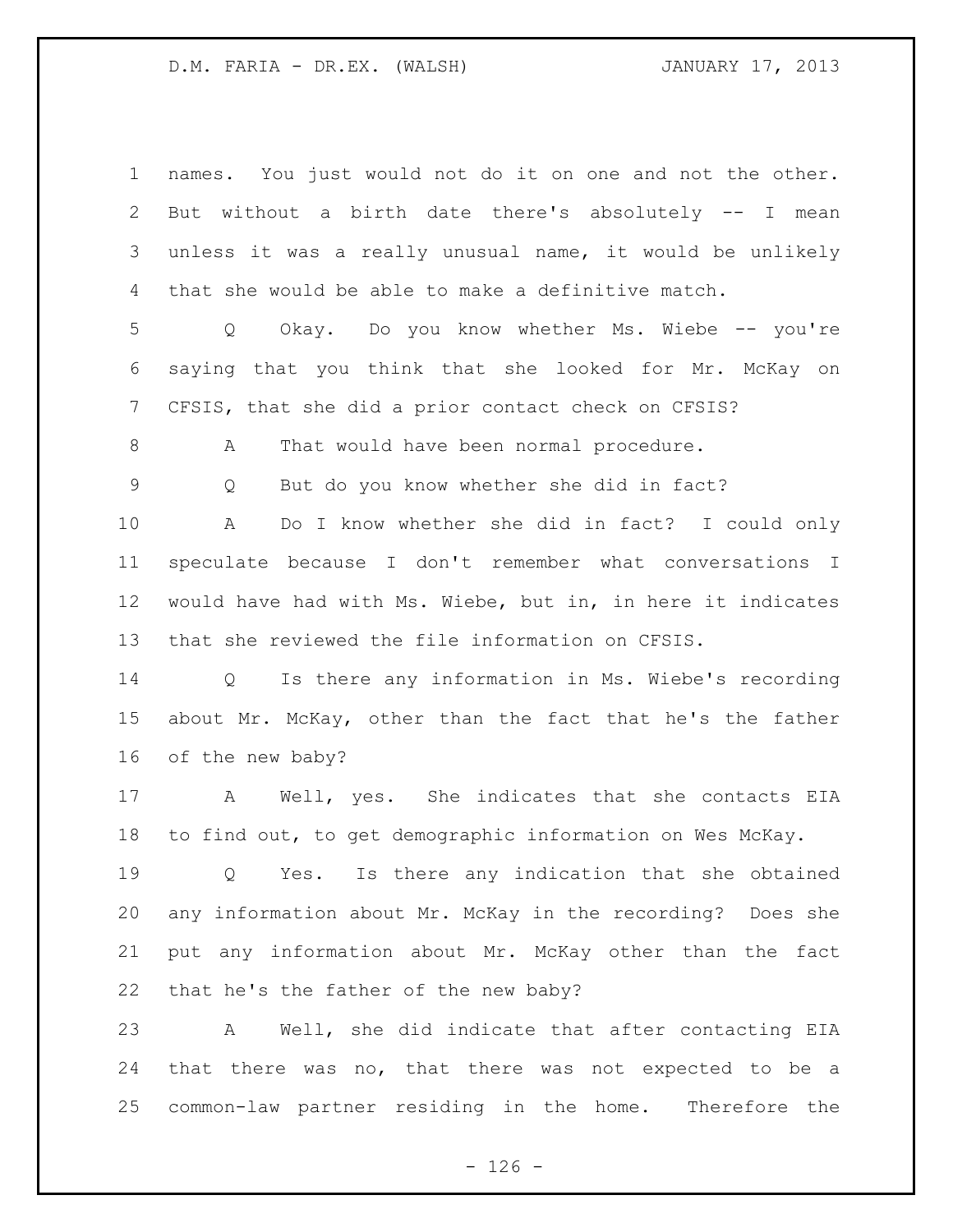| $\mathbf 1$    | names. You just would not do it on one and not the other.   |
|----------------|-------------------------------------------------------------|
| 2              | But without a birth date there's absolutely -- I mean       |
| 3              | unless it was a really unusual name, it would be unlikely   |
| 4              | that she would be able to make a definitive match.          |
| 5              | Okay. Do you know whether Ms. Wiebe -- you're<br>Q          |
| 6              | saying that you think that she looked for Mr. McKay on      |
| $7\phantom{.}$ | CFSIS, that she did a prior contact check on CFSIS?         |
| 8              | That would have been normal procedure.<br>А                 |
| $\mathsf 9$    | But do you know whether she did in fact?<br>Q               |
| 10             | Do I know whether she did in fact? I could only<br>A        |
| 11             | speculate because I don't remember what conversations I     |
| 12             | would have had with Ms. Wiebe, but in, in here it indicates |
| 13             | that she reviewed the file information on CFSIS.            |
| 14             | Q Is there any information in Ms. Wiebe's recording         |
| 15             | about Mr. McKay, other than the fact that he's the father   |
| 16             | of the new baby?                                            |
| 17             | Well, yes. She indicates that she contacts EIA<br>A         |
| 18             | to find out, to get demographic information on Wes McKay.   |
| 19             | Q Yes. Is there any indication that she obtained            |
| 20             | any information about Mr. McKay in the recording? Does she  |
| 21             | put any information about Mr. McKay other than the fact     |
| 22             | that he's the father of the new baby?                       |
| 23             | Well, she did indicate that after contacting EIA<br>A       |
| 24             | that there was no, that there was not expected to be a      |
| 25             | common-law partner residing in the home. Therefore the      |

- 126 -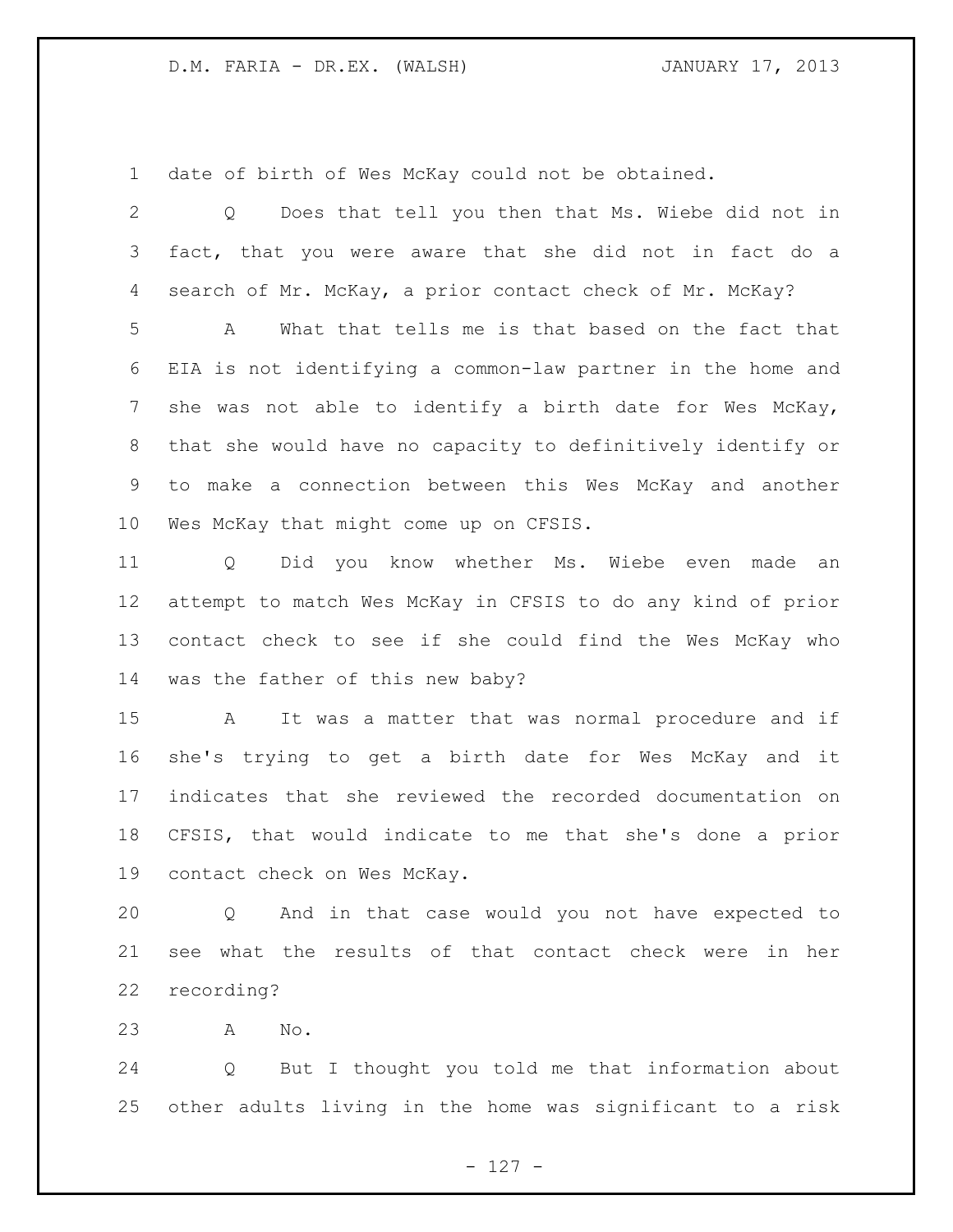date of birth of Wes McKay could not be obtained.

| 2       | Does that tell you then that Ms. Wiebe did not in<br>Q           |
|---------|------------------------------------------------------------------|
| 3       | fact, that you were aware that she did not in fact do a          |
| 4       | search of Mr. McKay, a prior contact check of Mr. McKay?         |
| 5       | What that tells me is that based on the fact that<br>A           |
| 6       | EIA is not identifying a common-law partner in the home and      |
| 7       | she was not able to identify a birth date for Wes McKay,         |
| 8       | that she would have no capacity to definitively identify or      |
| 9       | to make a connection between this Wes McKay and another          |
| $10 \,$ | Wes McKay that might come up on CFSIS.                           |
| 11      | Did you know whether Ms. Wiebe even made an<br>$Q \qquad \qquad$ |
| 12      | attempt to match Wes McKay in CFSIS to do any kind of prior      |
| 13      | contact check to see if she could find the Wes McKay who         |
| 14      | was the father of this new baby?                                 |
| 15      | It was a matter that was normal procedure and if<br>A            |
| 16      | she's trying to get a birth date for Wes McKay and it            |
| 17      | indicates that she reviewed the recorded documentation on        |
| 18      | CFSIS, that would indicate to me that she's done a prior         |
| 19      | contact check on Wes McKay.                                      |
| 20      | And in that case would you not have expected to<br>Q             |
| 21      | see what the results of that contact check were in her           |
| 22      | recording?                                                       |
| 23      | No.<br>A                                                         |

 Q But I thought you told me that information about other adults living in the home was significant to a risk

- 127 -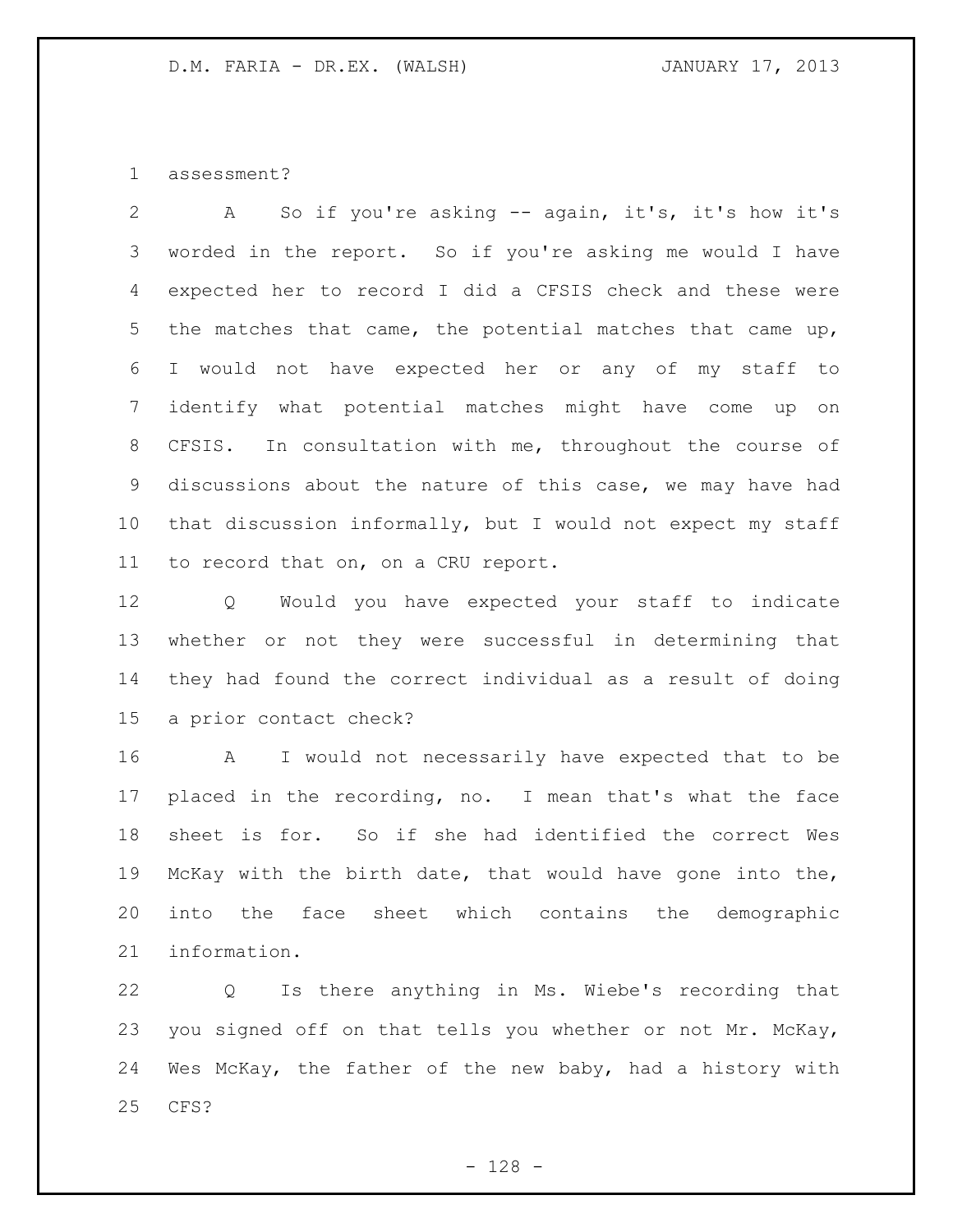assessment?

 A So if you're asking -- again, it's, it's how it's worded in the report. So if you're asking me would I have expected her to record I did a CFSIS check and these were the matches that came, the potential matches that came up, I would not have expected her or any of my staff to identify what potential matches might have come up on CFSIS. In consultation with me, throughout the course of discussions about the nature of this case, we may have had that discussion informally, but I would not expect my staff to record that on, on a CRU report.

 Q Would you have expected your staff to indicate whether or not they were successful in determining that they had found the correct individual as a result of doing a prior contact check?

 A I would not necessarily have expected that to be placed in the recording, no. I mean that's what the face sheet is for. So if she had identified the correct Wes McKay with the birth date, that would have gone into the, into the face sheet which contains the demographic information.

 Q Is there anything in Ms. Wiebe's recording that you signed off on that tells you whether or not Mr. McKay, Wes McKay, the father of the new baby, had a history with CFS?

- 128 -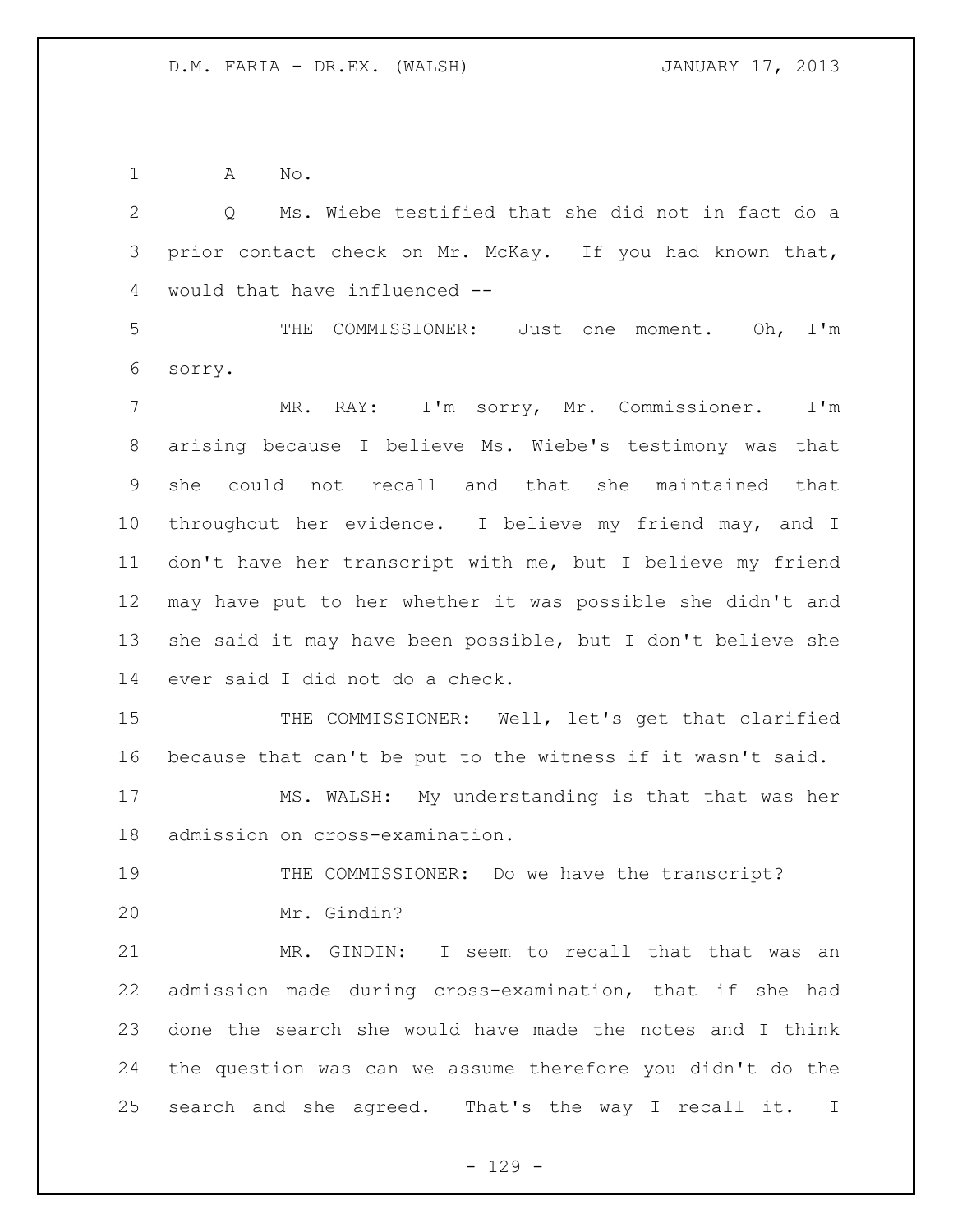A No.

 Q Ms. Wiebe testified that she did not in fact do a prior contact check on Mr. McKay. If you had known that, would that have influenced -- THE COMMISSIONER: Just one moment. Oh, I'm sorry. MR. RAY: I'm sorry, Mr. Commissioner. I'm arising because I believe Ms. Wiebe's testimony was that she could not recall and that she maintained that throughout her evidence. I believe my friend may, and I don't have her transcript with me, but I believe my friend may have put to her whether it was possible she didn't and she said it may have been possible, but I don't believe she ever said I did not do a check. 15 THE COMMISSIONER: Well, let's get that clarified because that can't be put to the witness if it wasn't said. MS. WALSH: My understanding is that that was her admission on cross-examination. THE COMMISSIONER: Do we have the transcript? Mr. Gindin? MR. GINDIN: I seem to recall that that was an admission made during cross-examination, that if she had done the search she would have made the notes and I think the question was can we assume therefore you didn't do the search and she agreed. That's the way I recall it. I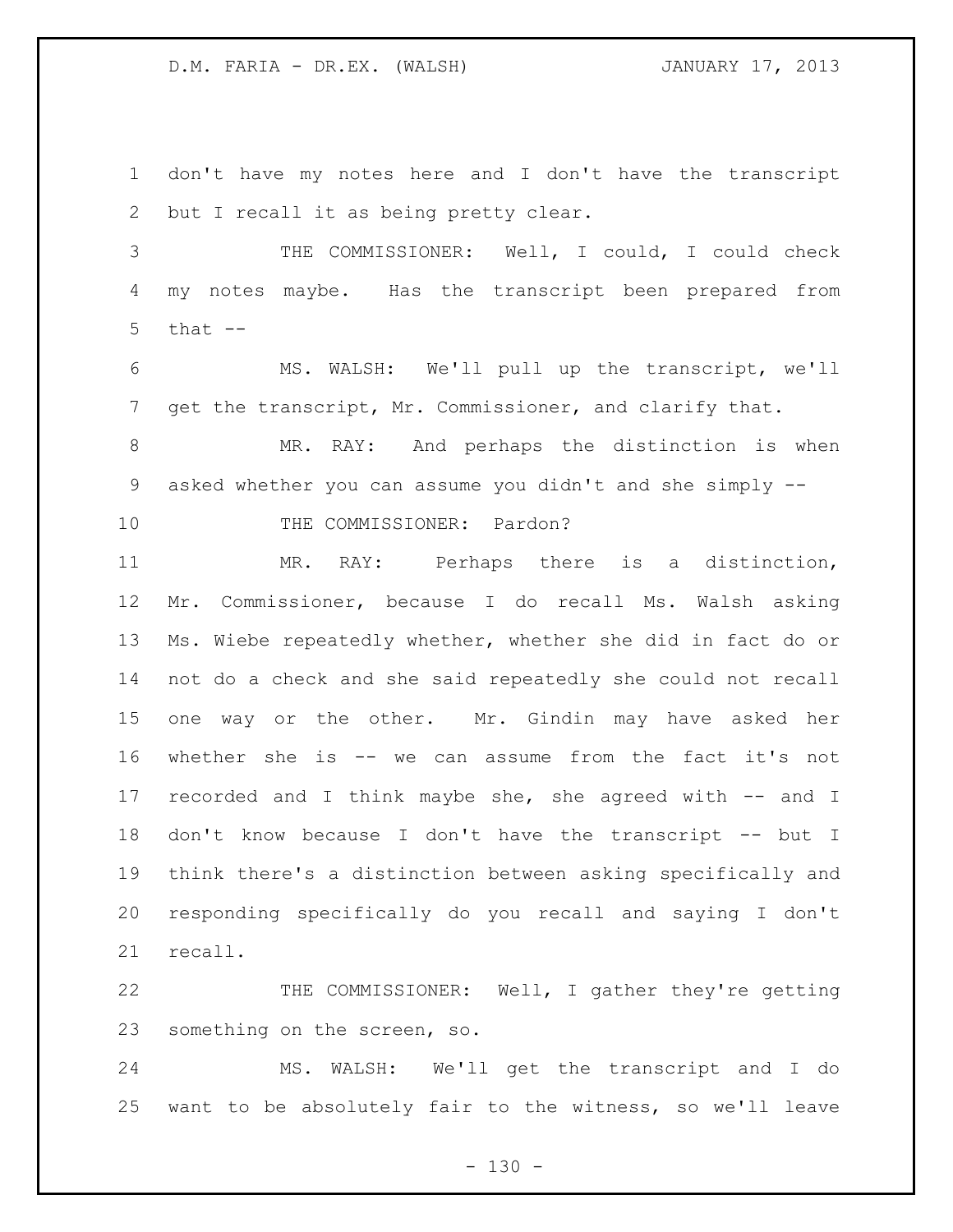don't have my notes here and I don't have the transcript but I recall it as being pretty clear.

 THE COMMISSIONER: Well, I could, I could check my notes maybe. Has the transcript been prepared from that  $-$ 

 MS. WALSH: We'll pull up the transcript, we'll get the transcript, Mr. Commissioner, and clarify that.

 MR. RAY: And perhaps the distinction is when asked whether you can assume you didn't and she simply --

10 THE COMMISSIONER: Pardon?

 MR. RAY: Perhaps there is a distinction, Mr. Commissioner, because I do recall Ms. Walsh asking Ms. Wiebe repeatedly whether, whether she did in fact do or not do a check and she said repeatedly she could not recall one way or the other. Mr. Gindin may have asked her whether she is -- we can assume from the fact it's not recorded and I think maybe she, she agreed with -- and I don't know because I don't have the transcript -- but I think there's a distinction between asking specifically and responding specifically do you recall and saying I don't recall.

 THE COMMISSIONER: Well, I gather they're getting something on the screen, so.

 MS. WALSH: We'll get the transcript and I do want to be absolutely fair to the witness, so we'll leave

 $- 130 -$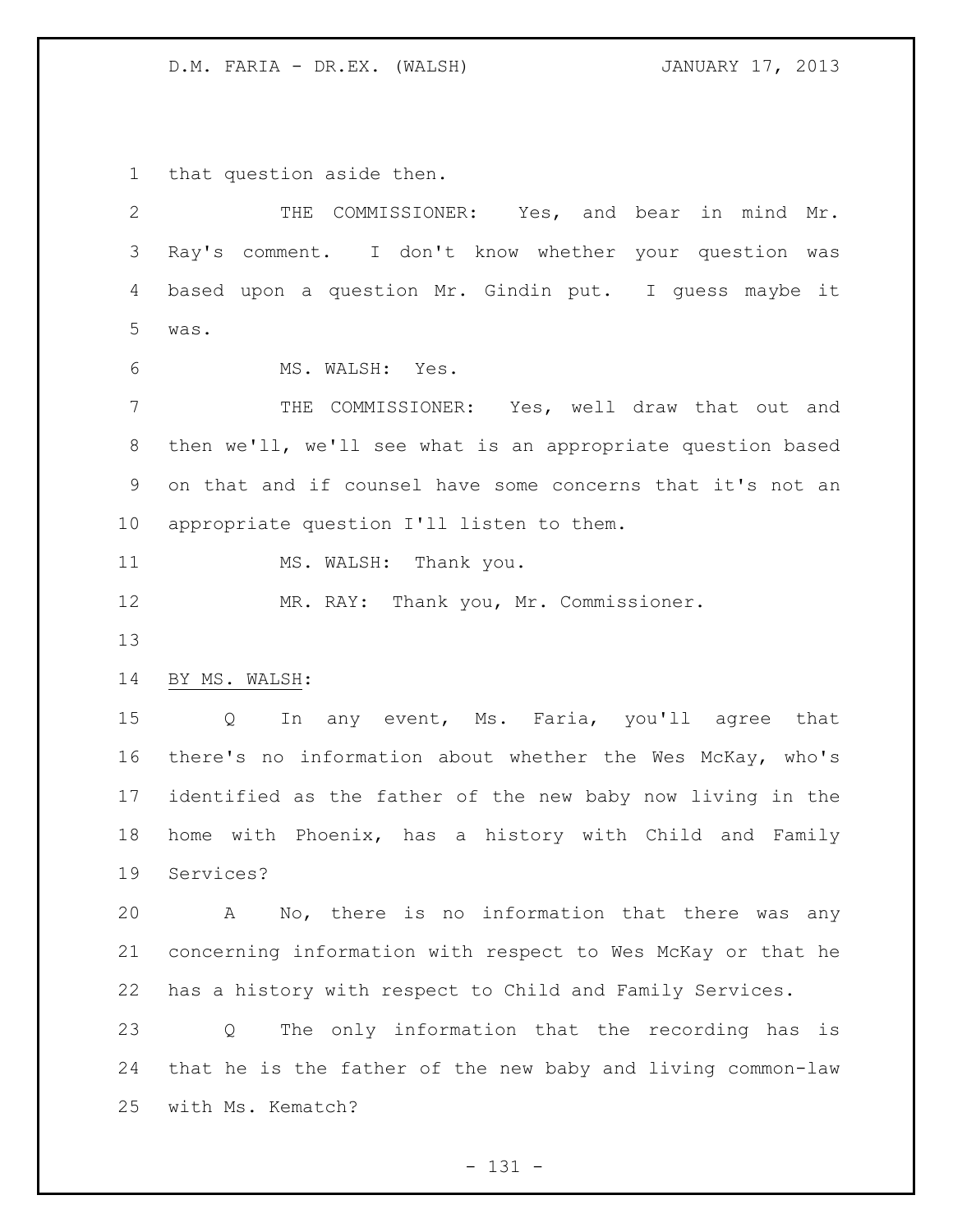that question aside then.

| 2           | THE COMMISSIONER: Yes, and bear in mind Mr.                 |
|-------------|-------------------------------------------------------------|
| 3           | Ray's comment. I don't know whether your question was       |
| 4           | based upon a question Mr. Gindin put. I quess maybe it      |
| 5           | was.                                                        |
| 6           | MS. WALSH: Yes.                                             |
| 7           | THE COMMISSIONER: Yes, well draw that out and               |
| $8\,$       | then we'll, we'll see what is an appropriate question based |
| $\mathsf 9$ | on that and if counsel have some concerns that it's not an  |
| 10          | appropriate question I'll listen to them.                   |
| 11          | MS. WALSH: Thank you.                                       |
| 12          | MR. RAY: Thank you, Mr. Commissioner.                       |
| 13          |                                                             |
| 14          | BY MS. WALSH:                                               |
| 15          | In any event, Ms. Faria, you'll agree that<br>Q             |
| 16          | there's no information about whether the Wes McKay, who's   |
| 17          | identified as the father of the new baby now living in the  |
| 18          | home with Phoenix, has a history with Child and Family      |
| 19          | Services?                                                   |
| 20          | No, there is no information that there was any<br>Α         |
| 21          | concerning information with respect to Wes McKay or that he |
| 22          | has a history with respect to Child and Family Services.    |
| 23          | The only information that the recording has is<br>Q         |
| 24          | that he is the father of the new baby and living common-law |
| 25          | with Ms. Kematch?                                           |

- 131 -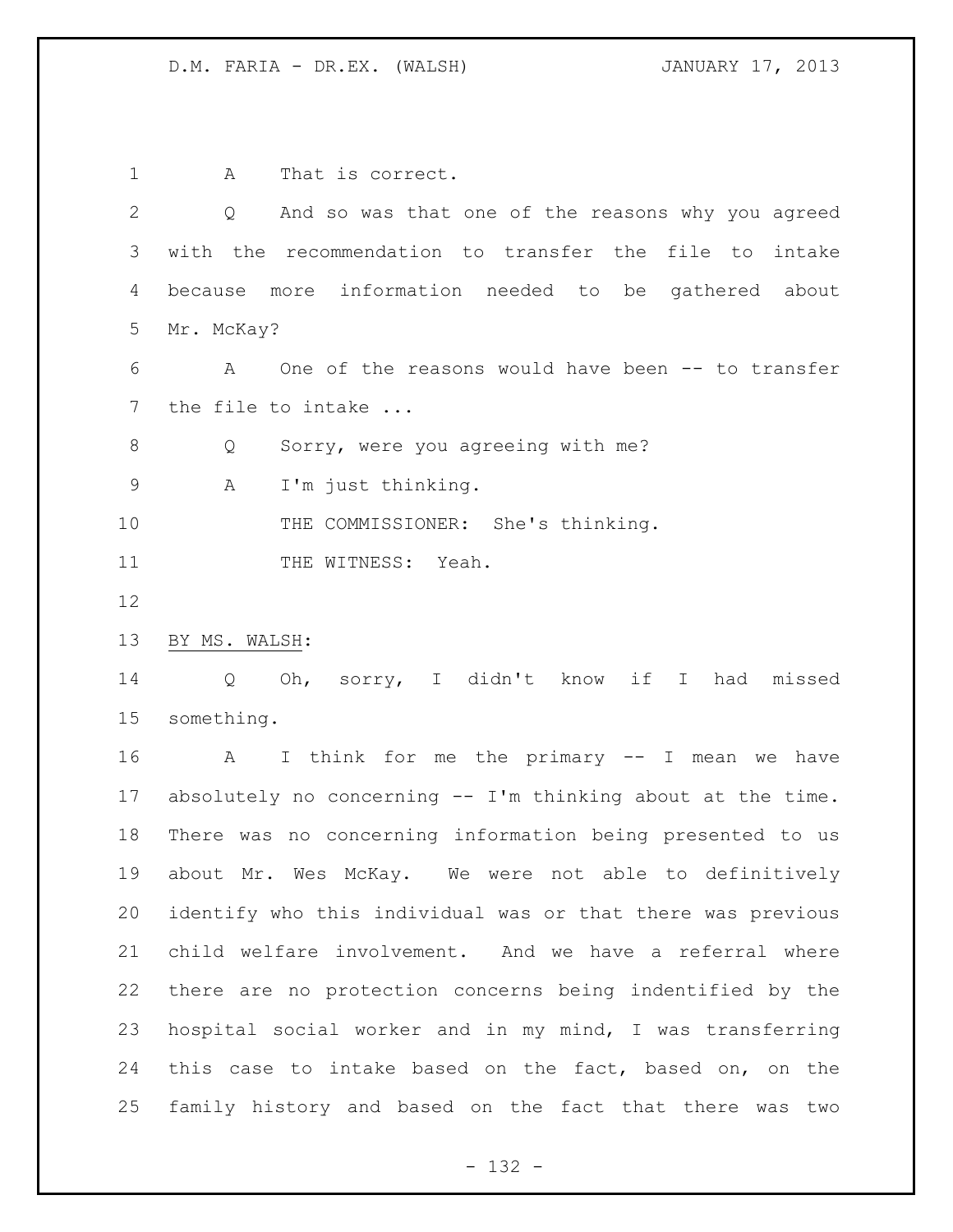1 A That is correct. Q And so was that one of the reasons why you agreed with the recommendation to transfer the file to intake because more information needed to be gathered about Mr. McKay? A One of the reasons would have been -- to transfer 7 the file to intake ... 8 Q Sorry, were you agreeing with me? A I'm just thinking. 10 THE COMMISSIONER: She's thinking. 11 THE WITNESS: Yeah. BY MS. WALSH: Q Oh, sorry, I didn't know if I had missed something. A I think for me the primary -- I mean we have absolutely no concerning -- I'm thinking about at the time. There was no concerning information being presented to us about Mr. Wes McKay. We were not able to definitively identify who this individual was or that there was previous child welfare involvement. And we have a referral where there are no protection concerns being indentified by the hospital social worker and in my mind, I was transferring this case to intake based on the fact, based on, on the family history and based on the fact that there was two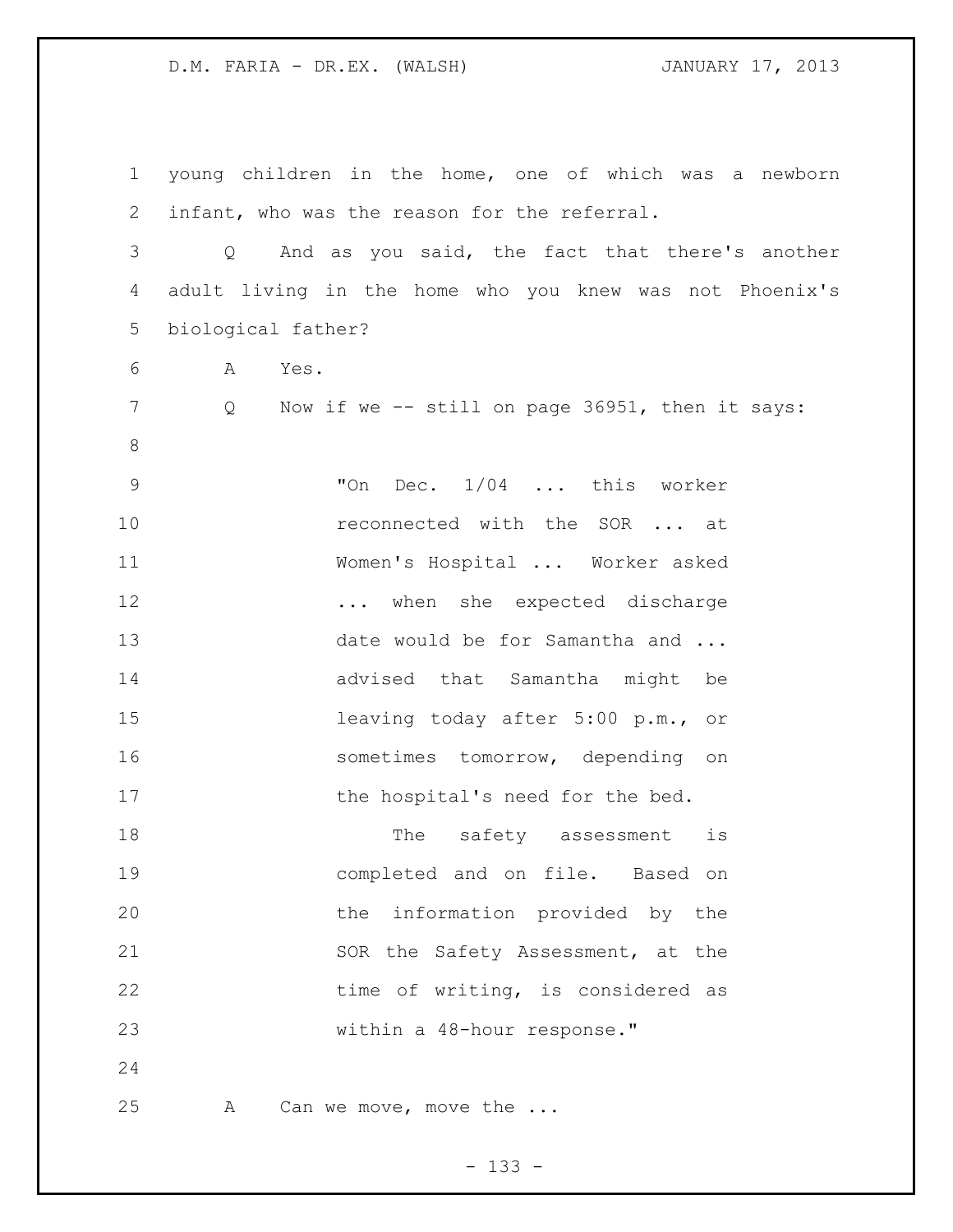young children in the home, one of which was a newborn infant, who was the reason for the referral. Q And as you said, the fact that there's another adult living in the home who you knew was not Phoenix's biological father? A Yes. Q Now if we -- still on page 36951, then it says: "On Dec. 1/04 ... this worker **reconnected with the SOR** ... at Women's Hospital ... Worker asked 12 ... when she expected discharge 13 date would be for Samantha and ... advised that Samantha might be leaving today after 5:00 p.m., or 16 sometimes tomorrow, depending on 17 the hospital's need for the bed. 18 The safety assessment is completed and on file. Based on the information provided by the 21 SOR the Safety Assessment, at the 22 time of writing, is considered as within a 48-hour response." 25 A Can we move, move the ...

- 133 -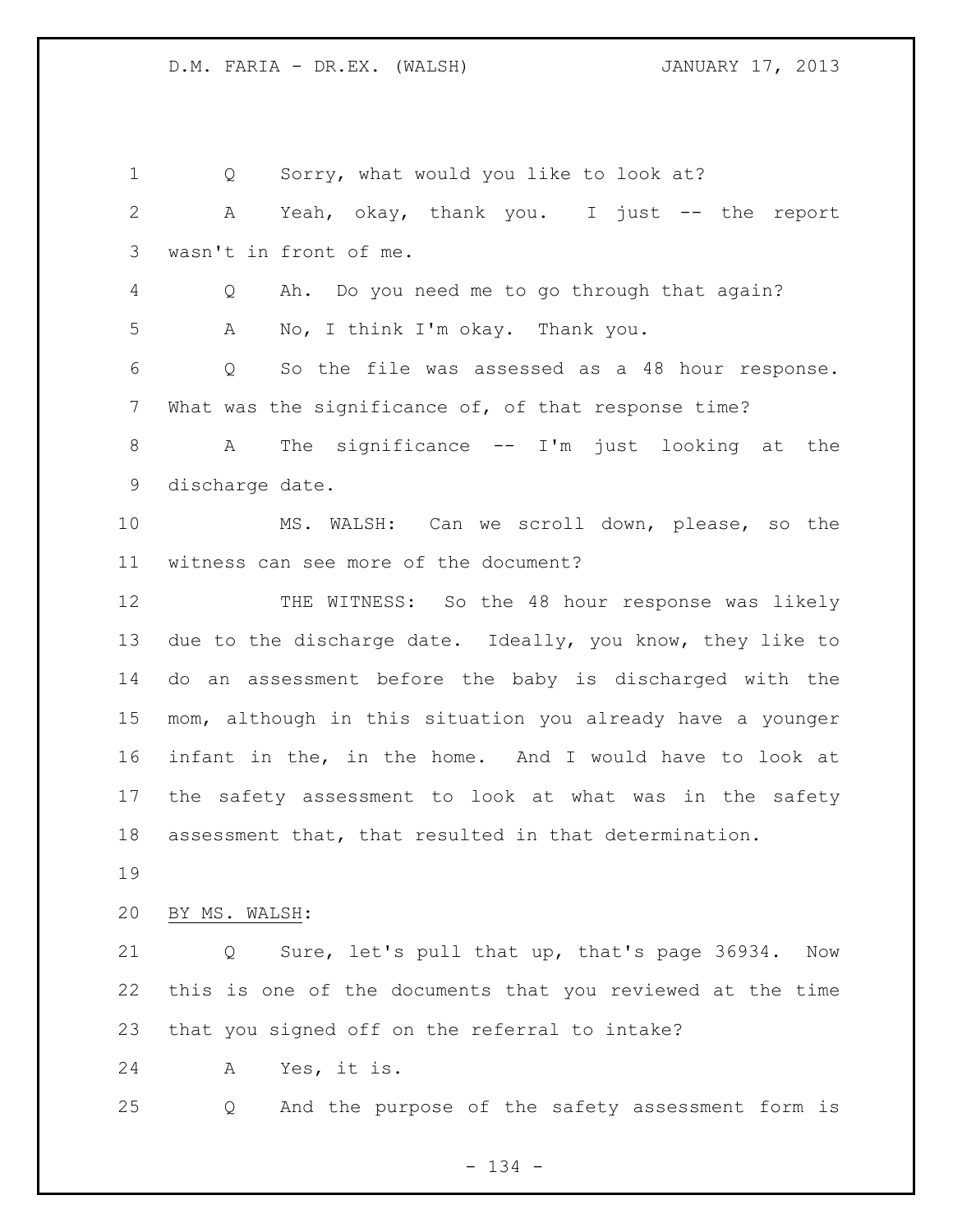Q Sorry, what would you like to look at? A Yeah, okay, thank you. I just -- the report wasn't in front of me. Q Ah. Do you need me to go through that again? A No, I think I'm okay. Thank you. Q So the file was assessed as a 48 hour response. What was the significance of, of that response time? A The significance -- I'm just looking at the discharge date. MS. WALSH: Can we scroll down, please, so the witness can see more of the document? 12 THE WITNESS: So the 48 hour response was likely due to the discharge date. Ideally, you know, they like to do an assessment before the baby is discharged with the mom, although in this situation you already have a younger infant in the, in the home. And I would have to look at the safety assessment to look at what was in the safety assessment that, that resulted in that determination. BY MS. WALSH: Q Sure, let's pull that up, that's page 36934. Now this is one of the documents that you reviewed at the time that you signed off on the referral to intake? A Yes, it is. Q And the purpose of the safety assessment form is

- 134 -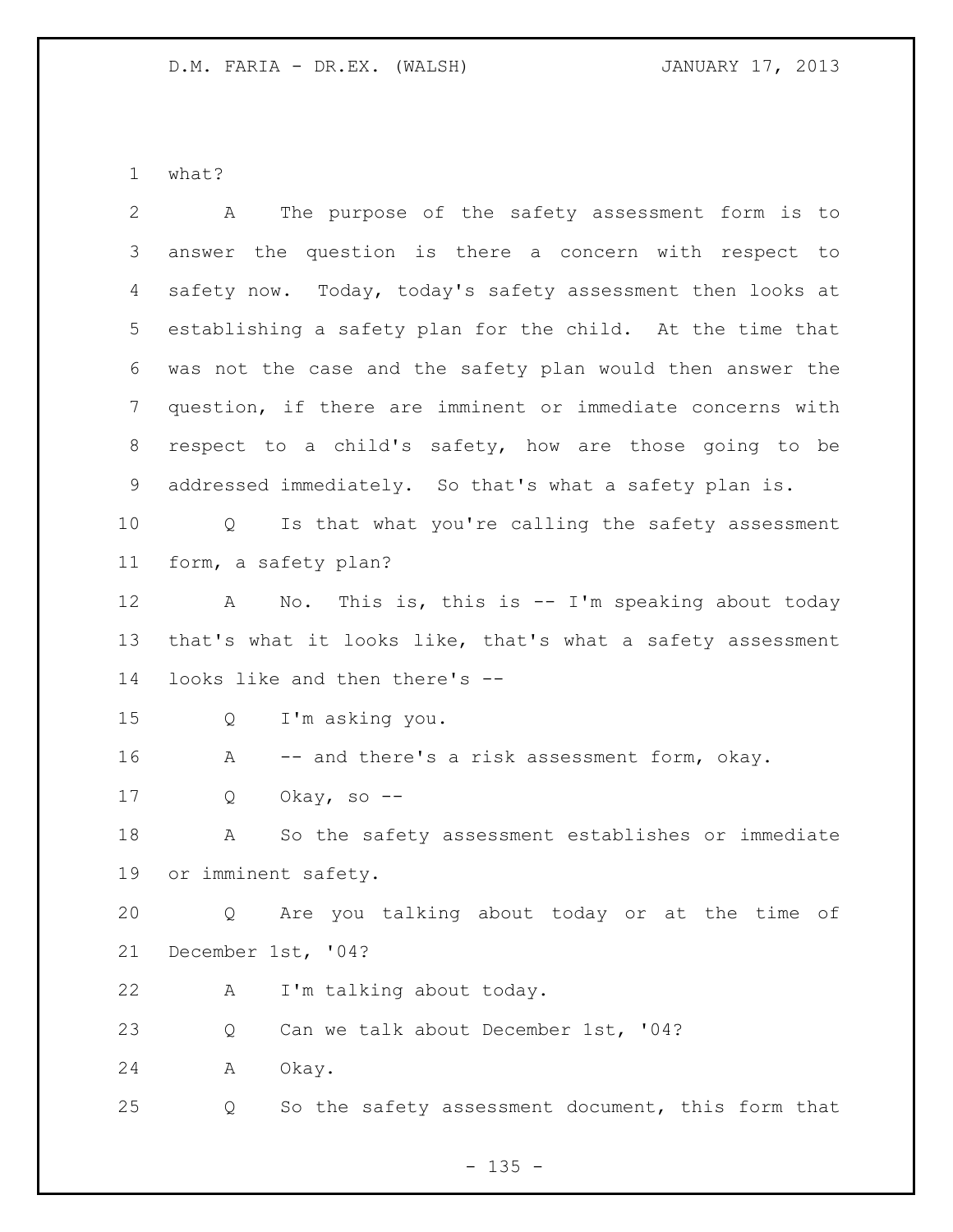what?

| $\overline{2}$ | The purpose of the safety assessment form is to<br>A                   |
|----------------|------------------------------------------------------------------------|
| 3              | answer the question is there a concern with respect to                 |
| 4              | safety now. Today, today's safety assessment then looks at             |
| 5              | establishing a safety plan for the child. At the time that             |
| 6              | was not the case and the safety plan would then answer the             |
| 7              | question, if there are imminent or immediate concerns with             |
| 8              | respect to a child's safety, how are those going to be                 |
| 9              | addressed immediately. So that's what a safety plan is.                |
| 10             | Is that what you're calling the safety assessment<br>$Q \qquad \qquad$ |
| 11             | form, a safety plan?                                                   |
| 12             | No. This is, this is -- I'm speaking about today<br>A                  |
| 13             | that's what it looks like, that's what a safety assessment             |
| 14             | looks like and then there's --                                         |
| 15             | I'm asking you.<br>Q                                                   |
| 16             | Α<br>-- and there's a risk assessment form, okay.                      |
| 17             | Okay, so $-$ -<br>Q                                                    |
| 18             | So the safety assessment establishes or immediate<br>Α                 |
| 19             | or imminent safety.                                                    |
| 20             | Q Are you talking about today or at the time of                        |
| 21             | December 1st, '04?                                                     |
| 22             | I'm talking about today.<br>А                                          |
| 23             | Can we talk about December 1st, '04?<br>Q                              |
| 24             | Okay.<br>Α                                                             |
| 25             | So the safety assessment document, this form that<br>Q                 |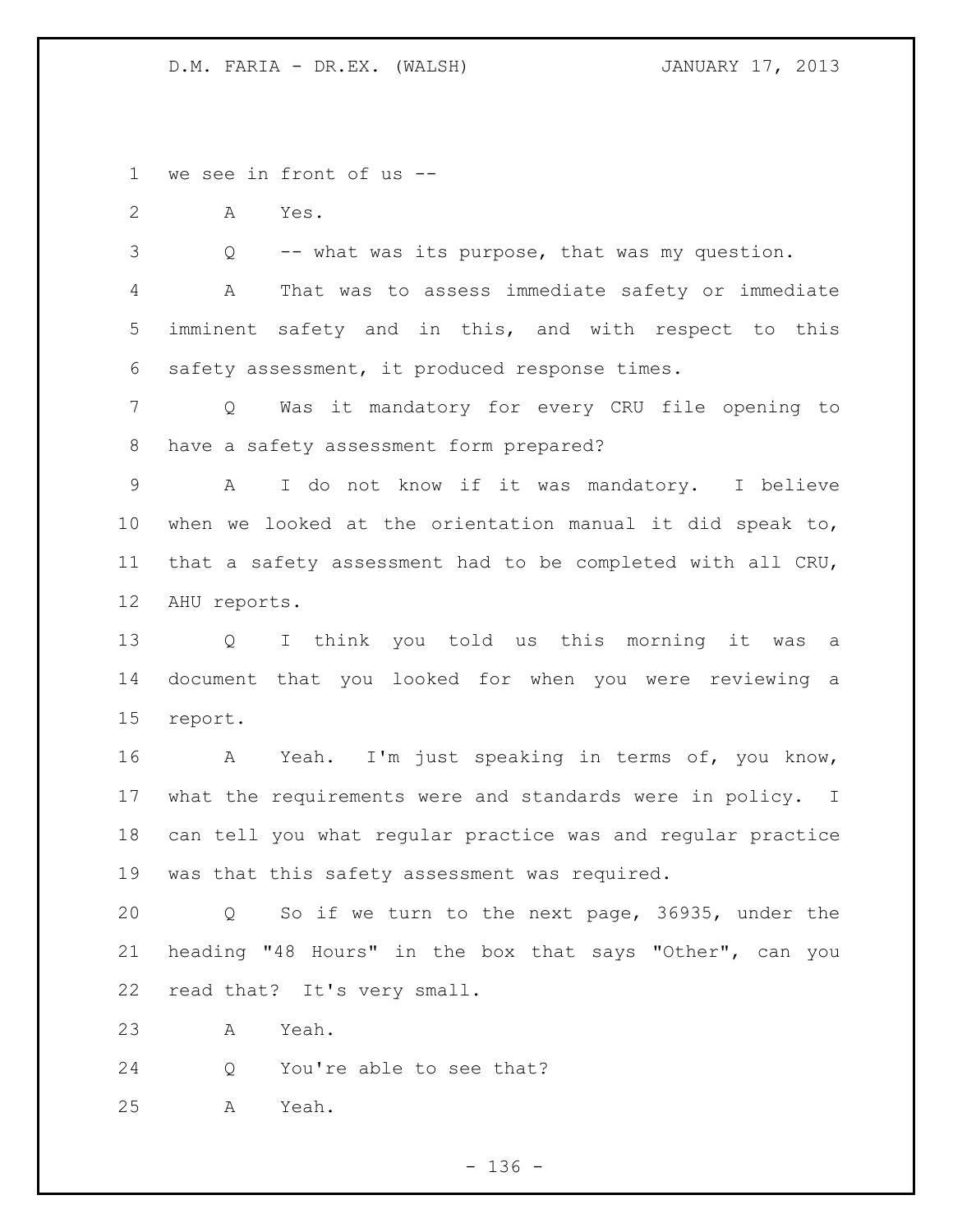we see in front of us --

A Yes.

Q -- what was its purpose, that was my question.

 A That was to assess immediate safety or immediate imminent safety and in this, and with respect to this safety assessment, it produced response times.

 Q Was it mandatory for every CRU file opening to have a safety assessment form prepared?

 A I do not know if it was mandatory. I believe when we looked at the orientation manual it did speak to, that a safety assessment had to be completed with all CRU, AHU reports.

 Q I think you told us this morning it was a document that you looked for when you were reviewing a report.

 A Yeah. I'm just speaking in terms of, you know, what the requirements were and standards were in policy. I can tell you what regular practice was and regular practice was that this safety assessment was required.

 Q So if we turn to the next page, 36935, under the heading "48 Hours" in the box that says "Other", can you read that? It's very small.

A Yeah.

Q You're able to see that?

A Yeah.

- 136 -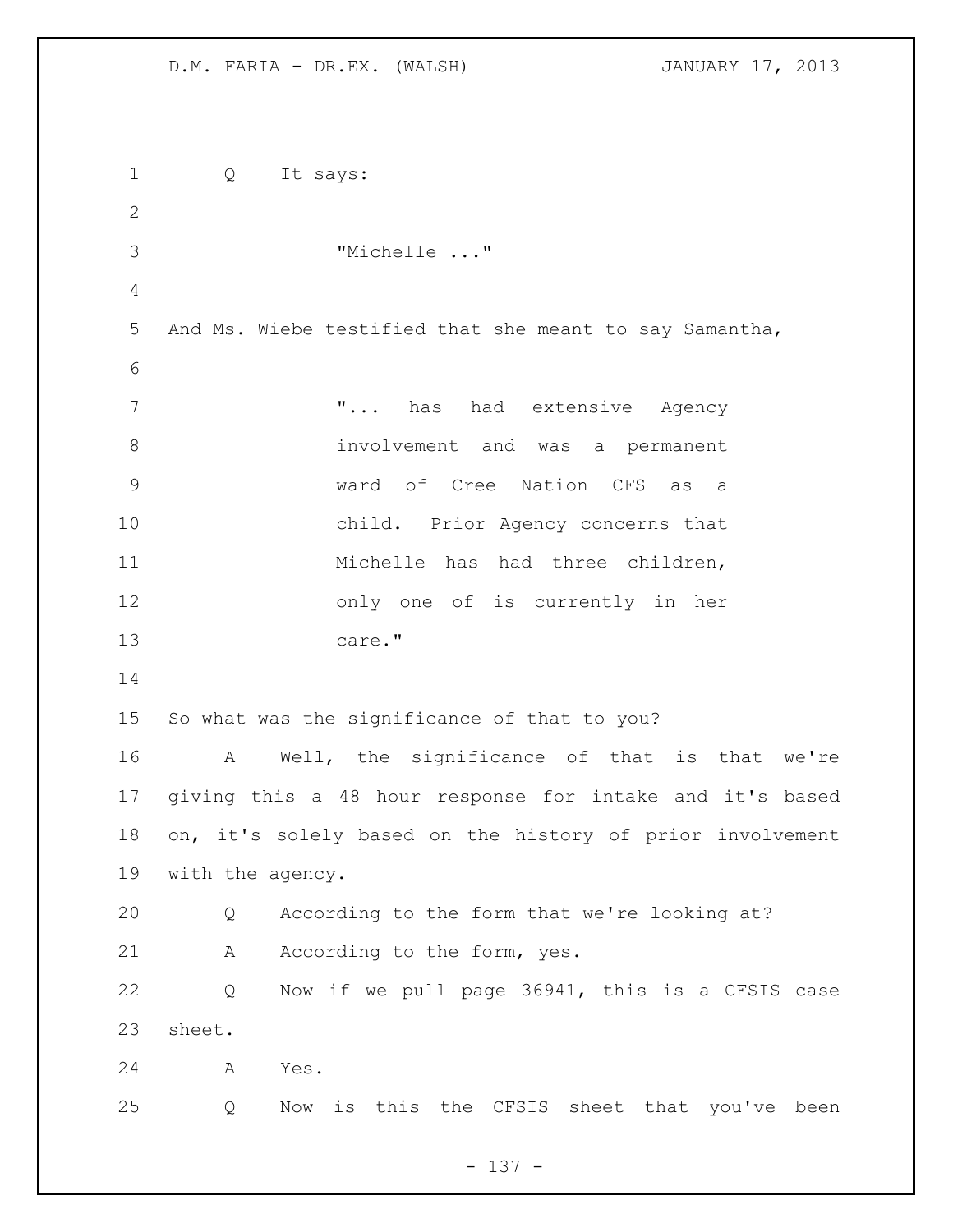| $\mathbf 1$   | Q<br>It says:                                             |
|---------------|-----------------------------------------------------------|
| $\mathbf{2}$  |                                                           |
| 3             | "Michelle "                                               |
| 4             |                                                           |
| 5             | And Ms. Wiebe testified that she meant to say Samantha,   |
| 6             |                                                           |
| 7             | " has had extensive Agency                                |
| $\,8\,$       | involvement and was a permanent                           |
| $\mathcal{G}$ | ward of Cree Nation CFS as<br>a a                         |
| 10            | child. Prior Agency concerns that                         |
| 11            | Michelle has had three children,                          |
| 12            | only one of is currently in her                           |
| 13            | care."                                                    |
| 14            |                                                           |
| 15            | So what was the significance of that to you?              |
| 16            | Well, the significance of that is that we're<br>A         |
| 17            | giving this a 48 hour response for intake and it's based  |
| 18            | on, it's solely based on the history of prior involvement |
| 19            | with the agency.                                          |
| 20            | According to the form that we're looking at?<br>Q         |
| 21            | According to the form, yes.<br>Α                          |
| 22            | Now if we pull page 36941, this is a CFSIS case<br>Q      |
| 23            | sheet.                                                    |
| 24            | Yes.<br>A                                                 |
| 25            | Now is this the CFSIS sheet that you've been<br>Q         |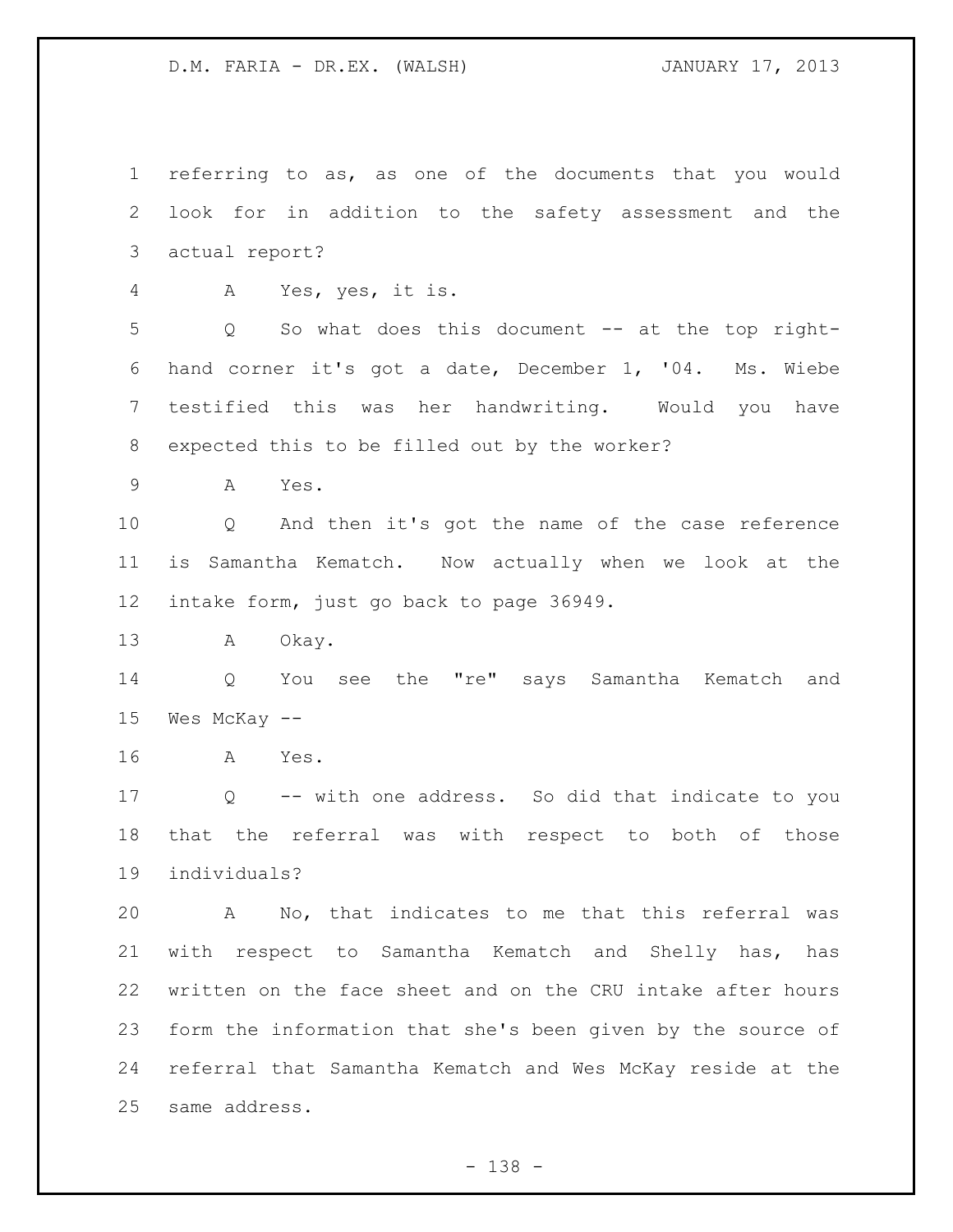referring to as, as one of the documents that you would look for in addition to the safety assessment and the actual report? A Yes, yes, it is. Q So what does this document -- at the top right- hand corner it's got a date, December 1, '04. Ms. Wiebe testified this was her handwriting. Would you have expected this to be filled out by the worker? A Yes. Q And then it's got the name of the case reference is Samantha Kematch. Now actually when we look at the intake form, just go back to page 36949. A Okay. Q You see the "re" says Samantha Kematch and Wes McKay -- A Yes. Q -- with one address. So did that indicate to you that the referral was with respect to both of those individuals? A No, that indicates to me that this referral was with respect to Samantha Kematch and Shelly has, has written on the face sheet and on the CRU intake after hours form the information that she's been given by the source of

 referral that Samantha Kematch and Wes McKay reside at the same address.

- 138 -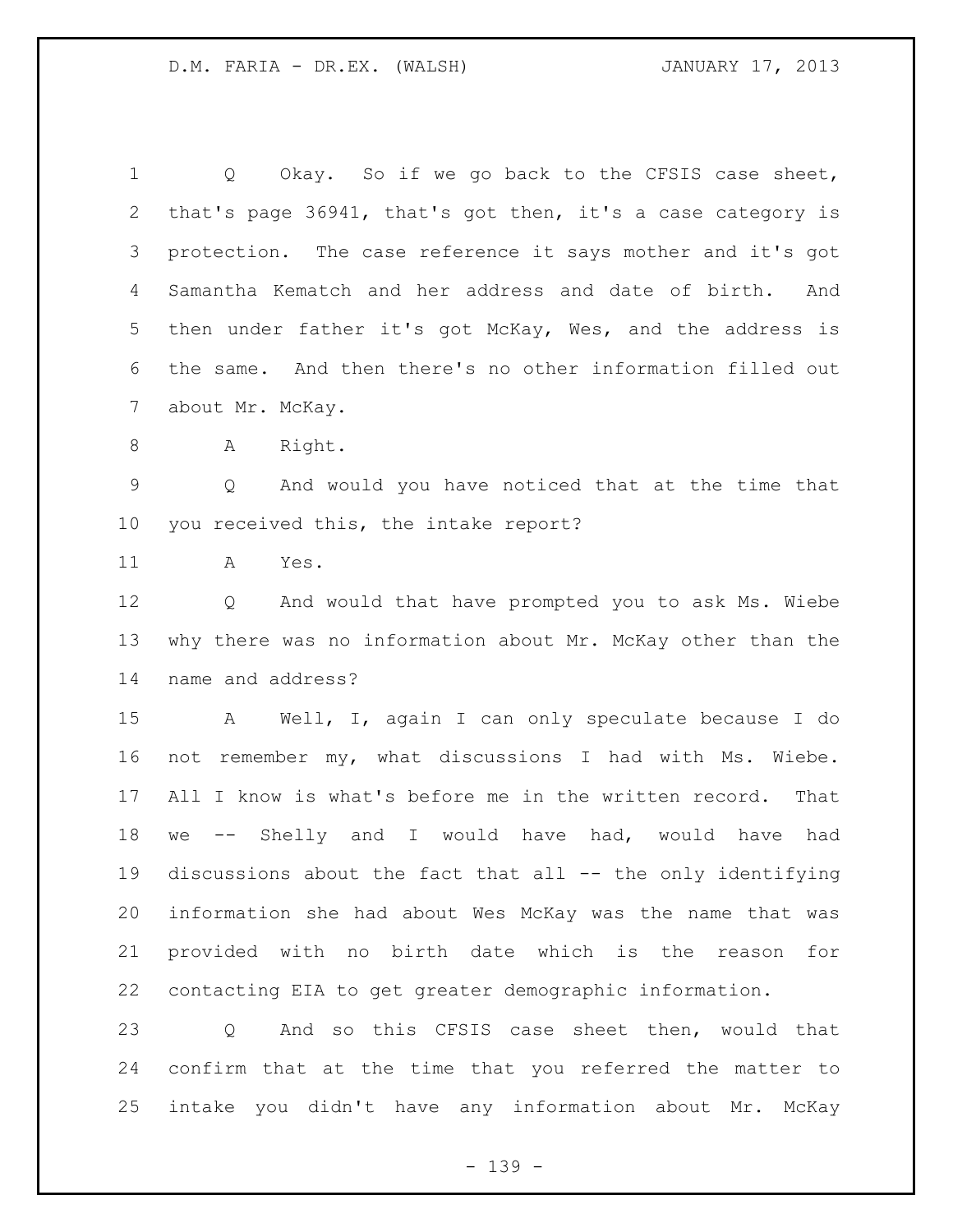1 Q Okay. So if we go back to the CFSIS case sheet, that's page 36941, that's got then, it's a case category is protection. The case reference it says mother and it's got Samantha Kematch and her address and date of birth. And then under father it's got McKay, Wes, and the address is the same. And then there's no other information filled out about Mr. McKay. 8 A Right. Q And would you have noticed that at the time that you received this, the intake report? A Yes. Q And would that have prompted you to ask Ms. Wiebe why there was no information about Mr. McKay other than the name and address? A Well, I, again I can only speculate because I do not remember my, what discussions I had with Ms. Wiebe. All I know is what's before me in the written record. That we -- Shelly and I would have had, would have had 19 discussions about the fact that all -- the only identifying information she had about Wes McKay was the name that was provided with no birth date which is the reason for contacting EIA to get greater demographic information. Q And so this CFSIS case sheet then, would that confirm that at the time that you referred the matter to intake you didn't have any information about Mr. McKay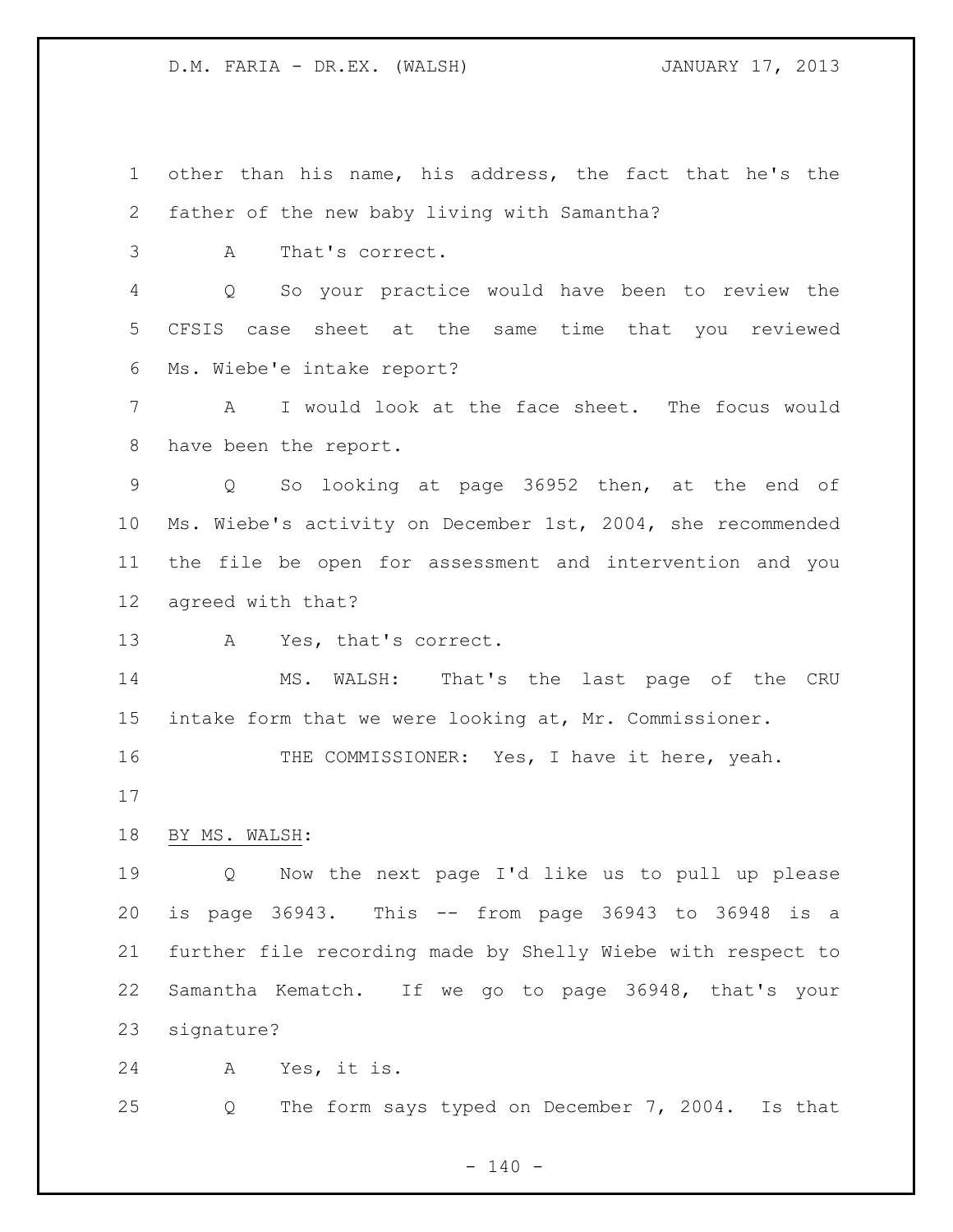other than his name, his address, the fact that he's the father of the new baby living with Samantha?

A That's correct.

 Q So your practice would have been to review the CFSIS case sheet at the same time that you reviewed Ms. Wiebe'e intake report?

 A I would look at the face sheet. The focus would have been the report.

 Q So looking at page 36952 then, at the end of Ms. Wiebe's activity on December 1st, 2004, she recommended the file be open for assessment and intervention and you agreed with that?

A Yes, that's correct.

 MS. WALSH: That's the last page of the CRU intake form that we were looking at, Mr. Commissioner.

16 THE COMMISSIONER: Yes, I have it here, yeah.

BY MS. WALSH:

 Q Now the next page I'd like us to pull up please is page 36943. This -- from page 36943 to 36948 is a further file recording made by Shelly Wiebe with respect to Samantha Kematch. If we go to page 36948, that's your signature?

A Yes, it is.

Q The form says typed on December 7, 2004. Is that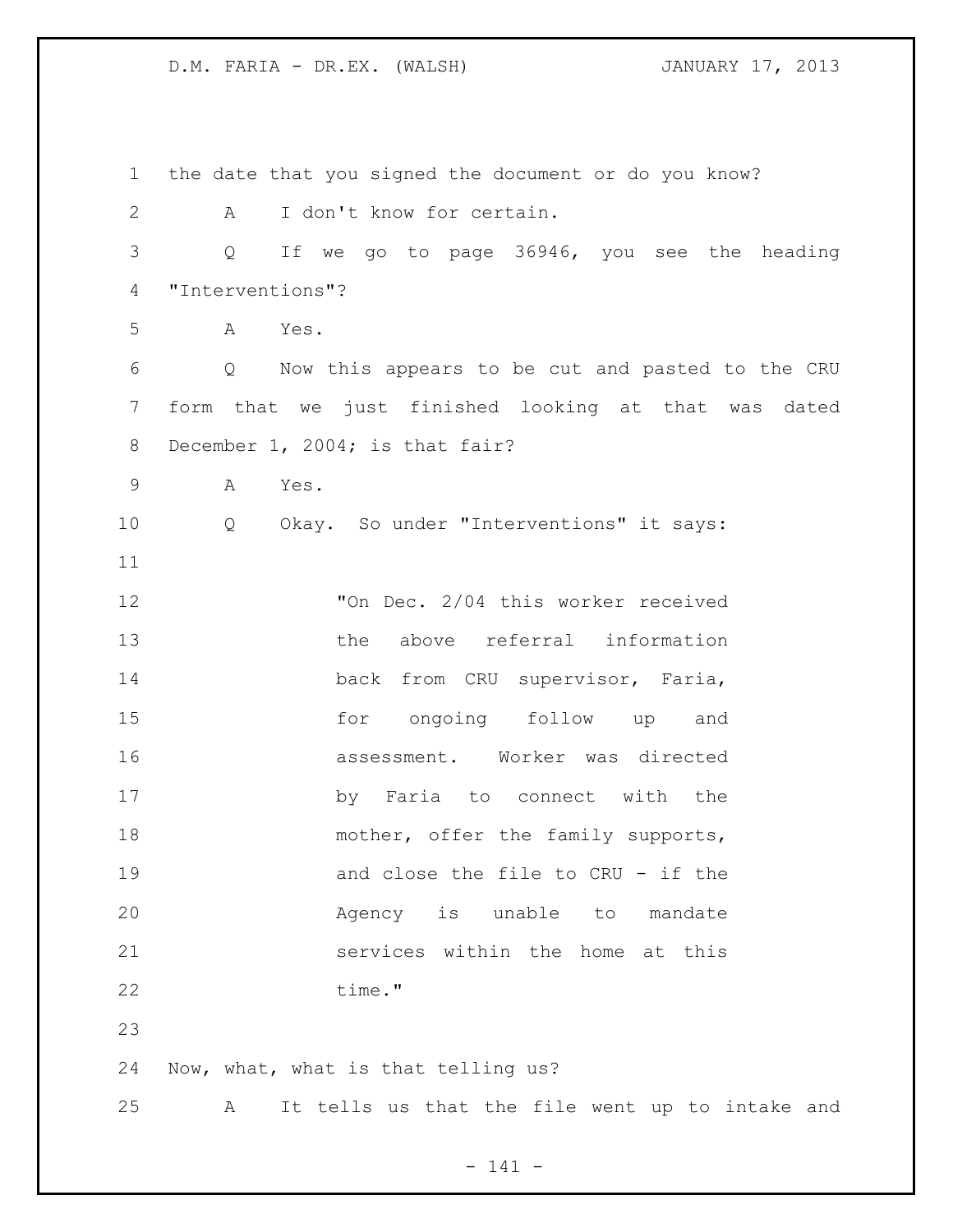| $\mathbf 1$ | the date that you signed the document or do you know? |
|-------------|-------------------------------------------------------|
| 2           | I don't know for certain.<br>A                        |
| 3           | Q<br>If we go to page 36946, you see the heading      |
| 4           | "Interventions"?                                      |
| 5           | A<br>Yes.                                             |
| 6           | Q Now this appears to be cut and pasted to the CRU    |
| 7           | form that we just finished looking at that was dated  |
| 8           | December 1, 2004; is that fair?                       |
| 9           | A<br>Yes.                                             |
| 10          | Q<br>Okay. So under "Interventions" it says:          |
| 11          |                                                       |
| 12          | "On Dec. 2/04 this worker received                    |
| 13          | above referral information<br>the                     |
| 14          | back from CRU supervisor, Faria,                      |
| 15          | for ongoing follow up and                             |
| 16          | assessment. Worker was directed                       |
| 17          | by Faria to connect with the                          |
| 18          | mother, offer the family supports,                    |
| 19          | and close the file to CRU - if the                    |
| 20          | Agency is unable to mandate                           |
| 21          | services within the home at this                      |
| 22          | time."                                                |
| 23          |                                                       |
| 24          | Now, what, what is that telling us?                   |
| 25          | It tells us that the file went up to intake and<br>A  |

- 141 -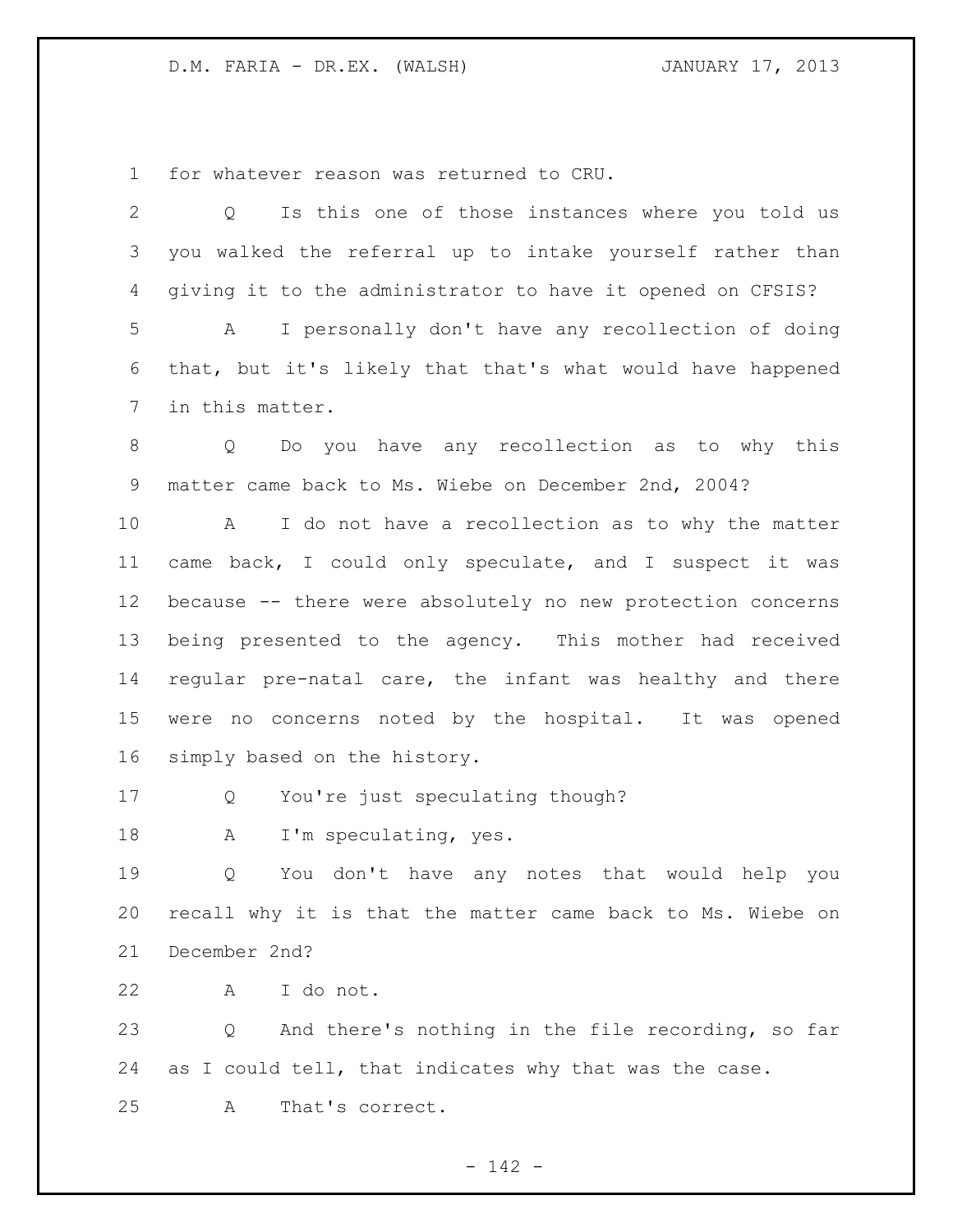for whatever reason was returned to CRU.

| $\mathbf{2}$ | Is this one of those instances where you told us<br>$Q_{-}$      |
|--------------|------------------------------------------------------------------|
| 3            | you walked the referral up to intake yourself rather than        |
| 4            | giving it to the administrator to have it opened on CFSIS?       |
| 5            | I personally don't have any recollection of doing<br>$\mathbb A$ |
| 6            | that, but it's likely that that's what would have happened       |
| 7            | in this matter.                                                  |
| 8            | Do you have any recollection as to why this<br>Q                 |
| 9            | matter came back to Ms. Wiebe on December 2nd, 2004?             |
| 10           | I do not have a recollection as to why the matter<br>A           |
| 11           | came back, I could only speculate, and I suspect it was          |
| 12           | because -- there were absolutely no new protection concerns      |
| 13           | being presented to the agency. This mother had received          |
| 14           | regular pre-natal care, the infant was healthy and there         |
| 15           | were no concerns noted by the hospital. It was opened            |
| 16           | simply based on the history.                                     |
| 17           | You're just speculating though?<br>Q                             |
| 18           | I'm speculating, yes.<br>A                                       |
| 19           | You don't have any notes that would help you<br>Q                |
| 20           | recall why it is that the matter came back to Ms. Wiebe on       |
| 21           | December 2nd?                                                    |
| 22           | I do not.<br>Α                                                   |
| 23           | And there's nothing in the file recording, so far<br>Q           |
| 24           | as I could tell, that indicates why that was the case.           |
| 25           | That's correct.<br>Α                                             |

- 142 -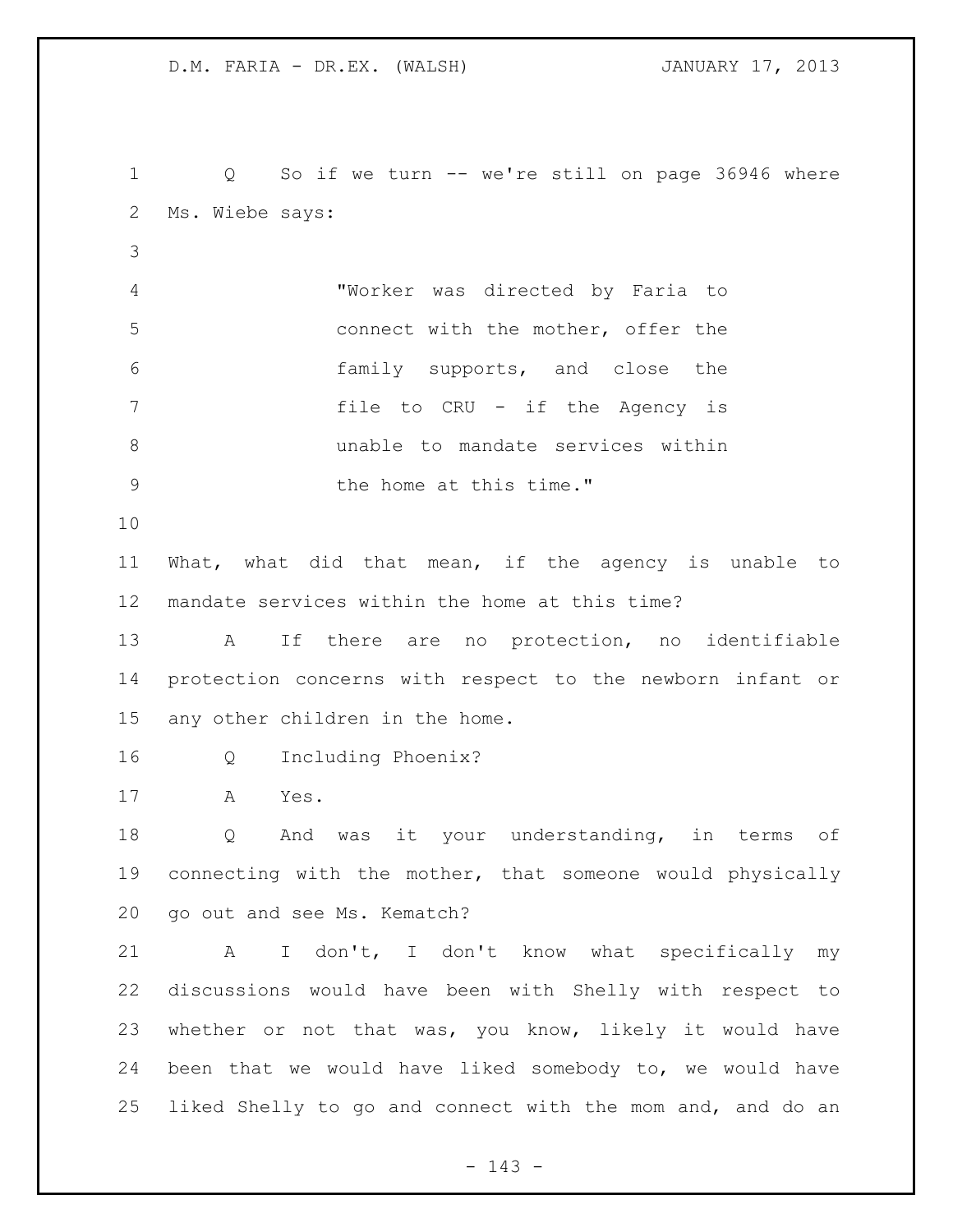Q So if we turn -- we're still on page 36946 where Ms. Wiebe says: "Worker was directed by Faria to connect with the mother, offer the family supports, and close the file to CRU - if the Agency is unable to mandate services within 9 bhe home at this time." What, what did that mean, if the agency is unable to mandate services within the home at this time? A If there are no protection, no identifiable protection concerns with respect to the newborn infant or any other children in the home. Q Including Phoenix? A Yes. Q And was it your understanding, in terms of connecting with the mother, that someone would physically go out and see Ms. Kematch? A I don't, I don't know what specifically my discussions would have been with Shelly with respect to whether or not that was, you know, likely it would have been that we would have liked somebody to, we would have liked Shelly to go and connect with the mom and, and do an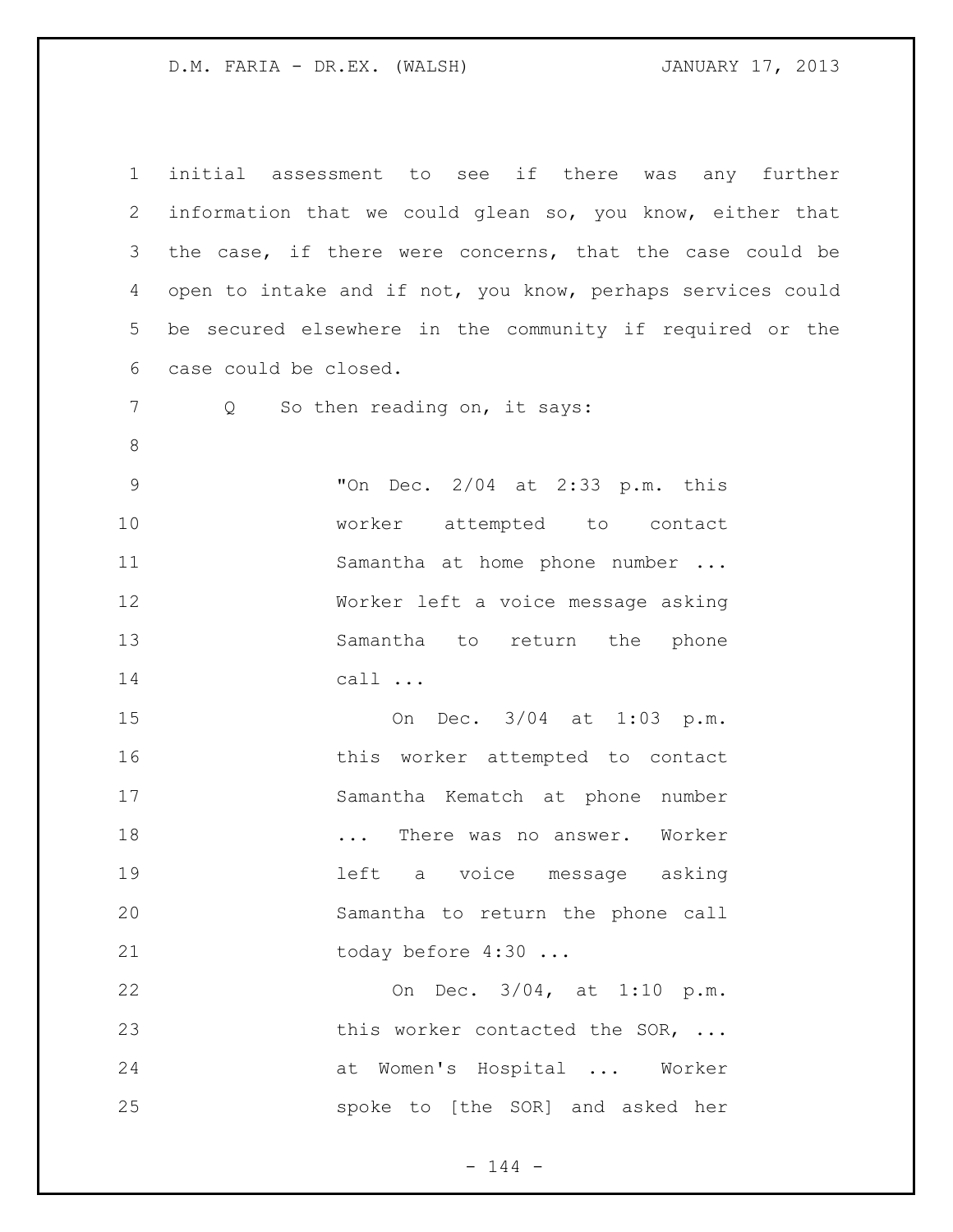initial assessment to see if there was any further information that we could glean so, you know, either that the case, if there were concerns, that the case could be open to intake and if not, you know, perhaps services could be secured elsewhere in the community if required or the case could be closed. 7 Q So then reading on, it says: "On Dec. 2/04 at 2:33 p.m. this worker attempted to contact 11 Samantha at home phone number ... Worker left a voice message asking Samantha to return the phone call ... On Dec. 3/04 at 1:03 p.m. this worker attempted to contact Samantha Kematch at phone number **...** There was no answer. Worker left a voice message asking Samantha to return the phone call 21 today before 4:30 ... On Dec. 3/04, at 1:10 p.m. 23 this worker contacted the SOR, ... at Women's Hospital ... Worker spoke to [the SOR] and asked her

 $- 144 -$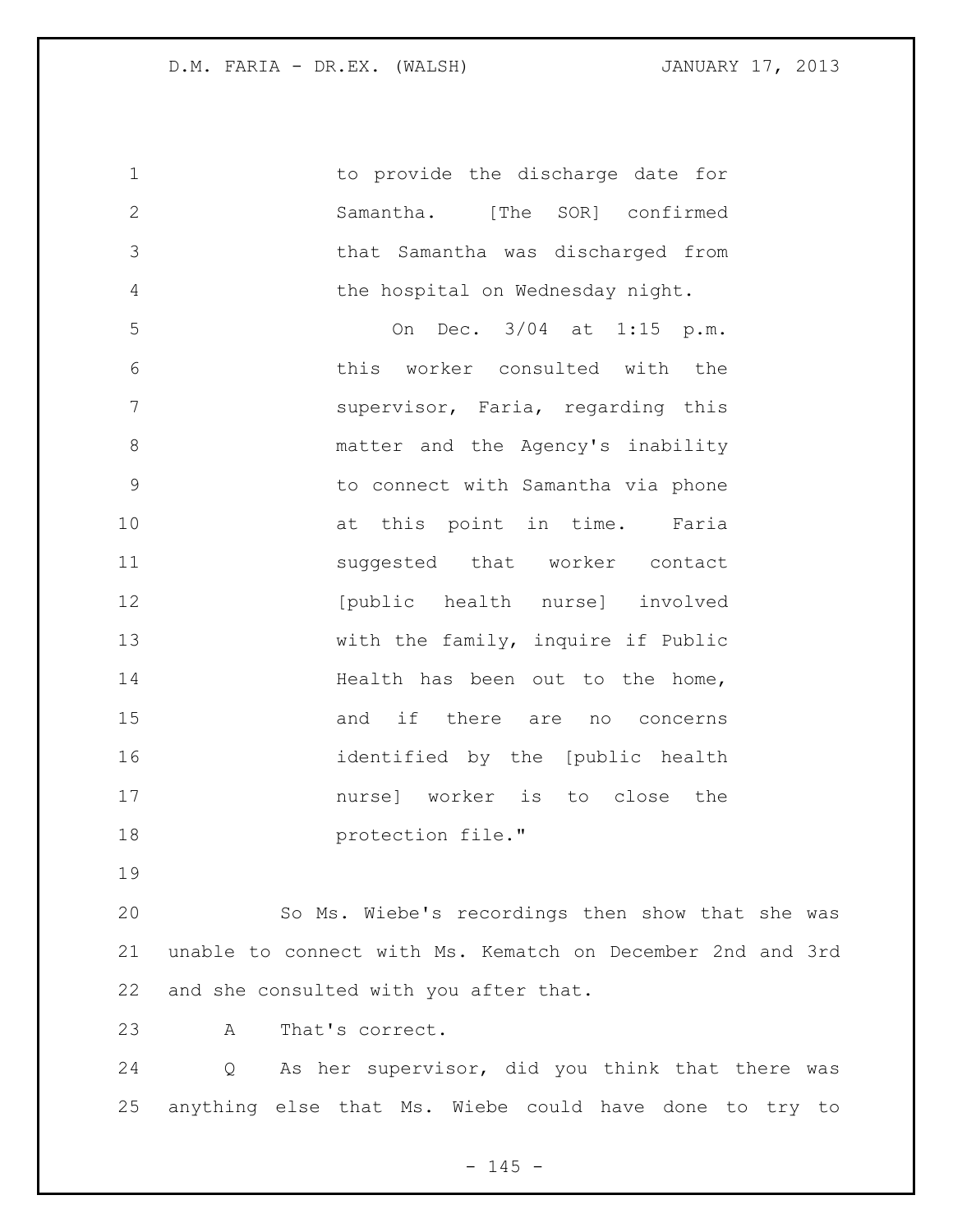1 to provide the discharge date for Samantha. [The SOR] confirmed that Samantha was discharged from the hospital on Wednesday night. On Dec. 3/04 at 1:15 p.m. this worker consulted with the supervisor, Faria, regarding this

8 matter and the Agency's inability to connect with Samantha via phone 10 at this point in time. Faria 11 suggested that worker contact **12** [public health nurse] involved 13 with the family, inquire if Public 14 Health has been out to the home, and if there are no concerns identified by the [public health nurse] worker is to close the **protection file."** 

 So Ms. Wiebe's recordings then show that she was unable to connect with Ms. Kematch on December 2nd and 3rd and she consulted with you after that.

A That's correct.

 Q As her supervisor, did you think that there was anything else that Ms. Wiebe could have done to try to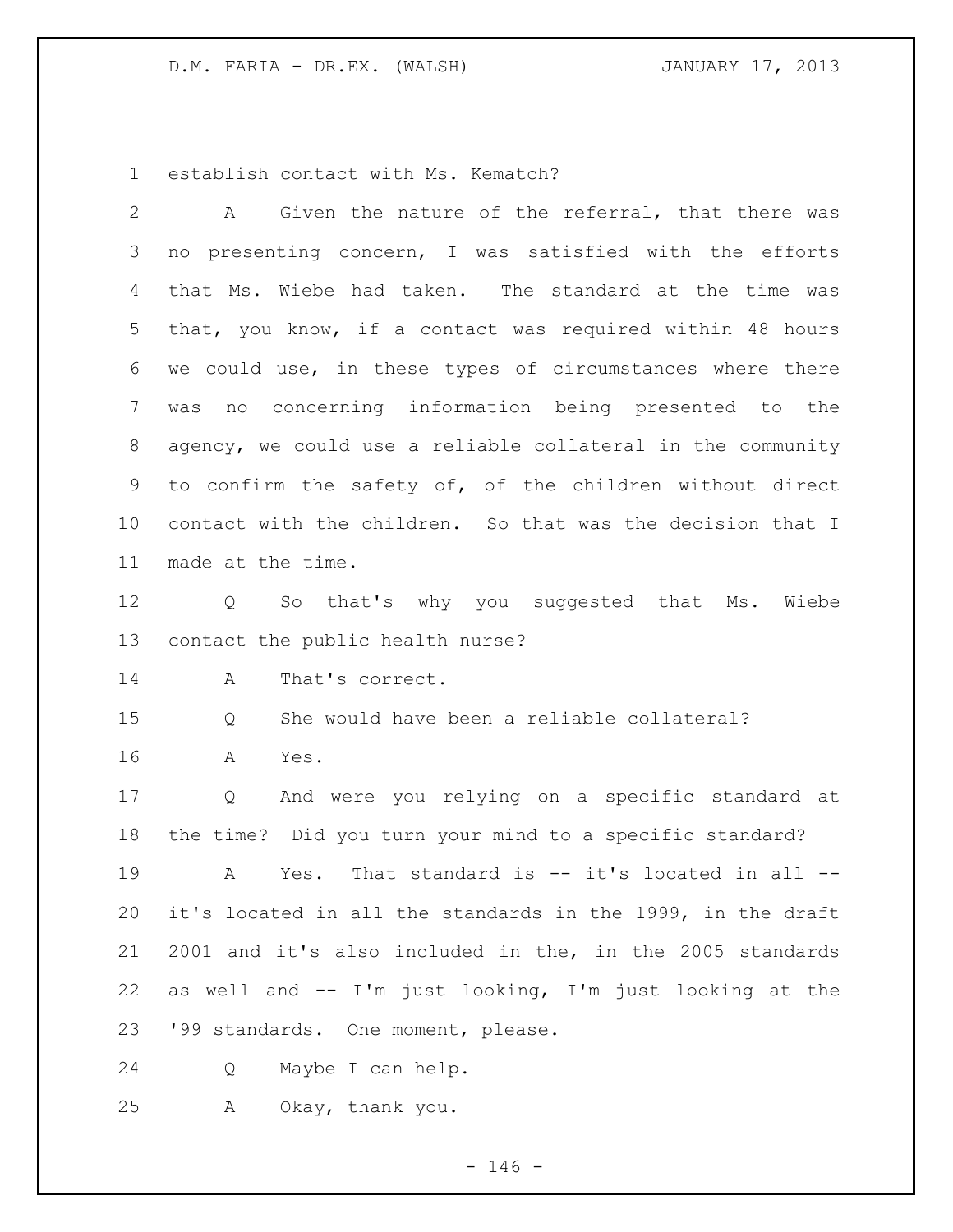establish contact with Ms. Kematch?

| 2  | Given the nature of the referral, that there was<br>A       |
|----|-------------------------------------------------------------|
| 3  | no presenting concern, I was satisfied with the efforts     |
| 4  | that Ms. Wiebe had taken. The standard at the time was      |
| 5  | that, you know, if a contact was required within 48 hours   |
| 6  | we could use, in these types of circumstances where there   |
| 7  | concerning information being presented to the<br>no<br>was  |
| 8  | agency, we could use a reliable collateral in the community |
| 9  | to confirm the safety of, of the children without direct    |
| 10 | contact with the children. So that was the decision that I  |
| 11 | made at the time.                                           |
| 12 | Q So that's why you suggested that Ms.<br>Wiebe             |
| 13 | contact the public health nurse?                            |
| 14 | That's correct.<br>A                                        |
| 15 | She would have been a reliable collateral?<br>Q             |
| 16 | Α<br>Yes.                                                   |
| 17 | And were you relying on a specific standard at<br>Q         |
| 18 | the time? Did you turn your mind to a specific standard?    |
| 19 |                                                             |
|    | That standard is -- it's located in all --<br>A<br>Yes.     |
| 20 | it's located in all the standards in the 1999, in the draft |
| 21 | 2001 and it's also included in the, in the 2005 standards   |
| 22 | as well and -- I'm just looking, I'm just looking at the    |
| 23 | '99 standards. One moment, please.                          |
| 24 | Maybe I can help.<br>Q                                      |

 $- 146 -$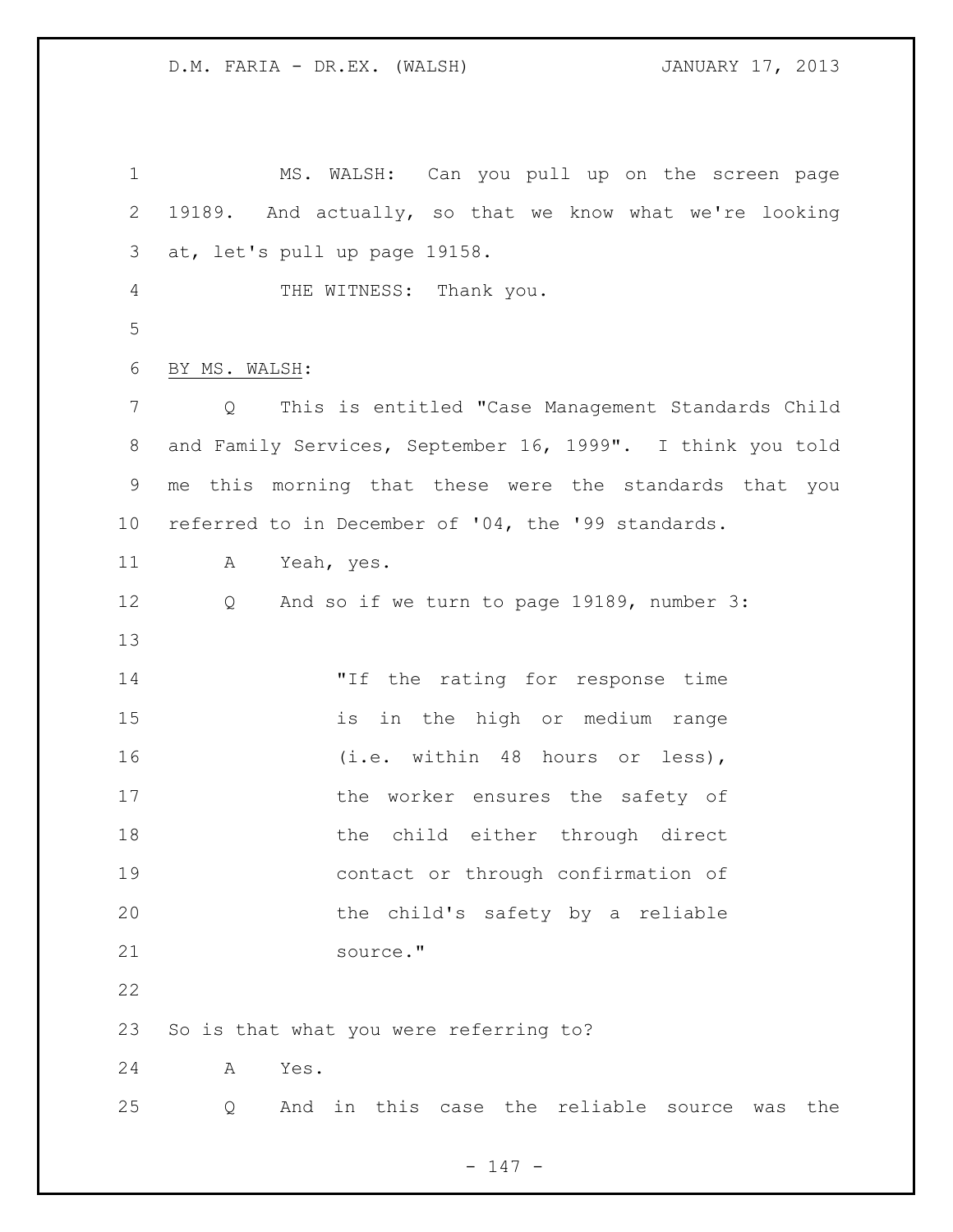| $\mathbf 1$     | MS. WALSH: Can you pull up on the screen page                          |
|-----------------|------------------------------------------------------------------------|
| $\mathbf{2}$    | 19189. And actually, so that we know what we're looking                |
| 3               | at, let's pull up page 19158.                                          |
| $\overline{4}$  | THE WITNESS: Thank you.                                                |
| 5               |                                                                        |
| 6               | BY MS. WALSH:                                                          |
| $\overline{7}$  | This is entitled "Case Management Standards Child<br>$Q \qquad \qquad$ |
| 8               | and Family Services, September 16, 1999". I think you told             |
| 9               | me this morning that these were the standards that you                 |
| 10 <sub>o</sub> | referred to in December of '04, the '99 standards.                     |
| 11              | A<br>Yeah, yes.                                                        |
| 12              | And so if we turn to page 19189, number 3:<br>Q                        |
| 13              |                                                                        |
| 14              | "If the rating for response time                                       |
| 15              | in the high or medium range<br>is                                      |
| 16              | (i.e. within 48 hours or less),                                        |
| 17              | the worker ensures the safety of                                       |
| 18              | the child either through direct                                        |
| 19              | contact or through confirmation of                                     |
| 20              | the child's safety by a reliable                                       |
| 21              | source."                                                               |
| 22              |                                                                        |
| 23              | So is that what you were referring to?                                 |
| 24              | Yes.<br>Α                                                              |
| 25              | the reliable source<br>And<br>in this case<br>the<br>Q<br>was          |

- 147 -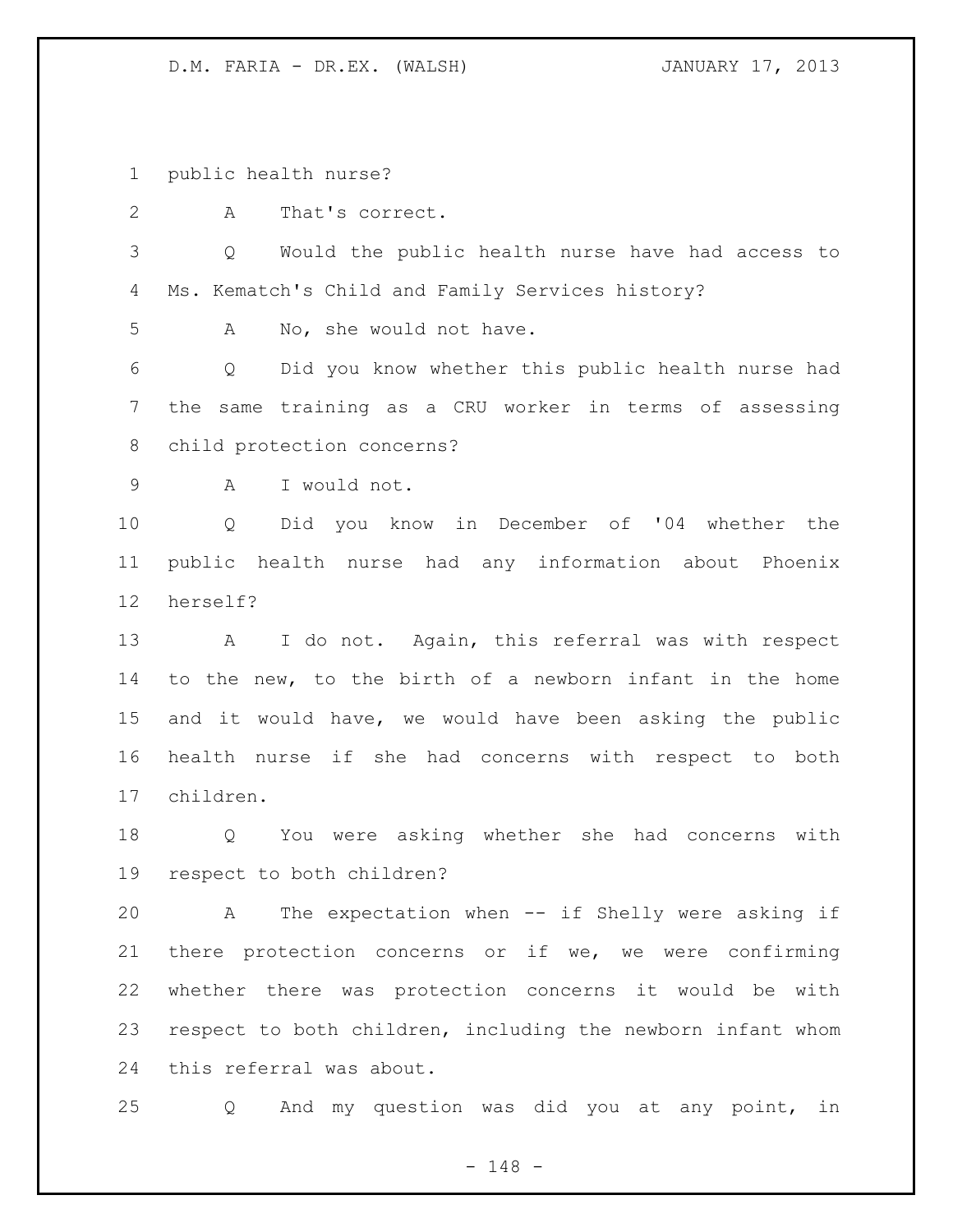public health nurse?

A That's correct.

 Q Would the public health nurse have had access to Ms. Kematch's Child and Family Services history?

A No, she would not have.

 Q Did you know whether this public health nurse had the same training as a CRU worker in terms of assessing child protection concerns?

A I would not.

 Q Did you know in December of '04 whether the public health nurse had any information about Phoenix herself?

 A I do not. Again, this referral was with respect to the new, to the birth of a newborn infant in the home and it would have, we would have been asking the public health nurse if she had concerns with respect to both children.

 Q You were asking whether she had concerns with respect to both children?

 A The expectation when -- if Shelly were asking if there protection concerns or if we, we were confirming whether there was protection concerns it would be with respect to both children, including the newborn infant whom this referral was about.

Q And my question was did you at any point, in

- 148 -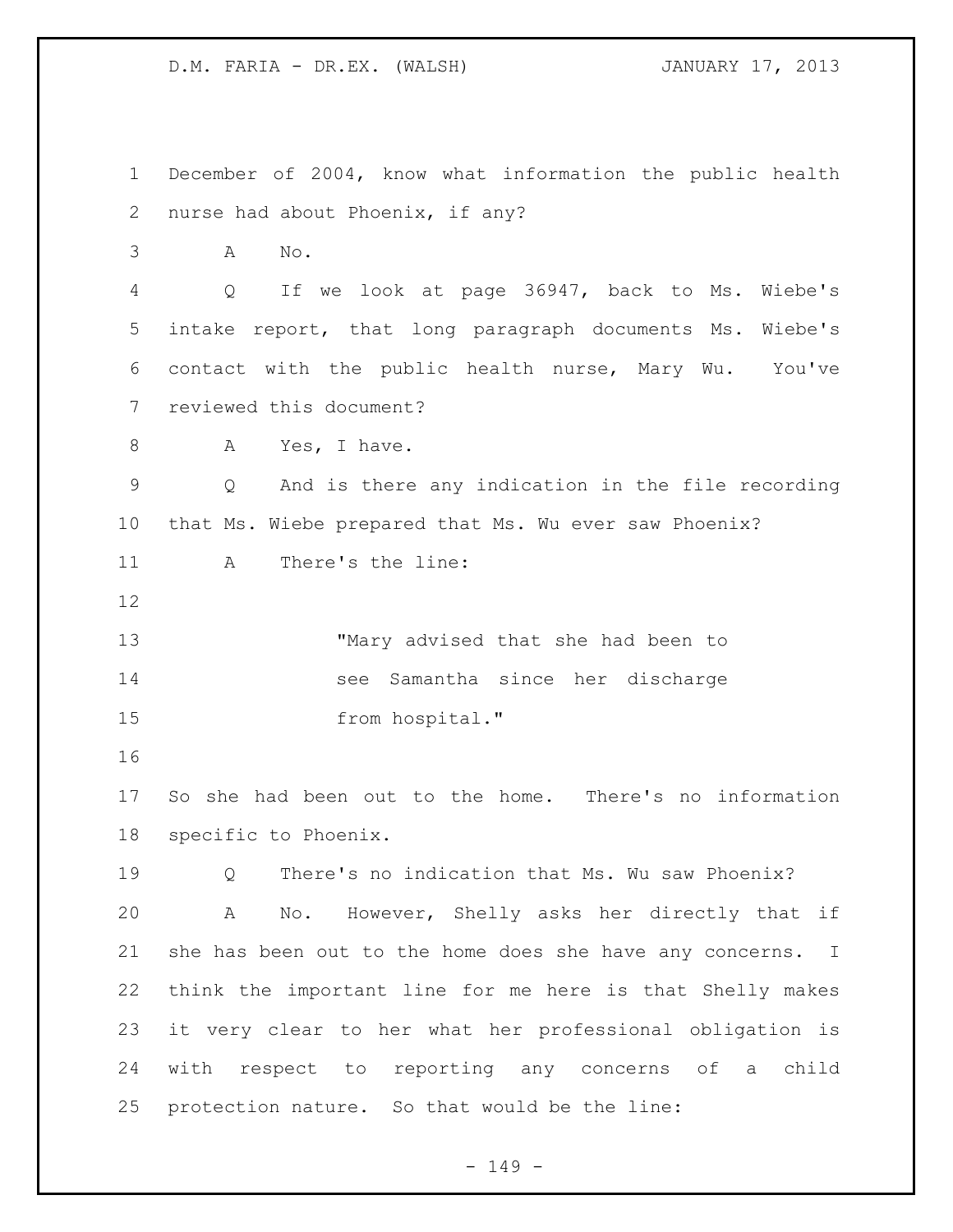December of 2004, know what information the public health nurse had about Phoenix, if any? A No. Q If we look at page 36947, back to Ms. Wiebe's intake report, that long paragraph documents Ms. Wiebe's contact with the public health nurse, Mary Wu. You've reviewed this document? 8 A Yes, I have. Q And is there any indication in the file recording that Ms. Wiebe prepared that Ms. Wu ever saw Phoenix? A There's the line: "Mary advised that she had been to see Samantha since her discharge 15 from hospital." So she had been out to the home. There's no information specific to Phoenix. Q There's no indication that Ms. Wu saw Phoenix? A No. However, Shelly asks her directly that if 21 she has been out to the home does she have any concerns. I think the important line for me here is that Shelly makes it very clear to her what her professional obligation is with respect to reporting any concerns of a child protection nature. So that would be the line:

- 149 -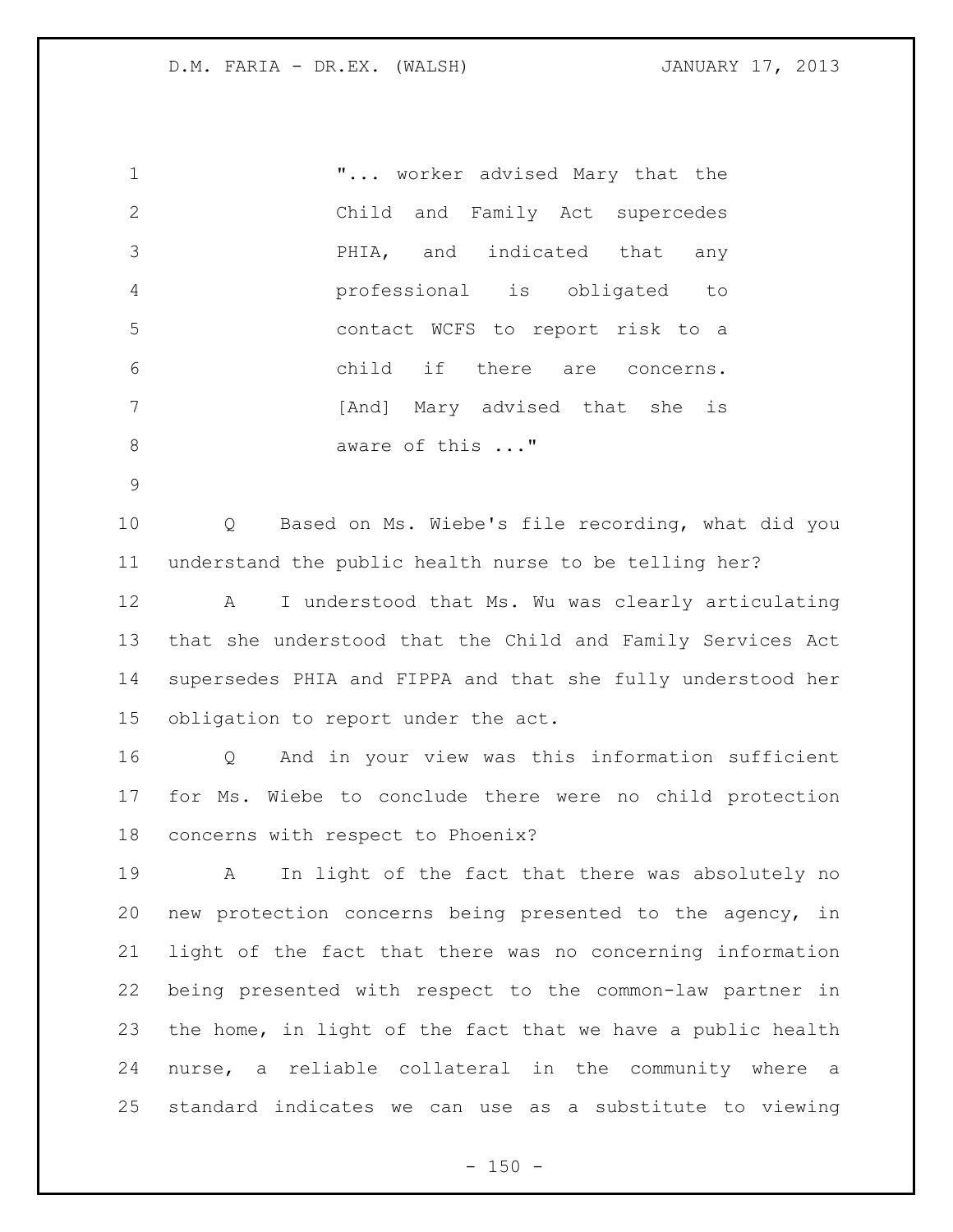"... worker advised Mary that the Child and Family Act supercedes PHIA, and indicated that any professional is obligated to contact WCFS to report risk to a child if there are concerns. **1** [And] Mary advised that she is 8 aware of this ..."

 Q Based on Ms. Wiebe's file recording, what did you understand the public health nurse to be telling her?

 A I understood that Ms. Wu was clearly articulating that she understood that the Child and Family Services Act supersedes PHIA and FIPPA and that she fully understood her obligation to report under the act.

 Q And in your view was this information sufficient for Ms. Wiebe to conclude there were no child protection concerns with respect to Phoenix?

 A In light of the fact that there was absolutely no new protection concerns being presented to the agency, in light of the fact that there was no concerning information being presented with respect to the common-law partner in the home, in light of the fact that we have a public health nurse, a reliable collateral in the community where a standard indicates we can use as a substitute to viewing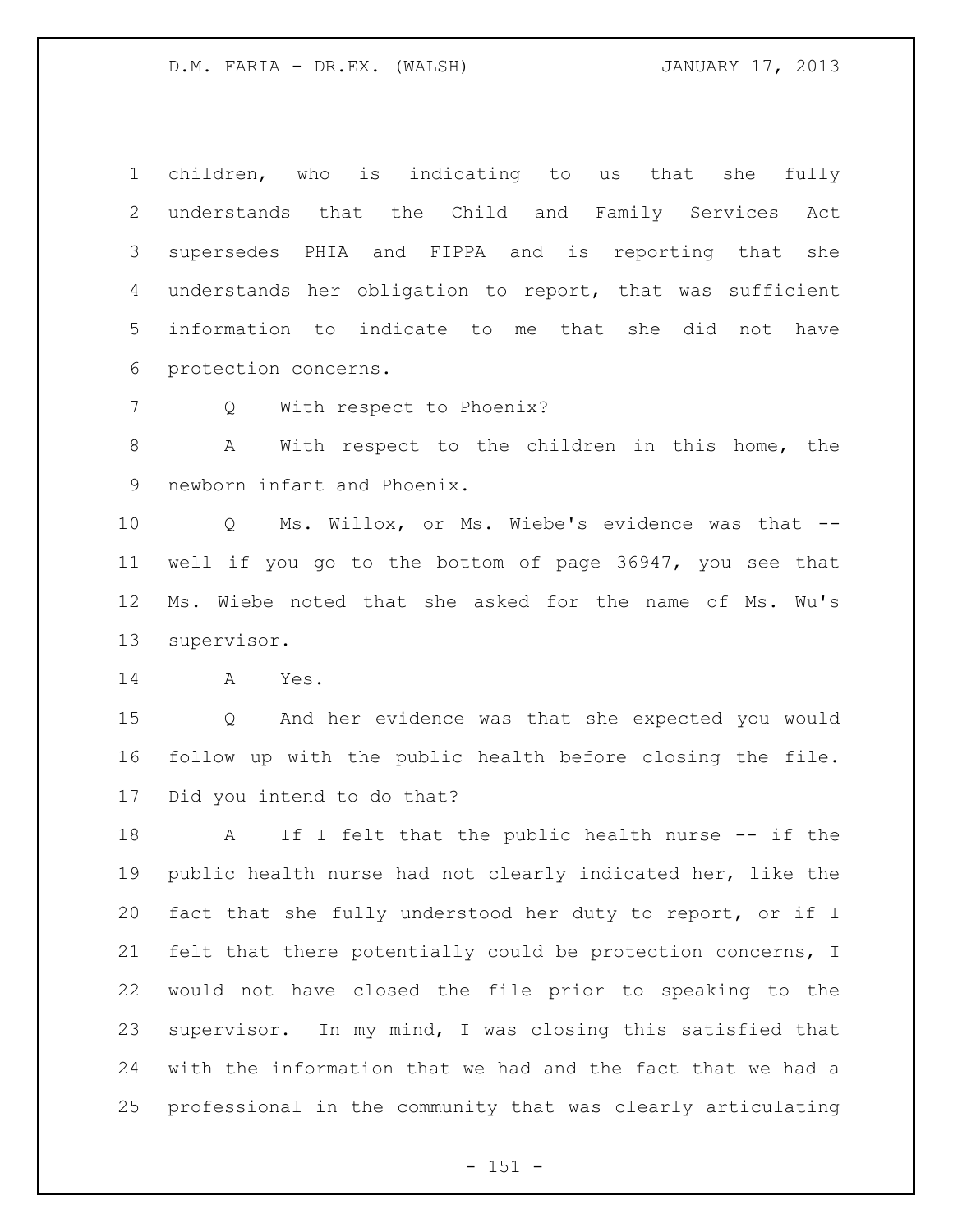children, who is indicating to us that she fully understands that the Child and Family Services Act supersedes PHIA and FIPPA and is reporting that she understands her obligation to report, that was sufficient information to indicate to me that she did not have protection concerns.

7 Q With respect to Phoenix?

 A With respect to the children in this home, the newborn infant and Phoenix.

 Q Ms. Willox, or Ms. Wiebe's evidence was that -- well if you go to the bottom of page 36947, you see that Ms. Wiebe noted that she asked for the name of Ms. Wu's supervisor.

A Yes.

 Q And her evidence was that she expected you would follow up with the public health before closing the file. Did you intend to do that?

18 A If I felt that the public health nurse -- if the public health nurse had not clearly indicated her, like the fact that she fully understood her duty to report, or if I felt that there potentially could be protection concerns, I would not have closed the file prior to speaking to the supervisor. In my mind, I was closing this satisfied that with the information that we had and the fact that we had a professional in the community that was clearly articulating

- 151 -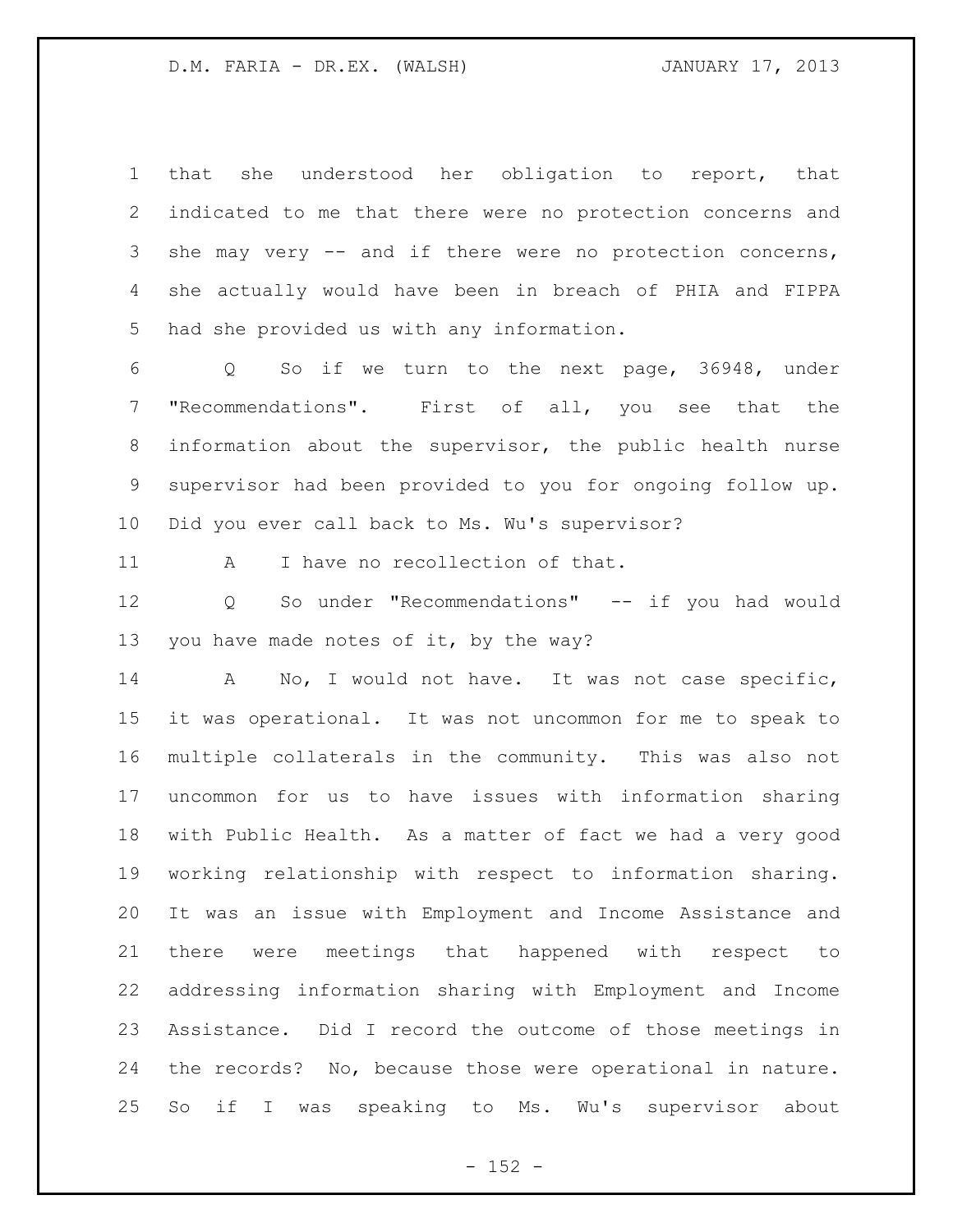that she understood her obligation to report, that indicated to me that there were no protection concerns and she may very -- and if there were no protection concerns, she actually would have been in breach of PHIA and FIPPA had she provided us with any information.

 Q So if we turn to the next page, 36948, under "Recommendations". First of all, you see that the information about the supervisor, the public health nurse supervisor had been provided to you for ongoing follow up. Did you ever call back to Ms. Wu's supervisor?

A I have no recollection of that.

 Q So under "Recommendations" -- if you had would you have made notes of it, by the way?

 A No, I would not have. It was not case specific, it was operational. It was not uncommon for me to speak to multiple collaterals in the community. This was also not uncommon for us to have issues with information sharing with Public Health. As a matter of fact we had a very good working relationship with respect to information sharing. It was an issue with Employment and Income Assistance and there were meetings that happened with respect to addressing information sharing with Employment and Income Assistance. Did I record the outcome of those meetings in the records? No, because those were operational in nature. So if I was speaking to Ms. Wu's supervisor about

 $- 152 -$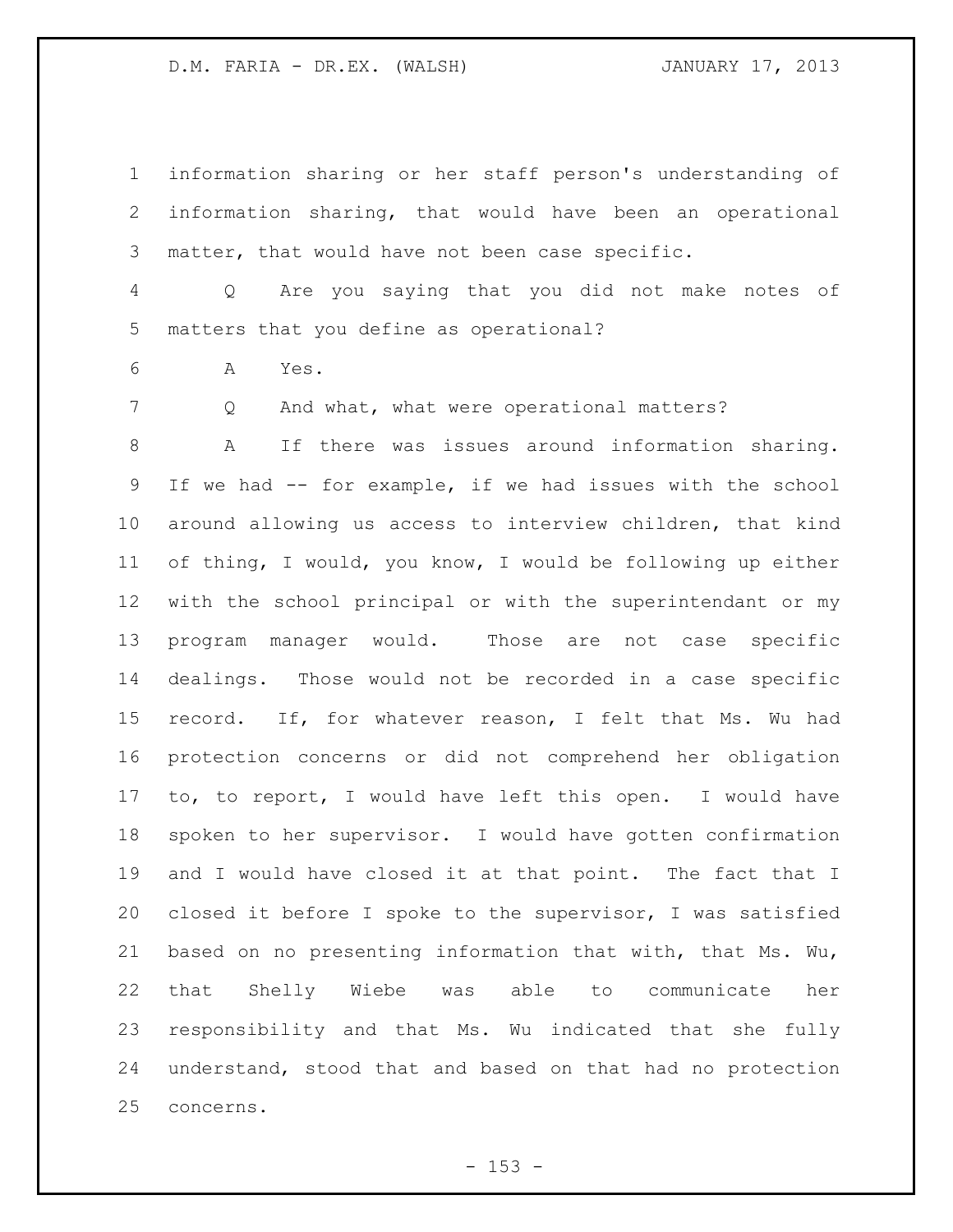information sharing or her staff person's understanding of information sharing, that would have been an operational matter, that would have not been case specific.

 Q Are you saying that you did not make notes of matters that you define as operational?

A Yes.

7 Q And what, what were operational matters?

 A If there was issues around information sharing. If we had -- for example, if we had issues with the school around allowing us access to interview children, that kind of thing, I would, you know, I would be following up either with the school principal or with the superintendant or my program manager would. Those are not case specific dealings. Those would not be recorded in a case specific record. If, for whatever reason, I felt that Ms. Wu had protection concerns or did not comprehend her obligation to, to report, I would have left this open. I would have spoken to her supervisor. I would have gotten confirmation 19 and I would have closed it at that point. The fact that I closed it before I spoke to the supervisor, I was satisfied based on no presenting information that with, that Ms. Wu, that Shelly Wiebe was able to communicate her responsibility and that Ms. Wu indicated that she fully understand, stood that and based on that had no protection concerns.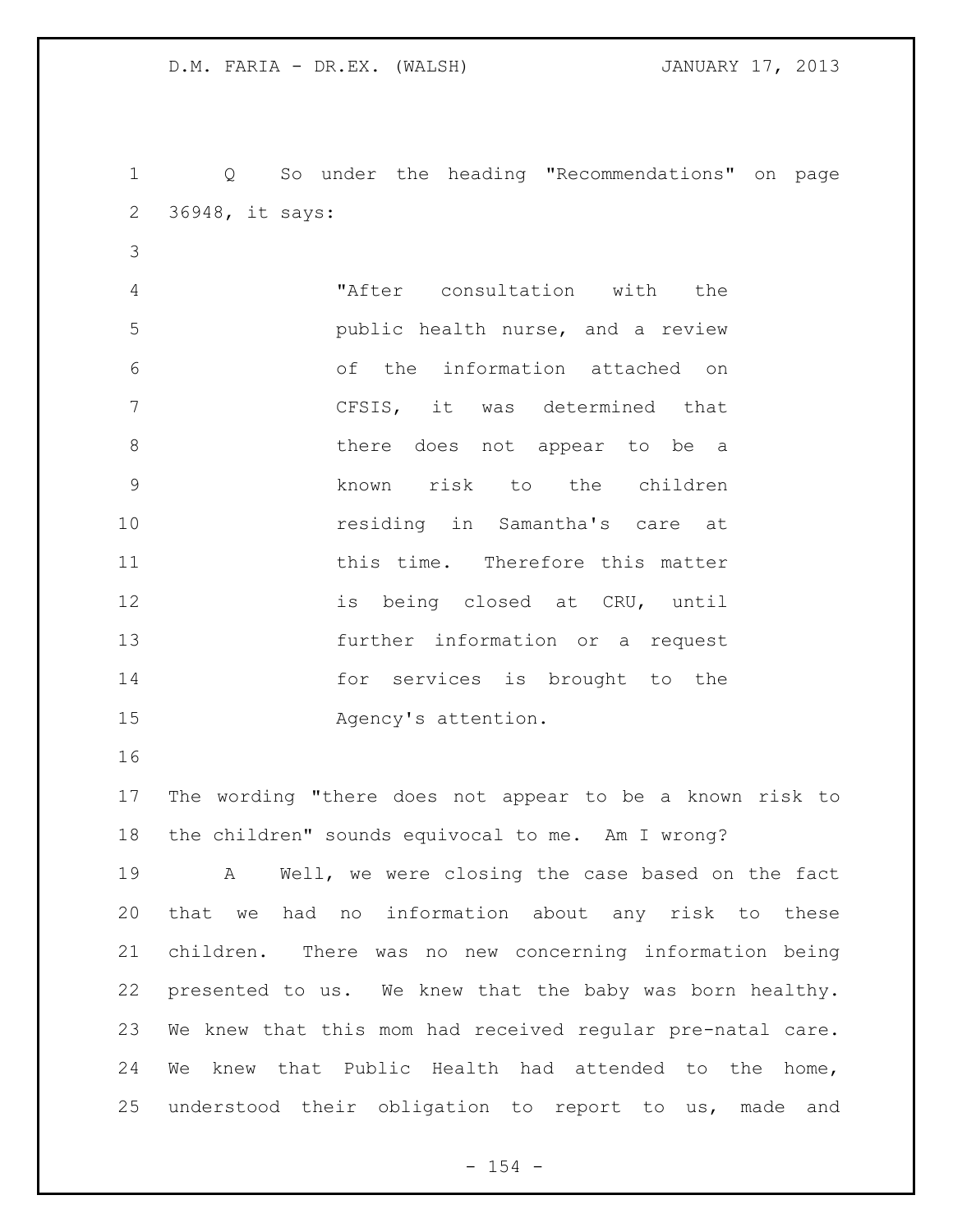Q So under the heading "Recommendations" on page 36948, it says: "After consultation with the public health nurse, and a review of the information attached on CFSIS, it was determined that 8 be a there does not appear to be a known risk to the children **residing in Samantha's care at** 11 this time. Therefore this matter is being closed at CRU, until further information or a request for services is brought to the Agency's attention. The wording "there does not appear to be a known risk to the children" sounds equivocal to me. Am I wrong? A Well, we were closing the case based on the fact that we had no information about any risk to these children. There was no new concerning information being presented to us. We knew that the baby was born healthy. We knew that this mom had received regular pre-natal care. We knew that Public Health had attended to the home,

understood their obligation to report to us, made and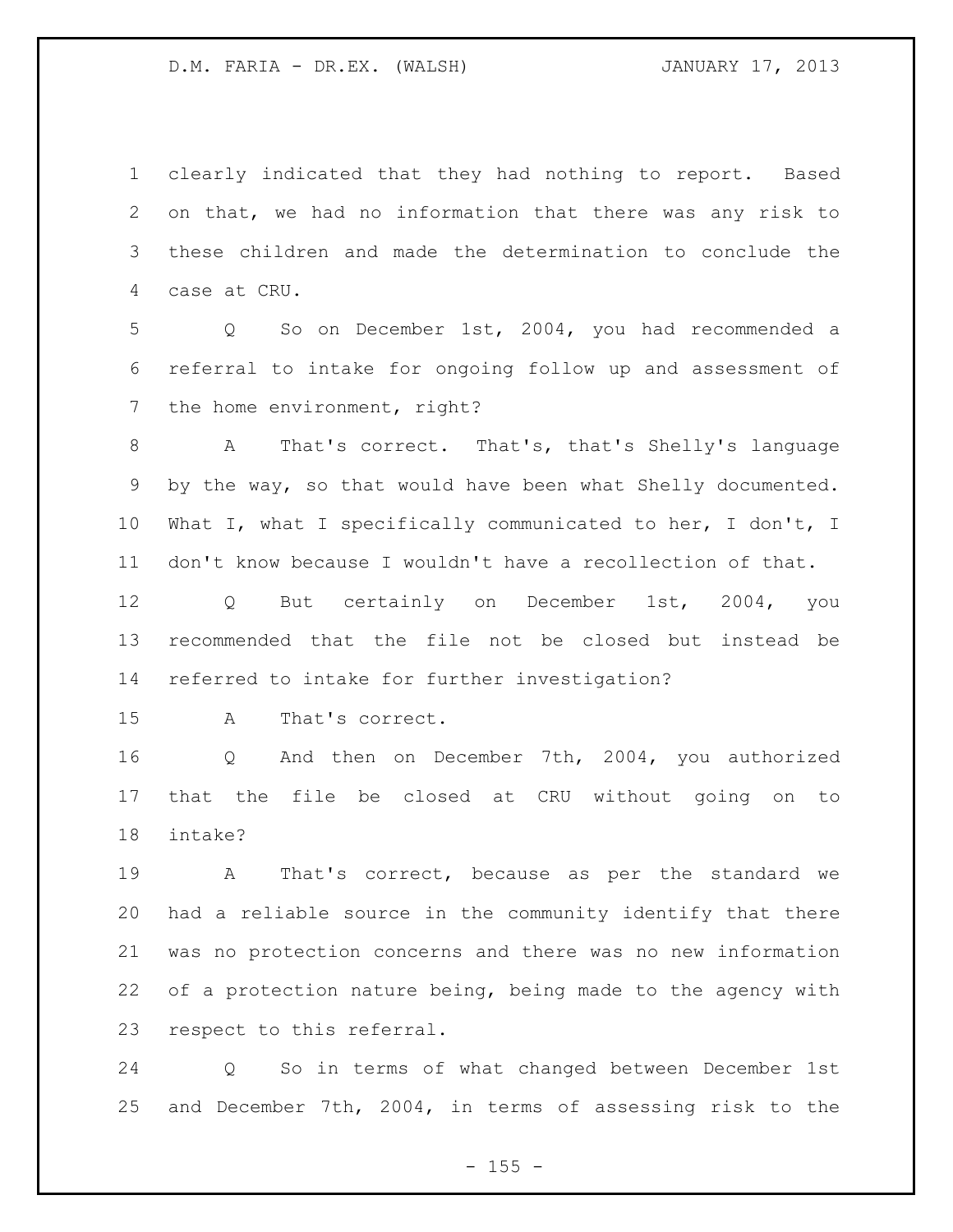clearly indicated that they had nothing to report. Based on that, we had no information that there was any risk to these children and made the determination to conclude the case at CRU.

 Q So on December 1st, 2004, you had recommended a referral to intake for ongoing follow up and assessment of 7 the home environment, right?

 A That's correct. That's, that's Shelly's language by the way, so that would have been what Shelly documented. What I, what I specifically communicated to her, I don't, I don't know because I wouldn't have a recollection of that.

 Q But certainly on December 1st, 2004, you recommended that the file not be closed but instead be referred to intake for further investigation?

A That's correct.

 Q And then on December 7th, 2004, you authorized that the file be closed at CRU without going on to intake?

 A That's correct, because as per the standard we had a reliable source in the community identify that there was no protection concerns and there was no new information of a protection nature being, being made to the agency with respect to this referral.

 Q So in terms of what changed between December 1st and December 7th, 2004, in terms of assessing risk to the

 $- 155 -$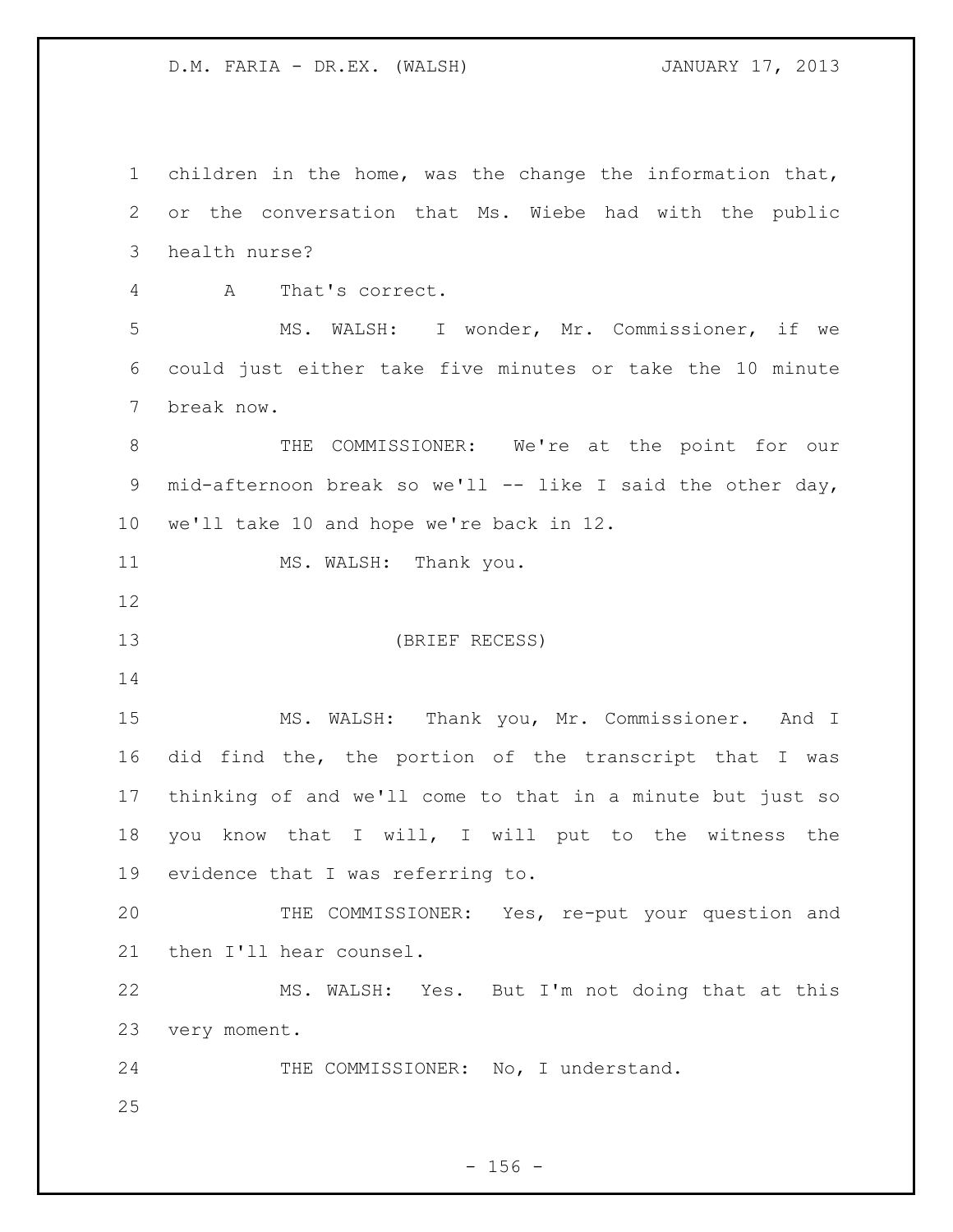children in the home, was the change the information that, or the conversation that Ms. Wiebe had with the public health nurse? A That's correct. MS. WALSH: I wonder, Mr. Commissioner, if we could just either take five minutes or take the 10 minute break now. THE COMMISSIONER: We're at the point for our mid-afternoon break so we'll -- like I said the other day, we'll take 10 and hope we're back in 12. 11 MS. WALSH: Thank you. (BRIEF RECESS) MS. WALSH: Thank you, Mr. Commissioner. And I did find the, the portion of the transcript that I was thinking of and we'll come to that in a minute but just so you know that I will, I will put to the witness the evidence that I was referring to. THE COMMISSIONER: Yes, re-put your question and then I'll hear counsel. MS. WALSH: Yes. But I'm not doing that at this very moment. 24 THE COMMISSIONER: No, I understand.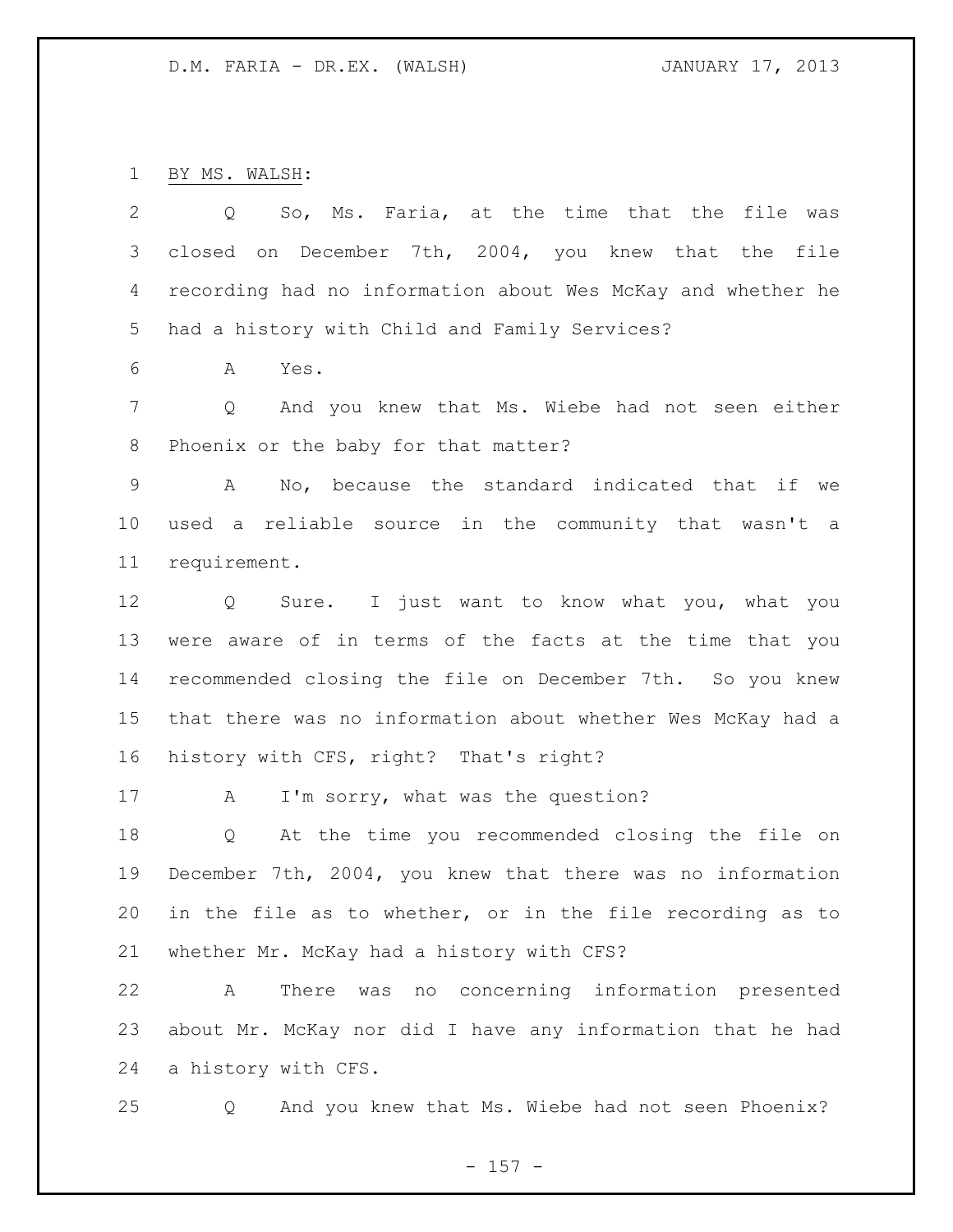BY MS. WALSH:

| 2               | So, Ms. Faria, at the time that the file was<br>Q            |
|-----------------|--------------------------------------------------------------|
| 3               | closed on December 7th, 2004, you knew that the file         |
| 4               | recording had no information about Wes McKay and whether he  |
| 5               | had a history with Child and Family Services?                |
| 6               | Α<br>Yes.                                                    |
| $7\phantom{.0}$ | Q<br>And you knew that Ms. Wiebe had not seen either         |
| 8               | Phoenix or the baby for that matter?                         |
| 9               | No, because the standard indicated that if we<br>$\mathbb A$ |
| $10 \,$         | used a reliable source in the community that wasn't a        |
| 11              | requirement.                                                 |
| 12              | Q Sure. I just want to know what you, what you               |
| 13              | were aware of in terms of the facts at the time that you     |
| 14              | recommended closing the file on December 7th. So you knew    |
| 15 <sub>1</sub> | that there was no information about whether Wes McKay had a  |
| 16              | history with CFS, right? That's right?                       |
| 17              | I'm sorry, what was the question?<br>A                       |
| 18              | At the time you recommended closing the file on<br>Q         |
| 19              | December 7th, 2004, you knew that there was no information   |
| 20              | in the file as to whether, or in the file recording as to    |
| 21              | whether Mr. McKay had a history with CFS?                    |
| 22              | was no concerning information presented<br>Α<br>There        |
| 23              | about Mr. McKay nor did I have any information that he had   |
| 24              | a history with CFS.                                          |

Q And you knew that Ms. Wiebe had not seen Phoenix?

- 157 -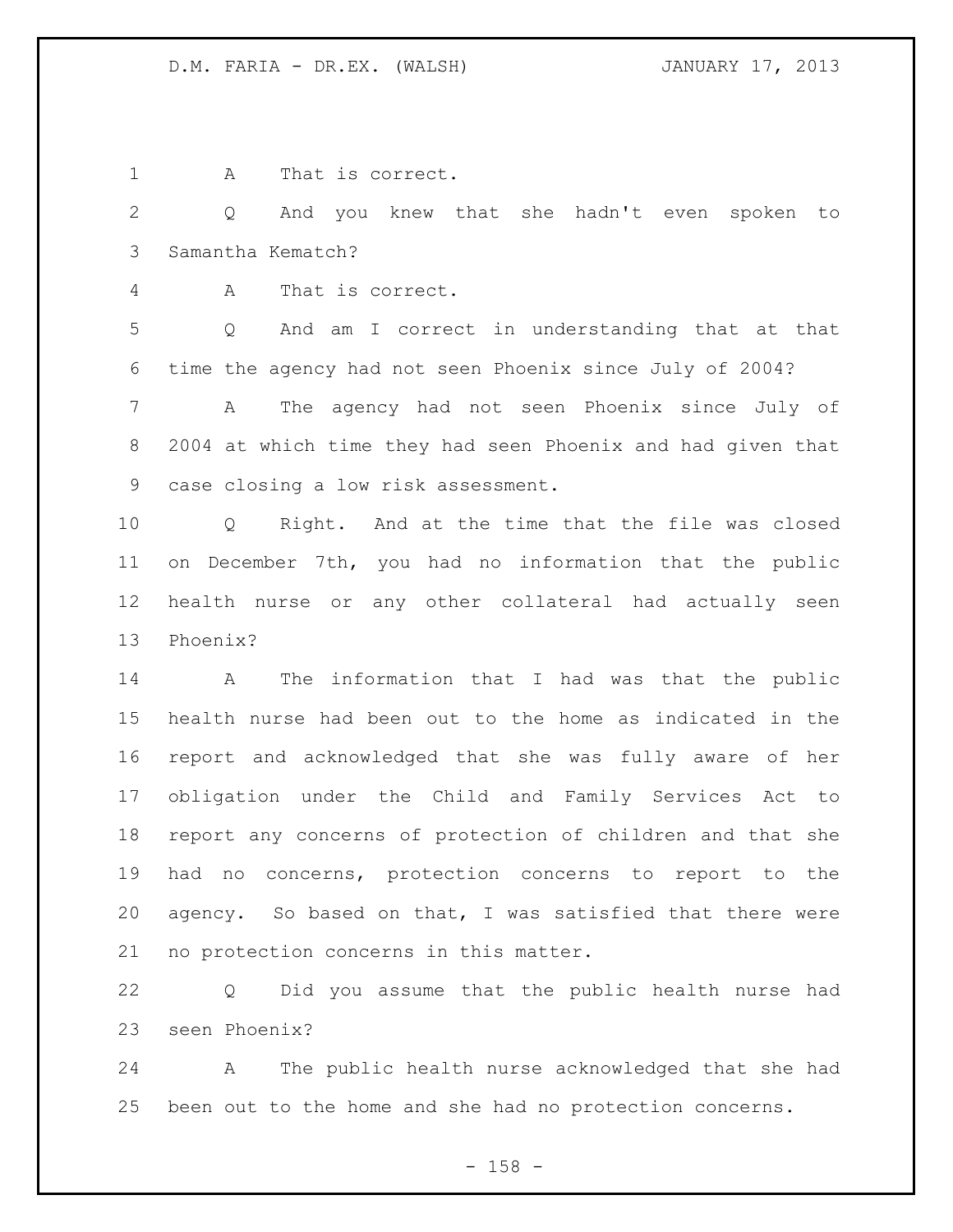1 A That is correct.

 Q And you knew that she hadn't even spoken to Samantha Kematch?

A That is correct.

 Q And am I correct in understanding that at that time the agency had not seen Phoenix since July of 2004?

 A The agency had not seen Phoenix since July of 2004 at which time they had seen Phoenix and had given that case closing a low risk assessment.

 Q Right. And at the time that the file was closed on December 7th, you had no information that the public health nurse or any other collateral had actually seen Phoenix?

 A The information that I had was that the public health nurse had been out to the home as indicated in the report and acknowledged that she was fully aware of her obligation under the Child and Family Services Act to report any concerns of protection of children and that she had no concerns, protection concerns to report to the agency. So based on that, I was satisfied that there were no protection concerns in this matter.

 Q Did you assume that the public health nurse had seen Phoenix?

 A The public health nurse acknowledged that she had been out to the home and she had no protection concerns.

- 158 -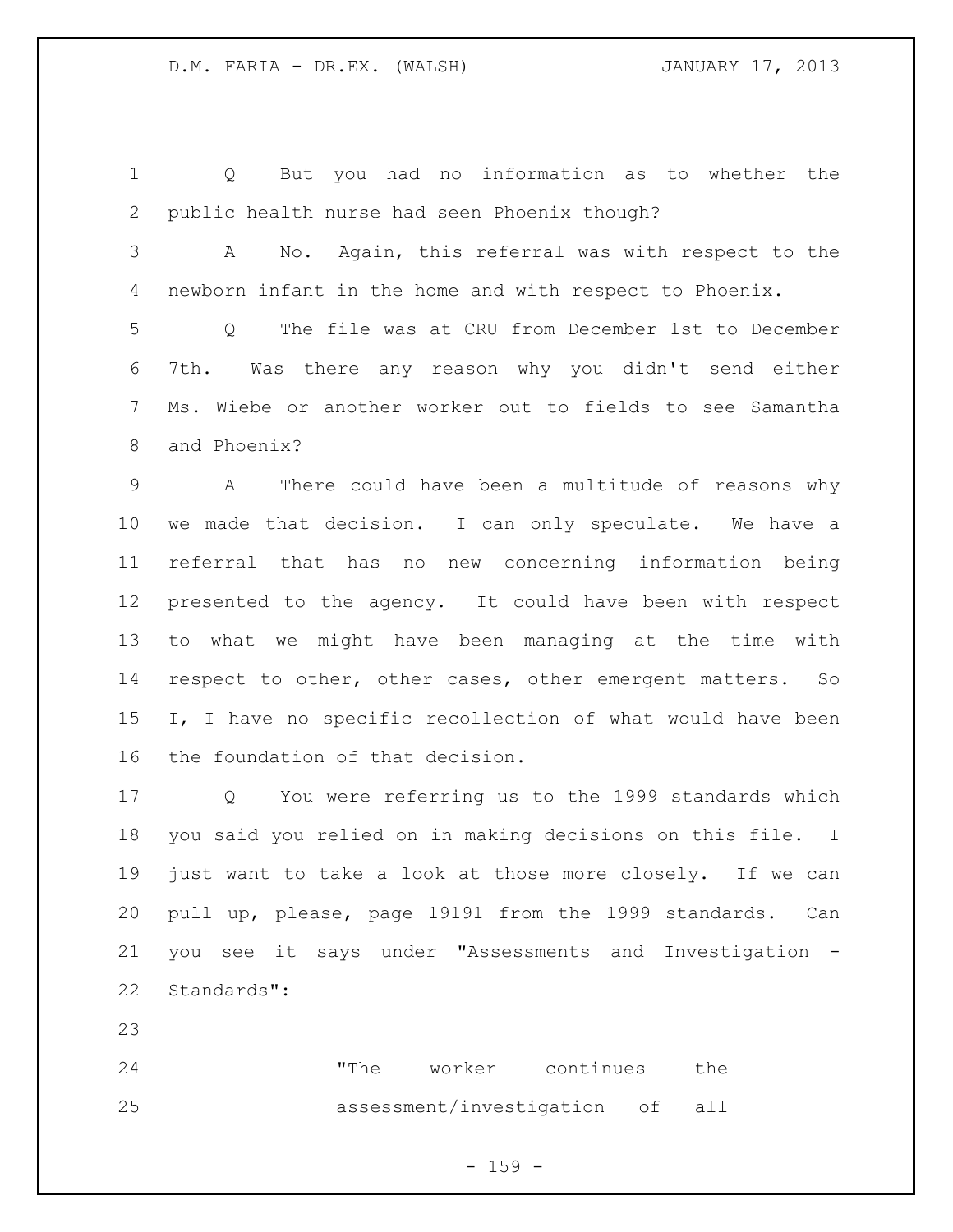Q But you had no information as to whether the public health nurse had seen Phoenix though?

 A No. Again, this referral was with respect to the newborn infant in the home and with respect to Phoenix.

 Q The file was at CRU from December 1st to December 7th. Was there any reason why you didn't send either Ms. Wiebe or another worker out to fields to see Samantha and Phoenix?

 A There could have been a multitude of reasons why we made that decision. I can only speculate. We have a referral that has no new concerning information being presented to the agency. It could have been with respect to what we might have been managing at the time with respect to other, other cases, other emergent matters. So 15 I, I have no specific recollection of what would have been the foundation of that decision.

 Q You were referring us to the 1999 standards which you said you relied on in making decisions on this file. I just want to take a look at those more closely. If we can pull up, please, page 19191 from the 1999 standards. Can you see it says under "Assessments and Investigation - Standards":

 "The worker continues the assessment/investigation of all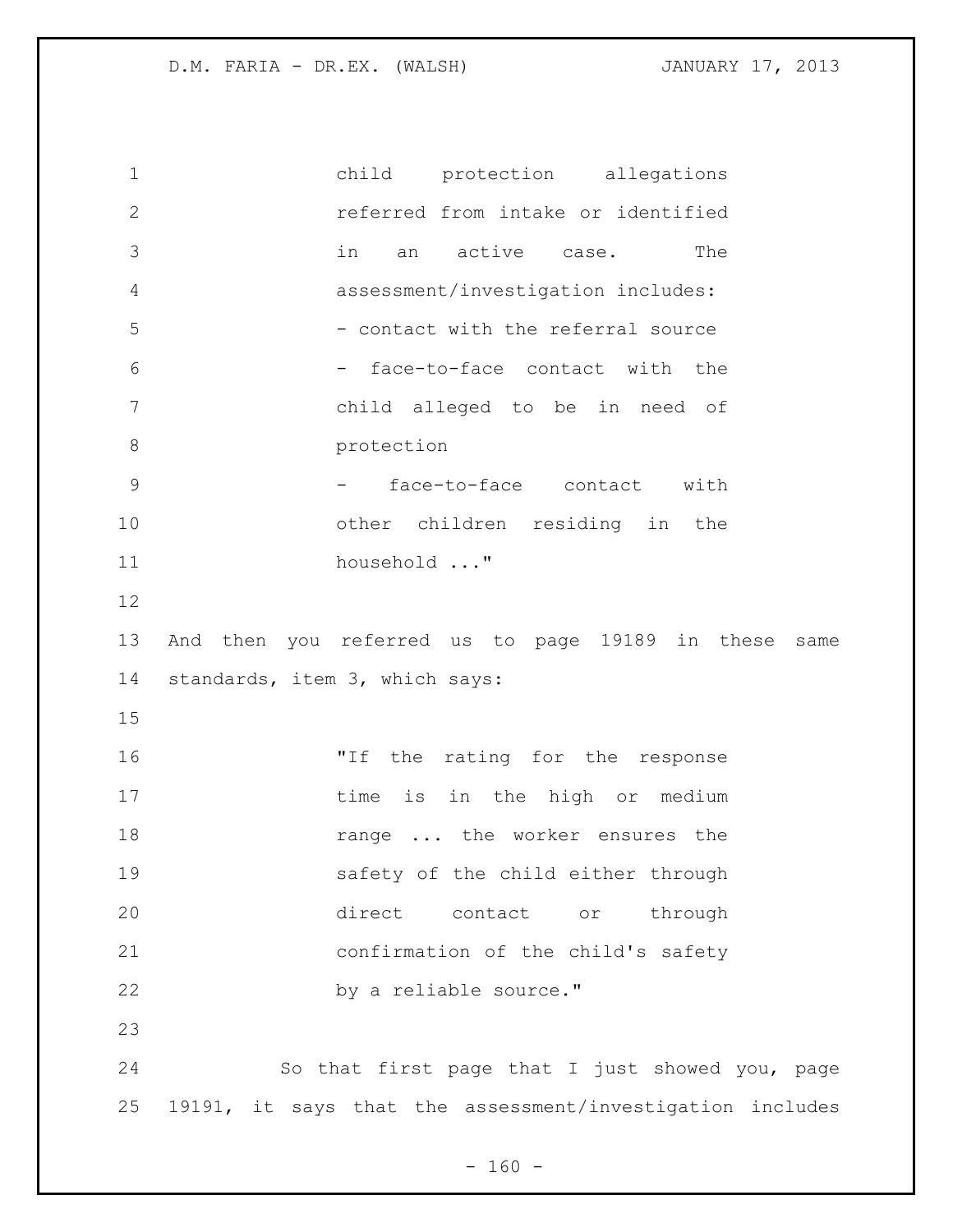child protection allegations referred from intake or identified in an active case. The assessment/investigation includes: 5 - contact with the referral source - face-to-face contact with the child alleged to be in need of 8 protection 9 - face-to-face contact with other children residing in the household ..." And then you referred us to page 19189 in these same standards, item 3, which says: "If the rating for the response 17 time is in the high or medium **18** range ... the worker ensures the safety of the child either through direct contact or through confirmation of the child's safety 22 by a reliable source." So that first page that I just showed you, page 19191, it says that the assessment/investigation includes

 $- 160 -$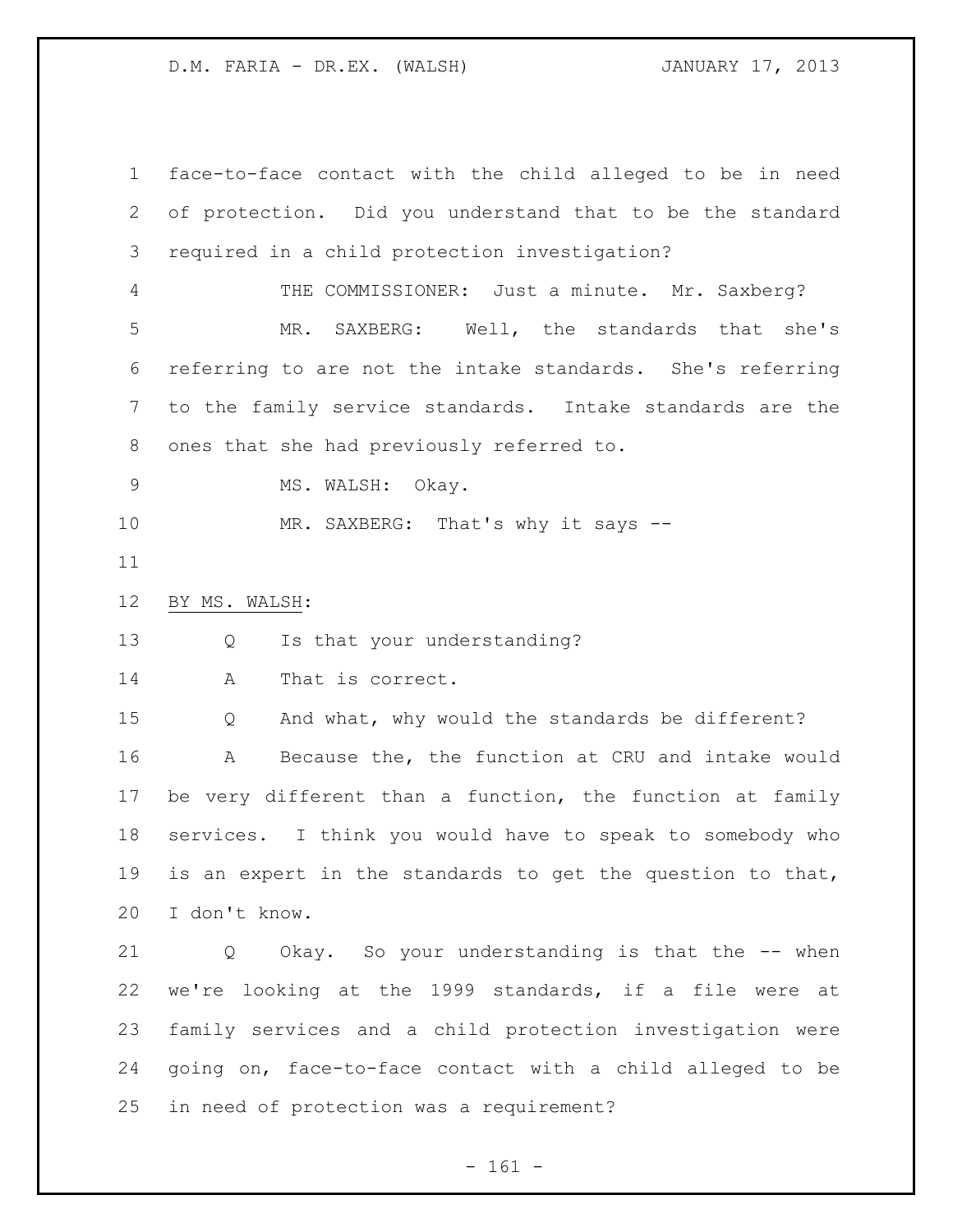face-to-face contact with the child alleged to be in need of protection. Did you understand that to be the standard required in a child protection investigation? 4 THE COMMISSIONER: Just a minute. Mr. Saxberg? MR. SAXBERG: Well, the standards that she's referring to are not the intake standards. She's referring to the family service standards. Intake standards are the ones that she had previously referred to. 9 MS. WALSH: Okay. 10 MR. SAXBERG: That's why it says -- BY MS. WALSH: Q Is that your understanding? A That is correct. Q And what, why would the standards be different? A Because the, the function at CRU and intake would be very different than a function, the function at family services. I think you would have to speak to somebody who is an expert in the standards to get the question to that, I don't know. Q Okay. So your understanding is that the -- when we're looking at the 1999 standards, if a file were at family services and a child protection investigation were going on, face-to-face contact with a child alleged to be

in need of protection was a requirement?

- 161 -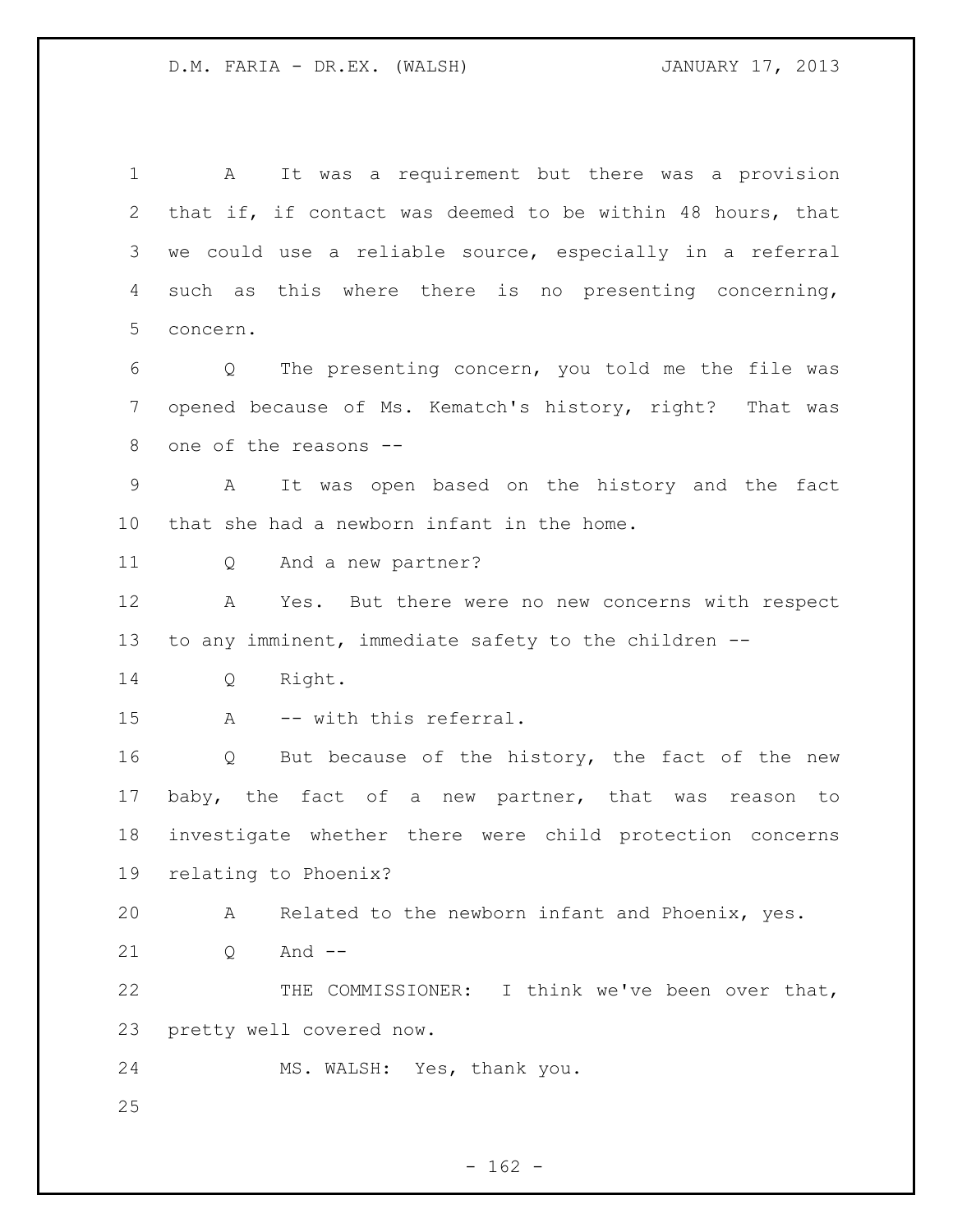A It was a requirement but there was a provision that if, if contact was deemed to be within 48 hours, that we could use a reliable source, especially in a referral such as this where there is no presenting concerning, concern. Q The presenting concern, you told me the file was opened because of Ms. Kematch's history, right? That was one of the reasons -- A It was open based on the history and the fact that she had a newborn infant in the home. Q And a new partner? A Yes. But there were no new concerns with respect to any imminent, immediate safety to the children -- Q Right. A -- with this referral. Q But because of the history, the fact of the new baby, the fact of a new partner, that was reason to investigate whether there were child protection concerns relating to Phoenix? A Related to the newborn infant and Phoenix, yes. 21 0 And -- THE COMMISSIONER: I think we've been over that, pretty well covered now. MS. WALSH: Yes, thank you.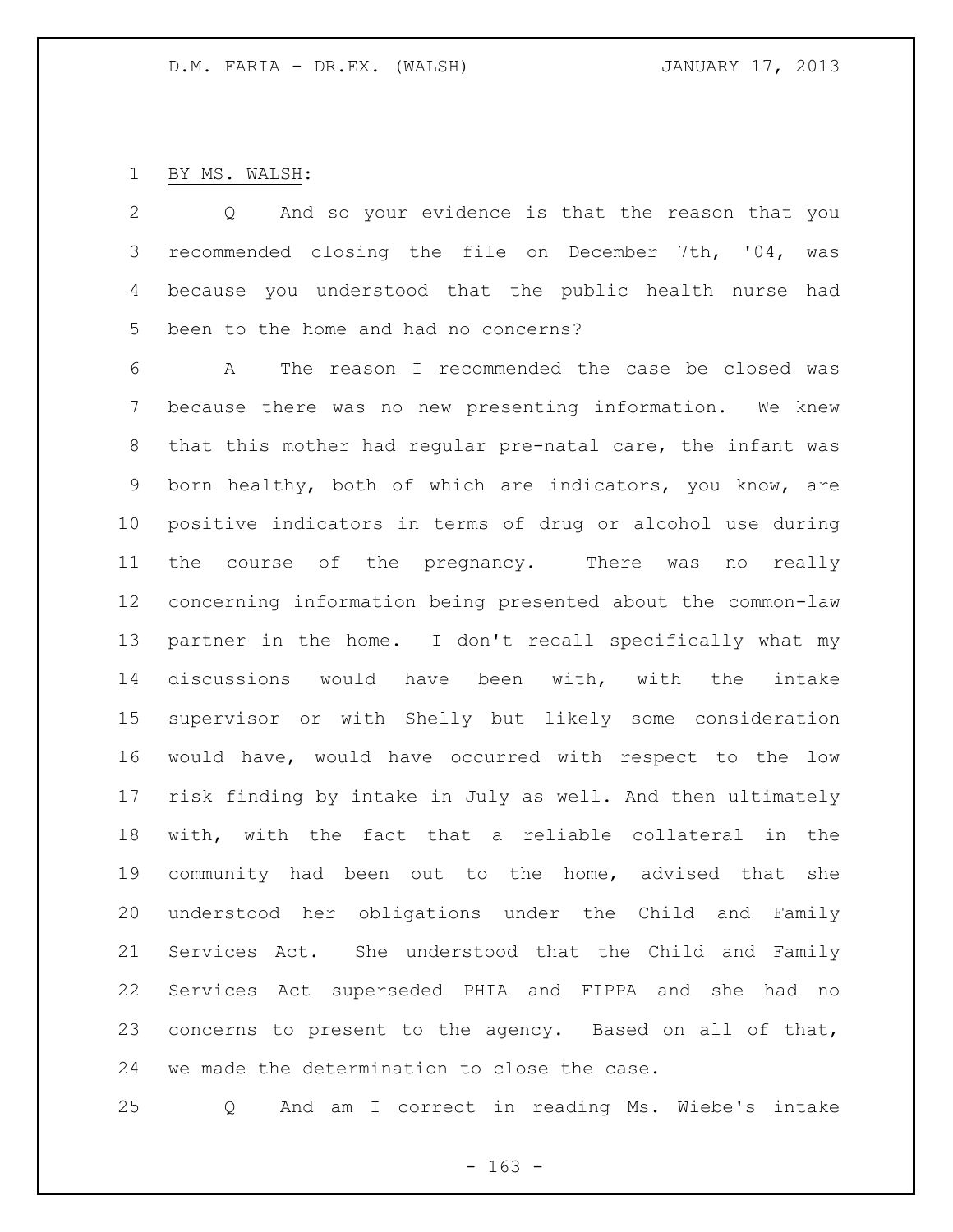# BY MS. WALSH:

 Q And so your evidence is that the reason that you recommended closing the file on December 7th, '04, was because you understood that the public health nurse had been to the home and had no concerns?

 A The reason I recommended the case be closed was because there was no new presenting information. We knew that this mother had regular pre-natal care, the infant was born healthy, both of which are indicators, you know, are positive indicators in terms of drug or alcohol use during the course of the pregnancy. There was no really concerning information being presented about the common-law partner in the home. I don't recall specifically what my discussions would have been with, with the intake supervisor or with Shelly but likely some consideration would have, would have occurred with respect to the low risk finding by intake in July as well. And then ultimately with, with the fact that a reliable collateral in the community had been out to the home, advised that she understood her obligations under the Child and Family Services Act. She understood that the Child and Family Services Act superseded PHIA and FIPPA and she had no concerns to present to the agency. Based on all of that, we made the determination to close the case.

Q And am I correct in reading Ms. Wiebe's intake

- 163 -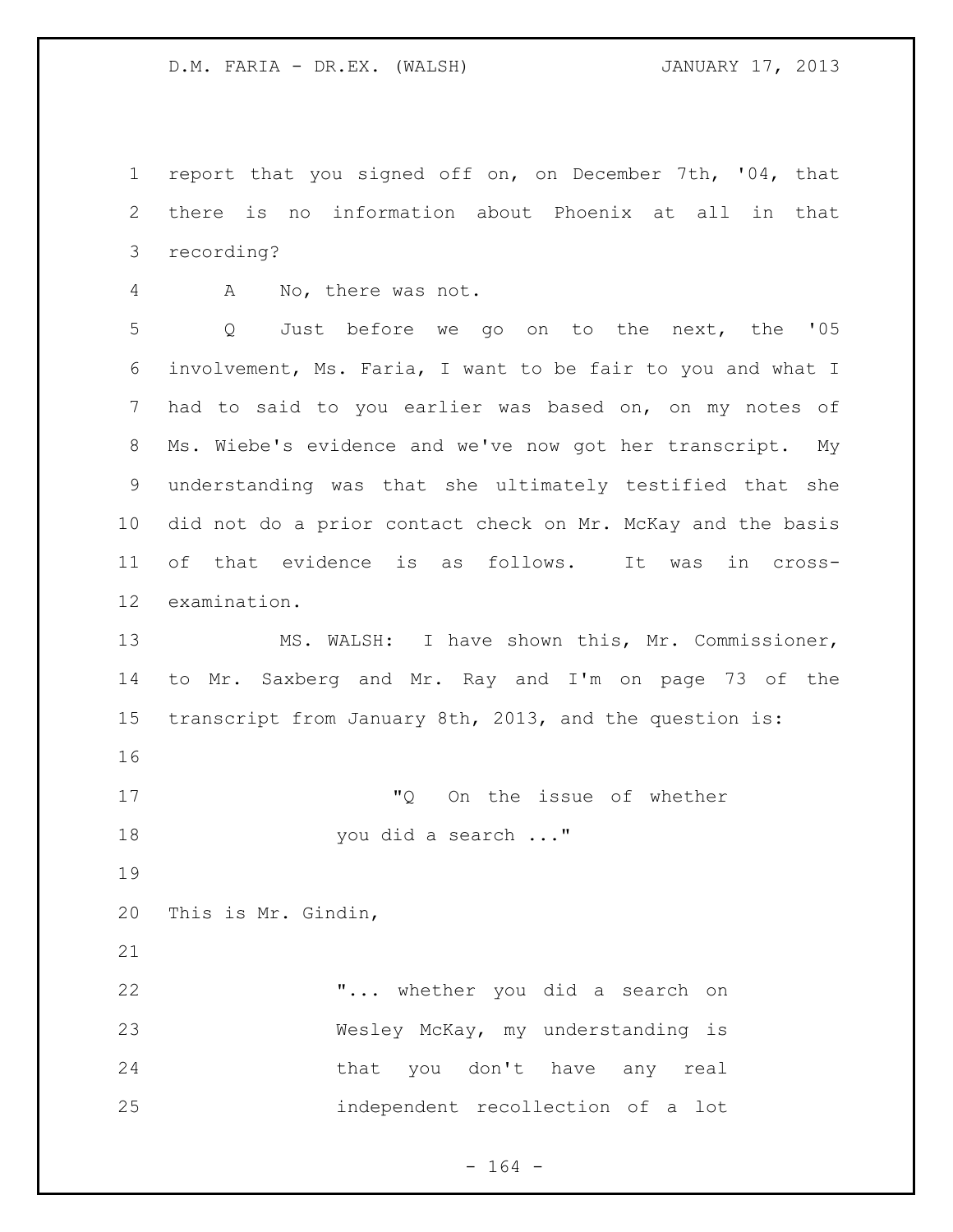report that you signed off on, on December 7th, '04, that there is no information about Phoenix at all in that recording?

A No, there was not.

 Q Just before we go on to the next, the '05 involvement, Ms. Faria, I want to be fair to you and what I had to said to you earlier was based on, on my notes of Ms. Wiebe's evidence and we've now got her transcript. My understanding was that she ultimately testified that she did not do a prior contact check on Mr. McKay and the basis of that evidence is as follows. It was in cross-examination.

 MS. WALSH: I have shown this, Mr. Commissioner, to Mr. Saxberg and Mr. Ray and I'm on page 73 of the transcript from January 8th, 2013, and the question is:

 "Q On the issue of whether 18 you did a search ..."

This is Mr. Gindin,

 "... whether you did a search on Wesley McKay, my understanding is that you don't have any real independent recollection of a lot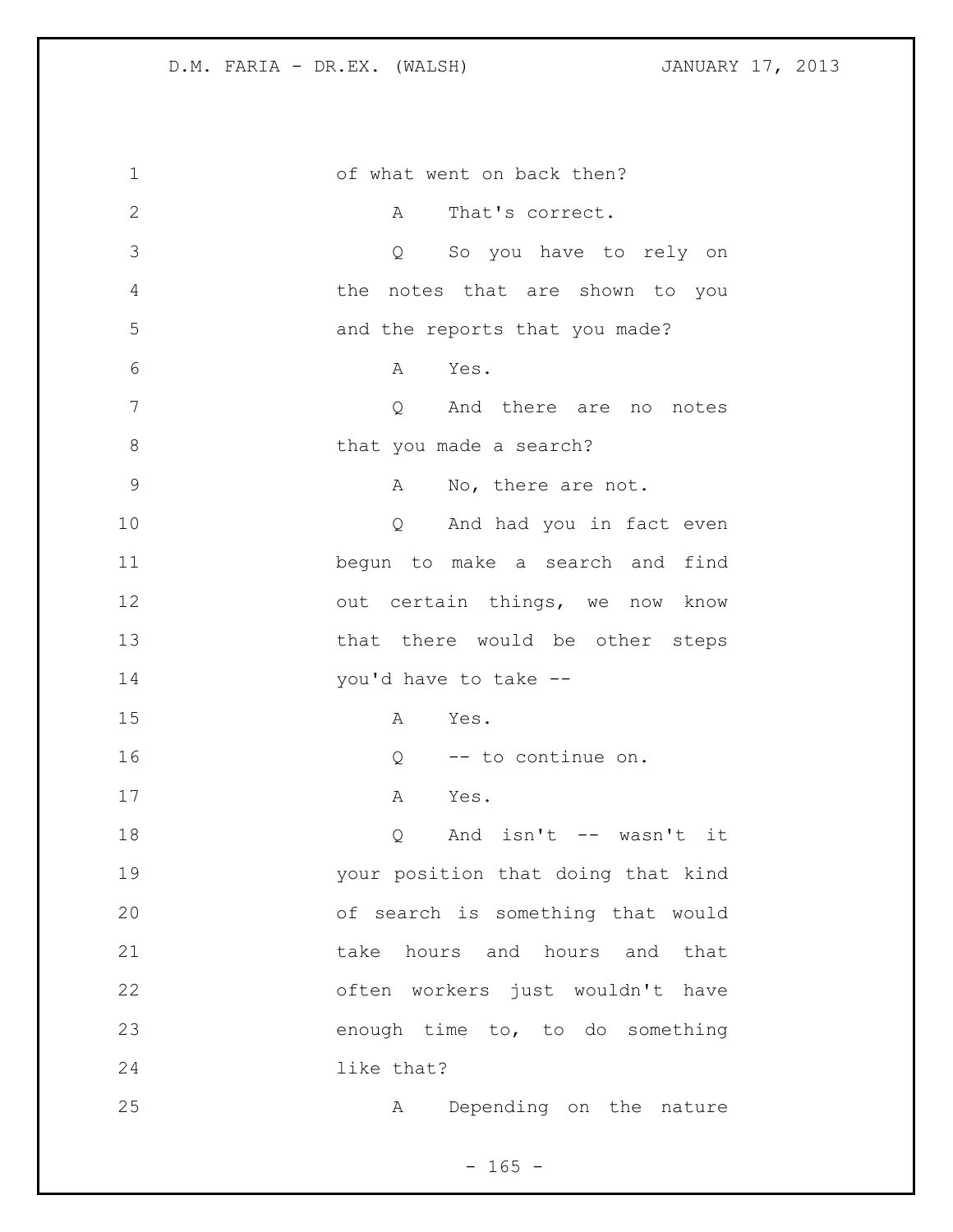| $\mathbf 1$   | of what went on back then?                  |
|---------------|---------------------------------------------|
| $\mathbf{2}$  | That's correct.<br>$A \quad \alpha$         |
| 3             | Q So you have to rely on                    |
| 4             | the notes that are shown to you             |
| 5             | and the reports that you made?              |
| 6             | Yes.<br>A                                   |
| 7             | Q And there are no notes                    |
| $8\,$         | that you made a search?                     |
| $\mathcal{G}$ | A No, there are not.                        |
| 10            | Q And had you in fact even                  |
| 11            | begun to make a search and find             |
| 12            | out certain things, we now know             |
| 13            | that there would be other steps             |
| 14            | you'd have to take --                       |
| 15            | Yes.<br>A                                   |
| 16            | $Q$ -- to continue on.                      |
| 17            | A Yes.                                      |
| 18            | And isn't -- wasn't it<br>$Q \qquad \qquad$ |
| 19            | your position that doing that kind          |
| 20            | of search is something that would           |
| 21            | take hours and hours and that               |
| 22            | often workers just wouldn't have            |
| 23            | enough time to, to do something             |
| 24            | like that?                                  |
| 25            | Depending on the nature<br>Α                |

- 165 -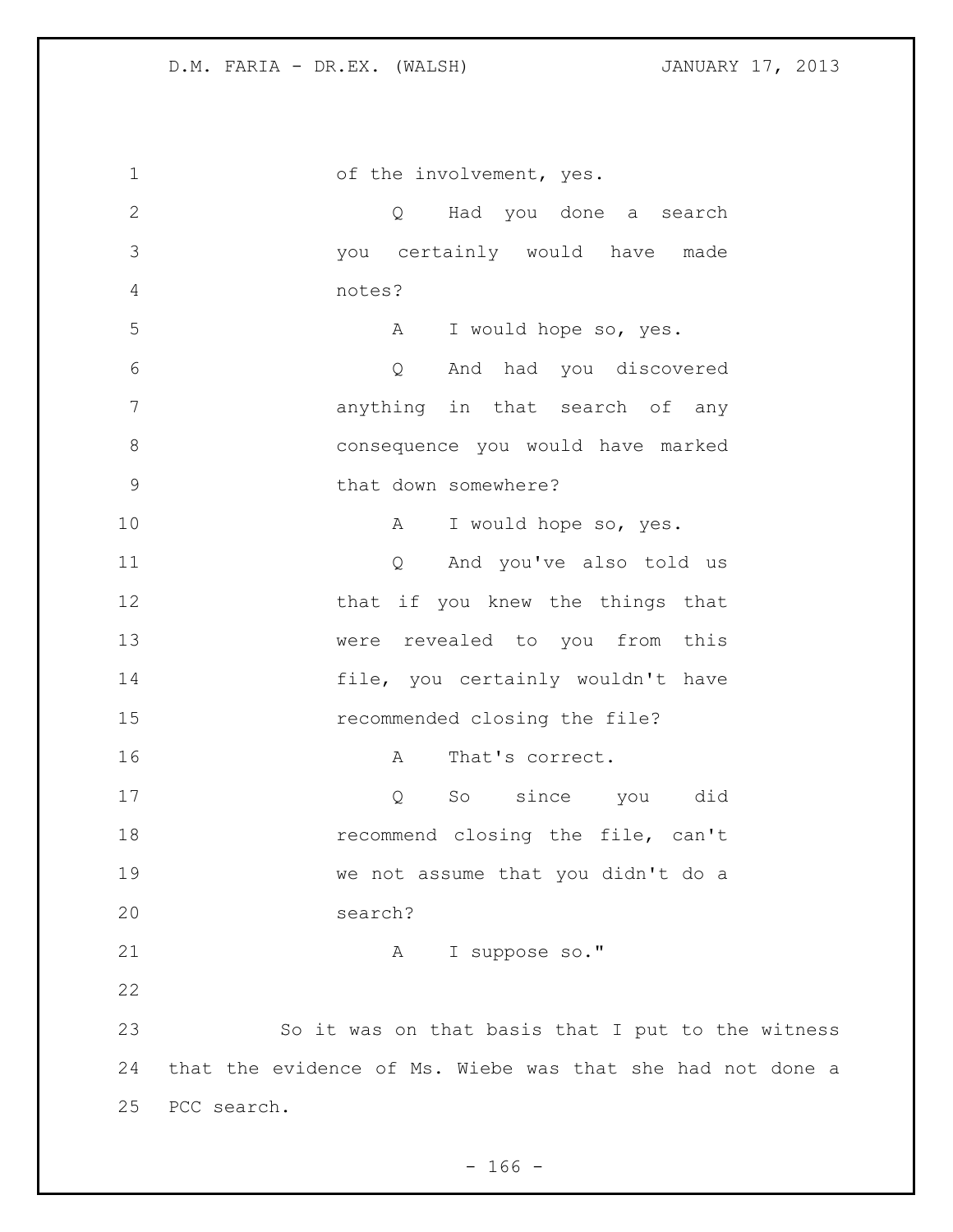| $\mathbf 1$   | of the involvement, yes.                                   |
|---------------|------------------------------------------------------------|
| $\mathbf{2}$  | Q Had you done a search                                    |
| 3             | you certainly would have made                              |
| 4             | notes?                                                     |
| 5             | I would hope so, yes.<br>A                                 |
| 6             | And had you discovered<br>Q                                |
| 7             | anything in that search of any                             |
| $8\,$         | consequence you would have marked                          |
| $\mathcal{G}$ | that down somewhere?                                       |
| 10            | I would hope so, yes.<br>A                                 |
| 11            | Q And you've also told us                                  |
| 12            | that if you knew the things that                           |
| 13            | were revealed to you from this                             |
| 14            | file, you certainly wouldn't have                          |
| 15            | recommended closing the file?                              |
| 16            | That's correct.<br>A                                       |
| 17            | So since you did<br>Q                                      |
| 18            | recommend closing the file, can't                          |
| 19            | we not assume that you didn't do a                         |
| 20            | search?                                                    |
| 21            | A I suppose so."                                           |
| 22            |                                                            |
| 23            | So it was on that basis that I put to the witness          |
| 24            | that the evidence of Ms. Wiebe was that she had not done a |
| 25            | PCC search.                                                |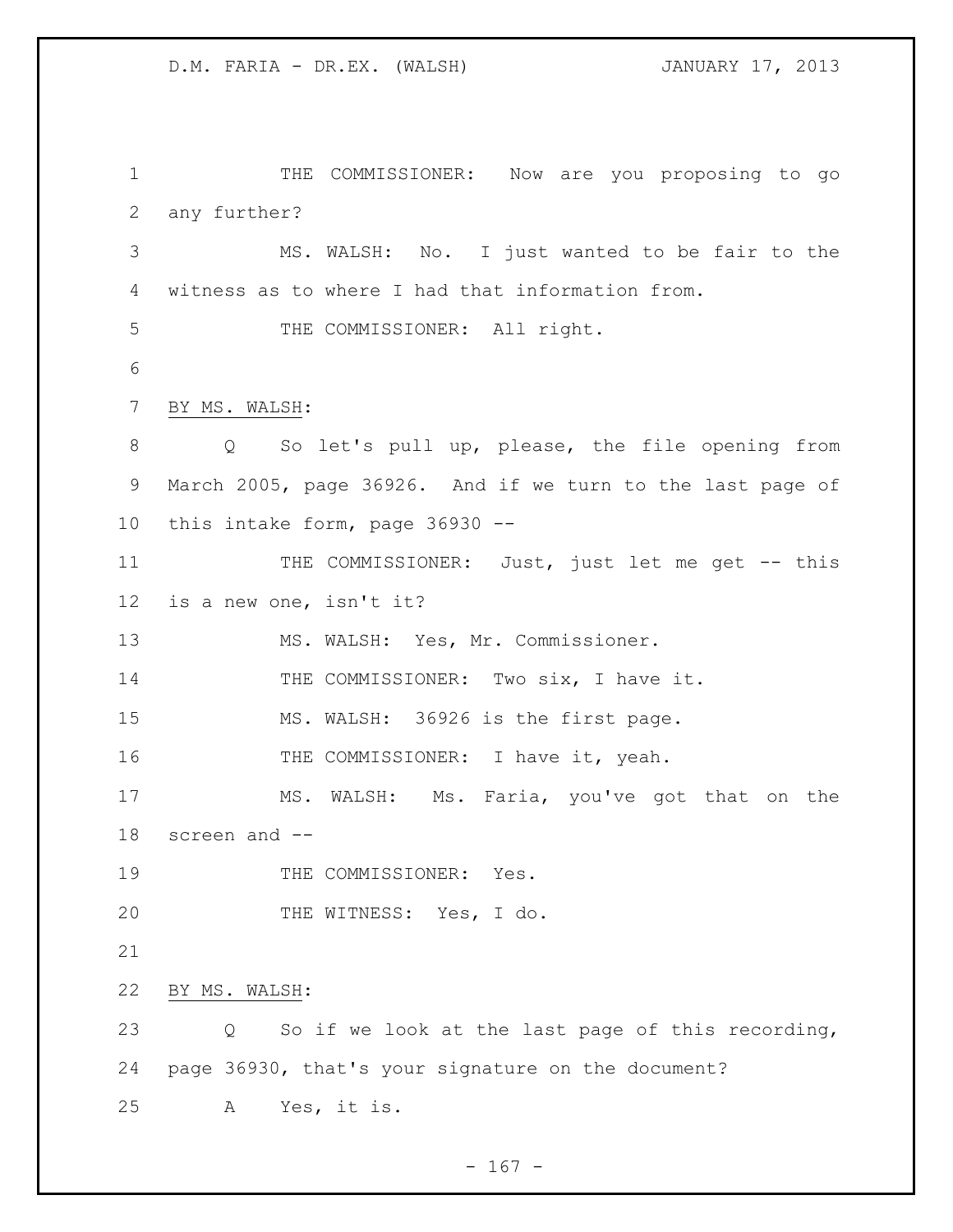THE COMMISSIONER: Now are you proposing to go any further? MS. WALSH: No. I just wanted to be fair to the witness as to where I had that information from. 5 THE COMMISSIONER: All right. BY MS. WALSH: Q So let's pull up, please, the file opening from March 2005, page 36926. And if we turn to the last page of this intake form, page 36930 -- THE COMMISSIONER: Just, just let me get -- this is a new one, isn't it? 13 MS. WALSH: Yes, Mr. Commissioner. 14 THE COMMISSIONER: Two six, I have it. MS. WALSH: 36926 is the first page. 16 THE COMMISSIONER: I have it, yeah. MS. WALSH: Ms. Faria, you've got that on the screen and -- 19 THE COMMISSIONER: Yes. THE WITNESS: Yes, I do. BY MS. WALSH: Q So if we look at the last page of this recording, page 36930, that's your signature on the document? A Yes, it is.

 $- 167 -$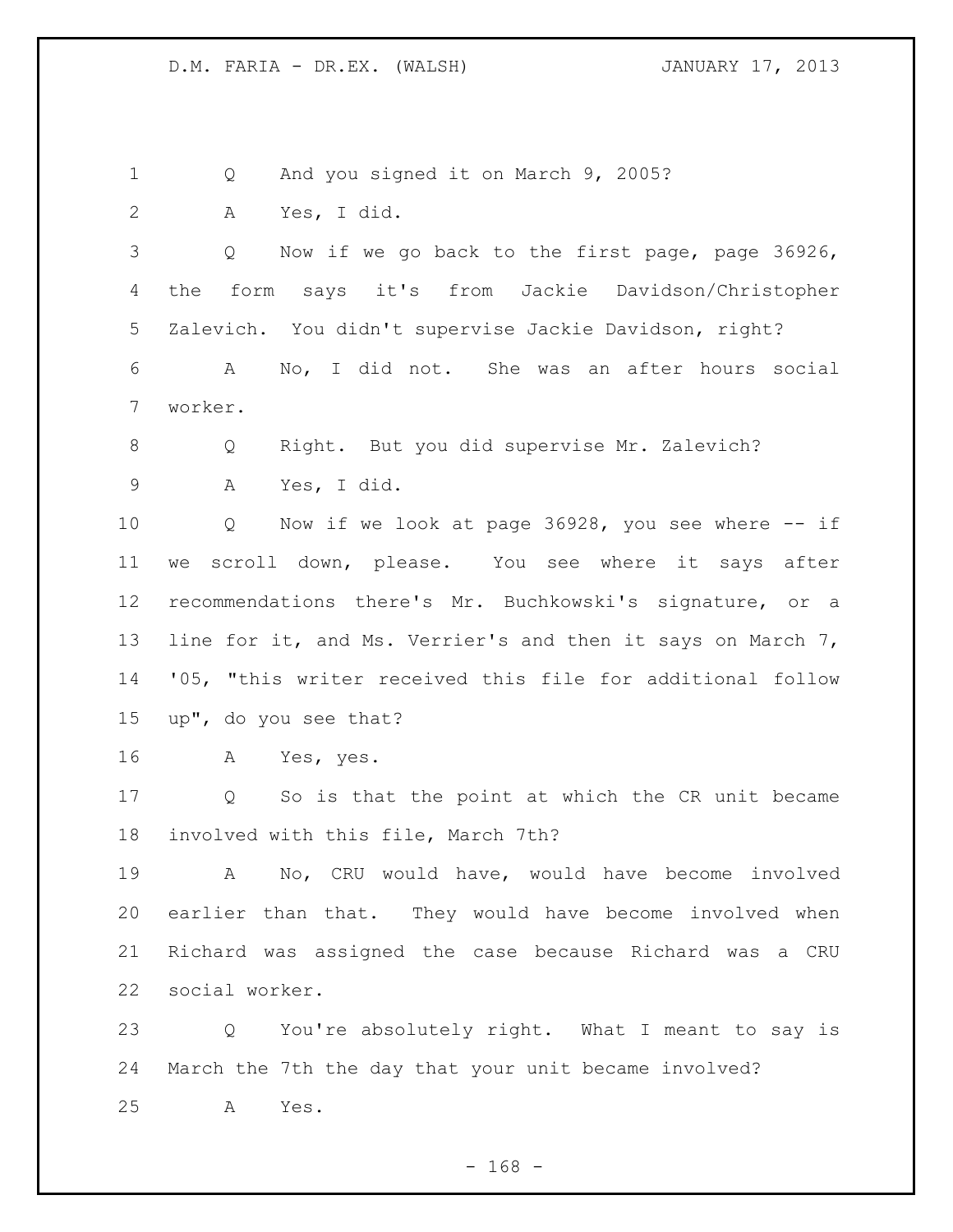Q And you signed it on March 9, 2005? A Yes, I did. Q Now if we go back to the first page, page 36926, the form says it's from Jackie Davidson/Christopher Zalevich. You didn't supervise Jackie Davidson, right? A No, I did not. She was an after hours social worker. Q Right. But you did supervise Mr. Zalevich? A Yes, I did. Q Now if we look at page 36928, you see where -- if we scroll down, please. You see where it says after recommendations there's Mr. Buchkowski's signature, or a 13 line for it, and Ms. Verrier's and then it says on March 7, '05, "this writer received this file for additional follow up", do you see that? A Yes, yes. Q So is that the point at which the CR unit became involved with this file, March 7th? A No, CRU would have, would have become involved earlier than that. They would have become involved when Richard was assigned the case because Richard was a CRU social worker. Q You're absolutely right. What I meant to say is March the 7th the day that your unit became involved? A Yes.

- 168 -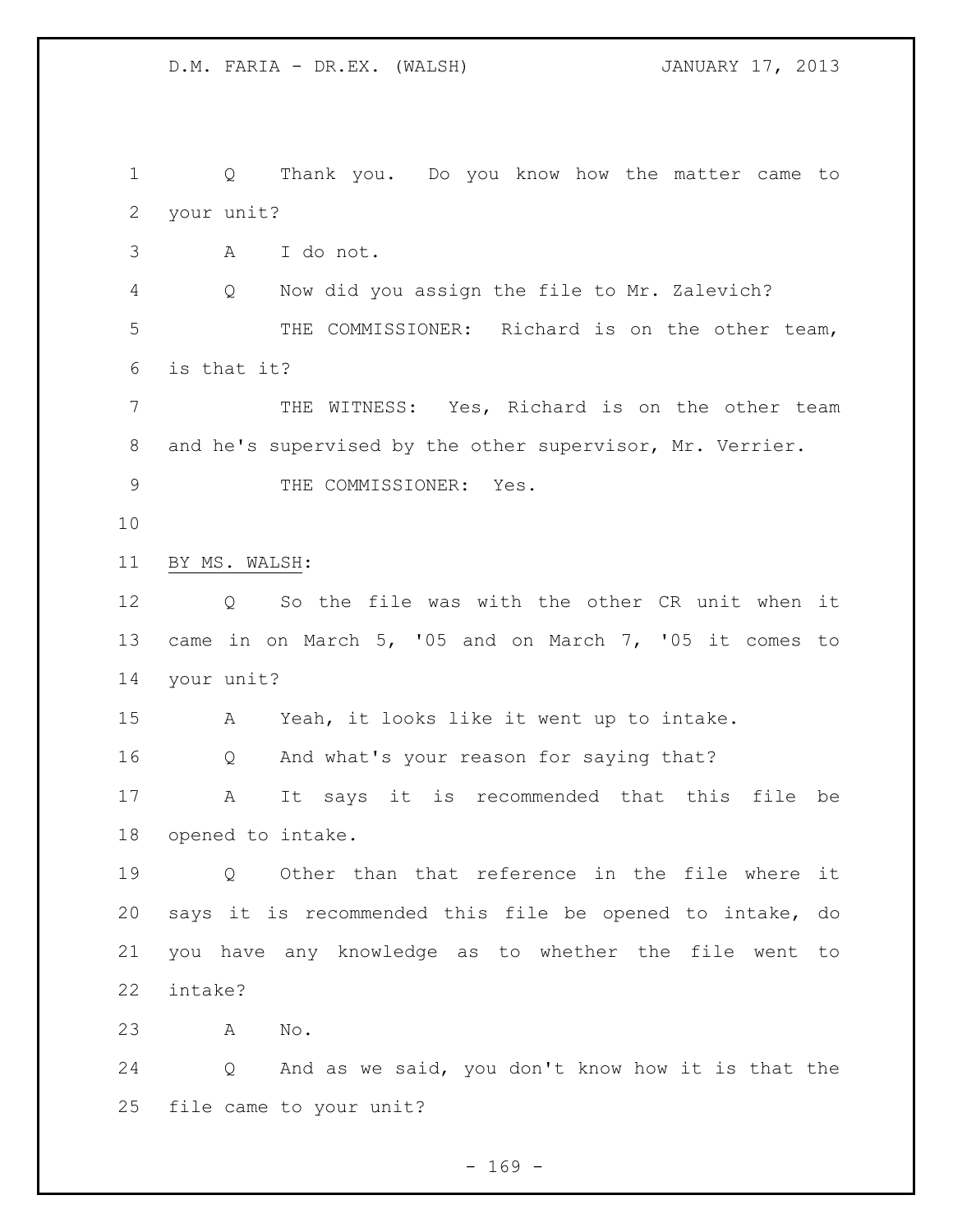Q Thank you. Do you know how the matter came to your unit? A I do not. Q Now did you assign the file to Mr. Zalevich? THE COMMISSIONER: Richard is on the other team, is that it? THE WITNESS: Yes, Richard is on the other team and he's supervised by the other supervisor, Mr. Verrier. 9 THE COMMISSIONER: Yes. BY MS. WALSH: Q So the file was with the other CR unit when it came in on March 5, '05 and on March 7, '05 it comes to your unit? A Yeah, it looks like it went up to intake. Q And what's your reason for saying that? A It says it is recommended that this file be opened to intake. Q Other than that reference in the file where it says it is recommended this file be opened to intake, do you have any knowledge as to whether the file went to intake? A No. Q And as we said, you don't know how it is that the file came to your unit?

 $- 169 -$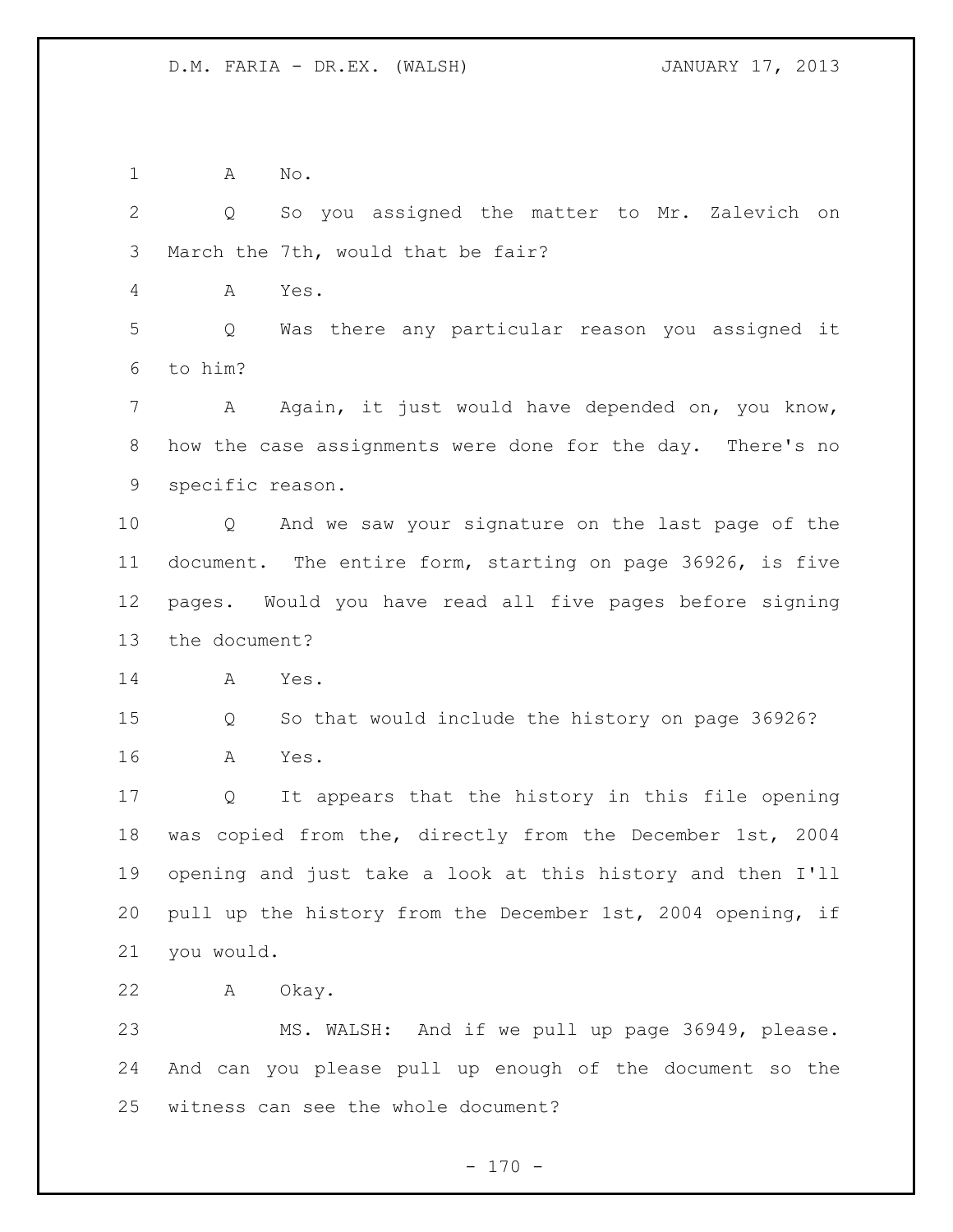A No.

 Q So you assigned the matter to Mr. Zalevich on March the 7th, would that be fair?

A Yes.

 Q Was there any particular reason you assigned it to him?

 A Again, it just would have depended on, you know, how the case assignments were done for the day. There's no specific reason.

 Q And we saw your signature on the last page of the document. The entire form, starting on page 36926, is five pages. Would you have read all five pages before signing the document?

A Yes.

 Q So that would include the history on page 36926? A Yes.

 Q It appears that the history in this file opening was copied from the, directly from the December 1st, 2004 opening and just take a look at this history and then I'll pull up the history from the December 1st, 2004 opening, if you would.

A Okay.

 MS. WALSH: And if we pull up page 36949, please. And can you please pull up enough of the document so the witness can see the whole document?

 $- 170 -$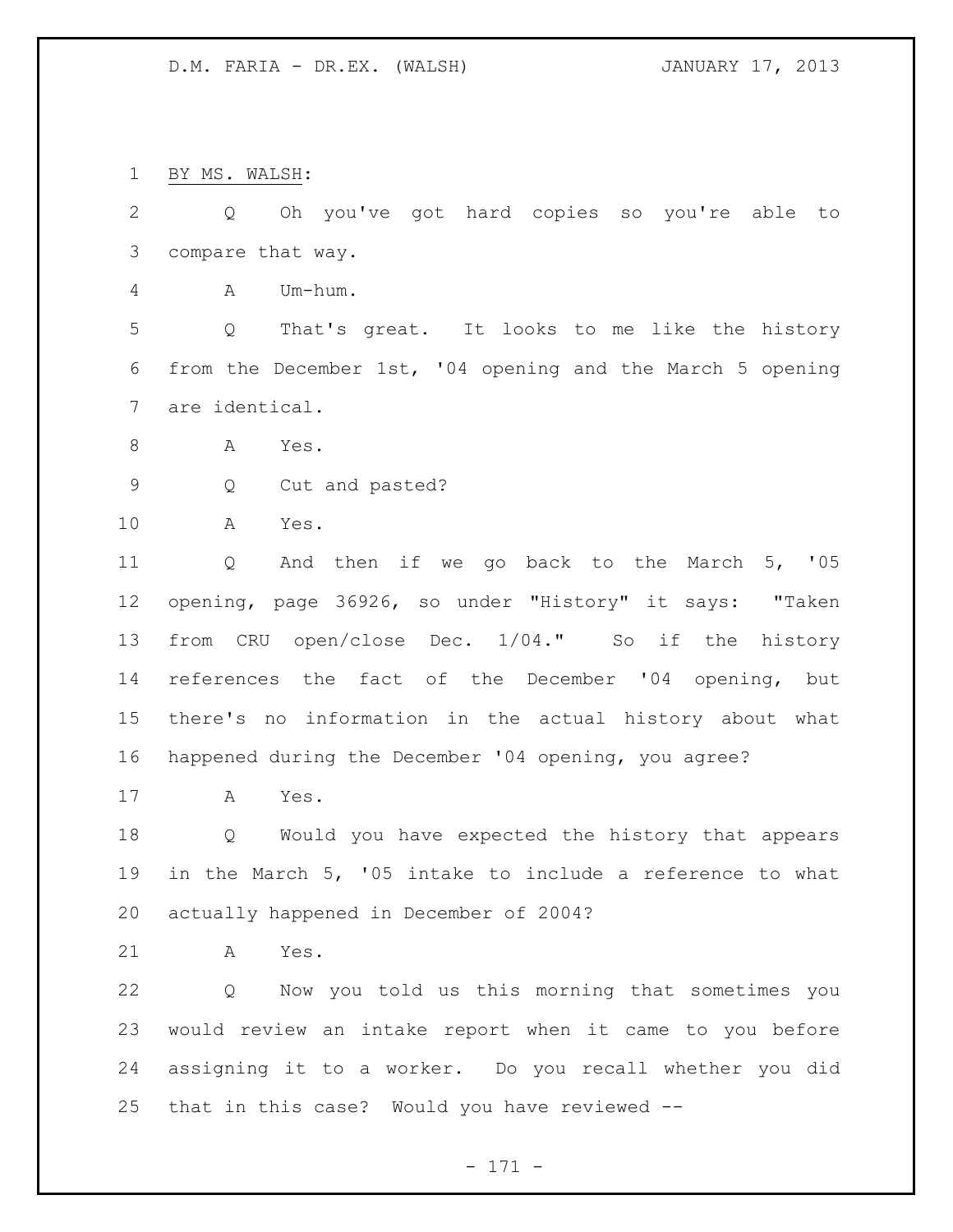BY MS. WALSH:

| $\mathbf{2}$ | Oh you've got hard copies so you're able<br>Q<br>to               |
|--------------|-------------------------------------------------------------------|
| 3            | compare that way.                                                 |
| 4            | Um-hum.<br>A                                                      |
| 5            | That's great. It looks to me like the history<br>Q                |
| 6            | from the December 1st, '04 opening and the March 5 opening        |
| 7            | are identical.                                                    |
| $\,8\,$      | A<br>Yes.                                                         |
| $\mathsf 9$  | Cut and pasted?<br>Q                                              |
| 10           | Α<br>Yes.                                                         |
| 11           | And then if we go back to the March 5, '05<br>Q                   |
| 12           | opening, page 36926, so under "History" it says: "Taken           |
| 13           | from CRU open/close Dec. 1/04." So if the history                 |
| 14           | references the fact of the December '04 opening, but              |
| 15           | there's no information in the actual history about what           |
| 16           | happened during the December '04 opening, you agree?              |
| 17           | Yes.<br>A                                                         |
| 18           | Would you have expected the history that appears<br>Q             |
| 19           | in the March 5, '05 intake to include a reference to what         |
| 20           | actually happened in December of 2004?                            |
| 21           | Yes.<br>A                                                         |
| 22           | Now you told us this morning that sometimes you<br>$\overline{Q}$ |
| 23           | would review an intake report when it came to you before          |
| 24           | assigning it to a worker. Do you recall whether you did           |
| 25           | that in this case? Would you have reviewed --                     |
|              | $-171 -$                                                          |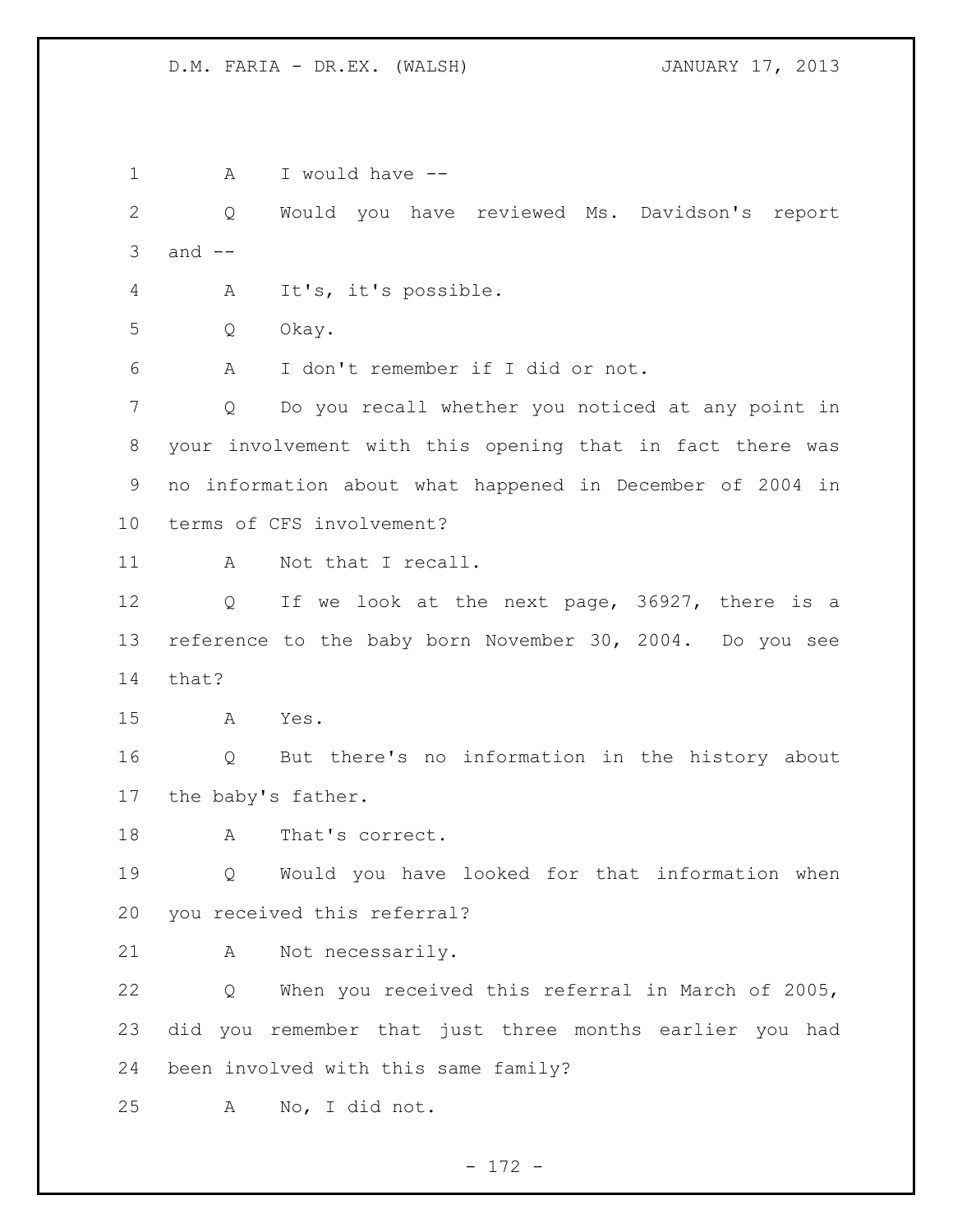1 A I would have -- Q Would you have reviewed Ms. Davidson's report and  $-$  A It's, it's possible. Q Okay. A I don't remember if I did or not. Q Do you recall whether you noticed at any point in your involvement with this opening that in fact there was no information about what happened in December of 2004 in terms of CFS involvement? 11 A Not that I recall. Q If we look at the next page, 36927, there is a reference to the baby born November 30, 2004. Do you see that? A Yes. Q But there's no information in the history about the baby's father. 18 A That's correct. Q Would you have looked for that information when you received this referral? A Not necessarily. Q When you received this referral in March of 2005, did you remember that just three months earlier you had been involved with this same family? A No, I did not.

- 172 -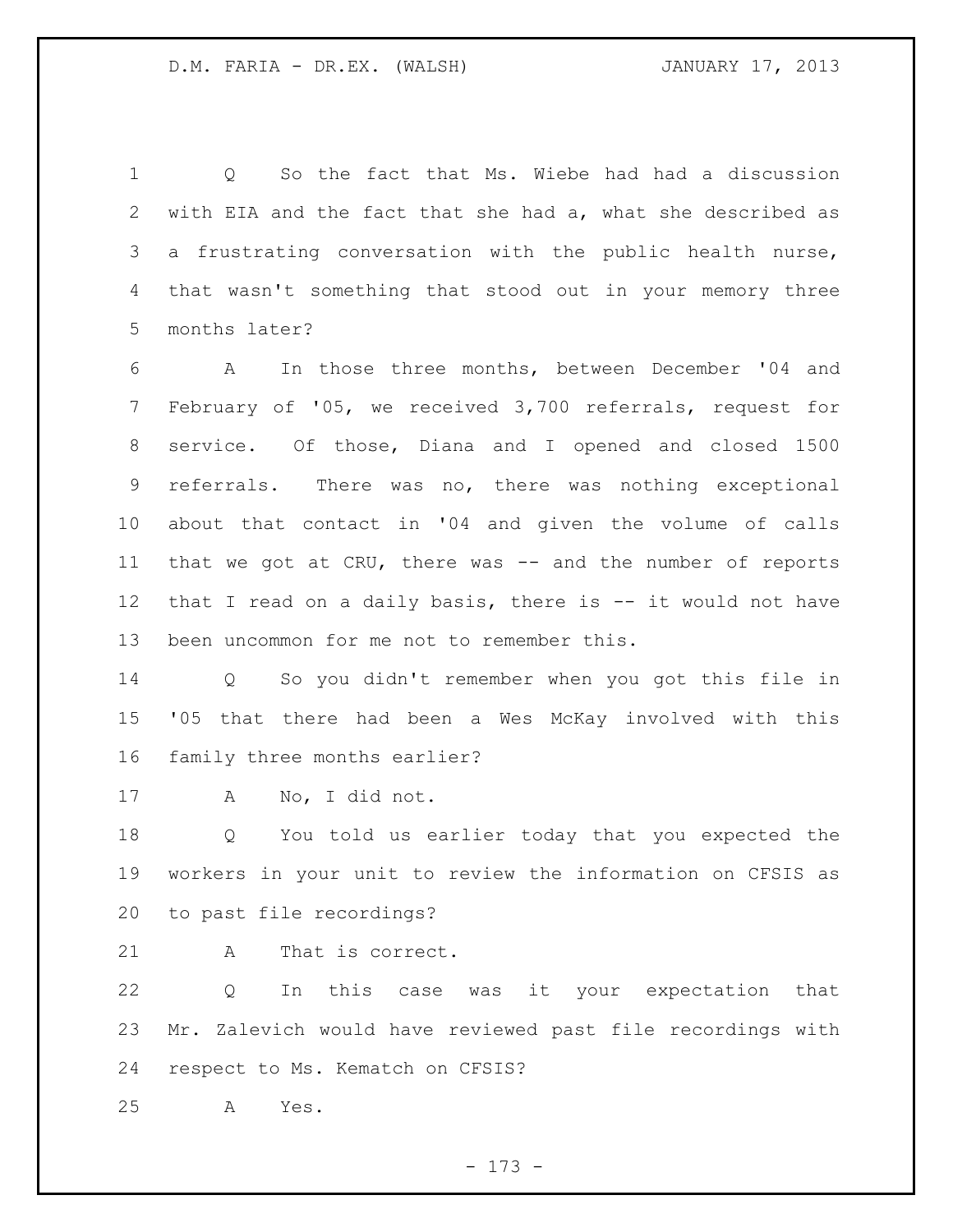Q So the fact that Ms. Wiebe had had a discussion with EIA and the fact that she had a, what she described as a frustrating conversation with the public health nurse, that wasn't something that stood out in your memory three months later?

 A In those three months, between December '04 and February of '05, we received 3,700 referrals, request for service. Of those, Diana and I opened and closed 1500 referrals. There was no, there was nothing exceptional about that contact in '04 and given the volume of calls 11 that we got at CRU, there was -- and the number of reports 12 that I read on a daily basis, there is -- it would not have been uncommon for me not to remember this.

 Q So you didn't remember when you got this file in '05 that there had been a Wes McKay involved with this family three months earlier?

A No, I did not.

 Q You told us earlier today that you expected the workers in your unit to review the information on CFSIS as to past file recordings?

21 A That is correct.

 Q In this case was it your expectation that Mr. Zalevich would have reviewed past file recordings with respect to Ms. Kematch on CFSIS?

A Yes.

- 173 -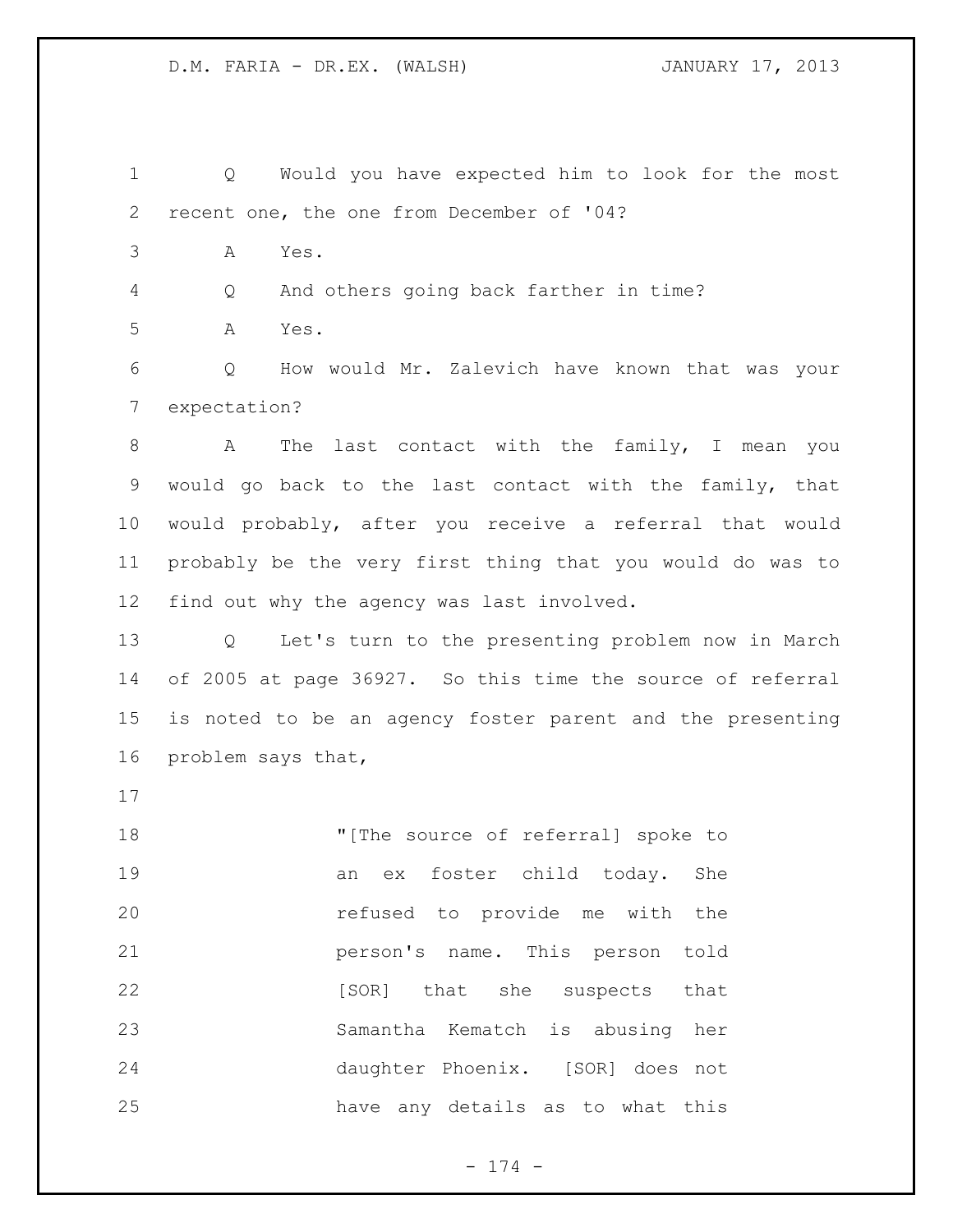Q Would you have expected him to look for the most recent one, the one from December of '04?

A Yes.

Q And others going back farther in time?

A Yes.

 Q How would Mr. Zalevich have known that was your expectation?

 A The last contact with the family, I mean you would go back to the last contact with the family, that would probably, after you receive a referral that would probably be the very first thing that you would do was to find out why the agency was last involved.

 Q Let's turn to the presenting problem now in March of 2005 at page 36927. So this time the source of referral is noted to be an agency foster parent and the presenting problem says that,

**"**[The source of referral] spoke to an ex foster child today. She refused to provide me with the person's name. This person told **b [SOR]** that she suspects that Samantha Kematch is abusing her daughter Phoenix. [SOR] does not have any details as to what this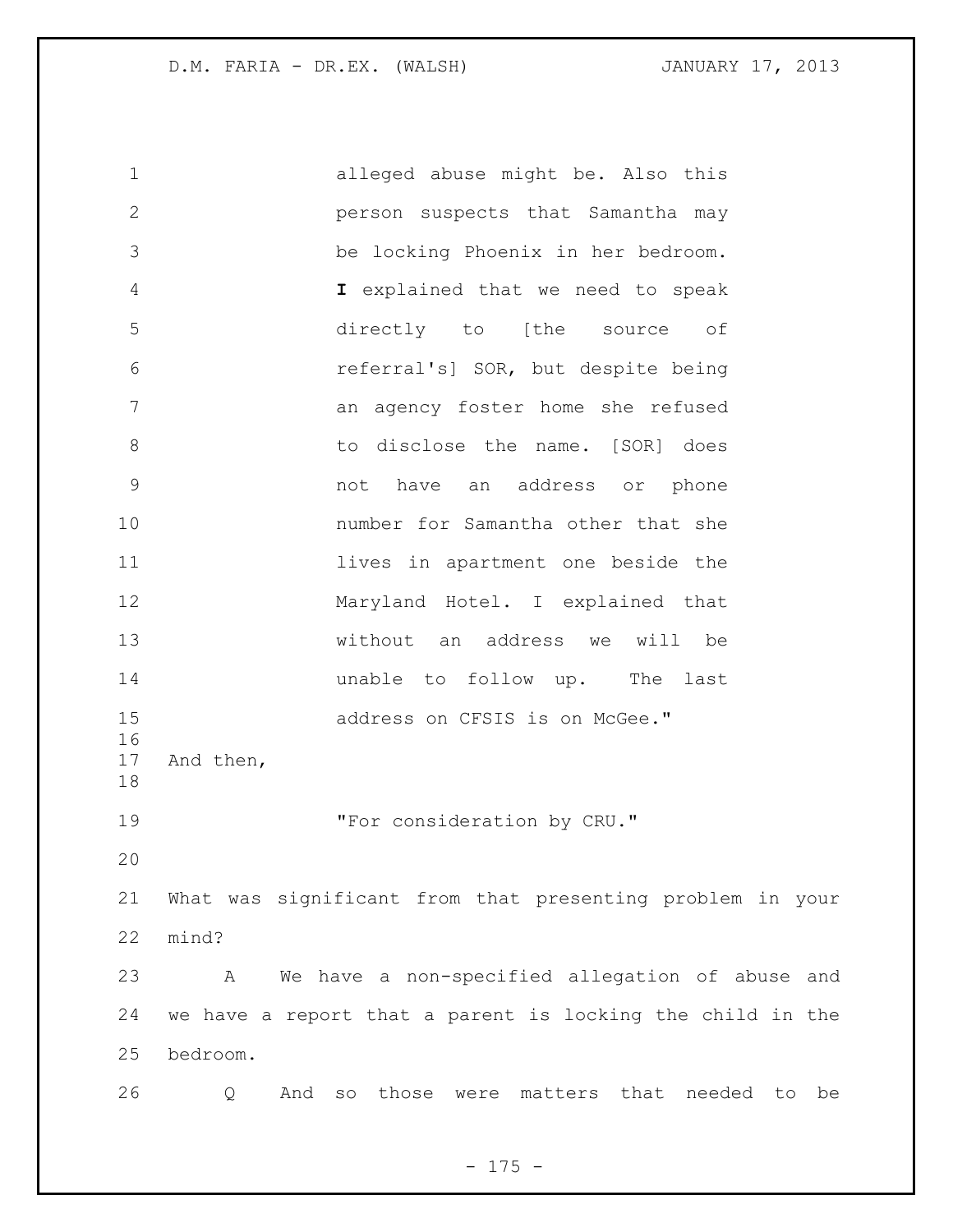alleged abuse might be. Also this person suspects that Samantha may be locking Phoenix in her bedroom. **I** explained that we need to speak directly to [the source of referral's] SOR, but despite being an agency foster home she refused 8 b to disclose the name. [SOR] does not have an address or phone number for Samantha other that she **11** lives in apartment one beside the Maryland Hotel. I explained that without an address we will be **unable to follow up.** The last 15 address on CFSIS is on McGee." And then, 19 The Text consideration by CRU." What was significant from that presenting problem in your mind? A We have a non-specified allegation of abuse and we have a report that a parent is locking the child in the bedroom. Q And so those were matters that needed to be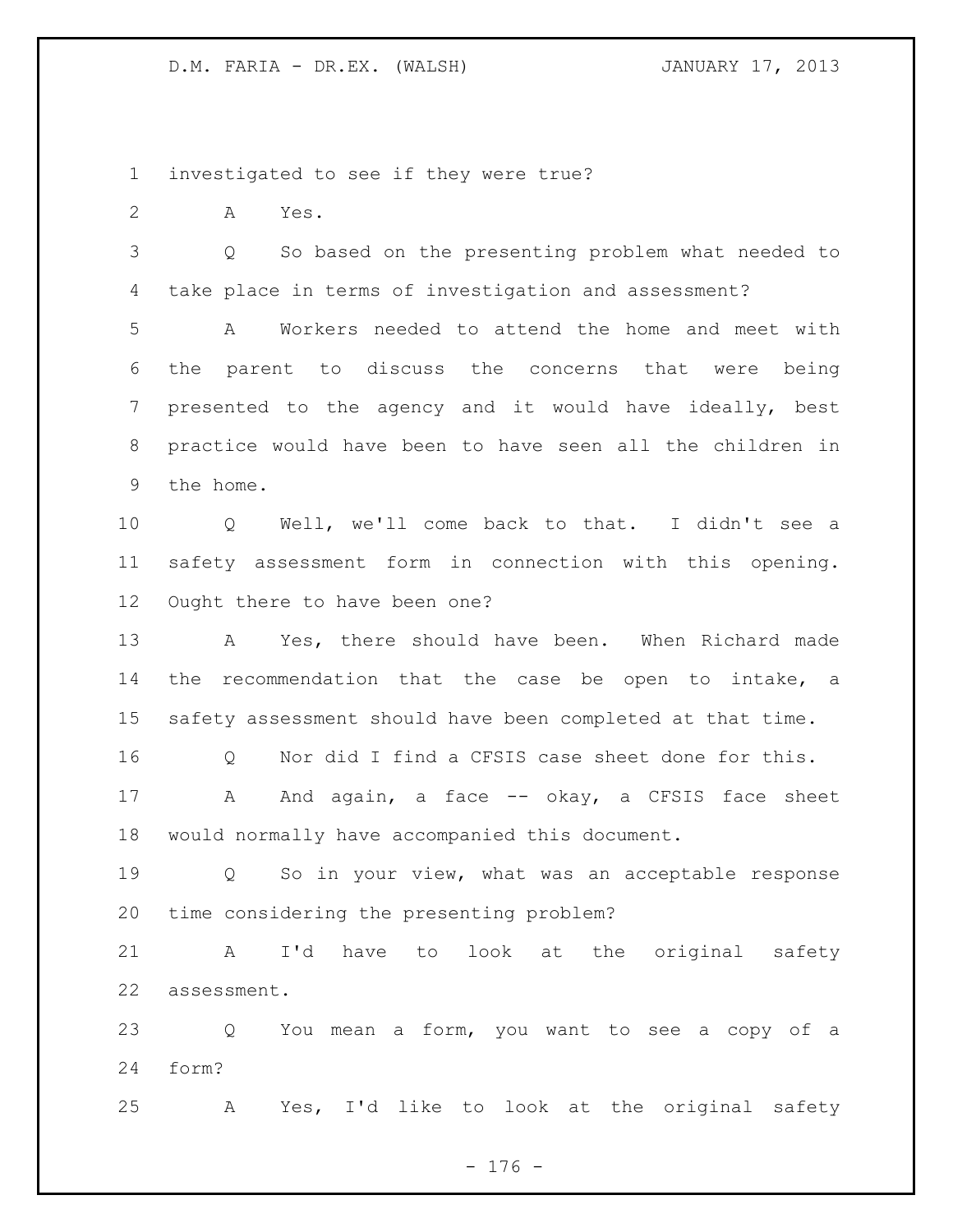investigated to see if they were true?

A Yes.

 Q So based on the presenting problem what needed to take place in terms of investigation and assessment?

 A Workers needed to attend the home and meet with the parent to discuss the concerns that were being presented to the agency and it would have ideally, best practice would have been to have seen all the children in the home.

 Q Well, we'll come back to that. I didn't see a safety assessment form in connection with this opening. Ought there to have been one?

 A Yes, there should have been. When Richard made the recommendation that the case be open to intake, a safety assessment should have been completed at that time.

16 0 Nor did I find a CFSIS case sheet done for this.

17 A And again, a face -- okay, a CFSIS face sheet would normally have accompanied this document.

 Q So in your view, what was an acceptable response time considering the presenting problem?

 A I'd have to look at the original safety assessment.

 Q You mean a form, you want to see a copy of a form?

A Yes, I'd like to look at the original safety

- 176 -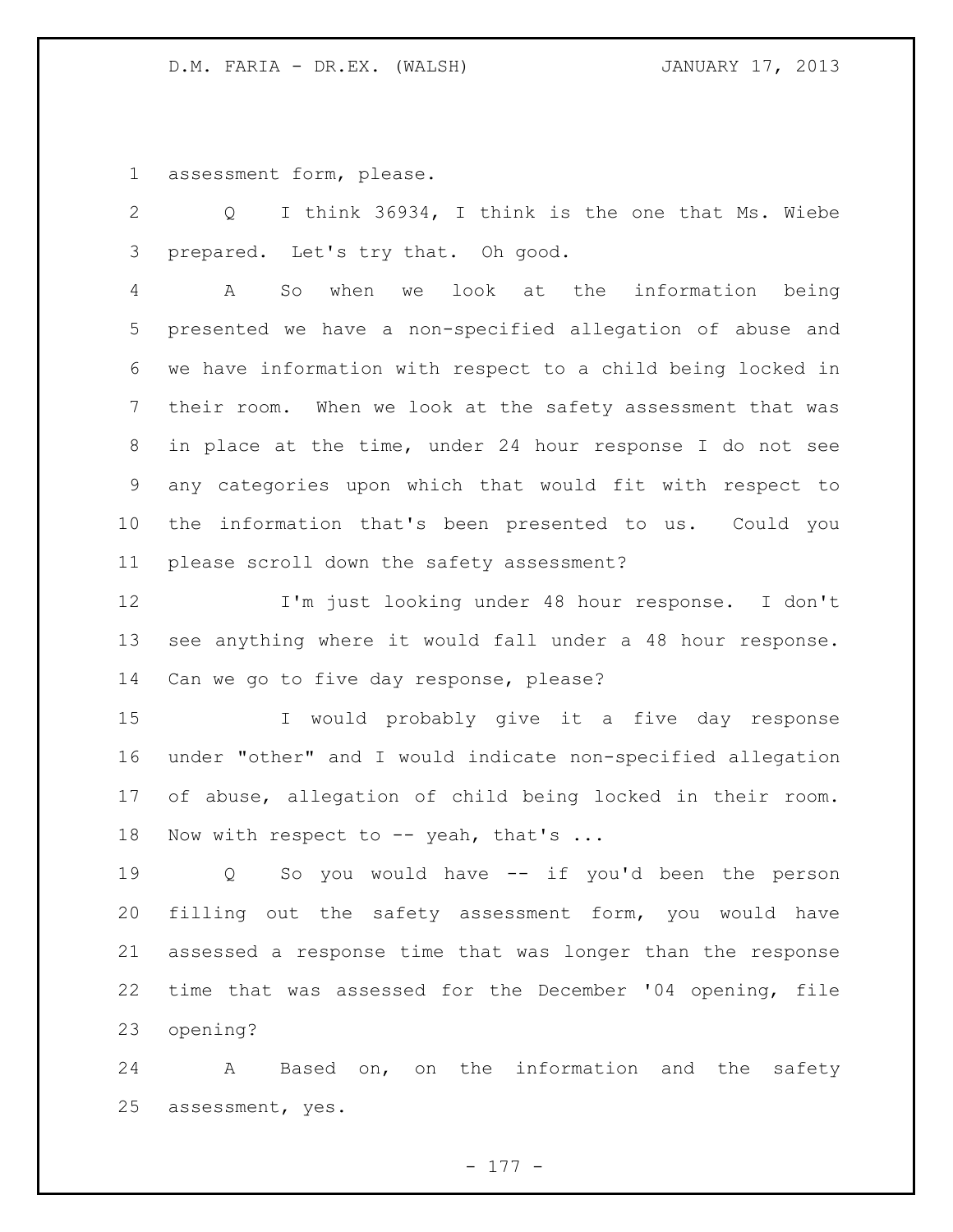assessment form, please.

 Q I think 36934, I think is the one that Ms. Wiebe prepared. Let's try that. Oh good.

 A So when we look at the information being presented we have a non-specified allegation of abuse and we have information with respect to a child being locked in their room. When we look at the safety assessment that was in place at the time, under 24 hour response I do not see any categories upon which that would fit with respect to the information that's been presented to us. Could you please scroll down the safety assessment?

 I'm just looking under 48 hour response. I don't see anything where it would fall under a 48 hour response. Can we go to five day response, please?

 I would probably give it a five day response under "other" and I would indicate non-specified allegation of abuse, allegation of child being locked in their room. 18 Now with respect to -- yeah, that's ...

 Q So you would have -- if you'd been the person filling out the safety assessment form, you would have assessed a response time that was longer than the response time that was assessed for the December '04 opening, file opening?

 A Based on, on the information and the safety assessment, yes.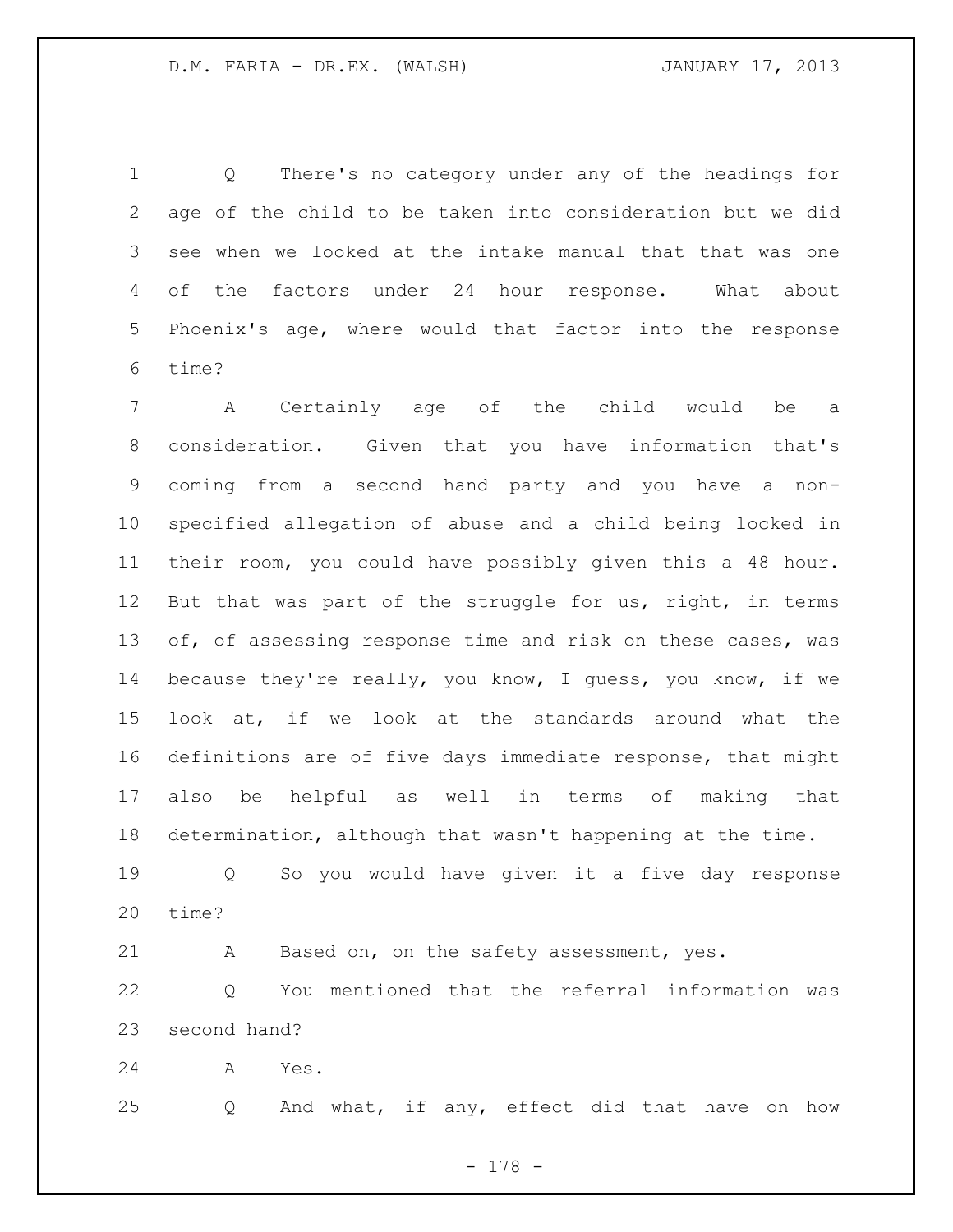Q There's no category under any of the headings for age of the child to be taken into consideration but we did see when we looked at the intake manual that that was one of the factors under 24 hour response. What about Phoenix's age, where would that factor into the response time?

 A Certainly age of the child would be a consideration. Given that you have information that's coming from a second hand party and you have a non- specified allegation of abuse and a child being locked in their room, you could have possibly given this a 48 hour. But that was part of the struggle for us, right, in terms 13 of, of assessing response time and risk on these cases, was because they're really, you know, I guess, you know, if we look at, if we look at the standards around what the definitions are of five days immediate response, that might also be helpful as well in terms of making that determination, although that wasn't happening at the time.

 Q So you would have given it a five day response time?

A Based on, on the safety assessment, yes.

 Q You mentioned that the referral information was second hand?

A Yes.

Q And what, if any, effect did that have on how

- 178 -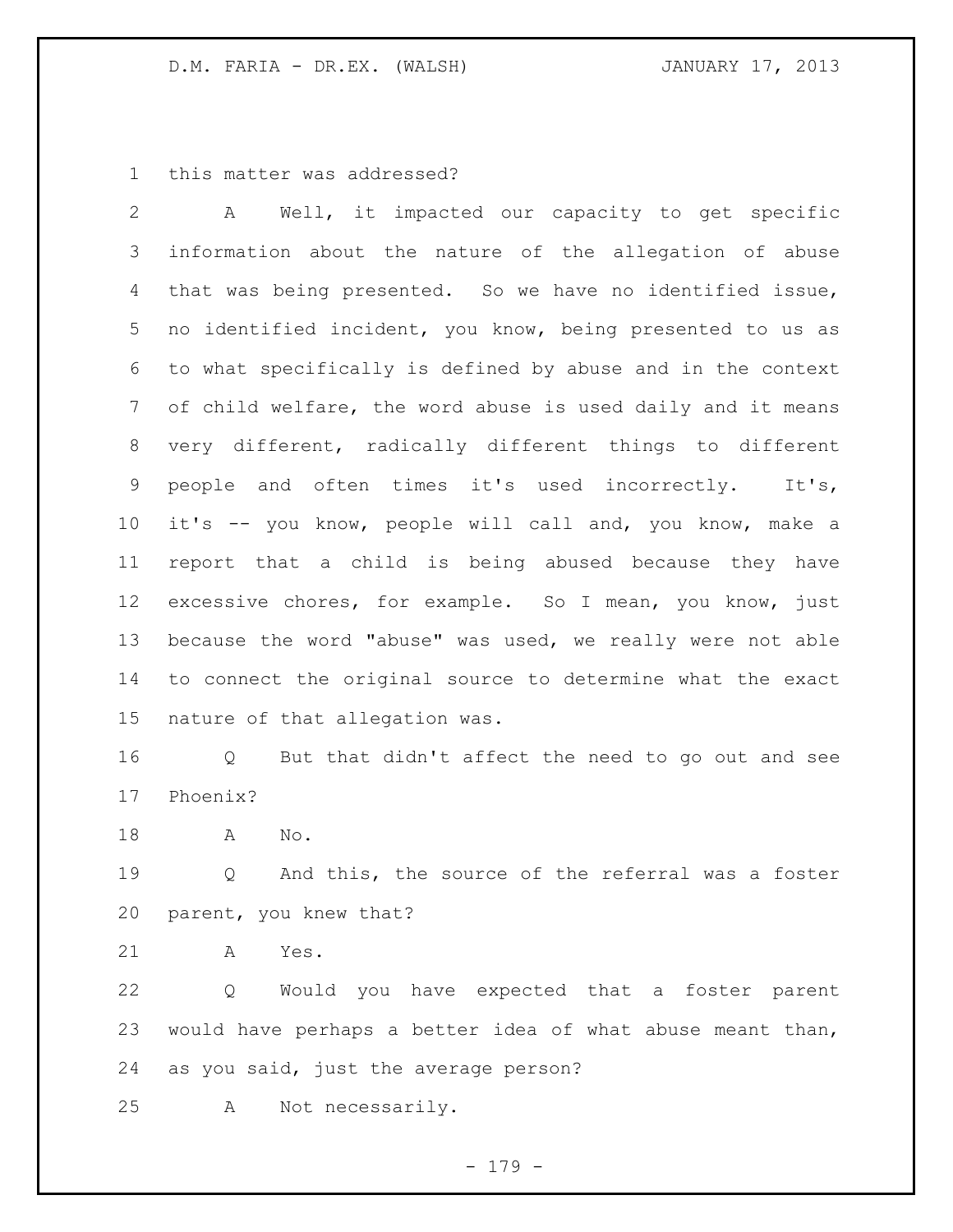this matter was addressed?

 A Well, it impacted our capacity to get specific information about the nature of the allegation of abuse that was being presented. So we have no identified issue, no identified incident, you know, being presented to us as to what specifically is defined by abuse and in the context of child welfare, the word abuse is used daily and it means very different, radically different things to different people and often times it's used incorrectly. It's, it's -- you know, people will call and, you know, make a report that a child is being abused because they have excessive chores, for example. So I mean, you know, just because the word "abuse" was used, we really were not able to connect the original source to determine what the exact nature of that allegation was.

 Q But that didn't affect the need to go out and see Phoenix?

A No.

19 0 And this, the source of the referral was a foster parent, you knew that?

A Yes.

 Q Would you have expected that a foster parent would have perhaps a better idea of what abuse meant than, as you said, just the average person?

A Not necessarily.

- 179 -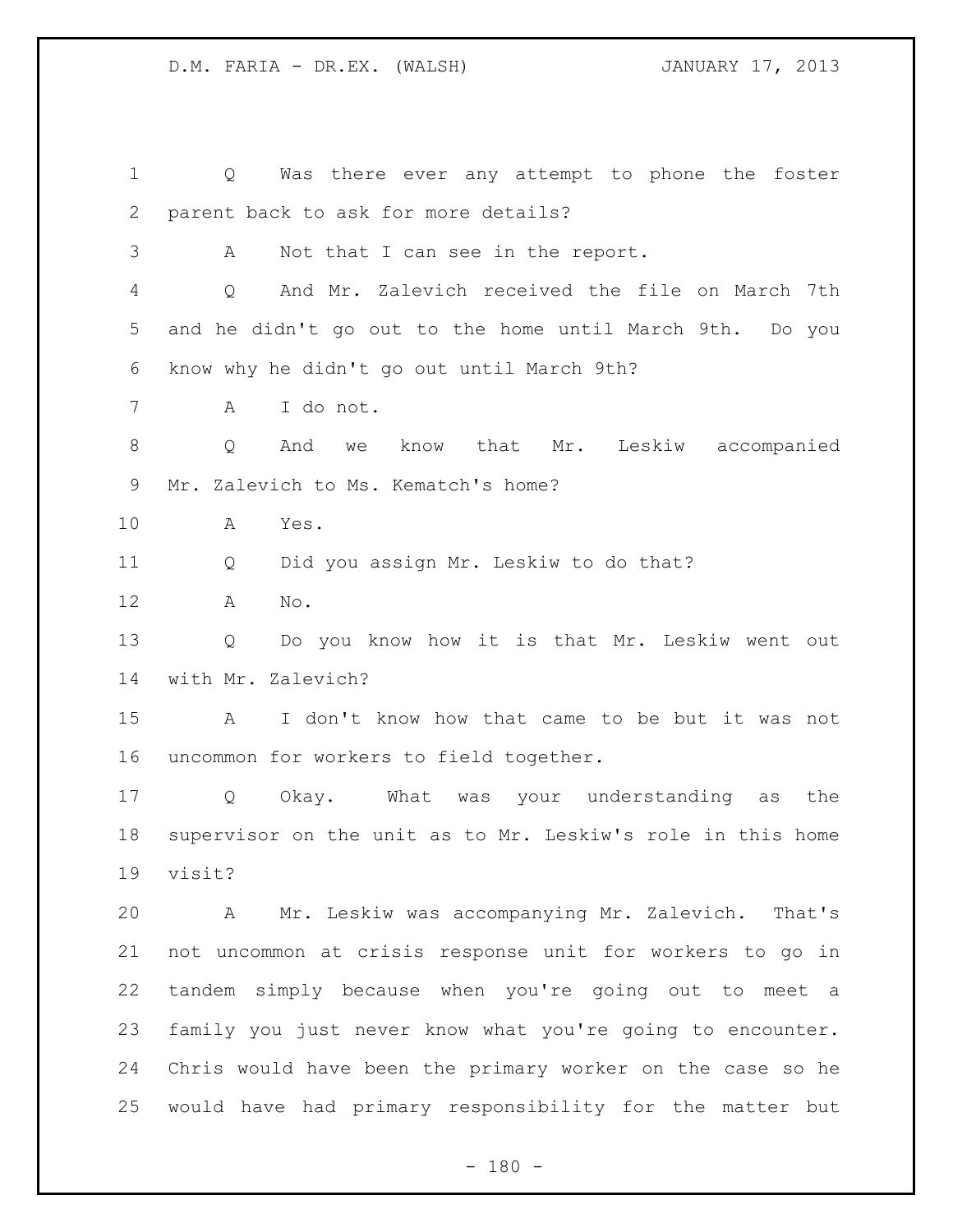Q Was there ever any attempt to phone the foster parent back to ask for more details? A Not that I can see in the report. Q And Mr. Zalevich received the file on March 7th and he didn't go out to the home until March 9th. Do you know why he didn't go out until March 9th? A I do not. Q And we know that Mr. Leskiw accompanied Mr. Zalevich to Ms. Kematch's home? A Yes. Q Did you assign Mr. Leskiw to do that? A No. Q Do you know how it is that Mr. Leskiw went out with Mr. Zalevich? A I don't know how that came to be but it was not uncommon for workers to field together. Q Okay. What was your understanding as the supervisor on the unit as to Mr. Leskiw's role in this home visit? A Mr. Leskiw was accompanying Mr. Zalevich. That's not uncommon at crisis response unit for workers to go in tandem simply because when you're going out to meet a family you just never know what you're going to encounter. Chris would have been the primary worker on the case so he would have had primary responsibility for the matter but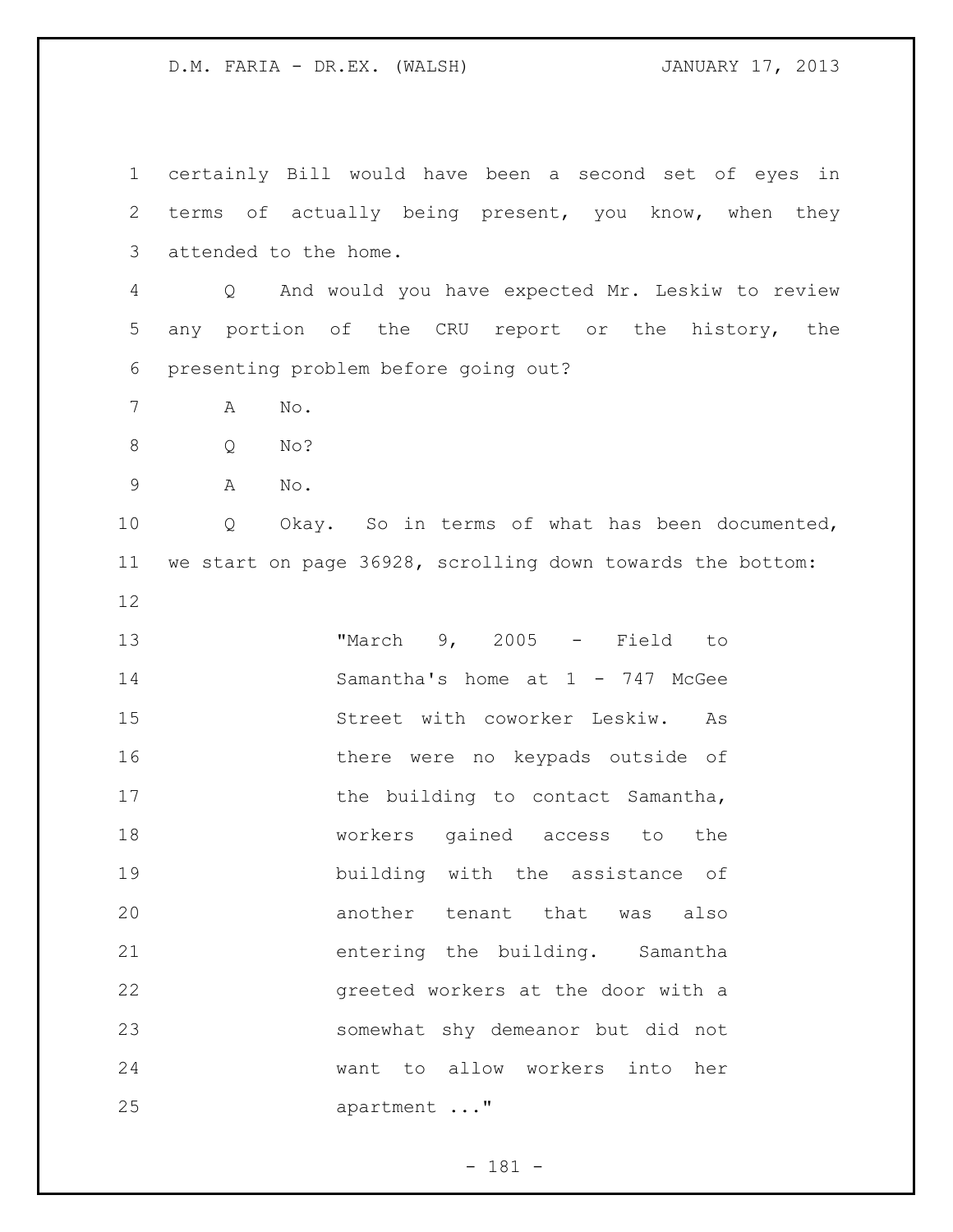certainly Bill would have been a second set of eyes in terms of actually being present, you know, when they attended to the home. Q And would you have expected Mr. Leskiw to review any portion of the CRU report or the history, the presenting problem before going out? A No. Q No? A No. Q Okay. So in terms of what has been documented, we start on page 36928, scrolling down towards the bottom: "March 9, 2005 - Field to Samantha's home at 1 - 747 McGee Street with coworker Leskiw. As 16 there were no keypads outside of 17 the building to contact Samantha, workers gained access to the building with the assistance of another tenant that was also entering the building. Samantha greeted workers at the door with a somewhat shy demeanor but did not want to allow workers into her 25 apartment ..."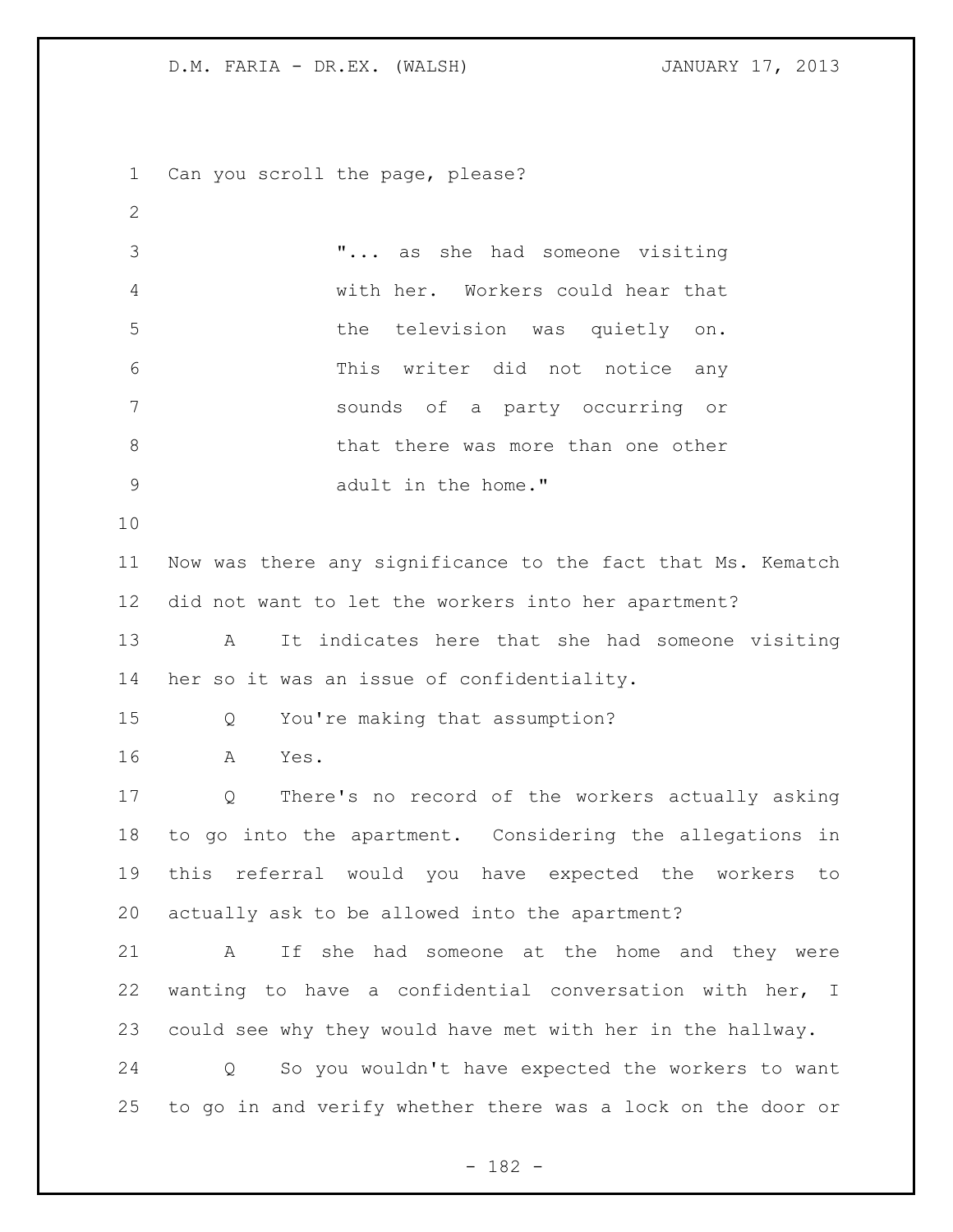Can you scroll the page, please? "... as she had someone visiting with her. Workers could hear that the television was quietly on. This writer did not notice any sounds of a party occurring or 8 b that there was more than one other adult in the home." Now was there any significance to the fact that Ms. Kematch did not want to let the workers into her apartment? A It indicates here that she had someone visiting her so it was an issue of confidentiality. Q You're making that assumption? A Yes. Q There's no record of the workers actually asking to go into the apartment. Considering the allegations in this referral would you have expected the workers to actually ask to be allowed into the apartment? A If she had someone at the home and they were wanting to have a confidential conversation with her, I could see why they would have met with her in the hallway. Q So you wouldn't have expected the workers to want to go in and verify whether there was a lock on the door or

- 182 -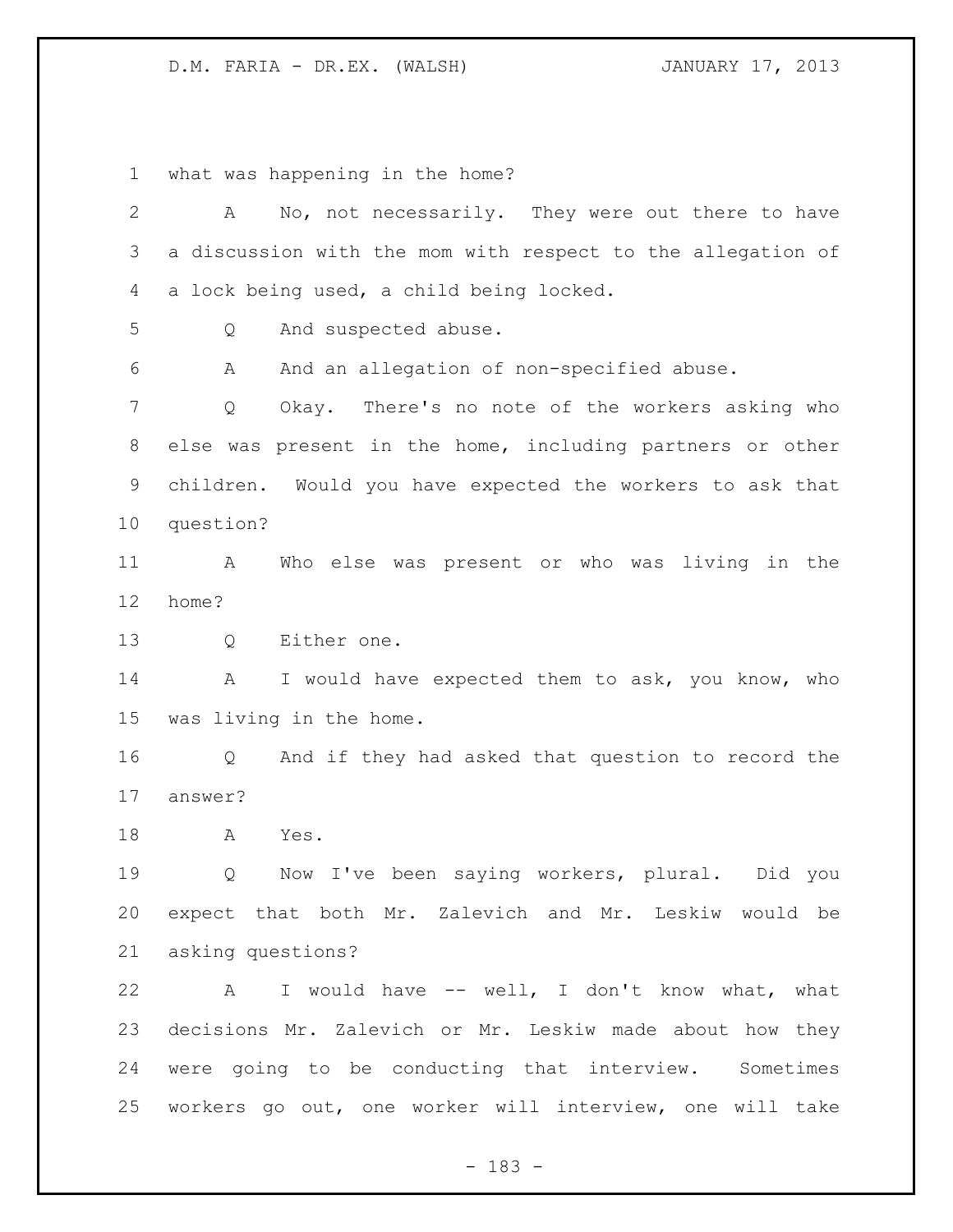what was happening in the home?

| $\mathbf{2}$ | No, not necessarily. They were out there to have<br>Α       |
|--------------|-------------------------------------------------------------|
| 3            | a discussion with the mom with respect to the allegation of |
| 4            | a lock being used, a child being locked.                    |
| 5            | And suspected abuse.<br>Q                                   |
| 6            | And an allegation of non-specified abuse.<br>А              |
| 7            | Okay. There's no note of the workers asking who<br>Q        |
| 8            | else was present in the home, including partners or other   |
| 9            | children. Would you have expected the workers to ask that   |
| 10           | question?                                                   |
| 11           | Who else was present or who was living in the<br>A          |
| 12           | home?                                                       |
| 13           | Either one.<br>Q                                            |
| 14           | I would have expected them to ask, you know, who<br>A       |
| 15           | was living in the home.                                     |
| 16           | And if they had asked that question to record the<br>Q      |
| 17           | answer?                                                     |
| 18           | Yes.<br>A                                                   |
| 19           | Now I've been saying workers, plural. Did you<br>Q          |
| 20           | expect that both Mr. Zalevich and Mr. Leskiw would be       |
| 21           | asking questions?                                           |
| 22           | A I would have -- well, I don't know what, what             |
| 23           | decisions Mr. Zalevich or Mr. Leskiw made about how they    |
| 24           | were going to be conducting that interview. Sometimes       |
| 25           | workers go out, one worker will interview, one will take    |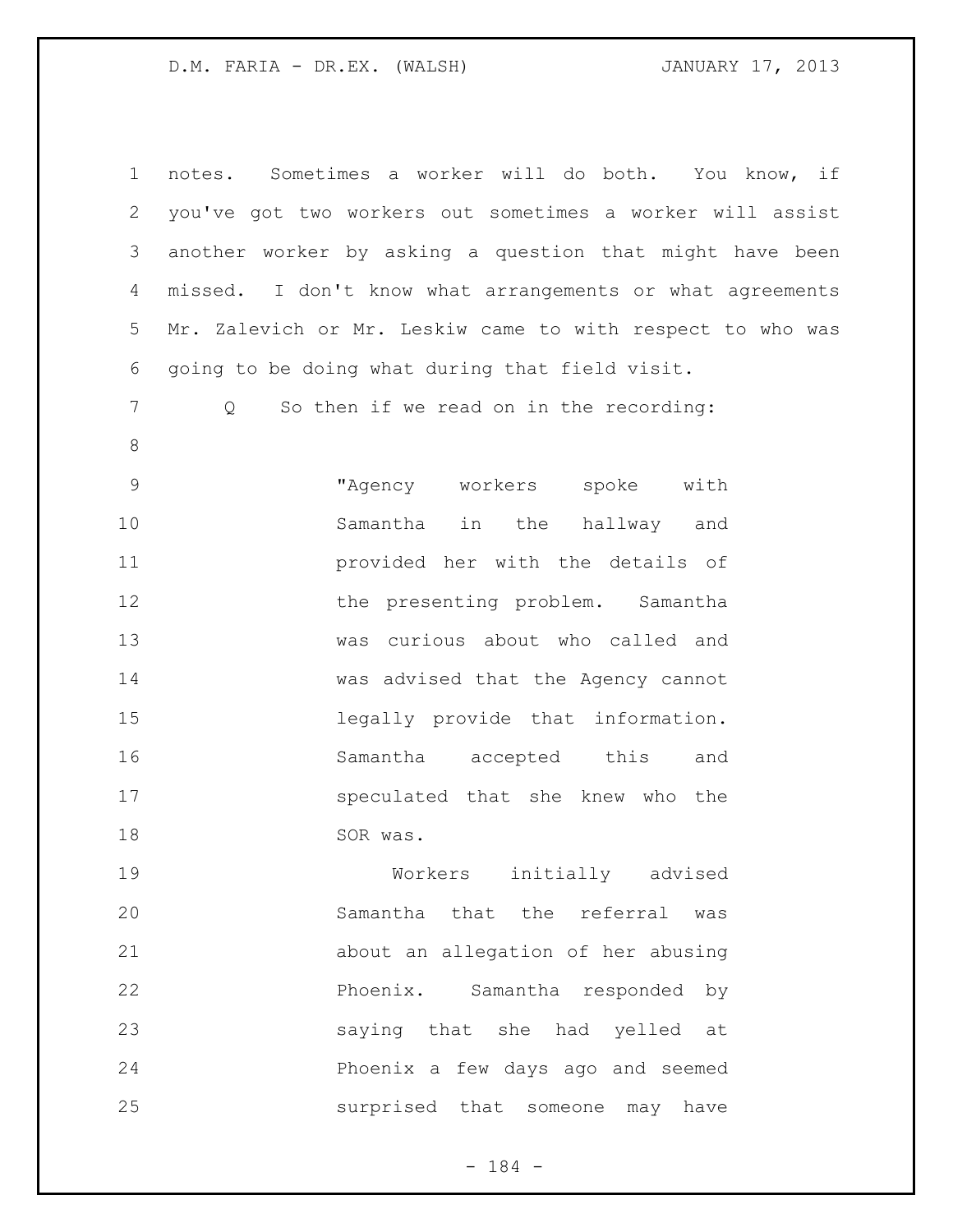notes. Sometimes a worker will do both. You know, if you've got two workers out sometimes a worker will assist another worker by asking a question that might have been missed. I don't know what arrangements or what agreements Mr. Zalevich or Mr. Leskiw came to with respect to who was going to be doing what during that field visit. Q So then if we read on in the recording: "Agency workers spoke with Samantha in the hallway and provided her with the details of 12 the presenting problem. Samantha was curious about who called and was advised that the Agency cannot legally provide that information. Samantha accepted this and speculated that she knew who the 18 SOR was. Workers initially advised Samantha that the referral was about an allegation of her abusing Phoenix. Samantha responded by saying that she had yelled at Phoenix a few days ago and seemed surprised that someone may have

- 184 -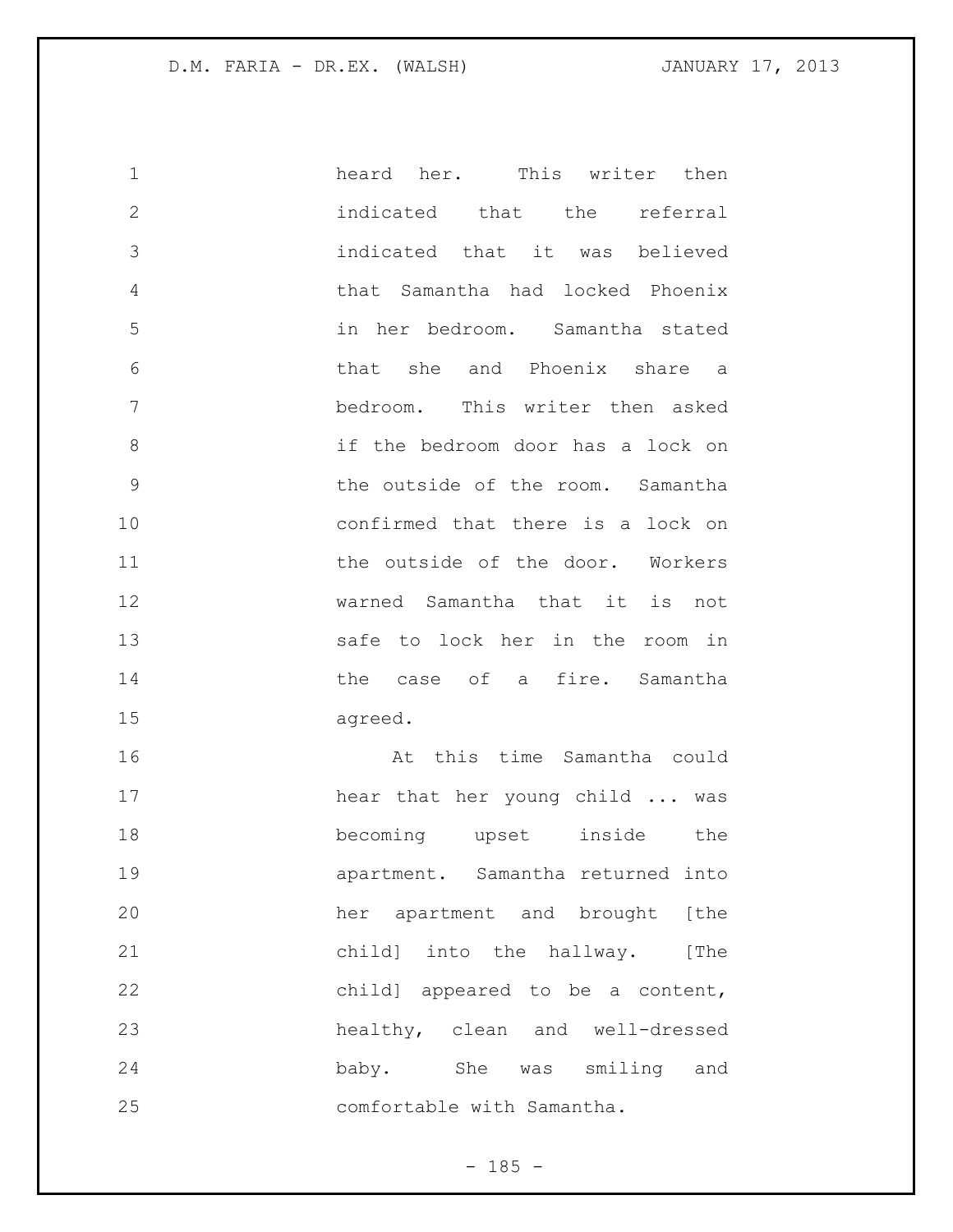| $\mathbf 1$    | heard her. This writer then       |
|----------------|-----------------------------------|
| $\overline{2}$ | indicated that the referral       |
| 3              | indicated that it was believed    |
| 4              | that Samantha had locked Phoenix  |
| 5              | in her bedroom. Samantha stated   |
| 6              | that she and Phoenix share a      |
| 7              | bedroom. This writer then asked   |
| 8              | if the bedroom door has a lock on |
| 9              | the outside of the room. Samantha |
| 10             | confirmed that there is a lock on |
| 11             | the outside of the door. Workers  |
| 12             | warned Samantha that it is not    |
| 13             | safe to lock her in the room in   |
| 14             | the case of a fire. Samantha      |
| 15             | agreed.                           |
| 16             | At this time Samantha could       |
| 17             | hear that her young child  was    |
| 18             | becoming upset inside<br>the      |
| 19             | apartment. Samantha returned into |
| 20             | her apartment and brought [the    |
| 21             | child] into the hallway. [The     |
| 22             | child] appeared to be a content,  |
| 23             | healthy, clean and well-dressed   |

comfortable with Samantha.

baby. She was smiling and

- 185 -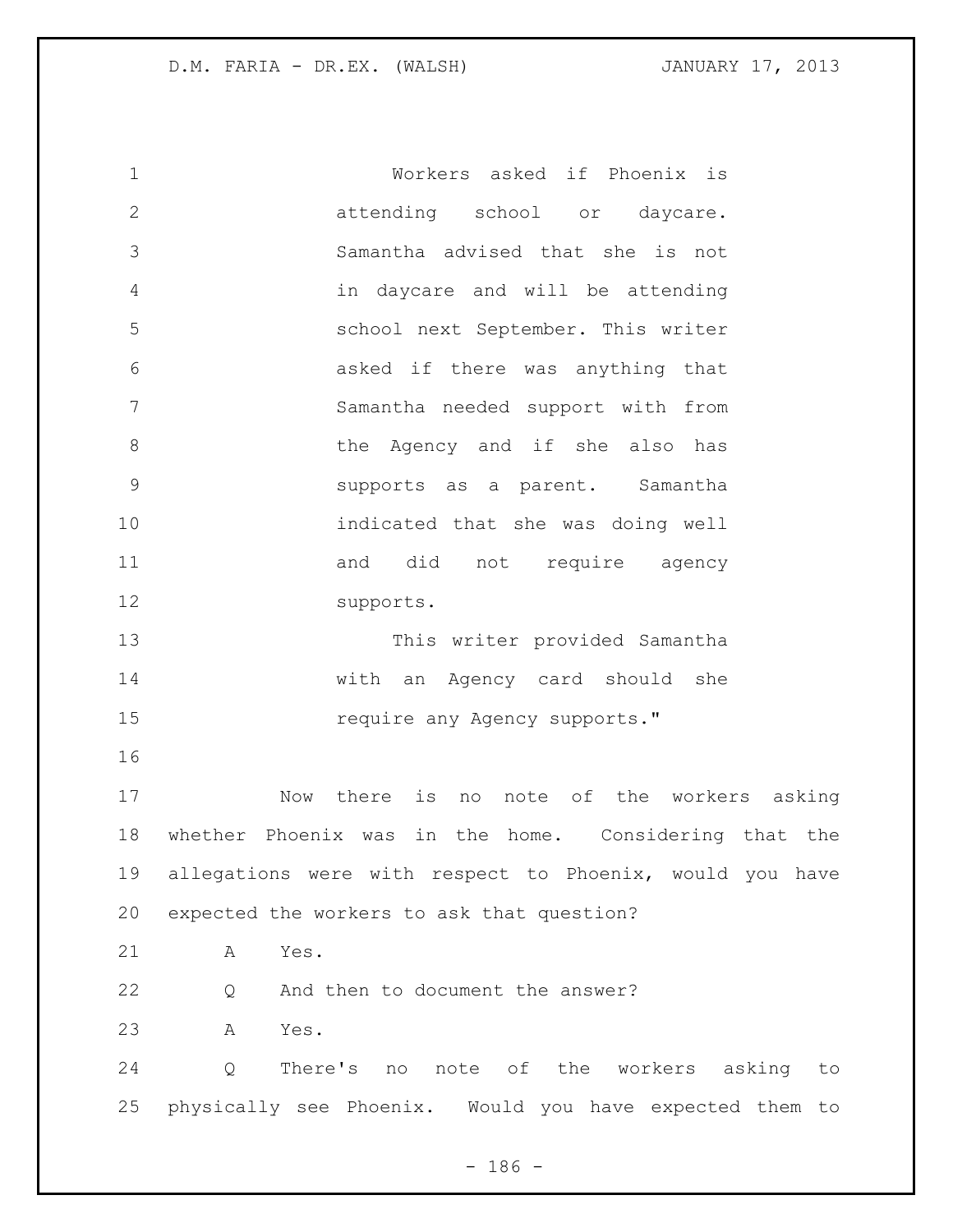Workers asked if Phoenix is attending school or daycare. Samantha advised that she is not in daycare and will be attending school next September. This writer asked if there was anything that Samantha needed support with from 8 6 1 1 the Agency and if she also has supports as a parent. Samantha indicated that she was doing well 11 and did not require agency supports. This writer provided Samantha with an Agency card should she **15** require any Agency supports." Now there is no note of the workers asking whether Phoenix was in the home. Considering that the allegations were with respect to Phoenix, would you have expected the workers to ask that question? A Yes. 22 Q And then to document the answer? A Yes. Q There's no note of the workers asking to physically see Phoenix. Would you have expected them to

 $- 186 -$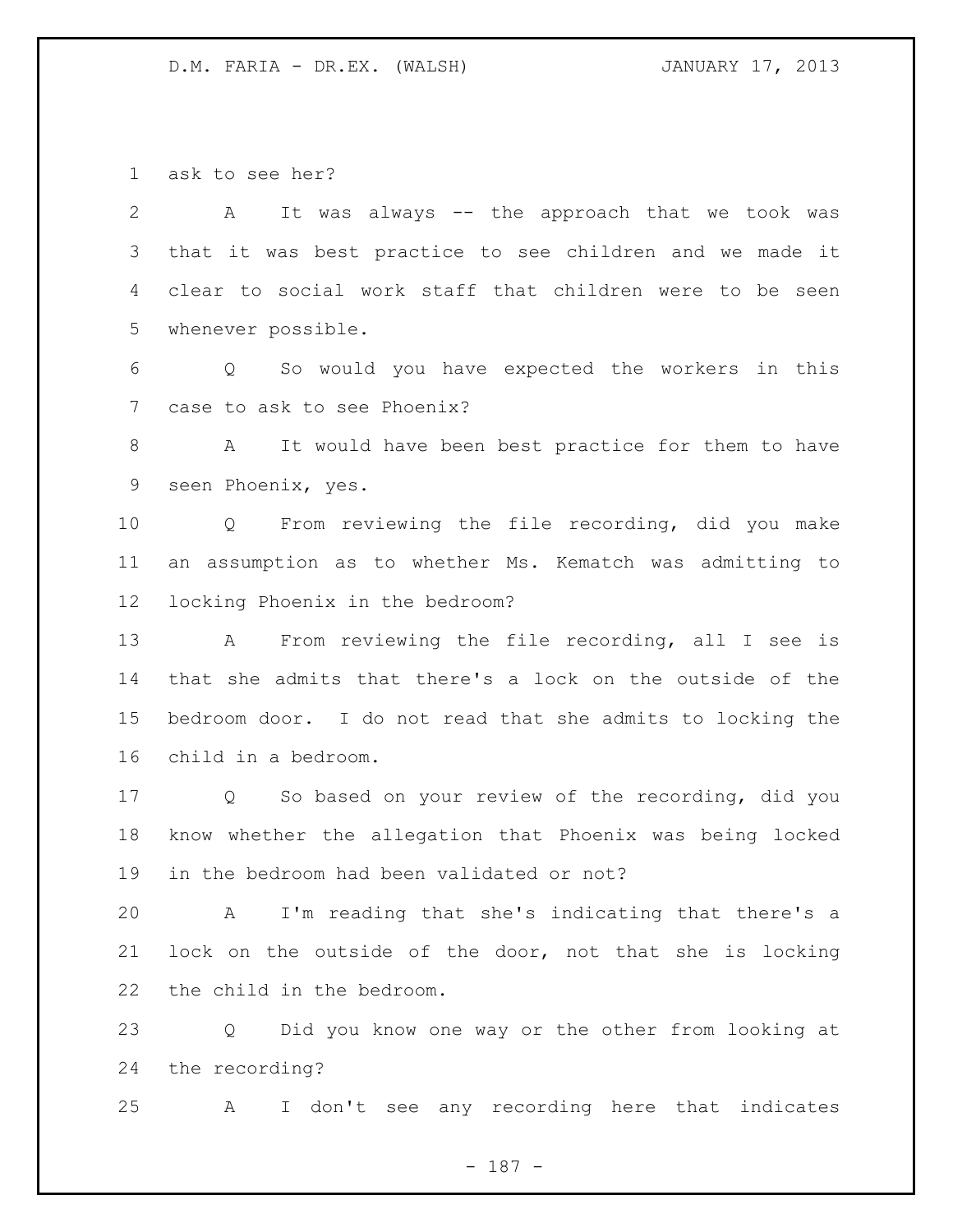ask to see her?

 A It was always -- the approach that we took was that it was best practice to see children and we made it clear to social work staff that children were to be seen whenever possible.

 Q So would you have expected the workers in this case to ask to see Phoenix?

 A It would have been best practice for them to have seen Phoenix, yes.

 Q From reviewing the file recording, did you make an assumption as to whether Ms. Kematch was admitting to locking Phoenix in the bedroom?

 A From reviewing the file recording, all I see is that she admits that there's a lock on the outside of the bedroom door. I do not read that she admits to locking the child in a bedroom.

 Q So based on your review of the recording, did you know whether the allegation that Phoenix was being locked in the bedroom had been validated or not?

 A I'm reading that she's indicating that there's a lock on the outside of the door, not that she is locking the child in the bedroom.

 Q Did you know one way or the other from looking at the recording?

A I don't see any recording here that indicates

- 187 -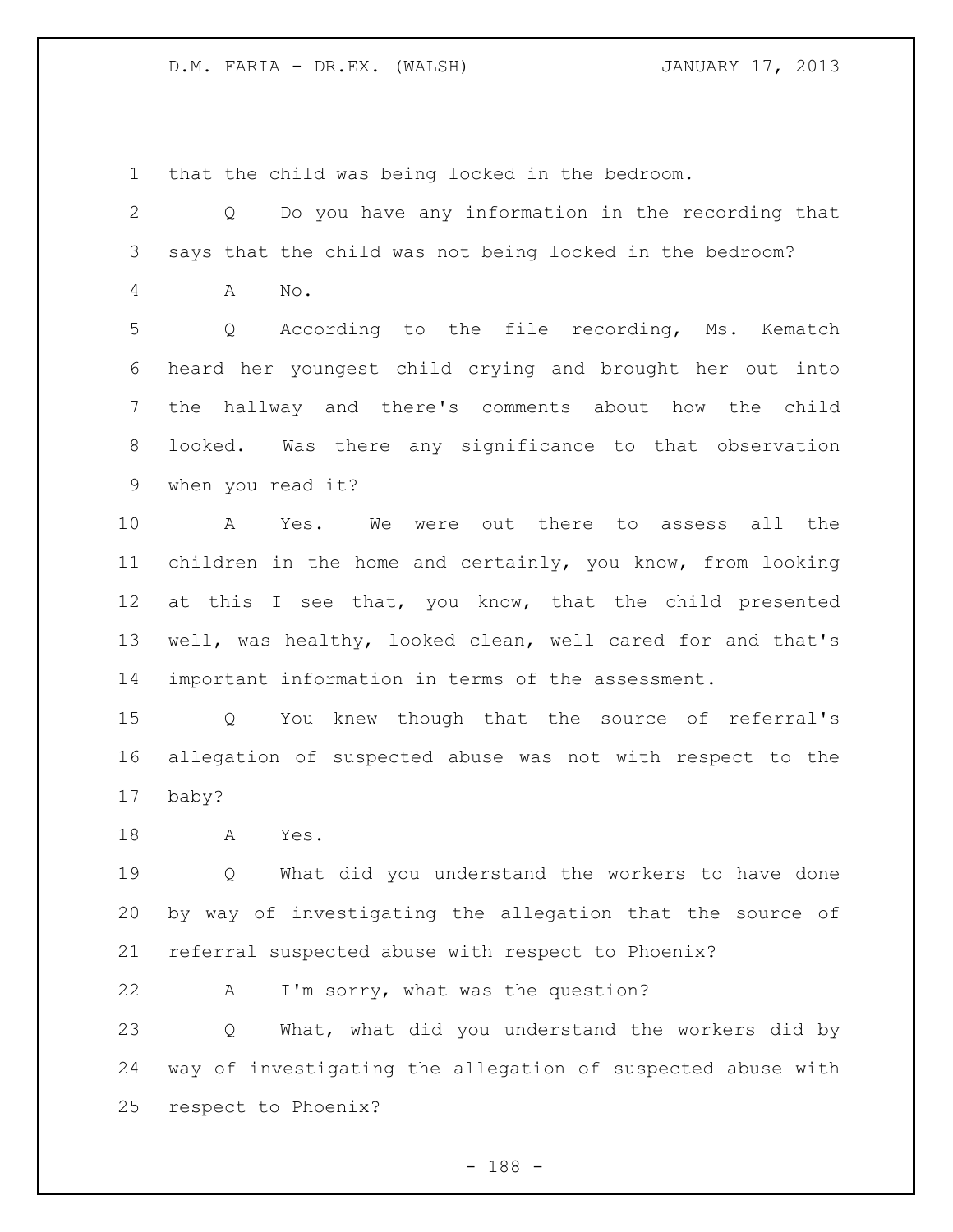that the child was being locked in the bedroom.

 Q Do you have any information in the recording that says that the child was not being locked in the bedroom? A No. Q According to the file recording, Ms. Kematch heard her youngest child crying and brought her out into the hallway and there's comments about how the child looked. Was there any significance to that observation when you read it? A Yes. We were out there to assess all the children in the home and certainly, you know, from looking at this I see that, you know, that the child presented well, was healthy, looked clean, well cared for and that's important information in terms of the assessment. Q You knew though that the source of referral's allegation of suspected abuse was not with respect to the baby? A Yes. Q What did you understand the workers to have done by way of investigating the allegation that the source of referral suspected abuse with respect to Phoenix? A I'm sorry, what was the question? Q What, what did you understand the workers did by way of investigating the allegation of suspected abuse with respect to Phoenix?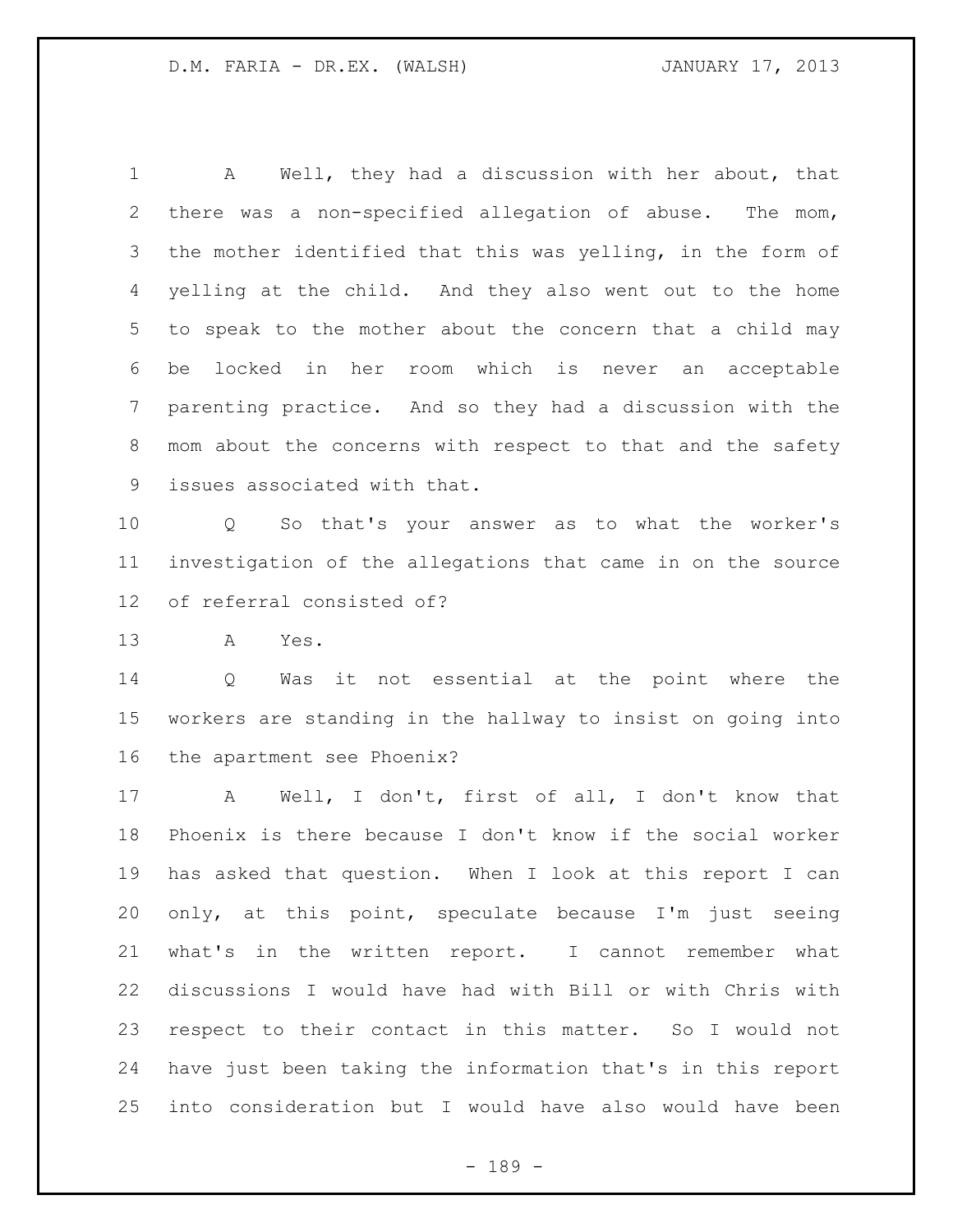A Well, they had a discussion with her about, that there was a non-specified allegation of abuse. The mom, the mother identified that this was yelling, in the form of yelling at the child. And they also went out to the home to speak to the mother about the concern that a child may be locked in her room which is never an acceptable parenting practice. And so they had a discussion with the mom about the concerns with respect to that and the safety issues associated with that.

 Q So that's your answer as to what the worker's investigation of the allegations that came in on the source of referral consisted of?

A Yes.

 Q Was it not essential at the point where the workers are standing in the hallway to insist on going into the apartment see Phoenix?

 A Well, I don't, first of all, I don't know that Phoenix is there because I don't know if the social worker has asked that question. When I look at this report I can only, at this point, speculate because I'm just seeing what's in the written report. I cannot remember what discussions I would have had with Bill or with Chris with respect to their contact in this matter. So I would not have just been taking the information that's in this report into consideration but I would have also would have been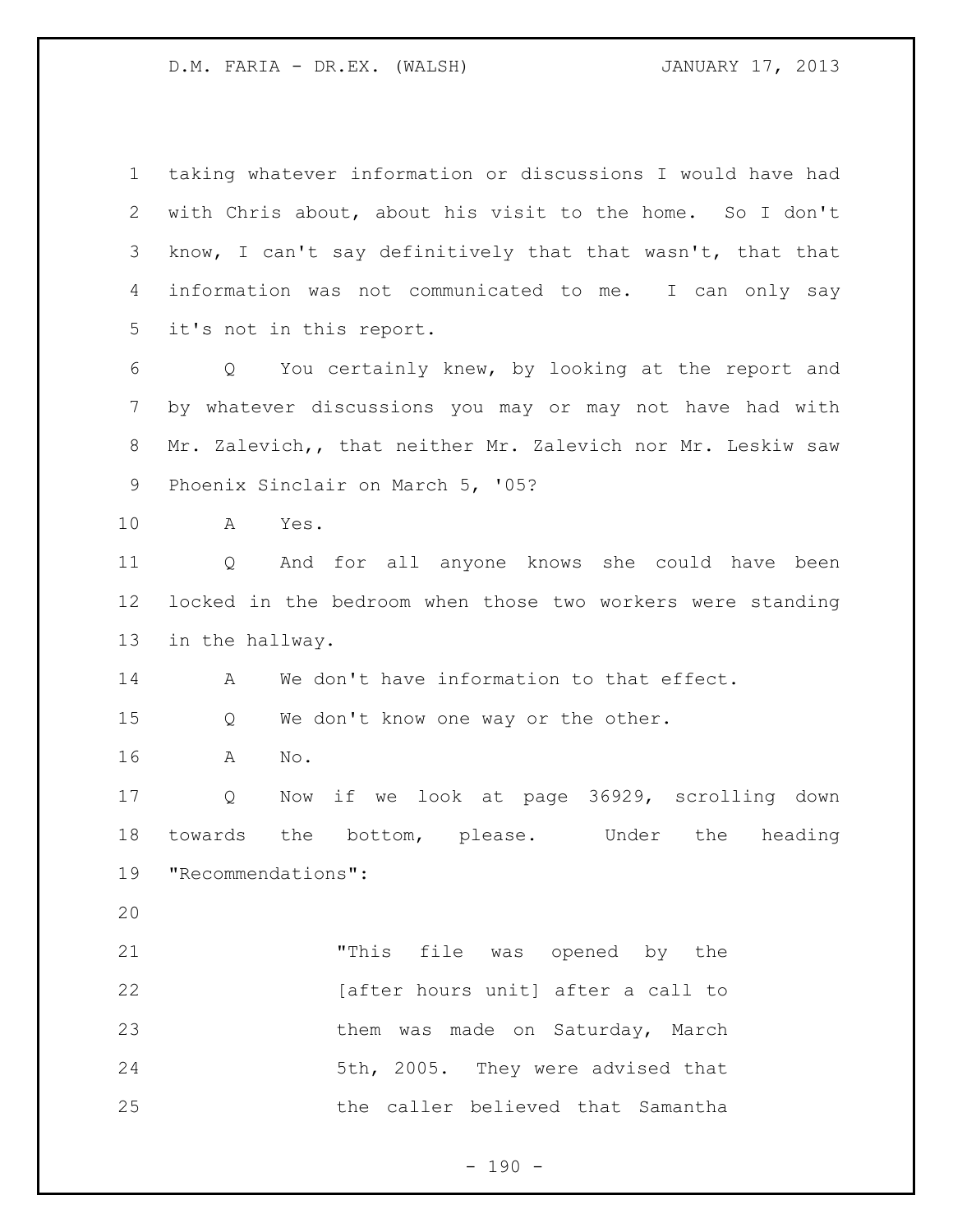| $\mathbf 1$    | taking whatever information or discussions I would have had |
|----------------|-------------------------------------------------------------|
| $\overline{2}$ | with Chris about, about his visit to the home. So I don't   |
| 3              | know, I can't say definitively that that wasn't, that that  |
| 4              | information was not communicated to me. I can only say      |
| 5              | it's not in this report.                                    |
| 6              | Q You certainly knew, by looking at the report and          |
| $\overline{7}$ | by whatever discussions you may or may not have had with    |
| 8              | Mr. Zalevich,, that neither Mr. Zalevich nor Mr. Leskiw saw |
| 9              | Phoenix Sinclair on March 5, '05?                           |
| 10             | A<br>Yes.                                                   |
| 11             | And for all anyone knows she could have been<br>Q           |
| 12             | locked in the bedroom when those two workers were standing  |
| 13             | in the hallway.                                             |
| 14             | We don't have information to that effect.<br>A              |
| 15             | We don't know one way or the other.<br>Q                    |
| 16             | No.<br>A                                                    |
| 17             | if we look at page 36929, scrolling down<br>Q<br>Now        |
| 18             | towards<br>the<br>bottom, please. Under the<br>heading      |
| 19             | "Recommendations":                                          |
| 20             |                                                             |
| 21             | "This file was opened by the                                |
| 22             | [after hours unit] after a call to                          |
| 23             | them was made on Saturday, March                            |
| 24             | 5th, 2005. They were advised that                           |
| 25             | the caller believed that Samantha                           |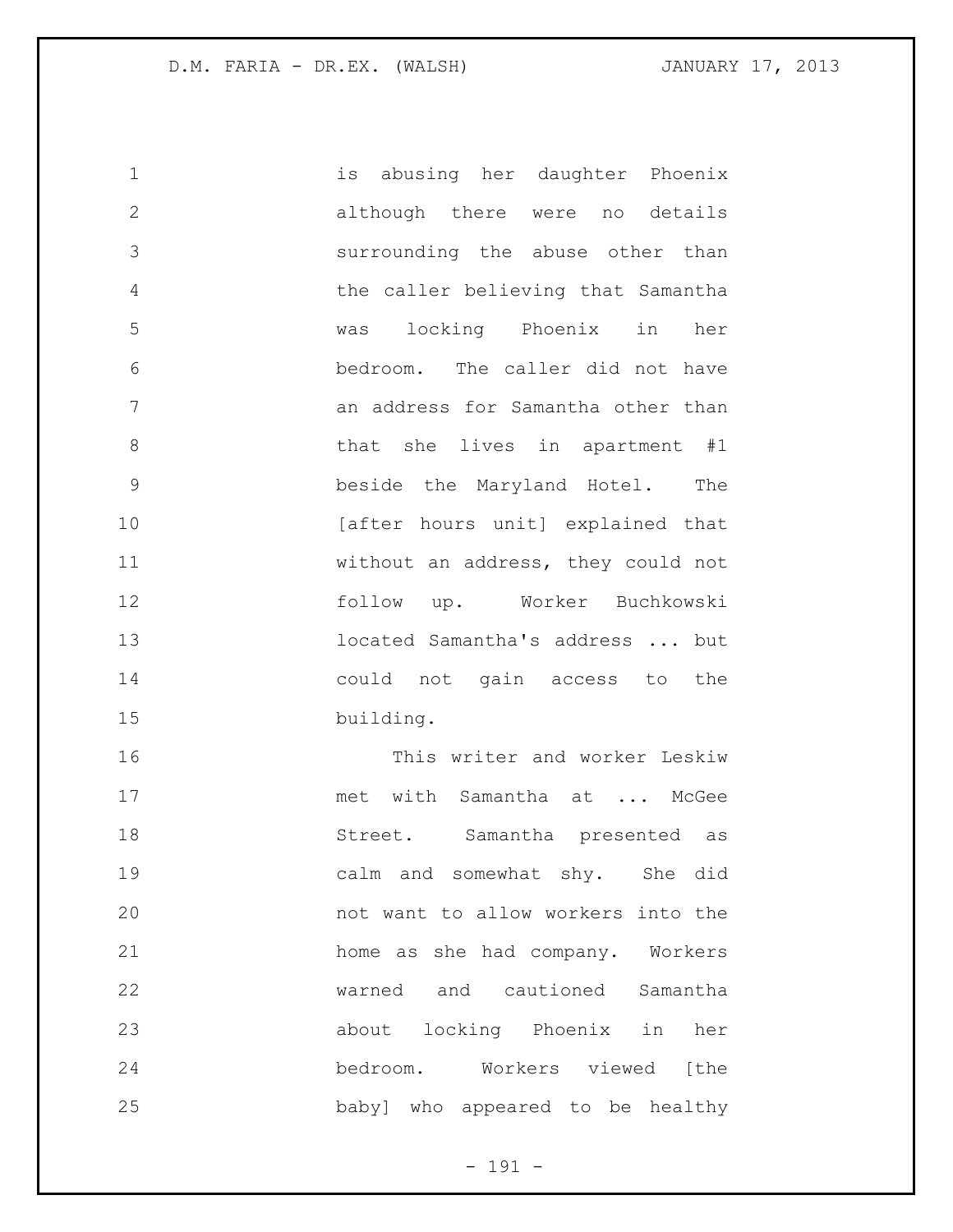is abusing her daughter Phoenix although there were no details surrounding the abuse other than the caller believing that Samantha was locking Phoenix in her bedroom. The caller did not have an address for Samantha other than 8 bhat she lives in apartment #1 beside the Maryland Hotel. The 10 [after hours unit] explained that without an address, they could not follow up. Worker Buchkowski located Samantha's address ... but could not gain access to the building. This writer and worker Leskiw 17 met with Samantha at ... McGee Street. Samantha presented as calm and somewhat shy. She did not want to allow workers into the home as she had company. Workers

warned and cautioned Samantha

about locking Phoenix in her

bedroom. Workers viewed [the

baby] who appeared to be healthy

- 191 -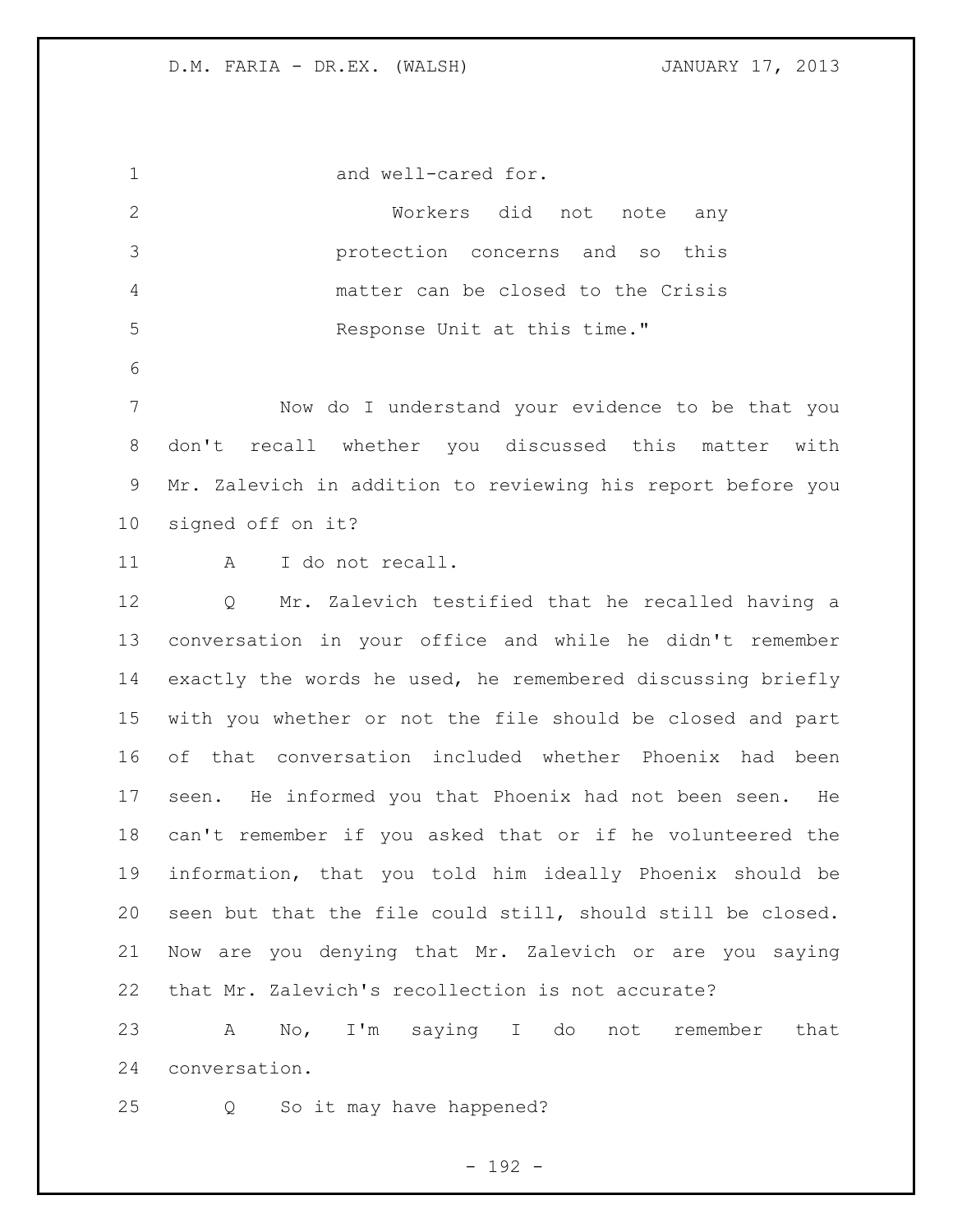and well-cared for. Workers did not note any protection concerns and so this matter can be closed to the Crisis 5 Response Unit at this time." Now do I understand your evidence to be that you don't recall whether you discussed this matter with Mr. Zalevich in addition to reviewing his report before you signed off on it? 11 A I do not recall. Q Mr. Zalevich testified that he recalled having a conversation in your office and while he didn't remember exactly the words he used, he remembered discussing briefly with you whether or not the file should be closed and part of that conversation included whether Phoenix had been seen. He informed you that Phoenix had not been seen. He can't remember if you asked that or if he volunteered the information, that you told him ideally Phoenix should be seen but that the file could still, should still be closed. Now are you denying that Mr. Zalevich or are you saying that Mr. Zalevich's recollection is not accurate? A No, I'm saying I do not remember that

conversation.

Q So it may have happened?

 $- 192 -$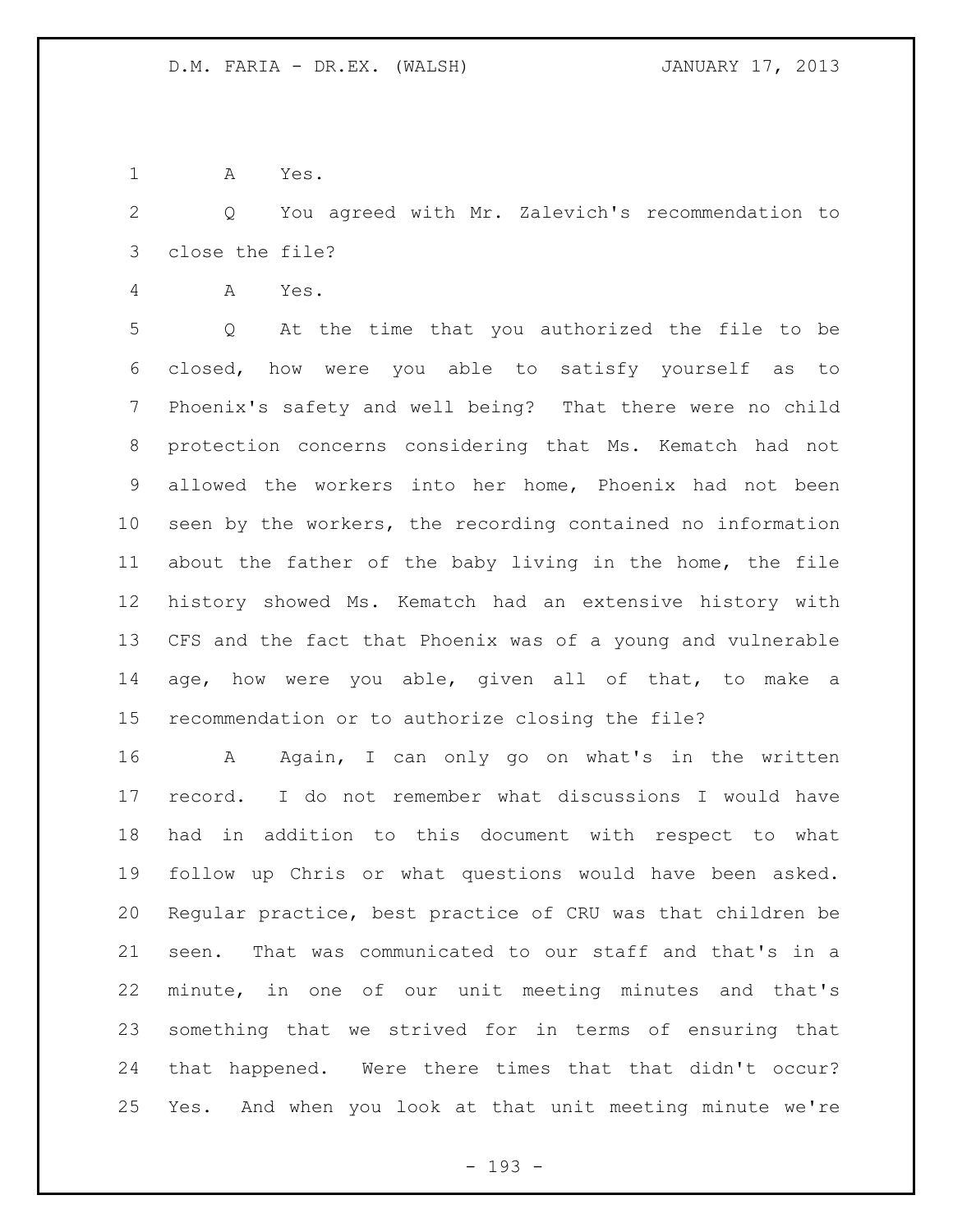A Yes.

 Q You agreed with Mr. Zalevich's recommendation to close the file?

A Yes.

 Q At the time that you authorized the file to be closed, how were you able to satisfy yourself as to Phoenix's safety and well being? That there were no child protection concerns considering that Ms. Kematch had not allowed the workers into her home, Phoenix had not been seen by the workers, the recording contained no information about the father of the baby living in the home, the file history showed Ms. Kematch had an extensive history with CFS and the fact that Phoenix was of a young and vulnerable age, how were you able, given all of that, to make a recommendation or to authorize closing the file?

 A Again, I can only go on what's in the written record. I do not remember what discussions I would have had in addition to this document with respect to what follow up Chris or what questions would have been asked. Regular practice, best practice of CRU was that children be seen. That was communicated to our staff and that's in a minute, in one of our unit meeting minutes and that's something that we strived for in terms of ensuring that that happened. Were there times that that didn't occur? Yes. And when you look at that unit meeting minute we're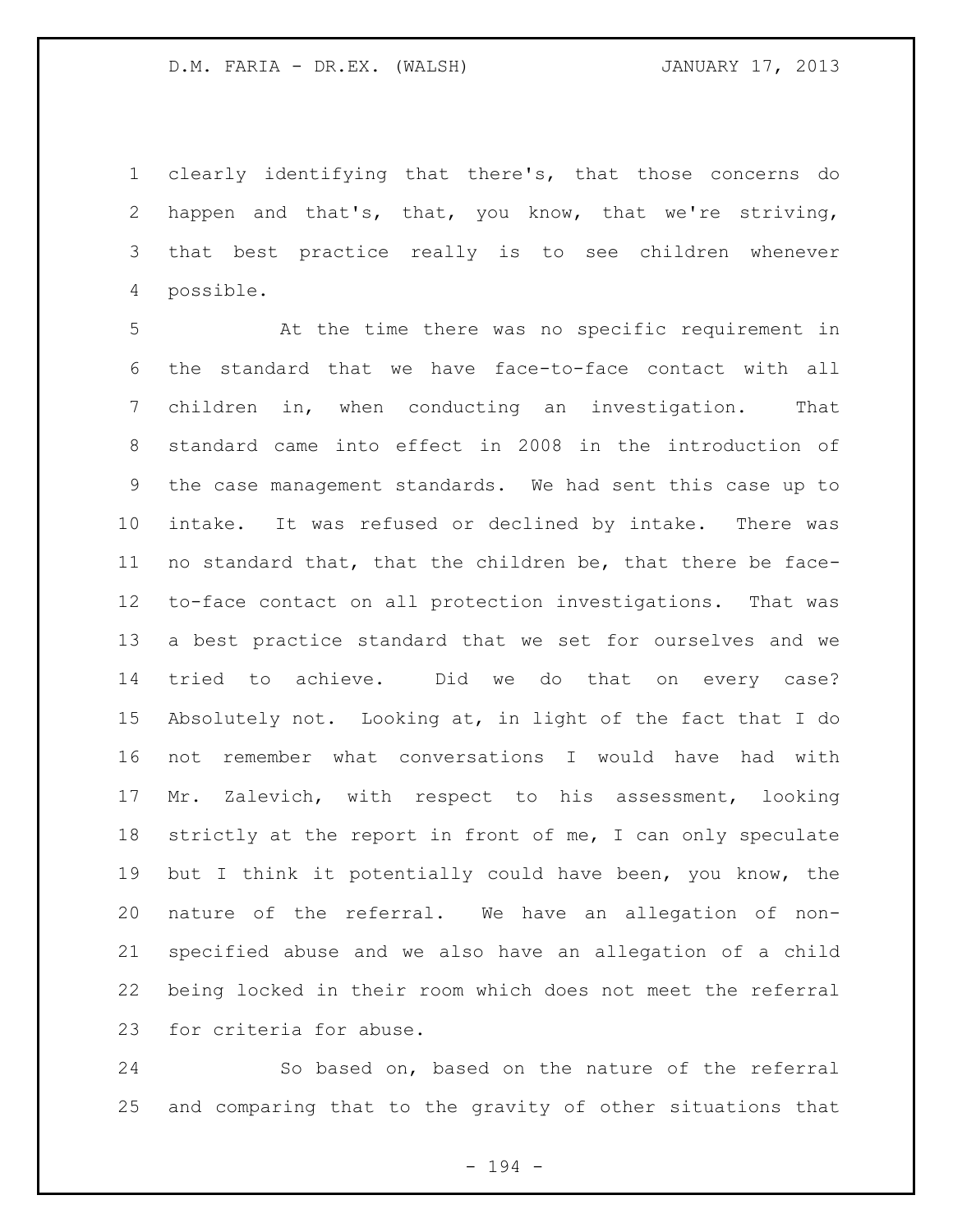clearly identifying that there's, that those concerns do happen and that's, that, you know, that we're striving, that best practice really is to see children whenever possible.

 At the time there was no specific requirement in the standard that we have face-to-face contact with all children in, when conducting an investigation. That standard came into effect in 2008 in the introduction of the case management standards. We had sent this case up to intake. It was refused or declined by intake. There was no standard that, that the children be, that there be face- to-face contact on all protection investigations. That was a best practice standard that we set for ourselves and we tried to achieve. Did we do that on every case? Absolutely not. Looking at, in light of the fact that I do not remember what conversations I would have had with Mr. Zalevich, with respect to his assessment, looking strictly at the report in front of me, I can only speculate but I think it potentially could have been, you know, the nature of the referral. We have an allegation of non- specified abuse and we also have an allegation of a child being locked in their room which does not meet the referral for criteria for abuse.

 So based on, based on the nature of the referral and comparing that to the gravity of other situations that

- 194 -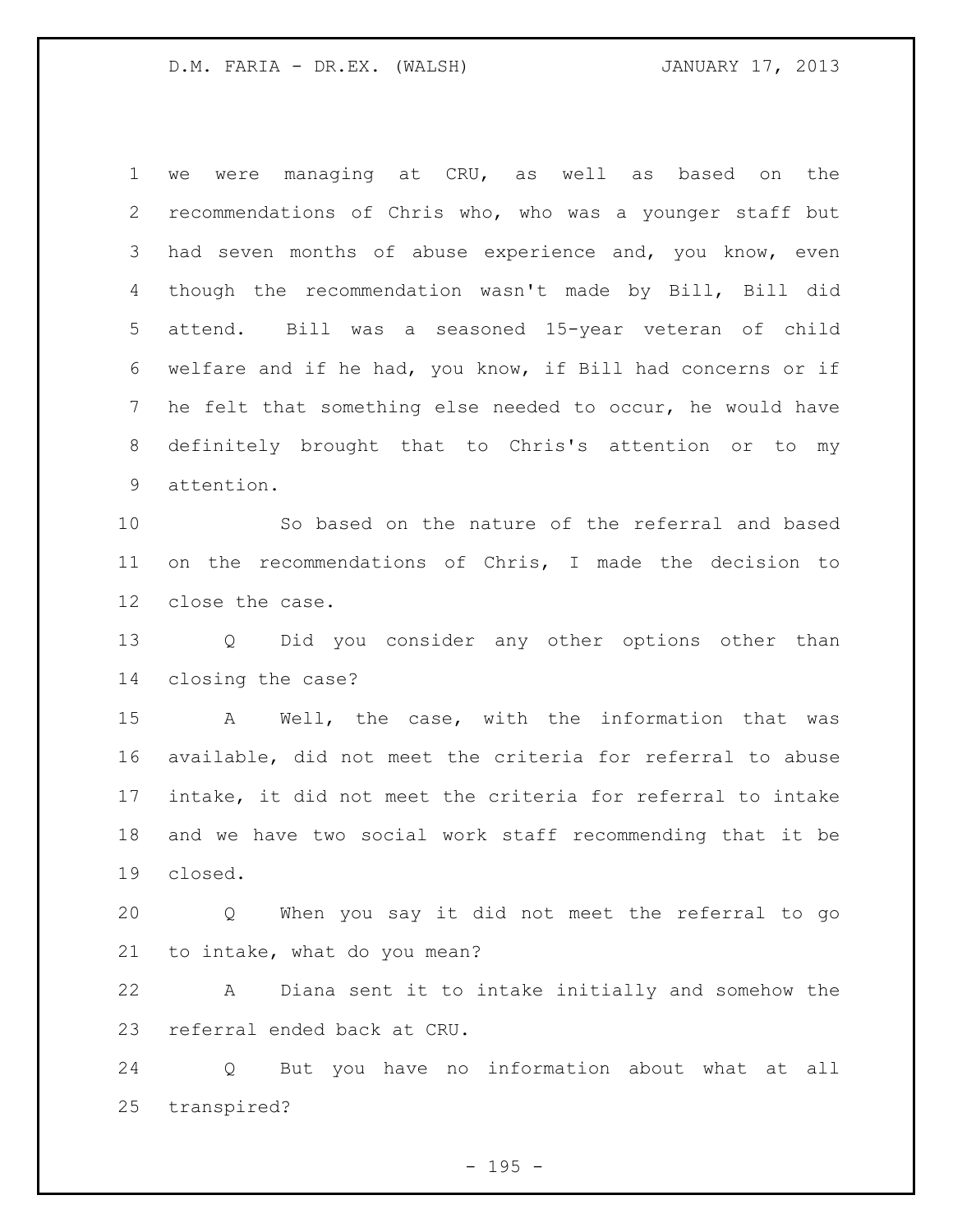we were managing at CRU, as well as based on the recommendations of Chris who, who was a younger staff but 3 had seven months of abuse experience and, you know, even though the recommendation wasn't made by Bill, Bill did attend. Bill was a seasoned 15-year veteran of child welfare and if he had, you know, if Bill had concerns or if he felt that something else needed to occur, he would have definitely brought that to Chris's attention or to my attention.

 So based on the nature of the referral and based on the recommendations of Chris, I made the decision to close the case.

 Q Did you consider any other options other than closing the case?

 A Well, the case, with the information that was available, did not meet the criteria for referral to abuse intake, it did not meet the criteria for referral to intake and we have two social work staff recommending that it be closed.

 Q When you say it did not meet the referral to go to intake, what do you mean?

 A Diana sent it to intake initially and somehow the referral ended back at CRU.

 Q But you have no information about what at all transpired?

 $- 195 -$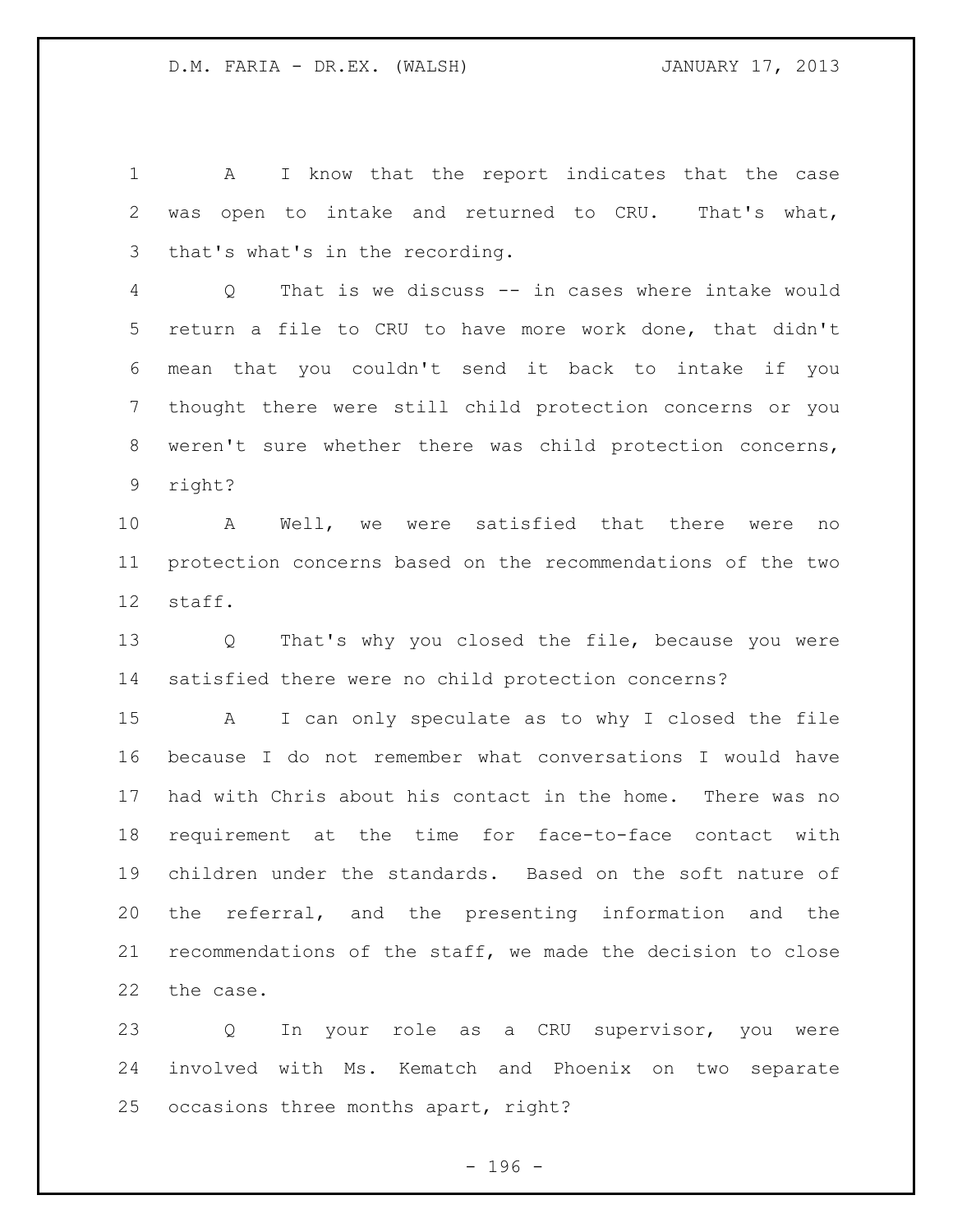1 A I know that the report indicates that the case was open to intake and returned to CRU. That's what, that's what's in the recording.

 Q That is we discuss -- in cases where intake would return a file to CRU to have more work done, that didn't mean that you couldn't send it back to intake if you thought there were still child protection concerns or you weren't sure whether there was child protection concerns, right?

 A Well, we were satisfied that there were no protection concerns based on the recommendations of the two staff.

 Q That's why you closed the file, because you were satisfied there were no child protection concerns?

 A I can only speculate as to why I closed the file because I do not remember what conversations I would have had with Chris about his contact in the home. There was no requirement at the time for face-to-face contact with children under the standards. Based on the soft nature of the referral, and the presenting information and the recommendations of the staff, we made the decision to close the case.

 Q In your role as a CRU supervisor, you were involved with Ms. Kematch and Phoenix on two separate occasions three months apart, right?

 $- 196 -$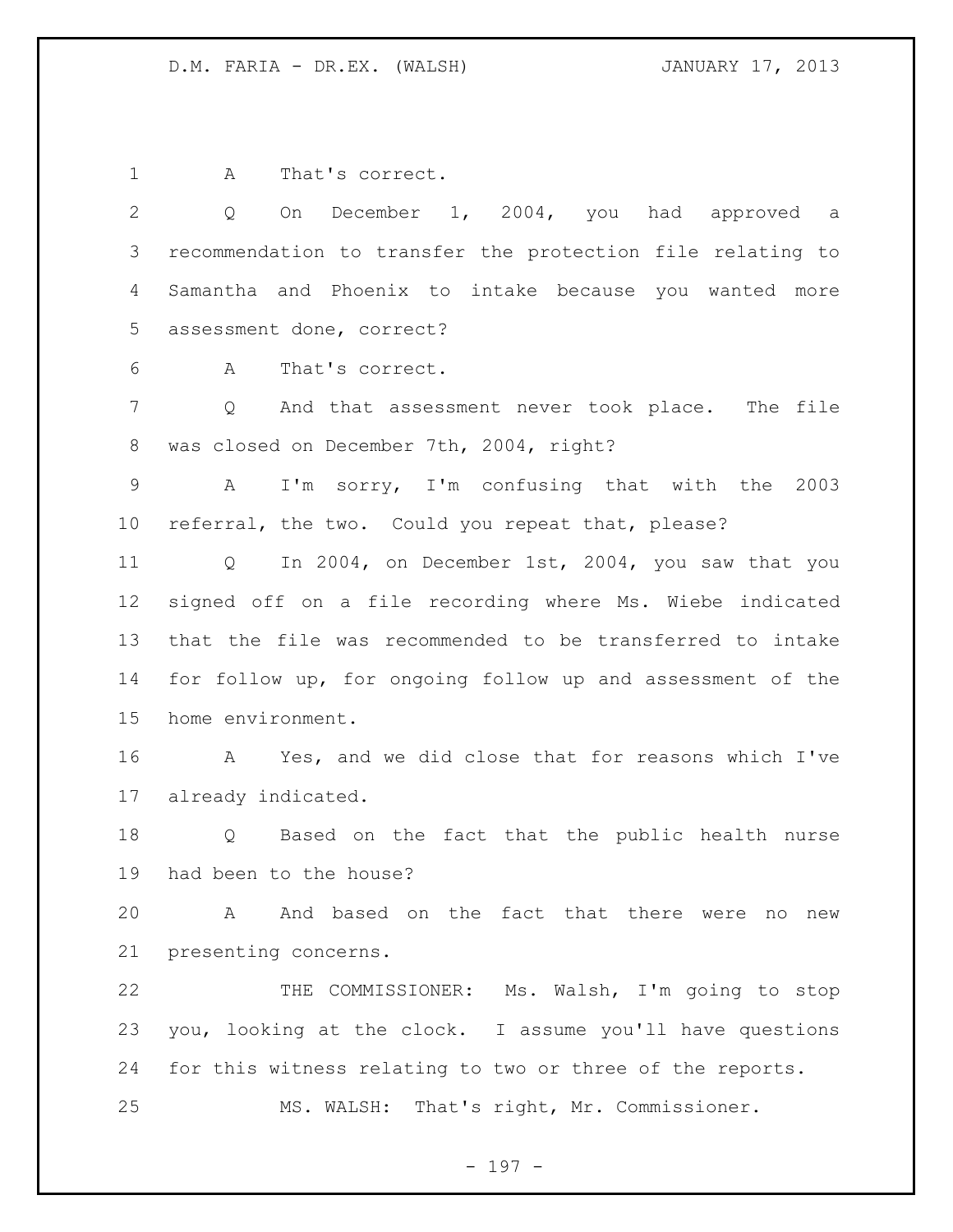A That's correct.

 Q On December 1, 2004, you had approved a recommendation to transfer the protection file relating to Samantha and Phoenix to intake because you wanted more assessment done, correct?

A That's correct.

 Q And that assessment never took place. The file was closed on December 7th, 2004, right?

 A I'm sorry, I'm confusing that with the 2003 referral, the two. Could you repeat that, please?

 Q In 2004, on December 1st, 2004, you saw that you signed off on a file recording where Ms. Wiebe indicated that the file was recommended to be transferred to intake for follow up, for ongoing follow up and assessment of the home environment.

 A Yes, and we did close that for reasons which I've already indicated.

 Q Based on the fact that the public health nurse had been to the house?

 A And based on the fact that there were no new presenting concerns.

 THE COMMISSIONER: Ms. Walsh, I'm going to stop you, looking at the clock. I assume you'll have questions for this witness relating to two or three of the reports. MS. WALSH: That's right, Mr. Commissioner.

- 197 -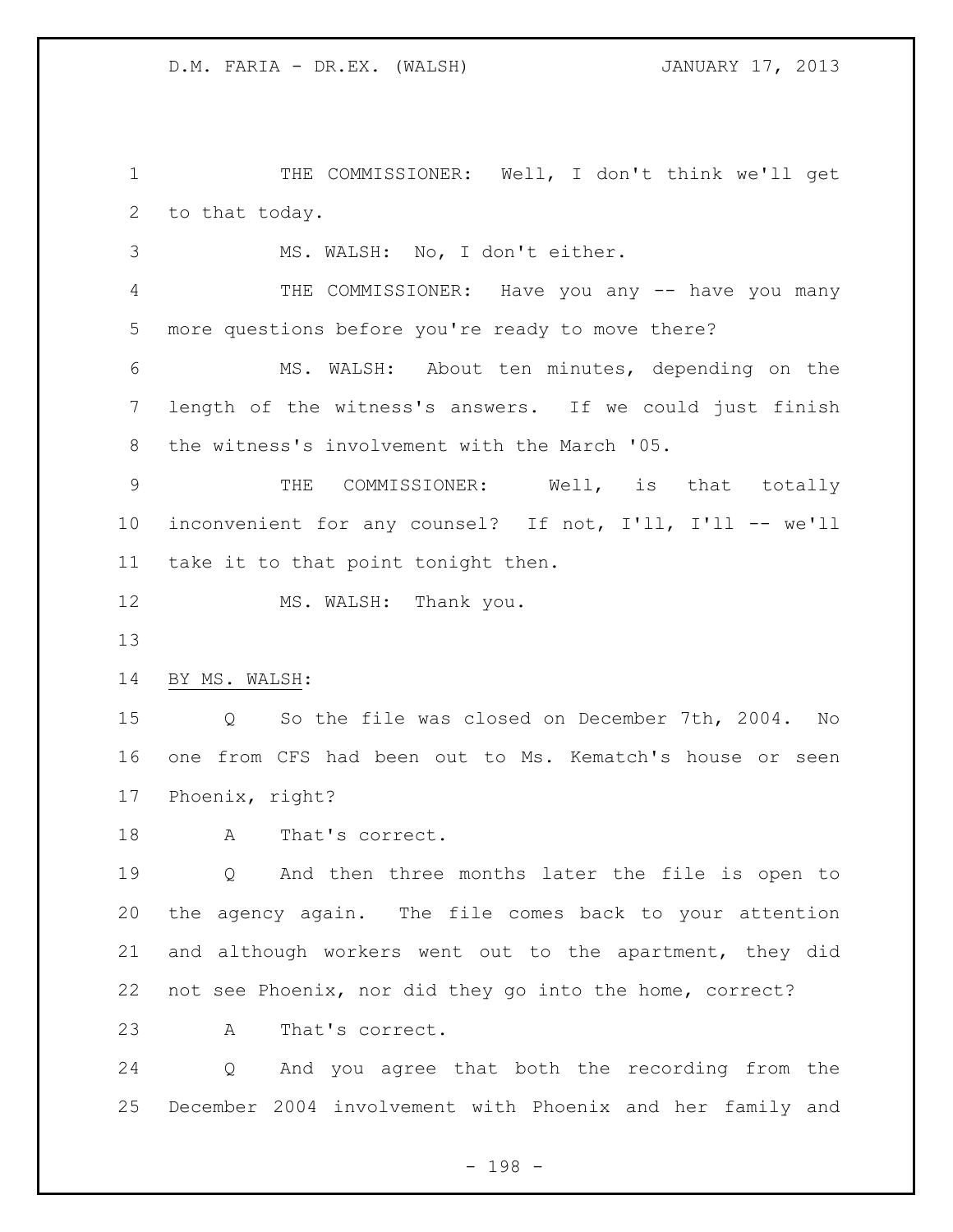1 THE COMMISSIONER: Well, I don't think we'll get to that today.

MS. WALSH: No, I don't either.

 THE COMMISSIONER: Have you any -- have you many more questions before you're ready to move there?

 MS. WALSH: About ten minutes, depending on the length of the witness's answers. If we could just finish the witness's involvement with the March '05.

9 THE COMMISSIONER: Well, is that totally inconvenient for any counsel? If not, I'll, I'll -- we'll take it to that point tonight then.

12 MS. WALSH: Thank you.

BY MS. WALSH:

 Q So the file was closed on December 7th, 2004. No one from CFS had been out to Ms. Kematch's house or seen Phoenix, right?

18 A That's correct.

 Q And then three months later the file is open to the agency again. The file comes back to your attention and although workers went out to the apartment, they did not see Phoenix, nor did they go into the home, correct?

A That's correct.

 Q And you agree that both the recording from the December 2004 involvement with Phoenix and her family and

- 198 -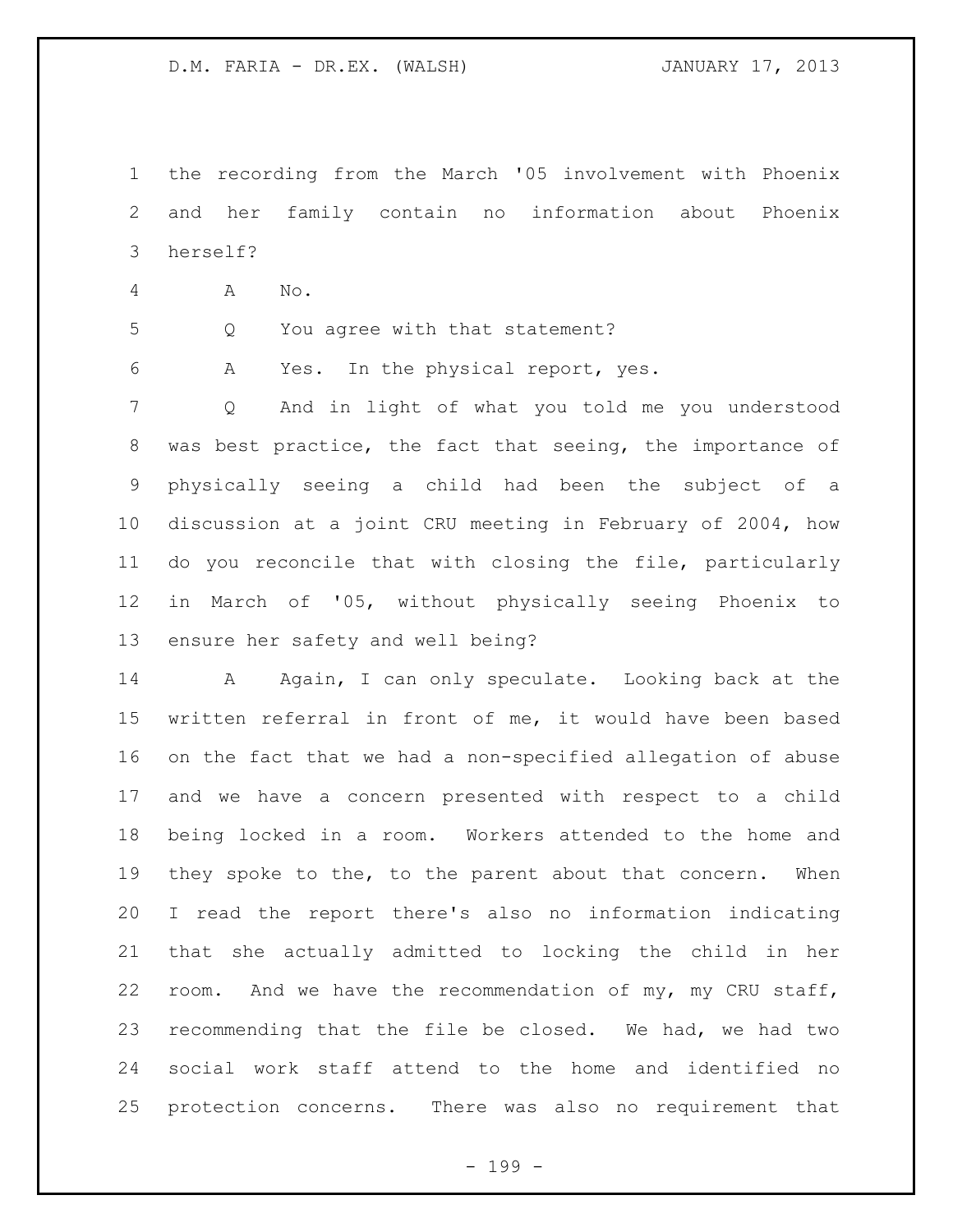the recording from the March '05 involvement with Phoenix and her family contain no information about Phoenix herself?

- A No.
- 
- Q You agree with that statement?

A Yes. In the physical report, yes.

 Q And in light of what you told me you understood was best practice, the fact that seeing, the importance of physically seeing a child had been the subject of a discussion at a joint CRU meeting in February of 2004, how do you reconcile that with closing the file, particularly in March of '05, without physically seeing Phoenix to ensure her safety and well being?

14 A Again, I can only speculate. Looking back at the written referral in front of me, it would have been based on the fact that we had a non-specified allegation of abuse and we have a concern presented with respect to a child being locked in a room. Workers attended to the home and they spoke to the, to the parent about that concern. When I read the report there's also no information indicating that she actually admitted to locking the child in her room. And we have the recommendation of my, my CRU staff, recommending that the file be closed. We had, we had two social work staff attend to the home and identified no protection concerns. There was also no requirement that

- 199 -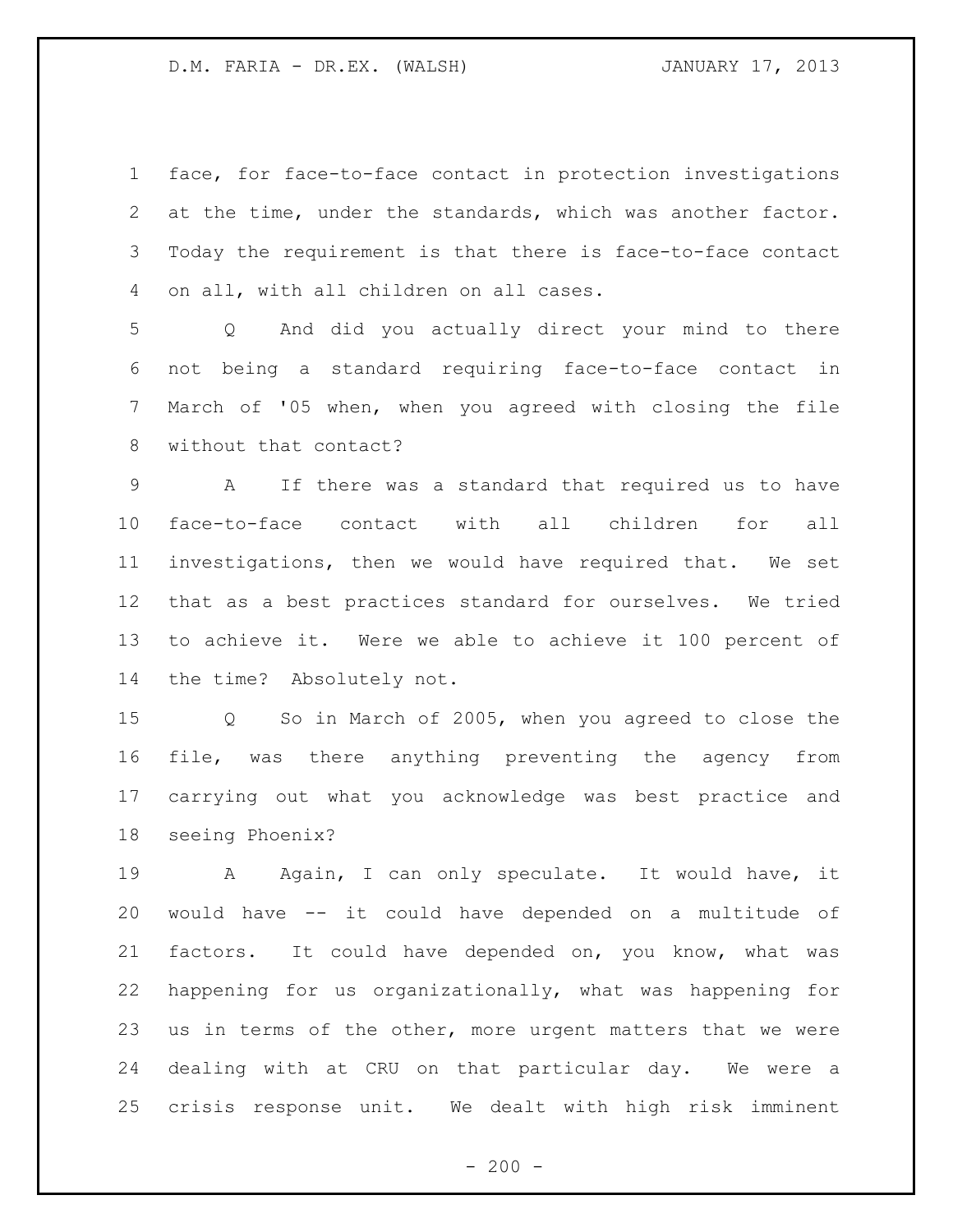face, for face-to-face contact in protection investigations at the time, under the standards, which was another factor. Today the requirement is that there is face-to-face contact on all, with all children on all cases.

 Q And did you actually direct your mind to there not being a standard requiring face-to-face contact in March of '05 when, when you agreed with closing the file without that contact?

 A If there was a standard that required us to have face-to-face contact with all children for all investigations, then we would have required that. We set that as a best practices standard for ourselves. We tried to achieve it. Were we able to achieve it 100 percent of the time? Absolutely not.

 Q So in March of 2005, when you agreed to close the file, was there anything preventing the agency from carrying out what you acknowledge was best practice and seeing Phoenix?

19 A Again, I can only speculate. It would have, it would have -- it could have depended on a multitude of factors. It could have depended on, you know, what was happening for us organizationally, what was happening for us in terms of the other, more urgent matters that we were dealing with at CRU on that particular day. We were a crisis response unit. We dealt with high risk imminent

 $-200 -$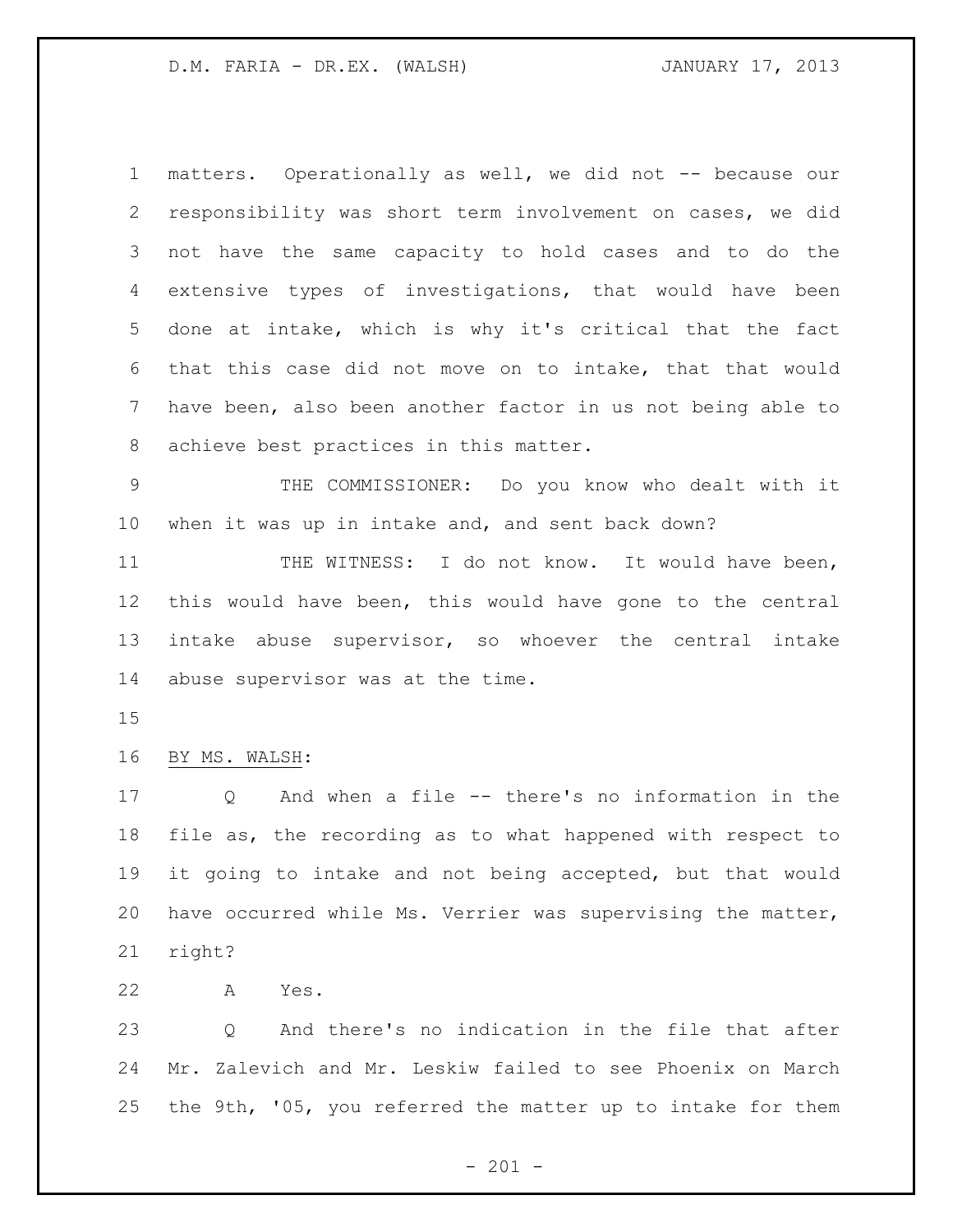matters. Operationally as well, we did not -- because our responsibility was short term involvement on cases, we did not have the same capacity to hold cases and to do the extensive types of investigations, that would have been done at intake, which is why it's critical that the fact that this case did not move on to intake, that that would have been, also been another factor in us not being able to achieve best practices in this matter.

 THE COMMISSIONER: Do you know who dealt with it when it was up in intake and, and sent back down?

11 THE WITNESS: I do not know. It would have been, this would have been, this would have gone to the central intake abuse supervisor, so whoever the central intake abuse supervisor was at the time.

## BY MS. WALSH:

 Q And when a file -- there's no information in the file as, the recording as to what happened with respect to it going to intake and not being accepted, but that would have occurred while Ms. Verrier was supervising the matter, right?

A Yes.

 Q And there's no indication in the file that after Mr. Zalevich and Mr. Leskiw failed to see Phoenix on March the 9th, '05, you referred the matter up to intake for them

 $- 201 -$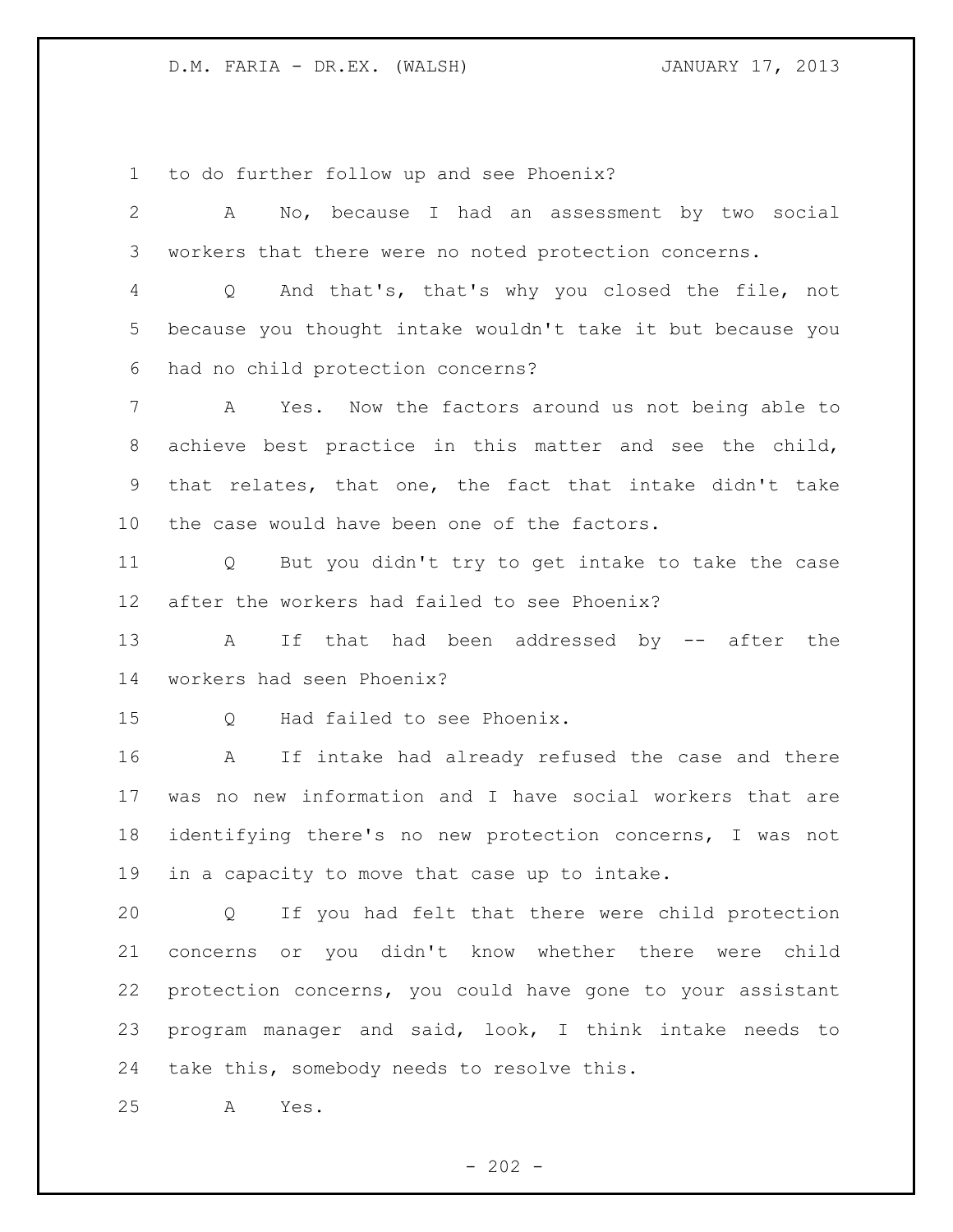to do further follow up and see Phoenix?

| $\mathbf{2}$    | No, because I had an assessment by two social<br>A                |
|-----------------|-------------------------------------------------------------------|
| 3               | workers that there were no noted protection concerns.             |
| 4               | And that's, that's why you closed the file, not<br>$\overline{Q}$ |
| 5               | because you thought intake wouldn't take it but because you       |
| 6               | had no child protection concerns?                                 |
| 7               | Yes. Now the factors around us not being able to<br>A             |
| 8               | achieve best practice in this matter and see the child,           |
| 9               | that relates, that one, the fact that intake didn't take          |
| 10 <sub>o</sub> | the case would have been one of the factors.                      |
| 11              | But you didn't try to get intake to take the case<br>$Q \qquad$   |
| 12 <sub>2</sub> | after the workers had failed to see Phoenix?                      |
| 13              | If that had been addressed by -- after the<br>A                   |
| 14              | workers had seen Phoenix?                                         |
| 15              | Had failed to see Phoenix.<br>Q                                   |
| 16              | If intake had already refused the case and there<br>A             |
| 17              | was no new information and I have social workers that are         |
| 18              | identifying there's no new protection concerns, I was not         |
| 19              | in a capacity to move that case up to intake.                     |
| 20              | Q If you had felt that there were child protection                |
| 21              | concerns or you didn't know whether there were child              |
| 22              | protection concerns, you could have gone to your assistant        |
| 23              | program manager and said, look, I think intake needs to           |
| 24              | take this, somebody needs to resolve this.                        |

A Yes.

- 202 -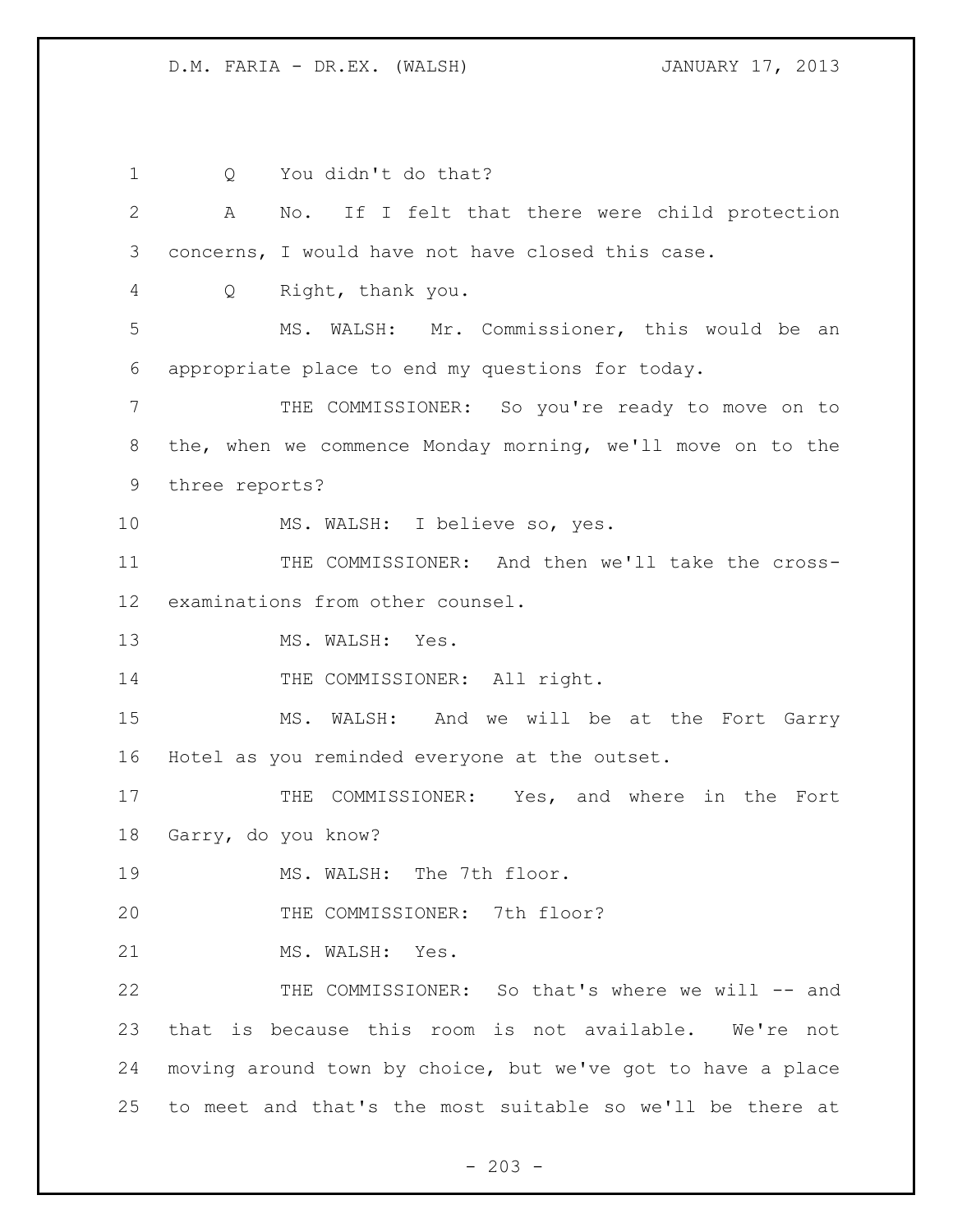1 Q You didn't do that? A No. If I felt that there were child protection concerns, I would have not have closed this case. Q Right, thank you. MS. WALSH: Mr. Commissioner, this would be an appropriate place to end my questions for today. THE COMMISSIONER: So you're ready to move on to the, when we commence Monday morning, we'll move on to the three reports? MS. WALSH: I believe so, yes. THE COMMISSIONER: And then we'll take the cross- examinations from other counsel. 13 MS. WALSH: Yes. 14 THE COMMISSIONER: All right. MS. WALSH: And we will be at the Fort Garry Hotel as you reminded everyone at the outset. 17 THE COMMISSIONER: Yes, and where in the Fort Garry, do you know? 19 MS. WALSH: The 7th floor. 20 THE COMMISSIONER: 7th floor? 21 MS. WALSH: Yes. THE COMMISSIONER: So that's where we will -- and that is because this room is not available. We're not moving around town by choice, but we've got to have a place to meet and that's the most suitable so we'll be there at